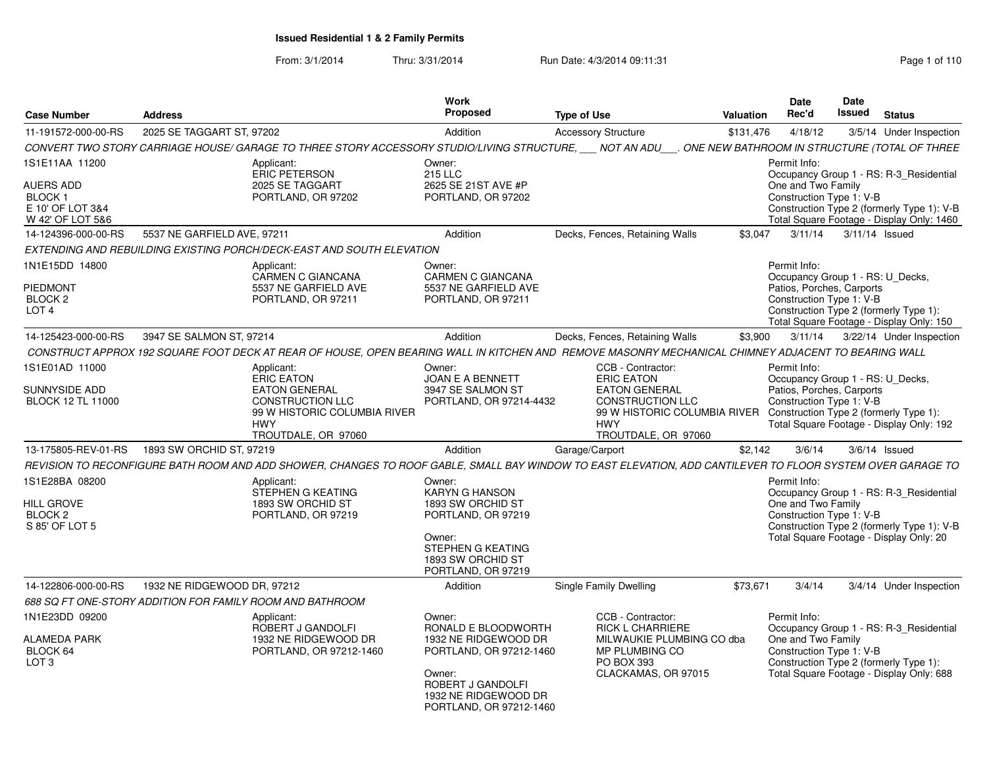From: 3/1/2014Thru: 3/31/2014 Run Date: 4/3/2014 09:11:31 Research 2010 110

| <b>Case Number</b>                                                      | <b>Address</b>                                            |                                                                                                                                                         | <b>Work</b><br>Proposed                                                                                                                                            | <b>Type of Use</b>                                                                                                                                             | Valuation | <b>Date</b><br>Rec'd                                                                                      | Date<br>Issued | <b>Status</b>                                                                                                                    |
|-------------------------------------------------------------------------|-----------------------------------------------------------|---------------------------------------------------------------------------------------------------------------------------------------------------------|--------------------------------------------------------------------------------------------------------------------------------------------------------------------|----------------------------------------------------------------------------------------------------------------------------------------------------------------|-----------|-----------------------------------------------------------------------------------------------------------|----------------|----------------------------------------------------------------------------------------------------------------------------------|
| 11-191572-000-00-RS                                                     | 2025 SE TAGGART ST, 97202                                 |                                                                                                                                                         | Addition                                                                                                                                                           | <b>Accessory Structure</b>                                                                                                                                     | \$131,476 | 4/18/12                                                                                                   |                | 3/5/14 Under Inspection                                                                                                          |
|                                                                         |                                                           | CONVERT TWO STORY CARRIAGE HOUSE/ GARAGE TO THREE STORY ACCESSORY STUDIO/LIVING STRUCTURE, ___ NOT AN ADU                                               |                                                                                                                                                                    |                                                                                                                                                                |           |                                                                                                           |                | . ONE NEW BATHROOM IN STRUCTURE (TOTAL OF THREE                                                                                  |
| 1S1E11AA 11200                                                          |                                                           | Applicant:<br><b>ERIC PETERSON</b>                                                                                                                      | Owner:<br><b>215 LLC</b>                                                                                                                                           |                                                                                                                                                                |           | Permit Info:                                                                                              |                | Occupancy Group 1 - RS: R-3 Residential                                                                                          |
| AUERS ADD<br>BLOCK <sub>1</sub><br>E 10' OF LOT 3&4<br>W 42' OF LOT 5&6 |                                                           | 2025 SE TAGGART<br>PORTLAND, OR 97202                                                                                                                   | 2625 SE 21ST AVE #P<br>PORTLAND, OR 97202                                                                                                                          |                                                                                                                                                                |           | One and Two Family<br>Construction Type 1: V-B                                                            |                | Construction Type 2 (formerly Type 1): V-B<br>Total Square Footage - Display Only: 1460                                          |
| 14-124396-000-00-RS                                                     | 5537 NE GARFIELD AVE, 97211                               |                                                                                                                                                         | Addition                                                                                                                                                           | Decks, Fences, Retaining Walls                                                                                                                                 | \$3.047   | 3/11/14                                                                                                   | 3/11/14 Issued |                                                                                                                                  |
|                                                                         |                                                           | EXTENDING AND REBUILDING EXISTING PORCH/DECK-EAST AND SOUTH ELEVATION                                                                                   |                                                                                                                                                                    |                                                                                                                                                                |           |                                                                                                           |                |                                                                                                                                  |
| 1N1E15DD 14800<br><b>PIEDMONT</b><br>BLOCK 2<br>LOT <sub>4</sub>        |                                                           | Applicant:<br>CARMEN C GIANCANA<br>5537 NE GARFIELD AVE<br>PORTLAND, OR 97211                                                                           | Owner:<br><b>CARMEN C GIANCANA</b><br>5537 NE GARFIELD AVE<br>PORTLAND, OR 97211                                                                                   |                                                                                                                                                                |           | Permit Info:<br>Occupancy Group 1 - RS: U Decks,<br>Patios, Porches, Carports<br>Construction Type 1: V-B |                | Construction Type 2 (formerly Type 1):<br>Total Square Footage - Display Only: 150                                               |
| 14-125423-000-00-RS                                                     | 3947 SE SALMON ST, 97214                                  |                                                                                                                                                         | Addition                                                                                                                                                           | Decks, Fences, Retaining Walls                                                                                                                                 | \$3,900   | 3/11/14                                                                                                   |                | 3/22/14 Under Inspection                                                                                                         |
|                                                                         |                                                           |                                                                                                                                                         |                                                                                                                                                                    | CONSTRUCT APPROX 192 SQUARE FOOT DECK AT REAR OF HOUSE, OPEN BEARING WALL IN KITCHEN AND REMOVE MASONRY MECHANICAL CHIMNEY ADJACENT TO BEARING WALL            |           |                                                                                                           |                |                                                                                                                                  |
| 1S1E01AD 11000<br>SUNNYSIDE ADD<br><b>BLOCK 12 TL 11000</b>             |                                                           | Applicant:<br><b>ERIC EATON</b><br><b>EATON GENERAL</b><br><b>CONSTRUCTION LLC</b><br>99 W HISTORIC COLUMBIA RIVER<br><b>HWY</b><br>TROUTDALE, OR 97060 | Owner:<br>JOAN E A BENNETT<br>3947 SE SALMON ST<br>PORTLAND, OR 97214-4432                                                                                         | CCB - Contractor:<br><b>ERIC EATON</b><br><b>EATON GENERAL</b><br><b>CONSTRUCTION LLC</b><br>99 W HISTORIC COLUMBIA RIVER<br><b>HWY</b><br>TROUTDALE, OR 97060 |           | Permit Info:<br>Occupancy Group 1 - RS: U_Decks,<br>Patios, Porches, Carports<br>Construction Type 1: V-B |                | Construction Type 2 (formerly Type 1):<br>Total Square Footage - Display Only: 192                                               |
| 13-175805-REV-01-RS                                                     | 1893 SW ORCHID ST, 97219                                  |                                                                                                                                                         | Addition                                                                                                                                                           | Garage/Carport                                                                                                                                                 | \$2,142   | 3/6/14                                                                                                    |                | $3/6/14$ Issued                                                                                                                  |
|                                                                         |                                                           |                                                                                                                                                         |                                                                                                                                                                    | REVISION TO RECONFIGURE BATH ROOM AND ADD SHOWER, CHANGES TO ROOF GABLE, SMALL BAY WINDOW TO EAST ELEVATION, ADD CANTILEVER TO FLOOR SYSTEM OVER GARAGE TO     |           |                                                                                                           |                |                                                                                                                                  |
| 1S1E28BA 08200<br>HILL GROVE<br>BLOCK 2<br>S 85' OF LOT 5               |                                                           | Applicant:<br>STEPHEN G KEATING<br>1893 SW ORCHID ST<br>PORTLAND, OR 97219                                                                              | Owner:<br>KARYN G HANSON<br>1893 SW ORCHID ST<br>PORTLAND, OR 97219<br>Owner:<br>STEPHEN G KEATING<br>1893 SW ORCHID ST<br>PORTLAND, OR 97219                      |                                                                                                                                                                |           | Permit Info:<br>One and Two Family<br>Construction Type 1: V-B                                            |                | Occupancy Group 1 - RS: R-3_Residential<br>Construction Type 2 (formerly Type 1): V-B<br>Total Square Footage - Display Only: 20 |
| 14-122806-000-00-RS                                                     | 1932 NE RIDGEWOOD DR, 97212                               |                                                                                                                                                         | Addition                                                                                                                                                           | Single Family Dwelling                                                                                                                                         | \$73,671  | 3/4/14                                                                                                    |                | 3/4/14 Under Inspection                                                                                                          |
|                                                                         | 688 SQ FT ONE-STORY ADDITION FOR FAMILY ROOM AND BATHROOM |                                                                                                                                                         |                                                                                                                                                                    |                                                                                                                                                                |           |                                                                                                           |                |                                                                                                                                  |
| 1N1E23DD 09200<br>ALAMEDA PARK<br>BLOCK 64<br>LOT <sub>3</sub>          |                                                           | Applicant:<br>ROBERT J GANDOLFI<br>1932 NE RIDGEWOOD DR<br>PORTLAND, OR 97212-1460                                                                      | Owner:<br>RONALD E BLOODWORTH<br>1932 NE RIDGEWOOD DR<br>PORTLAND, OR 97212-1460<br>Owner:<br>ROBERT J GANDOLFI<br>1932 NE RIDGEWOOD DR<br>PORTLAND, OR 97212-1460 | CCB - Contractor:<br><b>RICK L CHARRIERE</b><br>MILWAUKIE PLUMBING CO dba<br>MP PLUMBING CO<br>PO BOX 393<br>CLACKAMAS, OR 97015                               |           | Permit Info:<br>One and Two Family<br>Construction Type 1: V-B                                            |                | Occupancy Group 1 - RS: R-3 Residential<br>Construction Type 2 (formerly Type 1):<br>Total Square Footage - Display Only: 688    |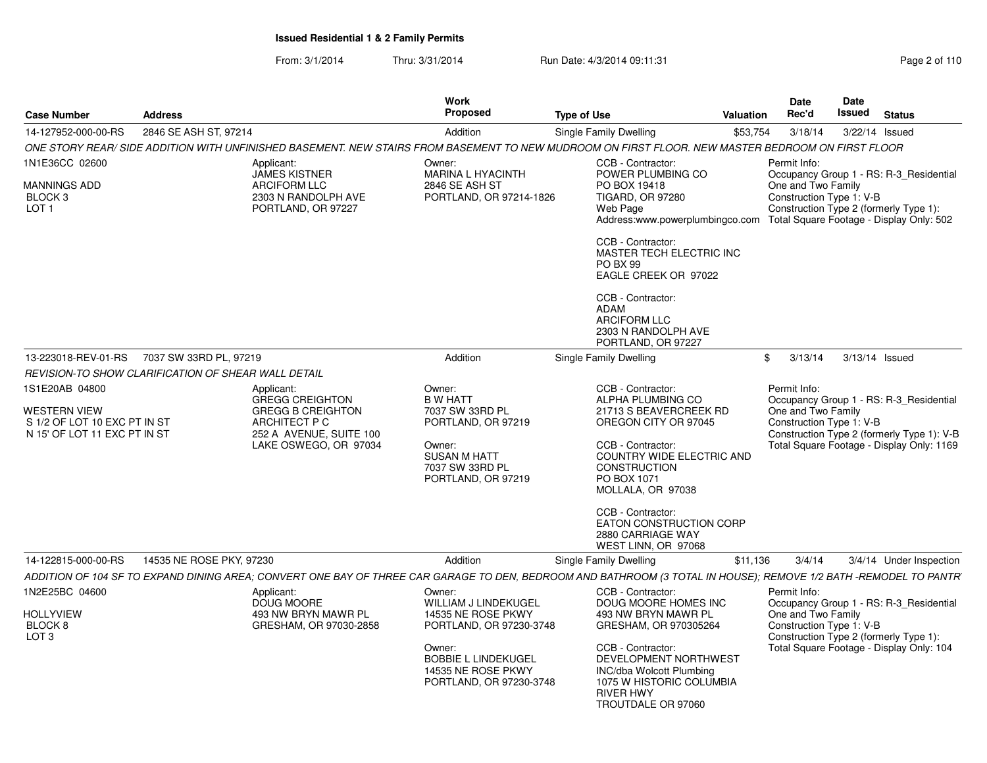From: 3/1/2014Thru: 3/31/2014 Run Date: 4/3/2014 09:11:31 Research 2010 Rage 2 of 110

| <b>Case Number</b>                                                                                    | <b>Address</b>                                      |                                                                                                                                                                  | Work<br><b>Proposed</b>                                                               | <b>Type of Use</b> |                                                                                                                                              | Valuation | Date<br>Rec'd                                                  | Date<br>Issued   | <b>Status</b>                                                                         |
|-------------------------------------------------------------------------------------------------------|-----------------------------------------------------|------------------------------------------------------------------------------------------------------------------------------------------------------------------|---------------------------------------------------------------------------------------|--------------------|----------------------------------------------------------------------------------------------------------------------------------------------|-----------|----------------------------------------------------------------|------------------|---------------------------------------------------------------------------------------|
| 14-127952-000-00-RS                                                                                   | 2846 SE ASH ST, 97214                               |                                                                                                                                                                  | Addition                                                                              |                    | Single Family Dwelling                                                                                                                       | \$53,754  | 3/18/14                                                        | 3/22/14 Issued   |                                                                                       |
|                                                                                                       |                                                     | ONE STORY REAR/ SIDE ADDITION WITH UNFINISHED BASEMENT. NEW STAIRS FROM BASEMENT TO NEW MUDROOM ON FIRST FLOOR. NEW MASTER BEDROOM ON FIRST FLOOR                |                                                                                       |                    |                                                                                                                                              |           |                                                                |                  |                                                                                       |
| 1N1E36CC 02600                                                                                        |                                                     | Applicant:<br><b>JAMES KISTNER</b>                                                                                                                               | Owner:<br><b>MARINA L HYACINTH</b>                                                    |                    | CCB - Contractor:<br>POWER PLUMBING CO                                                                                                       |           | Permit Info:                                                   |                  | Occupancy Group 1 - RS: R-3_Residential                                               |
| <b>MANNINGS ADD</b><br>BLOCK 3<br>LOT <sub>1</sub>                                                    |                                                     | <b>ARCIFORM LLC</b><br>2303 N RANDOLPH AVE<br>PORTLAND, OR 97227                                                                                                 | 2846 SE ASH ST<br>PORTLAND, OR 97214-1826                                             |                    | PO BOX 19418<br>TIGARD, OR 97280<br>Web Page<br>Address:www.powerplumbingco.com                                                              |           | One and Two Family<br>Construction Type 1: V-B                 |                  | Construction Type 2 (formerly Type 1):<br>Total Square Footage - Display Only: 502    |
|                                                                                                       |                                                     |                                                                                                                                                                  |                                                                                       |                    | CCB - Contractor:<br>MASTER TECH ELECTRIC INC<br><b>PO BX 99</b><br>EAGLE CREEK OR 97022                                                     |           |                                                                |                  |                                                                                       |
|                                                                                                       |                                                     |                                                                                                                                                                  |                                                                                       |                    | CCB - Contractor:<br><b>ADAM</b><br><b>ARCIFORM LLC</b><br>2303 N RANDOLPH AVE<br>PORTLAND, OR 97227                                         |           |                                                                |                  |                                                                                       |
| 13-223018-REV-01-RS                                                                                   | 7037 SW 33RD PL, 97219                              |                                                                                                                                                                  | Addition                                                                              |                    | Single Family Dwelling                                                                                                                       | \$        | 3/13/14                                                        | $3/13/14$ Issued |                                                                                       |
|                                                                                                       | REVISION-TO SHOW CLARIFICATION OF SHEAR WALL DETAIL |                                                                                                                                                                  |                                                                                       |                    |                                                                                                                                              |           |                                                                |                  |                                                                                       |
| 1S1E20AB 04800<br><b>WESTERN VIEW</b><br>S 1/2 OF LOT 10 EXC PT IN ST<br>N 15' OF LOT 11 EXC PT IN ST |                                                     | Applicant:<br><b>GREGG CREIGHTON</b><br><b>GREGG B CREIGHTON</b><br>ARCHITECT P C<br>252 A AVENUE, SUITE 100                                                     | Owner:<br><b>B W HATT</b><br>7037 SW 33RD PL<br>PORTLAND, OR 97219                    |                    | CCB - Contractor:<br>ALPHA PLUMBING CO<br>21713 S BEAVERCREEK RD<br>OREGON CITY OR 97045                                                     |           | Permit Info:<br>One and Two Family<br>Construction Type 1: V-B |                  | Occupancy Group 1 - RS: R-3_Residential<br>Construction Type 2 (formerly Type 1): V-B |
|                                                                                                       |                                                     | LAKE OSWEGO, OR 97034                                                                                                                                            | Owner:<br><b>SUSAN M HATT</b><br>7037 SW 33RD PL<br>PORTLAND, OR 97219                |                    | CCB - Contractor:<br>COUNTRY WIDE ELECTRIC AND<br><b>CONSTRUCTION</b><br>PO BOX 1071<br>MOLLALA, OR 97038                                    |           |                                                                |                  | Total Square Footage - Display Only: 1169                                             |
|                                                                                                       |                                                     |                                                                                                                                                                  |                                                                                       |                    | CCB - Contractor:<br>EATON CONSTRUCTION CORP<br>2880 CARRIAGE WAY<br>WEST LINN, OR 97068                                                     |           |                                                                |                  |                                                                                       |
| 14-122815-000-00-RS                                                                                   | 14535 NE ROSE PKY, 97230                            |                                                                                                                                                                  | Addition                                                                              |                    | Single Family Dwelling                                                                                                                       | \$11,136  | 3/4/14                                                         |                  | 3/4/14 Under Inspection                                                               |
|                                                                                                       |                                                     | ADDITION OF 104 SF TO EXPAND DINING AREA; CONVERT ONE BAY OF THREE CAR GARAGE TO DEN, BEDROOM AND BATHROOM (3 TOTAL IN HOUSE); REMOVE 1/2 BATH -REMODEL TO PANTR |                                                                                       |                    |                                                                                                                                              |           |                                                                |                  |                                                                                       |
| 1N2E25BC 04600                                                                                        |                                                     | Applicant:<br>DOUG MOORE                                                                                                                                         | Owner:<br>WILLIAM J LINDEKUGEL                                                        |                    | CCB - Contractor:<br>DOUG MOORE HOMES INC                                                                                                    |           | Permit Info:                                                   |                  | Occupancy Group 1 - RS: R-3_Residential                                               |
| <b>HOLLYVIEW</b><br>BLOCK <sub>8</sub><br>LOT <sub>3</sub>                                            |                                                     | 493 NW BRYN MAWR PL<br>GRESHAM, OR 97030-2858                                                                                                                    | 14535 NE ROSE PKWY<br>PORTLAND, OR 97230-3748                                         |                    | 493 NW BRYN MAWR PL<br>GRESHAM, OR 970305264                                                                                                 |           | One and Two Family<br>Construction Type 1: V-B                 |                  | Construction Type 2 (formerly Type 1):                                                |
|                                                                                                       |                                                     |                                                                                                                                                                  | Owner:<br><b>BOBBIE L LINDEKUGEL</b><br>14535 NE ROSE PKWY<br>PORTLAND, OR 97230-3748 |                    | CCB - Contractor:<br>DEVELOPMENT NORTHWEST<br>INC/dba Wolcott Plumbing<br>1075 W HISTORIC COLUMBIA<br><b>RIVER HWY</b><br>TROUTDALE OR 97060 |           |                                                                |                  | Total Square Footage - Display Only: 104                                              |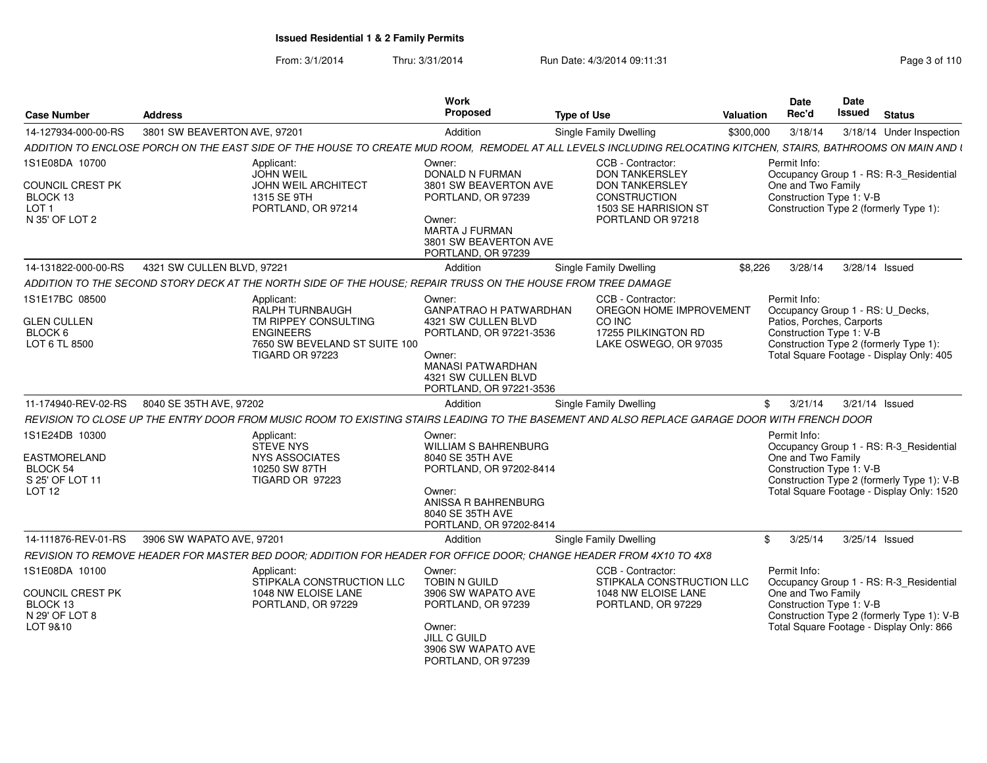From: 3/1/2014Thru: 3/31/2014 Run Date: 4/3/2014 09:11:31 Research 2010 Rage 3 of 110

| <b>Case Number</b>                                                                   | <b>Address</b>                              |                                                                                                                                                                 | Work<br>Proposed                                                                                                                                                           | Type of Use                                                                                                                      | <b>Valuation</b>          | Date<br>Rec'd                      | Date<br>Issued                                        | <b>Status</b>                                                                                                                      |
|--------------------------------------------------------------------------------------|---------------------------------------------|-----------------------------------------------------------------------------------------------------------------------------------------------------------------|----------------------------------------------------------------------------------------------------------------------------------------------------------------------------|----------------------------------------------------------------------------------------------------------------------------------|---------------------------|------------------------------------|-------------------------------------------------------|------------------------------------------------------------------------------------------------------------------------------------|
| 14-127934-000-00-RS                                                                  | 3801 SW BEAVERTON AVE, 97201                |                                                                                                                                                                 | Addition                                                                                                                                                                   | Single Family Dwelling                                                                                                           | \$300,000                 | 3/18/14                            |                                                       | 3/18/14 Under Inspection                                                                                                           |
|                                                                                      |                                             | ADDITION TO ENCLOSE PORCH ON THE EAST SIDE OF THE HOUSE TO CREATE MUD ROOM, REMODEL AT ALL LEVELS INCLUDING RELOCATING KITCHEN, STAIRS, BATHROOMS ON MAIN AND I |                                                                                                                                                                            |                                                                                                                                  |                           |                                    |                                                       |                                                                                                                                    |
| 1S1E08DA 10700<br>COUNCIL CREST PK<br>BLOCK 13<br>LOT <sub>1</sub><br>N 35' OF LOT 2 |                                             | Applicant:<br><b>JOHN WEIL</b><br>JOHN WEIL ARCHITECT<br>1315 SE 9TH<br>PORTLAND, OR 97214                                                                      | Owner:<br><b>DONALD N FURMAN</b><br>3801 SW BEAVERTON AVE<br>PORTLAND, OR 97239<br>Owner:<br><b>MARTA J FURMAN</b><br>3801 SW BEAVERTON AVE                                | CCB - Contractor:<br><b>DON TANKERSLEY</b><br><b>DON TANKERSLEY</b><br>CONSTRUCTION<br>1503 SE HARRISION ST<br>PORTLAND OR 97218 |                           | Permit Info:<br>One and Two Family | Construction Type 1: V-B                              | Occupancy Group 1 - RS: R-3 Residential<br>Construction Type 2 (formerly Type 1):                                                  |
|                                                                                      |                                             |                                                                                                                                                                 | PORTLAND, OR 97239                                                                                                                                                         |                                                                                                                                  |                           |                                    |                                                       |                                                                                                                                    |
| 14-131822-000-00-RS                                                                  | 4321 SW CULLEN BLVD, 97221                  |                                                                                                                                                                 | Addition                                                                                                                                                                   | Single Family Dwelling                                                                                                           | \$8.226                   | 3/28/14                            |                                                       | 3/28/14 Issued                                                                                                                     |
|                                                                                      |                                             | ADDITION TO THE SECOND STORY DECK AT THE NORTH SIDE OF THE HOUSE: REPAIR TRUSS ON THE HOUSE FROM TREE DAMAGE                                                    |                                                                                                                                                                            |                                                                                                                                  |                           |                                    |                                                       |                                                                                                                                    |
| 1S1E17BC 08500<br><b>GLEN CULLEN</b><br>BLOCK 6<br>LOT 6 TL 8500                     |                                             | Applicant:<br>RALPH TURNBAUGH<br>TM RIPPEY CONSULTING<br><b>ENGINEERS</b><br>7650 SW BEVELAND ST SUITE 100<br>TIGARD OR 97223                                   | Owner:<br>GANPATRAO H PATWARDHAN<br>4321 SW CULLEN BLVD<br>PORTLAND, OR 97221-3536<br>Owner:<br><b>MANASI PATWARDHAN</b><br>4321 SW CULLEN BLVD<br>PORTLAND, OR 97221-3536 | CCB - Contractor:<br>CO INC<br>17255 PILKINGTON RD<br>LAKE OSWEGO, OR 97035                                                      | OREGON HOME IMPROVEMENT   | Permit Info:                       | Patios, Porches, Carports<br>Construction Type 1: V-B | Occupancy Group 1 - RS: U Decks,<br>Construction Type 2 (formerly Type 1):<br>Total Square Footage - Display Only: 405             |
|                                                                                      | 11-174940-REV-02-RS 8040 SE 35TH AVE, 97202 |                                                                                                                                                                 | Addition                                                                                                                                                                   | Single Family Dwelling                                                                                                           |                           | \$3/21/14                          |                                                       | 3/21/14 Issued                                                                                                                     |
|                                                                                      |                                             | REVISION TO CLOSE UP THE ENTRY DOOR FROM MUSIC ROOM TO EXISTING STAIRS LEADING TO THE BASEMENT AND ALSO REPLACE GARAGE DOOR WITH FRENCH DOOR                    |                                                                                                                                                                            |                                                                                                                                  |                           |                                    |                                                       |                                                                                                                                    |
| 1S1E24DB 10300<br><b>EASTMORELAND</b><br>BLOCK 54<br>S 25' OF LOT 11<br>LOT 12       |                                             | Applicant:<br>STEVE NYS<br><b>NYS ASSOCIATES</b><br>10250 SW 87TH<br>TIGARD OR 97223                                                                            | Owner:<br><b>WILLIAM S BAHRENBURG</b><br>8040 SE 35TH AVE<br>PORTLAND, OR 97202-8414<br>Owner:<br>ANISSA R BAHRENBURG<br>8040 SE 35TH AVE<br>PORTLAND, OR 97202-8414       |                                                                                                                                  |                           | Permit Info:<br>One and Two Family | Construction Type 1: V-B                              | Occupancy Group 1 - RS: R-3_Residential<br>Construction Type 2 (formerly Type 1): V-B<br>Total Square Footage - Display Only: 1520 |
| 14-111876-REV-01-RS                                                                  | 3906 SW WAPATO AVE, 97201                   |                                                                                                                                                                 | Addition                                                                                                                                                                   | Single Family Dwelling                                                                                                           |                           | 3/25/14<br>\$                      |                                                       | 3/25/14 Issued                                                                                                                     |
|                                                                                      |                                             | REVISION TO REMOVE HEADER FOR MASTER BED DOOR; ADDITION FOR HEADER FOR OFFICE DOOR; CHANGE HEADER FROM 4X10 TO 4X8                                              |                                                                                                                                                                            |                                                                                                                                  |                           |                                    |                                                       |                                                                                                                                    |
| 1S1E08DA 10100<br>COUNCIL CREST PK<br>BLOCK 13<br>N 29' OF LOT 8<br>LOT 9&10         |                                             | Applicant:<br>STIPKALA CONSTRUCTION LLC<br>1048 NW ELOISE LANE<br>PORTLAND, OR 97229                                                                            | Owner:<br><b>TOBIN N GUILD</b><br>3906 SW WAPATO AVE<br>PORTLAND, OR 97239<br>Owner:<br><b>JILL C GUILD</b><br>3906 SW WAPATO AVE<br>PORTLAND, OR 97239                    | CCB - Contractor:<br>1048 NW ELOISE LANE<br>PORTLAND, OR 97229                                                                   | STIPKALA CONSTRUCTION LLC | Permit Info:<br>One and Two Family | Construction Type 1: V-B                              | Occupancy Group 1 - RS: R-3 Residential<br>Construction Type 2 (formerly Type 1): V-B<br>Total Square Footage - Display Only: 866  |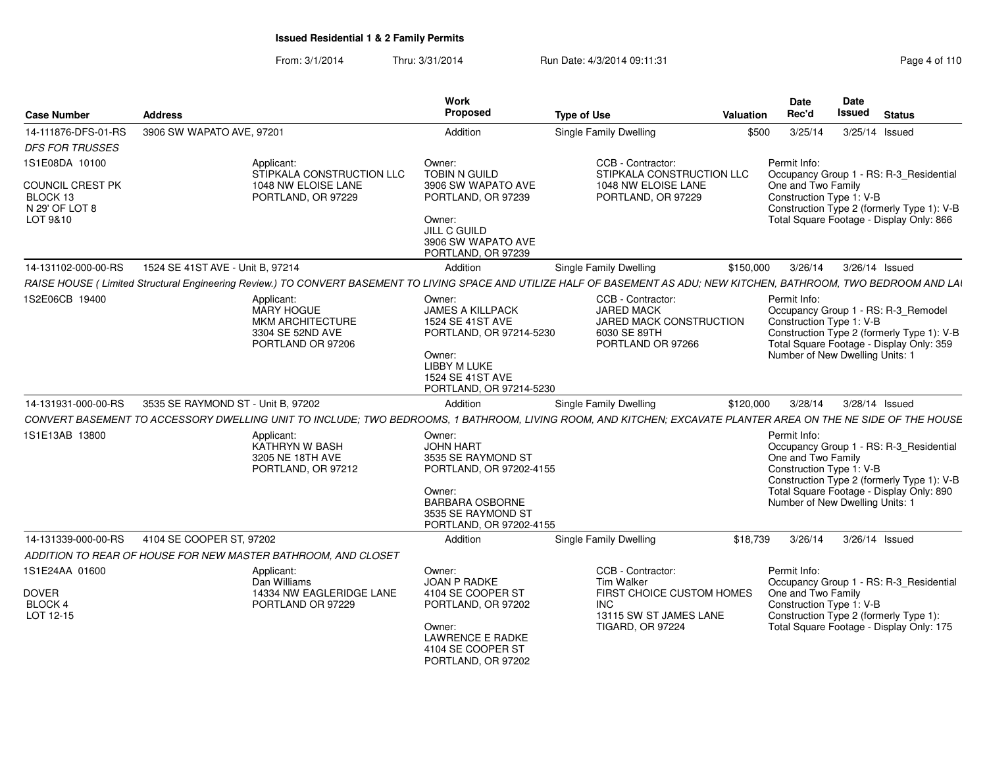From: 3/1/2014Thru: 3/31/2014 Run Date: 4/3/2014 09:11:31 Research 2010 Rage 4 of 110

| <b>Case Number</b>                                               | <b>Address</b>                                                                                                                                                                                                                          | Work<br>Proposed                                                                                                                                                 | <b>Type of Use</b>                                                                                                                     | Date<br>Rec'd<br>Valuation | Date<br><b>Issued</b><br><b>Status</b>                                                                                                                                                                                 |
|------------------------------------------------------------------|-----------------------------------------------------------------------------------------------------------------------------------------------------------------------------------------------------------------------------------------|------------------------------------------------------------------------------------------------------------------------------------------------------------------|----------------------------------------------------------------------------------------------------------------------------------------|----------------------------|------------------------------------------------------------------------------------------------------------------------------------------------------------------------------------------------------------------------|
| 14-111876-DFS-01-RS<br><b>DFS FOR TRUSSES</b>                    | 3906 SW WAPATO AVE, 97201                                                                                                                                                                                                               | Addition                                                                                                                                                         | <b>Single Family Dwelling</b>                                                                                                          | \$500                      | 3/25/14<br>3/25/14 Issued                                                                                                                                                                                              |
| 1S1E08DA 10100<br>COUNCIL CREST PK<br>BLOCK 13<br>N 29' OF LOT 8 | Applicant:<br>STIPKALA CONSTRUCTION LLC<br>1048 NW ELOISE LANE<br>PORTLAND, OR 97229                                                                                                                                                    | Owner:<br>TOBIN N GUILD<br>3906 SW WAPATO AVE<br>PORTLAND, OR 97239                                                                                              | CCB - Contractor:<br>STIPKALA CONSTRUCTION LLC<br>1048 NW ELOISE LANE<br>PORTLAND, OR 97229                                            | Permit Info:               | Occupancy Group 1 - RS: R-3_Residential<br>One and Two Family<br>Construction Type 1: V-B<br>Construction Type 2 (formerly Type 1): V-B                                                                                |
| LOT 9&10                                                         |                                                                                                                                                                                                                                         | Owner:<br>JILL C GUILD<br>3906 SW WAPATO AVE<br>PORTLAND, OR 97239                                                                                               |                                                                                                                                        |                            | Total Square Footage - Display Only: 866                                                                                                                                                                               |
| 14-131102-000-00-RS                                              | 1524 SE 41ST AVE - Unit B, 97214<br>RAISE HOUSE (Limited Structural Engineering Review.) TO CONVERT BASEMENT TO LIVING SPACE AND UTILIZE HALF OF BASEMENT AS ADU; NEW KITCHEN, BATHROOM, TWO BEDROOM AND LAI                            | Addition                                                                                                                                                         | Single Family Dwelling                                                                                                                 |                            | \$150,000 3/26/14 3/26/14 Issued                                                                                                                                                                                       |
| 1S2E06CB 19400                                                   | Applicant:<br>MARY HOGUE<br><b>MKM ARCHITECTURE</b><br>3304 SE 52ND AVE<br>PORTLAND OR 97206                                                                                                                                            | Owner:<br><b>JAMES A KILLPACK</b><br>1524 SE 41ST AVE<br>PORTLAND, OR 97214-5230<br>Owner:<br><b>LIBBY M LUKE</b><br>1524 SE 41ST AVE<br>PORTLAND, OR 97214-5230 | CCB - Contractor:<br><b>JARED MACK</b><br>JARED MACK CONSTRUCTION<br>6030 SE 89TH<br>PORTLAND OR 97266                                 | Permit Info:               | Occupancy Group 1 - RS: R-3_Remodel<br>Construction Type 1: V-B<br>Construction Type 2 (formerly Type 1): V-B<br>Total Square Footage - Display Only: 359<br>Number of New Dwelling Units: 1                           |
| 14-131931-000-00-RS                                              | 3535 SE RAYMOND ST - Unit B, 97202                                                                                                                                                                                                      | Addition                                                                                                                                                         | Single Family Dwelling                                                                                                                 | \$120,000                  | 3/28/14   3/28/14   Issued                                                                                                                                                                                             |
| 1S1E13AB 13800                                                   | CONVERT BASEMENT TO ACCESSORY DWELLING UNIT TO INCLUDE; TWO BEDROOMS, 1 BATHROOM, LIVING ROOM, AND KITCHEN; EXCAVATE PLANTER AREA ON THE NE SIDE OF THE HOUSE<br>Applicant:<br>KATHRYN W BASH<br>3205 NE 18TH AVE<br>PORTLAND, OR 97212 | Owner:<br><b>JOHN HART</b><br>3535 SE RAYMOND ST<br>PORTLAND, OR 97202-4155<br>Owner:<br><b>BARBARA OSBORNE</b><br>3535 SE RAYMOND ST<br>PORTLAND, OR 97202-4155 |                                                                                                                                        | Permit Info:               | Occupancy Group 1 - RS: R-3_Residential<br>One and Two Family<br>Construction Type 1: V-B<br>Construction Type 2 (formerly Type 1): V-B<br>Total Square Footage - Display Only: 890<br>Number of New Dwelling Units: 1 |
| 14-131339-000-00-RS                                              | 4104 SE COOPER ST, 97202<br>ADDITION TO REAR OF HOUSE FOR NEW MASTER BATHROOM, AND CLOSET                                                                                                                                               | Addition                                                                                                                                                         | Single Family Dwelling                                                                                                                 |                            | \$18,739  3/26/14  3/26/14  Issued                                                                                                                                                                                     |
| 1S1E24AA 01600<br><b>DOVER</b><br>BLOCK 4<br>LOT 12-15           | Applicant:<br>Dan Williams<br>14334 NW EAGLERIDGE LANE<br>PORTLAND OR 97229                                                                                                                                                             | Owner:<br>JOAN P RADKE<br>4104 SE COOPER ST<br>PORTLAND, OR 97202<br>Owner:<br><b>LAWRENCE E RADKE</b><br>4104 SE COOPER ST<br>PORTLAND, OR 97202                | CCB - Contractor:<br><b>Tim Walker</b><br>FIRST CHOICE CUSTOM HOMES<br><b>INC</b><br>13115 SW ST JAMES LANE<br><b>TIGARD, OR 97224</b> | Permit Info:               | Occupancy Group 1 - RS: R-3_Residential<br>One and Two Family<br>Construction Type 1: V-B<br>Construction Type 2 (formerly Type 1):<br>Total Square Footage - Display Only: 175                                        |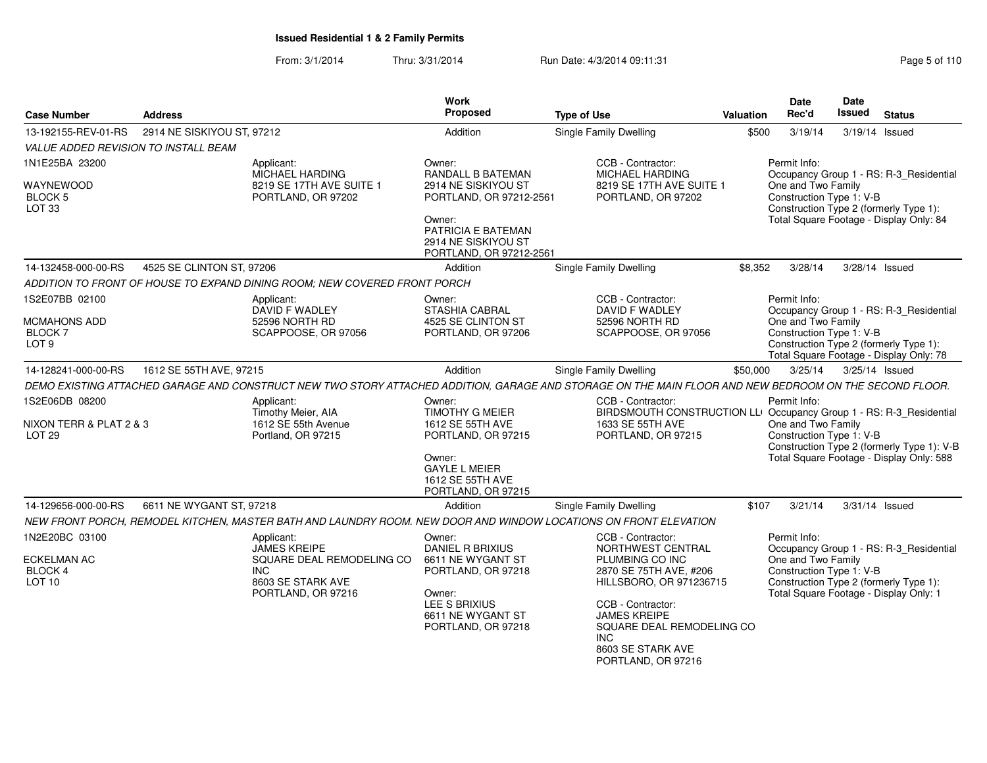From: 3/1/2014Thru: 3/31/2014 Run Date: 4/3/2014 09:11:31 Page 5 of 110

| <b>Case Number</b>                                            | <b>Address</b>             |                                                                                                                  | Work<br>Proposed                                                                                             | <b>Type of Use</b>                                                                                                                                     | Valuation | Date<br>Rec'd                                                  | Date<br><b>Issued</b> | <b>Status</b>                                                                                                                |
|---------------------------------------------------------------|----------------------------|------------------------------------------------------------------------------------------------------------------|--------------------------------------------------------------------------------------------------------------|--------------------------------------------------------------------------------------------------------------------------------------------------------|-----------|----------------------------------------------------------------|-----------------------|------------------------------------------------------------------------------------------------------------------------------|
| 13-192155-REV-01-RS                                           | 2914 NE SISKIYOU ST, 97212 |                                                                                                                  | Addition                                                                                                     | Single Family Dwelling                                                                                                                                 | \$500     | 3/19/14                                                        |                       | 3/19/14 Issued                                                                                                               |
| VALUE ADDED REVISION TO INSTALL BEAM                          |                            |                                                                                                                  |                                                                                                              |                                                                                                                                                        |           |                                                                |                       |                                                                                                                              |
| 1N1E25BA 23200                                                |                            | Applicant:<br>MICHAEL HARDING                                                                                    | Owner:<br>RANDALL B BATEMAN                                                                                  | CCB - Contractor:<br>MICHAEL HARDING                                                                                                                   |           | Permit Info:                                                   |                       | Occupancy Group 1 - RS: R-3_Residential                                                                                      |
| WAYNEWOOD<br>BLOCK 5<br>LOT <sub>33</sub>                     |                            | 8219 SE 17TH AVE SUITE 1<br>PORTLAND, OR 97202                                                                   | 2914 NE SISKIYOU ST<br>PORTLAND, OR 97212-2561<br>Owner:<br><b>PATRICIA E BATEMAN</b><br>2914 NE SISKIYOU ST | 8219 SE 17TH AVE SUITE 1<br>PORTLAND, OR 97202                                                                                                         |           | One and Two Family<br>Construction Type 1: V-B                 |                       | Construction Type 2 (formerly Type 1):<br>Total Square Footage - Display Only: 84                                            |
| 14-132458-000-00-RS                                           | 4525 SE CLINTON ST, 97206  |                                                                                                                  | PORTLAND, OR 97212-2561                                                                                      |                                                                                                                                                        | \$8,352   | 3/28/14                                                        |                       | 3/28/14 Issued                                                                                                               |
|                                                               |                            |                                                                                                                  | Addition                                                                                                     | <b>Single Family Dwelling</b>                                                                                                                          |           |                                                                |                       |                                                                                                                              |
|                                                               |                            | ADDITION TO FRONT OF HOUSE TO EXPAND DINING ROOM; NEW COVERED FRONT PORCH                                        |                                                                                                              |                                                                                                                                                        |           |                                                                |                       |                                                                                                                              |
| 1S2E07BB 02100<br>MCMAHONS ADD<br>BLOCK 7<br>LOT <sub>9</sub> |                            | Applicant:<br>DAVID F WADLEY<br>52596 NORTH RD<br>SCAPPOOSE, OR 97056                                            | Owner:<br><b>STASHIA CABRAL</b><br>4525 SE CLINTON ST<br>PORTLAND, OR 97206                                  | CCB - Contractor:<br>DAVID F WADLEY<br>52596 NORTH RD<br>SCAPPOOSE, OR 97056                                                                           |           | Permit Info:<br>One and Two Family<br>Construction Type 1: V-B |                       | Occupancy Group 1 - RS: R-3_Residential<br>Construction Type 2 (formerly Type 1):<br>Total Square Footage - Display Only: 78 |
| 14-128241-000-00-RS                                           | 1612 SE 55TH AVE, 97215    |                                                                                                                  | Addition                                                                                                     | Single Family Dwelling                                                                                                                                 | \$50,000  | 3/25/14                                                        |                       | 3/25/14 Issued                                                                                                               |
|                                                               |                            |                                                                                                                  |                                                                                                              | DEMO EXISTING ATTACHED GARAGE AND CONSTRUCT NEW TWO STORY ATTACHED ADDITION, GARAGE AND STORAGE ON THE MAIN FLOOR AND NEW BEDROOM ON THE SECOND FLOOR. |           |                                                                |                       |                                                                                                                              |
| 1S2E06DB 08200                                                |                            | Applicant:<br>Timothy Meier, AIA                                                                                 | Owner:<br><b>TIMOTHY G MEIER</b>                                                                             | CCB - Contractor:<br>BIRDSMOUTH CONSTRUCTION LLI Occupancy Group 1 - RS: R-3_Residential                                                               |           | Permit Info:                                                   |                       |                                                                                                                              |
| NIXON TERR & PLAT 2 & 3<br>LOT <sub>29</sub>                  |                            | 1612 SE 55th Avenue<br>Portland, OR 97215                                                                        | 1612 SE 55TH AVE<br>PORTLAND, OR 97215<br>Owner:                                                             | 1633 SE 55TH AVE<br>PORTLAND, OR 97215                                                                                                                 |           | One and Two Family<br>Construction Type 1: V-B                 |                       | Construction Type 2 (formerly Type 1): V-B<br>Total Square Footage - Display Only: 588                                       |
|                                                               |                            |                                                                                                                  | <b>GAYLE L MEIER</b><br>1612 SE 55TH AVE<br>PORTLAND, OR 97215                                               |                                                                                                                                                        |           |                                                                |                       |                                                                                                                              |
| 14-129656-000-00-RS                                           | 6611 NE WYGANT ST, 97218   |                                                                                                                  | Addition                                                                                                     | <b>Single Family Dwelling</b>                                                                                                                          | \$107     | 3/21/14                                                        |                       | 3/31/14 Issued                                                                                                               |
|                                                               |                            | NEW FRONT PORCH, REMODEL KITCHEN, MASTER BATH AND LAUNDRY ROOM. NEW DOOR AND WINDOW LOCATIONS ON FRONT ELEVATION |                                                                                                              |                                                                                                                                                        |           |                                                                |                       |                                                                                                                              |
| 1N2E20BC 03100                                                |                            | Applicant:<br><b>JAMES KREIPE</b>                                                                                | Owner:<br><b>DANIEL R BRIXIUS</b>                                                                            | CCB - Contractor:<br>NORTHWEST CENTRAL                                                                                                                 |           | Permit Info:                                                   |                       | Occupancy Group 1 - RS: R-3_Residential                                                                                      |
| ECKELMAN AC<br>BLOCK 4<br>LOT <sub>10</sub>                   |                            | SQUARE DEAL REMODELING CO<br><b>INC</b><br>8603 SE STARK AVE                                                     | 6611 NE WYGANT ST<br>PORTLAND, OR 97218                                                                      | PLUMBING CO INC<br>2870 SE 75TH AVE, #206<br>HILLSBORO, OR 971236715                                                                                   |           | One and Two Family<br>Construction Type 1: V-B                 |                       | Construction Type 2 (formerly Type 1):                                                                                       |
|                                                               |                            | PORTLAND, OR 97216                                                                                               | Owner:<br>LEE S BRIXIUS<br>6611 NE WYGANT ST<br>PORTLAND, OR 97218                                           | CCB - Contractor:<br><b>JAMES KREIPE</b><br>SQUARE DEAL REMODELING CO<br><b>INC</b><br>8603 SE STARK AVE<br>PORTLAND, OR 97216                         |           |                                                                |                       | Total Square Footage - Display Only: 1                                                                                       |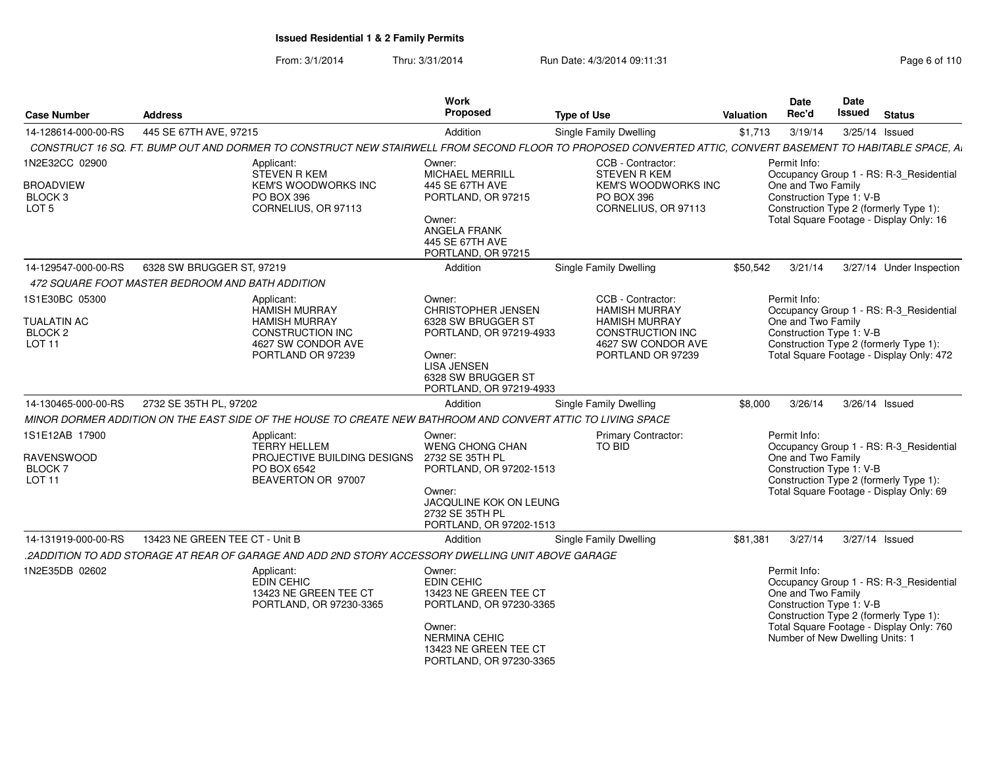From: 3/1/2014Thru: 3/31/2014 Run Date: 4/3/2014 09:11:31 Research 2010 Rage 6 of 110

| 445 SE 67TH AVE, 97215<br><b>Single Family Dwelling</b><br>14-128614-000-00-RS<br>Addition<br>\$1,713<br>3/19/14<br>3/25/14 Issued<br>CONSTRUCT 16 SQ. FT. BUMP OUT AND DORMER TO CONSTRUCT NEW STAIRWELL FROM SECOND FLOOR TO PROPOSED CONVERTED ATTIC, CONVERT BASEMENT TO HABITABLE SPACE, AI<br>Permit Info:<br>1N2E32CC 02900<br>Owner:<br>CCB - Contractor:<br>Applicant:<br>STEVEN R KEM<br><b>MICHAEL MERRILL</b><br><b>STEVEN R KEM</b><br>Occupancy Group 1 - RS: R-3_Residential<br>One and Two Family<br>KEM'S WOODWORKS INC<br>445 SE 67TH AVE<br>KEM'S WOODWORKS INC<br><b>BROADVIEW</b><br>Construction Type 1: V-B<br>BLOCK 3<br>PO BOX 396<br>PORTLAND, OR 97215<br><b>PO BOX 396</b><br>LOT <sub>5</sub><br>CORNELIUS, OR 97113<br>CORNELIUS, OR 97113<br>Construction Type 2 (formerly Type 1):<br>Total Square Footage - Display Only: 16<br>Owner:<br><b>ANGELA FRANK</b><br>445 SE 67TH AVE<br>PORTLAND, OR 97215<br>6328 SW BRUGGER ST, 97219<br>Single Family Dwelling<br>\$50,542<br>14-129547-000-00-RS<br>Addition<br>3/21/14<br>3/27/14 Under Inspection<br>472 SQUARE FOOT MASTER BEDROOM AND BATH ADDITION<br>1S1E30BC 05300<br>Permit Info:<br>CCB - Contractor:<br>Applicant:<br>Owner:<br><b>CHRISTOPHER JENSEN</b><br><b>HAMISH MURRAY</b><br><b>HAMISH MURRAY</b><br>Occupancy Group 1 - RS: R-3_Residential<br><b>TUALATIN AC</b><br>One and Two Family<br><b>HAMISH MURRAY</b><br>6328 SW BRUGGER ST<br><b>HAMISH MURRAY</b><br>Construction Type 1: V-B<br>BLOCK <sub>2</sub><br>CONSTRUCTION INC<br>CONSTRUCTION INC<br>PORTLAND, OR 97219-4933<br><b>LOT 11</b><br>4627 SW CONDOR AVE<br>4627 SW CONDOR AVE<br>Construction Type 2 (formerly Type 1):<br>Total Square Footage - Display Only: 472<br>PORTLAND OR 97239<br>PORTLAND OR 97239<br>Owner:<br><b>LISA JENSEN</b><br>6328 SW BRUGGER ST<br>PORTLAND, OR 97219-4933<br>2732 SE 35TH PL, 97202<br>Single Family Dwelling<br>\$8,000<br>3/26/14<br>3/26/14 Issued<br>14-130465-000-00-RS<br>Addition<br>MINOR DORMER ADDITION ON THE EAST SIDE OF THE HOUSE TO CREATE NEW BATHROOM AND CONVERT ATTIC TO LIVING SPACE<br>1S1E12AB 17900<br>Permit Info:<br>Applicant:<br>Owner:<br><b>Primary Contractor:</b><br><b>TERRY HELLEM</b><br>TO BID<br><b>WENG CHONG CHAN</b><br>Occupancy Group 1 - RS: R-3 Residential<br>PROJECTIVE BUILDING DESIGNS<br>One and Two Family<br><b>RAVENSWOOD</b><br>2732 SE 35TH PL<br>PO BOX 6542<br>Construction Type 1: V-B<br><b>BLOCK7</b><br>PORTLAND, OR 97202-1513<br><b>LOT 11</b><br>BEAVERTON OR 97007<br>Construction Type 2 (formerly Type 1):<br>Total Square Footage - Display Only: 69<br>Owner:<br>JACQULINE KOK ON LEUNG<br>2732 SE 35TH PL<br>PORTLAND, OR 97202-1513<br>13423 NE GREEN TEE CT - Unit B<br><b>Single Family Dwelling</b><br>3/27/14<br>14-131919-000-00-RS<br>Addition<br>\$81,381<br>3/27/14 Issued<br>2ADDITION TO ADD STORAGE AT REAR OF GARAGE AND ADD 2ND STORY ACCESSORY DWELLING UNIT ABOVE GARAGE.<br>1N2E35DB 02602<br>Permit Info:<br>Applicant:<br>Owner:<br><b>EDIN CEHIC</b><br>EDIN CEHIC<br>Occupancy Group 1 - RS: R-3_Residential<br>One and Two Family<br>13423 NE GREEN TEE CT<br>13423 NE GREEN TEE CT<br>Construction Type 1: V-B<br>PORTLAND, OR 97230-3365<br>PORTLAND, OR 97230-3365<br>Construction Type 2 (formerly Type 1):<br>Total Square Footage - Display Only: 760<br>Owner:<br>Number of New Dwelling Units: 1<br><b>NERMINA CEHIC</b><br>13423 NE GREEN TEE CT<br>PORTLAND, OR 97230-3365 | <b>Case Number</b> | <b>Address</b> | <b>Work</b><br>Proposed | <b>Type of Use</b> | <b>Valuation</b> | <b>Date</b><br>Rec'd | Date<br>Issued | <b>Status</b> |
|-------------------------------------------------------------------------------------------------------------------------------------------------------------------------------------------------------------------------------------------------------------------------------------------------------------------------------------------------------------------------------------------------------------------------------------------------------------------------------------------------------------------------------------------------------------------------------------------------------------------------------------------------------------------------------------------------------------------------------------------------------------------------------------------------------------------------------------------------------------------------------------------------------------------------------------------------------------------------------------------------------------------------------------------------------------------------------------------------------------------------------------------------------------------------------------------------------------------------------------------------------------------------------------------------------------------------------------------------------------------------------------------------------------------------------------------------------------------------------------------------------------------------------------------------------------------------------------------------------------------------------------------------------------------------------------------------------------------------------------------------------------------------------------------------------------------------------------------------------------------------------------------------------------------------------------------------------------------------------------------------------------------------------------------------------------------------------------------------------------------------------------------------------------------------------------------------------------------------------------------------------------------------------------------------------------------------------------------------------------------------------------------------------------------------------------------------------------------------------------------------------------------------------------------------------------------------------------------------------------------------------------------------------------------------------------------------------------------------------------------------------------------------------------------------------------------------------------------------------------------------------------------------------------------------------------------------------------------------------------------------------------------------------------------------------------------------------------------------------------------------------------------------------------------------------------------------------------------------------------------------------------------------------------------------------------------------------------------------------------------------------------------------------------------------------------------------------------------------------------------|--------------------|----------------|-------------------------|--------------------|------------------|----------------------|----------------|---------------|
|                                                                                                                                                                                                                                                                                                                                                                                                                                                                                                                                                                                                                                                                                                                                                                                                                                                                                                                                                                                                                                                                                                                                                                                                                                                                                                                                                                                                                                                                                                                                                                                                                                                                                                                                                                                                                                                                                                                                                                                                                                                                                                                                                                                                                                                                                                                                                                                                                                                                                                                                                                                                                                                                                                                                                                                                                                                                                                                                                                                                                                                                                                                                                                                                                                                                                                                                                                                                                                                                                           |                    |                |                         |                    |                  |                      |                |               |
|                                                                                                                                                                                                                                                                                                                                                                                                                                                                                                                                                                                                                                                                                                                                                                                                                                                                                                                                                                                                                                                                                                                                                                                                                                                                                                                                                                                                                                                                                                                                                                                                                                                                                                                                                                                                                                                                                                                                                                                                                                                                                                                                                                                                                                                                                                                                                                                                                                                                                                                                                                                                                                                                                                                                                                                                                                                                                                                                                                                                                                                                                                                                                                                                                                                                                                                                                                                                                                                                                           |                    |                |                         |                    |                  |                      |                |               |
|                                                                                                                                                                                                                                                                                                                                                                                                                                                                                                                                                                                                                                                                                                                                                                                                                                                                                                                                                                                                                                                                                                                                                                                                                                                                                                                                                                                                                                                                                                                                                                                                                                                                                                                                                                                                                                                                                                                                                                                                                                                                                                                                                                                                                                                                                                                                                                                                                                                                                                                                                                                                                                                                                                                                                                                                                                                                                                                                                                                                                                                                                                                                                                                                                                                                                                                                                                                                                                                                                           |                    |                |                         |                    |                  |                      |                |               |
|                                                                                                                                                                                                                                                                                                                                                                                                                                                                                                                                                                                                                                                                                                                                                                                                                                                                                                                                                                                                                                                                                                                                                                                                                                                                                                                                                                                                                                                                                                                                                                                                                                                                                                                                                                                                                                                                                                                                                                                                                                                                                                                                                                                                                                                                                                                                                                                                                                                                                                                                                                                                                                                                                                                                                                                                                                                                                                                                                                                                                                                                                                                                                                                                                                                                                                                                                                                                                                                                                           |                    |                |                         |                    |                  |                      |                |               |
|                                                                                                                                                                                                                                                                                                                                                                                                                                                                                                                                                                                                                                                                                                                                                                                                                                                                                                                                                                                                                                                                                                                                                                                                                                                                                                                                                                                                                                                                                                                                                                                                                                                                                                                                                                                                                                                                                                                                                                                                                                                                                                                                                                                                                                                                                                                                                                                                                                                                                                                                                                                                                                                                                                                                                                                                                                                                                                                                                                                                                                                                                                                                                                                                                                                                                                                                                                                                                                                                                           |                    |                |                         |                    |                  |                      |                |               |
|                                                                                                                                                                                                                                                                                                                                                                                                                                                                                                                                                                                                                                                                                                                                                                                                                                                                                                                                                                                                                                                                                                                                                                                                                                                                                                                                                                                                                                                                                                                                                                                                                                                                                                                                                                                                                                                                                                                                                                                                                                                                                                                                                                                                                                                                                                                                                                                                                                                                                                                                                                                                                                                                                                                                                                                                                                                                                                                                                                                                                                                                                                                                                                                                                                                                                                                                                                                                                                                                                           |                    |                |                         |                    |                  |                      |                |               |
|                                                                                                                                                                                                                                                                                                                                                                                                                                                                                                                                                                                                                                                                                                                                                                                                                                                                                                                                                                                                                                                                                                                                                                                                                                                                                                                                                                                                                                                                                                                                                                                                                                                                                                                                                                                                                                                                                                                                                                                                                                                                                                                                                                                                                                                                                                                                                                                                                                                                                                                                                                                                                                                                                                                                                                                                                                                                                                                                                                                                                                                                                                                                                                                                                                                                                                                                                                                                                                                                                           |                    |                |                         |                    |                  |                      |                |               |
|                                                                                                                                                                                                                                                                                                                                                                                                                                                                                                                                                                                                                                                                                                                                                                                                                                                                                                                                                                                                                                                                                                                                                                                                                                                                                                                                                                                                                                                                                                                                                                                                                                                                                                                                                                                                                                                                                                                                                                                                                                                                                                                                                                                                                                                                                                                                                                                                                                                                                                                                                                                                                                                                                                                                                                                                                                                                                                                                                                                                                                                                                                                                                                                                                                                                                                                                                                                                                                                                                           |                    |                |                         |                    |                  |                      |                |               |
|                                                                                                                                                                                                                                                                                                                                                                                                                                                                                                                                                                                                                                                                                                                                                                                                                                                                                                                                                                                                                                                                                                                                                                                                                                                                                                                                                                                                                                                                                                                                                                                                                                                                                                                                                                                                                                                                                                                                                                                                                                                                                                                                                                                                                                                                                                                                                                                                                                                                                                                                                                                                                                                                                                                                                                                                                                                                                                                                                                                                                                                                                                                                                                                                                                                                                                                                                                                                                                                                                           |                    |                |                         |                    |                  |                      |                |               |
|                                                                                                                                                                                                                                                                                                                                                                                                                                                                                                                                                                                                                                                                                                                                                                                                                                                                                                                                                                                                                                                                                                                                                                                                                                                                                                                                                                                                                                                                                                                                                                                                                                                                                                                                                                                                                                                                                                                                                                                                                                                                                                                                                                                                                                                                                                                                                                                                                                                                                                                                                                                                                                                                                                                                                                                                                                                                                                                                                                                                                                                                                                                                                                                                                                                                                                                                                                                                                                                                                           |                    |                |                         |                    |                  |                      |                |               |
|                                                                                                                                                                                                                                                                                                                                                                                                                                                                                                                                                                                                                                                                                                                                                                                                                                                                                                                                                                                                                                                                                                                                                                                                                                                                                                                                                                                                                                                                                                                                                                                                                                                                                                                                                                                                                                                                                                                                                                                                                                                                                                                                                                                                                                                                                                                                                                                                                                                                                                                                                                                                                                                                                                                                                                                                                                                                                                                                                                                                                                                                                                                                                                                                                                                                                                                                                                                                                                                                                           |                    |                |                         |                    |                  |                      |                |               |
|                                                                                                                                                                                                                                                                                                                                                                                                                                                                                                                                                                                                                                                                                                                                                                                                                                                                                                                                                                                                                                                                                                                                                                                                                                                                                                                                                                                                                                                                                                                                                                                                                                                                                                                                                                                                                                                                                                                                                                                                                                                                                                                                                                                                                                                                                                                                                                                                                                                                                                                                                                                                                                                                                                                                                                                                                                                                                                                                                                                                                                                                                                                                                                                                                                                                                                                                                                                                                                                                                           |                    |                |                         |                    |                  |                      |                |               |
|                                                                                                                                                                                                                                                                                                                                                                                                                                                                                                                                                                                                                                                                                                                                                                                                                                                                                                                                                                                                                                                                                                                                                                                                                                                                                                                                                                                                                                                                                                                                                                                                                                                                                                                                                                                                                                                                                                                                                                                                                                                                                                                                                                                                                                                                                                                                                                                                                                                                                                                                                                                                                                                                                                                                                                                                                                                                                                                                                                                                                                                                                                                                                                                                                                                                                                                                                                                                                                                                                           |                    |                |                         |                    |                  |                      |                |               |
|                                                                                                                                                                                                                                                                                                                                                                                                                                                                                                                                                                                                                                                                                                                                                                                                                                                                                                                                                                                                                                                                                                                                                                                                                                                                                                                                                                                                                                                                                                                                                                                                                                                                                                                                                                                                                                                                                                                                                                                                                                                                                                                                                                                                                                                                                                                                                                                                                                                                                                                                                                                                                                                                                                                                                                                                                                                                                                                                                                                                                                                                                                                                                                                                                                                                                                                                                                                                                                                                                           |                    |                |                         |                    |                  |                      |                |               |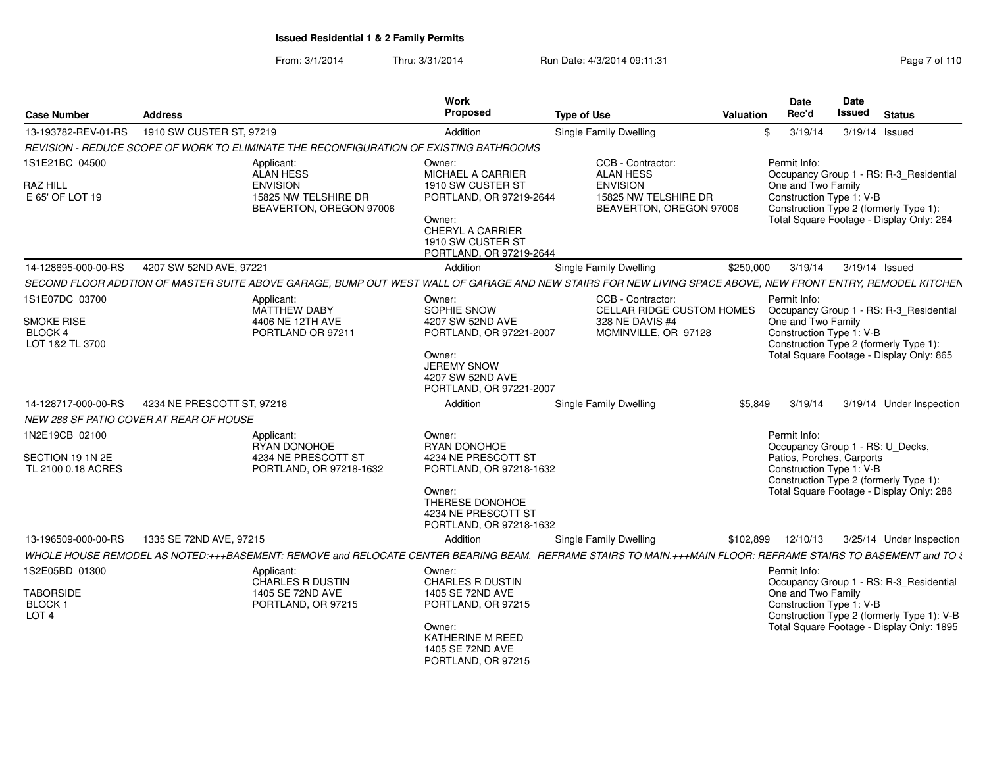From: 3/1/2014Thru: 3/31/2014 Run Date: 4/3/2014 09:11:31 Research 2010 Rage 7 of 110

| <b>Case Number</b>                     | <b>Address</b>                                                                                                                                                |                                                 | Work<br>Proposed                                                                                                              | <b>Type of Use</b>                                                 | Valuation | Date<br>Rec'd                      | Date<br>Issued<br><b>Status</b>                                                                                                             |
|----------------------------------------|---------------------------------------------------------------------------------------------------------------------------------------------------------------|-------------------------------------------------|-------------------------------------------------------------------------------------------------------------------------------|--------------------------------------------------------------------|-----------|------------------------------------|---------------------------------------------------------------------------------------------------------------------------------------------|
| 13-193782-REV-01-RS                    | 1910 SW CUSTER ST, 97219                                                                                                                                      |                                                 | Addition                                                                                                                      | Single Family Dwelling                                             |           | 3/19/14                            | 3/19/14 Issued                                                                                                                              |
|                                        | REVISION - REDUCE SCOPE OF WORK TO ELIMINATE THE RECONFIGURATION OF EXISTING BATHROOMS                                                                        |                                                 |                                                                                                                               |                                                                    |           |                                    |                                                                                                                                             |
| 1S1E21BC 04500                         | Applicant:<br>ALAN HESS                                                                                                                                       |                                                 | Owner:<br><b>MICHAEL A CARRIER</b>                                                                                            | CCB - Contractor:<br><b>ALAN HESS</b>                              |           | Permit Info:                       | Occupancy Group 1 - RS: R-3_Residential                                                                                                     |
| <b>RAZ HILL</b><br>E 65' OF LOT 19     | <b>ENVISION</b>                                                                                                                                               | 15825 NW TELSHIRE DR<br>BEAVERTON, OREGON 97006 | 1910 SW CUSTER ST<br>PORTLAND, OR 97219-2644<br>Owner:<br>CHERYL A CARRIER                                                    | <b>ENVISION</b><br>15825 NW TELSHIRE DR<br>BEAVERTON, OREGON 97006 |           | One and Two Family                 | Construction Type 1: V-B<br>Construction Type 2 (formerly Type 1):<br>Total Square Footage - Display Only: 264                              |
|                                        |                                                                                                                                                               |                                                 | 1910 SW CUSTER ST<br>PORTLAND, OR 97219-2644                                                                                  |                                                                    |           |                                    |                                                                                                                                             |
| 14-128695-000-00-RS                    | 4207 SW 52ND AVE, 97221                                                                                                                                       |                                                 | Addition                                                                                                                      | <b>Single Family Dwelling</b>                                      | \$250,000 | 3/19/14                            | 3/19/14 Issued                                                                                                                              |
|                                        | SECOND FLOOR ADDTION OF MASTER SUITE ABOVE GARAGE, BUMP OUT WEST WALL OF GARAGE AND NEW STAIRS FOR NEW LIVING SPACE ABOVE, NEW FRONT ENTRY, REMODEL KITCHEN   |                                                 |                                                                                                                               |                                                                    |           |                                    |                                                                                                                                             |
| 1S1E07DC 03700<br>SMOKE RISE           | Applicant:<br>MATTHEW DABY<br>4406 NE 12TH AVE                                                                                                                |                                                 | Owner:<br>SOPHIE SNOW<br>4207 SW 52ND AVE                                                                                     | CCB - Contractor:<br>CELLAR RIDGE CUSTOM HOMES<br>328 NE DAVIS #4  |           | Permit Info:<br>One and Two Family | Occupancy Group 1 - RS: R-3_Residential                                                                                                     |
| BLOCK 4<br>LOT 1&2 TL 3700             | PORTLAND OR 97211                                                                                                                                             |                                                 | PORTLAND, OR 97221-2007<br>Owner:<br><b>JEREMY SNOW</b><br>4207 SW 52ND AVE<br>PORTLAND, OR 97221-2007                        | MCMINVILLE, OR 97128                                               |           |                                    | Construction Type 1: V-B<br>Construction Type 2 (formerly Type 1):<br>Total Square Footage - Display Only: 865                              |
| 14-128717-000-00-RS                    | 4234 NE PRESCOTT ST, 97218                                                                                                                                    |                                                 | Addition                                                                                                                      | <b>Single Family Dwelling</b>                                      | \$5.849   | 3/19/14                            | 3/19/14 Under Inspection                                                                                                                    |
|                                        | NEW 288 SF PATIO COVER AT REAR OF HOUSE                                                                                                                       |                                                 |                                                                                                                               |                                                                    |           |                                    |                                                                                                                                             |
| 1N2E19CB 02100                         | Applicant:                                                                                                                                                    |                                                 | Owner:                                                                                                                        |                                                                    |           | Permit Info:                       |                                                                                                                                             |
|                                        | RYAN DONOHOE                                                                                                                                                  |                                                 | RYAN DONOHOE                                                                                                                  |                                                                    |           |                                    | Occupancy Group 1 - RS: U_Decks,                                                                                                            |
| SECTION 19 1N 2E<br>TL 2100 0.18 ACRES |                                                                                                                                                               | 4234 NE PRESCOTT ST<br>PORTLAND, OR 97218-1632  | 4234 NE PRESCOTT ST<br>PORTLAND, OR 97218-1632<br>Owner:<br>THERESE DONOHOE<br>4234 NE PRESCOTT ST<br>PORTLAND, OR 97218-1632 |                                                                    |           |                                    | Patios, Porches, Carports<br>Construction Type 1: V-B<br>Construction Type 2 (formerly Type 1):<br>Total Square Footage - Display Only: 288 |
| 13-196509-000-00-RS                    | 1335 SE 72ND AVE, 97215                                                                                                                                       |                                                 | Addition                                                                                                                      | <b>Single Family Dwelling</b>                                      | \$102,899 | 12/10/13                           | 3/25/14 Under Inspection                                                                                                                    |
|                                        | WHOLE HOUSE REMODEL AS NOTED:+++BASEMENT: REMOVE and RELOCATE CENTER BEARING BEAM. REFRAME STAIRS TO MAIN.+++MAIN FLOOR: REFRAME STAIRS TO BASEMENT and TO \$ |                                                 |                                                                                                                               |                                                                    |           |                                    |                                                                                                                                             |
| 1S2E05BD 01300                         | Applicant:                                                                                                                                                    |                                                 | Owner:                                                                                                                        |                                                                    |           | Permit Info:                       |                                                                                                                                             |
| <b>TABORSIDE</b>                       | CHARLES R DUSTIN<br>1405 SE 72ND AVE                                                                                                                          |                                                 | <b>CHARLES R DUSTIN</b><br>1405 SE 72ND AVE                                                                                   |                                                                    |           | One and Two Family                 | Occupancy Group 1 - RS: R-3_Residential                                                                                                     |
| BLOCK <sub>1</sub><br>LOT <sub>4</sub> | PORTLAND, OR 97215                                                                                                                                            |                                                 | PORTLAND, OR 97215                                                                                                            |                                                                    |           |                                    | Construction Type 1: V-B<br>Construction Type 2 (formerly Type 1): V-B                                                                      |
|                                        |                                                                                                                                                               |                                                 | Owner:<br>KATHERINE M REED<br>1405 SE 72ND AVE<br>PORTLAND, OR 97215                                                          |                                                                    |           |                                    | Total Square Footage - Display Only: 1895                                                                                                   |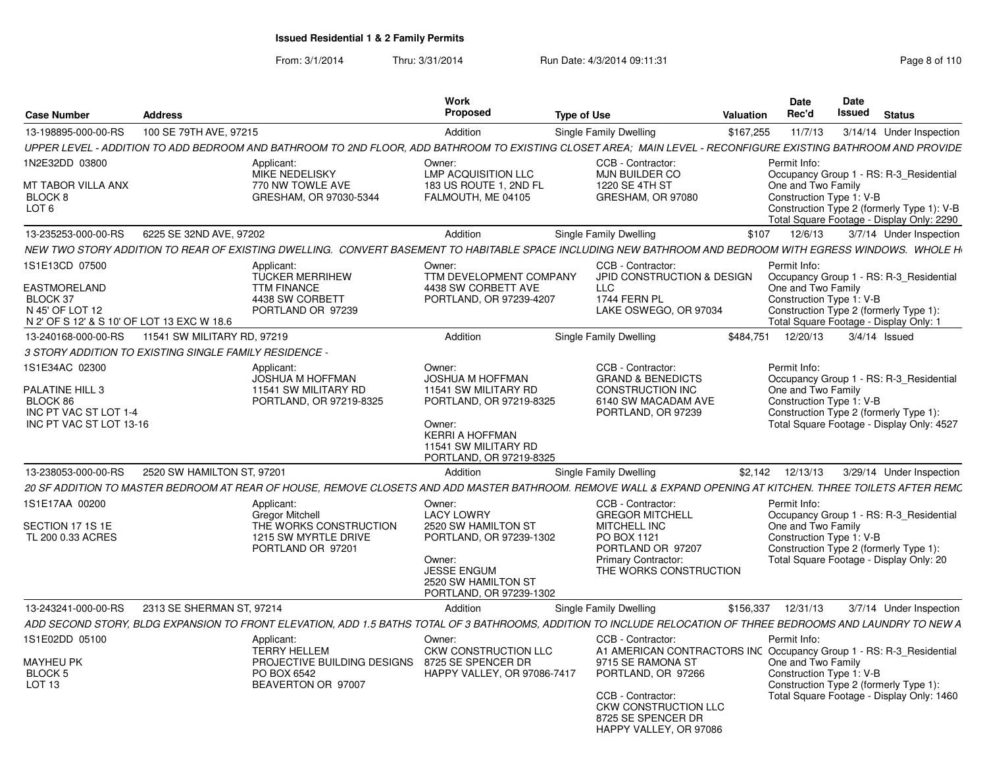From: 3/1/2014Thru: 3/31/2014 Run Date: 4/3/2014 09:11:31 Research 2010 Rage 8 of 110

|                                                                                                                    |                             |                                                                                                                                                                | <b>Work</b>                                                                                                                            |                                                                                                                 | Date                              | Date                                                               |                                                                                         |
|--------------------------------------------------------------------------------------------------------------------|-----------------------------|----------------------------------------------------------------------------------------------------------------------------------------------------------------|----------------------------------------------------------------------------------------------------------------------------------------|-----------------------------------------------------------------------------------------------------------------|-----------------------------------|--------------------------------------------------------------------|-----------------------------------------------------------------------------------------|
| Case Number                                                                                                        | <b>Address</b>              |                                                                                                                                                                | Proposed                                                                                                                               | <b>Type of Use</b>                                                                                              | Rec'd<br><b>Valuation</b>         | Issued                                                             | Status                                                                                  |
| 13-198895-000-00-RS                                                                                                | 100 SE 79TH AVE, 97215      |                                                                                                                                                                | Addition                                                                                                                               | Single Family Dwelling                                                                                          | \$167,255<br>11/7/13              |                                                                    | 3/14/14 Under Inspection                                                                |
|                                                                                                                    |                             | UPPER LEVEL - ADDITION TO ADD BEDROOM AND BATHROOM TO 2ND FLOOR. ADD BATHROOM TO EXISTING CLOSET AREA: MAIN LEVEL - RECONFIGURE EXISTING BATHROOM AND PROVIDE  |                                                                                                                                        |                                                                                                                 |                                   |                                                                    |                                                                                         |
| N2E32DD 03800<br>MT TABOR VILLA ANX                                                                                |                             | Applicant:<br><b>MIKE NEDELISKY</b><br>770 NW TOWLE AVE                                                                                                        | Owner:<br><b>LMP ACQUISITION LLC</b><br>183 US ROUTE 1, 2ND FL                                                                         | CCB - Contractor:<br><b>MJN BUILDER CO</b><br>1220 SE 4TH ST                                                    | Permit Info:                      |                                                                    | Occupancy Group 1 - RS: R-3_Residential                                                 |
| BLOCK <sub>8</sub><br>LOT <sub>6</sub>                                                                             |                             | GRESHAM, OR 97030-5344                                                                                                                                         | FALMOUTH, ME 04105                                                                                                                     | GRESHAM, OR 97080                                                                                               | One and Two Family                | Construction Type 1: V-B                                           | Construction Type 2 (formerly Type 1): V-B<br>Total Square Footage - Display Only: 2290 |
| 13-235253-000-00-RS                                                                                                | 6225 SE 32ND AVE, 97202     |                                                                                                                                                                | Addition                                                                                                                               | <b>Single Family Dwelling</b>                                                                                   | \$107<br>12/6/13                  |                                                                    | 3/7/14 Under Inspection                                                                 |
|                                                                                                                    |                             | NEW TWO STORY ADDITION TO REAR OF EXISTING DWELLING.  CONVERT BASEMENT TO HABITABLE SPACE INCLUDING NEW BATHROOM AND BEDROOM WITH EGRESS WINDOWS.  WHOLE H     |                                                                                                                                        |                                                                                                                 |                                   |                                                                    |                                                                                         |
| IS1E13CD 07500<br><b>EASTMORELAND</b><br>BLOCK 37<br>N 45' OF LOT 12<br>N 2' OF S 12' & S 10' OF LOT 13 EXC W 18.6 |                             | Applicant:<br><b>TUCKER MERRIHEW</b><br><b>TTM FINANCE</b><br>4438 SW CORBETT<br>PORTLAND OR 97239                                                             | Owner:<br>TTM DEVELOPMENT COMPANY<br>4438 SW CORBETT AVE<br>PORTLAND, OR 97239-4207                                                    | CCB - Contractor:<br>JPID CONSTRUCTION & DESIGN<br>LLC<br>1744 FERN PL<br>LAKE OSWEGO, OR 97034                 | Permit Info<br>One and Two Family | Construction Type 1: V-B<br>Construction Type 2 (formerly Type 1): | Occupancy Group 1 - RS: R-3 Residential<br>Total Square Footage - Display Only: 1       |
| 13-240168-000-00-RS                                                                                                | 11541 SW MILITARY RD, 97219 |                                                                                                                                                                | Addition                                                                                                                               | Single Family Dwelling                                                                                          | \$484,751 12/20/13                |                                                                    | 3/4/14 Issued                                                                           |
| 3 STORY ADDITION TO EXISTING SINGLE FAMILY RESIDENCE                                                               |                             |                                                                                                                                                                |                                                                                                                                        |                                                                                                                 |                                   |                                                                    |                                                                                         |
| S1E34AC 02300                                                                                                      |                             | Applicant:<br><b>JOSHUA M HOFFMAN</b>                                                                                                                          | Owner:<br><b>JOSHUA M HOFFMAN</b>                                                                                                      | CCB - Contractor:<br><b>GRAND &amp; BENEDICTS</b>                                                               | Permit Info:                      |                                                                    | Occupancy Group 1 - RS: R-3_Residential                                                 |
| PALATINE HILL 3<br>BLOCK 86<br>INC PT VAC ST LOT 1-4<br>INC PT VAC ST LOT 13-16                                    |                             | 11541 SW MILITARY RD<br>PORTLAND, OR 97219-8325                                                                                                                | 11541 SW MILITARY RD<br>PORTLAND, OR 97219-8325<br>Owner:<br><b>KERRI A HOFFMAN</b><br>11541 SW MILITARY RD<br>PORTLAND, OR 97219-8325 | <b>CONSTRUCTION INC</b><br>6140 SW MACADAM AVE<br>PORTLAND, OR 97239                                            | One and Two Family                | Construction Type 1: V-B<br>Construction Type 2 (formerly Type 1): | Total Square Footage - Display Only: 4527                                               |
| 13-238053-000-00-RS                                                                                                | 2520 SW HAMILTON ST, 97201  |                                                                                                                                                                | Addition                                                                                                                               | <b>Single Family Dwelling</b>                                                                                   | \$2,142 12/13/13                  |                                                                    | 3/29/14 Under Inspection                                                                |
|                                                                                                                    |                             | 20 SF ADDITION TO MASTER BEDROOM AT REAR OF HOUSE, REMOVE CLOSETS AND ADD MASTER BATHROOM. REMOVE WALL & EXPAND OPENING AT KITCHEN. THREE TOILETS AFTER REMC   |                                                                                                                                        |                                                                                                                 |                                   |                                                                    |                                                                                         |
| S1E17AA 00200                                                                                                      |                             | Applicant:<br><b>Gregor Mitchell</b>                                                                                                                           | Owner:<br><b>LACY LOWRY</b>                                                                                                            | CCB - Contractor:<br><b>GREGOR MITCHELL</b>                                                                     | Permit Info:                      |                                                                    | Occupancy Group 1 - RS: R-3_Residential                                                 |
| SECTION 17 1S 1E<br>TL 200 0.33 ACRES                                                                              |                             | THE WORKS CONSTRUCTION<br>1215 SW MYRTLE DRIVE<br>PORTLAND OR 97201                                                                                            | 2520 SW HAMILTON ST<br>PORTLAND, OR 97239-1302<br>Owner:<br><b>JESSE ENGUM</b><br>2520 SW HAMILTON ST<br>PORTLAND, OR 97239-1302       | <b>MITCHELL INC</b><br>PO BOX 1121<br>PORTLAND OR 97207<br><b>Primary Contractor:</b><br>THE WORKS CONSTRUCTION | One and Two Family                | Construction Type 1: V-B<br>Construction Type 2 (formerly Type 1): | Total Square Footage - Display Only: 20                                                 |
| 13-243241-000-00-RS                                                                                                | 2313 SE SHERMAN ST, 97214   |                                                                                                                                                                | Addition                                                                                                                               | <b>Single Family Dwelling</b>                                                                                   | \$156,337<br>12/31/13             |                                                                    | 3/7/14 Under Inspection                                                                 |
|                                                                                                                    |                             | ADD SECOND STORY. BLDG EXPANSION TO FRONT ELEVATION. ADD 1.5 BATHS TOTAL OF 3 BATHROOMS. ADDITION TO INCLUDE RELOCATION OF THREE BEDROOMS AND LAUNDRY TO NEW A |                                                                                                                                        |                                                                                                                 |                                   |                                                                    |                                                                                         |
| 1S1E02DD 05100<br><b>MAYHEU PK</b>                                                                                 |                             | Applicant:<br><b>TERRY HELLEM</b><br>PROJECTIVE BUILDING DESIGNS 8725 SE SPENCER DR                                                                            | Owner:<br><b>CKW CONSTRUCTION LLC</b>                                                                                                  | CCB - Contractor:<br>A1 AMERICAN CONTRACTORS INC Occupancy Group 1 - RS: R-3_Residential<br>9715 SE RAMONA ST   | Permit Info<br>One and Two Family |                                                                    |                                                                                         |
| <b>BLOCK 5</b><br>LOT 13                                                                                           |                             | PO BOX 6542<br>BEAVERTON OR 97007                                                                                                                              | HAPPY VALLEY, OR 97086-7417                                                                                                            | PORTLAND, OR 97266<br>CCB - Contractor:<br>CKW CONSTRUCTION LLC<br>8725 SE SPENCER DR                           |                                   | Construction Type 1: V-B<br>Construction Type 2 (formerly Type 1): | Total Square Footage - Display Only: 1460                                               |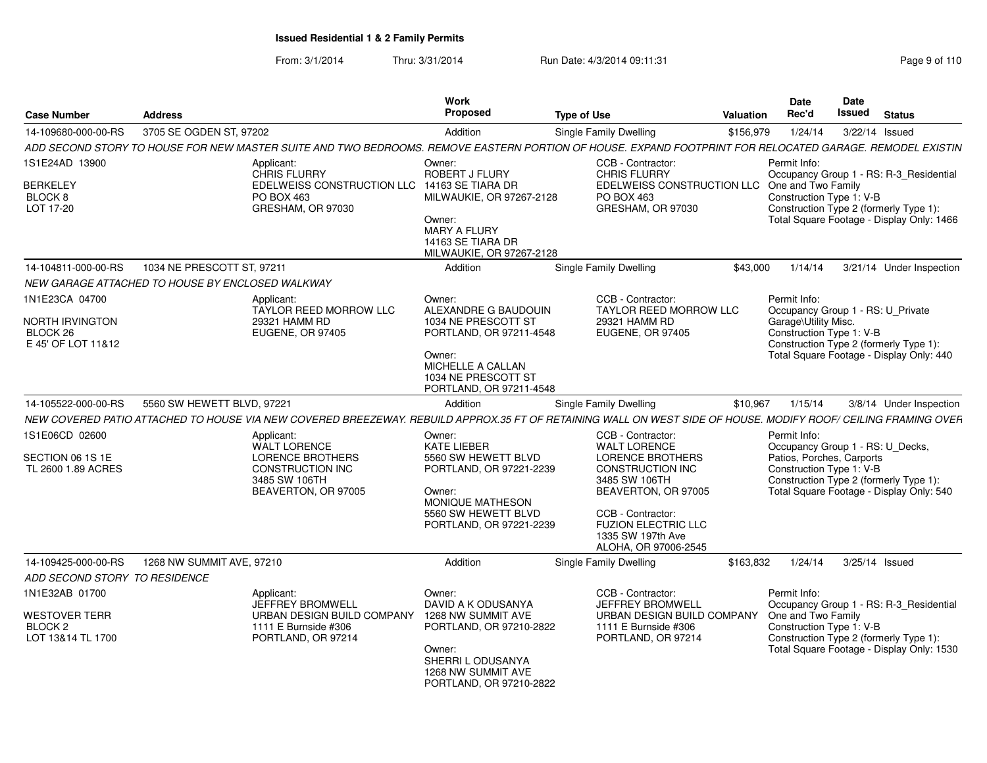From: 3/1/2014Thru: 3/31/2014 Run Date: 4/3/2014 09:11:31 Research 2010 Rage 9 of 110

| <b>Case Number</b>                                                                | <b>Address</b>                                                                                                                                                 | Work<br><b>Proposed</b>                                                                                                                                           | <b>Type of Use</b>                                                                                                                                                                                                                     | Valuation | <b>Date</b><br>Rec'd                 | Date<br>Issued                                                                            | <b>Status</b>                                                                                                                  |
|-----------------------------------------------------------------------------------|----------------------------------------------------------------------------------------------------------------------------------------------------------------|-------------------------------------------------------------------------------------------------------------------------------------------------------------------|----------------------------------------------------------------------------------------------------------------------------------------------------------------------------------------------------------------------------------------|-----------|--------------------------------------|-------------------------------------------------------------------------------------------|--------------------------------------------------------------------------------------------------------------------------------|
| 14-109680-000-00-RS                                                               | 3705 SE OGDEN ST, 97202                                                                                                                                        | Addition                                                                                                                                                          | Single Family Dwelling                                                                                                                                                                                                                 | \$156,979 | 1/24/14                              |                                                                                           | 3/22/14 Issued                                                                                                                 |
|                                                                                   | ADD SECOND STORY TO HOUSE FOR NEW MASTER SUITE AND TWO BEDROOMS. REMOVE EASTERN PORTION OF HOUSE. EXPAND FOOTPRINT FOR RELOCATED GARAGE. REMODEL EXISTIN       |                                                                                                                                                                   |                                                                                                                                                                                                                                        |           |                                      |                                                                                           |                                                                                                                                |
| 1S1E24AD 13900<br>BERKELEY<br>BLOCK 8<br>LOT 17-20                                | Applicant:<br>CHRIS FLURRY<br>EDELWEISS CONSTRUCTION LLC<br>PO BOX 463<br>GRESHAM, OR 97030                                                                    | Owner:<br>ROBERT J FLURY<br>14163 SE TIARA DR<br>MILWAUKIE, OR 97267-2128<br>Owner:<br>MARY A FLURY<br>14163 SE TIARA DR<br>MILWAUKIE, OR 97267-2128              | CCB - Contractor:<br><b>CHRIS FLURRY</b><br>EDELWEISS CONSTRUCTION LLC<br>PO BOX 463<br>GRESHAM, OR 97030                                                                                                                              |           | Permit Info:<br>One and Two Family   | Construction Type 1: V-B                                                                  | Occupancy Group 1 - RS: R-3_Residential<br>Construction Type 2 (formerly Type 1):<br>Total Square Footage - Display Only: 1466 |
| 14-104811-000-00-RS                                                               | 1034 NE PRESCOTT ST, 97211                                                                                                                                     | Addition                                                                                                                                                          | Single Family Dwelling                                                                                                                                                                                                                 | \$43,000  | 1/14/14                              |                                                                                           | 3/21/14 Under Inspection                                                                                                       |
|                                                                                   | NEW GARAGE ATTACHED TO HOUSE BY ENCLOSED WALKWAY                                                                                                               |                                                                                                                                                                   |                                                                                                                                                                                                                                        |           |                                      |                                                                                           |                                                                                                                                |
| 1N1E23CA 04700<br>NORTH IRVINGTON<br>BLOCK <sub>26</sub><br>E 45' OF LOT 11&12    | Applicant:<br><b>TAYLOR REED MORROW LLC</b><br>29321 HAMM RD<br><b>EUGENE, OR 97405</b>                                                                        | Owner:<br>ALEXANDRE G BAUDOUIN<br>1034 NE PRESCOTT ST<br>PORTLAND, OR 97211-4548<br>Owner:<br>MICHELLE A CALLAN<br>1034 NE PRESCOTT ST<br>PORTLAND, OR 97211-4548 | CCB - Contractor:<br><b>TAYLOR REED MORROW LLC</b><br>29321 HAMM RD<br><b>EUGENE, OR 97405</b>                                                                                                                                         |           | Permit Info:<br>Garage\Utility Misc. | Construction Type 1: V-B                                                                  | Occupancy Group 1 - RS: U_Private<br>Construction Type 2 (formerly Type 1):<br>Total Square Footage - Display Only: 440        |
| 14-105522-000-00-RS                                                               | 5560 SW HEWETT BLVD, 97221                                                                                                                                     | Addition                                                                                                                                                          | Single Family Dwelling                                                                                                                                                                                                                 | \$10,967  | 1/15/14                              |                                                                                           | 3/8/14 Under Inspection                                                                                                        |
|                                                                                   | NEW COVERED PATIO ATTACHED TO HOUSE VIA NEW COVERED BREEZEWAY. REBUILD APPROX.35 FT OF RETAINING WALL ON WEST SIDE OF HOUSE. MODIFY ROOF/ CEILING FRAMING OVER |                                                                                                                                                                   |                                                                                                                                                                                                                                        |           |                                      |                                                                                           |                                                                                                                                |
| 1S1E06CD 02600<br>SECTION 06 1S 1E<br>TL 2600 1.89 ACRES                          | Applicant:<br><b>WALT LORENCE</b><br><b>LORENCE BROTHERS</b><br><b>CONSTRUCTION INC</b><br>3485 SW 106TH<br>BEAVERTON, OR 97005                                | Owner:<br><b>KATE LIEBER</b><br>5560 SW HEWETT BLVD<br>PORTLAND, OR 97221-2239<br>Owner:<br>MONIQUE MATHESON<br>5560 SW HEWETT BLVD<br>PORTLAND, OR 97221-2239    | CCB - Contractor:<br><b>WALT LORENCE</b><br><b>LORENCE BROTHERS</b><br><b>CONSTRUCTION INC</b><br>3485 SW 106TH<br>BEAVERTON, OR 97005<br>CCB - Contractor:<br><b>FUZION ELECTRIC LLC</b><br>1335 SW 197th Ave<br>ALOHA, OR 97006-2545 |           | Permit Info:                         | Occupancy Group 1 - RS: U_Decks,<br>Patios, Porches, Carports<br>Construction Type 1: V-B | Construction Type 2 (formerly Type 1):<br>Total Square Footage - Display Only: 540                                             |
| 14-109425-000-00-RS                                                               | 1268 NW SUMMIT AVE, 97210                                                                                                                                      | Addition                                                                                                                                                          | Single Family Dwelling                                                                                                                                                                                                                 | \$163.832 | 1/24/14                              |                                                                                           | 3/25/14 Issued                                                                                                                 |
| ADD SECOND STORY TO RESIDENCE                                                     |                                                                                                                                                                |                                                                                                                                                                   |                                                                                                                                                                                                                                        |           |                                      |                                                                                           |                                                                                                                                |
| 1N1E32AB 01700<br><b>WESTOVER TERR</b><br>BLOCK <sub>2</sub><br>LOT 13&14 TL 1700 | Applicant:<br>JEFFREY BROMWELL<br>URBAN DESIGN BUILD COMPANY<br>1111 E Burnside #306<br>PORTLAND, OR 97214                                                     | Owner:<br>DAVID A K ODUSANYA<br>1268 NW SUMMIT AVE<br>PORTLAND, OR 97210-2822<br>Owner:<br>SHERRI L ODUSANYA<br>1268 NW SUMMIT AVE<br>PORTLAND, OR 97210-2822     | CCB - Contractor:<br><b>JEFFREY BROMWELL</b><br>URBAN DESIGN BUILD COMPANY<br>1111 E Burnside #306<br>PORTLAND, OR 97214                                                                                                               |           | Permit Info:<br>One and Two Family   | Construction Type 1: V-B                                                                  | Occupancy Group 1 - RS: R-3_Residential<br>Construction Type 2 (formerly Type 1):<br>Total Square Footage - Display Only: 1530 |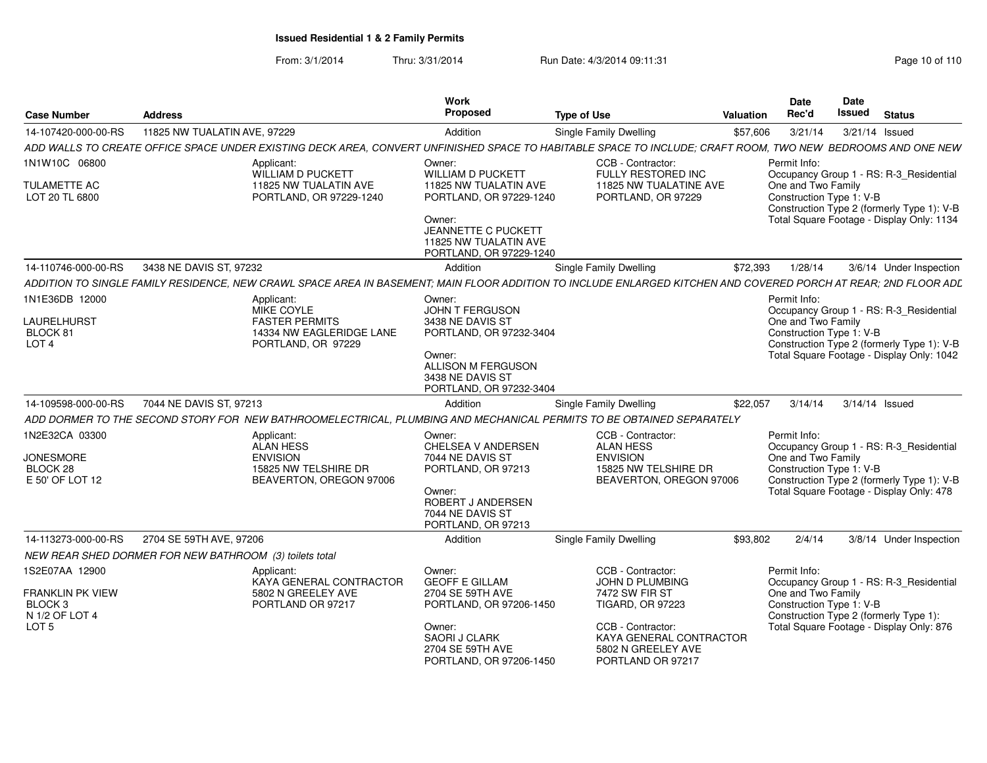From: 3/1/2014Thru: 3/31/2014 Run Date: 4/3/2014 09:11:31 Page 10 of 110

| <b>Case Number</b>                                                                                    | <b>Address</b>                                                                                                                                                  | <b>Work</b><br>Proposed                                                                                                                                        | <b>Type of Use</b>                                                                                     | Valuation | Date<br>Rec'd                                                  | Date<br>Issued | <b>Status</b>                                                                                                                      |
|-------------------------------------------------------------------------------------------------------|-----------------------------------------------------------------------------------------------------------------------------------------------------------------|----------------------------------------------------------------------------------------------------------------------------------------------------------------|--------------------------------------------------------------------------------------------------------|-----------|----------------------------------------------------------------|----------------|------------------------------------------------------------------------------------------------------------------------------------|
| 14-107420-000-00-RS                                                                                   | 11825 NW TUALATIN AVE, 97229                                                                                                                                    | Addition                                                                                                                                                       | Single Family Dwelling                                                                                 | \$57,606  | 3/21/14                                                        |                | 3/21/14 Issued                                                                                                                     |
|                                                                                                       | ADD WALLS TO CREATE OFFICE SPACE UNDER EXISTING DECK AREA, CONVERT UNFINISHED SPACE TO HABITABLE SPACE TO INCLUDE; CRAFT ROOM, TWO NEW BEDROOMS AND ONE NEW     |                                                                                                                                                                |                                                                                                        |           |                                                                |                |                                                                                                                                    |
| 1N1W10C 06800                                                                                         | Applicant:<br>WILLIAM D PUCKETT                                                                                                                                 | Owner:<br>WILLIAM D PUCKETT                                                                                                                                    | CCB - Contractor:<br>FULLY RESTORED INC                                                                |           | Permit Info:                                                   |                | Occupancy Group 1 - RS: R-3_Residential                                                                                            |
| <b>TULAMETTE AC</b><br>LOT 20 TL 6800                                                                 | 11825 NW TUALATIN AVE<br>PORTLAND, OR 97229-1240                                                                                                                | 11825 NW TUALATIN AVE<br>PORTLAND, OR 97229-1240<br>Owner:<br>JEANNETTE C PUCKETT                                                                              | 11825 NW TUALATINE AVE<br>PORTLAND, OR 97229                                                           |           | One and Two Family<br>Construction Type 1: V-B                 |                | Construction Type 2 (formerly Type 1): V-B<br>Total Square Footage - Display Only: 1134                                            |
|                                                                                                       |                                                                                                                                                                 | 11825 NW TUALATIN AVE<br>PORTLAND, OR 97229-1240                                                                                                               |                                                                                                        |           |                                                                |                |                                                                                                                                    |
| 14-110746-000-00-RS                                                                                   | 3438 NE DAVIS ST. 97232                                                                                                                                         | Addition                                                                                                                                                       | Single Family Dwelling                                                                                 | \$72,393  | 1/28/14                                                        |                | 3/6/14 Under Inspection                                                                                                            |
|                                                                                                       | ADDITION TO SINGLE FAMILY RESIDENCE, NEW CRAWL SPACE AREA IN BASEMENT; MAIN FLOOR ADDITION TO INCLUDE ENLARGED KITCHEN AND COVERED PORCH AT REAR; 2ND FLOOR ADL |                                                                                                                                                                |                                                                                                        |           |                                                                |                |                                                                                                                                    |
| 1N1E36DB 12000<br>LAURELHURST<br>BLOCK 81<br>LOT <sub>4</sub>                                         | Applicant:<br><b>MIKE COYLE</b><br><b>FASTER PERMITS</b><br>14334 NW EAGLERIDGE LANE<br>PORTLAND, OR 97229                                                      | Owner:<br><b>JOHN T FERGUSON</b><br>3438 NE DAVIS ST<br>PORTLAND, OR 97232-3404<br>Owner:<br>ALLISON M FERGUSON<br>3438 NE DAVIS ST<br>PORTLAND, OR 97232-3404 |                                                                                                        |           | Permit Info:<br>One and Two Family<br>Construction Type 1: V-B |                | Occupancy Group 1 - RS: R-3_Residential<br>Construction Type 2 (formerly Type 1): V-B<br>Total Square Footage - Display Only: 1042 |
| 14-109598-000-00-RS                                                                                   | 7044 NE DAVIS ST, 97213                                                                                                                                         | Addition                                                                                                                                                       | <b>Single Family Dwelling</b>                                                                          | \$22,057  | 3/14/14                                                        |                | 3/14/14 Issued                                                                                                                     |
|                                                                                                       | ADD DORMER TO THE SECOND STORY FOR NEW BATHROOMELECTRICAL, PLUMBING AND MECHANICAL PERMITS TO BE OBTAINED SEPARATELY                                            |                                                                                                                                                                |                                                                                                        |           |                                                                |                |                                                                                                                                    |
| 1N2E32CA 03300                                                                                        | Applicant:<br><b>ALAN HESS</b>                                                                                                                                  | Owner:<br>CHELSEA V ANDERSEN                                                                                                                                   | CCB - Contractor:<br><b>ALAN HESS</b>                                                                  |           | Permit Info:                                                   |                | Occupancy Group 1 - RS: R-3_Residential                                                                                            |
| <b>JONESMORE</b><br>BLOCK 28<br>E 50' OF LOT 12                                                       | <b>ENVISION</b><br>15825 NW TELSHIRE DR<br>BEAVERTON, OREGON 97006                                                                                              | 7044 NE DAVIS ST<br>PORTLAND, OR 97213<br>Owner:<br>ROBERT J ANDERSEN<br>7044 NE DAVIS ST<br>PORTLAND, OR 97213                                                | <b>ENVISION</b><br>15825 NW TELSHIRE DR<br>BEAVERTON, OREGON 97006                                     |           | One and Two Family<br>Construction Type 1: V-B                 |                | Construction Type 2 (formerly Type 1): V-B<br>Total Square Footage - Display Only: 478                                             |
| 14-113273-000-00-RS                                                                                   | 2704 SE 59TH AVE, 97206                                                                                                                                         | Addition                                                                                                                                                       | Single Family Dwelling                                                                                 | \$93,802  | 2/4/14                                                         |                | 3/8/14 Under Inspection                                                                                                            |
|                                                                                                       | NEW REAR SHED DORMER FOR NEW BATHROOM (3) toilets total                                                                                                         |                                                                                                                                                                |                                                                                                        |           |                                                                |                |                                                                                                                                    |
| 1S2E07AA 12900<br><b>FRANKLIN PK VIEW</b><br>BLOCK <sub>3</sub><br>N 1/2 OF LOT 4<br>LOT <sub>5</sub> | Applicant:<br>KAYA GENERAL CONTRACTOR<br>5802 N GREELEY AVE<br>PORTLAND OR 97217                                                                                | Owner:<br><b>GEOFF E GILLAM</b><br>2704 SE 59TH AVE<br>PORTLAND, OR 97206-1450<br>Owner:                                                                       | CCB - Contractor:<br>JOHN D PLUMBING<br>7472 SW FIR ST<br><b>TIGARD, OR 97223</b><br>CCB - Contractor: |           | Permit Info:<br>One and Two Family<br>Construction Type 1: V-B |                | Occupancy Group 1 - RS: R-3_Residential<br>Construction Type 2 (formerly Type 1):<br>Total Square Footage - Display Only: 876      |
|                                                                                                       |                                                                                                                                                                 | <b>SAORI J CLARK</b><br>2704 SE 59TH AVE<br>PORTLAND, OR 97206-1450                                                                                            | KAYA GENERAL CONTRACTOR<br>5802 N GREELEY AVE<br>PORTLAND OR 97217                                     |           |                                                                |                |                                                                                                                                    |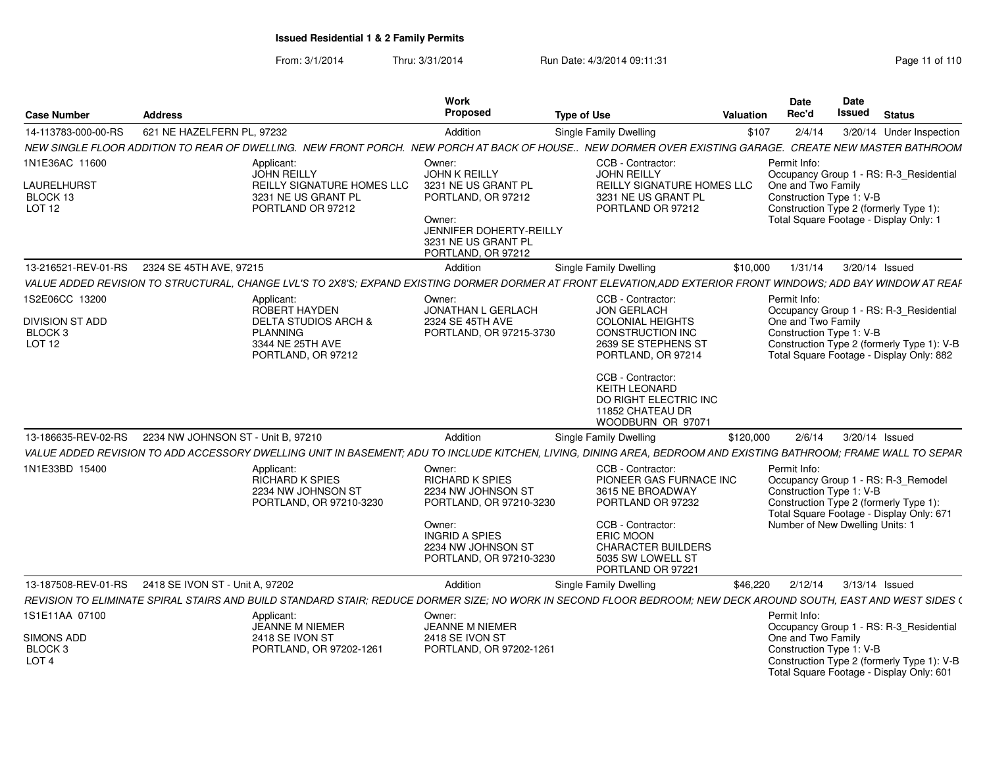From: 3/1/2014Thru: 3/31/2014 Run Date: 4/3/2014 09:11:31 Page 11 of 110

|                                                                   |                                                         |                                                                                                                                                                  | Work                                                                                                                                                           |                                                                                                                                                                                                       |                  | <b>Date</b>                                                    | Date          |                                                                                                                                                              |
|-------------------------------------------------------------------|---------------------------------------------------------|------------------------------------------------------------------------------------------------------------------------------------------------------------------|----------------------------------------------------------------------------------------------------------------------------------------------------------------|-------------------------------------------------------------------------------------------------------------------------------------------------------------------------------------------------------|------------------|----------------------------------------------------------------|---------------|--------------------------------------------------------------------------------------------------------------------------------------------------------------|
| <b>Case Number</b>                                                | <b>Address</b>                                          |                                                                                                                                                                  | Proposed                                                                                                                                                       | <b>Type of Use</b>                                                                                                                                                                                    | <b>Valuation</b> | Rec'd                                                          | <b>Issued</b> | <b>Status</b>                                                                                                                                                |
| 14-113783-000-00-RS                                               | 621 NE HAZELFERN PL. 97232                              |                                                                                                                                                                  | Addition                                                                                                                                                       | Single Family Dwelling                                                                                                                                                                                | \$107            | 2/4/14                                                         |               | 3/20/14 Under Inspection                                                                                                                                     |
|                                                                   |                                                         | NEW SINGLE FLOOR ADDITION TO REAR OF DWELLING. NEW FRONT PORCH. NEW PORCH AT BACK OF HOUSE NEW DORMER OVER EXISTING GARAGE                                       |                                                                                                                                                                |                                                                                                                                                                                                       |                  |                                                                |               | <b>CREATE NEW MASTER BATHROOM</b>                                                                                                                            |
| 1N1E36AC 11600<br><b>AURELHURST</b>                               |                                                         | Applicant:<br>JOHN REILLY<br>REILLY SIGNATURE HOMES LLC                                                                                                          | Owner:<br><b>JOHN K REILLY</b><br>3231 NE US GRANT PL                                                                                                          | CCB - Contractor:<br>JOHN REILLY<br>REILLY SIGNATURE HOMES LLC                                                                                                                                        |                  | Permit Info:<br>One and Two Family                             |               | Occupancy Group 1 - RS: R-3_Residential                                                                                                                      |
| BLOCK 13<br><b>LOT 12</b>                                         |                                                         | 3231 NE US GRANT PL<br>PORTLAND OR 97212                                                                                                                         | PORTLAND, OR 97212<br>Owner:<br>JENNIFER DOHERTY-REILLY<br>3231 NE US GRANT PL<br>PORTLAND, OR 97212                                                           | 3231 NE US GRANT PL<br>PORTLAND OR 97212                                                                                                                                                              |                  | Construction Type 1: V-B                                       |               | Construction Type 2 (formerly Type 1)<br>Total Square Footage - Display Only: 1                                                                              |
|                                                                   | 13-216521-REV-01-RS 2324 SE 45TH AVE, 97215             |                                                                                                                                                                  | Addition                                                                                                                                                       | Single Family Dwelling                                                                                                                                                                                | \$10,000         |                                                                |               | 1/31/14   3/20/14   Issued                                                                                                                                   |
|                                                                   |                                                         | VALUE ADDED REVISION TO STRUCTURAL, CHANGE LVL'S TO 2X8'S; EXPAND EXISTING DORMER DORMER AT FRONT ELEVATION.ADD EXTERIOR FRONT                                   |                                                                                                                                                                |                                                                                                                                                                                                       |                  |                                                                |               | <b>WINDOWS: ADD BAY WINDOW AT REAF</b>                                                                                                                       |
| 1S2E06CC 13200<br>DIVISION ST ADD<br>BLOCK <sub>3</sub><br>LOT 12 |                                                         | Applicant:<br>ROBERT HAYDEN<br><b>DELTA STUDIOS ARCH &amp;</b><br><b>PLANNING</b><br>3344 NE 25TH AVE<br>PORTLAND, OR 97212                                      | Owner:<br>JONATHAN L GERLACH<br>2324 SE 45TH AVE<br>PORTLAND, OR 97215-3730                                                                                    | CCB - Contractor:<br><b>JON GERLACH</b><br><b>COLONIAL HEIGHTS</b><br><b>CONSTRUCTION INC</b><br>2639 SE STEPHENS ST<br>PORTLAND, OR 97214                                                            |                  | Permit Info:<br>One and Two Family<br>Construction Type 1: V-B |               | Occupancy Group 1 - RS: R-3_Residential<br>Construction Type 2 (formerly Type 1): V-B<br>Total Square Footage - Display Only: 882                            |
|                                                                   | 13-186635-REV-02-RS  2234 NW JOHNSON ST - Unit B, 97210 |                                                                                                                                                                  | Addition                                                                                                                                                       | CCB - Contractor:<br><b>KEITH LEONARD</b><br>DO RIGHT ELECTRIC INC<br>11852 CHATEAU DR<br>WOODBURN OR 97071<br><b>Single Family Dwelling</b>                                                          | \$120,000        |                                                                |               | 2/6/14  3/20/14  Issued                                                                                                                                      |
|                                                                   |                                                         | VALUE ADDED REVISION TO ADD ACCESSORY DWELLING UNIT IN BASEMENT; ADU TO INCLUDE KITCHEN, LIVING, DINING AREA, BEDROOM AND EXISTING BATHROOM; FRAME WALL TO SEPAR |                                                                                                                                                                |                                                                                                                                                                                                       |                  |                                                                |               |                                                                                                                                                              |
| 1N1E33BD 15400                                                    |                                                         | Applicant:<br>RICHARD K SPIES<br>2234 NW JOHNSON ST<br>PORTLAND, OR 97210-3230                                                                                   | Owner:<br>RICHARD K SPIES<br>2234 NW JOHNSON ST<br>PORTLAND, OR 97210-3230<br>Owner:<br><b>INGRID A SPIES</b><br>2234 NW JOHNSON ST<br>PORTLAND, OR 97210-3230 | CCB - Contractor:<br>PIONEER GAS FURNACE INC<br>3615 NE BROADWAY<br>PORTLAND OR 97232<br>CCB - Contractor:<br><b>ERIC MOON</b><br><b>CHARACTER BUILDERS</b><br>5035 SW LOWELL ST<br>PORTLAND OR 97221 |                  | Permit Info:<br>Construction Type 1: V-B                       |               | Occupancy Group 1 - RS: R-3_Remodel<br>Construction Type 2 (formerly Type 1):<br>Total Square Footage - Display Only: 671<br>Number of New Dwelling Units: 1 |
|                                                                   | 13-187508-REV-01-RS  2418 SE IVON ST - Unit A, 97202    |                                                                                                                                                                  | Addition                                                                                                                                                       | Single Family Dwelling                                                                                                                                                                                | \$46,220         |                                                                |               | 2/12/14 3/13/14 Issued                                                                                                                                       |
| 1S1E11AA 07100                                                    |                                                         | REVISION TO ELIMINATE SPIRAL STAIRS AND BUILD STANDARD STAIR; REDUCE DORMER SIZE; NO WORK IN SECOND FLOOR BEDROOM; NEW DECK AROUND SOUTH, EAST AND WEST SIDES (  |                                                                                                                                                                |                                                                                                                                                                                                       |                  |                                                                |               |                                                                                                                                                              |
|                                                                   |                                                         | Applicant:<br><b>JEANNE M NIEMER</b>                                                                                                                             | Owner:<br><b>JEANNE M NIEMER</b>                                                                                                                               |                                                                                                                                                                                                       |                  | Permit Info:                                                   |               | Occupancy Group 1 - RS: R-3_Residential                                                                                                                      |
| SIMONS ADD<br>BLOCK <sub>3</sub><br>LOT <sub>4</sub>              |                                                         | 2418 SE IVON ST<br>PORTLAND, OR 97202-1261                                                                                                                       | 2418 SE IVON ST<br>PORTLAND, OR 97202-1261                                                                                                                     |                                                                                                                                                                                                       |                  | One and Two Family<br>Construction Type 1: V-B                 |               | Construction Type 2 (formerly Type 1): V-B<br>Total Square Footage - Display Only: 601                                                                       |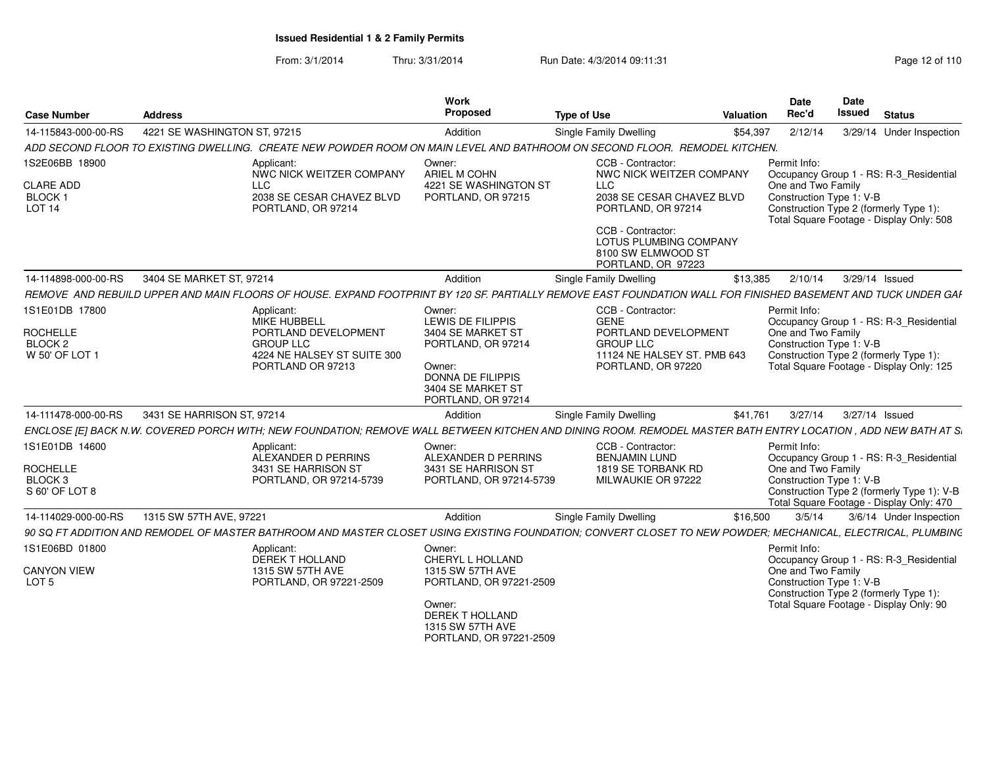From: 3/1/2014Thru: 3/31/2014 Run Date: 4/3/2014 09:11:31 Page 12 of 110

| <b>Case Number</b>                     | <b>Address</b>                                                                                                                                                | Work<br>Proposed                                                                | <b>Type of Use</b>                                                                      | <b>Valuation</b> | Date<br>Rec'd                                  | <b>Date</b><br>Issued | <b>Status</b>                                                                          |
|----------------------------------------|---------------------------------------------------------------------------------------------------------------------------------------------------------------|---------------------------------------------------------------------------------|-----------------------------------------------------------------------------------------|------------------|------------------------------------------------|-----------------------|----------------------------------------------------------------------------------------|
| 14-115843-000-00-RS                    | 4221 SE WASHINGTON ST, 97215                                                                                                                                  | Addition                                                                        | <b>Single Family Dwelling</b>                                                           | \$54,397         | 2/12/14                                        |                       | 3/29/14 Under Inspection                                                               |
|                                        | ADD SECOND FLOOR TO EXISTING DWELLING. CREATE NEW POWDER ROOM ON MAIN LEVEL AND BATHROOM ON SECOND FLOOR. REMODEL KITCHEN.                                    |                                                                                 |                                                                                         |                  |                                                |                       |                                                                                        |
| 1S2E06BB 18900<br><b>CLARE ADD</b>     | Applicant:<br>NWC NICK WEITZER COMPANY<br><b>LLC</b>                                                                                                          | Owner:<br>ARIEL M COHN<br>4221 SE WASHINGTON ST                                 | CCB - Contractor:<br>NWC NICK WEITZER COMPANY<br><b>LLC</b>                             |                  | Permit Info:<br>One and Two Family             |                       | Occupancy Group 1 - RS: R-3 Residential                                                |
| <b>BLOCK1</b><br>LOT <sub>14</sub>     | 2038 SE CESAR CHAVEZ BLVD<br>PORTLAND, OR 97214                                                                                                               | PORTLAND, OR 97215                                                              | 2038 SE CESAR CHAVEZ BLVD<br>PORTLAND, OR 97214                                         |                  | Construction Type 1: V-B                       |                       | Construction Type 2 (formerly Type 1):<br>Total Square Footage - Display Only: 508     |
|                                        |                                                                                                                                                               |                                                                                 | CCB - Contractor:<br>LOTUS PLUMBING COMPANY<br>8100 SW ELMWOOD ST<br>PORTLAND, OR 97223 |                  |                                                |                       |                                                                                        |
| 14-114898-000-00-RS                    | 3404 SE MARKET ST. 97214                                                                                                                                      | Addition                                                                        | Single Family Dwelling                                                                  | \$13,385         | 2/10/14                                        | 3/29/14 Issued        |                                                                                        |
|                                        | REMOVE AND REBUILD UPPER AND MAIN FLOORS OF HOUSE. EXPAND FOOTPRINT BY 120 SF. PARTIALLY REMOVE EAST FOUNDATION WALL FOR FINISHED BASEMENT AND TUCK UNDER GAI |                                                                                 |                                                                                         |                  |                                                |                       |                                                                                        |
| 1S1E01DB 17800                         | Applicant:<br><b>MIKE HUBBELL</b>                                                                                                                             | Owner:<br>LEWIS DE FILIPPIS                                                     | CCB - Contractor:<br><b>GENE</b>                                                        |                  | Permit Info:                                   |                       | Occupancy Group 1 - RS: R-3 Residential                                                |
| <b>ROCHELLE</b><br>BLOCK 2             | PORTLAND DEVELOPMENT<br><b>GROUP LLC</b>                                                                                                                      | 3404 SE MARKET ST<br>PORTLAND, OR 97214                                         | PORTLAND DEVELOPMENT<br><b>GROUP LLC</b>                                                |                  | One and Two Family<br>Construction Type 1: V-B |                       |                                                                                        |
| W 50' OF LOT 1                         | 4224 NE HALSEY ST SUITE 300<br>PORTLAND OR 97213                                                                                                              | Owner:<br><b>DONNA DE FILIPPIS</b><br>3404 SE MARKET ST<br>PORTLAND, OR 97214   | 11124 NE HALSEY ST. PMB 643<br>PORTLAND, OR 97220                                       |                  |                                                |                       | Construction Type 2 (formerly Type 1):<br>Total Square Footage - Display Only: 125     |
| 14-111478-000-00-RS                    | 3431 SE HARRISON ST. 97214                                                                                                                                    | Addition                                                                        | Single Family Dwelling                                                                  | \$41.761         | 3/27/14                                        | 3/27/14 Issued        |                                                                                        |
|                                        | ENCLOSE [E] BACK N.W. COVERED PORCH WITH; NEW FOUNDATION; REMOVE WALL BETWEEN KITCHEN AND DINING ROOM. REMODEL MASTER BATH ENTRY LOCATION, ADD NEW BATH AT S. |                                                                                 |                                                                                         |                  |                                                |                       |                                                                                        |
| 1S1E01DB 14600                         | Applicant:<br>ALEXANDER D PERRINS                                                                                                                             | Owner:<br>ALEXANDER D PERRINS                                                   | CCB - Contractor:<br><b>BENJAMIN LUND</b>                                               |                  | Permit Info:                                   |                       | Occupancy Group 1 - RS: R-3 Residential                                                |
| <b>ROCHELLE</b>                        | 3431 SE HARRISON ST                                                                                                                                           | 3431 SE HARRISON ST                                                             | 1819 SE TORBANK RD                                                                      |                  | One and Two Family                             |                       |                                                                                        |
| BLOCK 3<br>S 60' OF LOT 8              | PORTLAND, OR 97214-5739                                                                                                                                       | PORTLAND, OR 97214-5739                                                         | MILWAUKIE OR 97222                                                                      |                  | Construction Type 1: V-B                       |                       | Construction Type 2 (formerly Type 1): V-B<br>Total Square Footage - Display Only: 470 |
| 14-114029-000-00-RS                    | 1315 SW 57TH AVE, 97221                                                                                                                                       | Addition                                                                        | <b>Single Family Dwelling</b>                                                           | \$16,500         | 3/5/14                                         |                       | 3/6/14 Under Inspection                                                                |
|                                        | 90 SQ FT ADDITION AND REMODEL OF MASTER BATHROOM AND MASTER CLOSET USING EXISTING FOUNDATION: CONVERT CLOSET TO NEW POWDER: MECHANICAL. ELECTRICAL. PLUMBING  |                                                                                 |                                                                                         |                  |                                                |                       |                                                                                        |
| 1S1E06BD 01800                         | Applicant:<br><b>DEREK T HOLLAND</b>                                                                                                                          | Owner:<br>CHERYL L HOLLAND                                                      |                                                                                         |                  | Permit Info:                                   |                       | Occupancy Group 1 - RS: R-3_Residential                                                |
| <b>CANYON VIEW</b><br>LOT <sub>5</sub> | 1315 SW 57TH AVE<br>PORTLAND, OR 97221-2509                                                                                                                   | 1315 SW 57TH AVE<br>PORTLAND, OR 97221-2509                                     |                                                                                         |                  | One and Two Family<br>Construction Type 1: V-B |                       | Construction Type 2 (formerly Type 1):                                                 |
|                                        |                                                                                                                                                               | Owner:<br><b>DEREK T HOLLAND</b><br>1315 SW 57TH AVE<br>PORTLAND, OR 97221-2509 |                                                                                         |                  |                                                |                       | Total Square Footage - Display Only: 90                                                |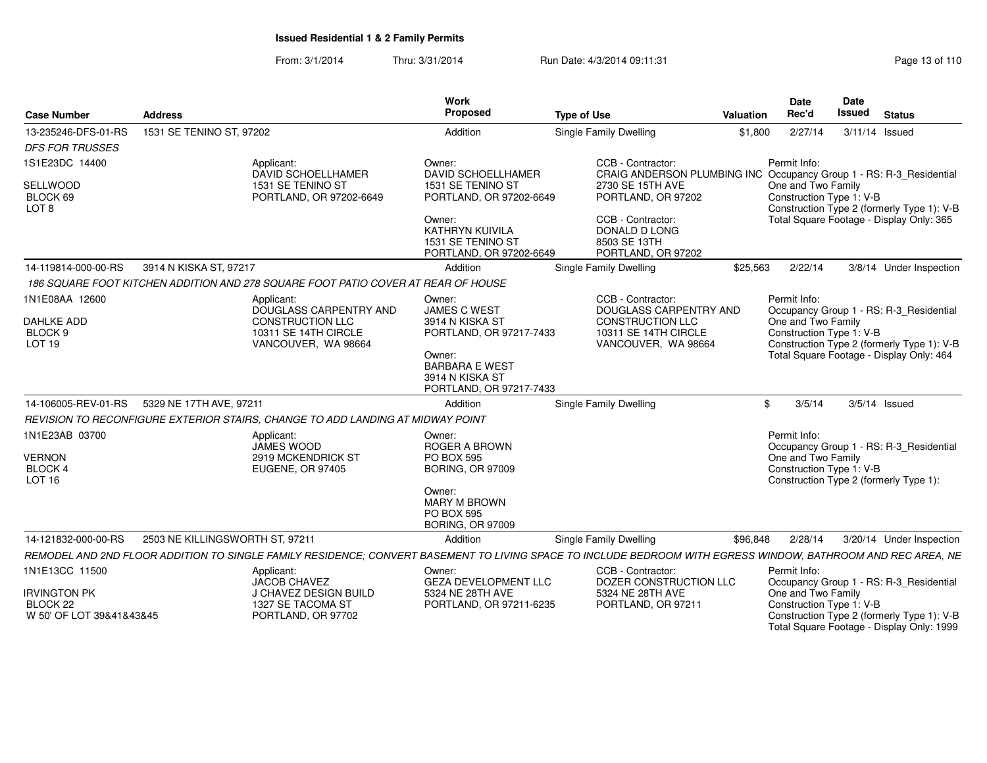From: 3/1/2014Thru: 3/31/2014 Run Date: 4/3/2014 09:11:31 Research 2010 13 of 110

| Case Number                                                 | <b>Address</b>                                                                                                                                               | Work<br>Proposed                                                                    | <b>Type of Use</b>                                                                                                    | Valuation    | <b>Date</b><br>Date<br>Rec'd<br><b>Issued</b> Status                                                                                      |
|-------------------------------------------------------------|--------------------------------------------------------------------------------------------------------------------------------------------------------------|-------------------------------------------------------------------------------------|-----------------------------------------------------------------------------------------------------------------------|--------------|-------------------------------------------------------------------------------------------------------------------------------------------|
| 13-235246-DFS-01-RS                                         | 1531 SE TENINO ST, 97202                                                                                                                                     | Addition                                                                            | <b>Single Family Dwelling</b>                                                                                         |              | \$1,800  2/27/14  3/11/14  Issued                                                                                                         |
| <b>DFS FOR TRUSSES</b>                                      |                                                                                                                                                              |                                                                                     |                                                                                                                       |              |                                                                                                                                           |
| 1S1E23DC 14400<br>SELLWOOD<br>BLOCK 69<br>LOT 8             | Applicant:<br>DAVID SCHOELLHAMER<br>1531 SE TENINO ST<br>PORTLAND, OR 97202-6649                                                                             | Owner:<br><b>DAVID SCHOELLHAMER</b><br>1531 SE TENINO ST<br>PORTLAND, OR 97202-6649 | CCB - Contractor:<br>2730 SE 15TH AVE<br>PORTLAND, OR 97202                                                           | Permit Info: | CRAIG ANDERSON PLUMBING INC Occupancy Group 1 - RS: R-3_Residential<br>One and Two Family<br>Construction Type 1: V-B                     |
|                                                             |                                                                                                                                                              | Owner:<br>KATHRYN KUIVILA<br>1531 SE TENINO ST<br>PORTLAND, OR 97202-6649           | CCB - Contractor:<br>DONALD D LONG<br>8503 SE 13TH<br>PORTLAND, OR 97202                                              |              | Construction Type 2 (formerly Type 1): V-B<br>Total Square Footage - Display Only: 365                                                    |
| 14-119814-000-00-RS                                         | 3914 N KISKA ST, 97217                                                                                                                                       | Addition                                                                            | Single Family Dwelling                                                                                                | \$25.563     | 2/22/14<br>3/8/14 Under Inspection                                                                                                        |
|                                                             | 186 SQUARE FOOT KITCHEN ADDITION AND 278 SQUARE FOOT PATIO COVER AT REAR OF HOUSE                                                                            |                                                                                     |                                                                                                                       |              |                                                                                                                                           |
| 1N1E08AA 12600<br>DAHLKE ADD<br>BLOCK 9<br>LOT 19           | Applicant:<br>DOUGLASS CARPENTRY AND<br><b>CONSTRUCTION LLC</b><br>10311 SE 14TH CIRCLE<br>VANCOUVER, WA 98664                                               | Owner:<br><b>JAMES C WEST</b><br>3914 N KISKA ST<br>PORTLAND, OR 97217-7433         | CCB - Contractor:<br>DOUGLASS CARPENTRY AND<br><b>CONSTRUCTION LLC</b><br>10311 SE 14TH CIRCLE<br>VANCOUVER. WA 98664 | Permit Info: | Occupancy Group 1 - RS: R-3 Residential<br>One and Two Family<br>Construction Type 1: V-B<br>Construction Type 2 (formerly Type 1): V-B   |
|                                                             |                                                                                                                                                              | Owner:<br><b>BARBARA E WEST</b><br>3914 N KISKA ST<br>PORTLAND, OR 97217-7433       |                                                                                                                       |              | Total Square Footage - Display Only: 464                                                                                                  |
|                                                             | 14-106005-REV-01-RS 5329 NE 17TH AVE, 97211                                                                                                                  | Addition                                                                            | <b>Single Family Dwelling</b>                                                                                         | \$3/5/14     | 3/5/14 Issued                                                                                                                             |
|                                                             | REVISION TO RECONFIGURE EXTERIOR STAIRS, CHANGE TO ADD LANDING AT MIDWAY POINT                                                                               |                                                                                     |                                                                                                                       |              |                                                                                                                                           |
| 1N1E23AB 03700<br><b>VERNON</b><br>BLOCK 4                  | Applicant:<br>JAMES WOOD<br>2919 MCKENDRICK ST<br>EUGENE, OR 97405                                                                                           | Owner:<br>ROGER A BROWN<br><b>PO BOX 595</b><br><b>BORING, OR 97009</b>             |                                                                                                                       | Permit Info: | Occupancy Group 1 - RS: R-3_Residential<br>One and Two Family<br>Construction Type 1: V-B                                                 |
| <b>LOT 16</b>                                               |                                                                                                                                                              | Owner:<br><b>MARY M BROWN</b><br><b>PO BOX 595</b><br><b>BORING, OR 97009</b>       |                                                                                                                       |              | Construction Type 2 (formerly Type 1):                                                                                                    |
| 14-121832-000-00-RS                                         | 2503 NE KILLINGSWORTH ST, 97211                                                                                                                              | Addition                                                                            | <b>Single Family Dwelling</b>                                                                                         | \$96,848     | 3/20/14 Under Inspection<br>2/28/14                                                                                                       |
|                                                             | REMODEL AND 2ND FLOOR ADDITION TO SINGLE FAMILY RESIDENCE; CONVERT BASEMENT TO LIVING SPACE TO INCLUDE BEDROOM WITH EGRESS WINDOW, BATHROOM AND REC AREA, NE |                                                                                     |                                                                                                                       |              |                                                                                                                                           |
| 1N1E13CC 11500                                              | Applicant:<br>JACOB CHAVEZ                                                                                                                                   | Owner:<br><b>GEZA DEVELOPMENT LLC</b>                                               | CCB - Contractor:<br>DOZER CONSTRUCTION LLC                                                                           | Permit Info: | Occupancy Group 1 - RS: R-3_Residential                                                                                                   |
| <b>IRVINGTON PK</b><br>BLOCK 22<br>W 50' OF LOT 39&41&43&45 | J CHAVEZ DESIGN BUILD<br>1327 SE TACOMA ST<br>PORTLAND, OR 97702                                                                                             | 5324 NE 28TH AVE<br>PORTLAND, OR 97211-6235                                         | 5324 NE 28TH AVE<br>PORTLAND, OR 97211                                                                                |              | One and Two Family<br>Construction Type 1: V-B<br>Construction Type 2 (formerly Type 1): V-B<br>Total Square Footage - Display Only: 1999 |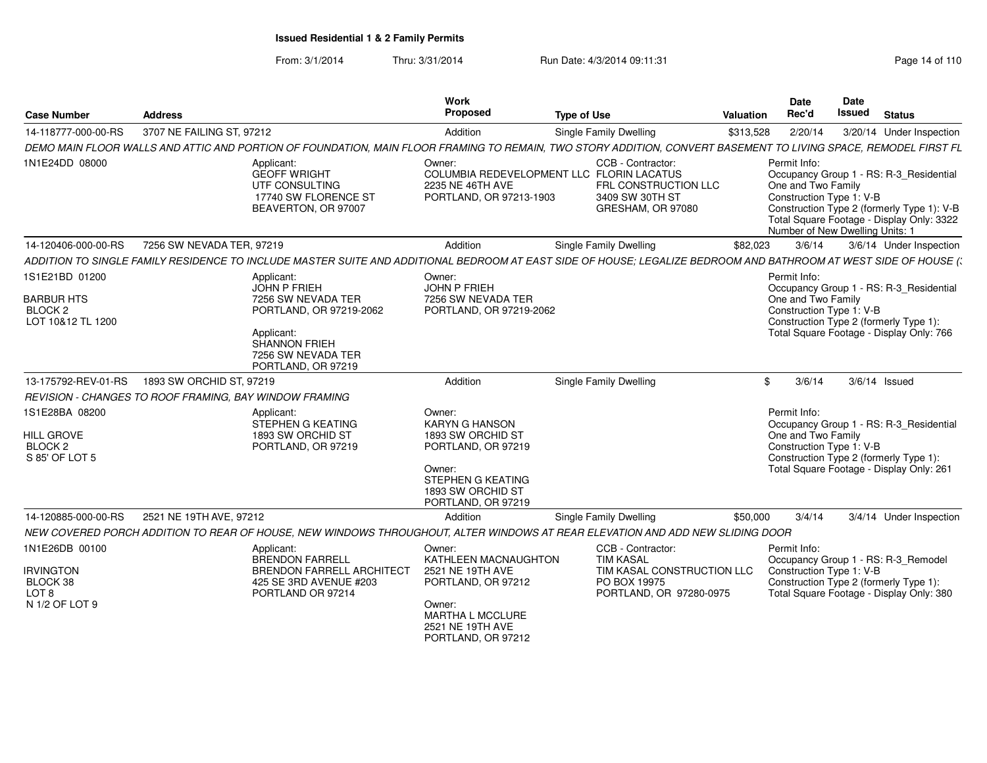From: 3/1/2014Thru: 3/31/2014 Run Date: 4/3/2014 09:11:31 Page 14 of 110

| <b>Case Number</b>                                                                   | <b>Address</b>                                         |                                                                                                                                                                      | <b>Work</b><br>Proposed                                                                                                                                     | <b>Type of Use</b>                                                                                                                                               | Valuation | Date<br>Rec'd                                                                                            | Date<br>Issued | <b>Status</b>                                                                                                                      |
|--------------------------------------------------------------------------------------|--------------------------------------------------------|----------------------------------------------------------------------------------------------------------------------------------------------------------------------|-------------------------------------------------------------------------------------------------------------------------------------------------------------|------------------------------------------------------------------------------------------------------------------------------------------------------------------|-----------|----------------------------------------------------------------------------------------------------------|----------------|------------------------------------------------------------------------------------------------------------------------------------|
| 14-118777-000-00-RS                                                                  | 3707 NE FAILING ST, 97212                              |                                                                                                                                                                      | Addition                                                                                                                                                    | Single Family Dwelling                                                                                                                                           | \$313,528 | 2/20/14                                                                                                  |                | 3/20/14 Under Inspection                                                                                                           |
|                                                                                      |                                                        |                                                                                                                                                                      |                                                                                                                                                             | DEMO MAIN FLOOR WALLS AND ATTIC AND PORTION OF FOUNDATION, MAIN FLOOR FRAMING TO REMAIN, TWO STORY ADDITION, CONVERT BASEMENT TO LIVING SPACE, REMODEL FIRST FL  |           |                                                                                                          |                |                                                                                                                                    |
| 1N1E24DD 08000                                                                       |                                                        | Applicant:<br><b>GEOFF WRIGHT</b><br>UTF CONSULTING<br>17740 SW FLORENCE ST<br>BEAVERTON, OR 97007                                                                   | Owner:<br>2235 NE 46TH AVE<br>PORTLAND, OR 97213-1903                                                                                                       | CCB - Contractor:<br>COLUMBIA REDEVELOPMENT LLC FLORIN LACATUS<br>FRL CONSTRUCTION LLC<br>3409 SW 30TH ST<br>GRESHAM, OR 97080                                   |           | Permit Info:<br>One and Two Family<br>Construction Type 1: V-B<br>Number of New Dwelling Units: 1        |                | Occupancy Group 1 - RS: R-3_Residential<br>Construction Type 2 (formerly Type 1): V-B<br>Total Square Footage - Display Only: 3322 |
| 14-120406-000-00-RS                                                                  | 7256 SW NEVADA TER, 97219                              |                                                                                                                                                                      | Addition                                                                                                                                                    | <b>Single Family Dwelling</b>                                                                                                                                    | \$82,023  | 3/6/14                                                                                                   |                | 3/6/14 Under Inspection                                                                                                            |
|                                                                                      |                                                        |                                                                                                                                                                      |                                                                                                                                                             | ADDITION TO SINGLE FAMILY RESIDENCE TO INCLUDE MASTER SUITE AND ADDITIONAL BEDROOM AT EAST SIDE OF HOUSE; LEGALIZE BEDROOM AND BATHROOM AT WEST SIDE OF HOUSE (: |           |                                                                                                          |                |                                                                                                                                    |
| 1S1E21BD 01200<br><b>BARBUR HTS</b><br>BLOCK <sub>2</sub><br>LOT 10&12 TL 1200       |                                                        | Applicant:<br><b>JOHN P FRIEH</b><br>7256 SW NEVADA TER<br>PORTLAND, OR 97219-2062<br>Applicant:<br><b>SHANNON FRIEH</b><br>7256 SW NEVADA TER<br>PORTLAND, OR 97219 | Owner:<br>JOHN P FRIEH<br>7256 SW NEVADA TER<br>PORTLAND, OR 97219-2062                                                                                     |                                                                                                                                                                  |           | Permit Info:<br>One and Two Family<br>Construction Type 1: V-B<br>Construction Type 2 (formerly Type 1): |                | Occupancy Group 1 - RS: R-3_Residential<br>Total Square Footage - Display Only: 766                                                |
| 13-175792-REV-01-RS                                                                  | 1893 SW ORCHID ST, 97219                               |                                                                                                                                                                      | Addition                                                                                                                                                    | Single Family Dwelling                                                                                                                                           |           | 3/6/14<br>\$                                                                                             |                | $3/6/14$ Issued                                                                                                                    |
|                                                                                      | REVISION - CHANGES TO ROOF FRAMING, BAY WINDOW FRAMING |                                                                                                                                                                      |                                                                                                                                                             |                                                                                                                                                                  |           |                                                                                                          |                |                                                                                                                                    |
| 1S1E28BA 08200<br><b>HILL GROVE</b><br>BLOCK <sub>2</sub><br>S 85' OF LOT 5          |                                                        | Applicant:<br>STEPHEN G KEATING<br>1893 SW ORCHID ST<br>PORTLAND, OR 97219                                                                                           | Owner:<br><b>KARYN G HANSON</b><br>1893 SW ORCHID ST<br>PORTLAND, OR 97219<br>Owner:<br><b>STEPHEN G KEATING</b><br>1893 SW ORCHID ST<br>PORTLAND, OR 97219 |                                                                                                                                                                  |           | Permit Info:<br>One and Two Family<br>Construction Type 1: V-B<br>Construction Type 2 (formerly Type 1): |                | Occupancy Group 1 - RS: R-3_Residential<br>Total Square Footage - Display Only: 261                                                |
| 14-120885-000-00-RS                                                                  | 2521 NE 19TH AVE, 97212                                |                                                                                                                                                                      | Addition                                                                                                                                                    | <b>Single Family Dwelling</b>                                                                                                                                    | \$50,000  | 3/4/14                                                                                                   |                | 3/4/14 Under Inspection                                                                                                            |
|                                                                                      |                                                        |                                                                                                                                                                      |                                                                                                                                                             | NEW COVERED PORCH ADDITION TO REAR OF HOUSE, NEW WINDOWS THROUGHOUT, ALTER WINDOWS AT REAR ELEVATION AND ADD NEW SLIDING DOOR                                    |           |                                                                                                          |                |                                                                                                                                    |
| 1N1E26DB 00100<br><b>IRVINGTON</b><br>BLOCK 38<br>LOT <sub>8</sub><br>N 1/2 OF LOT 9 |                                                        | Applicant:<br><b>BRENDON FARRELL</b><br><b>BRENDON FARRELL ARCHITECT</b><br>425 SE 3RD AVENUE #203<br>PORTLAND OR 97214                                              | Owner:<br>KATHLEEN MACNAUGHTON<br>2521 NE 19TH AVE<br>PORTLAND, OR 97212<br>Owner:<br>MARTHA L MCCLURE<br>2521 NE 19TH AVE<br>PORTLAND, OR 97212            | CCB - Contractor:<br><b>TIM KASAL</b><br>TIM KASAL CONSTRUCTION LLC<br>PO BOX 19975<br>PORTLAND, OR 97280-0975                                                   |           | Permit Info:<br>Construction Type 1: V-B<br>Construction Type 2 (formerly Type 1):                       |                | Occupancy Group 1 - RS: R-3_Remodel<br>Total Square Footage - Display Only: 380                                                    |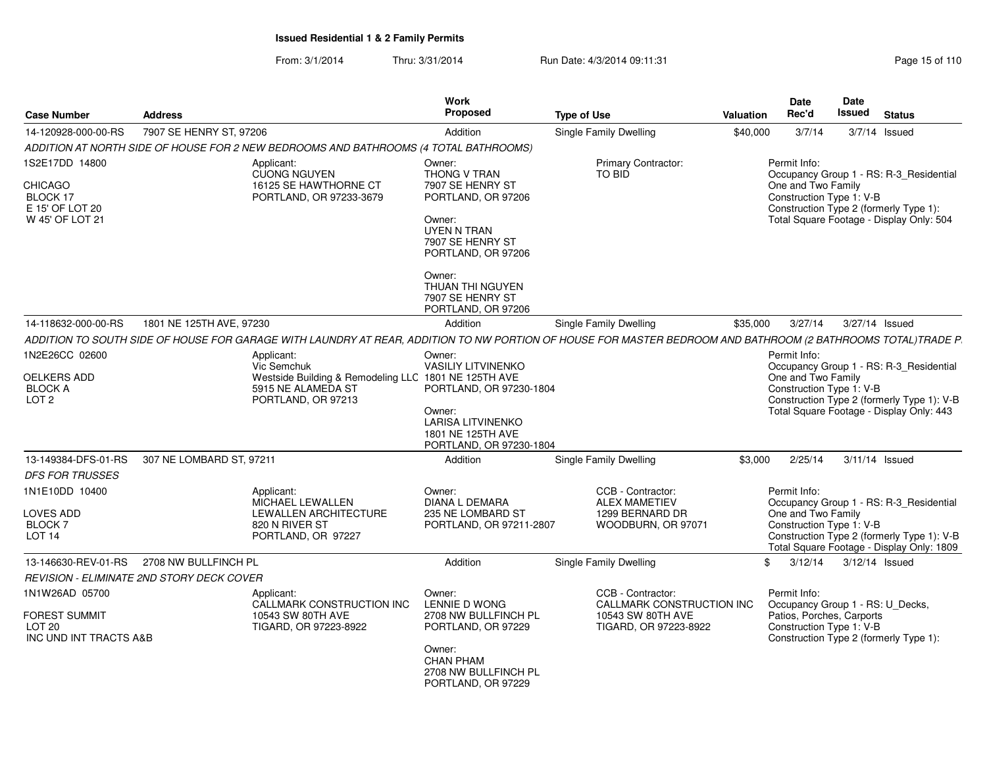From: 3/1/2014Thru: 3/31/2014 Run Date: 4/3/2014 09:11:31 Page 15 of 110

| <b>Case Number</b>                                                  | <b>Address</b>                                   |                                                                                                                                                             | Work<br>Proposed                                                                                                 | <b>Type of Use</b>                                                                 | <b>Valuation</b> | Date<br>Rec'd                                                                             | Date<br><b>Issued</b> | <b>Status</b>                                                                                                                      |
|---------------------------------------------------------------------|--------------------------------------------------|-------------------------------------------------------------------------------------------------------------------------------------------------------------|------------------------------------------------------------------------------------------------------------------|------------------------------------------------------------------------------------|------------------|-------------------------------------------------------------------------------------------|-----------------------|------------------------------------------------------------------------------------------------------------------------------------|
| 14-120928-000-00-RS                                                 | 7907 SE HENRY ST, 97206                          |                                                                                                                                                             | Addition                                                                                                         | Single Family Dwelling                                                             | \$40,000         | 3/7/14                                                                                    |                       | $3/7/14$ Issued                                                                                                                    |
|                                                                     |                                                  | ADDITION AT NORTH SIDE OF HOUSE FOR 2 NEW BEDROOMS AND BATHROOMS (4 TOTAL BATHROOMS)                                                                        |                                                                                                                  |                                                                                    |                  |                                                                                           |                       |                                                                                                                                    |
| 1S2E17DD 14800                                                      |                                                  | Applicant:<br><b>CUONG NGUYEN</b>                                                                                                                           | Owner:<br>THONG V TRAN                                                                                           | Primary Contractor:<br>TO BID                                                      |                  | Permit Info:                                                                              |                       | Occupancy Group 1 - RS: R-3_Residential                                                                                            |
| CHICAGO<br>BLOCK 17<br>E 15' OF LOT 20<br>W 45' OF LOT 21           |                                                  | 16125 SE HAWTHORNE CT<br>PORTLAND, OR 97233-3679                                                                                                            | 7907 SE HENRY ST<br>PORTLAND, OR 97206<br>Owner:<br><b>UYEN N TRAN</b><br>7907 SE HENRY ST<br>PORTLAND, OR 97206 |                                                                                    |                  | One and Two Family<br>Construction Type 1: V-B                                            |                       | Construction Type 2 (formerly Type 1):<br>Total Square Footage - Display Only: 504                                                 |
|                                                                     |                                                  |                                                                                                                                                             | Owner:<br><b>THUAN THI NGUYEN</b><br>7907 SE HENRY ST<br>PORTLAND, OR 97206                                      |                                                                                    |                  |                                                                                           |                       |                                                                                                                                    |
| 14-118632-000-00-RS                                                 | 1801 NE 125TH AVE, 97230                         |                                                                                                                                                             | Addition                                                                                                         | <b>Single Family Dwelling</b>                                                      | \$35,000         | 3/27/14                                                                                   |                       | 3/27/14 Issued                                                                                                                     |
|                                                                     |                                                  | ADDITION TO SOUTH SIDE OF HOUSE FOR GARAGE WITH LAUNDRY AT REAR, ADDITION TO NW PORTION OF HOUSE FOR MASTER BEDROOM AND BATHROOM (2 BATHROOMS TOTAL)TRADE P |                                                                                                                  |                                                                                    |                  |                                                                                           |                       |                                                                                                                                    |
| 1N2E26CC 02600                                                      |                                                  | Applicant:<br>Vic Semchuk                                                                                                                                   | Owner:<br><b>VASILIY LITVINENKO</b>                                                                              |                                                                                    |                  | Permit Info:                                                                              |                       | Occupancy Group 1 - RS: R-3_Residential                                                                                            |
| <b>OELKERS ADD</b><br><b>BLOCK A</b><br>LOT <sub>2</sub>            |                                                  | Westside Building & Remodeling LLC 1801 NE 125TH AVE<br>5915 NE ALAMEDA ST<br>PORTLAND, OR 97213                                                            | PORTLAND, OR 97230-1804<br>Owner:<br><b>LARISA LITVINENKO</b><br>1801 NE 125TH AVE<br>PORTLAND, OR 97230-1804    |                                                                                    |                  | One and Two Family<br>Construction Type 1: V-B                                            |                       | Construction Type 2 (formerly Type 1): V-B<br>Total Square Footage - Display Only: 443                                             |
| 13-149384-DFS-01-RS                                                 | 307 NE LOMBARD ST, 97211                         |                                                                                                                                                             | Addition                                                                                                         | Single Family Dwelling                                                             | \$3,000          | 2/25/14                                                                                   |                       | 3/11/14 Issued                                                                                                                     |
| <b>DFS FOR TRUSSES</b>                                              |                                                  |                                                                                                                                                             |                                                                                                                  |                                                                                    |                  |                                                                                           |                       |                                                                                                                                    |
| 1N1E10DD 10400<br>LOVES ADD<br><b>BLOCK7</b><br>LOT <sub>14</sub>   |                                                  | Applicant:<br>MICHAEL LEWALLEN<br>LEWALLEN ARCHITECTURE<br>820 N RIVER ST<br>PORTLAND, OR 97227                                                             | Owner:<br><b>DIANA L DEMARA</b><br>235 NE LOMBARD ST<br>PORTLAND, OR 97211-2807                                  | CCB - Contractor:<br><b>ALEX MAMETIEV</b><br>1299 BERNARD DR<br>WOODBURN, OR 97071 |                  | Permit Info:<br>One and Two Family<br>Construction Type 1: V-B                            |                       | Occupancy Group 1 - RS: R-3_Residential<br>Construction Type 2 (formerly Type 1): V-B<br>Total Square Footage - Display Only: 1809 |
| 13-146630-REV-01-RS                                                 | 2708 NW BULLFINCH PL                             |                                                                                                                                                             | Addition                                                                                                         | Single Family Dwelling                                                             |                  | 3/12/14<br>\$                                                                             |                       | 3/12/14 Issued                                                                                                                     |
|                                                                     | <b>REVISION - ELIMINATE 2ND STORY DECK COVER</b> |                                                                                                                                                             |                                                                                                                  |                                                                                    |                  |                                                                                           |                       |                                                                                                                                    |
| 1N1W26AD 05700                                                      |                                                  | Applicant:                                                                                                                                                  | Owner:                                                                                                           | CCB - Contractor:                                                                  |                  | Permit Info:                                                                              |                       |                                                                                                                                    |
| <b>FOREST SUMMIT</b><br>LOT <sub>20</sub><br>INC UND INT TRACTS A&B |                                                  | CALLMARK CONSTRUCTION INC<br>10543 SW 80TH AVE<br>TIGARD, OR 97223-8922                                                                                     | LENNIE D WONG<br>2708 NW BULLFINCH PL<br>PORTLAND, OR 97229                                                      | CALLMARK CONSTRUCTION INC<br>10543 SW 80TH AVE<br>TIGARD, OR 97223-8922            |                  | Occupancy Group 1 - RS: U_Decks,<br>Patios, Porches, Carports<br>Construction Type 1: V-B |                       | Construction Type 2 (formerly Type 1):                                                                                             |
|                                                                     |                                                  |                                                                                                                                                             | Owner:<br><b>CHAN PHAM</b><br>2708 NW BULLFINCH PL<br>PORTLAND, OR 97229                                         |                                                                                    |                  |                                                                                           |                       |                                                                                                                                    |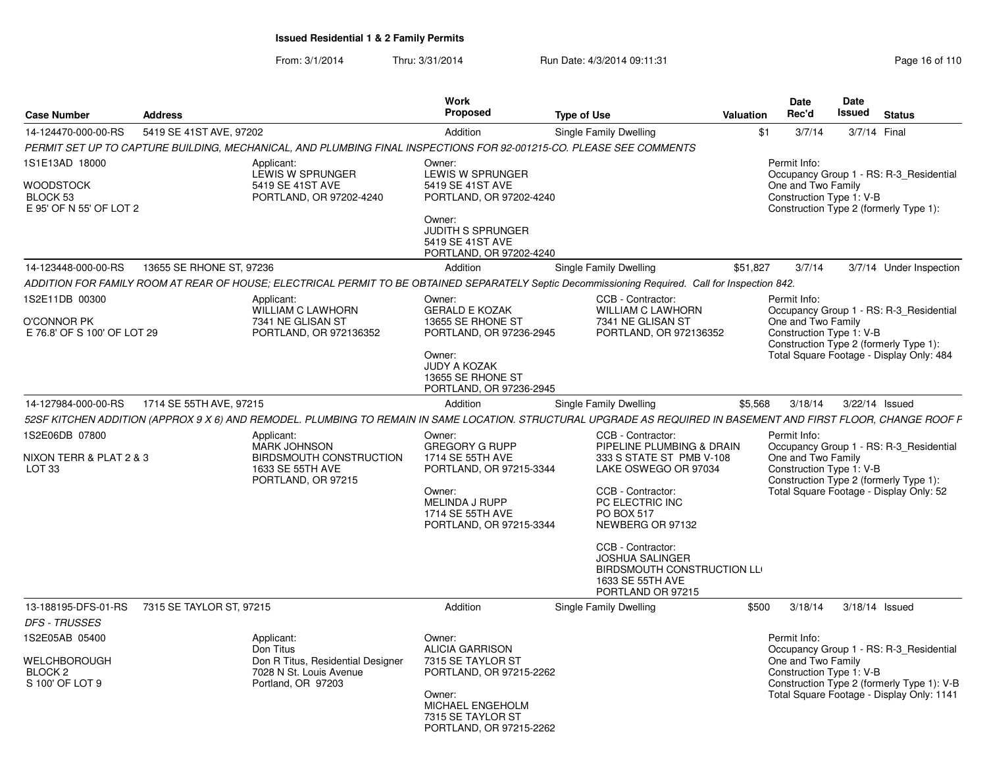From: 3/1/2014Thru: 3/31/2014 Run Date: 4/3/2014 09:11:31 Research 2010 Rage 16 of 110

|                                                                         |                          |                                                                                                                     | <b>Work</b>                                                                                                                                                      |                                                                                                                                                                                                                                                                                                    |           | <b>Date</b>                                                    | Date          |                                                                                                                                    |
|-------------------------------------------------------------------------|--------------------------|---------------------------------------------------------------------------------------------------------------------|------------------------------------------------------------------------------------------------------------------------------------------------------------------|----------------------------------------------------------------------------------------------------------------------------------------------------------------------------------------------------------------------------------------------------------------------------------------------------|-----------|----------------------------------------------------------------|---------------|------------------------------------------------------------------------------------------------------------------------------------|
| <b>Case Number</b>                                                      | <b>Address</b>           |                                                                                                                     | Proposed                                                                                                                                                         | <b>Type of Use</b>                                                                                                                                                                                                                                                                                 | Valuation | Rec'd                                                          | <b>Issued</b> | <b>Status</b>                                                                                                                      |
| 14-124470-000-00-RS                                                     | 5419 SE 41ST AVE, 97202  |                                                                                                                     | Addition                                                                                                                                                         | Single Family Dwelling                                                                                                                                                                                                                                                                             | \$1       | 3/7/14                                                         |               | 3/7/14 Final                                                                                                                       |
|                                                                         |                          | PERMIT SET UP TO CAPTURE BUILDING, MECHANICAL, AND PLUMBING FINAL INSPECTIONS FOR 92-001215-CO. PLEASE SEE COMMENTS |                                                                                                                                                                  |                                                                                                                                                                                                                                                                                                    |           |                                                                |               |                                                                                                                                    |
| 1S1E13AD 18000<br>WOODSTOCK<br>BLOCK 53<br>E 95' OF N 55' OF LOT 2      |                          | Applicant:<br>LEWIS W SPRUNGER<br>5419 SE 41ST AVE<br>PORTLAND, OR 97202-4240                                       | Owner:<br>LEWIS W SPRUNGER<br>5419 SE 41ST AVE<br>PORTLAND, OR 97202-4240<br>Owner:<br><b>JUDITH S SPRUNGER</b><br>5419 SE 41ST AVE<br>PORTLAND, OR 97202-4240   |                                                                                                                                                                                                                                                                                                    |           | Permit Info:<br>One and Two Family<br>Construction Type 1: V-B |               | Occupancy Group 1 - RS: R-3_Residential<br>Construction Type 2 (formerly Type 1):                                                  |
| 14-123448-000-00-RS                                                     | 13655 SE RHONE ST. 97236 |                                                                                                                     | Addition                                                                                                                                                         | Single Family Dwelling                                                                                                                                                                                                                                                                             | \$51.827  | 3/7/14                                                         |               | 3/7/14 Under Inspection                                                                                                            |
|                                                                         |                          |                                                                                                                     |                                                                                                                                                                  | ADDITION FOR FAMILY ROOM AT REAR OF HOUSE; ELECTRICAL PERMIT TO BE OBTAINED SEPARATELY Septic Decommissioning Required. Call for Inspection 842.                                                                                                                                                   |           |                                                                |               |                                                                                                                                    |
| 1S2E11DB 00300<br><b>O'CONNOR PK</b><br>E 76.8' OF S 100' OF LOT 29     |                          | Applicant:<br><b>WILLIAM C LAWHORN</b><br>7341 NE GLISAN ST<br>PORTLAND, OR 972136352                               | Owner:<br><b>GERALD E KOZAK</b><br>13655 SE RHONE ST<br>PORTLAND, OR 97236-2945<br>Owner:<br><b>JUDY A KOZAK</b><br>13655 SE RHONE ST<br>PORTLAND, OR 97236-2945 | CCB - Contractor:<br><b>WILLIAM C LAWHORN</b><br>7341 NE GLISAN ST<br>PORTLAND, OR 972136352                                                                                                                                                                                                       |           | Permit Info:<br>One and Two Family<br>Construction Type 1: V-B |               | Occupancy Group 1 - RS: R-3 Residential<br>Construction Type 2 (formerly Type 1):<br>Total Square Footage - Display Only: 484      |
| 14-127984-000-00-RS                                                     | 1714 SE 55TH AVE, 97215  |                                                                                                                     | Addition                                                                                                                                                         | Single Family Dwelling                                                                                                                                                                                                                                                                             | \$5,568   | 3/18/14                                                        |               | 3/22/14 Issued                                                                                                                     |
|                                                                         |                          |                                                                                                                     |                                                                                                                                                                  | 52SF KITCHEN ADDITION (APPROX 9 X 6) AND REMODEL. PLUMBING TO REMAIN IN SAME LOCATION. STRUCTURAL UPGRADE AS REQUIRED IN BASEMENT AND FIRST FLOOR, CHANGE ROOF F                                                                                                                                   |           |                                                                |               |                                                                                                                                    |
| 1S2E06DB 07800<br>NIXON TERR & PLAT 2 & 3<br>LOT <sub>33</sub>          |                          | Applicant:<br><b>MARK JOHNSON</b><br>BIRDSMOUTH CONSTRUCTION<br>1633 SE 55TH AVE<br>PORTLAND, OR 97215              | Owner:<br><b>GREGORY G RUPP</b><br>1714 SE 55TH AVE<br>PORTLAND, OR 97215-3344<br>Owner:<br>MELINDA J RUPP<br>1714 SE 55TH AVE<br>PORTLAND, OR 97215-3344        | CCB - Contractor:<br>PIPELINE PLUMBING & DRAIN<br>333 S STATE ST PMB V-108<br>LAKE OSWEGO OR 97034<br>CCB - Contractor:<br>PC ELECTRIC INC<br>PO BOX 517<br>NEWBERG OR 97132<br>CCB - Contractor:<br><b>JOSHUA SALINGER</b><br>BIRDSMOUTH CONSTRUCTION LL<br>1633 SE 55TH AVE<br>PORTLAND OR 97215 |           | Permit Info:<br>One and Two Family<br>Construction Type 1: V-B |               | Occupancy Group 1 - RS: R-3_Residential<br>Construction Type 2 (formerly Type 1):<br>Total Square Footage - Display Only: 52       |
| 13-188195-DFS-01-RS<br><b>DFS - TRUSSES</b>                             | 7315 SE TAYLOR ST. 97215 |                                                                                                                     | Addition                                                                                                                                                         | Single Family Dwelling                                                                                                                                                                                                                                                                             | \$500     | 3/18/14                                                        |               | 3/18/14 Issued                                                                                                                     |
| 1S2E05AB 05400<br>WELCHBOROUGH<br>BLOCK <sub>2</sub><br>S 100' OF LOT 9 |                          | Applicant:<br>Don Titus<br>Don R Titus, Residential Designer<br>7028 N St. Louis Avenue<br>Portland, OR 97203       | Owner:<br><b>ALICIA GARRISON</b><br>7315 SE TAYLOR ST<br>PORTLAND, OR 97215-2262<br>Owner:<br>MICHAEL ENGEHOLM<br>7315 SE TAYLOR ST<br>PORTLAND, OR 97215-2262   |                                                                                                                                                                                                                                                                                                    |           | Permit Info:<br>One and Two Family<br>Construction Type 1: V-B |               | Occupancy Group 1 - RS: R-3_Residential<br>Construction Type 2 (formerly Type 1): V-B<br>Total Square Footage - Display Only: 1141 |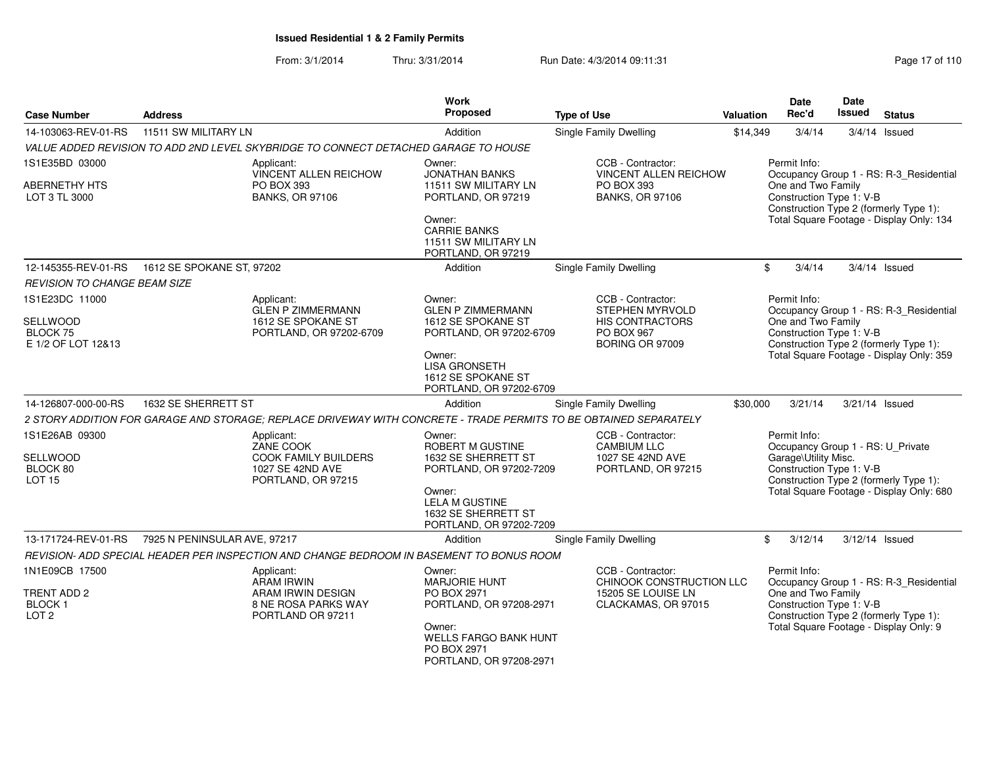From: 3/1/2014Thru: 3/31/2014 Run Date: 4/3/2014 09:11:31 Page 17 of 110

| <b>Case Number</b>                               | <b>Address</b>               |                                                                                          | <b>Work</b><br>Proposed                                                           | <b>Type of Use</b>                                                                                                | <b>Valuation</b> | Date<br>Rec'd                                                                            | <b>Date</b><br><b>Issued</b> | <b>Status</b>                                                                      |
|--------------------------------------------------|------------------------------|------------------------------------------------------------------------------------------|-----------------------------------------------------------------------------------|-------------------------------------------------------------------------------------------------------------------|------------------|------------------------------------------------------------------------------------------|------------------------------|------------------------------------------------------------------------------------|
| 14-103063-REV-01-RS                              | 11511 SW MILITARY LN         |                                                                                          | Addition                                                                          | Single Family Dwelling                                                                                            | \$14,349         | 3/4/14                                                                                   |                              | $3/4/14$ Issued                                                                    |
|                                                  |                              | VALUE ADDED REVISION TO ADD 2ND LEVEL SKYBRIDGE TO CONNECT DETACHED GARAGE TO HOUSE      |                                                                                   |                                                                                                                   |                  |                                                                                          |                              |                                                                                    |
| 1S1E35BD 03000                                   |                              | Applicant:<br>VINCENT ALLEN REICHOW                                                      | Owner:<br><b>JONATHAN BANKS</b>                                                   | CCB - Contractor:<br>VINCENT ALLEN REICHOW                                                                        |                  | Permit Info:                                                                             |                              | Occupancy Group 1 - RS: R-3_Residential                                            |
| <b>ABERNETHY HTS</b><br>LOT 3 TL 3000            |                              | PO BOX 393<br><b>BANKS, OR 97106</b>                                                     | 11511 SW MILITARY LN<br>PORTLAND, OR 97219                                        | PO BOX 393<br><b>BANKS, OR 97106</b>                                                                              |                  | One and Two Family<br>Construction Type 1: V-B                                           |                              | Construction Type 2 (formerly Type 1):                                             |
|                                                  |                              |                                                                                          | Owner:<br><b>CARRIE BANKS</b><br>11511 SW MILITARY LN<br>PORTLAND, OR 97219       |                                                                                                                   |                  |                                                                                          |                              | Total Square Footage - Display Only: 134                                           |
| 12-145355-REV-01-RS                              | 1612 SE SPOKANE ST, 97202    |                                                                                          | Addition                                                                          | Single Family Dwelling                                                                                            |                  | \$<br>3/4/14                                                                             |                              | $3/4/14$ Issued                                                                    |
| <b>REVISION TO CHANGE BEAM SIZE</b>              |                              |                                                                                          |                                                                                   |                                                                                                                   |                  |                                                                                          |                              |                                                                                    |
| 1S1E23DC 11000                                   |                              | Applicant:<br>GLEN P ZIMMERMANN                                                          | Owner:<br><b>GLEN P ZIMMERMANN</b>                                                | CCB - Contractor:<br><b>STEPHEN MYRVOLD</b>                                                                       |                  | Permit Info:                                                                             |                              | Occupancy Group 1 - RS: R-3_Residential                                            |
| SELLWOOD<br>BLOCK 75                             |                              | 1612 SE SPOKANE ST<br>PORTLAND, OR 97202-6709                                            | 1612 SE SPOKANE ST<br>PORTLAND, OR 97202-6709                                     | HIS CONTRACTORS<br><b>PO BOX 967</b>                                                                              |                  | One and Two Family<br>Construction Type 1: V-B                                           |                              |                                                                                    |
| E 1/2 OF LOT 12&13                               |                              |                                                                                          | Owner:<br><b>LISA GRONSETH</b><br>1612 SE SPOKANE ST<br>PORTLAND, OR 97202-6709   | BORING OR 97009                                                                                                   |                  |                                                                                          |                              | Construction Type 2 (formerly Type 1):<br>Total Square Footage - Display Only: 359 |
| 14-126807-000-00-RS                              | 1632 SE SHERRETT ST          |                                                                                          | Addition                                                                          | Single Family Dwelling                                                                                            | \$30,000         | 3/21/14                                                                                  |                              | 3/21/14 Issued                                                                     |
|                                                  |                              |                                                                                          |                                                                                   | 2 STORY ADDITION FOR GARAGE AND STORAGE; REPLACE DRIVEWAY WITH CONCRETE - TRADE PERMITS TO BE OBTAINED SEPARATELY |                  |                                                                                          |                              |                                                                                    |
| 1S1E26AB 09300                                   |                              | Applicant:<br>ZANE COOK                                                                  | Owner:<br>ROBERT M GUSTINE                                                        | CCB - Contractor:<br><b>CAMBIUM LLC</b>                                                                           |                  | Permit Info:<br>Occupancy Group 1 - RS: U_Private                                        |                              |                                                                                    |
| SELLWOOD                                         |                              | <b>COOK FAMILY BUILDERS</b>                                                              | 1632 SE SHERRETT ST                                                               | 1027 SE 42ND AVE                                                                                                  |                  | Garage\Utility Misc.                                                                     |                              |                                                                                    |
| BLOCK 80<br><b>LOT 15</b>                        |                              | 1027 SE 42ND AVE<br>PORTLAND, OR 97215                                                   | PORTLAND, OR 97202-7209                                                           | PORTLAND, OR 97215                                                                                                |                  | Construction Type 1: V-B<br>Construction Type 2 (formerly Type 1):                       |                              |                                                                                    |
|                                                  |                              |                                                                                          | Owner:<br><b>LELA M GUSTINE</b><br>1632 SE SHERRETT ST<br>PORTLAND, OR 97202-7209 |                                                                                                                   |                  |                                                                                          |                              | Total Square Footage - Display Only: 680                                           |
| 13-171724-REV-01-RS                              | 7925 N PENINSULAR AVE, 97217 |                                                                                          | Addition                                                                          | <b>Single Family Dwelling</b>                                                                                     |                  | \$<br>3/12/14                                                                            | 3/12/14 Issued               |                                                                                    |
|                                                  |                              | REVISION- ADD SPECIAL HEADER PER INSPECTION AND CHANGE BEDROOM IN BASEMENT TO BONUS ROOM |                                                                                   |                                                                                                                   |                  |                                                                                          |                              |                                                                                    |
| 1N1E09CB 17500                                   |                              | Applicant:<br><b>ARAM IRWIN</b>                                                          | Owner:<br><b>MARJORIE HUNT</b>                                                    | CCB - Contractor:<br>CHINOOK CONSTRUCTION LLC                                                                     |                  | Permit Info:                                                                             |                              | Occupancy Group 1 - RS: R-3_Residential                                            |
| TRENT ADD 2<br><b>BLOCK1</b><br>LOT <sub>2</sub> |                              | ARAM IRWIN DESIGN<br>8 NE ROSA PARKS WAY<br>PORTLAND OR 97211                            | PO BOX 2971<br>PORTLAND, OR 97208-2971                                            | 15205 SE LOUISE LN<br>CLACKAMAS, OR 97015                                                                         |                  | One and Two Family<br>Construction Type 1: V-B<br>Construction Type 2 (formerly Type 1): |                              |                                                                                    |
|                                                  |                              |                                                                                          | Owner:<br>WELLS FARGO BANK HUNT<br>PO BOX 2971<br>PORTLAND, OR 97208-2971         |                                                                                                                   |                  |                                                                                          |                              | Total Square Footage - Display Only: 9                                             |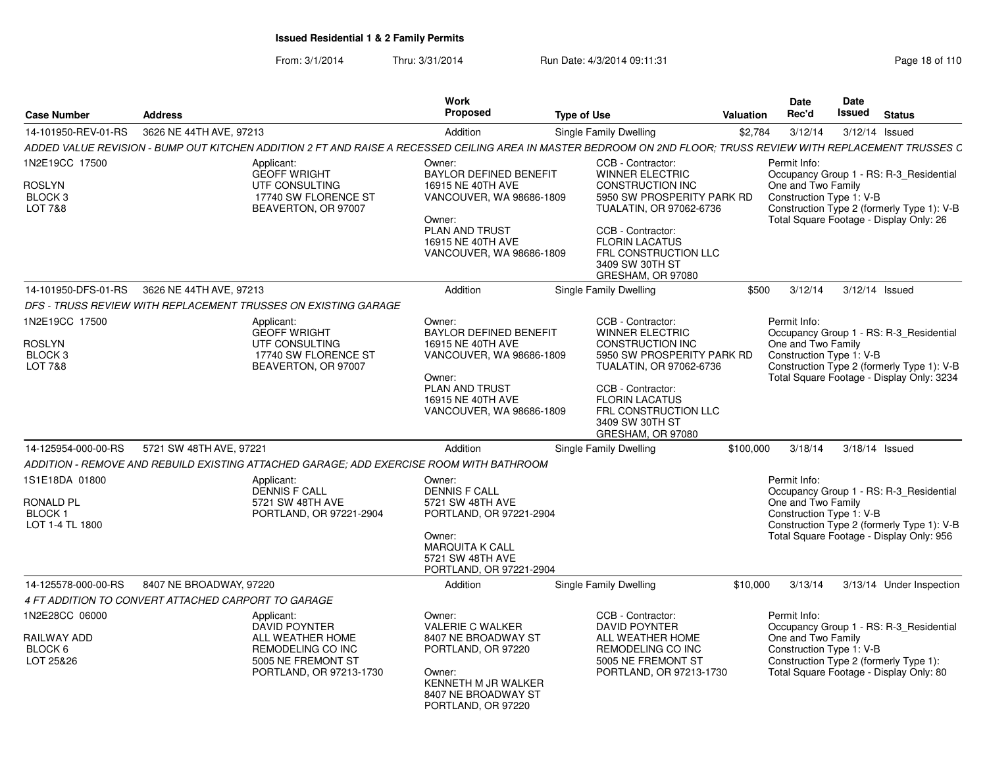From: 3/1/2014Thru: 3/31/2014 Run Date: 4/3/2014 09:11:31 Research 2010 Rage 18 of 110

| <b>Case Number</b>                                                          | <b>Address</b>                                                                                                                                                               | <b>Work</b><br>Proposed                                                                                                                                               | <b>Type of Use</b>                                                                                                                                                                                                                            | <b>Valuation</b> | <b>Date</b><br>Rec'd                                           | Date<br><b>Issued</b> | <b>Status</b>                                                                                                                      |
|-----------------------------------------------------------------------------|------------------------------------------------------------------------------------------------------------------------------------------------------------------------------|-----------------------------------------------------------------------------------------------------------------------------------------------------------------------|-----------------------------------------------------------------------------------------------------------------------------------------------------------------------------------------------------------------------------------------------|------------------|----------------------------------------------------------------|-----------------------|------------------------------------------------------------------------------------------------------------------------------------|
| 14-101950-REV-01-RS                                                         | 3626 NE 44TH AVE, 97213                                                                                                                                                      | Addition                                                                                                                                                              | <b>Single Family Dwelling</b>                                                                                                                                                                                                                 | \$2,784          | 3/12/14                                                        |                       | 3/12/14 Issued                                                                                                                     |
|                                                                             | ADDED VALUE REVISION - BUMP OUT KITCHEN ADDITION 2 FT AND RAISE A RECESSED CEILING AREA IN MASTER BEDROOM ON 2ND FLOOR: TRUSS REVIEW WITH REPLACEMENT TRUSSES C              |                                                                                                                                                                       |                                                                                                                                                                                                                                               |                  |                                                                |                       |                                                                                                                                    |
| 1N2E19CC 17500<br><b>ROSLYN</b><br>BLOCK <sub>3</sub><br><b>LOT 7&amp;8</b> | Applicant:<br><b>GEOFF WRIGHT</b><br>UTF CONSULTING<br>17740 SW FLORENCE ST<br>BEAVERTON, OR 97007                                                                           | Owner:<br>BAYLOR DEFINED BENEFIT<br>16915 NE 40TH AVE<br>VANCOUVER, WA 98686-1809<br>Owner:<br>PLAN AND TRUST<br>16915 NE 40TH AVE<br>VANCOUVER, WA 98686-1809        | CCB - Contractor:<br><b>WINNER ELECTRIC</b><br><b>CONSTRUCTION INC</b><br>5950 SW PROSPERITY PARK RD<br>TUALATIN, OR 97062-6736<br>CCB - Contractor:<br><b>FLORIN LACATUS</b><br>FRL CONSTRUCTION LLC<br>3409 SW 30TH ST<br>GRESHAM, OR 97080 |                  | Permit Info:<br>One and Two Family<br>Construction Type 1: V-B |                       | Occupancy Group 1 - RS: R-3_Residential<br>Construction Type 2 (formerly Type 1): V-B<br>Total Square Footage - Display Only: 26   |
| 14-101950-DFS-01-RS                                                         | 3626 NE 44TH AVE, 97213                                                                                                                                                      | Addition                                                                                                                                                              | Single Family Dwelling                                                                                                                                                                                                                        | \$500            | 3/12/14                                                        |                       | 3/12/14 Issued                                                                                                                     |
|                                                                             | DFS - TRUSS REVIEW WITH REPLACEMENT TRUSSES ON EXISTING GARAGE                                                                                                               |                                                                                                                                                                       |                                                                                                                                                                                                                                               |                  |                                                                |                       |                                                                                                                                    |
| 1N2E19CC 17500<br><b>ROSLYN</b><br>BLOCK <sub>3</sub><br>LOT 7&8            | Applicant:<br><b>GEOFF WRIGHT</b><br>UTF CONSULTING<br>17740 SW FLORENCE ST<br>BEAVERTON, OR 97007                                                                           | Owner:<br><b>BAYLOR DEFINED BENEFIT</b><br>16915 NE 40TH AVE<br>VANCOUVER, WA 98686-1809<br>Owner:<br>PLAN AND TRUST<br>16915 NE 40TH AVE<br>VANCOUVER, WA 98686-1809 | CCB - Contractor:<br><b>WINNER ELECTRIC</b><br><b>CONSTRUCTION INC</b><br>5950 SW PROSPERITY PARK RD<br>TUALATIN, OR 97062-6736<br>CCB - Contractor:<br><b>FLORIN LACATUS</b><br>FRL CONSTRUCTION LLC                                         |                  | Permit Info:<br>One and Two Family<br>Construction Type 1: V-B |                       | Occupancy Group 1 - RS: R-3 Residential<br>Construction Type 2 (formerly Type 1): V-B<br>Total Square Footage - Display Only: 3234 |
|                                                                             |                                                                                                                                                                              | Addition                                                                                                                                                              | 3409 SW 30TH ST<br>GRESHAM, OR 97080                                                                                                                                                                                                          |                  |                                                                |                       | 3/18/14 Issued                                                                                                                     |
| 14-125954-000-00-RS                                                         | 5721 SW 48TH AVE, 97221                                                                                                                                                      |                                                                                                                                                                       | <b>Single Family Dwelling</b>                                                                                                                                                                                                                 | \$100,000        | 3/18/14                                                        |                       |                                                                                                                                    |
| 1S1E18DA 01800<br><b>RONALD PL</b><br>BLOCK <sub>1</sub><br>LOT 1-4 TL 1800 | ADDITION - REMOVE AND REBUILD EXISTING ATTACHED GARAGE: ADD EXERCISE ROOM WITH BATHROOM<br>Applicant:<br><b>DENNIS F CALL</b><br>5721 SW 48TH AVE<br>PORTLAND, OR 97221-2904 | Owner:<br><b>DENNIS F CALL</b><br>5721 SW 48TH AVE<br>PORTLAND, OR 97221-2904<br>Owner:<br><b>MARQUITA K CALL</b><br>5721 SW 48TH AVE<br>PORTLAND, OR 97221-2904      |                                                                                                                                                                                                                                               |                  | Permit Info:<br>One and Two Family<br>Construction Type 1: V-B |                       | Occupancy Group 1 - RS: R-3_Residential<br>Construction Type 2 (formerly Type 1): V-B<br>Total Square Footage - Display Only: 956  |
| 14-125578-000-00-RS                                                         | 8407 NE BROADWAY, 97220                                                                                                                                                      | Addition                                                                                                                                                              | Single Family Dwelling                                                                                                                                                                                                                        | \$10,000         | 3/13/14                                                        |                       | 3/13/14 Under Inspection                                                                                                           |
|                                                                             | 4 FT ADDITION TO CONVERT ATTACHED CARPORT TO GARAGE                                                                                                                          |                                                                                                                                                                       |                                                                                                                                                                                                                                               |                  |                                                                |                       |                                                                                                                                    |
| 1N2E28CC 06000<br>RAILWAY ADD<br>BLOCK 6<br>LOT 25&26                       | Applicant:<br><b>DAVID POYNTER</b><br>ALL WEATHER HOME<br>REMODELING CO INC<br>5005 NE FREMONT ST<br>PORTLAND, OR 97213-1730                                                 | Owner:<br><b>VALERIE C WALKER</b><br>8407 NE BROADWAY ST<br>PORTLAND, OR 97220<br>Owner:<br>KENNETH M JR WALKER<br>8407 NE BROADWAY ST<br>PORTLAND, OR 97220          | CCB - Contractor:<br><b>DAVID POYNTER</b><br>ALL WEATHER HOME<br>REMODELING CO INC<br>5005 NE FREMONT ST<br>PORTLAND, OR 97213-1730                                                                                                           |                  | Permit Info:<br>One and Two Family<br>Construction Type 1: V-B |                       | Occupancy Group 1 - RS: R-3_Residential<br>Construction Type 2 (formerly Type 1):<br>Total Square Footage - Display Only: 80       |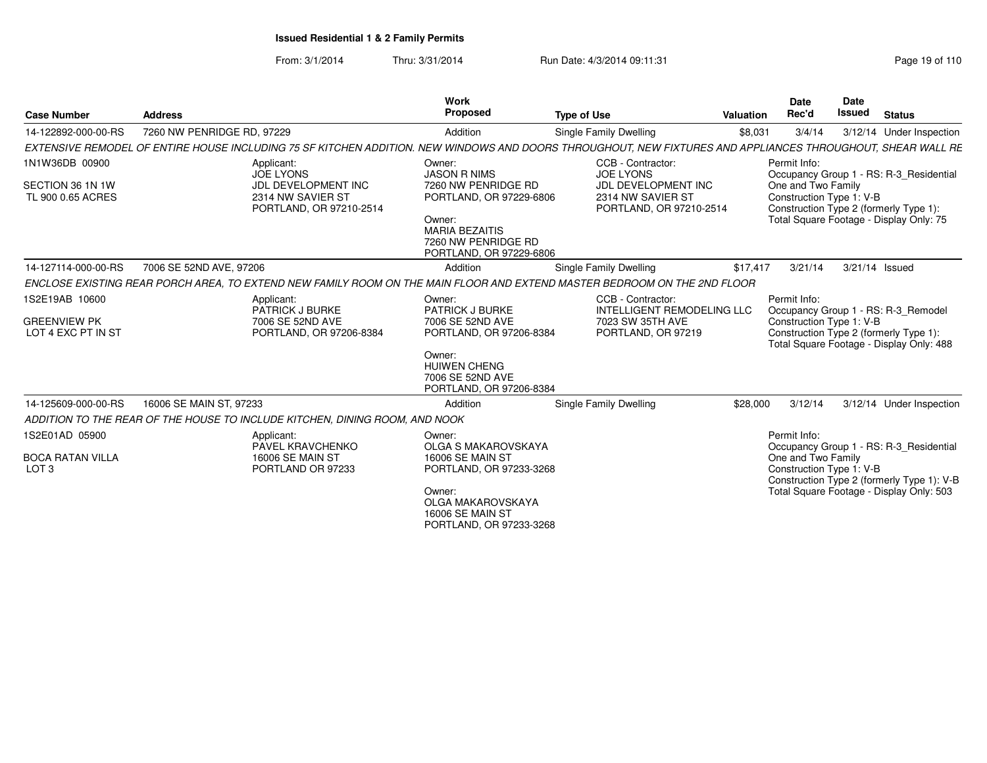From: 3/1/2014Thru: 3/31/2014 Run Date: 4/3/2014 09:11:31 Research 2010 110

| <b>Case Number</b>                                          | <b>Address</b>                                                                                                                                              | Work<br>Proposed                                                                  | <b>Type of Use</b>                                                                                    | <b>Valuation</b> | Date<br>Rec'd                                                  | <b>Date</b><br><b>Issued</b> | <b>Status</b>                                                                                                             |
|-------------------------------------------------------------|-------------------------------------------------------------------------------------------------------------------------------------------------------------|-----------------------------------------------------------------------------------|-------------------------------------------------------------------------------------------------------|------------------|----------------------------------------------------------------|------------------------------|---------------------------------------------------------------------------------------------------------------------------|
| 14-122892-000-00-RS                                         | 7260 NW PENRIDGE RD, 97229                                                                                                                                  | Addition                                                                          | Single Family Dwelling                                                                                | \$8,031          | 3/4/14                                                         |                              | 3/12/14 Under Inspection                                                                                                  |
|                                                             | EXTENSIVE REMODEL OF ENTIRE HOUSE INCLUDING 75 SF KITCHEN ADDITION. NEW WINDOWS AND DOORS THROUGHOUT, NEW FIXTURES AND APPLIANCES THROUGHOUT, SHEAR WALL RE |                                                                                   |                                                                                                       |                  |                                                                |                              |                                                                                                                           |
| 1N1W36DB 00900<br>SECTION 36 1N 1W<br>TL 900 0.65 ACRES     | Applicant:<br><b>JOE LYONS</b><br>JDL DEVELOPMENT INC<br>2314 NW SAVIER ST<br>PORTLAND, OR 97210-2514                                                       | Owner:<br><b>JASON R NIMS</b><br>7260 NW PENRIDGE RD<br>PORTLAND, OR 97229-6806   | CCB - Contractor:<br>JOE LYONS<br>JDL DEVELOPMENT INC<br>2314 NW SAVIER ST<br>PORTLAND, OR 97210-2514 |                  | Permit Info:<br>One and Two Family<br>Construction Type 1: V-B |                              | Occupancy Group 1 - RS: R-3 Residential<br>Construction Type 2 (formerly Type 1):                                         |
|                                                             |                                                                                                                                                             | Owner:<br><b>MARIA BEZAITIS</b><br>7260 NW PENRIDGE RD<br>PORTLAND, OR 97229-6806 |                                                                                                       |                  |                                                                |                              | Total Square Footage - Display Only: 75                                                                                   |
| 14-127114-000-00-RS                                         | 7006 SE 52ND AVE, 97206                                                                                                                                     | Addition                                                                          | <b>Single Family Dwelling</b>                                                                         | \$17,417         | 3/21/14                                                        | 3/21/14 Issued               |                                                                                                                           |
|                                                             | ENCLOSE EXISTING REAR PORCH AREA. TO EXTEND NEW FAMILY ROOM ON THE MAIN FLOOR AND EXTEND MASTER BEDROOM ON THE 2ND FLOOR                                    |                                                                                   |                                                                                                       |                  |                                                                |                              |                                                                                                                           |
| 1S2E19AB 10600<br><b>GREENVIEW PK</b><br>LOT 4 EXC PT IN ST | Applicant:<br>PATRICK J BURKE<br>7006 SE 52ND AVE<br>PORTLAND, OR 97206-8384                                                                                | Owner:<br><b>PATRICK J BURKE</b><br>7006 SE 52ND AVE<br>PORTLAND, OR 97206-8384   | CCB - Contractor:<br><b>INTELLIGENT REMODELING LLC</b><br>7023 SW 35TH AVE<br>PORTLAND, OR 97219      |                  | Permit Info:<br>Construction Type 1: V-B                       |                              | Occupancy Group 1 - RS: R-3_Remodel<br>Construction Type 2 (formerly Type 1):<br>Total Square Footage - Display Only: 488 |
|                                                             |                                                                                                                                                             | Owner:<br><b>HUIWEN CHENG</b><br>7006 SE 52ND AVE<br>PORTLAND, OR 97206-8384      |                                                                                                       |                  |                                                                |                              |                                                                                                                           |
| 14-125609-000-00-RS                                         | 16006 SE MAIN ST, 97233                                                                                                                                     | Addition                                                                          | Single Family Dwelling                                                                                | \$28,000         | 3/12/14                                                        |                              | 3/12/14 Under Inspection                                                                                                  |
|                                                             | ADDITION TO THE REAR OF THE HOUSE TO INCLUDE KITCHEN, DINING ROOM, AND NOOK                                                                                 |                                                                                   |                                                                                                       |                  |                                                                |                              |                                                                                                                           |
| 1S2E01AD 05900                                              | Applicant:<br><b>PAVEL KRAVCHENKO</b>                                                                                                                       | Owner:<br>OLGA S MAKAROVSKAYA                                                     |                                                                                                       |                  | Permit Info:                                                   |                              | Occupancy Group 1 - RS: R-3 Residential                                                                                   |
| <b>BOCA RATAN VILLA</b><br>LOT <sub>3</sub>                 | 16006 SE MAIN ST<br>PORTLAND OR 97233                                                                                                                       | 16006 SE MAIN ST<br>PORTLAND, OR 97233-3268<br>Owner:                             |                                                                                                       |                  | One and Two Family<br>Construction Type 1: V-B                 |                              | Construction Type 2 (formerly Type 1): V-B<br>Total Square Footage - Display Only: 503                                    |
|                                                             |                                                                                                                                                             | OLGA MAKAROVSKAYA<br><b>16006 SE MAIN ST</b><br>PORTLAND, OR 97233-3268           |                                                                                                       |                  |                                                                |                              |                                                                                                                           |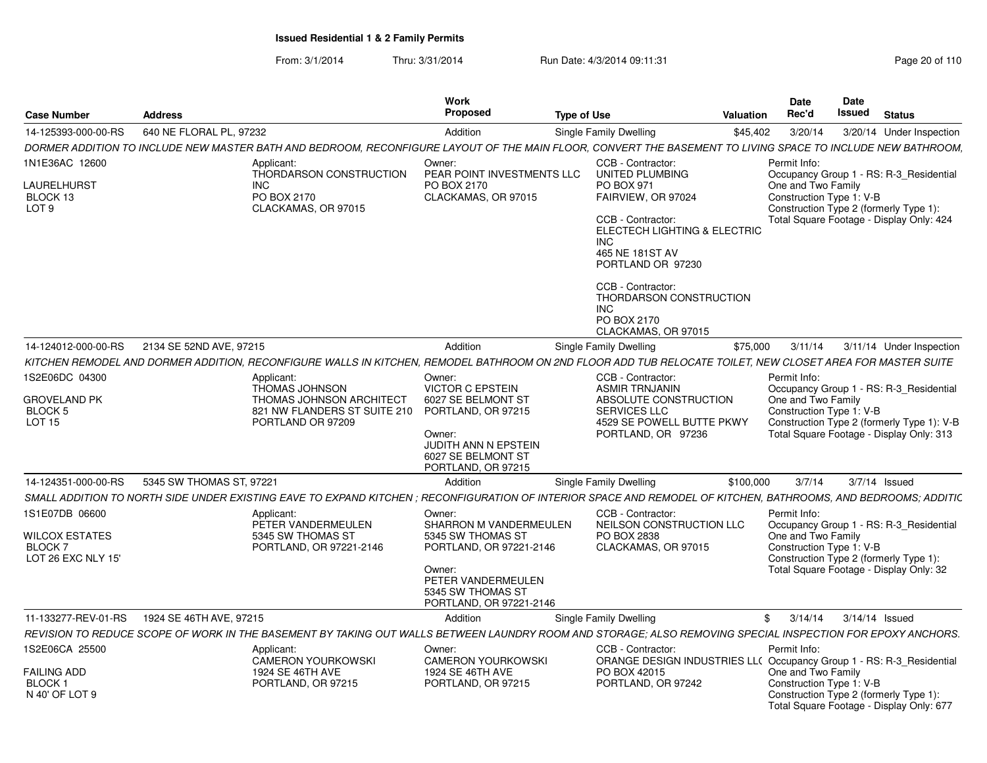From: 3/1/2014Thru: 3/31/2014 Run Date: 4/3/2014 09:11:31 Page 20 of 110

| <b>Case Number</b>                                                       | <b>Address</b>                                                                                                                                                  | Work<br>Proposed                                                                                                                                                   | <b>Type of Use</b>                                                                                                                                                                                                                                                     | <b>Valuation</b> | <b>Date</b><br>Rec'd                                           | Date<br><b>Issued</b> | <b>Status</b>                                                                                                                     |  |
|--------------------------------------------------------------------------|-----------------------------------------------------------------------------------------------------------------------------------------------------------------|--------------------------------------------------------------------------------------------------------------------------------------------------------------------|------------------------------------------------------------------------------------------------------------------------------------------------------------------------------------------------------------------------------------------------------------------------|------------------|----------------------------------------------------------------|-----------------------|-----------------------------------------------------------------------------------------------------------------------------------|--|
| 14-125393-000-00-RS                                                      | 640 NE FLORAL PL, 97232                                                                                                                                         | Addition                                                                                                                                                           | Single Family Dwelling                                                                                                                                                                                                                                                 | \$45,402         | 3/20/14                                                        |                       | 3/20/14 Under Inspection                                                                                                          |  |
|                                                                          | DORMER ADDITION TO INCLUDE NEW MASTER BATH AND BEDROOM. RECONFIGURE LAYOUT OF THE MAIN FLOOR. CONVERT THE BASEMENT TO LIVING SPACE TO INCLUDE NEW BATHROOM.     |                                                                                                                                                                    |                                                                                                                                                                                                                                                                        |                  |                                                                |                       |                                                                                                                                   |  |
| 1N1E36AC 12600<br>LAURELHURST<br>BLOCK 13<br>LOT <sub>9</sub>            | Applicant:<br>THORDARSON CONSTRUCTION<br><b>INC</b><br>PO BOX 2170<br>CLACKAMAS, OR 97015                                                                       | Owner:<br>PEAR POINT INVESTMENTS LLC<br>PO BOX 2170<br>CLACKAMAS, OR 97015                                                                                         | CCB - Contractor:<br><b>UNITED PLUMBING</b><br>PO BOX 971<br>FAIRVIEW, OR 97024<br>CCB - Contractor:<br><b>ELECTECH LIGHTING &amp; ELECTRIC</b><br>INC.<br>465 NE 181ST AV<br>PORTLAND OR 97230<br>CCB - Contractor:<br>THORDARSON CONSTRUCTION<br>INC.<br>PO BOX 2170 |                  | Permit Info:<br>One and Two Family<br>Construction Type 1: V-B |                       | Occupancy Group 1 - RS: R-3_Residential<br>Construction Type 2 (formerly Type 1):<br>Total Square Footage - Display Only: 424     |  |
|                                                                          |                                                                                                                                                                 |                                                                                                                                                                    | CLACKAMAS, OR 97015                                                                                                                                                                                                                                                    |                  |                                                                |                       |                                                                                                                                   |  |
| 14-124012-000-00-RS                                                      | 2134 SE 52ND AVE, 97215                                                                                                                                         | Addition                                                                                                                                                           | Single Family Dwelling                                                                                                                                                                                                                                                 | \$75,000         | 3/11/14                                                        |                       | 3/11/14 Under Inspection                                                                                                          |  |
|                                                                          | KITCHEN REMODEL AND DORMER ADDITION, RECONFIGURE WALLS IN KITCHEN, REMODEL BATHROOM ON 2ND FLOOR ADD TUB RELOCATE TOILET, NEW CLOSET AREA FOR MASTER SUITE      |                                                                                                                                                                    |                                                                                                                                                                                                                                                                        |                  |                                                                |                       |                                                                                                                                   |  |
| 1S2E06DC 04300<br><b>GROVELAND PK</b><br><b>BLOCK 5</b><br><b>LOT 15</b> | Applicant:<br><b>THOMAS JOHNSON</b><br>THOMAS JOHNSON ARCHITECT<br>821 NW FLANDERS ST SUITE 210<br>PORTLAND OR 97209                                            | Owner:<br><b>VICTOR C EPSTEIN</b><br>6027 SE BELMONT ST<br>PORTLAND, OR 97215<br>Owner:<br><b>JUDITH ANN N EPSTEIN</b><br>6027 SE BELMONT ST<br>PORTLAND, OR 97215 | CCB - Contractor:<br><b>ASMIR TRNJANIN</b><br>ABSOLUTE CONSTRUCTION<br>SERVICES LLC<br>4529 SE POWELL BUTTE PKWY<br>PORTLAND, OR 97236                                                                                                                                 |                  | Permit Info:<br>One and Two Family<br>Construction Type 1: V-B |                       | Occupancy Group 1 - RS: R-3_Residential<br>Construction Type 2 (formerly Type 1): V-B<br>Total Square Footage - Display Only: 313 |  |
| 14-124351-000-00-RS                                                      | 5345 SW THOMAS ST, 97221                                                                                                                                        | Addition                                                                                                                                                           | Single Family Dwelling                                                                                                                                                                                                                                                 | \$100,000        | 3/7/14                                                         |                       | $3/7/14$ Issued                                                                                                                   |  |
|                                                                          | SMALL ADDITION TO NORTH SIDE UNDER EXISTING EAVE TO EXPAND KITCHEN ; RECONFIGURATION OF INTERIOR SPACE AND REMODEL OF KITCHEN, BATHROOMS, AND BEDROOMS; ADDITIC |                                                                                                                                                                    |                                                                                                                                                                                                                                                                        |                  |                                                                |                       |                                                                                                                                   |  |
| 1S1E07DB 06600                                                           | Applicant:<br>PETER VANDERMEULEN                                                                                                                                | Owner:<br>SHARRON M VANDERMEULEN                                                                                                                                   | CCB - Contractor:<br>NEILSON CONSTRUCTION LLC                                                                                                                                                                                                                          |                  | Permit Info:                                                   |                       | Occupancy Group 1 - RS: R-3_Residential                                                                                           |  |
| WILCOX ESTATES<br>BLOCK 7<br>LOT 26 EXC NLY 15'                          | 5345 SW THOMAS ST<br>PORTLAND, OR 97221-2146                                                                                                                    | 5345 SW THOMAS ST<br>PORTLAND, OR 97221-2146<br>Owner:<br>PETER VANDERMEULEN<br>5345 SW THOMAS ST<br>PORTLAND, OR 97221-2146                                       | PO BOX 2838<br>CLACKAMAS, OR 97015                                                                                                                                                                                                                                     |                  | One and Two Family<br>Construction Type 1: V-B                 |                       | Construction Type 2 (formerly Type 1):<br>Total Square Footage - Display Only: 32                                                 |  |
| 11-133277-REV-01-RS                                                      | 1924 SE 46TH AVE, 97215                                                                                                                                         | Addition                                                                                                                                                           | Single Family Dwelling                                                                                                                                                                                                                                                 |                  | \$3/14/14                                                      |                       | 3/14/14 Issued                                                                                                                    |  |
|                                                                          | REVISION TO REDUCE SCOPE OF WORK IN THE BASEMENT BY TAKING OUT WALLS BETWEEN LAUNDRY ROOM AND STORAGE: ALSO REMOVING SPECIAL INSPECTION FOR EPOXY ANCHORS.      |                                                                                                                                                                    |                                                                                                                                                                                                                                                                        |                  |                                                                |                       |                                                                                                                                   |  |
| 1S2E06CA 25500<br>FAILING ADD                                            | Applicant:<br><b>CAMERON YOURKOWSKI</b><br>1924 SE 46TH AVE                                                                                                     | Owner:<br><b>CAMERON YOURKOWSKI</b><br>1924 SE 46TH AVE                                                                                                            | CCB - Contractor:<br>ORANGE DESIGN INDUSTRIES LL( Occupancy Group 1 - RS: R-3 Residential<br>PO BOX 42015                                                                                                                                                              |                  | Permit Info:<br>One and Two Family                             |                       |                                                                                                                                   |  |
| <b>BLOCK1</b><br>N 40' OF LOT 9                                          | PORTLAND, OR 97215                                                                                                                                              | PORTLAND, OR 97215                                                                                                                                                 | PORTLAND, OR 97242                                                                                                                                                                                                                                                     |                  | Construction Type 1: V-B                                       |                       | Construction Type 2 (formerly Type 1):<br>Total Square Footage - Display Only: 677                                                |  |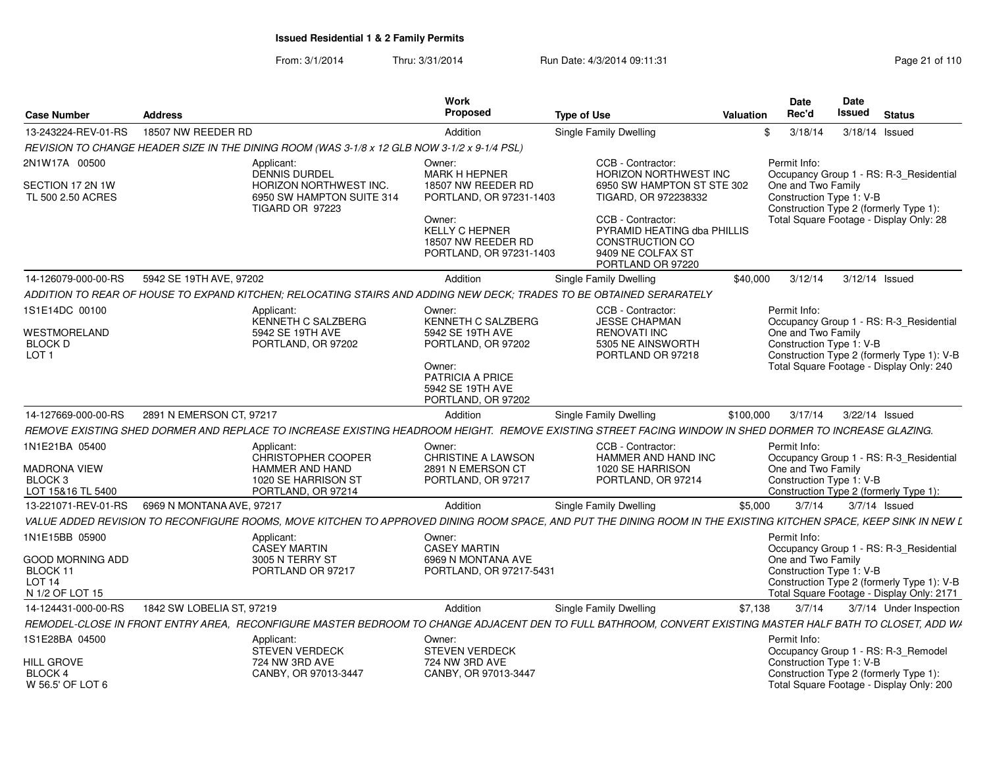From: 3/1/2014Thru: 3/31/2014 Run Date: 4/3/2014 09:11:31 Research 2010 110

| <b>Case Number</b>                                                   | <b>Address</b>            |                                                                                                                      | Work<br>Proposed                                                                                                                  | <b>Type of Use</b>                                                                                                                                                         | Valuation | Date<br>Rec'd                                                                                                                       | Date<br>Issued | <b>Status</b> |                                                                                                                                    |
|----------------------------------------------------------------------|---------------------------|----------------------------------------------------------------------------------------------------------------------|-----------------------------------------------------------------------------------------------------------------------------------|----------------------------------------------------------------------------------------------------------------------------------------------------------------------------|-----------|-------------------------------------------------------------------------------------------------------------------------------------|----------------|---------------|------------------------------------------------------------------------------------------------------------------------------------|
| 13-243224-REV-01-RS                                                  | 18507 NW REEDER RD        |                                                                                                                      | Addition                                                                                                                          | Single Family Dwelling                                                                                                                                                     |           | 3/18/14                                                                                                                             | 3/18/14 Issued |               |                                                                                                                                    |
|                                                                      |                           | REVISION TO CHANGE HEADER SIZE IN THE DINING ROOM (WAS 3-1/8 x 12 GLB NOW 3-1/2 x 9-1/4 PSL)                         |                                                                                                                                   |                                                                                                                                                                            |           |                                                                                                                                     |                |               |                                                                                                                                    |
| 2N1W17A 00500                                                        |                           | Applicant:<br><b>DENNIS DURDEL</b>                                                                                   | Owner:<br><b>MARK H HEPNER</b>                                                                                                    | CCB - Contractor:<br><b>HORIZON NORTHWEST INC</b>                                                                                                                          |           | Permit Info:                                                                                                                        |                |               | Occupancy Group 1 - RS: R-3_Residential                                                                                            |
| SECTION 17 2N 1W<br>TL 500 2.50 ACRES                                |                           | <b>HORIZON NORTHWEST INC.</b><br>6950 SW HAMPTON SUITE 314<br><b>TIGARD OR 97223</b>                                 | 18507 NW REEDER RD<br>PORTLAND, OR 97231-1403<br>Owner:<br><b>KELLY C HEPNER</b><br>18507 NW REEDER RD<br>PORTLAND, OR 97231-1403 | 6950 SW HAMPTON ST STE 302<br>TIGARD, OR 972238332<br>CCB - Contractor:<br>PYRAMID HEATING dba PHILLIS<br><b>CONSTRUCTION CO</b><br>9409 NE COLFAX ST<br>PORTLAND OR 97220 |           | One and Two Family<br>Construction Type 1: V-B<br>Construction Type 2 (formerly Type 1):<br>Total Square Footage - Display Only: 28 |                |               |                                                                                                                                    |
| 14-126079-000-00-RS                                                  | 5942 SE 19TH AVE, 97202   |                                                                                                                      | Addition                                                                                                                          | Single Family Dwelling                                                                                                                                                     | \$40,000  | 3/12/14                                                                                                                             | 3/12/14 Issued |               |                                                                                                                                    |
|                                                                      |                           | ADDITION TO REAR OF HOUSE TO EXPAND KITCHEN; RELOCATING STAIRS AND ADDING NEW DECK; TRADES TO BE OBTAINED SERARATELY |                                                                                                                                   |                                                                                                                                                                            |           |                                                                                                                                     |                |               |                                                                                                                                    |
|                                                                      |                           |                                                                                                                      |                                                                                                                                   |                                                                                                                                                                            |           | Permit Info:                                                                                                                        |                |               |                                                                                                                                    |
| 1S1E14DC 00100<br>WESTMORELAND                                       |                           | Applicant:<br>KENNETH C SALZBERG<br>5942 SE 19TH AVE                                                                 | Owner:<br>KENNETH C SALZBERG<br>5942 SE 19TH AVE                                                                                  | CCB - Contractor:<br><b>JESSE CHAPMAN</b><br><b>RENOVATI INC</b>                                                                                                           |           | One and Two Family                                                                                                                  |                |               | Occupancy Group 1 - RS: R-3 Residential                                                                                            |
| <b>BLOCK D</b><br>LOT <sub>1</sub>                                   |                           | PORTLAND, OR 97202                                                                                                   | PORTLAND, OR 97202<br>Owner:<br><b>PATRICIA A PRICE</b><br>5942 SE 19TH AVE                                                       | 5305 NE AINSWORTH<br>PORTLAND OR 97218                                                                                                                                     |           | Construction Type 1: V-B                                                                                                            |                |               | Construction Type 2 (formerly Type 1): V-B<br>Total Square Footage - Display Only: 240                                             |
|                                                                      |                           |                                                                                                                      | PORTLAND, OR 97202                                                                                                                |                                                                                                                                                                            |           |                                                                                                                                     |                |               |                                                                                                                                    |
| 14-127669-000-00-RS                                                  | 2891 N EMERSON CT, 97217  |                                                                                                                      | Addition                                                                                                                          | Single Family Dwelling                                                                                                                                                     | \$100,000 | 3/17/14                                                                                                                             | 3/22/14 Issued |               |                                                                                                                                    |
|                                                                      |                           |                                                                                                                      |                                                                                                                                   | REMOVE EXISTING SHED DORMER AND REPLACE TO INCREASE EXISTING HEADROOM HEIGHT.  REMOVE EXISTING STREET FACING WINDOW IN SHED DORMER TO INCREASE GLAZING.                    |           |                                                                                                                                     |                |               |                                                                                                                                    |
| 1N1E21BA 05400                                                       |                           | Applicant:<br><b>CHRISTOPHER COOPER</b>                                                                              | Owner:<br><b>CHRISTINE A LAWSON</b>                                                                                               | CCB - Contractor:<br>HAMMER AND HAND INC                                                                                                                                   |           | Permit Info:                                                                                                                        |                |               | Occupancy Group 1 - RS: R-3_Residential                                                                                            |
| <b>MADRONA VIEW</b><br>BLOCK <sub>3</sub><br>LOT 15&16 TL 5400       |                           | HAMMER AND HAND<br>1020 SE HARRISON ST<br>PORTLAND, OR 97214                                                         | 2891 N EMERSON CT<br>PORTLAND, OR 97217                                                                                           | 1020 SE HARRISON<br>PORTLAND, OR 97214                                                                                                                                     |           | One and Two Family<br>Construction Type 1: V-B<br>Construction Type 2 (formerly Type 1):                                            |                |               |                                                                                                                                    |
| 13-221071-REV-01-RS                                                  | 6969 N MONTANA AVE, 97217 |                                                                                                                      | Addition                                                                                                                          | Single Family Dwelling                                                                                                                                                     | \$5.000   | 3/7/14                                                                                                                              |                | 3/7/14 Issued |                                                                                                                                    |
|                                                                      |                           |                                                                                                                      |                                                                                                                                   | VALUE ADDED REVISION TO RECONFIGURE ROOMS, MOVE KITCHEN TO APPROVED DINING ROOM SPACE, AND PUT THE DINING ROOM IN THE EXISTING KITCHEN SPACE, KEEP SINK IN NEW L           |           |                                                                                                                                     |                |               |                                                                                                                                    |
| 1N1E15BB 05900                                                       |                           | Applicant:                                                                                                           | Owner:                                                                                                                            |                                                                                                                                                                            |           | Permit Info:                                                                                                                        |                |               |                                                                                                                                    |
| GOOD MORNING ADD<br>BLOCK 11<br>LOT <sub>14</sub><br>N 1/2 OF LOT 15 |                           | <b>CASEY MARTIN</b><br>3005 N TERRY ST<br>PORTLAND OR 97217                                                          | <b>CASEY MARTIN</b><br>6969 N MONTANA AVE<br>PORTLAND, OR 97217-5431                                                              |                                                                                                                                                                            |           | One and Two Family<br>Construction Type 1: V-B                                                                                      |                |               | Occupancy Group 1 - RS: R-3 Residential<br>Construction Type 2 (formerly Type 1): V-B<br>Total Square Footage - Display Only: 2171 |
| 14-124431-000-00-RS                                                  | 1842 SW LOBELIA ST, 97219 |                                                                                                                      | Addition                                                                                                                          | Single Family Dwelling                                                                                                                                                     | \$7,138   | 3/7/14                                                                                                                              |                |               | 3/7/14 Under Inspection                                                                                                            |
|                                                                      |                           |                                                                                                                      |                                                                                                                                   | REMODEL-CLOSE IN FRONT ENTRY AREA. RECONFIGURE MASTER BEDROOM TO CHANGE ADJACENT DEN TO FULL BATHROOM, CONVERT EXISTING MASTER HALF BATH TO CLOSET, ADD WI                 |           |                                                                                                                                     |                |               |                                                                                                                                    |
| 1S1E28BA 04500                                                       |                           | Applicant:<br><b>STEVEN VERDECK</b>                                                                                  | Owner:<br><b>STEVEN VERDECK</b>                                                                                                   |                                                                                                                                                                            |           | Permit Info:<br>Occupancy Group 1 - RS: R-3_Remodel                                                                                 |                |               |                                                                                                                                    |
| HILL GROVE<br>BLOCK 4<br>W 56.5' OF LOT 6                            |                           | 724 NW 3RD AVE<br>CANBY, OR 97013-3447                                                                               | 724 NW 3RD AVE<br>CANBY, OR 97013-3447                                                                                            |                                                                                                                                                                            |           | Construction Type 1: V-B<br>Construction Type 2 (formerly Type 1):<br>Total Square Footage - Display Only: 200                      |                |               |                                                                                                                                    |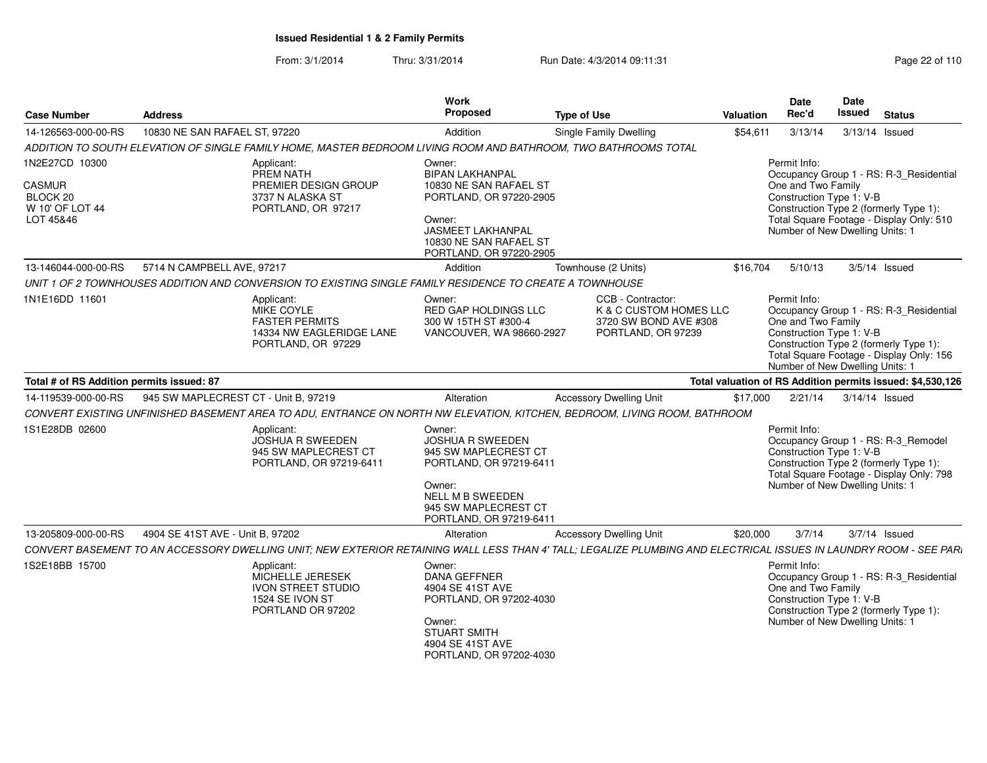From: 3/1/2014Thru: 3/31/2014 Run Date: 4/3/2014 09:11:31 Research 2010 Rage 22 of 110

| <b>Case Number</b>                                        | <b>Address</b>                                                                                                                                                    | Work<br>Proposed                                                                                                                                                             | <b>Type of Use</b>                                                                         | Valuation | <b>Date</b><br>Rec'd                                                                              | Date<br><b>Issued</b> | <b>Status</b>                                                                                                                 |
|-----------------------------------------------------------|-------------------------------------------------------------------------------------------------------------------------------------------------------------------|------------------------------------------------------------------------------------------------------------------------------------------------------------------------------|--------------------------------------------------------------------------------------------|-----------|---------------------------------------------------------------------------------------------------|-----------------------|-------------------------------------------------------------------------------------------------------------------------------|
| 14-126563-000-00-RS                                       | 10830 NE SAN RAFAEL ST, 97220                                                                                                                                     | Addition                                                                                                                                                                     | <b>Single Family Dwelling</b>                                                              | \$54,611  | 3/13/14                                                                                           |                       | 3/13/14 Issued                                                                                                                |
|                                                           | ADDITION TO SOUTH ELEVATION OF SINGLE FAMILY HOME, MASTER BEDROOM LIVING ROOM AND BATHROOM, TWO BATHROOMS TOTAL                                                   |                                                                                                                                                                              |                                                                                            |           |                                                                                                   |                       |                                                                                                                               |
| 1N2E27CD 10300                                            | Applicant:<br>PREM NATH                                                                                                                                           | Owner:<br><b>BIPAN LAKHANPAL</b>                                                                                                                                             |                                                                                            |           | Permit Info:                                                                                      |                       | Occupancy Group 1 - RS: R-3_Residential                                                                                       |
| <b>CASMUR</b><br>BLOCK 20<br>W 10' OF LOT 44<br>LOT 45&46 | PREMIER DESIGN GROUP<br>3737 N ALASKA ST<br>PORTLAND, OR 97217                                                                                                    | 10830 NE SAN RAFAEL ST<br>PORTLAND, OR 97220-2905<br>Owner:                                                                                                                  |                                                                                            |           | One and Two Family<br>Construction Type 1: V-B                                                    |                       | Construction Type 2 (formerly Type 1):<br>Total Square Footage - Display Only: 510                                            |
|                                                           |                                                                                                                                                                   | <b>JASMEET LAKHANPAL</b><br>10830 NE SAN RAFAEL ST<br>PORTLAND, OR 97220-2905                                                                                                |                                                                                            |           | Number of New Dwelling Units: 1                                                                   |                       |                                                                                                                               |
| 13-146044-000-00-RS                                       | 5714 N CAMPBELL AVE, 97217                                                                                                                                        | Addition                                                                                                                                                                     | Townhouse (2 Units)                                                                        | \$16,704  | 5/10/13                                                                                           |                       | $3/5/14$ Issued                                                                                                               |
|                                                           | UNIT 1 OF 2 TOWNHOUSES ADDITION AND CONVERSION TO EXISTING SINGLE FAMILY RESIDENCE TO CREATE A TOWNHOUSE                                                          |                                                                                                                                                                              |                                                                                            |           |                                                                                                   |                       |                                                                                                                               |
| 1N1E16DD 11601                                            | Applicant:<br>MIKE COYLE<br><b>FASTER PERMITS</b><br>14334 NW EAGLERIDGE LANE<br>PORTLAND, OR 97229                                                               | Owner:<br>RED GAP HOLDINGS LLC<br>300 W 15TH ST #300-4<br>VANCOUVER, WA 98660-2927                                                                                           | CCB - Contractor:<br>K & C CUSTOM HOMES LLC<br>3720 SW BOND AVE #308<br>PORTLAND, OR 97239 |           | Permit Info:<br>One and Two Family<br>Construction Type 1: V-B<br>Number of New Dwelling Units: 1 |                       | Occupancy Group 1 - RS: R-3_Residential<br>Construction Type 2 (formerly Type 1):<br>Total Square Footage - Display Only: 156 |
| Total # of RS Addition permits issued: 87                 |                                                                                                                                                                   |                                                                                                                                                                              |                                                                                            |           |                                                                                                   |                       | Total valuation of RS Addition permits issued: \$4,530,126                                                                    |
| 14-119539-000-00-RS                                       | 945 SW MAPLECREST CT - Unit B, 97219                                                                                                                              | Alteration                                                                                                                                                                   | <b>Accessory Dwelling Unit</b>                                                             | \$17,000  | 2/21/14                                                                                           |                       | 3/14/14 Issued                                                                                                                |
|                                                           | CONVERT EXISTING UNFINISHED BASEMENT AREA TO ADU, ENTRANCE ON NORTH NW ELEVATION, KITCHEN, BEDROOM, LIVING ROOM, BATHROOM                                         |                                                                                                                                                                              |                                                                                            |           |                                                                                                   |                       |                                                                                                                               |
| 1S1E28DB 02600                                            | Applicant:<br><b>JOSHUA R SWEEDEN</b><br>945 SW MAPLECREST CT<br>PORTLAND, OR 97219-6411                                                                          | Owner:<br><b>JOSHUA R SWEEDEN</b><br>945 SW MAPLECREST CT<br>PORTLAND, OR 97219-6411<br>Owner:<br><b>NELL M B SWEEDEN</b><br>945 SW MAPLECREST CT<br>PORTLAND, OR 97219-6411 |                                                                                            |           | Permit Info:<br>Construction Type 1: V-B<br>Number of New Dwelling Units: 1                       |                       | Occupancy Group 1 - RS: R-3_Remodel<br>Construction Type 2 (formerly Type 1):<br>Total Square Footage - Display Only: 798     |
| 13-205809-000-00-RS                                       | 4904 SE 41ST AVE - Unit B, 97202                                                                                                                                  | Alteration                                                                                                                                                                   | <b>Accessory Dwelling Unit</b>                                                             | \$20,000  | 3/7/14                                                                                            |                       | $3/7/14$ Issued                                                                                                               |
|                                                           | CONVERT BASEMENT TO AN ACCESSORY DWELLING UNIT; NEW EXTERIOR RETAINING WALL LESS THAN 4' TALL; LEGALIZE PLUMBING AND ELECTRICAL ISSUES IN LAUNDRY ROOM - SEE PARI |                                                                                                                                                                              |                                                                                            |           |                                                                                                   |                       |                                                                                                                               |
| 1S2E18BB 15700                                            | Applicant:<br>MICHELLE JERESEK<br><b>IVON STREET STUDIO</b><br>1524 SE IVON ST<br>PORTLAND OR 97202                                                               | Owner:<br><b>DANA GEFFNER</b><br>4904 SE 41ST AVE<br>PORTLAND, OR 97202-4030<br>Owner:<br><b>STUART SMITH</b><br>4904 SE 41ST AVE                                            |                                                                                            |           | Permit Info:<br>One and Two Family<br>Construction Type 1: V-B<br>Number of New Dwelling Units: 1 |                       | Occupancy Group 1 - RS: R-3_Residential<br>Construction Type 2 (formerly Type 1):                                             |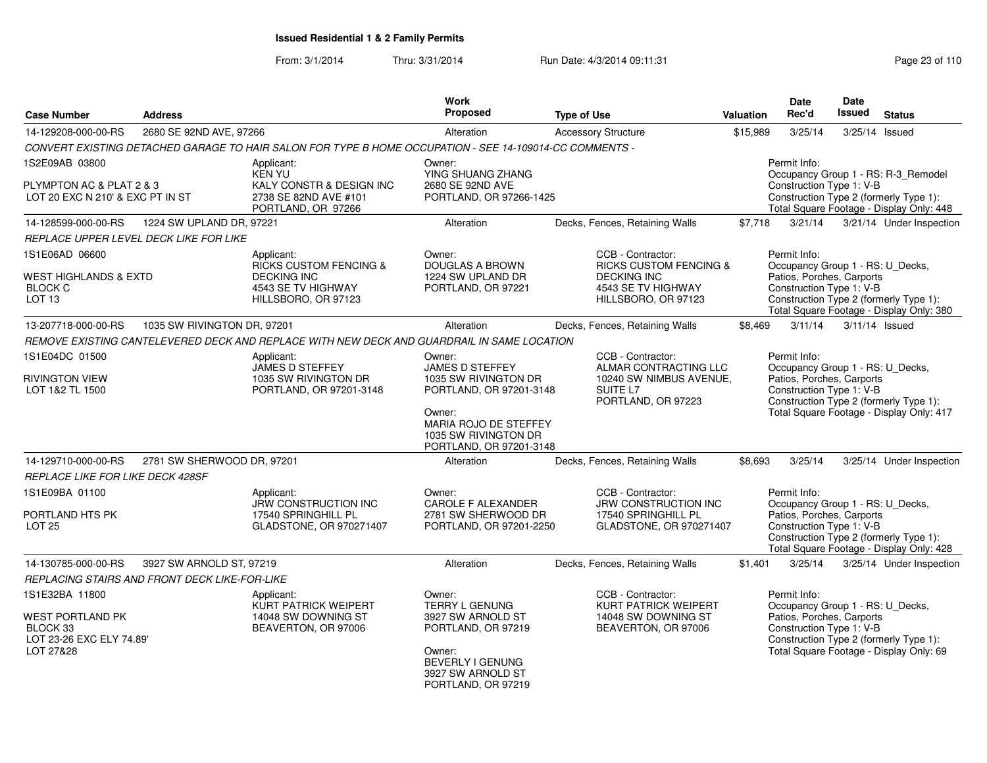From: 3/1/2014Thru: 3/31/2014 Run Date: 4/3/2014 09:11:31 Page 23 of 110

| <b>Case Number</b>                                                                             | <b>Address</b>                                |                                                                                                                    | Work<br><b>Proposed</b>                                                                                                                                            | <b>Type of Use</b>                                                                                                        | Valuation | <b>Date</b><br>Rec'd                                                                                      | <b>Date</b><br>Issued | <b>Status</b>                                                                                                             |
|------------------------------------------------------------------------------------------------|-----------------------------------------------|--------------------------------------------------------------------------------------------------------------------|--------------------------------------------------------------------------------------------------------------------------------------------------------------------|---------------------------------------------------------------------------------------------------------------------------|-----------|-----------------------------------------------------------------------------------------------------------|-----------------------|---------------------------------------------------------------------------------------------------------------------------|
| 14-129208-000-00-RS                                                                            | 2680 SE 92ND AVE, 97266                       |                                                                                                                    | Alteration                                                                                                                                                         | <b>Accessory Structure</b>                                                                                                | \$15,989  | 3/25/14                                                                                                   |                       | 3/25/14 Issued                                                                                                            |
|                                                                                                |                                               | CONVERT EXISTING DETACHED GARAGE TO HAIR SALON FOR TYPE B HOME OCCUPATION - SEE 14-109014-CC COMMENTS -            |                                                                                                                                                                    |                                                                                                                           |           |                                                                                                           |                       |                                                                                                                           |
| 1S2E09AB 03800                                                                                 |                                               | Applicant:                                                                                                         | Owner:                                                                                                                                                             |                                                                                                                           |           | Permit Info:                                                                                              |                       |                                                                                                                           |
| PLYMPTON AC & PLAT 2 & 3<br>LOT 20 EXC N 210' & EXC PT IN ST                                   |                                               | KEN YU<br>KALY CONSTR & DESIGN INC<br>2738 SE 82ND AVE #101<br>PORTLAND, OR 97266                                  | YING SHUANG ZHANG<br>2680 SE 92ND AVE<br>PORTLAND, OR 97266-1425                                                                                                   |                                                                                                                           |           | Construction Type 1: V-B                                                                                  |                       | Occupancy Group 1 - RS: R-3_Remodel<br>Construction Type 2 (formerly Type 1):<br>Total Square Footage - Display Only: 448 |
| 14-128599-000-00-RS                                                                            | 1224 SW UPLAND DR, 97221                      |                                                                                                                    | Alteration                                                                                                                                                         | Decks, Fences, Retaining Walls                                                                                            | \$7,718   | 3/21/14                                                                                                   |                       | 3/21/14 Under Inspection                                                                                                  |
|                                                                                                | REPLACE UPPER LEVEL DECK LIKE FOR LIKE        |                                                                                                                    |                                                                                                                                                                    |                                                                                                                           |           |                                                                                                           |                       |                                                                                                                           |
| 1S1E06AD 06600<br><b>WEST HIGHLANDS &amp; EXTD</b><br><b>BLOCK C</b><br>LOT <sub>13</sub>      |                                               | Applicant:<br><b>RICKS CUSTOM FENCING &amp;</b><br><b>DECKING INC</b><br>4543 SE TV HIGHWAY<br>HILLSBORO, OR 97123 | Owner:<br><b>DOUGLAS A BROWN</b><br>1224 SW UPLAND DR<br>PORTLAND, OR 97221                                                                                        | CCB - Contractor:<br><b>RICKS CUSTOM FENCING &amp;</b><br><b>DECKING INC</b><br>4543 SE TV HIGHWAY<br>HILLSBORO, OR 97123 |           | Permit Info:<br>Occupancy Group 1 - RS: U_Decks,<br>Patios, Porches, Carports<br>Construction Type 1: V-B |                       | Construction Type 2 (formerly Type 1):<br>Total Square Footage - Display Only: 380                                        |
| 13-207718-000-00-RS                                                                            | 1035 SW RIVINGTON DR, 97201                   |                                                                                                                    | Alteration                                                                                                                                                         | Decks, Fences, Retaining Walls                                                                                            | \$8,469   | 3/11/14                                                                                                   |                       | $3/11/14$ Issued                                                                                                          |
|                                                                                                |                                               | REMOVE EXISTING CANTELEVERED DECK AND REPLACE WITH NEW DECK AND GUARDRAIL IN SAME LOCATION                         |                                                                                                                                                                    |                                                                                                                           |           |                                                                                                           |                       |                                                                                                                           |
| 1S1E04DC 01500<br><b>RIVINGTON VIEW</b><br>LOT 1&2 TL 1500                                     |                                               | Applicant:<br>JAMES D STEFFEY<br>1035 SW RIVINGTON DR<br>PORTLAND, OR 97201-3148                                   | Owner:<br>JAMES D STEFFEY<br>1035 SW RIVINGTON DR<br>PORTLAND, OR 97201-3148<br>Owner:<br>MARIA ROJO DE STEFFEY<br>1035 SW RIVINGTON DR<br>PORTLAND, OR 97201-3148 | CCB - Contractor:<br>ALMAR CONTRACTING LLC<br>10240 SW NIMBUS AVENUE,<br>SUITE L7<br>PORTLAND, OR 97223                   |           | Permit Info:<br>Occupancy Group 1 - RS: U_Decks,<br>Patios, Porches, Carports<br>Construction Type 1: V-B |                       | Construction Type 2 (formerly Type 1):<br>Total Square Footage - Display Only: 417                                        |
| 14-129710-000-00-RS                                                                            | 2781 SW SHERWOOD DR, 97201                    |                                                                                                                    | Alteration                                                                                                                                                         | Decks, Fences, Retaining Walls                                                                                            | \$8,693   | 3/25/14                                                                                                   |                       | 3/25/14 Under Inspection                                                                                                  |
| REPLACE LIKE FOR LIKE DECK 428SF                                                               |                                               |                                                                                                                    |                                                                                                                                                                    |                                                                                                                           |           |                                                                                                           |                       |                                                                                                                           |
| 1S1E09BA 01100<br>PORTLAND HTS PK<br><b>LOT 25</b>                                             |                                               | Applicant:<br><b>JRW CONSTRUCTION INC</b><br>17540 SPRINGHILL PL<br>GLADSTONE, OR 970271407                        | Owner:<br><b>CAROLE F ALEXANDER</b><br>2781 SW SHERWOOD DR<br>PORTLAND, OR 97201-2250                                                                              | CCB - Contractor:<br><b>JRW CONSTRUCTION INC</b><br>17540 SPRINGHILL PL<br>GLADSTONE, OR 970271407                        |           | Permit Info:<br>Occupancy Group 1 - RS: U_Decks,<br>Patios, Porches, Carports<br>Construction Type 1: V-B |                       | Construction Type 2 (formerly Type 1):<br>Total Square Footage - Display Only: 428                                        |
| 14-130785-000-00-RS                                                                            | 3927 SW ARNOLD ST, 97219                      |                                                                                                                    | Alteration                                                                                                                                                         | Decks, Fences, Retaining Walls                                                                                            | \$1,401   | 3/25/14                                                                                                   |                       | 3/25/14 Under Inspection                                                                                                  |
|                                                                                                | REPLACING STAIRS AND FRONT DECK LIKE-FOR-LIKE |                                                                                                                    |                                                                                                                                                                    |                                                                                                                           |           |                                                                                                           |                       |                                                                                                                           |
| 1S1E32BA 11800<br><b>WEST PORTLAND PK</b><br>BLOCK 33<br>LOT 23-26 EXC ELY 74.89'<br>LOT 27&28 |                                               | Applicant:<br>KURT PATRICK WEIPERT<br>14048 SW DOWNING ST<br>BEAVERTON, OR 97006                                   | Owner:<br><b>TERRY L GENUNG</b><br>3927 SW ARNOLD ST<br>PORTLAND, OR 97219<br>Owner:<br><b>BEVERLY I GENUNG</b><br>3927 SW ARNOLD ST<br>PORTLAND, OR 97219         | CCB - Contractor:<br>KURT PATRICK WEIPERT<br>14048 SW DOWNING ST<br>BEAVERTON, OR 97006                                   |           | Permit Info:<br>Occupancy Group 1 - RS: U_Decks,<br>Patios, Porches, Carports<br>Construction Type 1: V-B |                       | Construction Type 2 (formerly Type 1):<br>Total Square Footage - Display Only: 69                                         |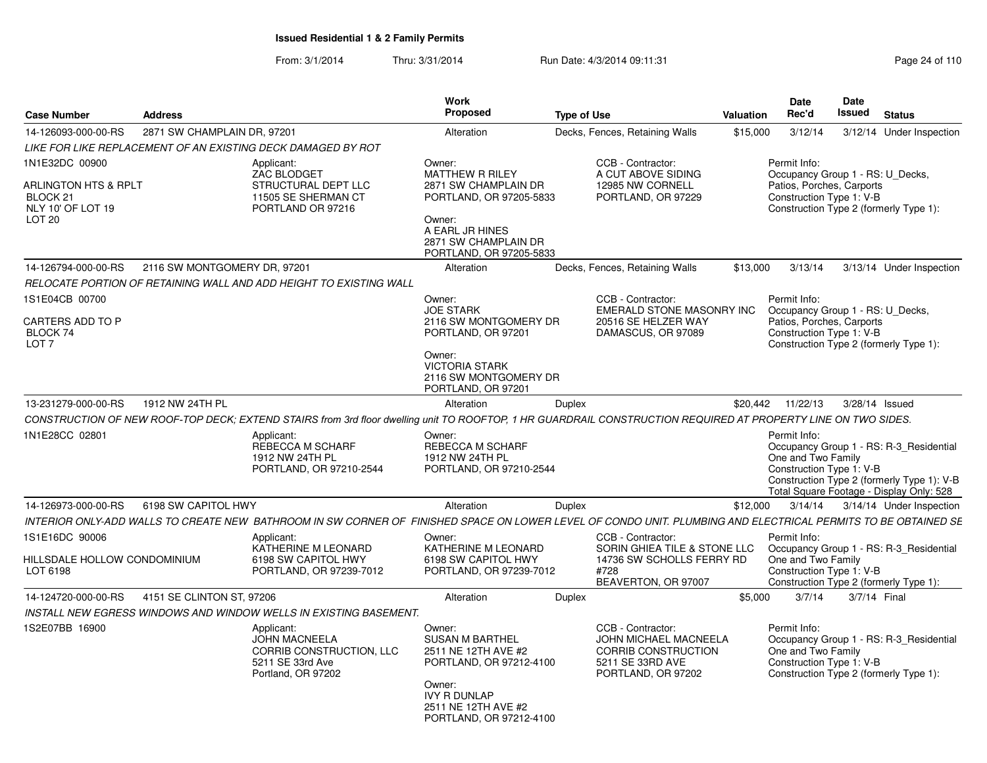From: 3/1/2014Thru: 3/31/2014 Run Date: 4/3/2014 09:11:31 Research 2010 Rage 24 of 110

| <b>Address</b>               |                                                                                                          | <b>Work</b><br><b>Proposed</b>                                                                                                                                                                                                                        |                                                                                                                               |                                                                                                                                                                                                        |                                                                                                             | Date<br>Rec'd                                                                                                                                 | <b>Date</b><br>Issued                                                                                           | <b>Status</b>                                                                                                                                                                                                                                                                                                                                                                                                                                                                                                                                                                                                                                                                                                                                                                                                                                                                                                                                                                                                                                                             |
|------------------------------|----------------------------------------------------------------------------------------------------------|-------------------------------------------------------------------------------------------------------------------------------------------------------------------------------------------------------------------------------------------------------|-------------------------------------------------------------------------------------------------------------------------------|--------------------------------------------------------------------------------------------------------------------------------------------------------------------------------------------------------|-------------------------------------------------------------------------------------------------------------|-----------------------------------------------------------------------------------------------------------------------------------------------|-----------------------------------------------------------------------------------------------------------------|---------------------------------------------------------------------------------------------------------------------------------------------------------------------------------------------------------------------------------------------------------------------------------------------------------------------------------------------------------------------------------------------------------------------------------------------------------------------------------------------------------------------------------------------------------------------------------------------------------------------------------------------------------------------------------------------------------------------------------------------------------------------------------------------------------------------------------------------------------------------------------------------------------------------------------------------------------------------------------------------------------------------------------------------------------------------------|
|                              |                                                                                                          | Alteration                                                                                                                                                                                                                                            |                                                                                                                               |                                                                                                                                                                                                        |                                                                                                             | 3/12/14                                                                                                                                       |                                                                                                                 | 3/12/14 Under Inspection                                                                                                                                                                                                                                                                                                                                                                                                                                                                                                                                                                                                                                                                                                                                                                                                                                                                                                                                                                                                                                                  |
|                              |                                                                                                          |                                                                                                                                                                                                                                                       |                                                                                                                               |                                                                                                                                                                                                        |                                                                                                             |                                                                                                                                               |                                                                                                                 |                                                                                                                                                                                                                                                                                                                                                                                                                                                                                                                                                                                                                                                                                                                                                                                                                                                                                                                                                                                                                                                                           |
| ARLINGTON HTS & RPLT         | Applicant:<br>ZAC BLODGET<br>STRUCTURAL DEPT LLC<br>11505 SE SHERMAN CT<br>PORTLAND OR 97216             | Owner:<br><b>MATTHEW R RILEY</b><br>2871 SW CHAMPLAIN DR<br>Owner:<br>A EARL JR HINES<br>2871 SW CHAMPLAIN DR                                                                                                                                         |                                                                                                                               | CCB - Contractor:<br>A CUT ABOVE SIDING<br>12985 NW CORNELL<br>PORTLAND, OR 97229                                                                                                                      |                                                                                                             | Permit Info:                                                                                                                                  |                                                                                                                 |                                                                                                                                                                                                                                                                                                                                                                                                                                                                                                                                                                                                                                                                                                                                                                                                                                                                                                                                                                                                                                                                           |
|                              |                                                                                                          |                                                                                                                                                                                                                                                       |                                                                                                                               |                                                                                                                                                                                                        |                                                                                                             |                                                                                                                                               |                                                                                                                 | 3/13/14 Under Inspection                                                                                                                                                                                                                                                                                                                                                                                                                                                                                                                                                                                                                                                                                                                                                                                                                                                                                                                                                                                                                                                  |
|                              |                                                                                                          |                                                                                                                                                                                                                                                       |                                                                                                                               |                                                                                                                                                                                                        |                                                                                                             |                                                                                                                                               |                                                                                                                 |                                                                                                                                                                                                                                                                                                                                                                                                                                                                                                                                                                                                                                                                                                                                                                                                                                                                                                                                                                                                                                                                           |
|                              |                                                                                                          |                                                                                                                                                                                                                                                       |                                                                                                                               |                                                                                                                                                                                                        |                                                                                                             |                                                                                                                                               |                                                                                                                 |                                                                                                                                                                                                                                                                                                                                                                                                                                                                                                                                                                                                                                                                                                                                                                                                                                                                                                                                                                                                                                                                           |
|                              |                                                                                                          | <b>JOE STARK</b><br>PORTLAND, OR 97201<br>Owner:<br><b>VICTORIA STARK</b>                                                                                                                                                                             |                                                                                                                               | 20516 SE HELZER WAY<br>DAMASCUS, OR 97089                                                                                                                                                              |                                                                                                             |                                                                                                                                               |                                                                                                                 |                                                                                                                                                                                                                                                                                                                                                                                                                                                                                                                                                                                                                                                                                                                                                                                                                                                                                                                                                                                                                                                                           |
|                              |                                                                                                          |                                                                                                                                                                                                                                                       |                                                                                                                               |                                                                                                                                                                                                        |                                                                                                             |                                                                                                                                               |                                                                                                                 |                                                                                                                                                                                                                                                                                                                                                                                                                                                                                                                                                                                                                                                                                                                                                                                                                                                                                                                                                                                                                                                                           |
|                              |                                                                                                          |                                                                                                                                                                                                                                                       |                                                                                                                               |                                                                                                                                                                                                        |                                                                                                             |                                                                                                                                               |                                                                                                                 |                                                                                                                                                                                                                                                                                                                                                                                                                                                                                                                                                                                                                                                                                                                                                                                                                                                                                                                                                                                                                                                                           |
|                              | Applicant:<br>REBECCA M SCHARF<br>1912 NW 24TH PL<br>PORTLAND, OR 97210-2544                             | Owner:<br>REBECCA M SCHARF<br>1912 NW 24TH PL                                                                                                                                                                                                         |                                                                                                                               |                                                                                                                                                                                                        |                                                                                                             | Permit Info:                                                                                                                                  |                                                                                                                 |                                                                                                                                                                                                                                                                                                                                                                                                                                                                                                                                                                                                                                                                                                                                                                                                                                                                                                                                                                                                                                                                           |
|                              |                                                                                                          | Alteration                                                                                                                                                                                                                                            | Duplex                                                                                                                        |                                                                                                                                                                                                        |                                                                                                             | 3/14/14                                                                                                                                       |                                                                                                                 | 3/14/14 Under Inspection                                                                                                                                                                                                                                                                                                                                                                                                                                                                                                                                                                                                                                                                                                                                                                                                                                                                                                                                                                                                                                                  |
|                              |                                                                                                          |                                                                                                                                                                                                                                                       |                                                                                                                               |                                                                                                                                                                                                        |                                                                                                             |                                                                                                                                               |                                                                                                                 |                                                                                                                                                                                                                                                                                                                                                                                                                                                                                                                                                                                                                                                                                                                                                                                                                                                                                                                                                                                                                                                                           |
| HILLSDALE HOLLOW CONDOMINIUM | Applicant:<br>KATHERINE M LEONARD<br>6198 SW CAPITOL HWY<br>PORTLAND, OR 97239-7012                      | Owner:<br>KATHERINE M LEONARD<br>6198 SW CAPITOL HWY                                                                                                                                                                                                  |                                                                                                                               | CCB - Contractor:<br>#728<br>BEAVERTON, OR 97007                                                                                                                                                       |                                                                                                             | Permit Info:                                                                                                                                  |                                                                                                                 |                                                                                                                                                                                                                                                                                                                                                                                                                                                                                                                                                                                                                                                                                                                                                                                                                                                                                                                                                                                                                                                                           |
|                              |                                                                                                          | Alteration                                                                                                                                                                                                                                            | Duplex                                                                                                                        |                                                                                                                                                                                                        |                                                                                                             | 3/7/14                                                                                                                                        |                                                                                                                 |                                                                                                                                                                                                                                                                                                                                                                                                                                                                                                                                                                                                                                                                                                                                                                                                                                                                                                                                                                                                                                                                           |
|                              |                                                                                                          |                                                                                                                                                                                                                                                       |                                                                                                                               |                                                                                                                                                                                                        |                                                                                                             |                                                                                                                                               |                                                                                                                 |                                                                                                                                                                                                                                                                                                                                                                                                                                                                                                                                                                                                                                                                                                                                                                                                                                                                                                                                                                                                                                                                           |
|                              | Applicant:<br><b>JOHN MACNEELA</b><br>CORRIB CONSTRUCTION, LLC<br>5211 SE 33rd Ave<br>Portland, OR 97202 | Owner:<br><b>SUSAN M BARTHEL</b><br>2511 NE 12TH AVE #2                                                                                                                                                                                               |                                                                                                                               | CCB - Contractor:<br>5211 SE 33RD AVE<br>PORTLAND, OR 97202                                                                                                                                            |                                                                                                             | Permit Info:<br>Construction Type 2 (formerly Type 1):                                                                                        |                                                                                                                 |                                                                                                                                                                                                                                                                                                                                                                                                                                                                                                                                                                                                                                                                                                                                                                                                                                                                                                                                                                                                                                                                           |
|                              | 1912 NW 24TH PL                                                                                          | 2871 SW CHAMPLAIN DR, 97201<br>LIKE FOR LIKE REPLACEMENT OF AN EXISTING DECK DAMAGED BY ROT<br>2116 SW MONTGOMERY DR, 97201<br>RELOCATE PORTION OF RETAINING WALL AND ADD HEIGHT TO EXISTING WALL<br>6198 SW CAPITOL HWY<br>4151 SE CLINTON ST, 97206 | Alteration<br>Owner:<br>PORTLAND, OR 97201<br>Alteration<br>INSTALL NEW EGRESS WINDOWS AND WINDOW WELLS IN EXISTING BASEMENT. | PORTLAND, OR 97205-5833<br>PORTLAND, OR 97205-5833<br>2116 SW MONTGOMERY DR<br>2116 SW MONTGOMERY DR<br><b>Duplex</b><br>PORTLAND, OR 97210-2544<br>PORTLAND, OR 97239-7012<br>PORTLAND, OR 97212-4100 | <b>Type of Use</b><br>Decks, Fences, Retaining Walls<br>Decks, Fences, Retaining Walls<br>CCB - Contractor: | EMERALD STONE MASONRY INC<br>SORIN GHIEA TILE & STONE LLC<br>14736 SW SCHOLLS FERRY RD<br>JOHN MICHAEL MACNEELA<br><b>CORRIB CONSTRUCTION</b> | <b>Valuation</b><br>\$15,000<br>\$13,000<br>3/13/14<br>Permit Info:<br>\$20,442 11/22/13<br>\$12,000<br>\$5,000 | Occupancy Group 1 - RS: U Decks,<br>Patios, Porches, Carports<br>Construction Type 1: V-B<br>Construction Type 2 (formerly Type 1):<br>Occupancy Group 1 - RS: U_Decks,<br>Patios, Porches, Carports<br>Construction Type 1: V-B<br>Construction Type 2 (formerly Type 1):<br>3/28/14 Issued<br>CONSTRUCTION OF NEW ROOF-TOP DECK; EXTEND STAIRS from 3rd floor dwelling unit TO ROOFTOP, 1 HR GUARDRAIL CONSTRUCTION REQUIRED AT PROPERTY LINE ON TWO SIDES.<br>Occupancy Group 1 - RS: R-3_Residential<br>One and Two Family<br>Construction Type 1: V-B<br>Construction Type 2 (formerly Type 1): V-B<br>Total Square Footage - Display Only: 528<br>INTERIOR ONLY-ADD WALLS TO CREATE NEW BATHROOM IN SW CORNER OF FINISHED SPACE ON LOWER LEVEL OF CONDO UNIT. PLUMBING AND ELECTRICAL PERMITS TO BE OBTAINED SE<br>Occupancy Group 1 - RS: R-3_Residential<br>One and Two Family<br>Construction Type 1: V-B<br>Construction Type 2 (formerly Type 1):<br>3/7/14 Final<br>Occupancy Group 1 - RS: R-3_Residential<br>One and Two Family<br>Construction Type 1: V-B |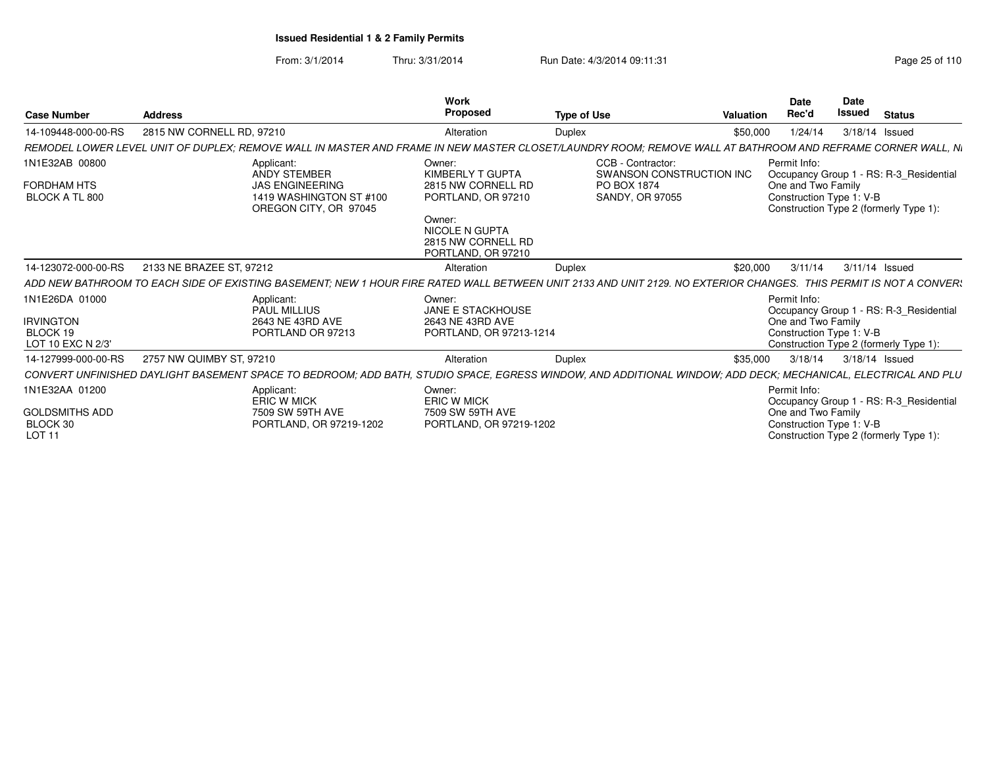From: 3/1/2014Thru: 3/31/2014 Run Date: 4/3/2014 09:11:31 Page 25 of 110

|                                                    |                                                                                                                                                                   | <b>Work</b>                                                          |                                               |           | <b>Date</b>                                    | <b>Date</b>   |                                         |
|----------------------------------------------------|-------------------------------------------------------------------------------------------------------------------------------------------------------------------|----------------------------------------------------------------------|-----------------------------------------------|-----------|------------------------------------------------|---------------|-----------------------------------------|
| <b>Case Number</b>                                 | <b>Address</b>                                                                                                                                                    | Proposed                                                             | <b>Type of Use</b>                            | Valuation | Rec'd                                          | <b>Issued</b> | <b>Status</b>                           |
| 14-109448-000-00-RS                                | 2815 NW CORNELL RD, 97210                                                                                                                                         | Alteration                                                           | Duplex                                        | \$50,000  | 1/24/14                                        |               | 3/18/14 Issued                          |
|                                                    | REMODEL LOWER LEVEL UNIT OF DUPLEX; REMOVE WALL IN MASTER AND FRAME IN NEW MASTER CLOSET/LAUNDRY ROOM; REMOVE WALL AT BATHROOM AND REFRAME CORNER WALL, Ni        |                                                                      |                                               |           |                                                |               |                                         |
| 1N1E32AB 00800                                     | Applicant:<br>ANDY STEMBER                                                                                                                                        | Owner:<br>KIMBERLY T GUPTA                                           | CCB - Contractor:<br>SWANSON CONSTRUCTION INC |           | Permit Info:                                   |               | Occupancy Group 1 - RS: R-3_Residential |
| FORDHAM HTS<br>BLOCK A TL 800                      | <b>JAS ENGINEERING</b><br>1419 WASHINGTON ST #100<br>OREGON CITY, OR 97045                                                                                        | 2815 NW CORNELL RD<br>PORTLAND, OR 97210                             | PO BOX 1874<br>SANDY, OR 97055                |           | One and Two Family<br>Construction Type 1: V-B |               | Construction Type 2 (formerly Type 1):  |
|                                                    |                                                                                                                                                                   | Owner:<br>NICOLE N GUPTA<br>2815 NW CORNELL RD<br>PORTLAND, OR 97210 |                                               |           |                                                |               |                                         |
| 14-123072-000-00-RS                                | 2133 NE BRAZEE ST, 97212                                                                                                                                          | Alteration                                                           | Duplex                                        | \$20,000  | 3/11/14                                        |               | 3/11/14 Issued                          |
|                                                    | ADD NEW BATHROOM TO EACH SIDE OF EXISTING BASEMENT; NEW 1 HOUR FIRE RATED WALL BETWEEN UNIT 2133 AND UNIT 2129. NO EXTERIOR CHANGES. THIS PERMIT IS NOT A CONVER! |                                                                      |                                               |           |                                                |               |                                         |
| 1N1E26DA 01000                                     | Applicant:<br>PAUL MILLIUS                                                                                                                                        | Owner:<br><b>JANE E STACKHOUSE</b>                                   |                                               |           | Permit Info:                                   |               | Occupancy Group 1 - RS: R-3_Residential |
| IRVINGTON<br>BLOCK 19                              | 2643 NE 43RD AVE                                                                                                                                                  | 2643 NE 43RD AVE                                                     |                                               |           | One and Two Family                             |               |                                         |
| LOT 10 EXC N 2/3'                                  | PORTLAND OR 97213                                                                                                                                                 | PORTLAND, OR 97213-1214                                              |                                               |           | Construction Type 1: V-B                       |               | Construction Type 2 (formerly Type 1):  |
| 14-127999-000-00-RS                                | 2757 NW QUIMBY ST, 97210                                                                                                                                          | Alteration                                                           | Duplex                                        | \$35,000  | 3/18/14                                        |               | 3/18/14 Issued                          |
|                                                    | CONVERT UNFINISHED DAYLIGHT BASEMENT SPACE TO BEDROOM; ADD BATH, STUDIO SPACE, EGRESS WINDOW, AND ADDITIONAL WINDOW; ADD DECK; MECHANICAL, ELECTRICAL AND PLU     |                                                                      |                                               |           |                                                |               |                                         |
| 1N1E32AA 01200                                     | Applicant:<br><b>ERIC W MICK</b>                                                                                                                                  | Owner:<br><b>ERIC W MICK</b>                                         |                                               |           | Permit Info:                                   |               | Occupancy Group 1 - RS: R-3_Residential |
| <b>GOLDSMITHS ADD</b><br>BLOCK 30<br><b>LOT 11</b> | 7509 SW 59TH AVE<br>PORTLAND, OR 97219-1202                                                                                                                       | 7509 SW 59TH AVE<br>PORTLAND, OR 97219-1202                          |                                               |           | One and Two Family<br>Construction Type 1: V-B |               | Construction Type 2 (formerly Type 1):  |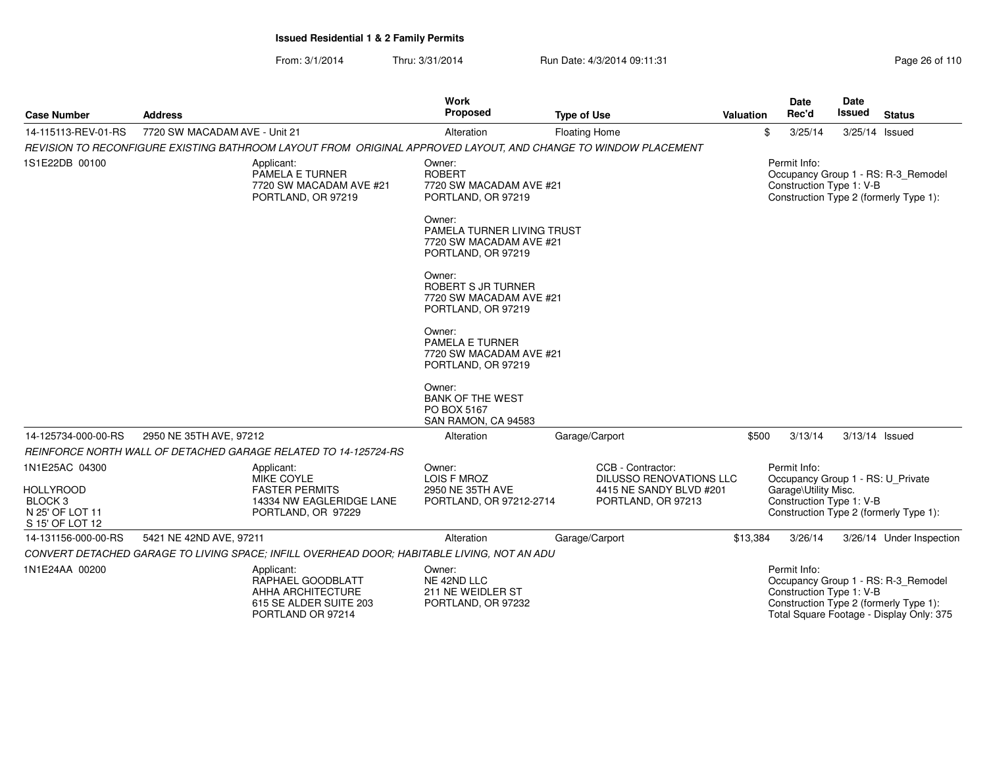From: 3/1/2014Thru: 3/31/2014 Run Date: 4/3/2014 09:11:31 Page 26 of 110

| <b>Case Number</b>                                                                             | <b>Address</b>                |                                                                                                                | <b>Work</b><br>Proposed                                                               | <b>Type of Use</b>                                                                                   | <b>Valuation</b> | Date<br>Rec'd                                                                                         | Date<br>Issued | <b>Status</b>                                                                                                             |
|------------------------------------------------------------------------------------------------|-------------------------------|----------------------------------------------------------------------------------------------------------------|---------------------------------------------------------------------------------------|------------------------------------------------------------------------------------------------------|------------------|-------------------------------------------------------------------------------------------------------|----------------|---------------------------------------------------------------------------------------------------------------------------|
| 14-115113-REV-01-RS                                                                            | 7720 SW MACADAM AVE - Unit 21 |                                                                                                                | Alteration                                                                            | <b>Floating Home</b>                                                                                 | \$               | 3/25/14                                                                                               | 3/25/14 Issued |                                                                                                                           |
|                                                                                                |                               | REVISION TO RECONFIGURE EXISTING BATHROOM LAYOUT FROM ORIGINAL APPROVED LAYOUT, AND CHANGE TO WINDOW PLACEMENT |                                                                                       |                                                                                                      |                  |                                                                                                       |                |                                                                                                                           |
| 1S1E22DB 00100                                                                                 |                               | Applicant:<br>PAMELA E TURNER<br>7720 SW MACADAM AVE #21<br>PORTLAND, OR 97219                                 | Owner:<br><b>ROBERT</b><br>7720 SW MACADAM AVE #21<br>PORTLAND, OR 97219              |                                                                                                      |                  | Permit Info:<br>Construction Type 1: V-B                                                              |                | Occupancy Group 1 - RS: R-3_Remodel<br>Construction Type 2 (formerly Type 1):                                             |
|                                                                                                |                               |                                                                                                                | Owner:<br>PAMELA TURNER LIVING TRUST<br>7720 SW MACADAM AVE #21<br>PORTLAND, OR 97219 |                                                                                                      |                  |                                                                                                       |                |                                                                                                                           |
|                                                                                                |                               |                                                                                                                | Owner:<br>ROBERT S JR TURNER<br>7720 SW MACADAM AVE #21<br>PORTLAND, OR 97219         |                                                                                                      |                  |                                                                                                       |                |                                                                                                                           |
|                                                                                                |                               |                                                                                                                | Owner:<br>PAMELA E TURNER<br>7720 SW MACADAM AVE #21<br>PORTLAND, OR 97219            |                                                                                                      |                  |                                                                                                       |                |                                                                                                                           |
|                                                                                                |                               |                                                                                                                | Owner:<br><b>BANK OF THE WEST</b><br>PO BOX 5167<br>SAN RAMON, CA 94583               |                                                                                                      |                  |                                                                                                       |                |                                                                                                                           |
| 14-125734-000-00-RS                                                                            | 2950 NE 35TH AVE, 97212       |                                                                                                                | Alteration                                                                            | Garage/Carport                                                                                       | \$500            | 3/13/14                                                                                               | 3/13/14 Issued |                                                                                                                           |
|                                                                                                |                               | REINFORCE NORTH WALL OF DETACHED GARAGE RELATED TO 14-125724-RS                                                |                                                                                       |                                                                                                      |                  |                                                                                                       |                |                                                                                                                           |
| 1N1E25AC 04300<br><b>HOLLYROOD</b><br>BLOCK <sub>3</sub><br>N 25' OF LOT 11<br>S 15' OF LOT 12 |                               | Applicant:<br><b>MIKE COYLE</b><br><b>FASTER PERMITS</b><br>14334 NW EAGLERIDGE LANE<br>PORTLAND, OR 97229     | Owner:<br>LOIS F MROZ<br>2950 NE 35TH AVE<br>PORTLAND, OR 97212-2714                  | CCB - Contractor:<br><b>DILUSSO RENOVATIONS LLC</b><br>4415 NE SANDY BLVD #201<br>PORTLAND, OR 97213 |                  | Permit Info:<br>Occupancy Group 1 - RS: U Private<br>Garage\Utility Misc.<br>Construction Type 1: V-B |                | Construction Type 2 (formerly Type 1):                                                                                    |
| 14-131156-000-00-RS                                                                            | 5421 NE 42ND AVE, 97211       |                                                                                                                | Alteration                                                                            | Garage/Carport                                                                                       | \$13,384         | 3/26/14                                                                                               |                | 3/26/14 Under Inspection                                                                                                  |
|                                                                                                |                               | CONVERT DETACHED GARAGE TO LIVING SPACE; INFILL OVERHEAD DOOR; HABITABLE LIVING, NOT AN ADU                    |                                                                                       |                                                                                                      |                  |                                                                                                       |                |                                                                                                                           |
| 1N1E24AA 00200                                                                                 |                               | Applicant:<br>RAPHAEL GOODBLATT<br>AHHA ARCHITECTURE<br>615 SE ALDER SUITE 203<br>PORTLAND OR 97214            | Owner:<br>NE 42ND LLC<br>211 NE WEIDLER ST<br>PORTLAND, OR 97232                      |                                                                                                      |                  | Permit Info:<br>Construction Type 1: V-B                                                              |                | Occupancy Group 1 - RS: R-3_Remodel<br>Construction Type 2 (formerly Type 1):<br>Total Square Footage - Display Only: 375 |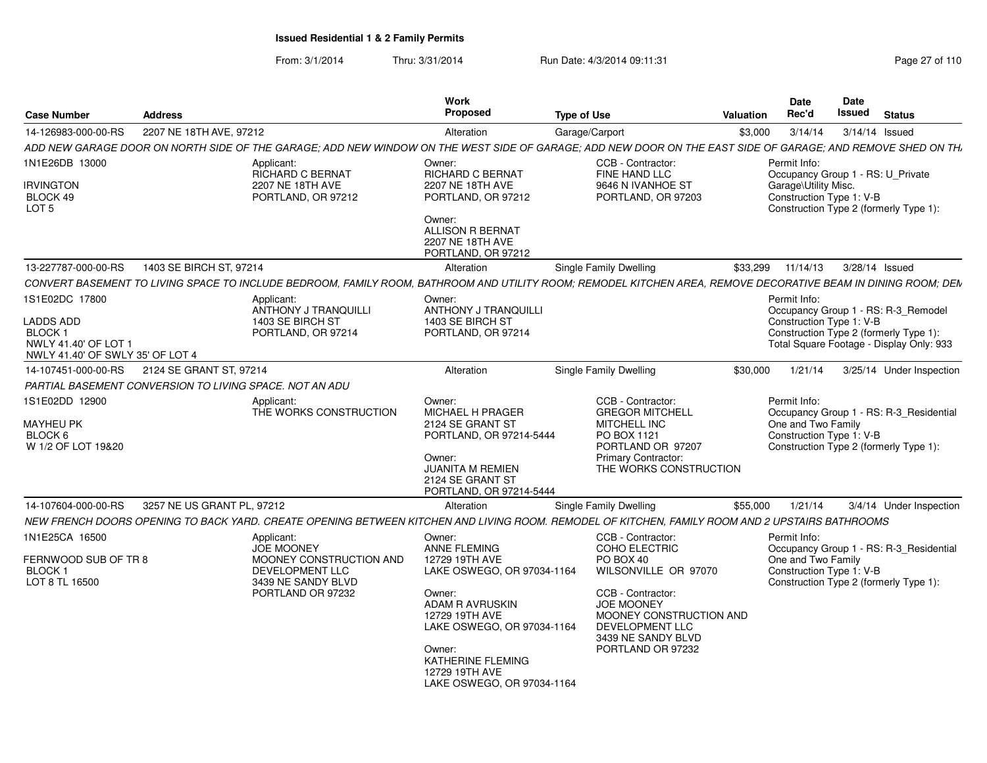From: 3/1/2014Thru: 3/31/2014 Run Date: 4/3/2014 09:11:31 Page 27 of 110

| <b>Case Number</b>                                                                                              | <b>Address</b>             |                                                                                                                                                               | <b>Work</b><br>Proposed                                                                                                                                                                                                                   | <b>Type of Use</b> |                                                                                                                                                                                                                   | <b>Valuation</b> | <b>Date</b><br>Rec'd                                           | <b>Date</b><br>Issued | <b>Status</b>                                                                                                             |
|-----------------------------------------------------------------------------------------------------------------|----------------------------|---------------------------------------------------------------------------------------------------------------------------------------------------------------|-------------------------------------------------------------------------------------------------------------------------------------------------------------------------------------------------------------------------------------------|--------------------|-------------------------------------------------------------------------------------------------------------------------------------------------------------------------------------------------------------------|------------------|----------------------------------------------------------------|-----------------------|---------------------------------------------------------------------------------------------------------------------------|
| 14-126983-000-00-RS                                                                                             | 2207 NE 18TH AVE, 97212    |                                                                                                                                                               | Alteration                                                                                                                                                                                                                                |                    | Garage/Carport                                                                                                                                                                                                    | \$3,000          | 3/14/14                                                        |                       | 3/14/14 Issued                                                                                                            |
|                                                                                                                 |                            | ADD NEW GARAGE DOOR ON NORTH SIDE OF THE GARAGE: ADD NEW WINDOW ON THE WEST SIDE OF GARAGE: ADD NEW DOOR ON THE EAST SIDE OF GARAGE: AND REMOVE SHED ON TH.   |                                                                                                                                                                                                                                           |                    |                                                                                                                                                                                                                   |                  |                                                                |                       |                                                                                                                           |
| 1N1E26DB 13000                                                                                                  |                            | Applicant:<br>RICHARD C BERNAT                                                                                                                                | Owner:<br>RICHARD C BERNAT                                                                                                                                                                                                                |                    | CCB - Contractor:<br>FINE HAND LLC                                                                                                                                                                                |                  | Permit Info:                                                   |                       | Occupancy Group 1 - RS: U_Private                                                                                         |
| <b>IRVINGTON</b><br>BLOCK 49<br>LOT <sub>5</sub>                                                                |                            | 2207 NE 18TH AVE<br>PORTLAND, OR 97212                                                                                                                        | 2207 NE 18TH AVE<br>PORTLAND, OR 97212<br>Owner:<br><b>ALLISON R BERNAT</b><br>2207 NE 18TH AVE                                                                                                                                           |                    | 9646 N IVANHOE ST<br>PORTLAND, OR 97203                                                                                                                                                                           |                  | Garage\Utility Misc.<br>Construction Type 1: V-B               |                       | Construction Type 2 (formerly Type 1):                                                                                    |
|                                                                                                                 |                            |                                                                                                                                                               | PORTLAND, OR 97212                                                                                                                                                                                                                        |                    |                                                                                                                                                                                                                   |                  |                                                                |                       |                                                                                                                           |
| 13-227787-000-00-RS                                                                                             | 1403 SE BIRCH ST, 97214    |                                                                                                                                                               | Alteration                                                                                                                                                                                                                                |                    | <b>Single Family Dwelling</b>                                                                                                                                                                                     | \$33,299         | 11/14/13                                                       |                       | 3/28/14 Issued                                                                                                            |
|                                                                                                                 |                            | CONVERT BASEMENT TO LIVING SPACE TO INCLUDE BEDROOM. FAMILY ROOM. BATHROOM AND UTILITY ROOM: REMODEL KITCHEN AREA. REMOVE DECORATIVE BEAM IN DINING ROOM: DEM |                                                                                                                                                                                                                                           |                    |                                                                                                                                                                                                                   |                  |                                                                |                       |                                                                                                                           |
| 1S1E02DC 17800<br><b>LADDS ADD</b><br><b>BLOCK1</b><br>NWLY 41.40' OF LOT 1<br>NWLY 41.40' OF SWLY 35' OF LOT 4 |                            | Applicant:<br>ANTHONY J TRANQUILLI<br>1403 SE BIRCH ST<br>PORTLAND, OR 97214                                                                                  | Owner:<br>ANTHONY J TRANQUILLI<br>1403 SE BIRCH ST<br>PORTLAND, OR 97214                                                                                                                                                                  |                    |                                                                                                                                                                                                                   |                  | Permit Info:<br>Construction Type 1: V-B                       |                       | Occupancy Group 1 - RS: R-3_Remodel<br>Construction Type 2 (formerly Type 1):<br>Total Square Footage - Display Only: 933 |
| 14-107451-000-00-RS                                                                                             | 2124 SE GRANT ST, 97214    |                                                                                                                                                               | Alteration                                                                                                                                                                                                                                |                    | <b>Single Family Dwelling</b>                                                                                                                                                                                     | \$30,000         | 1/21/14                                                        |                       | 3/25/14 Under Inspection                                                                                                  |
| PARTIAL BASEMENT CONVERSION TO LIVING SPACE. NOT AN ADU                                                         |                            |                                                                                                                                                               |                                                                                                                                                                                                                                           |                    |                                                                                                                                                                                                                   |                  |                                                                |                       |                                                                                                                           |
| 1S1E02DD 12900<br>MAYHEU PK<br>BLOCK 6<br>W 1/2 OF LOT 19&20                                                    |                            | Applicant:<br>THE WORKS CONSTRUCTION                                                                                                                          | Owner:<br><b>MICHAEL H PRAGER</b><br>2124 SE GRANT ST<br>PORTLAND, OR 97214-5444<br>Owner:<br><b>JUANITA M REMIEN</b><br>2124 SE GRANT ST<br>PORTLAND, OR 97214-5444                                                                      |                    | CCB - Contractor:<br><b>GREGOR MITCHELL</b><br>MITCHELL INC<br>PO BOX 1121<br>PORTLAND OR 97207<br>Primary Contractor:<br>THE WORKS CONSTRUCTION                                                                  |                  | Permit Info:<br>One and Two Family<br>Construction Type 1: V-B |                       | Occupancy Group 1 - RS: R-3_Residential<br>Construction Type 2 (formerly Type 1):                                         |
| 14-107604-000-00-RS                                                                                             | 3257 NE US GRANT PL, 97212 |                                                                                                                                                               | Alteration                                                                                                                                                                                                                                |                    | <b>Single Family Dwelling</b>                                                                                                                                                                                     | \$55,000         | 1/21/14                                                        |                       | 3/4/14 Under Inspection                                                                                                   |
|                                                                                                                 |                            | NEW FRENCH DOORS OPENING TO BACK YARD. CREATE OPENING BETWEEN KITCHEN AND LIVING ROOM. REMODEL OF KITCHEN. FAMILY ROOM AND 2 UPSTAIRS BATHROOMS               |                                                                                                                                                                                                                                           |                    |                                                                                                                                                                                                                   |                  |                                                                |                       |                                                                                                                           |
| 1N1E25CA 16500<br>FERNWOOD SUB OF TR 8<br>BLOCK 1<br>LOT 8 TL 16500                                             |                            | Applicant:<br><b>JOE MOONEY</b><br>MOONEY CONSTRUCTION AND<br>DEVELOPMENT LLC<br>3439 NE SANDY BLVD<br>PORTLAND OR 97232                                      | Owner:<br>ANNE FLEMING<br>12729 19TH AVE<br>LAKE OSWEGO, OR 97034-1164<br>Owner:<br><b>ADAM R AVRUSKIN</b><br>12729 19TH AVE<br>LAKE OSWEGO, OR 97034-1164<br>Owner:<br>KATHERINE FLEMING<br>12729 19TH AVE<br>LAKE OSWEGO, OR 97034-1164 |                    | CCB - Contractor:<br><b>COHO ELECTRIC</b><br>PO BOX 40<br>WILSONVILLE OR 97070<br>CCB - Contractor:<br><b>JOE MOONEY</b><br>MOONEY CONSTRUCTION AND<br>DEVELOPMENT LLC<br>3439 NE SANDY BLVD<br>PORTLAND OR 97232 |                  | Permit Info:<br>One and Two Family<br>Construction Type 1: V-B |                       | Occupancy Group 1 - RS: R-3 Residential<br>Construction Type 2 (formerly Type 1):                                         |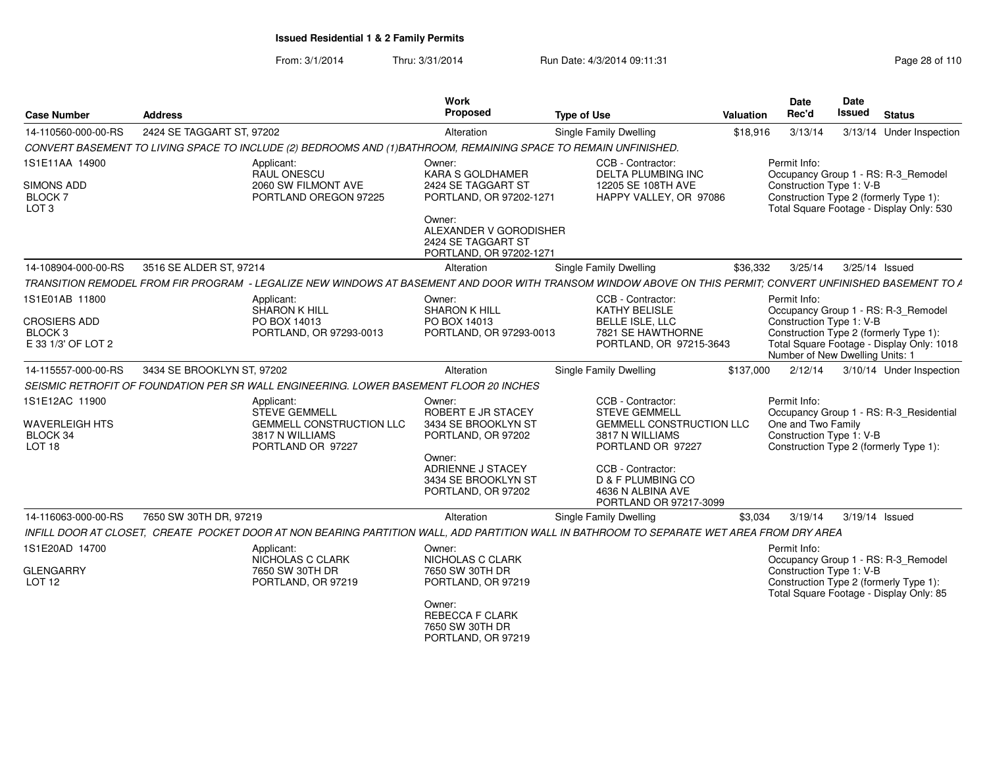From: 3/1/2014Thru: 3/31/2014 Run Date: 4/3/2014 09:11:31 Research 2010 Rage 28 of 110

| <b>Case Number</b>                                                     | Address                                                                                                                                                                                                               | Work<br>Proposed                                                                                                                                      |                        | <b>Type of Use</b>                                                                                                                                                                                                       | Valuation    | Date<br>Rec'd      | Date<br><b>Issued</b><br><b>Status</b>                                                                                                                                                    |
|------------------------------------------------------------------------|-----------------------------------------------------------------------------------------------------------------------------------------------------------------------------------------------------------------------|-------------------------------------------------------------------------------------------------------------------------------------------------------|------------------------|--------------------------------------------------------------------------------------------------------------------------------------------------------------------------------------------------------------------------|--------------|--------------------|-------------------------------------------------------------------------------------------------------------------------------------------------------------------------------------------|
| 14-110560-000-00-RS                                                    | 2424 SE TAGGART ST, 97202                                                                                                                                                                                             | Alteration                                                                                                                                            |                        | Single Family Dwelling                                                                                                                                                                                                   | \$18,916     |                    | 3/13/14   3/13/14   Under Inspection                                                                                                                                                      |
|                                                                        | CONVERT BASEMENT TO LIVING SPACE TO INCLUDE (2) BEDROOMS AND (1)BATHROOM, REMAINING SPACE TO REMAIN UNFINISHED.                                                                                                       |                                                                                                                                                       |                        |                                                                                                                                                                                                                          |              |                    |                                                                                                                                                                                           |
| 1S1E11AA 14900<br>SIMONS ADD<br>BLOCK 7<br>LOT <sub>3</sub>            | Applicant:<br>RAUL ONESCU<br>2060 SW FILMONT AVE<br>PORTLAND OREGON 97225                                                                                                                                             | Owner:<br>KARA S GOLDHAMER<br>2424 SE TAGGART ST<br>PORTLAND, OR 97202-1271<br>Owner:<br>2424 SE TAGGART ST                                           | ALEXANDER V GORODISHER | CCB - Contractor:<br><b>DELTA PLUMBING INC</b><br>12205 SE 108TH AVE<br>HAPPY VALLEY, OR 97086                                                                                                                           | Permit Info: |                    | Occupancy Group 1 - RS: R-3_Remodel<br>Construction Type 1: V-B<br>Construction Type 2 (formerly Type 1):<br>Total Square Footage - Display Only: 530                                     |
|                                                                        |                                                                                                                                                                                                                       | PORTLAND, OR 97202-1271                                                                                                                               |                        |                                                                                                                                                                                                                          |              |                    |                                                                                                                                                                                           |
| 14-108904-000-00-RS                                                    | 3516 SE ALDER ST, 97214<br>TRANSITION REMODEL FROM FIR PROGRAM - LEGALIZE NEW WINDOWS AT BASEMENT AND DOOR WITH TRANSOM WINDOW ABOVE ON THIS PERMIT; CONVERT UNFINISHED BASEMENT TO A                                 | Alteration                                                                                                                                            |                        | Single Family Dwelling                                                                                                                                                                                                   | \$36,332     | 3/25/14            | 3/25/14 Issued                                                                                                                                                                            |
| 1S1E01AB 11800<br><b>CROSIERS ADD</b><br>BLOCK 3<br>E 33 1/3' OF LOT 2 | Applicant:<br>SHARON K HILL<br>PO BOX 14013<br>PORTLAND, OR 97293-0013                                                                                                                                                | Owner:<br><b>SHARON K HILL</b><br>PO BOX 14013<br>PORTLAND, OR 97293-0013                                                                             |                        | CCB - Contractor:<br><b>KATHY BELISLE</b><br>BELLE ISLE, LLC<br>7821 SE HAWTHORNE<br>PORTLAND, OR 97215-3643                                                                                                             | Permit Info: |                    | Occupancy Group 1 - RS: R-3_Remodel<br>Construction Type 1: V-B<br>Construction Type 2 (formerly Type 1):<br>Total Square Footage - Display Only: 1018<br>Number of New Dwelling Units: 1 |
| 14-115557-000-00-RS                                                    | 3434 SE BROOKLYN ST, 97202                                                                                                                                                                                            | Alteration                                                                                                                                            |                        | Single Family Dwelling                                                                                                                                                                                                   | \$137,000    |                    | 2/12/14 3/10/14 Under Inspection                                                                                                                                                          |
|                                                                        | SEISMIC RETROFIT OF FOUNDATION PER SR WALL ENGINEERING. LOWER BASEMENT FLOOR 20 INCHES                                                                                                                                |                                                                                                                                                       |                        |                                                                                                                                                                                                                          |              |                    |                                                                                                                                                                                           |
| 1S1E12AC 11900<br><b>WAVERLEIGH HTS</b><br>BLOCK 34<br><b>LOT 18</b>   | Applicant:<br><b>STEVE GEMMELL</b><br><b>GEMMELL CONSTRUCTION LLC</b><br>3817 N WILLIAMS<br>PORTLAND OR 97227                                                                                                         | Owner:<br>ROBERT E JR STACEY<br>3434 SE BROOKLYN ST<br>PORTLAND, OR 97202<br>Owner:<br>ADRIENNE J STACEY<br>3434 SE BROOKLYN ST<br>PORTLAND, OR 97202 |                        | CCB - Contractor:<br><b>STEVE GEMMELL</b><br><b>GEMMELL CONSTRUCTION LLC</b><br>3817 N WILLIAMS<br>PORTLAND OR 97227<br>CCB - Contractor:<br><b>D &amp; F PLUMBING CO</b><br>4636 N ALBINA AVE<br>PORTLAND OR 97217-3099 | Permit Info: | One and Two Family | Occupancy Group 1 - RS: R-3_Residential<br>Construction Type 1: V-B<br>Construction Type 2 (formerly Type 1):                                                                             |
| 14-116063-000-00-RS                                                    | 7650 SW 30TH DR, 97219                                                                                                                                                                                                | Alteration                                                                                                                                            |                        | Single Family Dwelling                                                                                                                                                                                                   |              |                    | \$3,034  3/19/14  3/19/14  Issued                                                                                                                                                         |
| 1S1E20AD 14700<br><b>GLENGARRY</b><br>LOT 12                           | INFILL DOOR AT CLOSET, CREATE POCKET DOOR AT NON BEARING PARTITION WALL, ADD PARTITION WALL IN BATHROOM TO SEPARATE WET AREA FROM DRY AREA<br>Applicant:<br>NICHOLAS C CLARK<br>7650 SW 30TH DR<br>PORTLAND, OR 97219 | Owner:<br>NICHOLAS C CLARK<br>7650 SW 30TH DR<br>PORTLAND, OR 97219<br>Owner:<br><b>REBECCA F CLARK</b><br>7650 SW 30TH DR<br>PORTLAND, OR 97219      |                        |                                                                                                                                                                                                                          | Permit Info: |                    | Occupancy Group 1 - RS: R-3_Remodel<br>Construction Type 1: V-B<br>Construction Type 2 (formerly Type 1):<br>Total Square Footage - Display Only: 85                                      |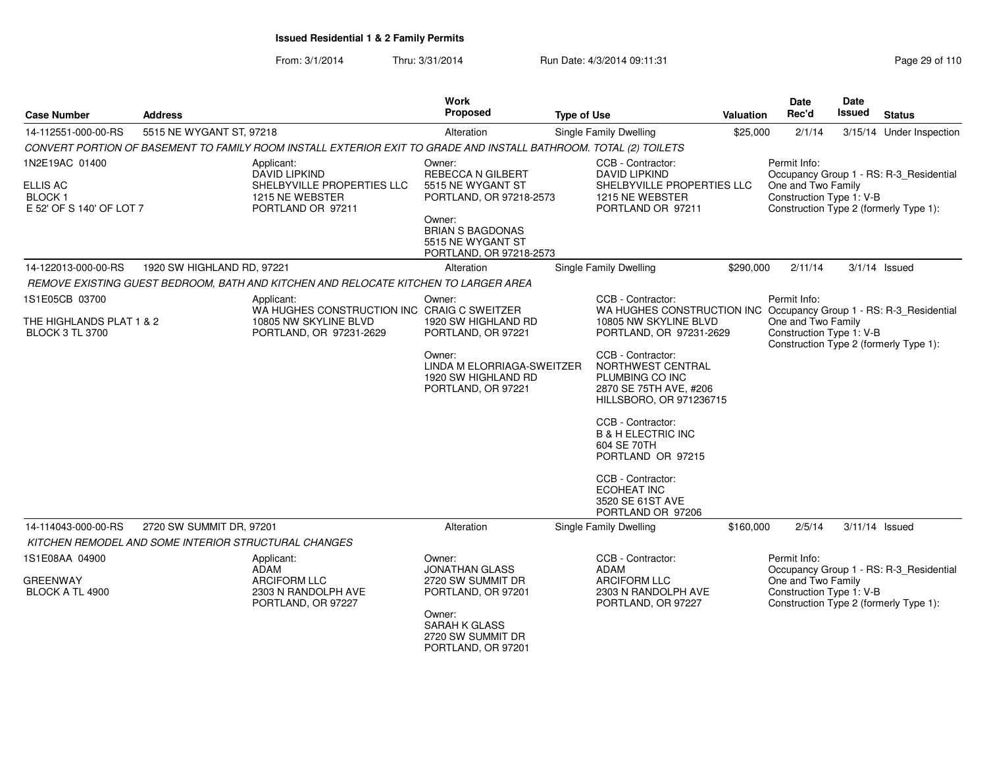From: 3/1/2014Thru: 3/31/2014 Run Date: 4/3/2014 09:11:31 Research 2010 Rage 29 of 110

| <b>Case Number</b>                                 | <b>Address</b>                                       |                                                                                                                   | Work<br>Proposed                                                                  | <b>Type of Use</b> |                                                                                                                | Valuation | Date<br>Rec'd                                  | Date<br><b>Issued</b> | <b>Status</b>                           |
|----------------------------------------------------|------------------------------------------------------|-------------------------------------------------------------------------------------------------------------------|-----------------------------------------------------------------------------------|--------------------|----------------------------------------------------------------------------------------------------------------|-----------|------------------------------------------------|-----------------------|-----------------------------------------|
| 14-112551-000-00-RS                                | 5515 NE WYGANT ST, 97218                             |                                                                                                                   | Alteration                                                                        |                    | <b>Single Family Dwelling</b>                                                                                  | \$25,000  | 2/1/14                                         |                       | 3/15/14 Under Inspection                |
|                                                    |                                                      | CONVERT PORTION OF BASEMENT TO FAMILY ROOM INSTALL EXTERIOR EXIT TO GRADE AND INSTALL BATHROOM. TOTAL (2) TOILETS |                                                                                   |                    |                                                                                                                |           |                                                |                       |                                         |
| 1N2E19AC 01400<br>ELLIS AC                         |                                                      | Applicant:<br><b>DAVID LIPKIND</b><br>SHELBYVILLE PROPERTIES LLC                                                  | Owner:<br><b>REBECCA N GILBERT</b><br>5515 NE WYGANT ST                           |                    | CCB - Contractor:<br><b>DAVID LIPKIND</b><br>SHELBYVILLE PROPERTIES LLC                                        |           | Permit Info:<br>One and Two Family             |                       | Occupancy Group 1 - RS: R-3_Residential |
| <b>BLOCK1</b><br>E 52' OF S 140' OF LOT 7          |                                                      | 1215 NE WEBSTER<br>PORTLAND OR 97211                                                                              | PORTLAND, OR 97218-2573                                                           |                    | 1215 NE WEBSTER<br>PORTLAND OR 97211                                                                           |           | Construction Type 1: V-B                       |                       | Construction Type 2 (formerly Type 1):  |
|                                                    |                                                      |                                                                                                                   | Owner:<br><b>BRIAN S BAGDONAS</b><br>5515 NE WYGANT ST<br>PORTLAND, OR 97218-2573 |                    |                                                                                                                |           |                                                |                       |                                         |
| 14-122013-000-00-RS                                | 1920 SW HIGHLAND RD, 97221                           |                                                                                                                   | Alteration                                                                        |                    | <b>Single Family Dwelling</b>                                                                                  | \$290,000 | 2/11/14                                        |                       | $3/1/14$ Issued                         |
|                                                    |                                                      | REMOVE EXISTING GUEST BEDROOM, BATH AND KITCHEN AND RELOCATE KITCHEN TO LARGER AREA                               |                                                                                   |                    |                                                                                                                |           |                                                |                       |                                         |
| 1S1E05CB 03700                                     |                                                      | Applicant:<br>WA HUGHES CONSTRUCTION INC CRAIG C SWEITZER                                                         | Owner:                                                                            |                    | CCB - Contractor:<br>WA HUGHES CONSTRUCTION INC Occupancy Group 1 - RS: R-3_Residential                        |           | Permit Info:                                   |                       |                                         |
| THE HIGHLANDS PLAT 1 & 2<br><b>BLOCK 3 TL 3700</b> |                                                      | 10805 NW SKYLINE BLVD<br>PORTLAND, OR 97231-2629                                                                  | 1920 SW HIGHLAND RD<br>PORTLAND, OR 97221                                         |                    | 10805 NW SKYLINE BLVD<br>PORTLAND, OR 97231-2629                                                               |           | One and Two Family<br>Construction Type 1: V-B |                       | Construction Type 2 (formerly Type 1):  |
|                                                    |                                                      |                                                                                                                   | Owner:<br>LINDA M ELORRIAGA-SWEITZER<br>1920 SW HIGHLAND RD<br>PORTLAND, OR 97221 |                    | CCB - Contractor:<br>NORTHWEST CENTRAL<br>PLUMBING CO INC<br>2870 SE 75TH AVE, #206<br>HILLSBORO, OR 971236715 |           |                                                |                       |                                         |
|                                                    |                                                      |                                                                                                                   |                                                                                   |                    | CCB - Contractor:<br><b>B &amp; H ELECTRIC INC</b><br>604 SE 70TH<br>PORTLAND OR 97215                         |           |                                                |                       |                                         |
|                                                    |                                                      |                                                                                                                   |                                                                                   |                    | CCB - Contractor:<br><b>ECOHEAT INC</b><br>3520 SE 61ST AVE<br>PORTLAND OR 97206                               |           |                                                |                       |                                         |
| 14-114043-000-00-RS                                | 2720 SW SUMMIT DR, 97201                             |                                                                                                                   | Alteration                                                                        |                    | Single Family Dwelling                                                                                         | \$160,000 | 2/5/14                                         |                       | 3/11/14 Issued                          |
|                                                    | KITCHEN REMODEL AND SOME INTERIOR STRUCTURAL CHANGES |                                                                                                                   |                                                                                   |                    |                                                                                                                |           |                                                |                       |                                         |
| 1S1E08AA 04900                                     |                                                      | Applicant:<br>ADAM                                                                                                | Owner:<br><b>JONATHAN GLASS</b>                                                   |                    | CCB - Contractor:<br><b>ADAM</b>                                                                               |           | Permit Info:                                   |                       | Occupancy Group 1 - RS: R-3 Residential |
| <b>GREENWAY</b><br>BLOCK A TL 4900                 |                                                      | ARCIFORM LLC<br>2303 N RANDOLPH AVE<br>PORTLAND, OR 97227                                                         | 2720 SW SUMMIT DR<br>PORTLAND, OR 97201                                           |                    | <b>ARCIFORM LLC</b><br>2303 N RANDOLPH AVE<br>PORTLAND, OR 97227                                               |           | One and Two Family<br>Construction Type 1: V-B |                       | Construction Type 2 (formerly Type 1):  |
|                                                    |                                                      |                                                                                                                   | Owner:<br><b>SARAH K GLASS</b><br>2720 SW SUMMIT DR<br>PORTLAND, OR 97201         |                    |                                                                                                                |           |                                                |                       |                                         |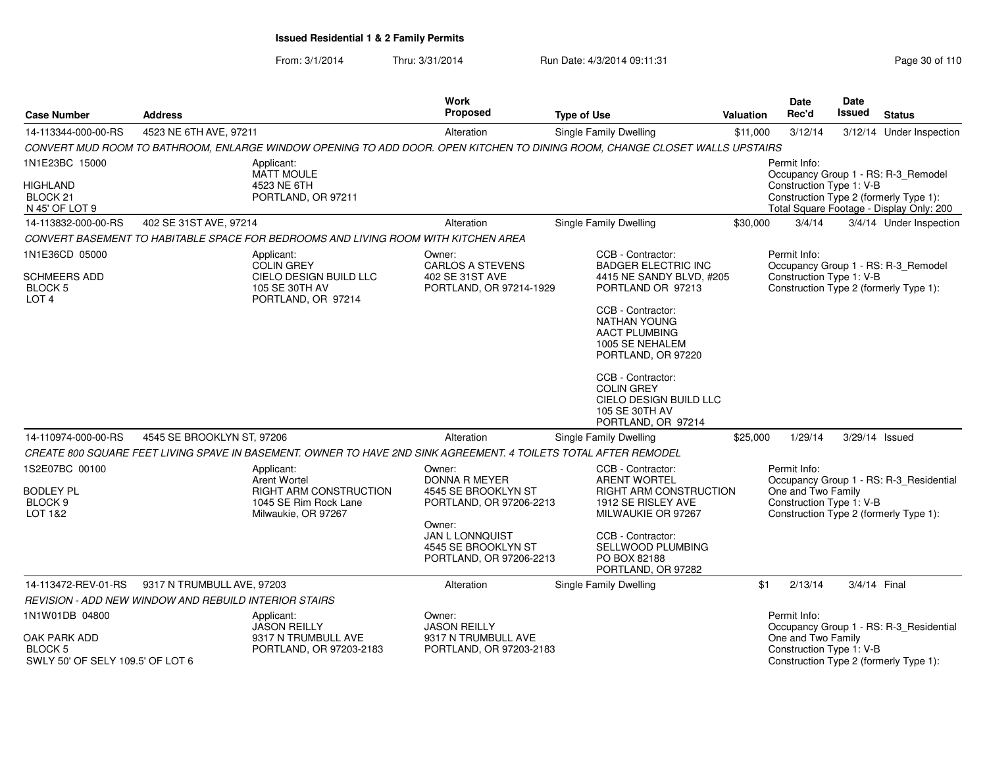From: 3/1/2014Thru: 3/31/2014 Run Date: 4/3/2014 09:11:31 Research 2010 110

| <b>Case Number</b>                                                  | <b>Address</b>                                        |                                                                                                                             | Work<br><b>Proposed</b>                                                     | <b>Type of Use</b>                                                                                             | Valuation | <b>Date</b><br>Rec'd                                           | <b>Date</b><br><b>Issued</b> | <b>Status</b>                                                                      |
|---------------------------------------------------------------------|-------------------------------------------------------|-----------------------------------------------------------------------------------------------------------------------------|-----------------------------------------------------------------------------|----------------------------------------------------------------------------------------------------------------|-----------|----------------------------------------------------------------|------------------------------|------------------------------------------------------------------------------------|
| 14-113344-000-00-RS                                                 | 4523 NE 6TH AVE, 97211                                |                                                                                                                             | Alteration                                                                  | Single Family Dwelling                                                                                         | \$11,000  | 3/12/14                                                        |                              | 3/12/14 Under Inspection                                                           |
|                                                                     |                                                       | CONVERT MUD ROOM TO BATHROOM, ENLARGE WINDOW OPENING TO ADD DOOR. OPEN KITCHEN TO DINING ROOM, CHANGE CLOSET WALLS UPSTAIRS |                                                                             |                                                                                                                |           |                                                                |                              |                                                                                    |
| 1N1E23BC 15000                                                      |                                                       | Applicant:<br><b>MATT MOULE</b>                                                                                             |                                                                             |                                                                                                                |           | Permit Info:                                                   |                              | Occupancy Group 1 - RS: R-3_Remodel                                                |
| <b>HIGHLAND</b><br>BLOCK <sub>21</sub><br>N 45' OF LOT 9            |                                                       | 4523 NE 6TH<br>PORTLAND, OR 97211                                                                                           |                                                                             |                                                                                                                |           | Construction Type 1: V-B                                       |                              | Construction Type 2 (formerly Type 1):<br>Total Square Footage - Display Only: 200 |
| 14-113832-000-00-RS                                                 | 402 SE 31ST AVE, 97214                                |                                                                                                                             | Alteration                                                                  | <b>Single Family Dwelling</b>                                                                                  | \$30,000  | 3/4/14                                                         |                              | 3/4/14 Under Inspection                                                            |
|                                                                     |                                                       | CONVERT BASEMENT TO HABITABLE SPACE FOR BEDROOMS AND LIVING ROOM WITH KITCHEN AREA                                          |                                                                             |                                                                                                                |           |                                                                |                              |                                                                                    |
| 1N1E36CD 05000                                                      |                                                       | Applicant:<br><b>COLIN GREY</b>                                                                                             | Owner:<br><b>CARLOS A STEVENS</b>                                           | CCB - Contractor:<br><b>BADGER ELECTRIC INC</b>                                                                |           | Permit Info:                                                   |                              | Occupancy Group 1 - RS: R-3_Remodel                                                |
| <b>SCHMEERS ADD</b><br>BLOCK 5<br>LOT <sub>4</sub>                  |                                                       | CIELO DESIGN BUILD LLC<br>105 SE 30TH AV<br>PORTLAND, OR 97214                                                              | 402 SE 31ST AVE<br>PORTLAND, OR 97214-1929                                  | 4415 NE SANDY BLVD, #205<br>PORTLAND OR 97213                                                                  |           | Construction Type 1: V-B                                       |                              | Construction Type 2 (formerly Type 1):                                             |
|                                                                     |                                                       |                                                                                                                             |                                                                             | CCB - Contractor:<br><b>NATHAN YOUNG</b><br><b>AACT PLUMBING</b><br>1005 SE NEHALEM<br>PORTLAND, OR 97220      |           |                                                                |                              |                                                                                    |
|                                                                     |                                                       |                                                                                                                             |                                                                             | CCB - Contractor:<br><b>COLIN GREY</b><br>CIELO DESIGN BUILD LLC<br>105 SE 30TH AV<br>PORTLAND, OR 97214       |           |                                                                |                              |                                                                                    |
| 14-110974-000-00-RS                                                 | 4545 SE BROOKLYN ST, 97206                            |                                                                                                                             | Alteration                                                                  | Single Family Dwelling                                                                                         | \$25,000  | 1/29/14                                                        |                              | 3/29/14 Issued                                                                     |
|                                                                     |                                                       | CREATE 800 SQUARE FEET LIVING SPAVE IN BASEMENT. OWNER TO HAVE 2ND SINK AGREEMENT. 4 TOILETS TOTAL AFTER REMODEL            |                                                                             |                                                                                                                |           |                                                                |                              |                                                                                    |
| 1S2E07BC 00100<br><b>BODLEY PL</b><br>BLOCK <sub>9</sub><br>LOT 1&2 |                                                       | Applicant:<br><b>Arent Wortel</b><br><b>RIGHT ARM CONSTRUCTION</b><br>1045 SE Rim Rock Lane<br>Milwaukie, OR 97267          | Owner:<br>DONNA R MEYER<br>4545 SE BROOKLYN ST<br>PORTLAND, OR 97206-2213   | CCB - Contractor:<br><b>ARENT WORTEL</b><br>RIGHT ARM CONSTRUCTION<br>1912 SE RISLEY AVE<br>MILWAUKIE OR 97267 |           | Permit Info:<br>One and Two Family<br>Construction Type 1: V-B |                              | Occupancy Group 1 - RS: R-3_Residential<br>Construction Type 2 (formerly Type 1):  |
|                                                                     |                                                       |                                                                                                                             | Owner:<br>JAN L LONNQUIST<br>4545 SE BROOKLYN ST<br>PORTLAND, OR 97206-2213 | CCB - Contractor:<br>SELLWOOD PLUMBING<br>PO BOX 82188<br>PORTLAND, OR 97282                                   |           |                                                                |                              |                                                                                    |
| 14-113472-REV-01-RS                                                 | 9317 N TRUMBULL AVE, 97203                            |                                                                                                                             | Alteration                                                                  | Single Family Dwelling                                                                                         | \$1       | 2/13/14                                                        | 3/4/14 Final                 |                                                                                    |
|                                                                     | REVISION - ADD NEW WINDOW AND REBUILD INTERIOR STAIRS |                                                                                                                             |                                                                             |                                                                                                                |           |                                                                |                              |                                                                                    |
| 1N1W01DB 04800                                                      |                                                       | Applicant:<br><b>JASON REILLY</b>                                                                                           | Owner:<br><b>JASON REILLY</b>                                               |                                                                                                                |           | Permit Info:                                                   |                              | Occupancy Group 1 - RS: R-3_Residential                                            |
| OAK PARK ADD<br>BLOCK 5<br>SWLY 50' OF SELY 109.5' OF LOT 6         |                                                       | 9317 N TRUMBULL AVE<br>PORTLAND, OR 97203-2183                                                                              | 9317 N TRUMBULL AVE<br>PORTLAND, OR 97203-2183                              |                                                                                                                |           | One and Two Family<br>Construction Type 1: V-B                 |                              | Construction Type 2 (formerly Type 1):                                             |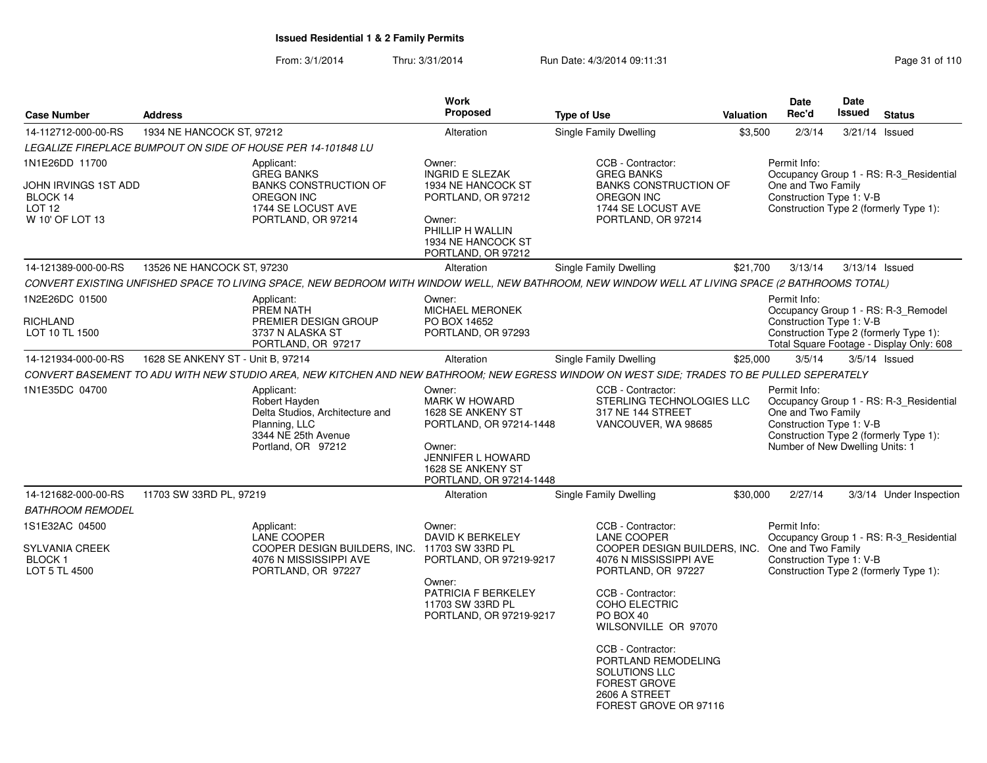From: 3/1/2014Thru: 3/31/2014 Run Date: 4/3/2014 09:11:31 Page 31 of 110

| <b>Case Number</b>                                                                         | <b>Address</b>                    |                                                                                                                                                  | Work<br>Proposed                                                                                                                                                     | <b>Type of Use</b>                                                                                                                                                                                                                                                                                                        | <b>Valuation</b> | <b>Date</b><br>Rec'd                                                                                                                        | Date<br>Issued   | <b>Status</b>                                                                   |
|--------------------------------------------------------------------------------------------|-----------------------------------|--------------------------------------------------------------------------------------------------------------------------------------------------|----------------------------------------------------------------------------------------------------------------------------------------------------------------------|---------------------------------------------------------------------------------------------------------------------------------------------------------------------------------------------------------------------------------------------------------------------------------------------------------------------------|------------------|---------------------------------------------------------------------------------------------------------------------------------------------|------------------|---------------------------------------------------------------------------------|
| 14-112712-000-00-RS                                                                        | 1934 NE HANCOCK ST, 97212         |                                                                                                                                                  | Alteration                                                                                                                                                           | Single Family Dwelling                                                                                                                                                                                                                                                                                                    | \$3,500          | 2/3/14                                                                                                                                      | $3/21/14$ Issued |                                                                                 |
|                                                                                            |                                   | LEGALIZE FIREPLACE BUMPOUT ON SIDE OF HOUSE PER 14-101848 LU                                                                                     |                                                                                                                                                                      |                                                                                                                                                                                                                                                                                                                           |                  |                                                                                                                                             |                  |                                                                                 |
| 1N1E26DD 11700<br>JOHN IRVINGS 1ST ADD<br>BLOCK 14<br>LOT <sub>12</sub><br>W 10' OF LOT 13 |                                   | Applicant:<br><b>GREG BANKS</b><br><b>BANKS CONSTRUCTION OF</b><br><b>OREGON INC</b><br>1744 SE LOCUST AVE<br>PORTLAND, OR 97214                 | Owner:<br><b>INGRID E SLEZAK</b><br>1934 NE HANCOCK ST<br>PORTLAND, OR 97212<br>Owner:<br>PHILLIP H WALLIN<br>1934 NE HANCOCK ST<br>PORTLAND, OR 97212               | CCB - Contractor:<br><b>GREG BANKS</b><br><b>BANKS CONSTRUCTION OF</b><br><b>OREGON INC</b><br>1744 SE LOCUST AVE<br>PORTLAND, OR 97214                                                                                                                                                                                   |                  | Permit Info:<br>One and Two Family<br>Construction Type 1: V-B<br>Construction Type 2 (formerly Type 1):                                    |                  | Occupancy Group 1 - RS: R-3_Residential                                         |
| 14-121389-000-00-RS                                                                        | 13526 NE HANCOCK ST, 97230        |                                                                                                                                                  | Alteration                                                                                                                                                           | Single Family Dwelling                                                                                                                                                                                                                                                                                                    | \$21,700         | 3/13/14                                                                                                                                     | 3/13/14 Issued   |                                                                                 |
|                                                                                            |                                   | CONVERT EXISTING UNFISHED SPACE TO LIVING SPACE, NEW BEDROOM WITH WINDOW WELL, NEW BATHROOM, NEW WINDOW WELL AT LIVING SPACE (2 BATHROOMS TOTAL) |                                                                                                                                                                      |                                                                                                                                                                                                                                                                                                                           |                  |                                                                                                                                             |                  |                                                                                 |
| 1N2E26DC 01500<br>RICHLAND<br>LOT 10 TL 1500                                               |                                   | Applicant:<br>PREM NATH<br>PREMIER DESIGN GROUP<br>3737 N ALASKA ST<br>PORTLAND, OR 97217                                                        | Owner:<br><b>MICHAEL MERONEK</b><br>PO BOX 14652<br>PORTLAND, OR 97293                                                                                               |                                                                                                                                                                                                                                                                                                                           |                  | Permit Info:<br>Construction Type 1: V-B<br>Construction Type 2 (formerly Type 1):                                                          |                  | Occupancy Group 1 - RS: R-3 Remodel<br>Total Square Footage - Display Only: 608 |
| 14-121934-000-00-RS                                                                        | 1628 SE ANKENY ST - Unit B, 97214 |                                                                                                                                                  | Alteration                                                                                                                                                           | Single Family Dwelling                                                                                                                                                                                                                                                                                                    | \$25,000         | 3/5/14                                                                                                                                      |                  | $3/5/14$ Issued                                                                 |
|                                                                                            |                                   | CONVERT BASEMENT TO ADU WITH NEW STUDIO AREA, NEW KITCHEN AND NEW BATHROOM; NEW EGRESS WINDOW ON WEST SIDE; TRADES TO BE PULLED SEPERATELY       |                                                                                                                                                                      |                                                                                                                                                                                                                                                                                                                           |                  |                                                                                                                                             |                  |                                                                                 |
| 1N1E35DC 04700                                                                             |                                   | Applicant:<br>Robert Hayden<br>Delta Studios, Architecture and<br>Planning, LLC<br>3344 NE 25th Avenue<br>Portland, OR 97212                     | Owner:<br><b>MARK W HOWARD</b><br>1628 SE ANKENY ST<br>PORTLAND, OR 97214-1448<br>Owner:<br><b>JENNIFER L HOWARD</b><br>1628 SE ANKENY ST<br>PORTLAND, OR 97214-1448 | CCB - Contractor:<br>STERLING TECHNOLOGIES LLC<br>317 NE 144 STREET<br>VANCOUVER, WA 98685                                                                                                                                                                                                                                |                  | Permit Info:<br>One and Two Family<br>Construction Type 1: V-B<br>Construction Type 2 (formerly Type 1):<br>Number of New Dwelling Units: 1 |                  | Occupancy Group 1 - RS: R-3 Residential                                         |
| 14-121682-000-00-RS<br><b>BATHROOM REMODEL</b>                                             | 11703 SW 33RD PL, 97219           |                                                                                                                                                  | Alteration                                                                                                                                                           | Single Family Dwelling                                                                                                                                                                                                                                                                                                    | \$30,000         | 2/27/14                                                                                                                                     |                  | 3/3/14 Under Inspection                                                         |
| 1S1E32AC 04500<br><b>SYLVANIA CREEK</b><br><b>BLOCK1</b><br>LOT 5 TL 4500                  |                                   | Applicant:<br><b>LANE COOPER</b><br>COOPER DESIGN BUILDERS, INC.<br>4076 N MISSISSIPPI AVE<br>PORTLAND, OR 97227                                 | Owner:<br>DAVID K BERKELEY<br>11703 SW 33RD PL<br>PORTLAND, OR 97219-9217<br>Owner:<br>PATRICIA F BERKELEY<br>11703 SW 33RD PL<br>PORTLAND, OR 97219-9217            | CCB - Contractor:<br>LANE COOPER<br>COOPER DESIGN BUILDERS, INC.<br>4076 N MISSISSIPPI AVE<br>PORTLAND, OR 97227<br>CCB - Contractor:<br>COHO ELECTRIC<br>PO BOX 40<br>WILSONVILLE OR 97070<br>CCB - Contractor:<br>PORTLAND REMODELING<br>SOLUTIONS LLC<br><b>FOREST GROVE</b><br>2606 A STREET<br>FOREST GROVE OR 97116 |                  | Permit Info:<br>One and Two Family<br>Construction Type 1: V-B<br>Construction Type 2 (formerly Type 1):                                    |                  | Occupancy Group 1 - RS: R-3_Residential                                         |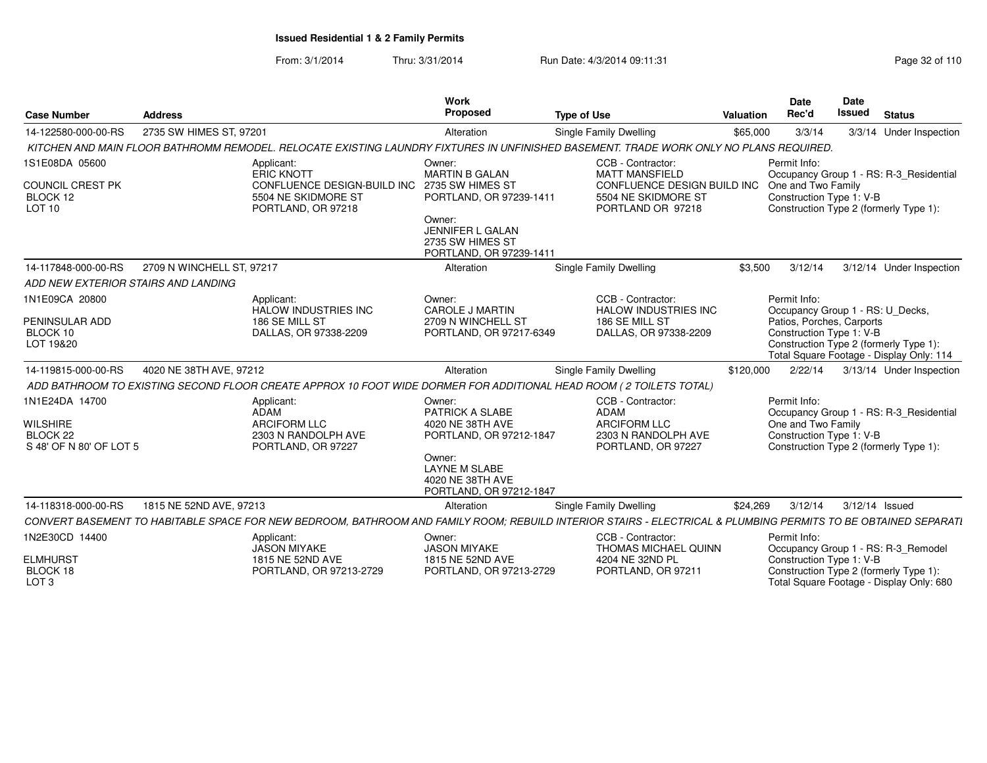From: 3/1/2014Thru: 3/31/2014 Run Date: 4/3/2014 09:11:31 Page 32 of 110

| <b>Case Number</b>                                                           | <b>Address</b>            |                                                                                                                                                                | Work<br><b>Proposed</b>                                                                                                                 | <b>Type of Use</b>                                                                                                    | Valuation | Date<br>Rec'd                                                                                            | <b>Date</b><br><b>Issued</b> | <b>Status</b>                            |
|------------------------------------------------------------------------------|---------------------------|----------------------------------------------------------------------------------------------------------------------------------------------------------------|-----------------------------------------------------------------------------------------------------------------------------------------|-----------------------------------------------------------------------------------------------------------------------|-----------|----------------------------------------------------------------------------------------------------------|------------------------------|------------------------------------------|
| 14-122580-000-00-RS                                                          | 2735 SW HIMES ST, 97201   |                                                                                                                                                                | Alteration                                                                                                                              | Single Family Dwelling                                                                                                | \$65,000  | 3/3/14                                                                                                   |                              | 3/3/14 Under Inspection                  |
|                                                                              |                           | KITCHEN AND MAIN FLOOR BATHROMM REMODEL. RELOCATE EXISTING LAUNDRY FIXTURES IN UNFINISHED BASEMENT. TRADE WORK ONLY NO PLANS REQUIRED.                         |                                                                                                                                         |                                                                                                                       |           |                                                                                                          |                              |                                          |
| 1S1E08DA 05600<br>COUNCIL CREST PK<br>BLOCK 12<br>LOT <sub>10</sub>          |                           | Applicant:<br><b>ERIC KNOTT</b><br>CONFLUENCE DESIGN-BUILD INC 2735 SW HIMES ST<br>5504 NE SKIDMORE ST<br>PORTLAND, OR 97218                                   | Owner:<br><b>MARTIN B GALAN</b><br>PORTLAND, OR 97239-1411<br>Owner:<br>JENNIFER L GALAN<br>2735 SW HIMES ST<br>PORTLAND, OR 97239-1411 | CCB - Contractor:<br><b>MATT MANSFIELD</b><br>CONFLUENCE DESIGN BUILD INC<br>5504 NE SKIDMORE ST<br>PORTLAND OR 97218 |           | Permit Info:<br>One and Two Family<br>Construction Type 1: V-B<br>Construction Type 2 (formerly Type 1): |                              | Occupancy Group 1 - RS: R-3_Residential  |
| 14-117848-000-00-RS                                                          | 2709 N WINCHELL ST, 97217 |                                                                                                                                                                | Alteration                                                                                                                              | Single Family Dwelling                                                                                                | \$3,500   | 3/12/14                                                                                                  |                              | 3/12/14 Under Inspection                 |
| ADD NEW EXTERIOR STAIRS AND LANDING                                          |                           |                                                                                                                                                                |                                                                                                                                         |                                                                                                                       |           |                                                                                                          |                              |                                          |
| 1N1E09CA 20800<br>PENINSULAR ADD                                             |                           | Applicant:<br><b>HALOW INDUSTRIES INC</b><br>186 SE MILL ST                                                                                                    | Owner:<br><b>CAROLE J MARTIN</b><br>2709 N WINCHELL ST                                                                                  | CCB - Contractor:<br><b>HALOW INDUSTRIES INC</b><br>186 SE MILL ST                                                    |           | Permit Info:<br>Occupancy Group 1 - RS: U Decks,<br>Patios, Porches, Carports                            |                              |                                          |
| BLOCK 10<br>LOT 19&20                                                        |                           | DALLAS, OR 97338-2209                                                                                                                                          | PORTLAND, OR 97217-6349                                                                                                                 | DALLAS, OR 97338-2209                                                                                                 |           | Construction Type 1: V-B<br>Construction Type 2 (formerly Type 1):                                       |                              | Total Square Footage - Display Only: 114 |
| 14-119815-000-00-RS                                                          | 4020 NE 38TH AVE, 97212   |                                                                                                                                                                | Alteration                                                                                                                              | Single Family Dwelling                                                                                                | \$120,000 | 2/22/14                                                                                                  |                              | 3/13/14 Under Inspection                 |
|                                                                              |                           | ADD BATHROOM TO EXISTING SECOND FLOOR CREATE APPROX 10 FOOT WIDE DORMER FOR ADDITIONAL HEAD ROOM (2 TOILETS TOTAL)                                             |                                                                                                                                         |                                                                                                                       |           |                                                                                                          |                              |                                          |
| 1N1E24DA 14700<br>WILSHIRE<br>BLOCK <sub>22</sub><br>S 48' OF N 80' OF LOT 5 |                           | Applicant:<br><b>ADAM</b><br><b>ARCIFORM LLC</b><br>2303 N RANDOLPH AVE<br>PORTLAND, OR 97227                                                                  | Owner:<br><b>PATRICK A SLABE</b><br>4020 NE 38TH AVE<br>PORTLAND, OR 97212-1847                                                         | CCB - Contractor:<br><b>ADAM</b><br><b>ARCIFORM LLC</b><br>2303 N RANDOLPH AVE<br>PORTLAND, OR 97227                  |           | Permit Info:<br>One and Two Family<br>Construction Type 1: V-B<br>Construction Type 2 (formerly Type 1): |                              | Occupancy Group 1 - RS: R-3 Residential  |
|                                                                              |                           |                                                                                                                                                                | Owner:<br><b>LAYNE M SLABE</b><br>4020 NE 38TH AVE<br>PORTLAND, OR 97212-1847                                                           |                                                                                                                       |           |                                                                                                          |                              |                                          |
| 14-118318-000-00-RS                                                          | 1815 NE 52ND AVE, 97213   |                                                                                                                                                                | Alteration                                                                                                                              | Single Family Dwelling                                                                                                | \$24,269  | 3/12/14                                                                                                  | 3/12/14 Issued               |                                          |
|                                                                              |                           | CONVERT BASEMENT TO HABITABLE SPACE FOR NEW BEDROOM, BATHROOM AND FAMILY ROOM; REBUILD INTERIOR STAIRS - ELECTRICAL & PLUMBING PERMITS TO BE OBTAINED SEPARATI |                                                                                                                                         |                                                                                                                       |           |                                                                                                          |                              |                                          |
| 1N2E30CD 14400                                                               |                           | Applicant:<br><b>JASON MIYAKE</b>                                                                                                                              | Owner:<br><b>JASON MIYAKE</b>                                                                                                           | CCB - Contractor:<br>THOMAS MICHAEL QUINN                                                                             |           | Permit Info:                                                                                             |                              | Occupancy Group 1 - RS: R-3_Remodel      |
| <b>ELMHURST</b><br>BLOCK 18<br>LOT <sub>3</sub>                              |                           | 1815 NE 52ND AVE<br>PORTLAND, OR 97213-2729                                                                                                                    | 1815 NE 52ND AVE<br>PORTLAND, OR 97213-2729                                                                                             | 4204 NE 32ND PL<br>PORTLAND, OR 97211                                                                                 |           | Construction Type 1: V-B<br>Construction Type 2 (formerly Type 1):                                       |                              | Total Square Footage - Display Only: 680 |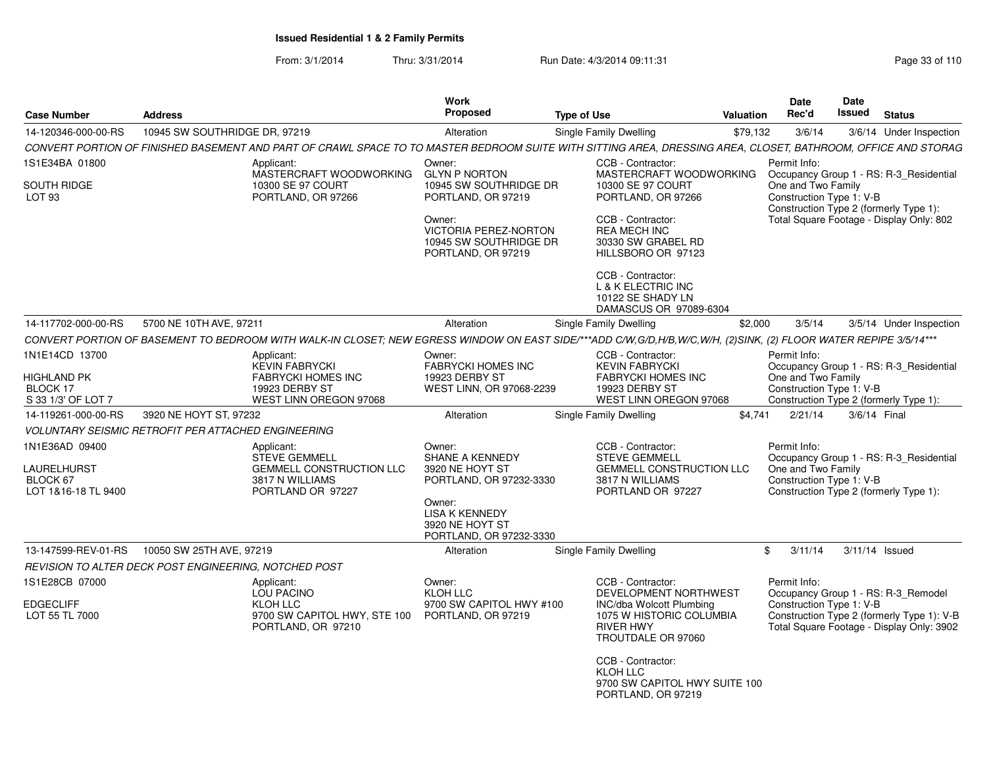From: 3/1/2014Thru: 3/31/2014 Run Date: 4/3/2014 09:11:31 Research 2010 Rage 33 of 110

| <b>Address</b><br><b>Type of Use</b><br><b>Valuation</b><br>14-120346-000-00-RS<br>10945 SW SOUTHRIDGE DR, 97219<br>Single Family Dwelling<br>\$79,132<br>3/6/14<br>Alteration<br>CONVERT PORTION OF FINISHED BASEMENT AND PART OF CRAWL SPACE TO TO MASTER BEDROOM SUITE WITH SITTING AREA, DRESSING AREA, CLOSET, BATHROOM, OFFICE AND STORAG<br>1S1E34BA 01800<br>CCB - Contractor:<br>Permit Info:<br>Applicant:<br>Owner:<br>MASTERCRAFT WOODWORKING<br>MASTERCRAFT WOODWORKING<br><b>GLYN P NORTON</b><br>Occupancy Group 1 - RS: R-3 Residential<br>SOUTH RIDGE<br>10300 SE 97 COURT<br>10300 SE 97 COURT<br>One and Two Family<br>10945 SW SOUTHRIDGE DR<br>Construction Type 1: V-B<br>LOT <sub>93</sub><br>PORTLAND, OR 97266<br>PORTLAND, OR 97219<br>PORTLAND, OR 97266<br>Construction Type 2 (formerly Type 1):<br>Total Square Footage - Display Only: 802<br>Owner:<br>CCB - Contractor:<br>VICTORIA PEREZ-NORTON<br><b>REA MECH INC</b><br>10945 SW SOUTHRIDGE DR<br>30330 SW GRABEL RD<br>HILLSBORO OR 97123<br>PORTLAND, OR 97219<br>CCB - Contractor:<br>L & K ELECTRIC INC<br>10122 SE SHADY LN<br>DAMASCUS OR 97089-6304<br>14-117702-000-00-RS<br>5700 NE 10TH AVE, 97211<br>\$2,000<br>3/5/14<br>Alteration<br>Single Family Dwelling<br>CONVERT PORTION OF BASEMENT TO BEDROOM WITH WALK-IN CLOSET; NEW EGRESS WINDOW ON EAST SIDE/***ADD C/W,G/D,H/B,W/C,W/H, (2)SINK, (2) FLOOR WATER REPIPE 3/5/14***<br>1N1E14CD 13700<br>CCB - Contractor:<br>Permit Info:<br>Applicant:<br>Owner:<br><b>KEVIN FABRYCKI</b><br><b>KEVIN FABRYCKI</b><br><b>FABRYCKI HOMES INC</b><br>Occupancy Group 1 - RS: R-3_Residential<br>HIGHLAND PK<br><b>FABRYCKI HOMES INC</b><br>19923 DERBY ST<br><b>FABRYCKI HOMES INC</b><br>One and Two Family<br>Construction Type 1: V-B<br>BLOCK 17<br>19923 DERBY ST<br>WEST LINN, OR 97068-2239<br>19923 DERBY ST<br>S 33 1/3' OF LOT 7<br>WEST LINN OREGON 97068<br>WEST LINN OREGON 97068<br>Construction Type 2 (formerly Type 1):<br>3920 NE HOYT ST, 97232<br>Single Family Dwelling<br>2/21/14<br>3/6/14 Final<br>14-119261-000-00-RS<br>Alteration<br>\$4,741<br><b>VOLUNTARY SEISMIC RETROFIT PER ATTACHED ENGINEERING</b> | <b>Status</b>           |
|--------------------------------------------------------------------------------------------------------------------------------------------------------------------------------------------------------------------------------------------------------------------------------------------------------------------------------------------------------------------------------------------------------------------------------------------------------------------------------------------------------------------------------------------------------------------------------------------------------------------------------------------------------------------------------------------------------------------------------------------------------------------------------------------------------------------------------------------------------------------------------------------------------------------------------------------------------------------------------------------------------------------------------------------------------------------------------------------------------------------------------------------------------------------------------------------------------------------------------------------------------------------------------------------------------------------------------------------------------------------------------------------------------------------------------------------------------------------------------------------------------------------------------------------------------------------------------------------------------------------------------------------------------------------------------------------------------------------------------------------------------------------------------------------------------------------------------------------------------------------------------------------------------------------------------------------------------------------------------------------------------------------------------------------------------------------------------------------------------------------------------------------------------------------------------------|-------------------------|
|                                                                                                                                                                                                                                                                                                                                                                                                                                                                                                                                                                                                                                                                                                                                                                                                                                                                                                                                                                                                                                                                                                                                                                                                                                                                                                                                                                                                                                                                                                                                                                                                                                                                                                                                                                                                                                                                                                                                                                                                                                                                                                                                                                                      | 3/6/14 Under Inspection |
|                                                                                                                                                                                                                                                                                                                                                                                                                                                                                                                                                                                                                                                                                                                                                                                                                                                                                                                                                                                                                                                                                                                                                                                                                                                                                                                                                                                                                                                                                                                                                                                                                                                                                                                                                                                                                                                                                                                                                                                                                                                                                                                                                                                      |                         |
|                                                                                                                                                                                                                                                                                                                                                                                                                                                                                                                                                                                                                                                                                                                                                                                                                                                                                                                                                                                                                                                                                                                                                                                                                                                                                                                                                                                                                                                                                                                                                                                                                                                                                                                                                                                                                                                                                                                                                                                                                                                                                                                                                                                      |                         |
|                                                                                                                                                                                                                                                                                                                                                                                                                                                                                                                                                                                                                                                                                                                                                                                                                                                                                                                                                                                                                                                                                                                                                                                                                                                                                                                                                                                                                                                                                                                                                                                                                                                                                                                                                                                                                                                                                                                                                                                                                                                                                                                                                                                      |                         |
|                                                                                                                                                                                                                                                                                                                                                                                                                                                                                                                                                                                                                                                                                                                                                                                                                                                                                                                                                                                                                                                                                                                                                                                                                                                                                                                                                                                                                                                                                                                                                                                                                                                                                                                                                                                                                                                                                                                                                                                                                                                                                                                                                                                      | 3/5/14 Under Inspection |
|                                                                                                                                                                                                                                                                                                                                                                                                                                                                                                                                                                                                                                                                                                                                                                                                                                                                                                                                                                                                                                                                                                                                                                                                                                                                                                                                                                                                                                                                                                                                                                                                                                                                                                                                                                                                                                                                                                                                                                                                                                                                                                                                                                                      |                         |
|                                                                                                                                                                                                                                                                                                                                                                                                                                                                                                                                                                                                                                                                                                                                                                                                                                                                                                                                                                                                                                                                                                                                                                                                                                                                                                                                                                                                                                                                                                                                                                                                                                                                                                                                                                                                                                                                                                                                                                                                                                                                                                                                                                                      |                         |
|                                                                                                                                                                                                                                                                                                                                                                                                                                                                                                                                                                                                                                                                                                                                                                                                                                                                                                                                                                                                                                                                                                                                                                                                                                                                                                                                                                                                                                                                                                                                                                                                                                                                                                                                                                                                                                                                                                                                                                                                                                                                                                                                                                                      |                         |
|                                                                                                                                                                                                                                                                                                                                                                                                                                                                                                                                                                                                                                                                                                                                                                                                                                                                                                                                                                                                                                                                                                                                                                                                                                                                                                                                                                                                                                                                                                                                                                                                                                                                                                                                                                                                                                                                                                                                                                                                                                                                                                                                                                                      |                         |
| 1N1E36AD 09400<br>CCB - Contractor:<br>Permit Info:<br>Applicant:<br>Owner:<br><b>STEVE GEMMELL</b><br>SHANE A KENNEDY<br><b>STEVE GEMMELL</b><br>Occupancy Group 1 - RS: R-3_Residential<br>LAURELHURST<br><b>GEMMELL CONSTRUCTION LLC</b><br><b>GEMMELL CONSTRUCTION LLC</b><br>One and Two Family<br>3920 NE HOYT ST<br>Construction Type 1: V-B<br>3817 N WILLIAMS<br>3817 N WILLIAMS<br>BLOCK 67<br>PORTLAND, OR 97232-3330<br>PORTLAND OR 97227<br>PORTLAND OR 97227<br>Construction Type 2 (formerly Type 1):<br>LOT 1&16-18 TL 9400<br>Owner:<br><b>LISA K KENNEDY</b><br>3920 NE HOYT ST<br>PORTLAND, OR 97232-3330                                                                                                                                                                                                                                                                                                                                                                                                                                                                                                                                                                                                                                                                                                                                                                                                                                                                                                                                                                                                                                                                                                                                                                                                                                                                                                                                                                                                                                                                                                                                                         |                         |
| 10050 SW 25TH AVE, 97219<br>13-147599-REV-01-RS<br>Single Family Dwelling<br>\$<br>3/11/14<br>$3/11/14$ Issued<br>Alteration                                                                                                                                                                                                                                                                                                                                                                                                                                                                                                                                                                                                                                                                                                                                                                                                                                                                                                                                                                                                                                                                                                                                                                                                                                                                                                                                                                                                                                                                                                                                                                                                                                                                                                                                                                                                                                                                                                                                                                                                                                                         |                         |
| REVISION TO ALTER DECK POST ENGINEERING. NOTCHED POST                                                                                                                                                                                                                                                                                                                                                                                                                                                                                                                                                                                                                                                                                                                                                                                                                                                                                                                                                                                                                                                                                                                                                                                                                                                                                                                                                                                                                                                                                                                                                                                                                                                                                                                                                                                                                                                                                                                                                                                                                                                                                                                                |                         |
| 1S1E28CB 07000<br>CCB - Contractor:<br>Permit Info:<br>Applicant:<br>Owner:<br>DEVELOPMENT NORTHWEST<br>Occupancy Group 1 - RS: R-3_Remodel<br>LOU PACINO<br>KLOH LLC<br>KLOH LLC<br>9700 SW CAPITOL HWY #100<br>Construction Type 1: V-B<br>EDGECLIFF<br>INC/dba Wolcott Plumbing<br>Construction Type 2 (formerly Type 1): V-B<br>LOT 55 TL 7000<br>9700 SW CAPITOL HWY, STE 100<br>PORTLAND, OR 97219<br>1075 W HISTORIC COLUMBIA<br>Total Square Footage - Display Only: 3902<br><b>RIVER HWY</b><br>PORTLAND, OR 97210<br>TROUTDALE OR 97060<br>CCB - Contractor:<br><b>KLOH LLC</b><br>9700 SW CAPITOL HWY SUITE 100<br>PORTLAND, OR 97219                                                                                                                                                                                                                                                                                                                                                                                                                                                                                                                                                                                                                                                                                                                                                                                                                                                                                                                                                                                                                                                                                                                                                                                                                                                                                                                                                                                                                                                                                                                                     |                         |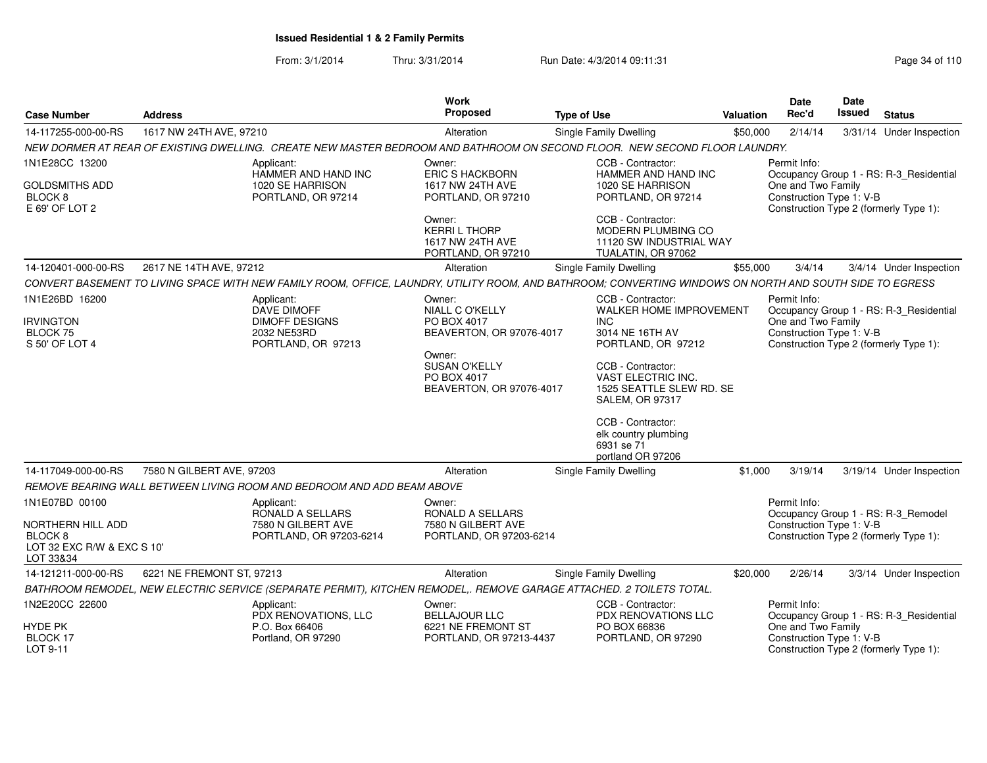From: 3/1/2014Thru: 3/31/2014 Run Date: 4/3/2014 09:11:31 Page 34 of 110

| Case Number                                                                        | <b>Address</b>            |                                                                           | <b>Work</b><br>Proposed                                                                             | <b>Type of Use</b>                                                                                                                                       | <b>Valuation</b> | Date<br>Rec'd                                  | Date<br>Issued | <b>Status</b>                                                                     |
|------------------------------------------------------------------------------------|---------------------------|---------------------------------------------------------------------------|-----------------------------------------------------------------------------------------------------|----------------------------------------------------------------------------------------------------------------------------------------------------------|------------------|------------------------------------------------|----------------|-----------------------------------------------------------------------------------|
| 14-117255-000-00-RS                                                                | 1617 NW 24TH AVE, 97210   |                                                                           | Alteration                                                                                          | Single Family Dwelling                                                                                                                                   | \$50,000         | 2/14/14                                        |                | 3/31/14 Under Inspection                                                          |
|                                                                                    |                           |                                                                           |                                                                                                     | NEW DORMER AT REAR OF EXISTING DWELLING. CREATE NEW MASTER BEDROOM AND BATHROOM ON SECOND FLOOR. NEW SECOND FLOOR LAUNDRY.                               |                  |                                                |                |                                                                                   |
| 1N1E28CC 13200                                                                     |                           | Applicant:                                                                | Owner:                                                                                              | CCB - Contractor:                                                                                                                                        |                  | Permit Info:                                   |                |                                                                                   |
| <b>GOLDSMITHS ADD</b><br>BLOCK <sub>8</sub><br>E 69' OF LOT 2                      |                           | HAMMER AND HAND INC<br>1020 SE HARRISON<br>PORTLAND, OR 97214             | <b>ERIC S HACKBORN</b><br>1617 NW 24TH AVE<br>PORTLAND, OR 97210                                    | HAMMER AND HAND INC<br>1020 SE HARRISON<br>PORTLAND, OR 97214                                                                                            |                  | One and Two Family<br>Construction Type 1: V-B |                | Occupancy Group 1 - RS: R-3_Residential<br>Construction Type 2 (formerly Type 1): |
|                                                                                    |                           |                                                                           | Owner:<br><b>KERRIL THORP</b><br>1617 NW 24TH AVE<br>PORTLAND, OR 97210                             | CCB - Contractor:<br>MODERN PLUMBING CO<br>11120 SW INDUSTRIAL WAY<br>TUALATIN, OR 97062                                                                 |                  |                                                |                |                                                                                   |
| 14-120401-000-00-RS                                                                | 2617 NE 14TH AVE, 97212   |                                                                           | Alteration                                                                                          | <b>Single Family Dwelling</b>                                                                                                                            | \$55,000         | 3/4/14                                         |                | 3/4/14 Under Inspection                                                           |
|                                                                                    |                           |                                                                           |                                                                                                     | CONVERT BASEMENT TO LIVING SPACE WITH NEW FAMILY ROOM, OFFICE, LAUNDRY, UTILITY ROOM, AND BATHROOM; CONVERTING WINDOWS ON NORTH AND SOUTH SIDE TO EGRESS |                  |                                                |                |                                                                                   |
| 1N1E26BD 16200                                                                     |                           | Applicant:                                                                | Owner:                                                                                              | CCB - Contractor:                                                                                                                                        |                  | Permit Info:                                   |                |                                                                                   |
| <b>IRVINGTON</b><br><b>BLOCK 75</b><br>S 50' OF LOT 4                              |                           | DAVE DIMOFF<br><b>DIMOFF DESIGNS</b><br>2032 NE53RD<br>PORTLAND, OR 97213 | <b>NIALL C O'KELLY</b><br>PO BOX 4017<br>BEAVERTON, OR 97076-4017<br>Owner:<br><b>SUSAN O'KELLY</b> | <b>WALKER HOME IMPROVEMENT</b><br><b>INC</b><br>3014 NE 16TH AV<br>PORTLAND, OR 97212<br>CCB - Contractor:                                               |                  | One and Two Family<br>Construction Type 1: V-B |                | Occupancy Group 1 - RS: R-3_Residential<br>Construction Type 2 (formerly Type 1): |
|                                                                                    |                           |                                                                           | PO BOX 4017<br>BEAVERTON, OR 97076-4017                                                             | VAST ELECTRIC INC.<br>1525 SEATTLE SLEW RD. SE<br><b>SALEM, OR 97317</b>                                                                                 |                  |                                                |                |                                                                                   |
|                                                                                    |                           |                                                                           |                                                                                                     | CCB - Contractor:<br>elk country plumbing<br>6931 se 71<br>portland OR 97206                                                                             |                  |                                                |                |                                                                                   |
| 14-117049-000-00-RS                                                                | 7580 N GILBERT AVE, 97203 |                                                                           | Alteration                                                                                          | <b>Single Family Dwelling</b>                                                                                                                            | \$1,000          | 3/19/14                                        |                | 3/19/14 Under Inspection                                                          |
|                                                                                    |                           | REMOVE BEARING WALL BETWEEN LIVING ROOM AND BEDROOM AND ADD BEAM ABOVE    |                                                                                                     |                                                                                                                                                          |                  |                                                |                |                                                                                   |
| 1N1E07BD 00100                                                                     |                           | Applicant:<br>RONALD A SELLARS                                            | Owner:<br>RONALD A SELLARS                                                                          |                                                                                                                                                          |                  | Permit Info:                                   |                | Occupancy Group 1 - RS: R-3_Remodel                                               |
| NORTHERN HILL ADD<br>BLOCK <sub>8</sub><br>LOT 32 EXC R/W & EXC S 10'<br>LOT 33&34 |                           | 7580 N GILBERT AVE<br>PORTLAND, OR 97203-6214                             | 7580 N GILBERT AVE<br>PORTLAND, OR 97203-6214                                                       |                                                                                                                                                          |                  | Construction Type 1: V-B                       |                | Construction Type 2 (formerly Type 1):                                            |
| 14-121211-000-00-RS                                                                | 6221 NE FREMONT ST, 97213 |                                                                           | Alteration                                                                                          | <b>Single Family Dwelling</b>                                                                                                                            | \$20,000         | 2/26/14                                        |                | 3/3/14 Under Inspection                                                           |
|                                                                                    |                           |                                                                           |                                                                                                     | BATHROOM REMODEL, NEW ELECTRIC SERVICE (SEPARATE PERMIT), KITCHEN REMODEL,. REMOVE GARAGE ATTACHED. 2 TOILETS TOTAL.                                     |                  |                                                |                |                                                                                   |
| 1N2E20CC 22600                                                                     |                           | Applicant:<br>PDX RENOVATIONS, LLC                                        | Owner:<br><b>BELLAJOUR LLC</b>                                                                      | CCB - Contractor:<br>PDX RENOVATIONS LLC                                                                                                                 |                  | Permit Info:                                   |                | Occupancy Group 1 - RS: R-3 Residential                                           |
| HYDE PK<br>BLOCK 17<br>LOT 9-11                                                    |                           | P.O. Box 66406<br>Portland, OR 97290                                      | 6221 NE FREMONT ST<br>PORTLAND, OR 97213-4437                                                       | PO BOX 66836<br>PORTLAND, OR 97290                                                                                                                       |                  | One and Two Family<br>Construction Type 1: V-B |                | Construction Type 2 (formerly Type 1):                                            |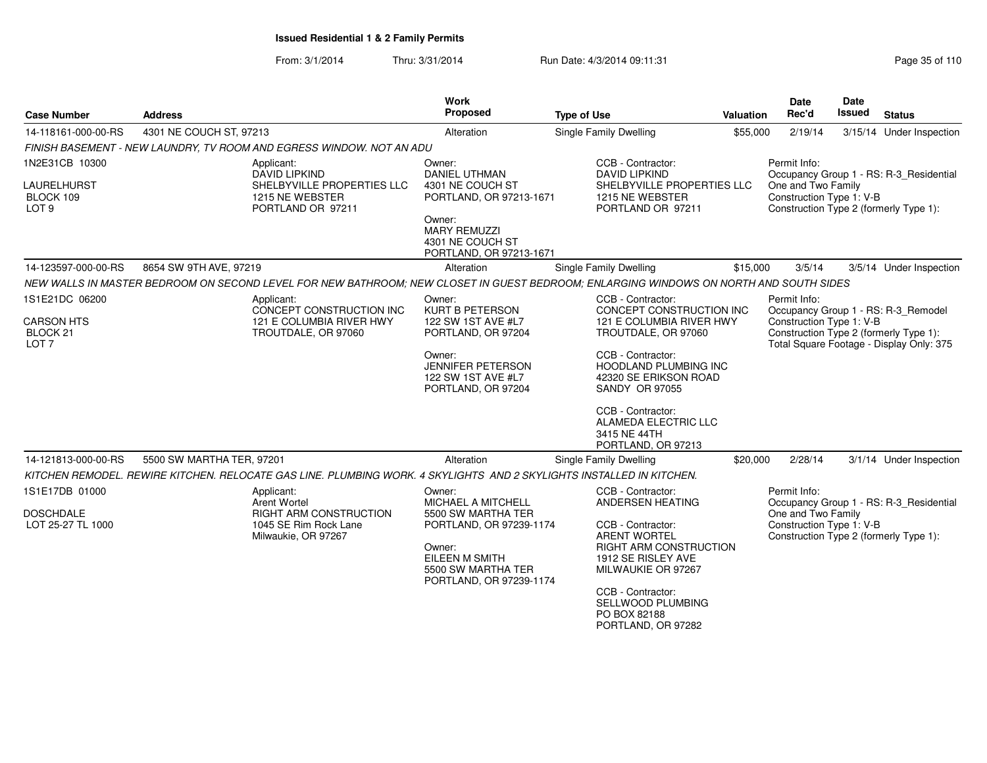From: 3/1/2014Thru: 3/31/2014 Run Date: 4/3/2014 09:11:31 Page 35 of 110

| <b>Case Number</b>                                           | <b>Address</b>                                                                                                                        | <b>Work</b><br><b>Proposed</b>                                                   | <b>Type of Use</b>                                                                                  | <b>Valuation</b> | <b>Date</b><br>Rec'd                           | <b>Date</b><br><b>Issued</b> | <b>Status</b>                                                                      |
|--------------------------------------------------------------|---------------------------------------------------------------------------------------------------------------------------------------|----------------------------------------------------------------------------------|-----------------------------------------------------------------------------------------------------|------------------|------------------------------------------------|------------------------------|------------------------------------------------------------------------------------|
| 14-118161-000-00-RS                                          | 4301 NE COUCH ST, 97213                                                                                                               | Alteration                                                                       | <b>Single Family Dwelling</b>                                                                       | \$55,000         | 2/19/14                                        |                              | 3/15/14 Under Inspection                                                           |
|                                                              | FINISH BASEMENT - NEW LAUNDRY, TV ROOM AND EGRESS WINDOW. NOT AN ADU                                                                  |                                                                                  |                                                                                                     |                  |                                                |                              |                                                                                    |
| 1N2E31CB 10300                                               | Applicant:<br>DAVID LIPKIND                                                                                                           | Owner:<br><b>DANIEL UTHMAN</b>                                                   | CCB - Contractor:<br><b>DAVID LIPKIND</b>                                                           |                  | Permit Info:                                   |                              | Occupancy Group 1 - RS: R-3_Residential                                            |
| LAURELHURST<br>BLOCK 109<br>LOT <sub>9</sub>                 | SHELBYVILLE PROPERTIES LLC<br>1215 NE WEBSTER<br>PORTLAND OR 97211                                                                    | 4301 NE COUCH ST<br>PORTLAND, OR 97213-1671                                      | SHELBYVILLE PROPERTIES LLC<br>1215 NE WEBSTER<br>PORTLAND OR 97211                                  |                  | One and Two Family<br>Construction Type 1: V-B |                              | Construction Type 2 (formerly Type 1):                                             |
|                                                              |                                                                                                                                       | Owner:<br><b>MARY REMUZZI</b><br>4301 NE COUCH ST<br>PORTLAND, OR 97213-1671     |                                                                                                     |                  |                                                |                              |                                                                                    |
| 14-123597-000-00-RS                                          | 8654 SW 9TH AVE, 97219                                                                                                                | Alteration                                                                       | <b>Single Family Dwelling</b>                                                                       | \$15,000         | 3/5/14                                         |                              | 3/5/14 Under Inspection                                                            |
|                                                              | NEW WALLS IN MASTER BEDROOM ON SECOND LEVEL FOR NEW BATHROOM; NEW CLOSET IN GUEST BEDROOM; ENLARGING WINDOWS ON NORTH AND SOUTH SIDES |                                                                                  |                                                                                                     |                  |                                                |                              |                                                                                    |
| 1S1E21DC 06200                                               | Applicant:<br>CONCEPT CONSTRUCTION INC                                                                                                | Owner:<br><b>KURT B PETERSON</b>                                                 | CCB - Contractor:<br>CONCEPT CONSTRUCTION INC                                                       |                  | Permit Info:                                   |                              | Occupancy Group 1 - RS: R-3_Remodel                                                |
| <b>CARSON HTS</b><br>BLOCK <sub>21</sub><br>LOT <sub>7</sub> | 121 E COLUMBIA RIVER HWY<br>TROUTDALE, OR 97060                                                                                       | 122 SW 1ST AVE #L7<br>PORTLAND, OR 97204                                         | 121 E COLUMBIA RIVER HWY<br>TROUTDALE, OR 97060                                                     |                  | Construction Type 1: V-B                       |                              | Construction Type 2 (formerly Type 1):<br>Total Square Footage - Display Only: 375 |
|                                                              |                                                                                                                                       | Owner:<br><b>JENNIFER PETERSON</b><br>122 SW 1ST AVE #L7<br>PORTLAND, OR 97204   | CCB - Contractor:<br><b>HOODLAND PLUMBING INC</b><br>42320 SE ERIKSON ROAD<br><b>SANDY OR 97055</b> |                  |                                                |                              |                                                                                    |
|                                                              |                                                                                                                                       |                                                                                  | CCB - Contractor:<br>ALAMEDA ELECTRIC LLC<br>3415 NE 44TH<br>PORTLAND, OR 97213                     |                  |                                                |                              |                                                                                    |
| 14-121813-000-00-RS                                          | 5500 SW MARTHA TER, 97201                                                                                                             | Alteration                                                                       | Single Family Dwelling                                                                              | \$20,000         | 2/28/14                                        |                              | 3/1/14 Under Inspection                                                            |
|                                                              | KITCHEN REMODEL. REWIRE KITCHEN. RELOCATE GAS LINE. PLUMBING WORK. 4 SKYLIGHTS AND 2 SKYLIGHTS INSTALLED IN KITCHEN.                  |                                                                                  |                                                                                                     |                  |                                                |                              |                                                                                    |
| 1S1E17DB 01000                                               | Applicant:<br><b>Arent Wortel</b>                                                                                                     | Owner:<br>MICHAEL A MITCHELL                                                     | CCB - Contractor:<br>ANDERSEN HEATING                                                               |                  | Permit Info:                                   |                              | Occupancy Group 1 - RS: R-3_Residential                                            |
| <b>DOSCHDALE</b><br>LOT 25-27 TL 1000                        | RIGHT ARM CONSTRUCTION<br>1045 SE Rim Rock Lane<br>Milwaukie, OR 97267                                                                | 5500 SW MARTHA TER<br>PORTLAND, OR 97239-1174                                    | CCB - Contractor:<br><b>ARENT WORTEL</b>                                                            |                  | One and Two Family<br>Construction Type 1: V-B |                              | Construction Type 2 (formerly Type 1):                                             |
|                                                              |                                                                                                                                       | Owner:<br><b>EILEEN M SMITH</b><br>5500 SW MARTHA TER<br>PORTLAND, OR 97239-1174 | <b>RIGHT ARM CONSTRUCTION</b><br>1912 SE RISLEY AVE<br>MILWAUKIE OR 97267                           |                  |                                                |                              |                                                                                    |
|                                                              |                                                                                                                                       |                                                                                  | CCB - Contractor:<br>SELLWOOD PLUMBING<br>PO BOX 82188<br>PORTLAND, OR 97282                        |                  |                                                |                              |                                                                                    |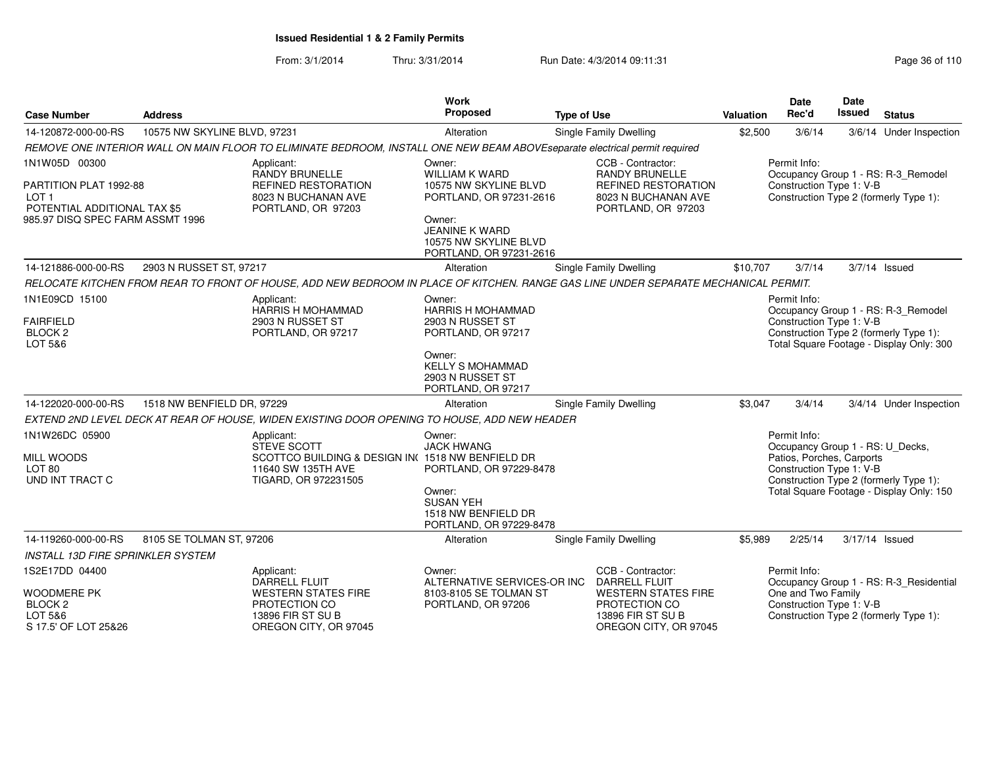From: 3/1/2014Thru: 3/31/2014 Run Date: 4/3/2014 09:11:31 Page 36 of 110

| <b>Case Number</b>                                                                          | <b>Address</b>               |                                                                                                                                     | <b>Work</b><br><b>Proposed</b>                                                      | <b>Type of Use</b>                                                                                                    | <b>Valuation</b> | Date<br>Rec'd                                                                                             | Date<br><b>Issued</b> | <b>Status</b>                                                                      |
|---------------------------------------------------------------------------------------------|------------------------------|-------------------------------------------------------------------------------------------------------------------------------------|-------------------------------------------------------------------------------------|-----------------------------------------------------------------------------------------------------------------------|------------------|-----------------------------------------------------------------------------------------------------------|-----------------------|------------------------------------------------------------------------------------|
| 14-120872-000-00-RS                                                                         | 10575 NW SKYLINE BLVD, 97231 |                                                                                                                                     | Alteration                                                                          | Single Family Dwelling                                                                                                | \$2,500          | 3/6/14                                                                                                    |                       | 3/6/14 Under Inspection                                                            |
|                                                                                             |                              | REMOVE ONE INTERIOR WALL ON MAIN FLOOR TO ELIMINATE BEDROOM, INSTALL ONE NEW BEAM ABOVEseparate electrical permit required          |                                                                                     |                                                                                                                       |                  |                                                                                                           |                       |                                                                                    |
| 1N1W05D 00300<br>PARTITION PLAT 1992-88<br>LOT <sub>1</sub><br>POTENTIAL ADDITIONAL TAX \$5 |                              | Applicant:<br><b>RANDY BRUNELLE</b><br><b>REFINED RESTORATION</b><br>8023 N BUCHANAN AVE<br>PORTLAND, OR 97203                      | Owner:<br>WILLIAM K WARD<br>10575 NW SKYLINE BLVD<br>PORTLAND, OR 97231-2616        | CCB - Contractor:<br><b>RANDY BRUNELLE</b><br><b>REFINED RESTORATION</b><br>8023 N BUCHANAN AVE<br>PORTLAND, OR 97203 |                  | Permit Info:<br>Construction Type 1: V-B                                                                  |                       | Occupancy Group 1 - RS: R-3_Remodel<br>Construction Type 2 (formerly Type 1):      |
| 985.97 DISQ SPEC FARM ASSMT 1996                                                            |                              |                                                                                                                                     | Owner:<br><b>JEANINE K WARD</b><br>10575 NW SKYLINE BLVD<br>PORTLAND, OR 97231-2616 |                                                                                                                       |                  |                                                                                                           |                       |                                                                                    |
| 14-121886-000-00-RS                                                                         | 2903 N RUSSET ST, 97217      |                                                                                                                                     | Alteration                                                                          | Single Family Dwelling                                                                                                | \$10,707         | 3/7/14                                                                                                    |                       | $3/7/14$ Issued                                                                    |
|                                                                                             |                              | RELOCATE KITCHEN FROM REAR TO FRONT OF HOUSE, ADD NEW BEDROOM IN PLACE OF KITCHEN. RANGE GAS LINE UNDER SEPARATE MECHANICAL PERMIT. |                                                                                     |                                                                                                                       |                  |                                                                                                           |                       |                                                                                    |
| 1N1E09CD 15100                                                                              |                              | Applicant:<br><b>HARRIS H MOHAMMAD</b>                                                                                              | Owner:<br><b>HARRIS H MOHAMMAD</b>                                                  |                                                                                                                       |                  | Permit Info:                                                                                              |                       | Occupancy Group 1 - RS: R-3_Remodel                                                |
| <b>FAIRFIELD</b><br>BLOCK <sub>2</sub><br>LOT 5&6                                           |                              | 2903 N RUSSET ST<br>PORTLAND, OR 97217                                                                                              | 2903 N RUSSET ST<br>PORTLAND, OR 97217                                              |                                                                                                                       |                  | Construction Type 1: V-B                                                                                  |                       | Construction Type 2 (formerly Type 1):<br>Total Square Footage - Display Only: 300 |
|                                                                                             |                              |                                                                                                                                     | Owner:<br><b>KELLY S MOHAMMAD</b><br>2903 N RUSSET ST<br>PORTLAND, OR 97217         |                                                                                                                       |                  |                                                                                                           |                       |                                                                                    |
| 14-122020-000-00-RS                                                                         | 1518 NW BENFIELD DR, 97229   |                                                                                                                                     | Alteration                                                                          | Single Family Dwelling                                                                                                | \$3,047          | 3/4/14                                                                                                    |                       | 3/4/14 Under Inspection                                                            |
|                                                                                             |                              | EXTEND 2ND LEVEL DECK AT REAR OF HOUSE, WIDEN EXISTING DOOR OPENING TO HOUSE, ADD NEW HEADER                                        |                                                                                     |                                                                                                                       |                  |                                                                                                           |                       |                                                                                    |
| 1N1W26DC 05900<br><b>MILL WOODS</b><br>LOT 80<br>UND INT TRACT C                            |                              | Applicant:<br><b>STEVE SCOTT</b><br>SCOTTCO BUILDING & DESIGN IN(1518 NW BENFIELD DR<br>11640 SW 135TH AVE<br>TIGARD, OR 972231505  | Owner:<br><b>JACK HWANG</b><br>PORTLAND, OR 97229-8478                              |                                                                                                                       |                  | Permit Info:<br>Occupancy Group 1 - RS: U_Decks,<br>Patios, Porches, Carports<br>Construction Type 1: V-B |                       | Construction Type 2 (formerly Type 1):                                             |
|                                                                                             |                              |                                                                                                                                     | Owner:<br><b>SUSAN YEH</b><br>1518 NW BENFIELD DR<br>PORTLAND, OR 97229-8478        |                                                                                                                       |                  |                                                                                                           |                       | Total Square Footage - Display Only: 150                                           |
| 14-119260-000-00-RS                                                                         | 8105 SE TOLMAN ST, 97206     |                                                                                                                                     | Alteration                                                                          | Single Family Dwelling                                                                                                | \$5,989          | 2/25/14                                                                                                   | 3/17/14 Issued        |                                                                                    |
| <b>INSTALL 13D FIRE SPRINKLER SYSTEM</b>                                                    |                              |                                                                                                                                     |                                                                                     |                                                                                                                       |                  |                                                                                                           |                       |                                                                                    |
| 1S2E17DD 04400<br><b>WOODMERE PK</b>                                                        |                              | Applicant:<br><b>DARRELL FLUIT</b><br><b>WESTERN STATES FIRE</b>                                                                    | Owner:<br>ALTERNATIVE SERVICES-OR INC<br>8103-8105 SE TOLMAN ST                     | CCB - Contractor:<br><b>DARRELL FLUIT</b><br><b>WESTERN STATES FIRE</b>                                               |                  | Permit Info:<br>One and Two Family                                                                        |                       | Occupancy Group 1 - RS: R-3_Residential                                            |
| BLOCK <sub>2</sub><br>LOT 5&6<br>S 17.5' OF LOT 25&26                                       |                              | PROTECTION CO<br>13896 FIR ST SU B<br>OREGON CITY, OR 97045                                                                         | PORTLAND, OR 97206                                                                  | PROTECTION CO<br>13896 FIR ST SU B<br>OREGON CITY, OR 97045                                                           |                  | Construction Type 1: V-B                                                                                  |                       | Construction Type 2 (formerly Type 1):                                             |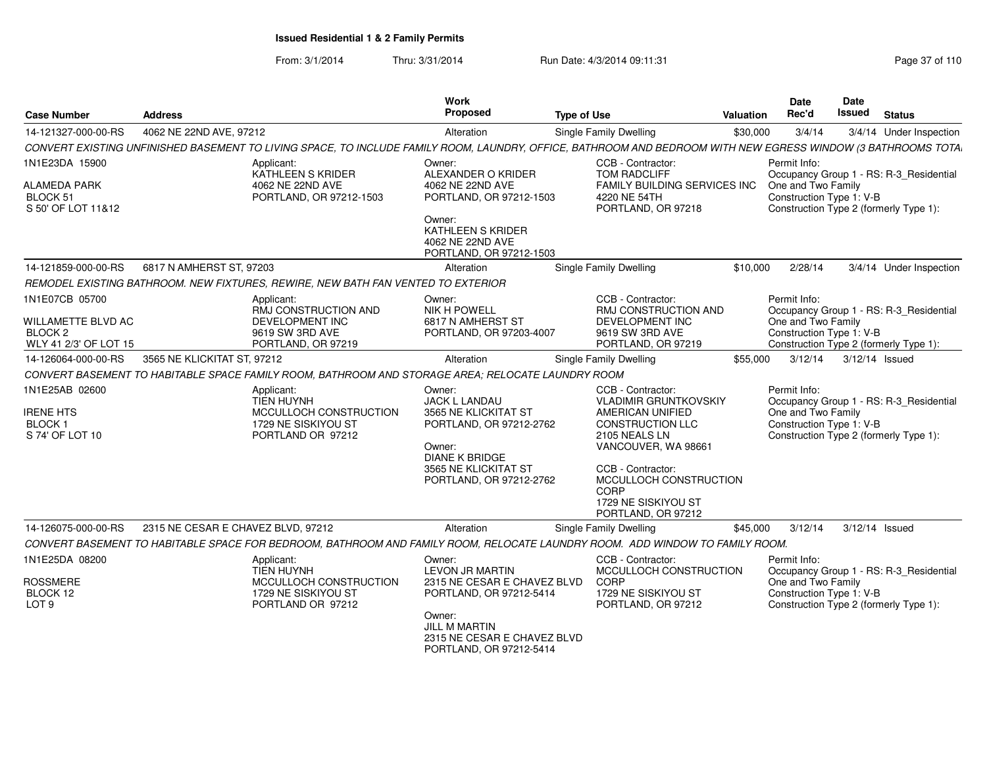From: 3/1/2014Thru: 3/31/2014 Run Date: 4/3/2014 09:11:31 Page 37 of 110

| <b>Case Number</b>                                               | <b>Address</b>                                                                                 | Work<br>Proposed                                                                                                                                                 | <b>Type of Use</b>                                                                                                                                                                                                                           | <b>Valuation</b> | Date<br>Rec'd                                                  | Date<br>Issued | <b>Status</b>                                                                     |
|------------------------------------------------------------------|------------------------------------------------------------------------------------------------|------------------------------------------------------------------------------------------------------------------------------------------------------------------|----------------------------------------------------------------------------------------------------------------------------------------------------------------------------------------------------------------------------------------------|------------------|----------------------------------------------------------------|----------------|-----------------------------------------------------------------------------------|
| 14-121327-000-00-RS                                              | 4062 NE 22ND AVE, 97212                                                                        | Alteration                                                                                                                                                       | <b>Single Family Dwelling</b>                                                                                                                                                                                                                | \$30,000         | 3/4/14                                                         |                | 3/4/14 Under Inspection                                                           |
|                                                                  |                                                                                                | CONVERT EXISTING UNFINISHED BASEMENT TO LIVING SPACE, TO INCLUDE FAMILY ROOM, LAUNDRY, OFFICE, BATHROOM AND BEDROOM WITH NEW EGRESS WINDOW (3 BATHROOMS TOTA     |                                                                                                                                                                                                                                              |                  |                                                                |                |                                                                                   |
| 1N1E23DA 15900                                                   | Applicant:                                                                                     | Owner:                                                                                                                                                           | CCB - Contractor:                                                                                                                                                                                                                            |                  | Permit Info:                                                   |                |                                                                                   |
| ALAMEDA PARK<br>BLOCK 51<br>S 50' OF LOT 11&12                   | KATHLEEN S KRIDER<br>4062 NE 22ND AVE<br>PORTLAND, OR 97212-1503                               | ALEXANDER O KRIDER<br>4062 NE 22ND AVE<br>PORTLAND, OR 97212-1503                                                                                                | <b>TOM RADCLIFF</b><br>FAMILY BUILDING SERVICES INC<br>4220 NE 54TH<br>PORTLAND, OR 97218                                                                                                                                                    |                  | One and Two Family<br>Construction Type 1: V-B                 |                | Occupancy Group 1 - RS: R-3_Residential<br>Construction Type 2 (formerly Type 1): |
|                                                                  |                                                                                                | Owner:<br>KATHLEEN S KRIDER<br>4062 NE 22ND AVE<br>PORTLAND, OR 97212-1503                                                                                       |                                                                                                                                                                                                                                              |                  |                                                                |                |                                                                                   |
| 14-121859-000-00-RS                                              | 6817 N AMHERST ST, 97203                                                                       | Alteration                                                                                                                                                       | Single Family Dwelling                                                                                                                                                                                                                       | \$10,000         | 2/28/14                                                        |                | 3/4/14 Under Inspection                                                           |
|                                                                  | REMODEL EXISTING BATHROOM. NEW FIXTURES, REWIRE, NEW BATH FAN VENTED TO EXTERIOR               |                                                                                                                                                                  |                                                                                                                                                                                                                                              |                  |                                                                |                |                                                                                   |
| 1N1E07CB 05700                                                   | Applicant:<br>RMJ CONSTRUCTION AND                                                             | Owner:<br><b>NIK H POWELL</b>                                                                                                                                    | CCB - Contractor:<br>RMJ CONSTRUCTION AND                                                                                                                                                                                                    |                  | Permit Info:                                                   |                | Occupancy Group 1 - RS: R-3 Residential                                           |
| WILLAMETTE BLVD AC<br>BLOCK 2<br>WLY 41 2/3' OF LOT 15           | DEVELOPMENT INC<br>9619 SW 3RD AVE<br>PORTLAND, OR 97219                                       | 6817 N AMHERST ST<br>PORTLAND, OR 97203-4007                                                                                                                     | DEVELOPMENT INC<br>9619 SW 3RD AVE<br>PORTLAND, OR 97219                                                                                                                                                                                     |                  | One and Two Family<br>Construction Type 1: V-B                 |                | Construction Type 2 (formerly Type 1):                                            |
| 14-126064-000-00-RS                                              | 3565 NE KLICKITAT ST, 97212                                                                    | Alteration                                                                                                                                                       | Single Family Dwelling                                                                                                                                                                                                                       | \$55,000         | 3/12/14                                                        | 3/12/14 Issued |                                                                                   |
|                                                                  |                                                                                                | CONVERT BASEMENT TO HABITABLE SPACE FAMILY ROOM, BATHROOM AND STORAGE AREA; RELOCATE LAUNDRY ROOM                                                                |                                                                                                                                                                                                                                              |                  |                                                                |                |                                                                                   |
| 1N1E25AB 02600<br><b>IRENE HTS</b><br>BLOCK 1<br>S 74' OF LOT 10 | Applicant:<br>TIEN HUYNH<br>MCCULLOCH CONSTRUCTION<br>1729 NE SISKIYOU ST<br>PORTLAND OR 97212 | Owner:<br><b>JACK L LANDAU</b><br>3565 NE KLICKITAT ST<br>PORTLAND, OR 97212-2762<br>Owner:<br>DIANE K BRIDGE<br>3565 NE KLICKITAT ST<br>PORTLAND, OR 97212-2762 | CCB - Contractor:<br><b>VLADIMIR GRUNTKOVSKIY</b><br>AMERICAN UNIFIED<br><b>CONSTRUCTION LLC</b><br>2105 NEALS LN<br>VANCOUVER, WA 98661<br>CCB - Contractor:<br>MCCULLOCH CONSTRUCTION<br>CORP<br>1729 NE SISKIYOU ST<br>PORTLAND, OR 97212 |                  | Permit Info:<br>One and Two Family<br>Construction Type 1: V-B |                | Occupancy Group 1 - RS: R-3_Residential<br>Construction Type 2 (formerly Type 1): |
| 14-126075-000-00-RS                                              | 2315 NE CESAR E CHAVEZ BLVD, 97212                                                             | Alteration                                                                                                                                                       | Single Family Dwelling                                                                                                                                                                                                                       | \$45,000         | 3/12/14                                                        | 3/12/14 Issued |                                                                                   |
|                                                                  |                                                                                                | CONVERT BASEMENT TO HABITABLE SPACE FOR BEDROOM, BATHROOM AND FAMILY ROOM, RELOCATE LAUNDRY ROOM. ADD WINDOW TO FAMILY ROOM.                                     |                                                                                                                                                                                                                                              |                  |                                                                |                |                                                                                   |
| 1N1E25DA 08200<br><b>ROSSMERE</b>                                | Applicant:<br>TIEN HUYNH<br>MCCULLOCH CONSTRUCTION                                             | Owner:<br><b>LEVON JR MARTIN</b><br>2315 NE CESAR E CHAVEZ BLVD                                                                                                  | CCB - Contractor:<br>MCCULLOCH CONSTRUCTION<br>CORP                                                                                                                                                                                          |                  | Permit Info:<br>One and Two Family                             |                | Occupancy Group 1 - RS: R-3_Residential                                           |
| BLOCK 12<br>LOT <sub>9</sub>                                     | 1729 NE SISKIYOU ST<br>PORTLAND OR 97212                                                       | PORTLAND, OR 97212-5414<br>Owner:<br><b>JILL M MARTIN</b><br>2315 NE CESAR E CHAVEZ BLVD<br>PORTLAND, OR 97212-5414                                              | 1729 NE SISKIYOU ST<br>PORTLAND, OR 97212                                                                                                                                                                                                    |                  | Construction Type 1: V-B                                       |                | Construction Type 2 (formerly Type 1):                                            |
|                                                                  |                                                                                                |                                                                                                                                                                  |                                                                                                                                                                                                                                              |                  |                                                                |                |                                                                                   |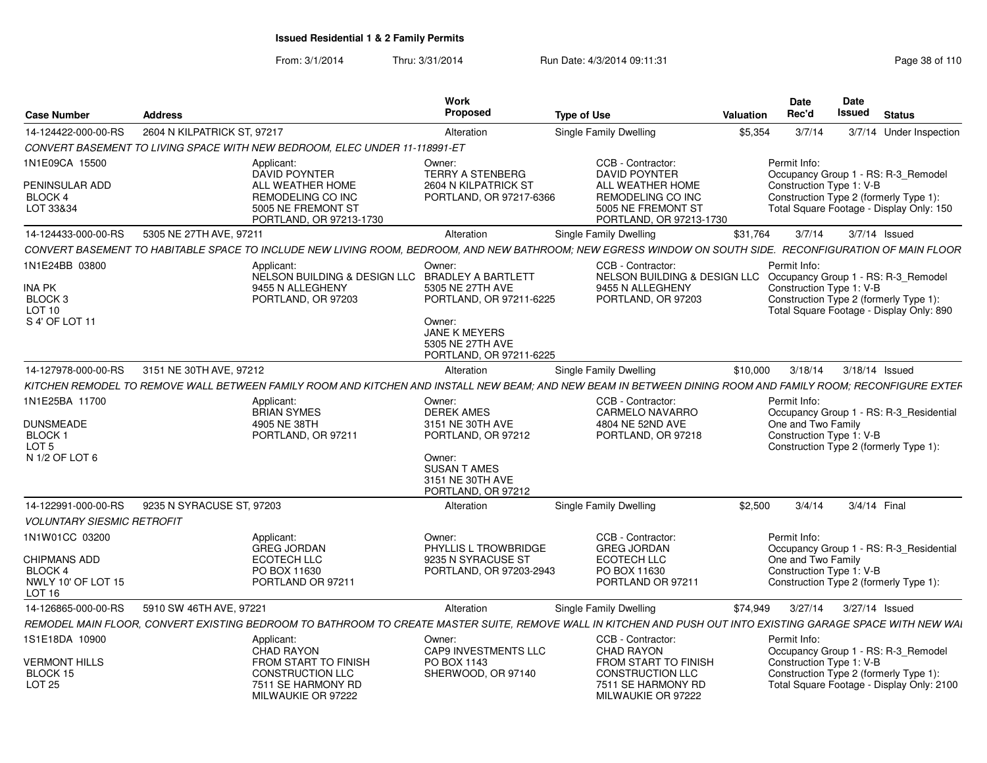From: 3/1/2014Thru: 3/31/2014 Run Date: 4/3/2014 09:11:31 Research 2010 Rage 38 of 110

| <b>Case Number</b>                                                                       | <b>Address</b>              |                                                                                                         | Work<br>Proposed                                                                                                                | <b>Type of Use</b>                                                                                                                                           | Valuation | <b>Date</b><br>Rec'd                                          | <b>Date</b><br><b>Issued</b> | <b>Status</b>                                                                       |
|------------------------------------------------------------------------------------------|-----------------------------|---------------------------------------------------------------------------------------------------------|---------------------------------------------------------------------------------------------------------------------------------|--------------------------------------------------------------------------------------------------------------------------------------------------------------|-----------|---------------------------------------------------------------|------------------------------|-------------------------------------------------------------------------------------|
| 14-124422-000-00-RS                                                                      | 2604 N KILPATRICK ST, 97217 |                                                                                                         | Alteration                                                                                                                      | Single Family Dwelling                                                                                                                                       | \$5.354   | 3/7/14                                                        |                              | 3/7/14 Under Inspection                                                             |
|                                                                                          |                             | CONVERT BASEMENT TO LIVING SPACE WITH NEW BEDROOM, ELEC UNDER 11-118991-ET                              |                                                                                                                                 |                                                                                                                                                              |           |                                                               |                              |                                                                                     |
| 1N1E09CA 15500                                                                           |                             | Applicant:<br><b>DAVID POYNTER</b>                                                                      | Owner:<br><b>TERRY A STENBERG</b>                                                                                               | CCB - Contractor:<br><b>DAVID POYNTER</b>                                                                                                                    |           | Permit Info:                                                  |                              | Occupancy Group 1 - RS: R-3 Remodel                                                 |
| PENINSULAR ADD<br>BLOCK 4<br>LOT 33&34                                                   |                             | ALL WEATHER HOME<br>REMODELING CO INC<br>5005 NE FREMONT ST                                             | 2604 N KILPATRICK ST<br>PORTLAND, OR 97217-6366                                                                                 | ALL WEATHER HOME<br>REMODELING CO INC<br>5005 NE FREMONT ST                                                                                                  |           | Construction Type 1: V-B                                      |                              | Construction Type 2 (formerly Type 1):<br>Total Square Footage - Display Only: 150  |
| 14-124433-000-00-RS                                                                      | 5305 NE 27TH AVE, 97211     | PORTLAND, OR 97213-1730                                                                                 | Alteration                                                                                                                      | PORTLAND, OR 97213-1730<br>Single Family Dwelling                                                                                                            | \$31,764  |                                                               |                              | 3/7/14   3/7/14   Issued                                                            |
|                                                                                          |                             |                                                                                                         |                                                                                                                                 | CONVERT BASEMENT TO HABITABLE SPACE TO INCLUDE NEW LIVING ROOM, BEDROOM, AND NEW BATHROOM; NEW EGRESS WINDOW ON SOUTH SIDE.                                  |           |                                                               |                              | <b>RECONFIGURATION OF MAIN FLOOR</b>                                                |
|                                                                                          |                             |                                                                                                         |                                                                                                                                 |                                                                                                                                                              |           |                                                               |                              |                                                                                     |
| 1N1E24BB 03800<br><b>INA PK</b><br>BLOCK <sub>3</sub><br><b>LOT 10</b><br>S 4' OF LOT 11 |                             | Applicant:<br>NELSON BUILDING & DESIGN LLC BRADLEY A BARTLETT<br>9455 N ALLEGHENY<br>PORTLAND, OR 97203 | Owner:<br>5305 NE 27TH AVE<br>PORTLAND, OR 97211-6225<br>Owner:<br>JANE K MEYERS<br>5305 NE 27TH AVE<br>PORTLAND, OR 97211-6225 | CCB - Contractor:<br>NELSON BUILDING & DESIGN LLC Occupancy Group 1 - RS: R-3_Remodel<br>9455 N ALLEGHENY<br>PORTLAND, OR 97203                              |           | Permit Info<br>Construction Type 1: V-B                       |                              | Construction Type 2 (formerly Type 1):<br>Total Square Footage - Display Only: 890  |
|                                                                                          |                             |                                                                                                         |                                                                                                                                 |                                                                                                                                                              |           |                                                               |                              |                                                                                     |
| 14-127978-000-00-RS                                                                      | 3151 NE 30TH AVE, 97212     |                                                                                                         | Alteration                                                                                                                      | Single Family Dwelling                                                                                                                                       | \$10,000  | 3/18/14                                                       |                              | 3/18/14 Issued                                                                      |
|                                                                                          |                             |                                                                                                         |                                                                                                                                 | KITCHEN REMODEL TO REMOVE WALL BETWEEN FAMILY ROOM AND KITCHEN AND INSTALL NEW BEAM: AND NEW BEAM IN BETWEEN DINING ROOM AND FAMILY ROOM: RECONFIGURE EXTEF  |           |                                                               |                              |                                                                                     |
| 1N1E25BA 11700<br><b>DUNSMEADE</b><br><b>BLOCK1</b><br>LOT <sub>5</sub>                  |                             | Applicant:<br><b>BRIAN SYMES</b><br>4905 NE 38TH<br>PORTLAND, OR 97211                                  | Owner:<br><b>DEREK AMES</b><br>3151 NE 30TH AVE<br>PORTLAND, OR 97212                                                           | CCB - Contractor:<br><b>CARMELO NAVARRO</b><br>4804 NE 52ND AVE<br>PORTLAND, OR 97218                                                                        |           | Permit Info<br>One and Two Family<br>Construction Type 1: V-B |                              | Occupancy Group 1 - RS: R-3_Residential<br>Construction Type 2 (formerly Type 1):   |
| N 1/2 OF LOT 6                                                                           |                             |                                                                                                         | Owner:<br><b>SUSAN T AMES</b><br>3151 NE 30TH AVE<br>PORTLAND, OR 97212                                                         |                                                                                                                                                              |           |                                                               |                              |                                                                                     |
| 14-122991-000-00-RS                                                                      | 9235 N SYRACUSE ST, 97203   |                                                                                                         | Alteration                                                                                                                      | Single Family Dwelling                                                                                                                                       | \$2.500   | 3/4/14                                                        |                              | 3/4/14 Final                                                                        |
| <b>VOLUNTARY SIESMIC RETROFIT</b>                                                        |                             |                                                                                                         |                                                                                                                                 |                                                                                                                                                              |           |                                                               |                              |                                                                                     |
| 1N1W01CC 03200                                                                           |                             | Applicant:<br>GREG JORDAN                                                                               | Owner:<br>PHYLLIS L TROWBRIDGE                                                                                                  | CCB - Contractor:<br><b>GREG JORDAN</b>                                                                                                                      |           | Permit Info:                                                  |                              | Occupancy Group 1 - RS: R-3_Residential                                             |
| CHIPMANS ADD<br>BLOCK 4<br>NWLY 10' OF LOT 15<br><b>LOT 16</b>                           |                             | <b>ECOTECH LLC</b><br>PO BOX 11630<br>PORTLAND OR 97211                                                 | 9235 N SYRACUSE ST<br>PORTLAND, OR 97203-2943                                                                                   | ECOTECH LLC<br>PO BOX 11630<br>PORTLAND OR 97211                                                                                                             |           | One and Two Family<br>Construction Type 1: V-B                |                              | Construction Type 2 (formerly Type 1):                                              |
| 14-126865-000-00-RS                                                                      | 5910 SW 46TH AVE, 97221     |                                                                                                         | Alteration                                                                                                                      | Single Family Dwelling                                                                                                                                       | \$74.949  |                                                               |                              | 3/27/14   3/27/14   Issued                                                          |
|                                                                                          |                             |                                                                                                         |                                                                                                                                 | REMODEL MAIN FLOOR. CONVERT EXISTING BEDROOM TO BATHROOM TO CREATE MASTER SUITE. REMOVE WALL IN KITCHEN AND PUSH OUT INTO EXISTING GARAGE SPACE WITH NEW WAI |           |                                                               |                              |                                                                                     |
| 1S1E18DA 10900                                                                           |                             | Applicant:<br>CHAD RAYON                                                                                | Owner:<br>CAP9 INVESTMENTS LLC                                                                                                  | CCB - Contractor:<br><b>CHAD RAYON</b>                                                                                                                       |           | Permit Info:                                                  |                              | Occupancy Group 1 - RS: R-3_Remodel                                                 |
| <b>VERMONT HILLS</b><br>BLOCK 15<br><b>LOT 25</b>                                        |                             | <b>FROM START TO FINISH</b><br><b>CONSTRUCTION LLC</b><br>7511 SE HARMONY RD                            | PO BOX 1143<br>SHERWOOD, OR 97140                                                                                               | <b>FROM START TO FINISH</b><br><b>CONSTRUCTION LLC</b><br>7511 SE HARMONY RD                                                                                 |           | Construction Type 1: V-B                                      |                              | Construction Type 2 (formerly Type 1):<br>Total Square Footage - Display Only: 2100 |
|                                                                                          |                             | MILWAUKIE OR 97222                                                                                      |                                                                                                                                 | MILWAUKIE OR 97222                                                                                                                                           |           |                                                               |                              |                                                                                     |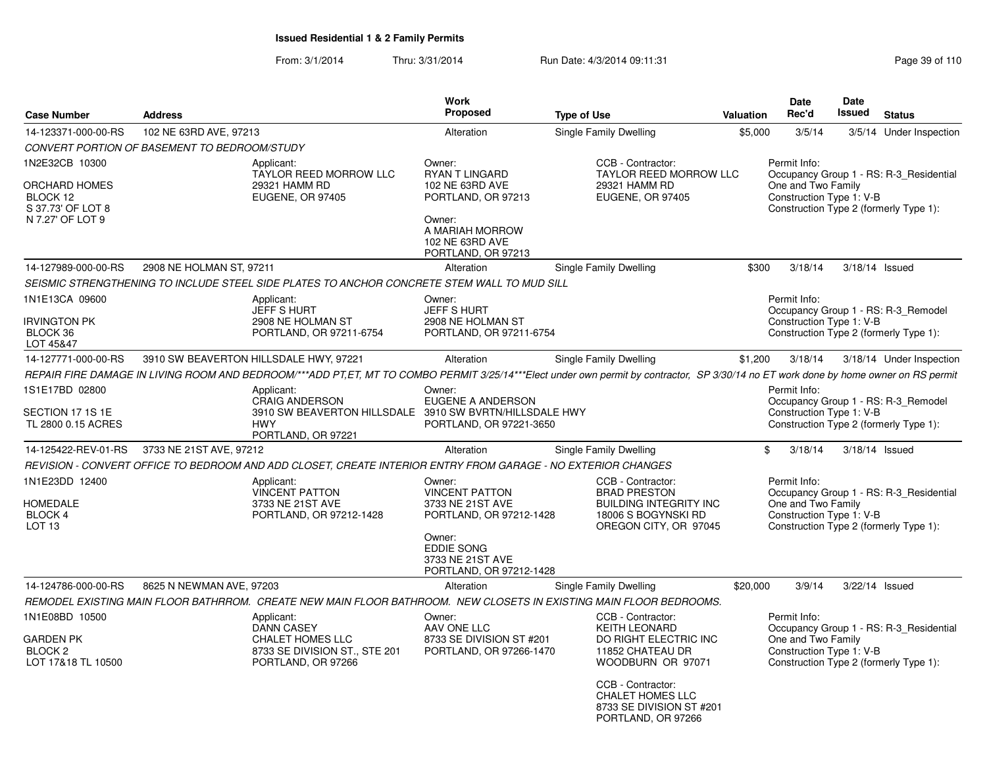From: 3/1/2014Thru: 3/31/2014 Run Date: 4/3/2014 09:11:31 Research 2010 Rage 39 of 110

|                                                                          |                                              |                                                                                                                                                                                      | <b>Work</b>                                                                    |                    |                                                                                                                           |                  | <b>Date</b>                                                    | <b>Date</b>   |                                                                                   |
|--------------------------------------------------------------------------|----------------------------------------------|--------------------------------------------------------------------------------------------------------------------------------------------------------------------------------------|--------------------------------------------------------------------------------|--------------------|---------------------------------------------------------------------------------------------------------------------------|------------------|----------------------------------------------------------------|---------------|-----------------------------------------------------------------------------------|
| <b>Case Number</b>                                                       | <b>Address</b>                               |                                                                                                                                                                                      | Proposed                                                                       | <b>Type of Use</b> |                                                                                                                           | <b>Valuation</b> | Rec'd                                                          | <b>Issued</b> | <b>Status</b>                                                                     |
| 14-123371-000-00-RS                                                      | 102 NE 63RD AVE, 97213                       |                                                                                                                                                                                      | Alteration                                                                     |                    | Single Family Dwelling                                                                                                    | \$5,000          | 3/5/14                                                         |               | 3/5/14 Under Inspection                                                           |
|                                                                          | CONVERT PORTION OF BASEMENT TO BEDROOM/STUDY |                                                                                                                                                                                      |                                                                                |                    |                                                                                                                           |                  |                                                                |               |                                                                                   |
| 1N2E32CB 10300<br>ORCHARD HOMES<br>BLOCK 12<br>S 37.73' OF LOT 8         |                                              | Applicant:<br>TAYLOR REED MORROW LLC<br>29321 HAMM RD<br><b>EUGENE, OR 97405</b>                                                                                                     | Owner:<br><b>RYAN T LINGARD</b><br>102 NE 63RD AVE<br>PORTLAND, OR 97213       |                    | CCB - Contractor:<br>TAYLOR REED MORROW LLC<br>29321 HAMM RD<br><b>EUGENE, OR 97405</b>                                   |                  | Permit Info:<br>One and Two Family<br>Construction Type 1: V-B |               | Occupancy Group 1 - RS: R-3 Residential<br>Construction Type 2 (formerly Type 1): |
| N 7.27' OF LOT 9                                                         |                                              |                                                                                                                                                                                      | Owner:<br>A MARIAH MORROW<br>102 NE 63RD AVE<br>PORTLAND, OR 97213             |                    |                                                                                                                           |                  |                                                                |               |                                                                                   |
| 14-127989-000-00-RS                                                      | 2908 NE HOLMAN ST, 97211                     |                                                                                                                                                                                      | Alteration                                                                     |                    | Single Family Dwelling                                                                                                    | \$300            | 3/18/14                                                        |               | 3/18/14 Issued                                                                    |
|                                                                          |                                              | SEISMIC STRENGTHENING TO INCLUDE STEEL SIDE PLATES TO ANCHOR CONCRETE STEM WALL TO MUD SILL                                                                                          |                                                                                |                    |                                                                                                                           |                  |                                                                |               |                                                                                   |
| 1N1E13CA 09600<br><b>IRVINGTON PK</b><br>BLOCK 36                        |                                              | Applicant:<br>JEFF S HURT<br>2908 NE HOLMAN ST<br>PORTLAND, OR 97211-6754                                                                                                            | Owner:<br>JEFF S HURT<br>2908 NE HOLMAN ST<br>PORTLAND, OR 97211-6754          |                    |                                                                                                                           |                  | Permit Info:<br>Construction Type 1: V-B                       |               | Occupancy Group 1 - RS: R-3_Remodel<br>Construction Type 2 (formerly Type 1):     |
| LOT 45&47                                                                |                                              |                                                                                                                                                                                      |                                                                                |                    |                                                                                                                           |                  |                                                                |               |                                                                                   |
| 14-127771-000-00-RS                                                      |                                              | 3910 SW BEAVERTON HILLSDALE HWY, 97221                                                                                                                                               | Alteration                                                                     |                    | Single Family Dwelling                                                                                                    | \$1,200          | 3/18/14                                                        |               | 3/18/14 Under Inspection                                                          |
|                                                                          |                                              | REPAIR FIRE DAMAGE IN LIVING ROOM AND BEDROOM/***ADD PT,ET, MT TO COMBO PERMIT 3/25/14***Elect under own permit by contractor, SP 3/30/14 no ET work done by home owner on RS permit |                                                                                |                    |                                                                                                                           |                  |                                                                |               |                                                                                   |
| 1S1E17BD 02800<br>SECTION 17 1S 1E                                       |                                              | Applicant:<br><b>CRAIG ANDERSON</b><br>3910 SW BEAVERTON HILLSDALE                                                                                                                   | Owner:<br><b>EUGENE A ANDERSON</b><br>3910 SW BVRTN/HILLSDALE HWY              |                    |                                                                                                                           |                  | Permit Info:<br>Construction Type 1: V-B                       |               | Occupancy Group 1 - RS: R-3 Remodel                                               |
| TL 2800 0.15 ACRES                                                       |                                              | <b>HWY</b><br>PORTLAND, OR 97221                                                                                                                                                     | PORTLAND, OR 97221-3650                                                        |                    |                                                                                                                           |                  |                                                                |               | Construction Type 2 (formerly Type 1):                                            |
| 14-125422-REV-01-RS                                                      | 3733 NE 21ST AVE, 97212                      |                                                                                                                                                                                      | Alteration                                                                     |                    | Single Family Dwelling                                                                                                    |                  | \$<br>3/18/14                                                  |               | 3/18/14 Issued                                                                    |
|                                                                          |                                              | REVISION - CONVERT OFFICE TO BEDROOM AND ADD CLOSET, CREATE INTERIOR ENTRY FROM GARAGE - NO EXTERIOR CHANGES                                                                         |                                                                                |                    |                                                                                                                           |                  |                                                                |               |                                                                                   |
| 1N1E23DD 12400<br><b>HOMEDALE</b><br><b>BLOCK 4</b><br>LOT <sub>13</sub> |                                              | Applicant:<br><b>VINCENT PATTON</b><br>3733 NE 21ST AVE<br>PORTLAND, OR 97212-1428                                                                                                   | Owner:<br><b>VINCENT PATTON</b><br>3733 NE 21ST AVE<br>PORTLAND, OR 97212-1428 |                    | CCB - Contractor:<br><b>BRAD PRESTON</b><br><b>BUILDING INTEGRITY INC</b><br>18006 S BOGYNSKI RD<br>OREGON CITY, OR 97045 |                  | Permit Info:<br>One and Two Family<br>Construction Type 1: V-B |               | Occupancy Group 1 - RS: R-3 Residential<br>Construction Type 2 (formerly Type 1): |
|                                                                          |                                              |                                                                                                                                                                                      | Owner:<br><b>EDDIE SONG</b><br>3733 NE 21ST AVE<br>PORTLAND, OR 97212-1428     |                    |                                                                                                                           |                  |                                                                |               |                                                                                   |
| 14-124786-000-00-RS                                                      | 8625 N NEWMAN AVE, 97203                     |                                                                                                                                                                                      | Alteration                                                                     |                    | Single Family Dwelling                                                                                                    | \$20,000         | 3/9/14                                                         |               | 3/22/14 Issued                                                                    |
|                                                                          |                                              | REMODEL EXISTING MAIN FLOOR BATHRROM. CREATE NEW MAIN FLOOR BATHROOM. NEW CLOSETS IN EXISTING MAIN FLOOR BEDROOMS.                                                                   |                                                                                |                    |                                                                                                                           |                  |                                                                |               |                                                                                   |
| 1N1E08BD 10500                                                           |                                              | Applicant:<br><b>DANN CASEY</b>                                                                                                                                                      | Owner:<br>AAV ONE LLC                                                          |                    | CCB - Contractor:<br><b>KEITH LEONARD</b>                                                                                 |                  | Permit Info:                                                   |               | Occupancy Group 1 - RS: R-3_Residential                                           |
| <b>GARDEN PK</b><br>BLOCK <sub>2</sub><br>LOT 17&18 TL 10500             |                                              | <b>CHALET HOMES LLC</b><br>8733 SE DIVISION ST., STE 201<br>PORTLAND, OR 97266                                                                                                       | 8733 SE DIVISION ST #201<br>PORTLAND, OR 97266-1470                            |                    | DO RIGHT ELECTRIC INC<br>11852 CHATEAU DR<br>WOODBURN OR 97071                                                            |                  | One and Two Family<br>Construction Type 1: V-B                 |               | Construction Type 2 (formerly Type 1):                                            |
|                                                                          |                                              |                                                                                                                                                                                      |                                                                                |                    | CCB - Contractor:<br><b>CHALET HOMES LLC</b><br>8733 SE DIVISION ST #201<br>PORTLAND, OR 97266                            |                  |                                                                |               |                                                                                   |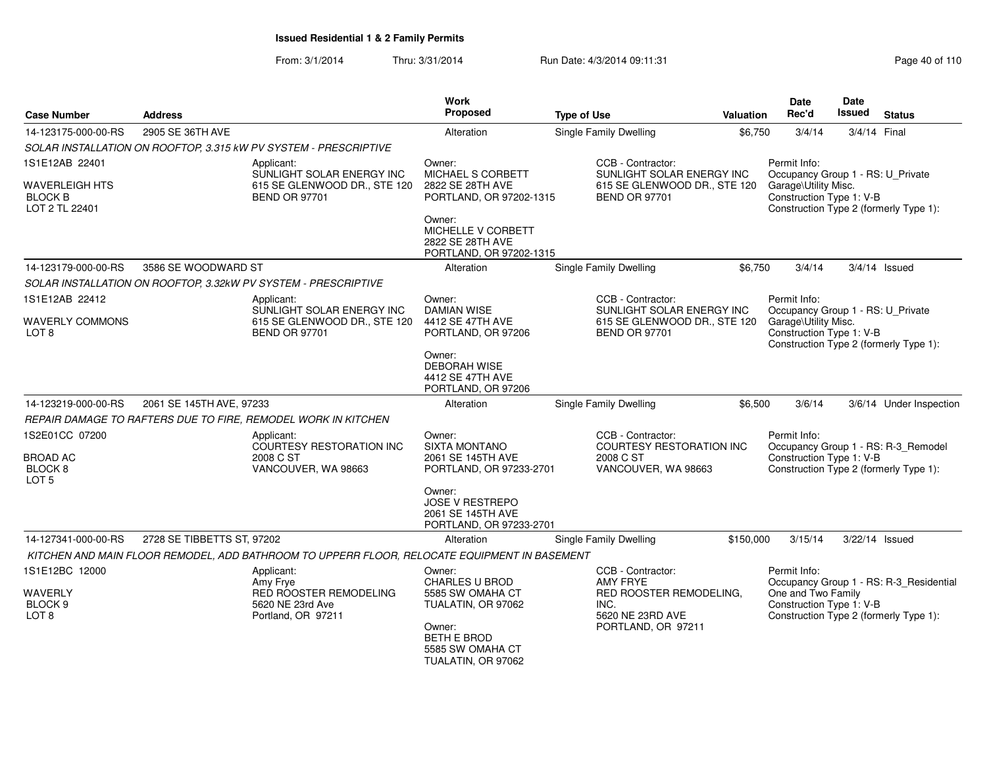From: 3/1/2014Thru: 3/31/2014 Run Date: 4/3/2014 09:11:31 Research 2010 110

| <b>Case Number</b>                                 | <b>Address</b>             |                                                                                              | <b>Work</b><br>Proposed                                                          | <b>Type of Use</b>                                                                | Valuation | Date<br>Rec'd                                                                                                                   | Date<br><b>Issued</b> | <b>Status</b>                           |
|----------------------------------------------------|----------------------------|----------------------------------------------------------------------------------------------|----------------------------------------------------------------------------------|-----------------------------------------------------------------------------------|-----------|---------------------------------------------------------------------------------------------------------------------------------|-----------------------|-----------------------------------------|
| 14-123175-000-00-RS                                | 2905 SE 36TH AVE           |                                                                                              | Alteration                                                                       | <b>Single Family Dwelling</b>                                                     | \$6,750   | 3/4/14                                                                                                                          | 3/4/14 Final          |                                         |
|                                                    |                            | SOLAR INSTALLATION ON ROOFTOP, 3.315 kW PV SYSTEM - PRESCRIPTIVE                             |                                                                                  |                                                                                   |           |                                                                                                                                 |                       |                                         |
| 1S1E12AB 22401                                     |                            | Applicant:                                                                                   | Owner:                                                                           | CCB - Contractor:                                                                 |           | Permit Info:                                                                                                                    |                       |                                         |
| WAVERLEIGH HTS<br><b>BLOCK B</b><br>LOT 2 TL 22401 |                            | SUNLIGHT SOLAR ENERGY INC<br>615 SE GLENWOOD DR., STE 120<br><b>BEND OR 97701</b>            | MICHAEL S CORBETT<br>2822 SE 28TH AVE<br>PORTLAND, OR 97202-1315                 | SUNLIGHT SOLAR ENERGY INC<br>615 SE GLENWOOD DR., STE 120<br><b>BEND OR 97701</b> |           | Occupancy Group 1 - RS: U_Private<br>Garage\Utility Misc.<br>Construction Type 1: V-B                                           |                       | Construction Type 2 (formerly Type 1):  |
|                                                    |                            |                                                                                              | Owner:<br>MICHELLE V CORBETT<br>2822 SE 28TH AVE<br>PORTLAND, OR 97202-1315      |                                                                                   |           |                                                                                                                                 |                       |                                         |
| 14-123179-000-00-RS                                | 3586 SE WOODWARD ST        |                                                                                              | Alteration                                                                       | Single Family Dwelling                                                            | \$6,750   | 3/4/14                                                                                                                          |                       | $3/4/14$ Issued                         |
|                                                    |                            | SOLAR INSTALLATION ON ROOFTOP, 3.32kW PV SYSTEM - PRESCRIPTIVE                               |                                                                                  |                                                                                   |           |                                                                                                                                 |                       |                                         |
| 1S1E12AB 22412                                     |                            | Applicant:                                                                                   | Owner:                                                                           | CCB - Contractor:                                                                 |           | Permit Info:                                                                                                                    |                       |                                         |
| WAVERLY COMMONS<br>LOT 8                           |                            | SUNLIGHT SOLAR ENERGY INC<br>615 SE GLENWOOD DR., STE 120<br><b>BEND OR 97701</b>            | <b>DAMIAN WISE</b><br>4412 SE 47TH AVE<br>PORTLAND, OR 97206                     | SUNLIGHT SOLAR ENERGY INC<br>615 SE GLENWOOD DR., STE 120<br><b>BEND OR 97701</b> |           | Occupancy Group 1 - RS: U_Private<br>Garage\Utility Misc.<br>Construction Type 1: V-B<br>Construction Type 2 (formerly Type 1): |                       |                                         |
|                                                    |                            |                                                                                              | Owner:<br>DEBORAH WISE<br>4412 SE 47TH AVE<br>PORTLAND, OR 97206                 |                                                                                   |           |                                                                                                                                 |                       |                                         |
| 14-123219-000-00-RS                                | 2061 SE 145TH AVE, 97233   |                                                                                              | Alteration                                                                       | <b>Single Family Dwelling</b>                                                     | \$6,500   | 3/6/14                                                                                                                          |                       | 3/6/14 Under Inspection                 |
|                                                    |                            | REPAIR DAMAGE TO RAFTERS DUE TO FIRE, REMODEL WORK IN KITCHEN                                |                                                                                  |                                                                                   |           |                                                                                                                                 |                       |                                         |
| 1S2E01CC 07200                                     |                            | Applicant:<br><b>COURTESY RESTORATION INC</b>                                                | Owner:<br><b>SIXTA MONTANO</b>                                                   | CCB - Contractor:<br><b>COURTESY RESTORATION INC.</b>                             |           | Permit Info:                                                                                                                    |                       | Occupancy Group 1 - RS: R-3_Remodel     |
| <b>BROAD AC</b><br>BLOCK 8<br>LOT <sub>5</sub>     |                            | 2008 C ST<br>VANCOUVER, WA 98663                                                             | 2061 SE 145TH AVE<br>PORTLAND, OR 97233-2701                                     | 2008 C ST<br>VANCOUVER, WA 98663                                                  |           | Construction Type 1: V-B                                                                                                        |                       | Construction Type 2 (formerly Type 1):  |
|                                                    |                            |                                                                                              | Owner:<br><b>JOSE V RESTREPO</b><br>2061 SE 145TH AVE<br>PORTLAND, OR 97233-2701 |                                                                                   |           |                                                                                                                                 |                       |                                         |
| 14-127341-000-00-RS                                | 2728 SE TIBBETTS ST, 97202 |                                                                                              | Alteration                                                                       | Single Family Dwelling                                                            | \$150,000 | 3/15/14                                                                                                                         | 3/22/14 Issued        |                                         |
|                                                    |                            | KITCHEN AND MAIN FLOOR REMODEL, ADD BATHROOM TO UPPERR FLOOR, RELOCATE EQUIPMENT IN BASEMENT |                                                                                  |                                                                                   |           |                                                                                                                                 |                       |                                         |
| 1S1E12BC 12000                                     |                            | Applicant:<br>Amy Frye                                                                       | Owner:<br><b>CHARLES U BROD</b>                                                  | CCB - Contractor:<br><b>AMY FRYE</b>                                              |           | Permit Info:                                                                                                                    |                       | Occupancy Group 1 - RS: R-3_Residential |
| <b>WAVERLY</b><br>BLOCK <sub>9</sub><br>LOT 8      |                            | RED ROOSTER REMODELING<br>5620 NE 23rd Ave<br>Portland, OR 97211                             | 5585 SW OMAHA CT<br>TUALATIN, OR 97062                                           | RED ROOSTER REMODELING.<br>INC.<br>5620 NE 23RD AVE                               |           | One and Two Family<br>Construction Type 1: V-B                                                                                  |                       | Construction Type 2 (formerly Type 1):  |
|                                                    |                            |                                                                                              | Owner:<br>BETH E BROD<br>5585 SW OMAHA CT<br>TUALATIN, OR 97062                  | PORTLAND, OR 97211                                                                |           |                                                                                                                                 |                       |                                         |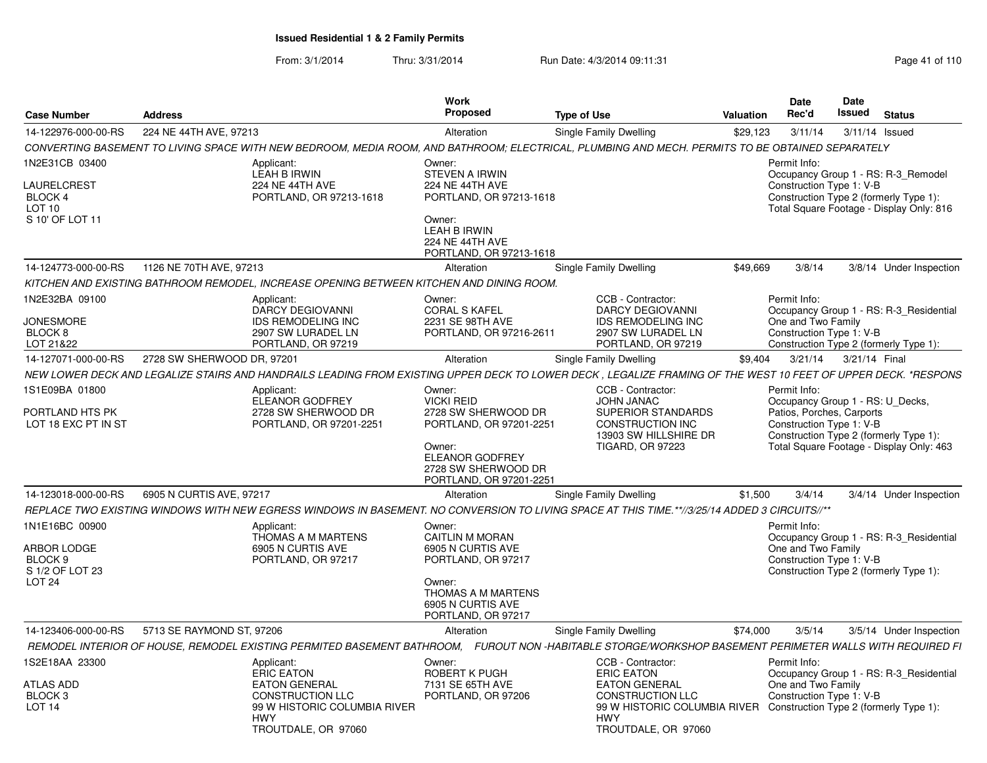From: 3/1/2014Thru: 3/31/2014 Run Date: 4/3/2014 09:11:31 Page 41 of 110

| <b>Case Number</b>                                             | <b>Address</b>                                                                                                                                                | Work<br>Proposed                                                                                                                     | <b>Type of Use</b>                                                                                                                                          | <b>Valuation</b> | Date<br>Rec'd                                                  | <b>Date</b><br>Issued | <b>Status</b>                                                                      |
|----------------------------------------------------------------|---------------------------------------------------------------------------------------------------------------------------------------------------------------|--------------------------------------------------------------------------------------------------------------------------------------|-------------------------------------------------------------------------------------------------------------------------------------------------------------|------------------|----------------------------------------------------------------|-----------------------|------------------------------------------------------------------------------------|
| 14-122976-000-00-RS                                            | 224 NE 44TH AVE, 97213                                                                                                                                        | Alteration                                                                                                                           | Single Family Dwelling                                                                                                                                      | \$29,123         | 3/11/14                                                        |                       | 3/11/14 Issued                                                                     |
|                                                                | CONVERTING BASEMENT TO LIVING SPACE WITH NEW BEDROOM, MEDIA ROOM, AND BATHROOM; ELECTRICAL, PLUMBING AND MECH. PERMITS TO BE OBTAINED SEPARATELY              |                                                                                                                                      |                                                                                                                                                             |                  |                                                                |                       |                                                                                    |
| 1N2E31CB 03400                                                 | Applicant:<br><b>LEAH B IRWIN</b>                                                                                                                             | Owner:<br><b>STEVEN A IRWIN</b>                                                                                                      |                                                                                                                                                             |                  | Permit Info:                                                   |                       | Occupancy Group 1 - RS: R-3 Remodel                                                |
| LAURELCREST<br>BLOCK 4<br>LOT <sub>10</sub><br>S 10' OF LOT 11 | 224 NE 44TH AVE<br>PORTLAND, OR 97213-1618                                                                                                                    | <b>224 NE 44TH AVE</b><br>PORTLAND, OR 97213-1618<br>Owner:<br>LEAH B IRWIN<br><b>224 NE 44TH AVE</b><br>PORTLAND, OR 97213-1618     |                                                                                                                                                             |                  | Construction Type 1: V-B                                       |                       | Construction Type 2 (formerly Type 1):<br>Total Square Footage - Display Only: 816 |
| 14-124773-000-00-RS                                            | 1126 NE 70TH AVE, 97213                                                                                                                                       | Alteration                                                                                                                           | Single Family Dwelling                                                                                                                                      | \$49,669         | 3/8/14                                                         |                       | 3/8/14 Under Inspection                                                            |
|                                                                | KITCHEN AND EXISTING BATHROOM REMODEL, INCREASE OPENING BETWEEN KITCHEN AND DINING ROOM.                                                                      |                                                                                                                                      |                                                                                                                                                             |                  |                                                                |                       |                                                                                    |
| 1N2E32BA 09100<br><b>JONESMORE</b><br>BLOCK 8<br>LOT 21&22     | Applicant:<br><b>DARCY DEGIOVANNI</b><br><b>IDS REMODELING INC</b><br>2907 SW LURADEL LN<br>PORTLAND, OR 97219                                                | Owner:<br><b>CORAL S KAFEL</b><br>2231 SE 98TH AVE<br>PORTLAND, OR 97216-2611                                                        | CCB - Contractor:<br><b>DARCY DEGIOVANNI</b><br><b>IDS REMODELING INC</b><br>2907 SW LURADEL LN<br>PORTLAND, OR 97219                                       |                  | Permit Info:<br>One and Two Family<br>Construction Type 1: V-B |                       | Occupancy Group 1 - RS: R-3 Residential<br>Construction Type 2 (formerly Type 1):  |
| 14-127071-000-00-RS                                            | 2728 SW SHERWOOD DR, 97201                                                                                                                                    | Alteration                                                                                                                           | Single Family Dwelling                                                                                                                                      | \$9,404          | 3/21/14                                                        | 3/21/14 Final         |                                                                                    |
|                                                                | NEW LOWER DECK AND LEGALIZE STAIRS AND HANDRAILS LEADING FROM EXISTING UPPER DECK TO LOWER DECK, LEGALIZE FRAMING OF THE WEST 10 FEET OF UPPER DECK. *RESPONS |                                                                                                                                      |                                                                                                                                                             |                  |                                                                |                       |                                                                                    |
| 1S1E09BA 01800                                                 | Applicant:<br>ELEANOR GODFREY                                                                                                                                 | Owner:<br><b>VICKI REID</b>                                                                                                          | CCB - Contractor:<br><b>JOHN JANAC</b>                                                                                                                      |                  | Permit Info:<br>Occupancy Group 1 - RS: U_Decks,               |                       |                                                                                    |
| PORTLAND HTS PK<br>LOT 18 EXC PT IN ST                         | 2728 SW SHERWOOD DR<br>PORTLAND, OR 97201-2251                                                                                                                | 2728 SW SHERWOOD DR<br>PORTLAND, OR 97201-2251<br>Owner:<br><b>ELEANOR GODFREY</b><br>2728 SW SHERWOOD DR<br>PORTLAND, OR 97201-2251 | <b>SUPERIOR STANDARDS</b><br>CONSTRUCTION INC<br>13903 SW HILLSHIRE DR<br><b>TIGARD, OR 97223</b>                                                           |                  | Patios, Porches, Carports<br>Construction Type 1: V-B          |                       | Construction Type 2 (formerly Type 1):<br>Total Square Footage - Display Only: 463 |
| 14-123018-000-00-RS                                            | 6905 N CURTIS AVE, 97217                                                                                                                                      | Alteration                                                                                                                           | Single Family Dwelling                                                                                                                                      | \$1,500          | 3/4/14                                                         |                       | 3/4/14 Under Inspection                                                            |
|                                                                | REPLACE TWO EXISTING WINDOWS WITH NEW EGRESS WINDOWS IN BASEMENT. NO CONVERSION TO LIVING SPACE AT THIS TIME.**//3/25/14 ADDED 3 CIRCUITS//**                 |                                                                                                                                      |                                                                                                                                                             |                  |                                                                |                       |                                                                                    |
| 1N1E16BC 00900                                                 | Applicant:<br>THOMAS A M MARTENS                                                                                                                              | Owner:<br><b>CAITLIN M MORAN</b>                                                                                                     |                                                                                                                                                             |                  | Permit Info:                                                   |                       | Occupancy Group 1 - RS: R-3 Residential                                            |
| ARBOR LODGE<br>BLOCK 9<br>S 1/2 OF LOT 23<br>LOT 24            | 6905 N CURTIS AVE<br>PORTLAND, OR 97217                                                                                                                       | 6905 N CURTIS AVE<br>PORTLAND, OR 97217<br>Owner:<br>THOMAS A M MARTENS<br>6905 N CURTIS AVE<br>PORTLAND, OR 97217                   |                                                                                                                                                             |                  | One and Two Family<br>Construction Type 1: V-B                 |                       | Construction Type 2 (formerly Type 1):                                             |
| 14-123406-000-00-RS                                            | 5713 SE RAYMOND ST, 97206                                                                                                                                     | Alteration                                                                                                                           | Single Family Dwelling                                                                                                                                      | \$74,000         | 3/5/14                                                         |                       | 3/5/14 Under Inspection                                                            |
|                                                                | REMODEL INTERIOR OF HOUSE, REMODEL EXISTING PERMITED BASEMENT BATHROOM, FUROUT NON -HABITABLE STORGE/WORKSHOP BASEMENT PERIMETER WALLS WITH REQUIRED FI       |                                                                                                                                      |                                                                                                                                                             |                  |                                                                |                       |                                                                                    |
| 1S2E18AA 23300                                                 | Applicant:<br><b>ERIC EATON</b>                                                                                                                               | Owner:<br>ROBERT K PUGH                                                                                                              | CCB - Contractor:<br><b>ERIC EATON</b>                                                                                                                      |                  | Permit Info:                                                   |                       | Occupancy Group 1 - RS: R-3 Residential                                            |
| <b>ATLAS ADD</b><br>BLOCK <sub>3</sub><br>LOT <sub>14</sub>    | <b>EATON GENERAL</b><br><b>CONSTRUCTION LLC</b><br>99 W HISTORIC COLUMBIA RIVER<br><b>HWY</b><br>TROUTDALE, OR 97060                                          | 7131 SE 65TH AVE<br>PORTLAND, OR 97206                                                                                               | <b>EATON GENERAL</b><br><b>CONSTRUCTION LLC</b><br>99 W HISTORIC COLUMBIA RIVER Construction Type 2 (formerly Type 1):<br><b>HWY</b><br>TROUTDALE, OR 97060 |                  | One and Two Family<br>Construction Type 1: V-B                 |                       |                                                                                    |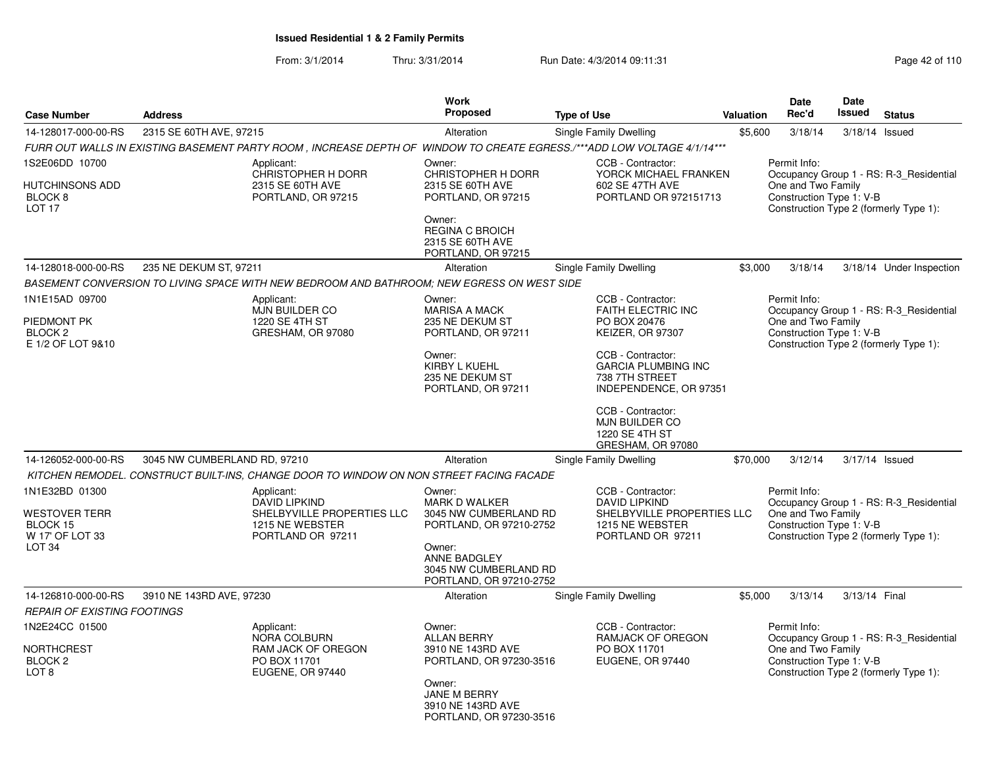From: 3/1/2014Thru: 3/31/2014 Run Date: 4/3/2014 09:11:31 Page 42 of 110

| <b>Case Number</b>                                                                                | <b>Address</b>               |                                                                                                                                                                                              | <b>Work</b><br><b>Proposed</b>                                                                                                                                   | <b>Type of Use</b>                                                                                                                                                                                                                         | <b>Valuation</b> | Date<br>Rec'd                                                  | Date<br><b>Issued</b> | <b>Status</b>                                                                     |
|---------------------------------------------------------------------------------------------------|------------------------------|----------------------------------------------------------------------------------------------------------------------------------------------------------------------------------------------|------------------------------------------------------------------------------------------------------------------------------------------------------------------|--------------------------------------------------------------------------------------------------------------------------------------------------------------------------------------------------------------------------------------------|------------------|----------------------------------------------------------------|-----------------------|-----------------------------------------------------------------------------------|
| 14-128017-000-00-RS                                                                               | 2315 SE 60TH AVE, 97215      |                                                                                                                                                                                              | Alteration                                                                                                                                                       | Single Family Dwelling                                                                                                                                                                                                                     | \$5,600          | 3/18/14                                                        | 3/18/14               | Issued                                                                            |
|                                                                                                   |                              | FURR OUT WALLS IN EXISTING BASEMENT PARTY ROOM , INCREASE DEPTH OF WINDOW TO CREATE EGRESS./***ADD LOW VOLTAGE 4/1/14***                                                                     |                                                                                                                                                                  |                                                                                                                                                                                                                                            |                  |                                                                |                       |                                                                                   |
| 1S2E06DD 10700<br>HUTCHINSONS ADD<br>BLOCK <sub>8</sub><br>LOT <sub>17</sub>                      |                              | Applicant:<br><b>CHRISTOPHER H DORR</b><br>2315 SE 60TH AVE<br>PORTLAND, OR 97215                                                                                                            | Owner:<br><b>CHRISTOPHER H DORR</b><br>2315 SE 60TH AVE<br>PORTLAND, OR 97215<br>Owner:<br><b>REGINA C BROICH</b><br>2315 SE 60TH AVE<br>PORTLAND, OR 97215      | CCB - Contractor:<br>YORCK MICHAEL FRANKEN<br>602 SE 47TH AVE<br>PORTLAND OR 972151713                                                                                                                                                     |                  | Permit Info:<br>One and Two Family<br>Construction Type 1: V-B |                       | Occupancy Group 1 - RS: R-3 Residential<br>Construction Type 2 (formerly Type 1): |
| 14-128018-000-00-RS                                                                               | 235 NE DEKUM ST, 97211       |                                                                                                                                                                                              | Alteration                                                                                                                                                       | Single Family Dwelling                                                                                                                                                                                                                     | \$3,000          | 3/18/14                                                        |                       | 3/18/14 Under Inspection                                                          |
|                                                                                                   |                              | BASEMENT CONVERSION TO LIVING SPACE WITH NEW BEDROOM AND BATHROOM: NEW EGRESS ON WEST SIDE                                                                                                   |                                                                                                                                                                  |                                                                                                                                                                                                                                            |                  |                                                                |                       |                                                                                   |
| 1N1E15AD 09700<br>PIEDMONT PK<br>BLOCK <sub>2</sub><br>E 1/2 OF LOT 9&10                          |                              | Applicant:<br>MJN BUILDER CO<br>1220 SE 4TH ST<br>GRESHAM, OR 97080                                                                                                                          | Owner:<br><b>MARISA A MACK</b><br>235 NE DEKUM ST<br>PORTLAND, OR 97211<br>Owner:<br>KIRBY L KUEHL<br>235 NE DEKUM ST<br>PORTLAND, OR 97211                      | CCB - Contractor:<br>FAITH ELECTRIC INC<br>PO BOX 20476<br>KEIZER, OR 97307<br>CCB - Contractor:<br><b>GARCIA PLUMBING INC</b><br>738 7TH STREET<br>INDEPENDENCE, OR 97351<br>CCB - Contractor:<br><b>MJN BUILDER CO</b><br>1220 SE 4TH ST |                  | Permit Info:<br>One and Two Family<br>Construction Type 1: V-B |                       | Occupancy Group 1 - RS: R-3_Residential<br>Construction Type 2 (formerly Type 1): |
|                                                                                                   |                              |                                                                                                                                                                                              |                                                                                                                                                                  | GRESHAM, OR 97080                                                                                                                                                                                                                          |                  |                                                                |                       |                                                                                   |
| 14-126052-000-00-RS                                                                               | 3045 NW CUMBERLAND RD, 97210 |                                                                                                                                                                                              | Alteration                                                                                                                                                       | Single Family Dwelling                                                                                                                                                                                                                     | \$70,000         | 3/12/14                                                        |                       | 3/17/14 Issued                                                                    |
| 1N1E32BD 01300<br>WESTOVER TERR<br>BLOCK 15<br>W 17' OF LOT 33<br>LOT <sub>34</sub>               |                              | KITCHEN REMODEL. CONSTRUCT BUILT-INS, CHANGE DOOR TO WINDOW ON NON STREET FACING FACADE<br>Applicant:<br>DAVID LIPKIND<br>SHELBYVILLE PROPERTIES LLC<br>1215 NE WEBSTER<br>PORTLAND OR 97211 | Owner:<br><b>MARK D WALKER</b><br>3045 NW CUMBERLAND RD<br>PORTLAND, OR 97210-2752<br>Owner:<br>ANNE BADGLEY<br>3045 NW CUMBERLAND RD<br>PORTLAND, OR 97210-2752 | CCB - Contractor:<br><b>DAVID LIPKIND</b><br>SHELBYVILLE PROPERTIES LLC<br>1215 NE WEBSTER<br>PORTLAND OR 97211                                                                                                                            |                  | Permit Info:<br>One and Two Family<br>Construction Type 1: V-B |                       | Occupancy Group 1 - RS: R-3 Residential<br>Construction Type 2 (formerly Type 1): |
| 14-126810-000-00-RS                                                                               | 3910 NE 143RD AVE, 97230     |                                                                                                                                                                                              | Alteration                                                                                                                                                       | <b>Single Family Dwelling</b>                                                                                                                                                                                                              | \$5,000          | 3/13/14                                                        | 3/13/14 Final         |                                                                                   |
| <b>REPAIR OF EXISTING FOOTINGS</b><br>1N2E24CC 01500<br>NORTHCREST<br>BLOCK 2<br>LOT <sub>8</sub> |                              | Applicant:<br>NORA COLBURN<br><b>RAM JACK OF OREGON</b><br>PO BOX 11701<br>EUGENE, OR 97440                                                                                                  | Owner:<br><b>ALLAN BERRY</b><br>3910 NE 143RD AVE<br>PORTLAND, OR 97230-3516<br>Owner:<br>JANE M BERRY<br>3910 NE 143RD AVE<br>PORTLAND, OR 97230-3516           | CCB - Contractor:<br>RAMJACK OF OREGON<br>PO BOX 11701<br>EUGENE, OR 97440                                                                                                                                                                 |                  | Permit Info:<br>One and Two Family<br>Construction Type 1: V-B |                       | Occupancy Group 1 - RS: R-3 Residential<br>Construction Type 2 (formerly Type 1): |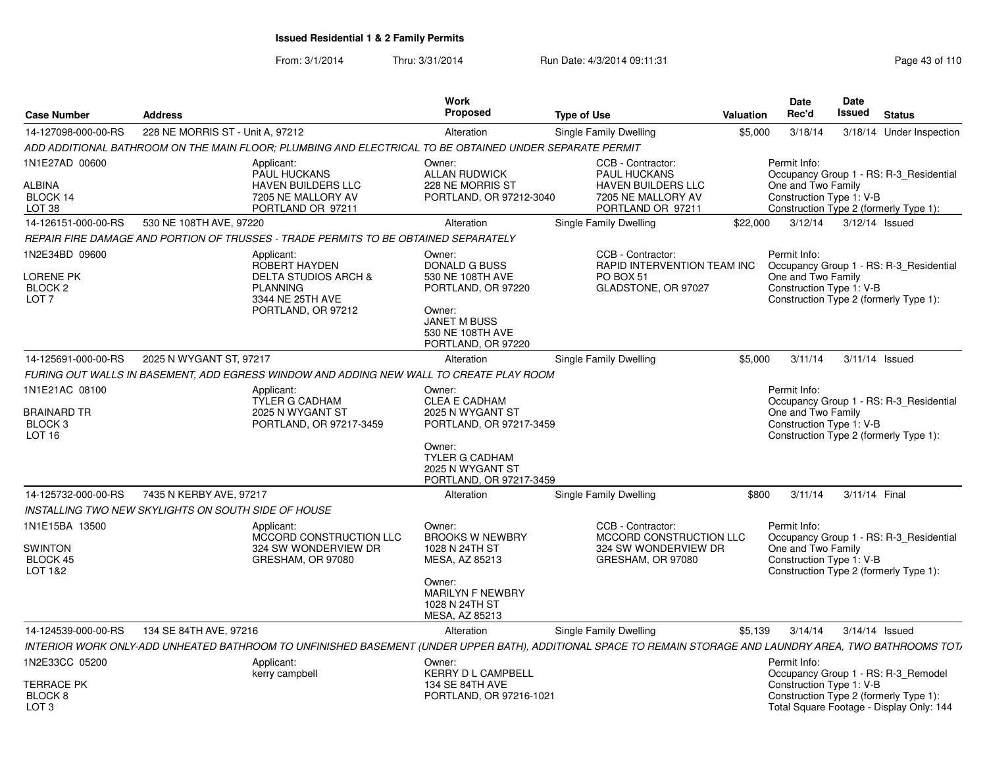From: 3/1/2014Thru: 3/31/2014 Run Date: 4/3/2014 09:11:31 Page 43 of 110

| <b>Case Number</b>                                                              | <b>Address</b>                                      |                                                                                                                                                                           | Work<br>Proposed                                                                                                                                         | <b>Type of Use</b>                                                                                        | <b>Valuation</b>            | Date<br>Rec'd                                                                                            | <b>Date</b><br><b>Issued</b> | <b>Status</b>                                                                                                             |
|---------------------------------------------------------------------------------|-----------------------------------------------------|---------------------------------------------------------------------------------------------------------------------------------------------------------------------------|----------------------------------------------------------------------------------------------------------------------------------------------------------|-----------------------------------------------------------------------------------------------------------|-----------------------------|----------------------------------------------------------------------------------------------------------|------------------------------|---------------------------------------------------------------------------------------------------------------------------|
| 14-127098-000-00-RS                                                             | 228 NE MORRIS ST - Unit A, 97212                    |                                                                                                                                                                           | Alteration                                                                                                                                               | Single Family Dwelling                                                                                    | \$5,000                     | 3/18/14                                                                                                  |                              | 3/18/14 Under Inspection                                                                                                  |
|                                                                                 |                                                     | ADD ADDITIONAL BATHROOM ON THE MAIN FLOOR; PLUMBING AND ELECTRICAL TO BE OBTAINED UNDER SEPARATE PERMIT                                                                   |                                                                                                                                                          |                                                                                                           |                             |                                                                                                          |                              |                                                                                                                           |
| 1N1E27AD 00600<br>ALBINA<br>BLOCK 14<br>LOT 38                                  |                                                     | Applicant:<br>PAUL HUCKANS<br><b>HAVEN BUILDERS LLC</b><br>7205 NE MALLORY AV<br>PORTLAND OR 97211                                                                        | Owner:<br><b>ALLAN RUDWICK</b><br>228 NE MORRIS ST<br>PORTLAND, OR 97212-3040                                                                            | CCB - Contractor:<br>PAUL HUCKANS<br><b>HAVEN BUILDERS LLC</b><br>7205 NE MALLORY AV<br>PORTLAND OR 97211 |                             | Permit Info:<br>One and Two Family<br>Construction Type 1: V-B<br>Construction Type 2 (formerly Type 1): |                              | Occupancy Group 1 - RS: R-3_Residential                                                                                   |
| 14-126151-000-00-RS                                                             | 530 NE 108TH AVE, 97220                             |                                                                                                                                                                           | Alteration                                                                                                                                               | Single Family Dwelling                                                                                    | \$22,000                    | 3/12/14                                                                                                  | 3/12/14 Issued               |                                                                                                                           |
|                                                                                 |                                                     | REPAIR FIRE DAMAGE AND PORTION OF TRUSSES - TRADE PERMITS TO BE OBTAINED SEPARATELY                                                                                       |                                                                                                                                                          |                                                                                                           |                             |                                                                                                          |                              |                                                                                                                           |
| 1N2E34BD 09600<br>LORENE PK<br><b>BLOCK 2</b><br>LOT <sub>7</sub>               |                                                     | Applicant:<br>ROBERT HAYDEN<br><b>DELTA STUDIOS ARCH &amp;</b><br><b>PLANNING</b><br>3344 NE 25TH AVE<br>PORTLAND, OR 97212                                               | Owner:<br><b>DONALD G BUSS</b><br>530 NE 108TH AVE<br>PORTLAND, OR 97220<br>Owner:<br><b>JANET M BUSS</b><br>530 NE 108TH AVE<br>PORTLAND, OR 97220      | CCB - Contractor:<br>PO BOX 51<br>GLADSTONE, OR 97027                                                     | RAPID INTERVENTION TEAM INC | Permit Info:<br>One and Two Family<br>Construction Type 1: V-B<br>Construction Type 2 (formerly Type 1): |                              | Occupancy Group 1 - RS: R-3_Residential                                                                                   |
| 14-125691-000-00-RS                                                             | 2025 N WYGANT ST, 97217                             |                                                                                                                                                                           | Alteration                                                                                                                                               | <b>Single Family Dwelling</b>                                                                             | \$5,000                     | 3/11/14                                                                                                  | 3/11/14 Issued               |                                                                                                                           |
|                                                                                 |                                                     | FURING OUT WALLS IN BASEMENT, ADD EGRESS WINDOW AND ADDING NEW WALL TO CREATE PLAY ROOM                                                                                   |                                                                                                                                                          |                                                                                                           |                             |                                                                                                          |                              |                                                                                                                           |
| 1N1E21AC 08100<br><b>BRAINARD TR</b><br>BLOCK <sub>3</sub><br>LOT <sub>16</sub> |                                                     | Applicant:<br><b>TYLER G CADHAM</b><br>2025 N WYGANT ST<br>PORTLAND, OR 97217-3459                                                                                        | Owner:<br><b>CLEA E CADHAM</b><br>2025 N WYGANT ST<br>PORTLAND, OR 97217-3459<br>Owner:<br>TYLER G CADHAM<br>2025 N WYGANT ST<br>PORTLAND, OR 97217-3459 |                                                                                                           |                             | Permit Info:<br>One and Two Family<br>Construction Type 1: V-B                                           |                              | Occupancy Group 1 - RS: R-3 Residential<br>Construction Type 2 (formerly Type 1):                                         |
| 14-125732-000-00-RS                                                             | 7435 N KERBY AVE, 97217                             |                                                                                                                                                                           | Alteration                                                                                                                                               | <b>Single Family Dwelling</b>                                                                             | \$800                       | 3/11/14                                                                                                  | 3/11/14 Final                |                                                                                                                           |
|                                                                                 | INSTALLING TWO NEW SKYLIGHTS ON SOUTH SIDE OF HOUSE |                                                                                                                                                                           |                                                                                                                                                          |                                                                                                           |                             |                                                                                                          |                              |                                                                                                                           |
| 1N1E15BA 13500<br><b>SWINTON</b><br>BLOCK 45<br>LOT 1&2                         |                                                     | Applicant:<br><b>MCCORD CONSTRUCTION LLC</b><br>324 SW WONDERVIEW DR<br>GRESHAM, OR 97080                                                                                 | Owner:<br><b>BROOKS W NEWBRY</b><br>1028 N 24TH ST<br>MESA, AZ 85213<br>Owner:<br>MARILYN F NEWBRY<br>1028 N 24TH ST                                     | CCB - Contractor:<br>324 SW WONDERVIEW DR<br>GRESHAM, OR 97080                                            | MCCORD CONSTRUCTION LLC     | Permit Info:<br>One and Two Family<br>Construction Type 1: V-B<br>Construction Type 2 (formerly Type 1): |                              | Occupancy Group 1 - RS: R-3_Residential                                                                                   |
|                                                                                 |                                                     |                                                                                                                                                                           | MESA, AZ 85213                                                                                                                                           |                                                                                                           |                             |                                                                                                          |                              |                                                                                                                           |
| 14-124539-000-00-RS                                                             | 134 SE 84TH AVE, 97216                              |                                                                                                                                                                           | Alteration                                                                                                                                               | Single Family Dwelling                                                                                    | \$5,139                     | 3/14/14                                                                                                  | 3/14/14 Issued               |                                                                                                                           |
| 1N2E33CC 05200                                                                  |                                                     | INTERIOR WORK ONLY-ADD UNHEATED BATHROOM TO UNFINISHED BASEMENT (UNDER UPPER BATH), ADDITIONAL SPACE TO REMAIN STORAGE AND LAUNDRY AREA, TWO BATHROOMS TOT/<br>Applicant: | Owner:                                                                                                                                                   |                                                                                                           |                             | Permit Info:                                                                                             |                              |                                                                                                                           |
| <b>TERRACE PK</b><br>BLOCK 8<br>LOT <sub>3</sub>                                |                                                     | kerry campbell                                                                                                                                                            | KERRY D L CAMPBELL<br>134 SE 84TH AVE<br>PORTLAND, OR 97216-1021                                                                                         |                                                                                                           |                             | Construction Type 1: V-B                                                                                 |                              | Occupancy Group 1 - RS: R-3 Remodel<br>Construction Type 2 (formerly Type 1):<br>Total Square Footage - Display Only: 144 |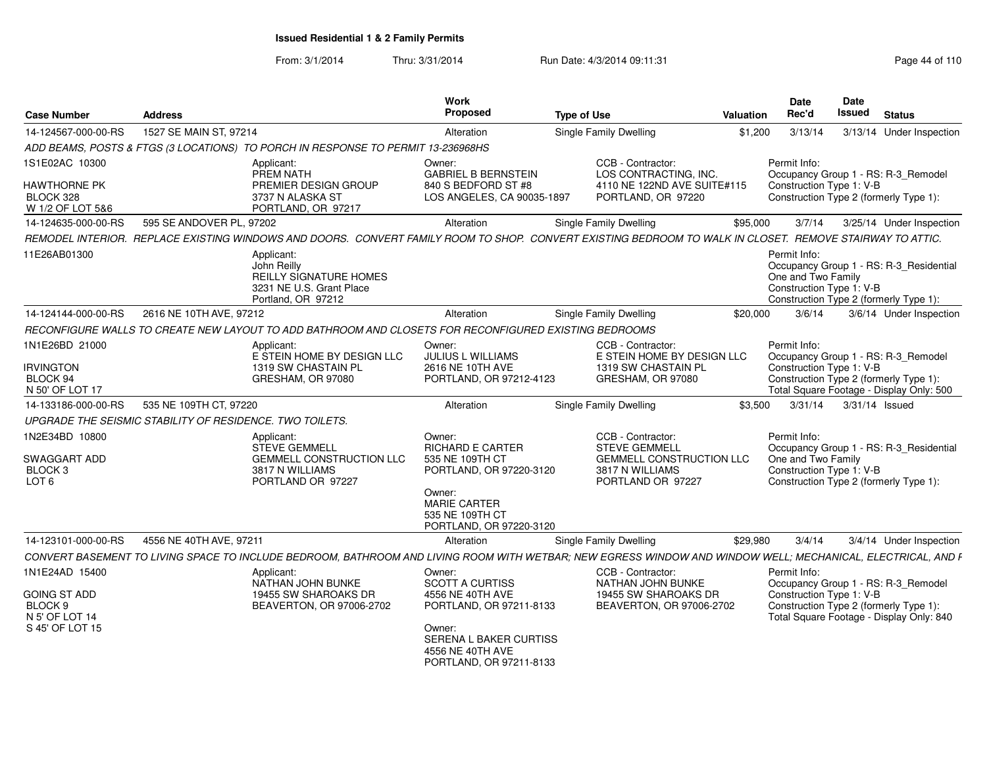From: 3/1/2014Thru: 3/31/2014 Run Date: 4/3/2014 09:11:31 Page 44 of 110

| <b>Case Number</b>                                          | <b>Address</b>                                           |                                                                                                                                                             | Work<br><b>Proposed</b>                                                         | <b>Type of Use</b> |                                                                         | Valuation | Date<br>Rec'd                                                  | Date<br>Issued | <b>Status</b>                                                                      |
|-------------------------------------------------------------|----------------------------------------------------------|-------------------------------------------------------------------------------------------------------------------------------------------------------------|---------------------------------------------------------------------------------|--------------------|-------------------------------------------------------------------------|-----------|----------------------------------------------------------------|----------------|------------------------------------------------------------------------------------|
| 14-124567-000-00-RS                                         | 1527 SE MAIN ST, 97214                                   |                                                                                                                                                             | Alteration                                                                      |                    | <b>Single Family Dwelling</b>                                           | \$1,200   | 3/13/14                                                        |                | 3/13/14 Under Inspection                                                           |
|                                                             |                                                          | ADD BEAMS, POSTS & FTGS (3 LOCATIONS) TO PORCH IN RESPONSE TO PERMIT 13-236968HS                                                                            |                                                                                 |                    |                                                                         |           |                                                                |                |                                                                                    |
| 1S1E02AC 10300                                              |                                                          | Applicant:<br>PREM NATH                                                                                                                                     | Owner:<br><b>GABRIEL B BERNSTEIN</b>                                            |                    | CCB - Contractor:<br>LOS CONTRACTING. INC.                              |           | Permit Info:                                                   |                | Occupancy Group 1 - RS: R-3 Remodel                                                |
| <b>HAWTHORNE PK</b><br>BLOCK 328<br>W 1/2 OF LOT 5&6        |                                                          | PREMIER DESIGN GROUP<br>3737 N ALASKA ST<br>PORTLAND, OR 97217                                                                                              | 840 S BEDFORD ST #8<br>LOS ANGELES, CA 90035-1897                               |                    | 4110 NE 122ND AVE SUITE#115<br>PORTLAND, OR 97220                       |           | Construction Type 1: V-B                                       |                | Construction Type 2 (formerly Type 1):                                             |
| 14-124635-000-00-RS                                         | 595 SE ANDOVER PL, 97202                                 |                                                                                                                                                             | Alteration                                                                      |                    | Single Family Dwelling                                                  | \$95,000  | 3/7/14                                                         |                | 3/25/14 Under Inspection                                                           |
|                                                             |                                                          | REMODEL INTERIOR. REPLACE EXISTING WINDOWS AND DOORS. CONVERT FAMILY ROOM TO SHOP. CONVERT EXISTING BEDROOM TO WALK IN CLOSET. REMOVE STAIRWAY TO ATTIC.    |                                                                                 |                    |                                                                         |           |                                                                |                |                                                                                    |
| 11E26AB01300                                                |                                                          | Applicant:<br>John Reilly<br>REILLY SIGNATURE HOMES<br>3231 NE U.S. Grant Place<br>Portland, OR 97212                                                       |                                                                                 |                    |                                                                         |           | Permit Info:<br>One and Two Family<br>Construction Type 1: V-B |                | Occupancy Group 1 - RS: R-3 Residential<br>Construction Type 2 (formerly Type 1):  |
| 14-124144-000-00-RS                                         | 2616 NE 10TH AVE, 97212                                  |                                                                                                                                                             | Alteration                                                                      |                    | Single Family Dwelling                                                  | \$20,000  | 3/6/14                                                         |                | 3/6/14 Under Inspection                                                            |
|                                                             |                                                          | RECONFIGURE WALLS TO CREATE NEW LAYOUT TO ADD BATHROOM AND CLOSETS FOR RECONFIGURED EXISTING BEDROOMS                                                       |                                                                                 |                    |                                                                         |           |                                                                |                |                                                                                    |
| 1N1E26BD 21000                                              |                                                          | Applicant:<br>E STEIN HOME BY DESIGN LLC                                                                                                                    | Owner:<br><b>JULIUS L WILLIAMS</b>                                              |                    | CCB - Contractor:<br>E STEIN HOME BY DESIGN LLC                         |           | Permit Info:                                                   |                | Occupancy Group 1 - RS: R-3_Remodel                                                |
| <b>IRVINGTON</b>                                            |                                                          | 1319 SW CHASTAIN PL                                                                                                                                         | 2616 NE 10TH AVE                                                                |                    | 1319 SW CHASTAIN PL                                                     |           | Construction Type 1: V-B                                       |                |                                                                                    |
| BLOCK 94<br>N 50' OF LOT 17                                 |                                                          | GRESHAM, OR 97080                                                                                                                                           | PORTLAND, OR 97212-4123                                                         |                    | GRESHAM, OR 97080                                                       |           |                                                                |                | Construction Type 2 (formerly Type 1):<br>Total Square Footage - Display Only: 500 |
| 14-133186-000-00-RS                                         | 535 NE 109TH CT, 97220                                   |                                                                                                                                                             | Alteration                                                                      |                    | Single Family Dwelling                                                  | \$3.500   | 3/31/14                                                        |                | 3/31/14 Issued                                                                     |
|                                                             | UPGRADE THE SEISMIC STABILITY OF RESIDENCE. TWO TOILETS. |                                                                                                                                                             |                                                                                 |                    |                                                                         |           |                                                                |                |                                                                                    |
| 1N2E34BD 10800                                              |                                                          | Applicant:<br><b>STEVE GEMMELL</b>                                                                                                                          | Owner:<br><b>RICHARD E CARTER</b>                                               |                    | CCB - Contractor:<br><b>STEVE GEMMELL</b>                               |           | Permit Info:                                                   |                |                                                                                    |
| SWAGGART ADD<br>BLOCK <sub>3</sub><br>LOT <sub>6</sub>      |                                                          | <b>GEMMELL CONSTRUCTION LLC</b><br>3817 N WILLIAMS<br>PORTLAND OR 97227                                                                                     | 535 NE 109TH CT<br>PORTLAND, OR 97220-3120<br>Owner:<br><b>MARIE CARTER</b>     |                    | <b>GEMMELL CONSTRUCTION LLC</b><br>3817 N WILLIAMS<br>PORTLAND OR 97227 |           | One and Two Family<br>Construction Type 1: V-B                 |                | Occupancy Group 1 - RS: R-3_Residential<br>Construction Type 2 (formerly Type 1):  |
|                                                             |                                                          |                                                                                                                                                             | 535 NE 109TH CT<br>PORTLAND, OR 97220-3120                                      |                    |                                                                         |           |                                                                |                |                                                                                    |
| 14-123101-000-00-RS                                         | 4556 NE 40TH AVE, 97211                                  |                                                                                                                                                             | Alteration                                                                      |                    | Single Family Dwelling                                                  | \$29,980  | 3/4/14                                                         |                | 3/4/14 Under Inspection                                                            |
|                                                             |                                                          | CONVERT BASEMENT TO LIVING SPACE TO INCLUDE BEDROOM, BATHROOM AND LIVING ROOM WITH WETBAR; NEW EGRESS WINDOW AND WINDOW WELL; MECHANICAL, ELECTRICAL, AND F |                                                                                 |                    |                                                                         |           |                                                                |                |                                                                                    |
| 1N1E24AD 15400                                              |                                                          | Applicant:<br>NATHAN JOHN BUNKE                                                                                                                             | Owner:<br><b>SCOTT A CURTISS</b>                                                |                    | CCB - Contractor:<br>NATHAN JOHN BUNKE                                  |           | Permit Info:                                                   |                | Occupancy Group 1 - RS: R-3_Remodel                                                |
| <b>GOING ST ADD</b><br>BLOCK <sub>9</sub><br>N 5' OF LOT 14 |                                                          | 19455 SW SHAROAKS DR<br>BEAVERTON, OR 97006-2702                                                                                                            | 4556 NE 40TH AVE<br>PORTLAND, OR 97211-8133                                     |                    | 19455 SW SHAROAKS DR<br>BEAVERTON, OR 97006-2702                        |           | Construction Type 1: V-B                                       |                | Construction Type 2 (formerly Type 1):<br>Total Square Footage - Display Only: 840 |
| S 45' OF LOT 15                                             |                                                          |                                                                                                                                                             | Owner:<br>SERENA L BAKER CURTISS<br>4556 NE 40TH AVE<br>PORTLAND, OR 97211-8133 |                    |                                                                         |           |                                                                |                |                                                                                    |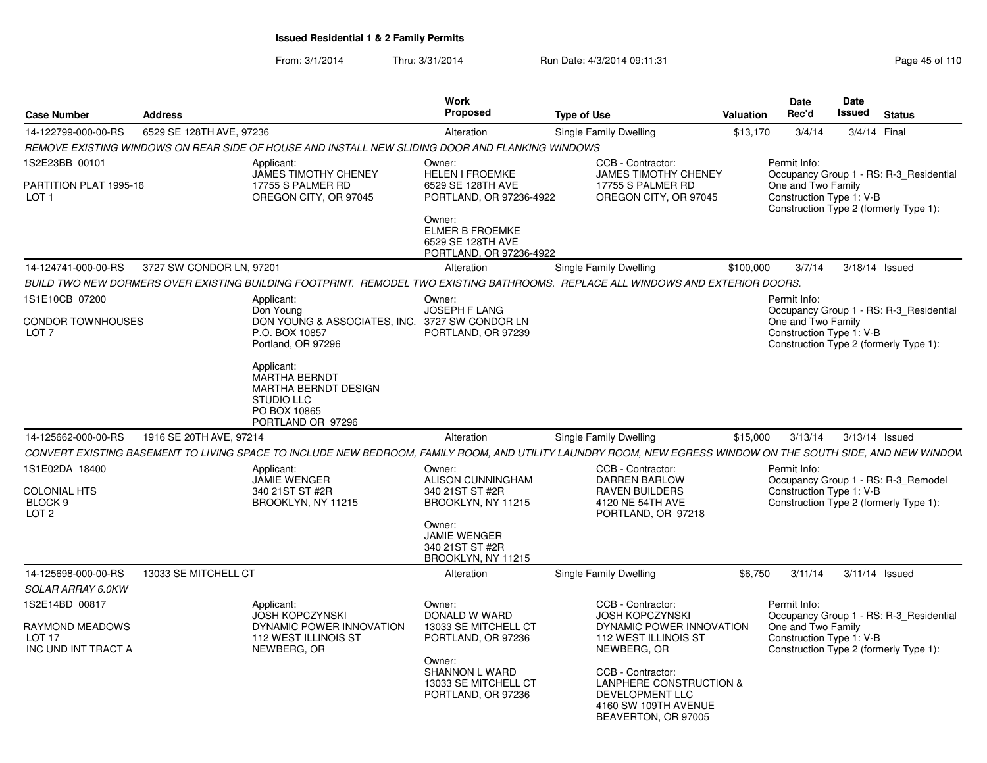From: 3/1/2014Thru: 3/31/2014 Run Date: 4/3/2014 09:11:31 Page 45 of 110

| <b>Case Number</b>                                                 | <b>Address</b>           |                                                                                                                                                              | Work<br>Proposed                                                                 | <b>Type of Use</b> |                                                                                                                       | <b>Valuation</b> | <b>Date</b><br>Rec'd                                                                                     | Date<br>Issued | <b>Status</b>                           |
|--------------------------------------------------------------------|--------------------------|--------------------------------------------------------------------------------------------------------------------------------------------------------------|----------------------------------------------------------------------------------|--------------------|-----------------------------------------------------------------------------------------------------------------------|------------------|----------------------------------------------------------------------------------------------------------|----------------|-----------------------------------------|
| 14-122799-000-00-RS                                                | 6529 SE 128TH AVE, 97236 |                                                                                                                                                              | Alteration                                                                       |                    | Single Family Dwelling                                                                                                | \$13,170         | 3/4/14                                                                                                   | 3/4/14 Final   |                                         |
|                                                                    |                          | REMOVE EXISTING WINDOWS ON REAR SIDE OF HOUSE AND INSTALL NEW SLIDING DOOR AND FLANKING WINDOWS                                                              |                                                                                  |                    |                                                                                                                       |                  |                                                                                                          |                |                                         |
| 1S2E23BB 00101<br>PARTITION PLAT 1995-16<br>LOT <sub>1</sub>       |                          | Applicant:<br><b>JAMES TIMOTHY CHENEY</b><br>17755 S PALMER RD<br>OREGON CITY, OR 97045                                                                      | Owner:<br><b>HELEN I FROEMKE</b><br>6529 SE 128TH AVE<br>PORTLAND, OR 97236-4922 |                    | CCB - Contractor:<br><b>JAMES TIMOTHY CHENEY</b><br>17755 S PALMER RD<br>OREGON CITY, OR 97045                        |                  | Permit Info:<br>One and Two Family<br>Construction Type 1: V-B                                           |                | Occupancy Group 1 - RS: R-3_Residential |
|                                                                    |                          |                                                                                                                                                              | Owner:<br><b>ELMER B FROEMKE</b><br>6529 SE 128TH AVE<br>PORTLAND, OR 97236-4922 |                    |                                                                                                                       |                  | Construction Type 2 (formerly Type 1):                                                                   |                |                                         |
| 14-124741-000-00-RS                                                | 3727 SW CONDOR LN, 97201 |                                                                                                                                                              | Alteration                                                                       |                    | Single Family Dwelling                                                                                                | \$100,000        | 3/7/14                                                                                                   | 3/18/14 Issued |                                         |
|                                                                    |                          | BUILD TWO NEW DORMERS OVER EXISTING BUILDING FOOTPRINT. REMODEL TWO EXISTING BATHROOMS. REPLACE ALL WINDOWS AND EXTERIOR DOORS.                              |                                                                                  |                    |                                                                                                                       |                  |                                                                                                          |                |                                         |
| 1S1E10CB 07200                                                     |                          | Applicant:                                                                                                                                                   | Owner:                                                                           |                    |                                                                                                                       |                  | Permit Info:                                                                                             |                |                                         |
| <b>CONDOR TOWNHOUSES</b><br>LOT <sub>7</sub>                       |                          | Don Young<br>DON YOUNG & ASSOCIATES, INC.<br>P.O. BOX 10857<br>Portland, OR 97296                                                                            | <b>JOSEPH F LANG</b><br>3727 SW CONDOR LN<br>PORTLAND, OR 97239                  |                    |                                                                                                                       |                  | One and Two Family<br>Construction Type 1: V-B<br>Construction Type 2 (formerly Type 1):                 |                | Occupancy Group 1 - RS: R-3_Residential |
|                                                                    |                          | Applicant:<br><b>MARTHA BERNDT</b><br><b>MARTHA BERNDT DESIGN</b><br><b>STUDIO LLC</b><br>PO BOX 10865<br>PORTLAND OR 97296                                  |                                                                                  |                    |                                                                                                                       |                  |                                                                                                          |                |                                         |
| 14-125662-000-00-RS                                                | 1916 SE 20TH AVE, 97214  |                                                                                                                                                              | Alteration                                                                       |                    | Single Family Dwelling                                                                                                | \$15,000         | 3/13/14                                                                                                  | 3/13/14 Issued |                                         |
|                                                                    |                          | CONVERT EXISTING BASEMENT TO LIVING SPACE TO INCLUDE NEW BEDROOM, FAMILY ROOM, AND UTILITY LAUNDRY ROOM, NEW EGRESS WINDOW ON THE SOUTH SIDE, AND NEW WINDOW |                                                                                  |                    |                                                                                                                       |                  |                                                                                                          |                |                                         |
| 1S1E02DA 18400<br><b>COLONIAL HTS</b><br>BLOCK 9                   |                          | Applicant:<br><b>JAMIE WENGER</b><br>340 21ST ST #2R<br>BROOKLYN, NY 11215                                                                                   | Owner:<br><b>ALISON CUNNINGHAM</b><br>340 21ST ST #2R<br>BROOKLYN, NY 11215      |                    | CCB - Contractor:<br><b>DARREN BARLOW</b><br>RAVEN BUILDERS<br>4120 NE 54TH AVE                                       |                  | Permit Info:<br>Construction Type 1: V-B<br>Construction Type 2 (formerly Type 1):                       |                | Occupancy Group 1 - RS: R-3_Remodel     |
| LOT <sub>2</sub>                                                   |                          |                                                                                                                                                              | Owner:<br><b>JAMIE WENGER</b><br>340 21ST ST #2R<br>BROOKLYN, NY 11215           |                    | PORTLAND, OR 97218                                                                                                    |                  |                                                                                                          |                |                                         |
| 14-125698-000-00-RS                                                | 13033 SE MITCHELL CT     |                                                                                                                                                              | Alteration                                                                       |                    | Single Family Dwelling                                                                                                | \$6.750          | 3/11/14                                                                                                  | 3/11/14 Issued |                                         |
| SOLAR ARRAY 6.0KW                                                  |                          |                                                                                                                                                              |                                                                                  |                    |                                                                                                                       |                  |                                                                                                          |                |                                         |
| 1S2E14BD 00817<br>RAYMOND MEADOWS<br>LOT 17<br>INC UND INT TRACT A |                          | Applicant:<br><b>JOSH KOPCZYNSKI</b><br>DYNAMIC POWER INNOVATION<br>112 WEST ILLINOIS ST<br>NEWBERG, OR                                                      | Owner:<br>DONALD W WARD<br>13033 SE MITCHELL CT<br>PORTLAND, OR 97236            |                    | CCB - Contractor:<br><b>JOSH KOPCZYNSKI</b><br>DYNAMIC POWER INNOVATION<br>112 WEST ILLINOIS ST<br>NEWBERG, OR        |                  | Permit Info:<br>One and Two Family<br>Construction Type 1: V-B<br>Construction Type 2 (formerly Type 1): |                | Occupancy Group 1 - RS: R-3_Residential |
|                                                                    |                          |                                                                                                                                                              | Owner:<br><b>SHANNON L WARD</b><br>13033 SE MITCHELL CT<br>PORTLAND, OR 97236    |                    | CCB - Contractor:<br>LANPHERE CONSTRUCTION &<br><b>DEVELOPMENT LLC</b><br>4160 SW 109TH AVENUE<br>BEAVERTON, OR 97005 |                  |                                                                                                          |                |                                         |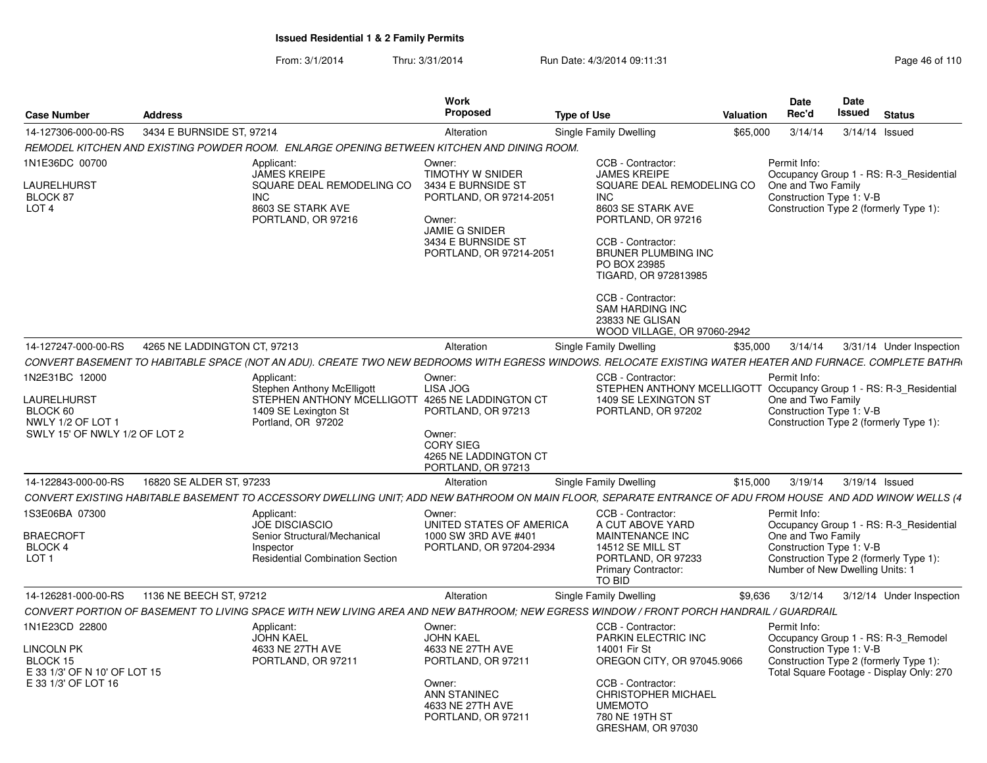From: 3/1/2014Thru: 3/31/2014 Run Date: 4/3/2014 09:11:31 Page 46 of 110

| <b>Case Number</b>                                             | <b>Address</b>               |                                                                                                                                                            | <b>Work</b><br><b>Proposed</b>                                                                  | <b>Type of Use</b> |                                                                                                                                | Valuation | <b>Date</b><br>Rec'd                                           | Date<br><b>Issued</b> | <b>Status</b>                                                                                                             |
|----------------------------------------------------------------|------------------------------|------------------------------------------------------------------------------------------------------------------------------------------------------------|-------------------------------------------------------------------------------------------------|--------------------|--------------------------------------------------------------------------------------------------------------------------------|-----------|----------------------------------------------------------------|-----------------------|---------------------------------------------------------------------------------------------------------------------------|
| 14-127306-000-00-RS                                            | 3434 E BURNSIDE ST, 97214    |                                                                                                                                                            | Alteration                                                                                      |                    | Single Family Dwelling                                                                                                         | \$65,000  | 3/14/14                                                        | 3/14/14 Issued        |                                                                                                                           |
|                                                                |                              | REMODEL KITCHEN AND EXISTING POWDER ROOM. ENLARGE OPENING BETWEEN KITCHEN AND DINING ROOM.                                                                 |                                                                                                 |                    |                                                                                                                                |           |                                                                |                       |                                                                                                                           |
| 1N1E36DC 00700<br>LAURELHURST<br>BLOCK 87<br>LOT <sub>4</sub>  |                              | Applicant:<br><b>JAMES KREIPE</b><br>SQUARE DEAL REMODELING CO<br><b>INC</b><br>8603 SE STARK AVE<br>PORTLAND, OR 97216                                    | Owner:<br>TIMOTHY W SNIDER<br>3434 E BURNSIDE ST<br>PORTLAND, OR 97214-2051<br>Owner:           |                    | CCB - Contractor:<br><b>JAMES KREIPE</b><br>SQUARE DEAL REMODELING CO<br><b>INC</b><br>8603 SE STARK AVE<br>PORTLAND, OR 97216 |           | Permit Info:<br>One and Two Family<br>Construction Type 1: V-B |                       | Occupancy Group 1 - RS: R-3_Residential<br>Construction Type 2 (formerly Type 1):                                         |
|                                                                |                              |                                                                                                                                                            | JAMIE G SNIDER<br>3434 E BURNSIDE ST<br>PORTLAND, OR 97214-2051                                 |                    | CCB - Contractor:<br>BRUNER PLUMBING INC<br>PO BOX 23985<br>TIGARD, OR 972813985                                               |           |                                                                |                       |                                                                                                                           |
|                                                                |                              |                                                                                                                                                            |                                                                                                 |                    | CCB - Contractor:<br><b>SAM HARDING INC</b><br>23833 NE GLISAN<br>WOOD VILLAGE, OR 97060-2942                                  |           |                                                                |                       |                                                                                                                           |
| 14-127247-000-00-RS                                            | 4265 NE LADDINGTON CT. 97213 |                                                                                                                                                            | Alteration                                                                                      |                    | Single Family Dwelling                                                                                                         | \$35,000  | 3/14/14                                                        |                       | 3/31/14 Under Inspection                                                                                                  |
|                                                                |                              | CONVERT BASEMENT TO HABITABLE SPACE (NOT AN ADU). CREATE TWO NEW BEDROOMS WITH EGRESS WINDOWS. RELOCATE EXISTING WATER HEATER AND FURNACE. COMPLETE BATHR  |                                                                                                 |                    |                                                                                                                                |           |                                                                |                       |                                                                                                                           |
| 1N2E31BC 12000                                                 |                              | Applicant:<br><b>Stephen Anthony McElligott</b>                                                                                                            | Owner:<br>LISA JOG                                                                              |                    | CCB - Contractor:<br>STEPHEN ANTHONY MCELLIGOTT Occupancy Group 1 - RS: R-3_Residential                                        |           | Permit Info:                                                   |                       |                                                                                                                           |
| LAURELHURST                                                    |                              | STEPHEN ANTHONY MCELLIGOTT 4265 NE LADDINGTON CT                                                                                                           |                                                                                                 |                    | 1409 SE LEXINGTON ST<br>PORTLAND, OR 97202                                                                                     |           | One and Two Family<br>Construction Type 1: V-B                 |                       |                                                                                                                           |
| BLOCK 60<br>NWLY 1/2 OF LOT 1<br>SWLY 15' OF NWLY 1/2 OF LOT 2 |                              | 1409 SE Lexington St<br>Portland, OR 97202                                                                                                                 | PORTLAND, OR 97213<br>Owner:<br><b>CORY SIEG</b><br>4265 NE LADDINGTON CT<br>PORTLAND, OR 97213 |                    |                                                                                                                                |           |                                                                |                       | Construction Type 2 (formerly Type 1):                                                                                    |
| 14-122843-000-00-RS                                            | 16820 SE ALDER ST, 97233     |                                                                                                                                                            | Alteration                                                                                      |                    | Single Family Dwelling                                                                                                         | \$15,000  | 3/19/14                                                        | 3/19/14 Issued        |                                                                                                                           |
|                                                                |                              | CONVERT EXISTING HABITABLE BASEMENT TO ACCESSORY DWELLING UNIT; ADD NEW BATHROOM ON MAIN FLOOR, SEPARATE ENTRANCE OF ADU FROM HOUSE AND ADD WINOW WELLS (4 |                                                                                                 |                    |                                                                                                                                |           |                                                                |                       |                                                                                                                           |
| 1S3E06BA 07300<br><b>BRAECROFT</b>                             |                              | Applicant:<br><b>JOE DISCIASCIO</b><br>Senior Structural/Mechanical                                                                                        | Owner:<br>UNITED STATES OF AMERICA<br>1000 SW 3RD AVE #401                                      |                    | CCB - Contractor:<br>A CUT ABOVE YARD<br>MAINTENANCE INC                                                                       |           | Permit Info:<br>One and Two Family                             |                       | Occupancy Group 1 - RS: R-3 Residential                                                                                   |
| BLOCK 4<br>LOT <sub>1</sub>                                    |                              | Inspector<br><b>Residential Combination Section</b>                                                                                                        | PORTLAND, OR 97204-2934                                                                         |                    | 14512 SE MILL ST<br>PORTLAND, OR 97233<br><b>Primary Contractor:</b><br>TO BID                                                 |           | Construction Type 1: V-B<br>Number of New Dwelling Units: 1    |                       | Construction Type 2 (formerly Type 1):                                                                                    |
| 14-126281-000-00-RS                                            | 1136 NE BEECH ST, 97212      |                                                                                                                                                            | Alteration                                                                                      |                    | Single Family Dwelling                                                                                                         | \$9,636   | 3/12/14                                                        |                       | 3/12/14 Under Inspection                                                                                                  |
|                                                                |                              | CONVERT PORTION OF BASEMENT TO LIVING SPACE WITH NEW LIVING AREA AND NEW BATHROOM: NEW EGRESS WINDOW / FRONT PORCH HANDRAIL / GUARDRAIL                    |                                                                                                 |                    |                                                                                                                                |           |                                                                |                       |                                                                                                                           |
| 1N1E23CD 22800                                                 |                              | Applicant:                                                                                                                                                 | Owner:                                                                                          |                    | CCB - Contractor:                                                                                                              |           | Permit Info:                                                   |                       |                                                                                                                           |
| <b>LINCOLN PK</b><br>BLOCK 15<br>E 33 1/3' OF N 10' OF LOT 15  |                              | <b>JOHN KAEL</b><br>4633 NE 27TH AVE<br>PORTLAND, OR 97211                                                                                                 | <b>JOHN KAEL</b><br>4633 NE 27TH AVE<br>PORTLAND, OR 97211                                      |                    | PARKIN ELECTRIC INC<br>14001 Fir St<br>OREGON CITY, OR 97045.9066                                                              |           | Construction Type 1: V-B                                       |                       | Occupancy Group 1 - RS: R-3_Remodel<br>Construction Type 2 (formerly Type 1):<br>Total Square Footage - Display Only: 270 |
| E 33 1/3' OF LOT 16                                            |                              |                                                                                                                                                            | Owner:<br>ANN STANINEC<br>4633 NE 27TH AVE<br>PORTLAND, OR 97211                                |                    | CCB - Contractor:<br><b>CHRISTOPHER MICHAEL</b><br><b>UMEMOTO</b><br>780 NE 19TH ST<br>GRESHAM, OR 97030                       |           |                                                                |                       |                                                                                                                           |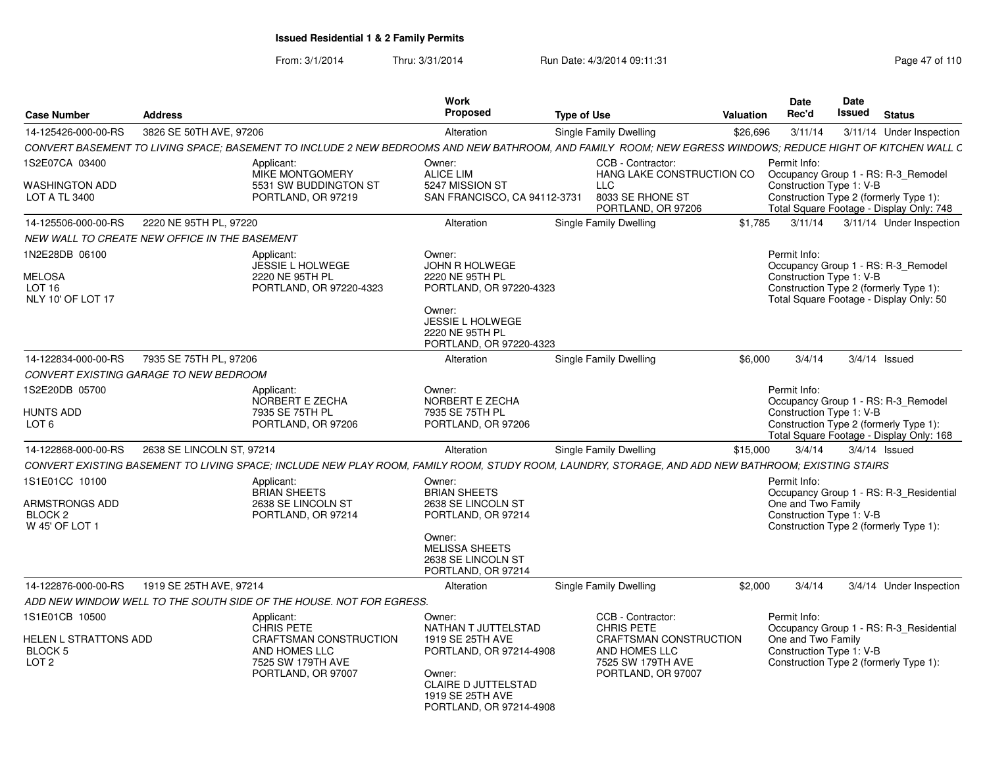From: 3/1/2014Thru: 3/31/2014 Run Date: 4/3/2014 09:11:31 Page 47 of 110

| <b>Case Number</b>                                                                | <b>Address</b>                                |                                                                                                                                                            | Work<br>Proposed                                                                                                                                                    | <b>Type of Use</b> |                                                                                                                              | Valuation | <b>Date</b><br>Rec'd                                           | Date<br>Issued | <b>Status</b>                                                                                                             |
|-----------------------------------------------------------------------------------|-----------------------------------------------|------------------------------------------------------------------------------------------------------------------------------------------------------------|---------------------------------------------------------------------------------------------------------------------------------------------------------------------|--------------------|------------------------------------------------------------------------------------------------------------------------------|-----------|----------------------------------------------------------------|----------------|---------------------------------------------------------------------------------------------------------------------------|
| 14-125426-000-00-RS                                                               | 3826 SE 50TH AVE, 97206                       |                                                                                                                                                            | Alteration                                                                                                                                                          |                    | Single Family Dwelling                                                                                                       | \$26,696  | 3/11/14                                                        |                | 3/11/14 Under Inspection                                                                                                  |
|                                                                                   |                                               | CONVERT BASEMENT TO LIVING SPACE; BASEMENT TO INCLUDE 2 NEW BEDROOMS AND NEW BATHROOM, AND FAMILY ROOM; NEW EGRESS WINDOWS; REDUCE HIGHT OF KITCHEN WALL C |                                                                                                                                                                     |                    |                                                                                                                              |           |                                                                |                |                                                                                                                           |
| 1S2E07CA 03400                                                                    |                                               | Applicant:                                                                                                                                                 | Owner:                                                                                                                                                              |                    | CCB - Contractor:                                                                                                            |           | Permit Info:                                                   |                |                                                                                                                           |
| WASHINGTON ADD<br>LOT A TL 3400                                                   |                                               | <b>MIKE MONTGOMERY</b><br>5531 SW BUDDINGTON ST<br>PORTLAND, OR 97219                                                                                      | <b>ALICE LIM</b><br>5247 MISSION ST<br>SAN FRANCISCO, CA 94112-3731                                                                                                 |                    | HANG LAKE CONSTRUCTION CO<br>LLC<br>8033 SE RHONE ST<br>PORTLAND, OR 97206                                                   |           | Construction Type 1: V-B                                       |                | Occupancy Group 1 - RS: R-3_Remodel<br>Construction Type 2 (formerly Type 1):<br>Total Square Footage - Display Only: 748 |
| 14-125506-000-00-RS                                                               | 2220 NE 95TH PL, 97220                        |                                                                                                                                                            | Alteration                                                                                                                                                          |                    | Single Family Dwelling                                                                                                       | \$1,785   | 3/11/14                                                        |                | 3/11/14 Under Inspection                                                                                                  |
|                                                                                   | NEW WALL TO CREATE NEW OFFICE IN THE BASEMENT |                                                                                                                                                            |                                                                                                                                                                     |                    |                                                                                                                              |           |                                                                |                |                                                                                                                           |
| 1N2E28DB 06100<br>MELOSA<br>LOT <sub>16</sub><br>NLY 10' OF LOT 17                |                                               | Applicant:<br>JESSIE L HOLWEGE<br>2220 NE 95TH PL<br>PORTLAND, OR 97220-4323                                                                               | Owner:<br><b>JOHN R HOLWEGE</b><br>2220 NE 95TH PL<br>PORTLAND, OR 97220-4323<br>Owner:<br>JESSIE L HOLWEGE<br>2220 NE 95TH PL                                      |                    |                                                                                                                              |           | Permit Info:<br>Construction Type 1: V-B                       |                | Occupancy Group 1 - RS: R-3_Remodel<br>Construction Type 2 (formerly Type 1):<br>Total Square Footage - Display Only: 50  |
|                                                                                   |                                               |                                                                                                                                                            | PORTLAND, OR 97220-4323                                                                                                                                             |                    |                                                                                                                              |           |                                                                |                |                                                                                                                           |
| 14-122834-000-00-RS                                                               | 7935 SE 75TH PL, 97206                        |                                                                                                                                                            | Alteration                                                                                                                                                          |                    | Single Family Dwelling                                                                                                       | \$6,000   | 3/4/14                                                         |                | $3/4/14$ Issued                                                                                                           |
|                                                                                   | CONVERT EXISTING GARAGE TO NEW BEDROOM        |                                                                                                                                                            |                                                                                                                                                                     |                    |                                                                                                                              |           |                                                                |                |                                                                                                                           |
| 1S2E20DB 05700<br>HUNTS ADD<br>LOT <sub>6</sub>                                   |                                               | Applicant:<br>NORBERT E ZECHA<br>7935 SE 75TH PL<br>PORTLAND, OR 97206                                                                                     | Owner:<br>NORBERT E ZECHA<br>7935 SE 75TH PL<br>PORTLAND, OR 97206                                                                                                  |                    |                                                                                                                              |           | Permit Info:<br>Construction Type 1: V-B                       |                | Occupancy Group 1 - RS: R-3_Remodel<br>Construction Type 2 (formerly Type 1):<br>Total Square Footage - Display Only: 168 |
| 14-122868-000-00-RS                                                               | 2638 SE LINCOLN ST, 97214                     |                                                                                                                                                            | Alteration                                                                                                                                                          |                    | Single Family Dwelling                                                                                                       | \$15,000  | 3/4/14                                                         |                | $3/4/14$ Issued                                                                                                           |
|                                                                                   |                                               | CONVERT EXISTING BASEMENT TO LIVING SPACE; INCLUDE NEW PLAY ROOM, FAMILY ROOM, STUDY ROOM, LAUNDRY, STORAGE, AND ADD NEW BATHROOM; EXISTING STAIRS         |                                                                                                                                                                     |                    |                                                                                                                              |           |                                                                |                |                                                                                                                           |
| 1S1E01CC 10100                                                                    |                                               | Applicant:                                                                                                                                                 | Owner:                                                                                                                                                              |                    |                                                                                                                              |           | Permit Info:                                                   |                |                                                                                                                           |
| ARMSTRONGS ADD<br>BLOCK 2<br>W 45' OF LOT 1                                       |                                               | <b>BRIAN SHEETS</b><br>2638 SE LINCOLN ST<br>PORTLAND, OR 97214                                                                                            | <b>BRIAN SHEETS</b><br>2638 SE LINCOLN ST<br>PORTLAND, OR 97214<br>Owner:<br><b>MELISSA SHEETS</b><br>2638 SE LINCOLN ST<br>PORTLAND, OR 97214                      |                    |                                                                                                                              |           | One and Two Family<br>Construction Type 1: V-B                 |                | Occupancy Group 1 - RS: R-3 Residential<br>Construction Type 2 (formerly Type 1):                                         |
| 14-122876-000-00-RS                                                               | 1919 SE 25TH AVE, 97214                       |                                                                                                                                                            | Alteration                                                                                                                                                          |                    | Single Family Dwelling                                                                                                       | \$2,000   | 3/4/14                                                         |                | 3/4/14 Under Inspection                                                                                                   |
|                                                                                   |                                               | ADD NEW WINDOW WELL TO THE SOUTH SIDE OF THE HOUSE. NOT FOR EGRESS.                                                                                        |                                                                                                                                                                     |                    |                                                                                                                              |           |                                                                |                |                                                                                                                           |
| 1S1E01CB 10500<br>HELEN L STRATTONS ADD<br>BLOCK <sub>5</sub><br>LOT <sub>2</sub> |                                               | Applicant:<br><b>CHRIS PETE</b><br>CRAFTSMAN CONSTRUCTION<br>AND HOMES LLC<br>7525 SW 179TH AVE<br>PORTLAND, OR 97007                                      | Owner:<br>NATHAN T JUTTELSTAD<br>1919 SE 25TH AVE<br>PORTLAND, OR 97214-4908<br>Owner:<br><b>CLAIRE D JUTTELSTAD</b><br>1919 SE 25TH AVE<br>PORTLAND, OR 97214-4908 |                    | CCB - Contractor:<br><b>CHRIS PETE</b><br>CRAFTSMAN CONSTRUCTION<br>AND HOMES LLC<br>7525 SW 179TH AVE<br>PORTLAND, OR 97007 |           | Permit Info:<br>One and Two Family<br>Construction Type 1: V-B |                | Occupancy Group 1 - RS: R-3 Residential<br>Construction Type 2 (formerly Type 1):                                         |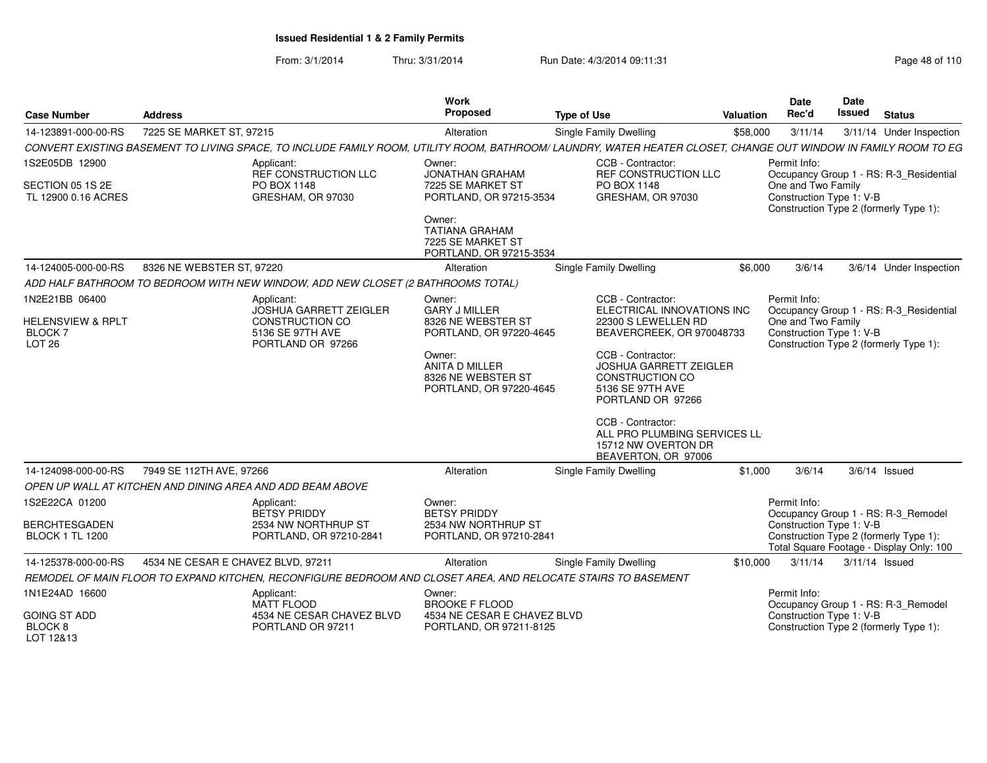From: 3/1/2014Thru: 3/31/2014 Run Date: 4/3/2014 09:11:31 Page 48 of 110

| <b>Case Number</b>                                                 | <b>Address</b>                                                                                                |                                                          | <b>Work</b><br>Proposed                                                                    | <b>Type of Use</b>                                                                                                                                              | <b>Valuation</b> | <b>Date</b><br>Rec'd                                           | Date<br>Issued | <b>Status</b>                                                                      |
|--------------------------------------------------------------------|---------------------------------------------------------------------------------------------------------------|----------------------------------------------------------|--------------------------------------------------------------------------------------------|-----------------------------------------------------------------------------------------------------------------------------------------------------------------|------------------|----------------------------------------------------------------|----------------|------------------------------------------------------------------------------------|
| 14-123891-000-00-RS                                                | 7225 SE MARKET ST, 97215                                                                                      |                                                          | Alteration                                                                                 | <b>Single Family Dwelling</b>                                                                                                                                   | \$58,000         | 3/11/14                                                        |                | 3/11/14 Under Inspection                                                           |
|                                                                    |                                                                                                               |                                                          |                                                                                            | CONVERT EXISTING BASEMENT TO LIVING SPACE, TO INCLUDE FAMILY ROOM, UTILITY ROOM, BATHROOM/ LAUNDRY, WATER HEATER CLOSET, CHANGE OUT WINDOW IN FAMILY ROOM TO EG |                  |                                                                |                |                                                                                    |
| 1S2E05DB 12900<br>SECTION 05 1S 2E<br>TL 12900 0.16 ACRES          | Applicant:<br>PO BOX 1148                                                                                     | REF CONSTRUCTION LLC<br>GRESHAM, OR 97030                | Owner:<br><b>JONATHAN GRAHAM</b><br>7225 SE MARKET ST<br>PORTLAND, OR 97215-3534<br>Owner: | CCB - Contractor:<br>REF CONSTRUCTION LLC<br>PO BOX 1148<br>GRESHAM, OR 97030                                                                                   |                  | Permit Info:<br>One and Two Family<br>Construction Type 1: V-B |                | Occupancy Group 1 - RS: R-3_Residential<br>Construction Type 2 (formerly Type 1):  |
|                                                                    |                                                                                                               |                                                          | <b>TATIANA GRAHAM</b><br>7225 SE MARKET ST<br>PORTLAND, OR 97215-3534                      |                                                                                                                                                                 |                  |                                                                |                |                                                                                    |
| 14-124005-000-00-RS                                                | 8326 NE WEBSTER ST, 97220                                                                                     |                                                          | Alteration                                                                                 | Single Family Dwelling                                                                                                                                          | \$6,000          | 3/6/14                                                         |                | 3/6/14 Under Inspection                                                            |
|                                                                    | ADD HALF BATHROOM TO BEDROOM WITH NEW WINDOW, ADD NEW CLOSET (2 BATHROOMS TOTAL)                              |                                                          |                                                                                            |                                                                                                                                                                 |                  |                                                                |                |                                                                                    |
| 1N2E21BB 06400                                                     | Applicant:                                                                                                    | <b>JOSHUA GARRETT ZEIGLER</b>                            | Owner:<br><b>GARY J MILLER</b>                                                             | CCB - Contractor:<br>ELECTRICAL INNOVATIONS INC                                                                                                                 |                  | Permit Info:                                                   |                | Occupancy Group 1 - RS: R-3_Residential                                            |
| <b>HELENSVIEW &amp; RPLT</b><br><b>BLOCK7</b><br>LOT <sub>26</sub> |                                                                                                               | CONSTRUCTION CO<br>5136 SE 97TH AVE<br>PORTLAND OR 97266 | 8326 NE WEBSTER ST<br>PORTLAND, OR 97220-4645<br>Owner:                                    | 22300 S LEWELLEN RD<br>BEAVERCREEK, OR 970048733<br>CCB - Contractor:                                                                                           |                  | One and Two Family<br>Construction Type 1: V-B                 |                | Construction Type 2 (formerly Type 1):                                             |
|                                                                    |                                                                                                               |                                                          | <b>ANITA D MILLER</b><br>8326 NE WEBSTER ST<br>PORTLAND, OR 97220-4645                     | <b>JOSHUA GARRETT ZEIGLER</b><br><b>CONSTRUCTION CO</b><br>5136 SE 97TH AVE<br>PORTLAND OR 97266                                                                |                  |                                                                |                |                                                                                    |
|                                                                    |                                                                                                               |                                                          |                                                                                            | CCB - Contractor:<br>ALL PRO PLUMBING SERVICES LL<br>15712 NW OVERTON DR<br>BEAVERTON, OR 97006                                                                 |                  |                                                                |                |                                                                                    |
| 14-124098-000-00-RS                                                | 7949 SE 112TH AVE, 97266                                                                                      |                                                          | Alteration                                                                                 | <b>Single Family Dwelling</b>                                                                                                                                   | \$1,000          | 3/6/14                                                         |                | $3/6/14$ Issued                                                                    |
|                                                                    | OPEN UP WALL AT KITCHEN AND DINING AREA AND ADD BEAM ABOVE                                                    |                                                          |                                                                                            |                                                                                                                                                                 |                  |                                                                |                |                                                                                    |
| 1S2E22CA 01200                                                     | Applicant:                                                                                                    | <b>BETSY PRIDDY</b>                                      | Owner:<br><b>BETSY PRIDDY</b>                                                              |                                                                                                                                                                 |                  | Permit Info:                                                   |                | Occupancy Group 1 - RS: R-3_Remodel                                                |
| <b>BERCHTESGADEN</b><br><b>BLOCK 1 TL 1200</b>                     |                                                                                                               | 2534 NW NORTHRUP ST<br>PORTLAND, OR 97210-2841           | 2534 NW NORTHRUP ST<br>PORTLAND, OR 97210-2841                                             |                                                                                                                                                                 |                  | Construction Type 1: V-B                                       |                | Construction Type 2 (formerly Type 1):<br>Total Square Footage - Display Only: 100 |
| 14-125378-000-00-RS                                                | 4534 NE CESAR E CHAVEZ BLVD, 97211                                                                            |                                                          | Alteration                                                                                 | <b>Single Family Dwelling</b>                                                                                                                                   | \$10,000         | 3/11/14                                                        |                | 3/11/14 Issued                                                                     |
|                                                                    | REMODEL OF MAIN FLOOR TO EXPAND KITCHEN, RECONFIGURE BEDROOM AND CLOSET AREA, AND RELOCATE STAIRS TO BASEMENT |                                                          |                                                                                            |                                                                                                                                                                 |                  |                                                                |                |                                                                                    |
| 1N1E24AD 16600                                                     | Applicant:<br><b>MATT FLOOD</b>                                                                               |                                                          | Owner:<br><b>BROOKE F FLOOD</b>                                                            |                                                                                                                                                                 |                  | Permit Info:                                                   |                | Occupancy Group 1 - RS: R-3_Remodel                                                |
| <b>GOING ST ADD</b><br>BLOCK <sub>8</sub><br>LOT 12&13             |                                                                                                               | 4534 NE CESAR CHAVEZ BLVD<br>PORTLAND OR 97211           | 4534 NE CESAR E CHAVEZ BLVD<br>PORTLAND, OR 97211-8125                                     |                                                                                                                                                                 |                  | Construction Type 1: V-B                                       |                | Construction Type 2 (formerly Type 1):                                             |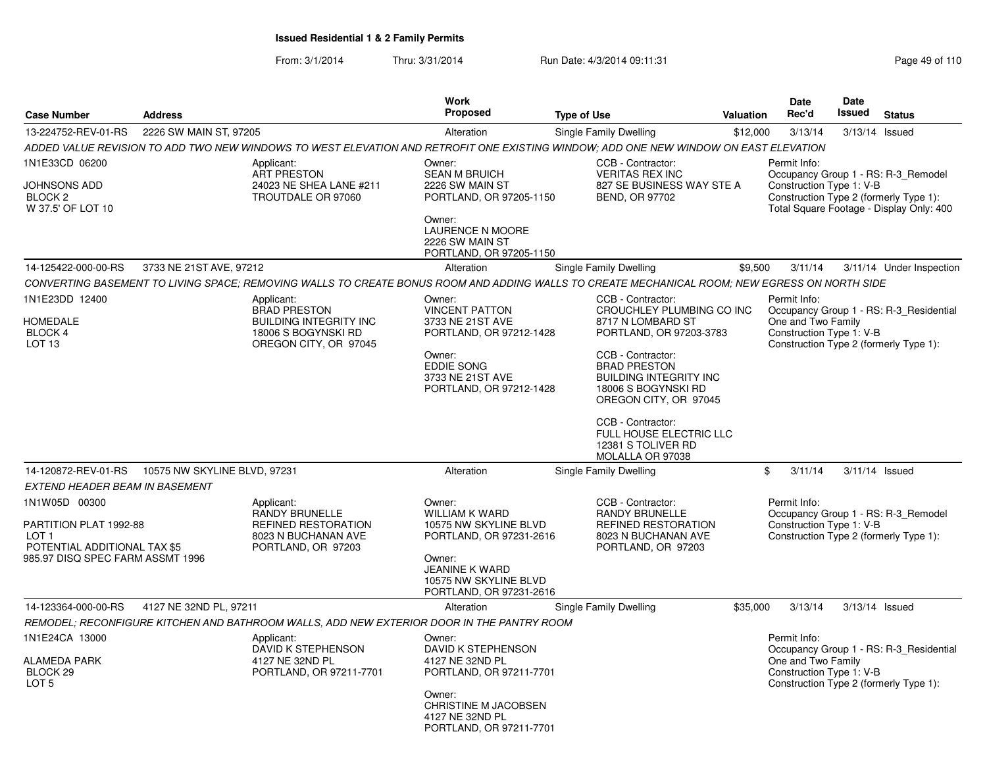From: 3/1/2014Thru: 3/31/2014 Run Date: 4/3/2014 09:11:31 Research 2010 Rage 49 of 110

|                                                                                                                                 |                              |                                                                                                                                               | <b>Work</b>                                                                                                                                                         |                                                                                                                                                                                                                                                                                                                       |           | Date                                                           | <b>Date</b> |                                                                                                                           |
|---------------------------------------------------------------------------------------------------------------------------------|------------------------------|-----------------------------------------------------------------------------------------------------------------------------------------------|---------------------------------------------------------------------------------------------------------------------------------------------------------------------|-----------------------------------------------------------------------------------------------------------------------------------------------------------------------------------------------------------------------------------------------------------------------------------------------------------------------|-----------|----------------------------------------------------------------|-------------|---------------------------------------------------------------------------------------------------------------------------|
| <b>Case Number</b>                                                                                                              | <b>Address</b>               |                                                                                                                                               | <b>Proposed</b>                                                                                                                                                     | <b>Type of Use</b>                                                                                                                                                                                                                                                                                                    | Valuation | Rec'd                                                          | Issued      | <b>Status</b>                                                                                                             |
| 13-224752-REV-01-RS                                                                                                             | 2226 SW MAIN ST, 97205       |                                                                                                                                               | Alteration                                                                                                                                                          | Single Family Dwelling                                                                                                                                                                                                                                                                                                | \$12,000  | 3/13/14                                                        | 3/13/14     | Issued                                                                                                                    |
|                                                                                                                                 |                              | ADDED VALUE REVISION TO ADD TWO NEW WINDOWS TO WEST ELEVATION AND RETROFIT ONE EXISTING WINDOW; ADD ONE NEW WINDOW ON EAST ELEVATION          |                                                                                                                                                                     |                                                                                                                                                                                                                                                                                                                       |           |                                                                |             |                                                                                                                           |
| 1N1E33CD 06200<br><b>JOHNSONS ADD</b><br>BLOCK <sub>2</sub><br>W 37.5' OF LOT 10                                                |                              | Applicant:<br><b>ART PRESTON</b><br>24023 NE SHEA LANE #211<br>TROUTDALE OR 97060                                                             | Owner:<br><b>SEAN M BRUICH</b><br>2226 SW MAIN ST<br>PORTLAND, OR 97205-1150<br>Owner:<br>LAURENCE N MOORE<br>2226 SW MAIN ST<br>PORTLAND, OR 97205-1150            | CCB - Contractor:<br><b>VERITAS REX INC</b><br>827 SE BUSINESS WAY STE A<br>BEND, OR 97702                                                                                                                                                                                                                            |           | Permit Info:<br>Construction Type 1: V-B                       |             | Occupancy Group 1 - RS: R-3_Remodel<br>Construction Type 2 (formerly Type 1):<br>Total Square Footage - Display Only: 400 |
| 14-125422-000-00-RS                                                                                                             | 3733 NE 21ST AVE, 97212      |                                                                                                                                               | Alteration                                                                                                                                                          | Single Family Dwelling                                                                                                                                                                                                                                                                                                | \$9,500   | 3/11/14                                                        |             | 3/11/14 Under Inspection                                                                                                  |
|                                                                                                                                 |                              | CONVERTING BASEMENT TO LIVING SPACE; REMOVING WALLS TO CREATE BONUS ROOM AND ADDING WALLS TO CREATE MECHANICAL ROOM; NEW EGRESS ON NORTH SIDE |                                                                                                                                                                     |                                                                                                                                                                                                                                                                                                                       |           |                                                                |             |                                                                                                                           |
| 1N1E23DD 12400<br><b>HOMEDALE</b><br><b>BLOCK 4</b><br>LOT <sub>13</sub>                                                        |                              | Applicant:<br><b>BRAD PRESTON</b><br><b>BUILDING INTEGRITY INC</b><br>18006 S BOGYNSKI RD<br>OREGON CITY, OR 97045                            | Owner:<br><b>VINCENT PATTON</b><br>3733 NE 21ST AVE<br>PORTLAND, OR 97212-1428<br>Owner:<br><b>EDDIE SONG</b><br>3733 NE 21ST AVE<br>PORTLAND, OR 97212-1428        | CCB - Contractor:<br>CROUCHLEY PLUMBING CO INC<br>8717 N LOMBARD ST<br>PORTLAND, OR 97203-3783<br>CCB - Contractor:<br><b>BRAD PRESTON</b><br><b>BUILDING INTEGRITY INC</b><br>18006 S BOGYNSKI RD<br>OREGON CITY, OR 97045<br>CCB - Contractor:<br>FULL HOUSE ELECTRIC LLC<br>12381 S TOLIVER RD<br>MOLALLA OR 97038 |           | Permit Info:<br>One and Two Family<br>Construction Type 1: V-B |             | Occupancy Group 1 - RS: R-3_Residential<br>Construction Type 2 (formerly Type 1):                                         |
| 14-120872-REV-01-RS                                                                                                             | 10575 NW SKYLINE BLVD, 97231 |                                                                                                                                               | Alteration                                                                                                                                                          | Single Family Dwelling                                                                                                                                                                                                                                                                                                |           | $\mathfrak{L}$<br>3/11/14                                      |             | 3/11/14 Issued                                                                                                            |
| <b>EXTEND HEADER BEAM IN BASEMENT</b>                                                                                           |                              |                                                                                                                                               |                                                                                                                                                                     |                                                                                                                                                                                                                                                                                                                       |           |                                                                |             |                                                                                                                           |
| 1N1W05D 00300<br>PARTITION PLAT 1992-88<br>LOT <sub>1</sub><br>POTENTIAL ADDITIONAL TAX \$5<br>985.97 DISQ SPEC FARM ASSMT 1996 |                              | Applicant:<br><b>RANDY BRUNELLE</b><br><b>REFINED RESTORATION</b><br>8023 N BUCHANAN AVE<br>PORTLAND, OR 97203                                | Owner:<br><b>WILLIAM K WARD</b><br>10575 NW SKYLINE BLVD<br>PORTLAND, OR 97231-2616<br>Owner:<br>JEANINE K WARD<br>10575 NW SKYLINE BLVD<br>PORTLAND, OR 97231-2616 | CCB - Contractor:<br><b>RANDY BRUNELLE</b><br><b>REFINED RESTORATION</b><br>8023 N BUCHANAN AVE<br>PORTLAND, OR 97203                                                                                                                                                                                                 |           | Permit Info:<br>Construction Type 1: V-B                       |             | Occupancy Group 1 - RS: R-3 Remodel<br>Construction Type 2 (formerly Type 1):                                             |
| 14-123364-000-00-RS                                                                                                             | 4127 NE 32ND PL, 97211       |                                                                                                                                               | Alteration                                                                                                                                                          | Single Family Dwelling                                                                                                                                                                                                                                                                                                | \$35,000  | 3/13/14                                                        |             | 3/13/14 Issued                                                                                                            |
|                                                                                                                                 |                              | REMODEL; RECONFIGURE KITCHEN AND BATHROOM WALLS, ADD NEW EXTERIOR DOOR IN THE PANTRY ROOM                                                     |                                                                                                                                                                     |                                                                                                                                                                                                                                                                                                                       |           |                                                                |             |                                                                                                                           |
| 1N1E24CA 13000<br><b>ALAMEDA PARK</b><br>BLOCK <sub>29</sub><br>LOT <sub>5</sub>                                                |                              | Applicant:<br>DAVID K STEPHENSON<br>4127 NE 32ND PL<br>PORTLAND, OR 97211-7701                                                                | Owner:<br>DAVID K STEPHENSON<br>4127 NE 32ND PL<br>PORTLAND, OR 97211-7701<br>Owner:<br><b>CHRISTINE M JACOBSEN</b><br>4127 NE 32ND PL<br>PORTLAND, OR 97211-7701   |                                                                                                                                                                                                                                                                                                                       |           | Permit Info:<br>One and Two Family<br>Construction Type 1: V-B |             | Occupancy Group 1 - RS: R-3_Residential<br>Construction Type 2 (formerly Type 1):                                         |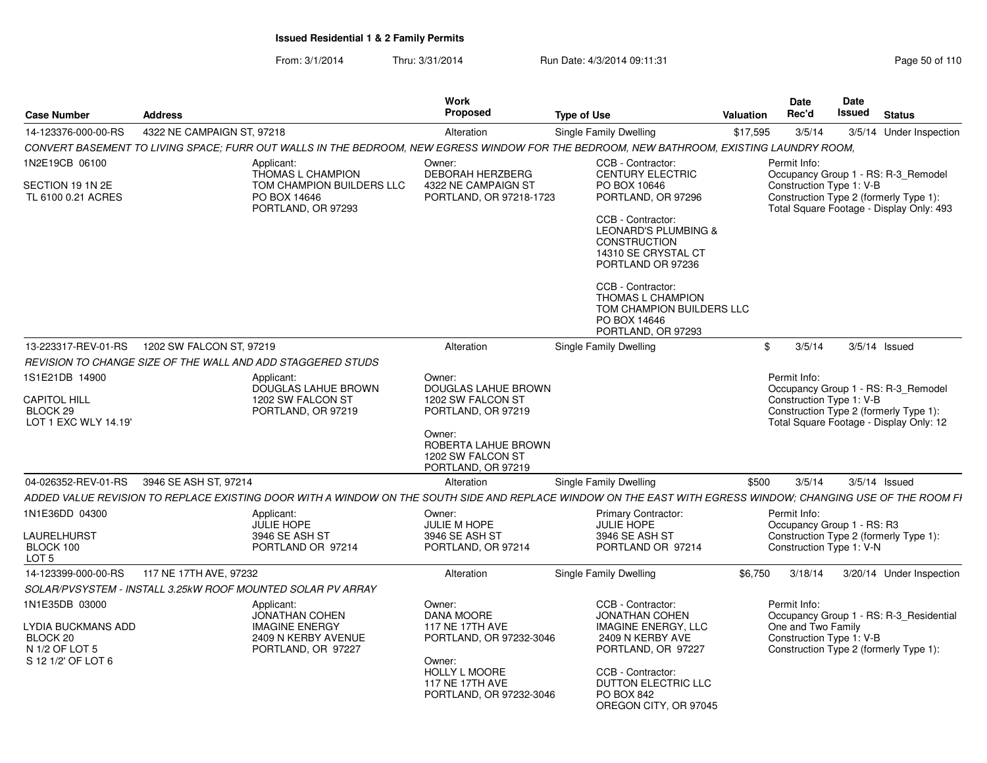From: 3/1/2014Thru: 3/31/2014 Run Date: 4/3/2014 09:11:31 Page 50 of 110

| <b>Case Number</b>                                                                       | <b>Address</b>             |                                                                                                                                                              | Work<br>Proposed                                                                                                                                                 | <b>Type of Use</b>                                                                                                                                                                                                                                                                   | Valuation | <b>Date</b><br>Rec'd                       | Date<br>Issued           | <b>Status</b>                                                                                                             |
|------------------------------------------------------------------------------------------|----------------------------|--------------------------------------------------------------------------------------------------------------------------------------------------------------|------------------------------------------------------------------------------------------------------------------------------------------------------------------|--------------------------------------------------------------------------------------------------------------------------------------------------------------------------------------------------------------------------------------------------------------------------------------|-----------|--------------------------------------------|--------------------------|---------------------------------------------------------------------------------------------------------------------------|
| 14-123376-000-00-RS                                                                      | 4322 NE CAMPAIGN ST, 97218 |                                                                                                                                                              | Alteration                                                                                                                                                       | Single Family Dwelling                                                                                                                                                                                                                                                               | \$17,595  | 3/5/14                                     |                          | 3/5/14 Under Inspection                                                                                                   |
|                                                                                          |                            | CONVERT BASEMENT TO LIVING SPACE; FURR OUT WALLS IN THE BEDROOM, NEW EGRESS WINDOW FOR THE BEDROOM, NEW BATHROOM, EXISTING LAUNDRY ROOM,                     |                                                                                                                                                                  |                                                                                                                                                                                                                                                                                      |           |                                            |                          |                                                                                                                           |
| 1N2E19CB 06100<br>SECTION 19 1N 2E<br>TL 6100 0.21 ACRES                                 |                            | Applicant:<br>THOMAS L CHAMPION<br>TOM CHAMPION BUILDERS LLC<br>PO BOX 14646<br>PORTLAND, OR 97293                                                           | Owner:<br>DEBORAH HERZBERG<br>4322 NE CAMPAIGN ST<br>PORTLAND, OR 97218-1723                                                                                     | CCB - Contractor:<br><b>CENTURY ELECTRIC</b><br>PO BOX 10646<br>PORTLAND, OR 97296<br>CCB - Contractor:<br><b>LEONARD'S PLUMBING &amp;</b><br><b>CONSTRUCTION</b><br>14310 SE CRYSTAL CT<br>PORTLAND OR 97236<br>CCB - Contractor:<br>THOMAS L CHAMPION<br>TOM CHAMPION BUILDERS LLC |           | Permit Info:<br>Construction Type 1: V-B   |                          | Occupancy Group 1 - RS: R-3 Remodel<br>Construction Type 2 (formerly Type 1):<br>Total Square Footage - Display Only: 493 |
| 13-223317-REV-01-RS                                                                      | 1202 SW FALCON ST, 97219   |                                                                                                                                                              | Alteration                                                                                                                                                       | PO BOX 14646<br>PORTLAND, OR 97293<br>Single Family Dwelling                                                                                                                                                                                                                         |           | 3/5/14<br>\$                               |                          | $3/5/14$ Issued                                                                                                           |
|                                                                                          |                            | REVISION TO CHANGE SIZE OF THE WALL AND ADD STAGGERED STUDS                                                                                                  |                                                                                                                                                                  |                                                                                                                                                                                                                                                                                      |           |                                            |                          |                                                                                                                           |
| 1S1E21DB 14900                                                                           |                            | Applicant:<br>DOUGLAS LAHUE BROWN                                                                                                                            | Owner:<br><b>DOUGLAS LAHUE BROWN</b>                                                                                                                             |                                                                                                                                                                                                                                                                                      |           | Permit Info:                               |                          | Occupancy Group 1 - RS: R-3 Remodel                                                                                       |
| <b>CAPITOL HILL</b><br>BLOCK <sub>29</sub><br>LOT 1 EXC WLY 14.19'                       |                            | 1202 SW FALCON ST<br>PORTLAND, OR 97219                                                                                                                      | 1202 SW FALCON ST<br>PORTLAND, OR 97219<br>Owner:<br>ROBERTA LAHUE BROWN<br>1202 SW FALCON ST                                                                    |                                                                                                                                                                                                                                                                                      |           | Construction Type 1: V-B                   |                          | Construction Type 2 (formerly Type 1):<br>Total Square Footage - Display Only: 12                                         |
|                                                                                          |                            |                                                                                                                                                              | PORTLAND, OR 97219                                                                                                                                               |                                                                                                                                                                                                                                                                                      |           |                                            |                          |                                                                                                                           |
| 04-026352-REV-01-RS                                                                      | 3946 SE ASH ST, 97214      |                                                                                                                                                              | Alteration                                                                                                                                                       | Single Family Dwelling                                                                                                                                                                                                                                                               | \$500     | 3/5/14                                     |                          | $3/5/14$ Issued                                                                                                           |
|                                                                                          |                            | ADDED VALUE REVISION TO REPLACE EXISTING DOOR WITH A WINDOW ON THE SOUTH SIDE AND REPLACE WINDOW ON THE EAST WITH EGRESS WINDOW; CHANGING USE OF THE ROOM FI |                                                                                                                                                                  |                                                                                                                                                                                                                                                                                      |           |                                            |                          |                                                                                                                           |
| 1N1E36DD 04300                                                                           |                            | Applicant:<br><b>JULIE HOPE</b>                                                                                                                              | Owner:<br>JULIE M HOPE                                                                                                                                           | <b>Primary Contractor:</b><br><b>JULIE HOPE</b>                                                                                                                                                                                                                                      |           | Permit Info:<br>Occupancy Group 1 - RS: R3 |                          |                                                                                                                           |
| LAURELHURST<br>BLOCK 100<br>LOT <sub>5</sub>                                             |                            | 3946 SE ASH ST<br>PORTLAND OR 97214                                                                                                                          | 3946 SE ASH ST<br>PORTLAND, OR 97214                                                                                                                             | 3946 SE ASH ST<br>PORTLAND OR 97214                                                                                                                                                                                                                                                  |           |                                            | Construction Type 1: V-N | Construction Type 2 (formerly Type 1):                                                                                    |
| 14-123399-000-00-RS                                                                      | 117 NE 17TH AVE, 97232     |                                                                                                                                                              | Alteration                                                                                                                                                       | Single Family Dwelling                                                                                                                                                                                                                                                               | \$6,750   | 3/18/14                                    |                          | 3/20/14 Under Inspection                                                                                                  |
|                                                                                          |                            | SOLAR/PVSYSTEM - INSTALL 3.25kW ROOF MOUNTED SOLAR PV ARRAY                                                                                                  |                                                                                                                                                                  |                                                                                                                                                                                                                                                                                      |           |                                            |                          |                                                                                                                           |
| 1N1E35DB 03000<br>LYDIA BUCKMANS ADD<br>BLOCK 20<br>N 1/2 OF LOT 5<br>S 12 1/2' OF LOT 6 |                            | Applicant:<br>JONATHAN COHEN<br><b>IMAGINE ENERGY</b><br>2409 N KERBY AVENUE<br>PORTLAND, OR 97227                                                           | Owner:<br>DANA MOORE<br><b>117 NE 17TH AVE</b><br>PORTLAND, OR 97232-3046<br>Owner:<br><b>HOLLY L MOORE</b><br><b>117 NE 17TH AVE</b><br>PORTLAND, OR 97232-3046 | CCB - Contractor:<br>JONATHAN COHEN<br><b>IMAGINE ENERGY, LLC</b><br>2409 N KERBY AVE<br>PORTLAND, OR 97227<br>CCB - Contractor:<br>DUTTON ELECTRIC LLC<br>PO BOX 842<br>OREGON CITY, OR 97045                                                                                       |           | Permit Info:<br>One and Two Family         | Construction Type 1: V-B | Occupancy Group 1 - RS: R-3_Residential<br>Construction Type 2 (formerly Type 1):                                         |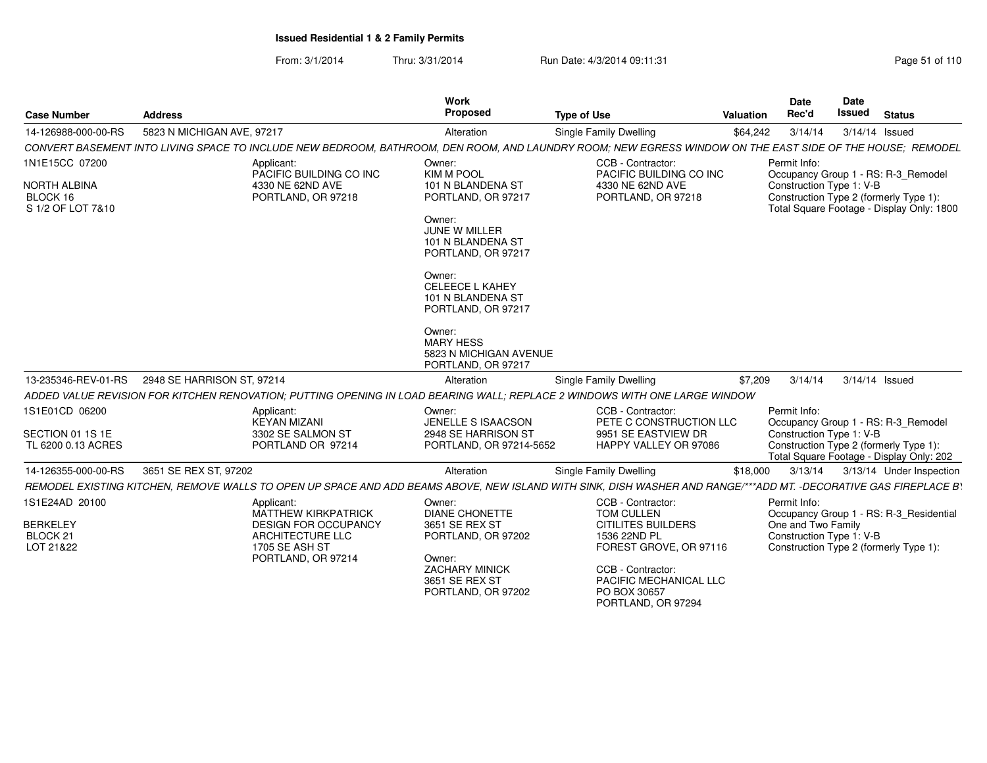From: 3/1/2014Thru: 3/31/2014 Run Date: 4/3/2014 09:11:31 Page 51 of 110

| <b>Case Number</b>                                                     | <b>Address</b>                                                                                                                                                   | <b>Work</b><br>Proposed                                                                                                                                                                                                                                                             | <b>Type of Use</b>                                                                     | Valuation | Date<br>Rec'd                            | Date<br><b>Issued</b> | <b>Status</b>                                                                                                              |
|------------------------------------------------------------------------|------------------------------------------------------------------------------------------------------------------------------------------------------------------|-------------------------------------------------------------------------------------------------------------------------------------------------------------------------------------------------------------------------------------------------------------------------------------|----------------------------------------------------------------------------------------|-----------|------------------------------------------|-----------------------|----------------------------------------------------------------------------------------------------------------------------|
| 14-126988-000-00-RS                                                    | 5823 N MICHIGAN AVE, 97217                                                                                                                                       | Alteration                                                                                                                                                                                                                                                                          | Single Family Dwelling                                                                 | \$64.242  | 3/14/14                                  |                       | 3/14/14 Issued                                                                                                             |
|                                                                        | CONVERT BASEMENT INTO LIVING SPACE TO INCLUDE NEW BEDROOM, BATHROOM, DEN ROOM, AND LAUNDRY ROOM; NEW EGRESS WINDOW ON THE EAST SIDE OF THE HOUSE; REMODEL        |                                                                                                                                                                                                                                                                                     |                                                                                        |           |                                          |                       |                                                                                                                            |
| 1N1E15CC 07200<br><b>NORTH ALBINA</b><br>BLOCK 16<br>S 1/2 OF LOT 7&10 | Applicant:<br>PACIFIC BUILDING CO INC<br>4330 NE 62ND AVE<br>PORTLAND, OR 97218                                                                                  | Owner:<br><b>KIM M POOL</b><br>101 N BLANDENA ST<br>PORTLAND, OR 97217<br>Owner:<br>JUNE W MILLER<br>101 N BLANDENA ST<br>PORTLAND, OR 97217<br>Owner:<br><b>CELEECE L KAHEY</b><br>101 N BLANDENA ST<br>PORTLAND, OR 97217<br>Owner:<br><b>MARY HESS</b><br>5823 N MICHIGAN AVENUE | CCB - Contractor:<br>PACIFIC BUILDING CO INC<br>4330 NE 62ND AVE<br>PORTLAND, OR 97218 |           | Permit Info:<br>Construction Type 1: V-B |                       | Occupancy Group 1 - RS: R-3_Remodel<br>Construction Type 2 (formerly Type 1):<br>Total Square Footage - Display Only: 1800 |
| 13-235346-REV-01-RS                                                    | 2948 SE HARRISON ST, 97214                                                                                                                                       | PORTLAND, OR 97217<br>Alteration                                                                                                                                                                                                                                                    | <b>Single Family Dwelling</b>                                                          | \$7,209   | 3/14/14                                  |                       | 3/14/14 Issued                                                                                                             |
|                                                                        | ADDED VALUE REVISION FOR KITCHEN RENOVATION: PUTTING OPENING IN LOAD BEARING WALL: REPLACE 2 WINDOWS WITH ONE LARGE WINDOW                                       |                                                                                                                                                                                                                                                                                     |                                                                                        |           |                                          |                       |                                                                                                                            |
| 1S1E01CD 06200                                                         | Applicant:<br><b>KEYAN MIZANI</b>                                                                                                                                | Owner:<br>JENELLE S ISAACSON                                                                                                                                                                                                                                                        | CCB - Contractor:<br>PETE C CONSTRUCTION LLC                                           |           | Permit Info:                             |                       | Occupancy Group 1 - RS: R-3_Remodel                                                                                        |
| SECTION 01 1S 1E<br>TL 6200 0.13 ACRES                                 | 3302 SE SALMON ST<br>PORTLAND OR 97214                                                                                                                           | 2948 SE HARRISON ST<br>PORTLAND, OR 97214-5652                                                                                                                                                                                                                                      | 9951 SE EASTVIEW DR<br>HAPPY VALLEY OR 97086                                           |           | Construction Type 1: V-B                 |                       | Construction Type 2 (formerly Type 1):<br>Total Square Footage - Display Only: 202                                         |
| 14-126355-000-00-RS                                                    | 3651 SE REX ST, 97202                                                                                                                                            | Alteration                                                                                                                                                                                                                                                                          | <b>Single Family Dwelling</b>                                                          | \$18,000  | 3/13/14                                  |                       | 3/13/14 Under Inspection                                                                                                   |
|                                                                        | REMODEL EXISTING KITCHEN. REMOVE WALLS TO OPEN UP SPACE AND ADD BEAMS ABOVE. NEW ISLAND WITH SINK. DISH WASHER AND RANGE/***ADD MT. -DECORATIVE GAS FIREPLACE B` |                                                                                                                                                                                                                                                                                     |                                                                                        |           |                                          |                       |                                                                                                                            |
| 1S1E24AD 20100<br><b>BERKELEY</b>                                      | Applicant:<br><b>MATTHEW KIRKPATRICK</b><br><b>DESIGN FOR OCCUPANCY</b>                                                                                          | Owner:<br><b>DIANE CHONETTE</b><br>3651 SE REX ST                                                                                                                                                                                                                                   | CCB - Contractor:<br>TOM CULLEN<br><b>CITILITES BUILDERS</b>                           |           | Permit Info:<br>One and Two Family       |                       | Occupancy Group 1 - RS: R-3 Residential                                                                                    |
| BLOCK 21<br>LOT 21&22                                                  | <b>ARCHITECTURE LLC</b><br>1705 SE ASH ST                                                                                                                        | PORTLAND, OR 97202                                                                                                                                                                                                                                                                  | 1536 22ND PL<br>FOREST GROVE, OR 97116                                                 |           | Construction Type 1: V-B                 |                       | Construction Type 2 (formerly Type 1):                                                                                     |
|                                                                        | PORTLAND, OR 97214                                                                                                                                               | Owner:<br><b>ZACHARY MINICK</b><br>3651 SE REX ST<br>PORTLAND, OR 97202                                                                                                                                                                                                             | CCB - Contractor:<br>PACIFIC MECHANICAL LLC<br>PO BOX 30657<br>PORTLAND, OR 97294      |           |                                          |                       |                                                                                                                            |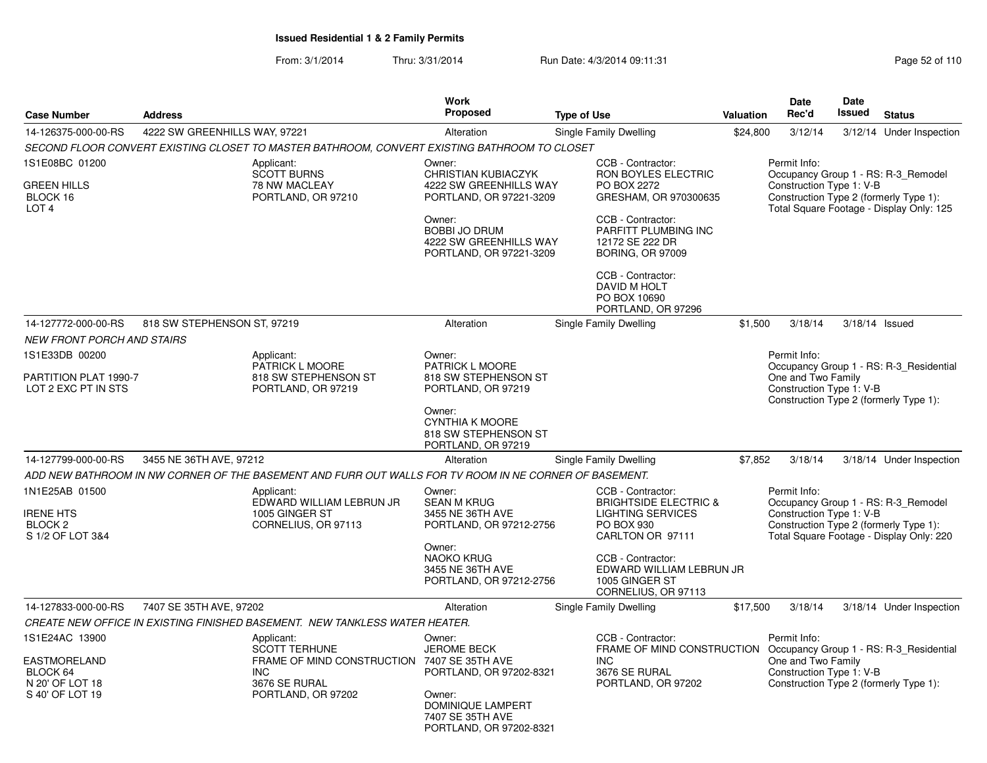From: 3/1/2014Thru: 3/31/2014 Run Date: 4/3/2014 09:11:31 Page 52 of 110

| <b>Case Number</b>                                         | <b>Address</b>                |                                                                                                        | Work<br><b>Proposed</b>                                                             | <b>Type of Use</b>                                       |                                                                    | Valuation | <b>Date</b><br>Rec'd                           | <b>Date</b><br>Issued | <b>Status</b>                                                                                                             |
|------------------------------------------------------------|-------------------------------|--------------------------------------------------------------------------------------------------------|-------------------------------------------------------------------------------------|----------------------------------------------------------|--------------------------------------------------------------------|-----------|------------------------------------------------|-----------------------|---------------------------------------------------------------------------------------------------------------------------|
| 14-126375-000-00-RS                                        | 4222 SW GREENHILLS WAY, 97221 |                                                                                                        | Alteration                                                                          |                                                          |                                                                    |           | 3/12/14                                        |                       |                                                                                                                           |
|                                                            |                               | SECOND FLOOR CONVERT EXISTING CLOSET TO MASTER BATHROOM, CONVERT EXISTING BATHROOM TO CLOSET           |                                                                                     | Single Family Dwelling                                   |                                                                    | \$24,800  |                                                |                       | 3/12/14 Under Inspection                                                                                                  |
| 1S1E08BC 01200                                             |                               | Applicant:                                                                                             | Owner:                                                                              | CCB - Contractor:                                        |                                                                    |           | Permit Info:                                   |                       |                                                                                                                           |
| <b>GREEN HILLS</b><br>BLOCK 16<br>LOT <sub>4</sub>         |                               | SCOTT BURNS<br>78 NW MACLEAY<br>PORTLAND, OR 97210                                                     | <b>CHRISTIAN KUBIACZYK</b><br>4222 SW GREENHILLS WAY<br>PORTLAND, OR 97221-3209     | PO BOX 2272                                              | RON BOYLES ELECTRIC<br>GRESHAM, OR 970300635                       |           | Construction Type 1: V-B                       |                       | Occupancy Group 1 - RS: R-3_Remodel<br>Construction Type 2 (formerly Type 1):<br>Total Square Footage - Display Only: 125 |
|                                                            |                               |                                                                                                        | Owner:<br><b>BOBBI JO DRUM</b><br>4222 SW GREENHILLS WAY<br>PORTLAND, OR 97221-3209 | CCB - Contractor:<br>12172 SE 222 DR                     | PARFITT PLUMBING INC<br><b>BORING, OR 97009</b>                    |           |                                                |                       |                                                                                                                           |
|                                                            |                               |                                                                                                        |                                                                                     | CCB - Contractor:<br><b>DAVID M HOLT</b><br>PO BOX 10690 | PORTLAND, OR 97296                                                 |           |                                                |                       |                                                                                                                           |
| 14-127772-000-00-RS<br><b>NEW FRONT PORCH AND STAIRS</b>   | 818 SW STEPHENSON ST, 97219   |                                                                                                        | Alteration                                                                          | Single Family Dwelling                                   |                                                                    | \$1,500   | 3/18/14                                        | $3/18/14$ Issued      |                                                                                                                           |
| 1S1E33DB 00200                                             |                               | Applicant:                                                                                             | Owner:                                                                              |                                                          |                                                                    |           | Permit Info:                                   |                       |                                                                                                                           |
| PARTITION PLAT 1990-7<br>LOT 2 EXC PT IN STS               |                               | PATRICK L MOORE<br>818 SW STEPHENSON ST<br>PORTLAND, OR 97219                                          | PATRICK L MOORE<br>818 SW STEPHENSON ST<br>PORTLAND, OR 97219                       |                                                          |                                                                    |           | One and Two Family<br>Construction Type 1: V-B |                       | Occupancy Group 1 - RS: R-3_Residential<br>Construction Type 2 (formerly Type 1):                                         |
|                                                            |                               |                                                                                                        | Owner:<br><b>CYNTHIA K MOORE</b><br>818 SW STEPHENSON ST<br>PORTLAND, OR 97219      |                                                          |                                                                    |           |                                                |                       |                                                                                                                           |
| 14-127799-000-00-RS                                        | 3455 NE 36TH AVE, 97212       |                                                                                                        | Alteration                                                                          | Single Family Dwelling                                   |                                                                    | \$7,852   | 3/18/14                                        |                       | 3/18/14 Under Inspection                                                                                                  |
|                                                            |                               | ADD NEW BATHROOM IN NW CORNER OF THE BASEMENT AND FURR OUT WALLS FOR TV ROOM IN NE CORNER OF BASEMENT. |                                                                                     |                                                          |                                                                    |           |                                                |                       |                                                                                                                           |
| 1N1E25AB 01500                                             |                               | Applicant:<br>EDWARD WILLIAM LEBRUN JR                                                                 | Owner:<br><b>SEAN M KRUG</b>                                                        | CCB - Contractor:                                        | <b>BRIGHTSIDE ELECTRIC &amp;</b>                                   |           | Permit Info:                                   |                       | Occupancy Group 1 - RS: R-3_Remodel                                                                                       |
| <b>IRENE HTS</b><br>BLOCK <sub>2</sub><br>S 1/2 OF LOT 3&4 |                               | 1005 GINGER ST<br>CORNELIUS, OR 97113                                                                  | 3455 NE 36TH AVE<br>PORTLAND, OR 97212-2756                                         | PO BOX 930                                               | <b>LIGHTING SERVICES</b><br>CARLTON OR 97111                       |           | Construction Type 1: V-B                       |                       | Construction Type 2 (formerly Type 1):<br>Total Square Footage - Display Only: 220                                        |
|                                                            |                               |                                                                                                        | Owner:<br><b>NAOKO KRUG</b><br>3455 NE 36TH AVE<br>PORTLAND, OR 97212-2756          | CCB - Contractor:<br>1005 GINGER ST                      | EDWARD WILLIAM LEBRUN JR<br>CORNELIUS, OR 97113                    |           |                                                |                       |                                                                                                                           |
| 14-127833-000-00-RS                                        | 7407 SE 35TH AVE, 97202       |                                                                                                        | Alteration                                                                          | Single Family Dwelling                                   |                                                                    | \$17,500  | 3/18/14                                        |                       | 3/18/14 Under Inspection                                                                                                  |
|                                                            |                               | CREATE NEW OFFICE IN EXISTING FINISHED BASEMENT. NEW TANKLESS WATER HEATER.                            |                                                                                     |                                                          |                                                                    |           |                                                |                       |                                                                                                                           |
| 1S1E24AC 13900                                             |                               | Applicant:<br><b>SCOTT TERHUNE</b>                                                                     | Owner:<br><b>JEROME BECK</b>                                                        | CCB - Contractor:                                        | FRAME OF MIND CONSTRUCTION Occupancy Group 1 - RS: R-3_Residential |           | Permit Info:                                   |                       |                                                                                                                           |
| <b>EASTMORELAND</b><br>BLOCK 64<br>N 20' OF LOT 18         |                               | FRAME OF MIND CONSTRUCTION 7407 SE 35TH AVE<br><b>INC</b><br>3676 SE RURAL                             | PORTLAND, OR 97202-8321                                                             | <b>INC</b><br>3676 SE RURAL                              | PORTLAND, OR 97202                                                 |           | One and Two Family<br>Construction Type 1: V-B |                       | Construction Type 2 (formerly Type 1):                                                                                    |
| S 40' OF LOT 19                                            |                               | PORTLAND, OR 97202                                                                                     | Owner:<br>DOMINIQUE LAMPERT<br>7407 SE 35TH AVE<br>PORTLAND, OR 97202-8321          |                                                          |                                                                    |           |                                                |                       |                                                                                                                           |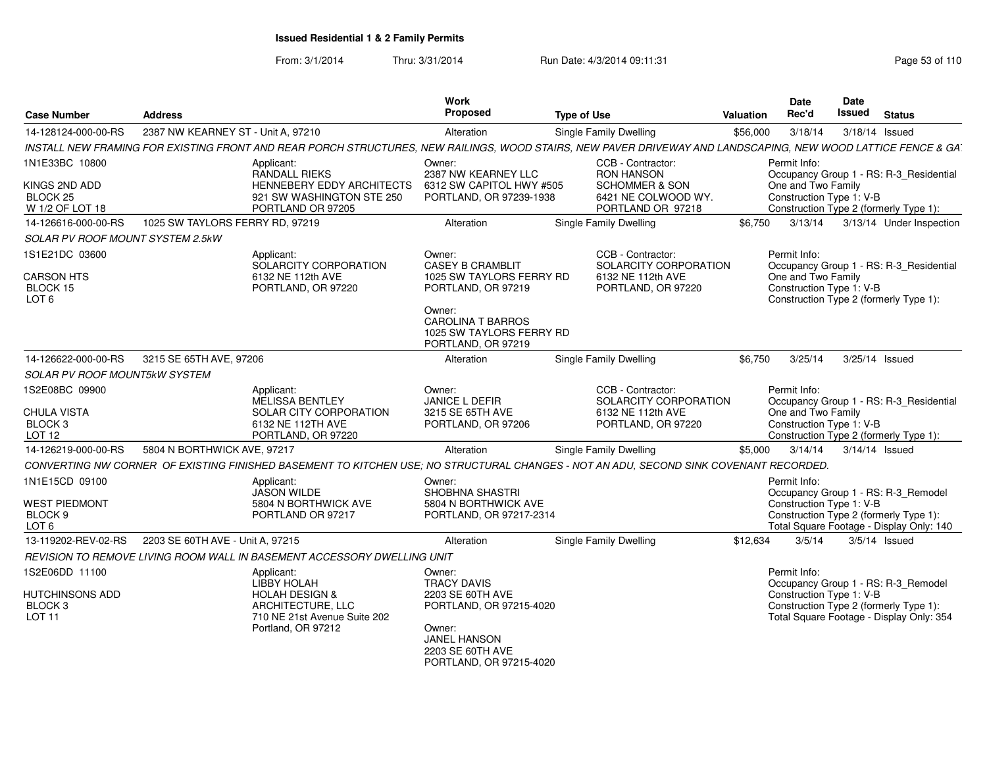From: 3/1/2014Thru: 3/31/2014 Run Date: 4/3/2014 09:11:31 Research 2010 Rage 53 of 110

| <b>Case Number</b>                                                              | <b>Address</b>                     |                                                                                                                                                               | Work<br>Proposed                                                                                                                 | <b>Type of Use</b>                                                                    | <b>Valuation</b> | <b>Date</b><br>Rec'd                                           | <b>Date</b><br><b>Issued</b> | <b>Status</b>                                                                                                             |
|---------------------------------------------------------------------------------|------------------------------------|---------------------------------------------------------------------------------------------------------------------------------------------------------------|----------------------------------------------------------------------------------------------------------------------------------|---------------------------------------------------------------------------------------|------------------|----------------------------------------------------------------|------------------------------|---------------------------------------------------------------------------------------------------------------------------|
| 14-128124-000-00-RS                                                             | 2387 NW KEARNEY ST - Unit A, 97210 |                                                                                                                                                               | Alteration                                                                                                                       | Single Family Dwelling                                                                | \$56,000         | 3/18/14                                                        | 3/18/14 Issued               |                                                                                                                           |
|                                                                                 |                                    | INSTALL NEW FRAMING FOR EXISTING FRONT AND REAR PORCH STRUCTURES, NEW RAILINGS, WOOD STAIRS, NEW PAVER DRIVEWAY AND LANDSCAPING, NEW WOOD LATTICE FENCE & GA. |                                                                                                                                  |                                                                                       |                  |                                                                |                              |                                                                                                                           |
| 1N1E33BC 10800                                                                  |                                    | Applicant:<br><b>RANDALL RIEKS</b>                                                                                                                            | Owner:<br>2387 NW KEARNEY LLC                                                                                                    | CCB - Contractor:<br><b>RON HANSON</b>                                                |                  | Permit Info:                                                   |                              | Occupancy Group 1 - RS: R-3 Residential                                                                                   |
| KINGS 2ND ADD<br>BLOCK 25<br>W 1/2 OF LOT 18                                    |                                    | HENNEBERY EDDY ARCHITECTS<br>921 SW WASHINGTON STE 250<br>PORTLAND OR 97205                                                                                   | 6312 SW CAPITOL HWY #505<br>PORTLAND, OR 97239-1938                                                                              | <b>SCHOMMER &amp; SON</b><br>6421 NE COLWOOD WY.<br>PORTLAND OR 97218                 |                  | One and Two Family<br>Construction Type 1: V-B                 |                              | Construction Type 2 (formerly Type 1):                                                                                    |
| 14-126616-000-00-RS                                                             | 1025 SW TAYLORS FERRY RD, 97219    |                                                                                                                                                               | Alteration                                                                                                                       | Single Family Dwelling                                                                | \$6,750          | 3/13/14                                                        |                              | 3/13/14 Under Inspection                                                                                                  |
| <b>SOLAR PV ROOF MOUNT SYSTEM 2.5kW</b>                                         |                                    |                                                                                                                                                               |                                                                                                                                  |                                                                                       |                  |                                                                |                              |                                                                                                                           |
| 1S1E21DC 03600<br><b>CARSON HTS</b><br>BLOCK 15<br>LOT <sub>6</sub>             |                                    | Applicant:<br>SOLARCITY CORPORATION<br>6132 NE 112th AVE<br>PORTLAND, OR 97220                                                                                | Owner:<br><b>CASEY B CRAMBLIT</b><br>1025 SW TAYLORS FERRY RD<br>PORTLAND, OR 97219                                              | CCB - Contractor:<br>SOLARCITY CORPORATION<br>6132 NE 112th AVE<br>PORTLAND, OR 97220 |                  | Permit Info:<br>One and Two Family<br>Construction Type 1: V-B |                              | Occupancy Group 1 - RS: R-3 Residential<br>Construction Type 2 (formerly Type 1):                                         |
|                                                                                 |                                    |                                                                                                                                                               | Owner:<br><b>CAROLINA T BARROS</b><br>1025 SW TAYLORS FERRY RD<br>PORTLAND, OR 97219                                             |                                                                                       |                  |                                                                |                              |                                                                                                                           |
| 14-126622-000-00-RS                                                             | 3215 SE 65TH AVE, 97206            |                                                                                                                                                               | Alteration                                                                                                                       | Single Family Dwelling                                                                | \$6,750          | 3/25/14                                                        | 3/25/14 Issued               |                                                                                                                           |
| <b>SOLAR PV ROOF MOUNT5kW SYSTEM</b>                                            |                                    |                                                                                                                                                               |                                                                                                                                  |                                                                                       |                  |                                                                |                              |                                                                                                                           |
| 1S2E08BC 09900<br>CHULA VISTA<br>BLOCK <sub>3</sub><br>LOT <sub>12</sub>        |                                    | Applicant:<br><b>MELISSA BENTLEY</b><br>SOLAR CITY CORPORATION<br>6132 NE 112TH AVE<br>PORTLAND, OR 97220                                                     | Owner:<br>JANICE L DEFIR<br>3215 SE 65TH AVE<br>PORTLAND, OR 97206                                                               | CCB - Contractor:<br>SOLARCITY CORPORATION<br>6132 NE 112th AVE<br>PORTLAND, OR 97220 |                  | Permit Info:<br>One and Two Family<br>Construction Type 1: V-B |                              | Occupancy Group 1 - RS: R-3_Residential<br>Construction Type 2 (formerly Type 1):                                         |
| 14-126219-000-00-RS                                                             | 5804 N BORTHWICK AVE, 97217        |                                                                                                                                                               | Alteration                                                                                                                       | Single Family Dwelling                                                                | \$5,000          | 3/14/14                                                        | 3/14/14 Issued               |                                                                                                                           |
|                                                                                 |                                    | CONVERTING NW CORNER OF EXISTING FINISHED BASEMENT TO KITCHEN USE; NO STRUCTURAL CHANGES - NOT AN ADU, SECOND SINK COVENANT RECORDED.                         |                                                                                                                                  |                                                                                       |                  |                                                                |                              |                                                                                                                           |
| 1N1E15CD 09100                                                                  |                                    | Applicant:<br><b>JASON WILDE</b>                                                                                                                              | Owner:<br>SHOBHNA SHASTRI                                                                                                        |                                                                                       |                  | Permit Info:                                                   |                              | Occupancy Group 1 - RS: R-3_Remodel                                                                                       |
| <b>WEST PIEDMONT</b><br>BLOCK 9<br>LOT <sub>6</sub>                             |                                    | 5804 N BORTHWICK AVE<br>PORTLAND OR 97217                                                                                                                     | 5804 N BORTHWICK AVE<br>PORTLAND, OR 97217-2314                                                                                  |                                                                                       |                  | Construction Type 1: V-B                                       |                              | Construction Type 2 (formerly Type 1):<br>Total Square Footage - Display Only: 140                                        |
| 13-119202-REV-02-RS                                                             | 2203 SE 60TH AVE - Unit A. 97215   |                                                                                                                                                               | Alteration                                                                                                                       | Single Family Dwelling                                                                | \$12,634         | 3/5/14                                                         | $3/5/14$ Issued              |                                                                                                                           |
|                                                                                 |                                    | REVISION TO REMOVE LIVING ROOM WALL IN BASEMENT ACCESSORY DWELLING UNIT                                                                                       |                                                                                                                                  |                                                                                       |                  |                                                                |                              |                                                                                                                           |
| 1S2E06DD 11100<br><b>HUTCHINSONS ADD</b><br>BLOCK <sub>3</sub><br><b>LOT 11</b> |                                    | Applicant:<br>LIBBY HOLAH<br><b>HOLAH DESIGN &amp;</b><br>ARCHITECTURE, LLC<br>710 NE 21st Avenue Suite 202<br>Portland, OR 97212                             | Owner:<br><b>TRACY DAVIS</b><br>2203 SE 60TH AVE<br>PORTLAND, OR 97215-4020<br>Owner:<br><b>JANEL HANSON</b><br>2203 SE 60TH AVE |                                                                                       |                  | Permit Info:<br>Construction Type 1: V-B                       |                              | Occupancy Group 1 - RS: R-3 Remodel<br>Construction Type 2 (formerly Type 1):<br>Total Square Footage - Display Only: 354 |
|                                                                                 |                                    |                                                                                                                                                               | PORTLAND, OR 97215-4020                                                                                                          |                                                                                       |                  |                                                                |                              |                                                                                                                           |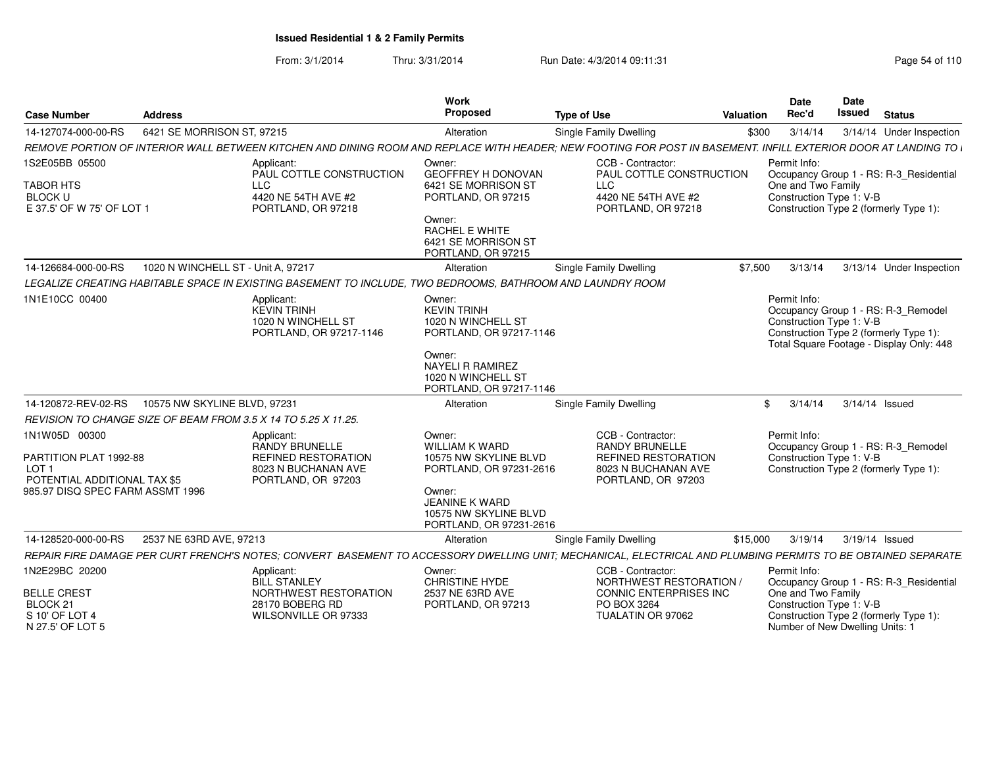From: 3/1/2014Thru: 3/31/2014 Run Date: 4/3/2014 09:11:31 Page 54 of 110

| <b>Case Number</b>                                                         | <b>Address</b>                     |                                                                                                                                                               | Work<br>Proposed                                                                    | <b>Type of Use</b>                                               | <b>Valuation</b> | <b>Date</b><br>Rec'd                                                              | <b>Date</b><br><b>Issued</b> | <b>Status</b>                                                                                                             |
|----------------------------------------------------------------------------|------------------------------------|---------------------------------------------------------------------------------------------------------------------------------------------------------------|-------------------------------------------------------------------------------------|------------------------------------------------------------------|------------------|-----------------------------------------------------------------------------------|------------------------------|---------------------------------------------------------------------------------------------------------------------------|
| 14-127074-000-00-RS                                                        | 6421 SE MORRISON ST, 97215         |                                                                                                                                                               | Alteration                                                                          | Single Family Dwelling                                           | \$300            | 3/14/14                                                                           |                              | 3/14/14 Under Inspection                                                                                                  |
|                                                                            |                                    | REMOVE PORTION OF INTERIOR WALL BETWEEN KITCHEN AND DINING ROOM AND REPLACE WITH HEADER: NEW FOOTING FOR POST IN BASEMENT. INFILL EXTERIOR DOOR AT LANDING TO |                                                                                     |                                                                  |                  |                                                                                   |                              |                                                                                                                           |
| 1S2E05BB 05500                                                             |                                    | Applicant:<br>PAUL COTTLE CONSTRUCTION                                                                                                                        | Owner:<br>GEOFFREY H DONOVAN                                                        | CCB - Contractor:<br>PAUL COTTLE CONSTRUCTION                    |                  | Permit Info:                                                                      |                              | Occupancy Group 1 - RS: R-3_Residential                                                                                   |
| <b>TABOR HTS</b><br><b>BLOCK U</b><br>E 37.5' OF W 75' OF LOT 1            |                                    | <b>LLC</b><br>4420 NE 54TH AVE #2<br>PORTLAND, OR 97218                                                                                                       | 6421 SE MORRISON ST<br>PORTLAND, OR 97215                                           | <b>LLC</b><br>4420 NE 54TH AVE #2<br>PORTLAND, OR 97218          |                  | One and Two Family<br>Construction Type 1: V-B                                    |                              | Construction Type 2 (formerly Type 1):                                                                                    |
|                                                                            |                                    |                                                                                                                                                               | Owner:<br><b>RACHEL E WHITE</b><br>6421 SE MORRISON ST<br>PORTLAND, OR 97215        |                                                                  |                  |                                                                                   |                              |                                                                                                                           |
| 14-126684-000-00-RS                                                        | 1020 N WINCHELL ST - Unit A, 97217 |                                                                                                                                                               | Alteration                                                                          | Single Family Dwelling                                           | \$7,500          | 3/13/14                                                                           |                              | 3/13/14 Under Inspection                                                                                                  |
|                                                                            |                                    | LEGALIZE CREATING HABITABLE SPACE IN EXISTING BASEMENT TO INCLUDE, TWO BEDROOMS, BATHROOM AND LAUNDRY ROOM                                                    |                                                                                     |                                                                  |                  |                                                                                   |                              |                                                                                                                           |
| 1N1E10CC 00400                                                             |                                    | Applicant:<br><b>KEVIN TRINH</b><br>1020 N WINCHELL ST<br>PORTLAND, OR 97217-1146                                                                             | Owner:<br><b>KEVIN TRINH</b><br>1020 N WINCHELL ST<br>PORTLAND, OR 97217-1146       |                                                                  |                  | Permit Info:<br>Construction Type 1: V-B                                          |                              | Occupancy Group 1 - RS: R-3_Remodel<br>Construction Type 2 (formerly Type 1):<br>Total Square Footage - Display Only: 448 |
|                                                                            |                                    |                                                                                                                                                               | Owner:<br><b>NAYELI R RAMIREZ</b><br>1020 N WINCHELL ST<br>PORTLAND, OR 97217-1146  |                                                                  |                  |                                                                                   |                              |                                                                                                                           |
| 14-120872-REV-02-RS                                                        | 10575 NW SKYLINE BLVD, 97231       |                                                                                                                                                               | Alteration                                                                          | Single Family Dwelling                                           |                  | 3/14/14<br>\$                                                                     |                              | 3/14/14 Issued                                                                                                            |
|                                                                            |                                    | REVISION TO CHANGE SIZE OF BEAM FROM 3.5 X 14 TO 5.25 X 11.25.                                                                                                |                                                                                     |                                                                  |                  |                                                                                   |                              |                                                                                                                           |
| 1N1W05D 00300                                                              |                                    | Applicant:<br>RANDY BRUNELLE                                                                                                                                  | Owner:<br>WILLIAM K WARD                                                            | CCB - Contractor:<br><b>RANDY BRUNELLE</b>                       |                  | Permit Info:                                                                      |                              | Occupancy Group 1 - RS: R-3_Remodel                                                                                       |
| PARTITION PLAT 1992-88<br>LOT <sub>1</sub><br>POTENTIAL ADDITIONAL TAX \$5 |                                    | <b>REFINED RESTORATION</b><br>8023 N BUCHANAN AVE<br>PORTLAND, OR 97203                                                                                       | 10575 NW SKYLINE BLVD<br>PORTLAND, OR 97231-2616                                    | REFINED RESTORATION<br>8023 N BUCHANAN AVE<br>PORTLAND, OR 97203 |                  | Construction Type 1: V-B                                                          |                              | Construction Type 2 (formerly Type 1):                                                                                    |
| 985.97 DISQ SPEC FARM ASSMT 1996                                           |                                    |                                                                                                                                                               | Owner:<br><b>JEANINE K WARD</b><br>10575 NW SKYLINE BLVD<br>PORTLAND, OR 97231-2616 |                                                                  |                  |                                                                                   |                              |                                                                                                                           |
| 14-128520-000-00-RS                                                        | 2537 NE 63RD AVE, 97213            |                                                                                                                                                               | Alteration                                                                          | Single Family Dwelling                                           | \$15,000         | 3/19/14                                                                           |                              | 3/19/14 Issued                                                                                                            |
|                                                                            |                                    | REPAIR FIRE DAMAGE PER CURT FRENCH'S NOTES; CONVERT BASEMENT TO ACCESSORY DWELLING UNIT; MECHANICAL, ELECTRICAL AND PLUMBING PERMITS TO BE OBTAINED SEPARATE  |                                                                                     |                                                                  |                  |                                                                                   |                              |                                                                                                                           |
| 1N2E29BC 20200                                                             |                                    | Applicant:<br><b>BILL STANLEY</b>                                                                                                                             | Owner:<br><b>CHRISTINE HYDE</b>                                                     | CCB - Contractor:<br>NORTHWEST RESTORATION                       |                  | Permit Info:                                                                      |                              | Occupancy Group 1 - RS: R-3_Residential                                                                                   |
| <b>BELLE CREST</b><br>BLOCK 21<br>S 10' OF LOT 4<br>N 27.5' OF LOT 5       |                                    | NORTHWEST RESTORATION<br>28170 BOBERG RD<br>WILSONVILLE OR 97333                                                                                              | 2537 NE 63RD AVE<br>PORTLAND, OR 97213                                              | CONNIC ENTERPRISES INC<br>PO BOX 3264<br>TUALATIN OR 97062       |                  | One and Two Family<br>Construction Type 1: V-B<br>Number of New Dwelling Units: 1 |                              | Construction Type 2 (formerly Type 1):                                                                                    |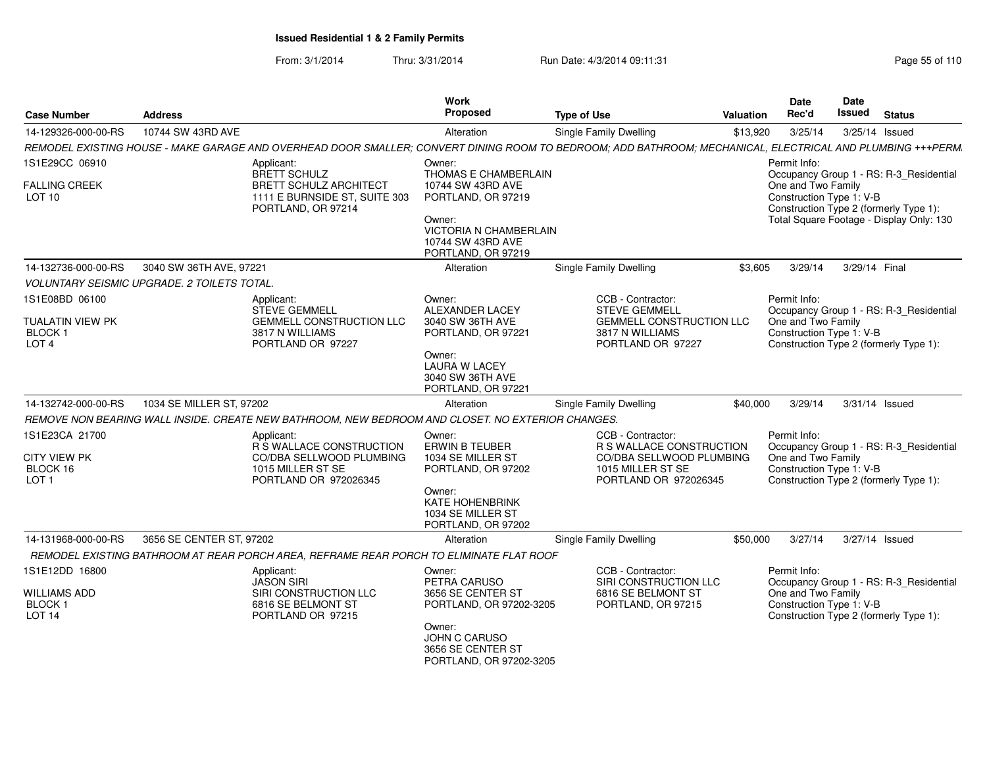From: 3/1/2014Thru: 3/31/2014 Run Date: 4/3/2014 09:11:31

| <b>Case Number</b>                                                          | <b>Address</b>                                                                                                                                             | Work<br>Proposed                                                                                                                                   | <b>Type of Use</b>                                                                                                             | <b>Valuation</b> | <b>Date</b><br>Rec'd                                           | Date<br>Issued | <b>Status</b>                                                                      |
|-----------------------------------------------------------------------------|------------------------------------------------------------------------------------------------------------------------------------------------------------|----------------------------------------------------------------------------------------------------------------------------------------------------|--------------------------------------------------------------------------------------------------------------------------------|------------------|----------------------------------------------------------------|----------------|------------------------------------------------------------------------------------|
| 14-129326-000-00-RS                                                         | 10744 SW 43RD AVE                                                                                                                                          | Alteration                                                                                                                                         | <b>Single Family Dwelling</b>                                                                                                  | \$13,920         | 3/25/14                                                        |                | 3/25/14 Issued                                                                     |
|                                                                             | REMODEL EXISTING HOUSE - MAKE GARAGE AND OVERHEAD DOOR SMALLER; CONVERT DINING ROOM TO BEDROOM; ADD BATHROOM; MECHANICAL, ELECTRICAL AND PLUMBING +++PERM. |                                                                                                                                                    |                                                                                                                                |                  |                                                                |                |                                                                                    |
| 1S1E29CC 06910                                                              | Applicant:<br><b>BRETT SCHULZ</b>                                                                                                                          | Owner:<br>THOMAS E CHAMBERLAIN                                                                                                                     |                                                                                                                                |                  | Permit Info:                                                   |                | Occupancy Group 1 - RS: R-3_Residential                                            |
| <b>FALLING CREEK</b><br>LOT <sub>10</sub>                                   | <b>BRETT SCHULZ ARCHITECT</b><br>1111 E BURNSIDE ST, SUITE 303<br>PORTLAND, OR 97214                                                                       | 10744 SW 43RD AVE<br>PORTLAND, OR 97219<br>Owner:<br><b>VICTORIA N CHAMBERLAIN</b><br>10744 SW 43RD AVE<br>PORTLAND, OR 97219                      |                                                                                                                                |                  | One and Two Family<br>Construction Type 1: V-B                 |                | Construction Type 2 (formerly Type 1):<br>Total Square Footage - Display Only: 130 |
| 14-132736-000-00-RS                                                         | 3040 SW 36TH AVE, 97221                                                                                                                                    | Alteration                                                                                                                                         | <b>Single Family Dwelling</b>                                                                                                  | \$3,605          | 3/29/14                                                        | 3/29/14 Final  |                                                                                    |
|                                                                             | <b>VOLUNTARY SEISMIC UPGRADE. 2 TOILETS TOTAL.</b>                                                                                                         |                                                                                                                                                    |                                                                                                                                |                  |                                                                |                |                                                                                    |
| 1S1E08BD 06100<br>TUALATIN VIEW PK<br><b>BLOCK1</b><br>LOT <sub>4</sub>     | Applicant:<br><b>STEVE GEMMELL</b><br><b>GEMMELL CONSTRUCTION LLC</b><br>3817 N WILLIAMS<br>PORTLAND OR 97227                                              | Owner:<br>ALEXANDER LACEY<br>3040 SW 36TH AVE<br>PORTLAND, OR 97221                                                                                | CCB - Contractor:<br><b>STEVE GEMMELL</b><br><b>GEMMELL CONSTRUCTION LLC</b><br>3817 N WILLIAMS<br>PORTLAND OR 97227           |                  | Permit Info:<br>One and Two Family<br>Construction Type 1: V-B |                | Occupancy Group 1 - RS: R-3_Residential<br>Construction Type 2 (formerly Type 1):  |
|                                                                             |                                                                                                                                                            | Owner:<br><b>LAURA W LACEY</b><br>3040 SW 36TH AVE<br>PORTLAND, OR 97221                                                                           |                                                                                                                                |                  |                                                                |                |                                                                                    |
| 14-132742-000-00-RS                                                         | 1034 SE MILLER ST, 97202                                                                                                                                   | Alteration                                                                                                                                         | Single Family Dwelling                                                                                                         | \$40,000         | 3/29/14                                                        |                | 3/31/14 Issued                                                                     |
|                                                                             | REMOVE NON BEARING WALL INSIDE. CREATE NEW BATHROOM, NEW BEDROOM AND CLOSET. NO EXTERIOR CHANGES.                                                          |                                                                                                                                                    |                                                                                                                                |                  |                                                                |                |                                                                                    |
| 1S1E23CA 21700<br><b>CITY VIEW PK</b><br>BLOCK 16<br>LOT <sub>1</sub>       | Applicant:<br><b>R S WALLACE CONSTRUCTION</b><br>CO/DBA SELLWOOD PLUMBING<br>1015 MILLER ST SE<br>PORTLAND OR 972026345                                    | Owner:<br><b>ERWIN B TEUBER</b><br>1034 SE MILLER ST<br>PORTLAND, OR 97202<br>Owner:<br>KATE HOHENBRINK<br>1034 SE MILLER ST<br>PORTLAND, OR 97202 | CCB - Contractor:<br><b>R S WALLACE CONSTRUCTION</b><br>CO/DBA SELLWOOD PLUMBING<br>1015 MILLER ST SE<br>PORTLAND OR 972026345 |                  | Permit Info:<br>One and Two Family<br>Construction Type 1: V-B |                | Occupancy Group 1 - RS: R-3 Residential<br>Construction Type 2 (formerly Type 1):  |
| 14-131968-000-00-RS                                                         | 3656 SE CENTER ST, 97202                                                                                                                                   | Alteration                                                                                                                                         | Single Family Dwelling                                                                                                         | \$50,000         | 3/27/14                                                        |                | 3/27/14 Issued                                                                     |
|                                                                             | REMODEL EXISTING BATHROOM AT REAR PORCH AREA, REFRAME REAR PORCH TO ELIMINATE FLAT ROOF                                                                    |                                                                                                                                                    |                                                                                                                                |                  |                                                                |                |                                                                                    |
| 1S1E12DD 16800<br><b>WILLIAMS ADD</b><br><b>BLOCK1</b><br>LOT <sub>14</sub> | Applicant:<br><b>JASON SIRI</b><br>SIRI CONSTRUCTION LLC<br>6816 SE BELMONT ST<br>PORTLAND OR 97215                                                        | Owner:<br>PETRA CARUSO<br>3656 SE CENTER ST<br>PORTLAND, OR 97202-3205<br>Owner:<br>JOHN C CARUSO<br>3656 SE CENTER ST                             | CCB - Contractor:<br>SIRI CONSTRUCTION LLC<br>6816 SE BELMONT ST<br>PORTLAND, OR 97215                                         |                  | Permit Info:<br>One and Two Family<br>Construction Type 1: V-B |                | Occupancy Group 1 - RS: R-3 Residential<br>Construction Type 2 (formerly Type 1):  |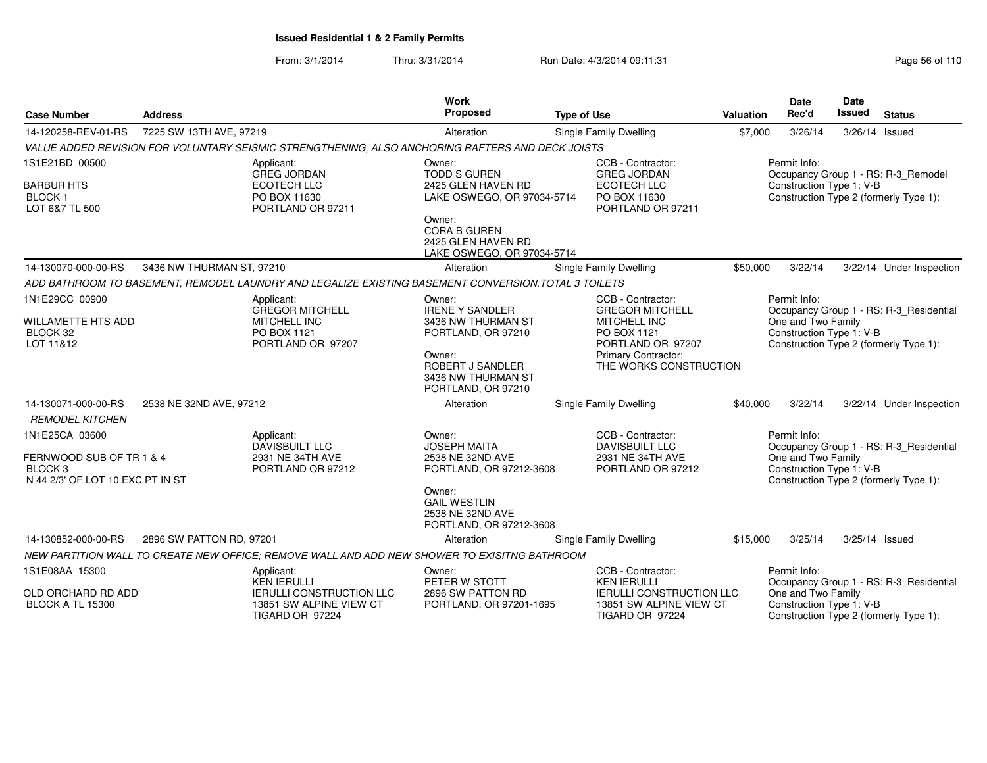From: 3/1/2014Thru: 3/31/2014 Run Date: 4/3/2014 09:11:31 Page 56 of 110

|                                                                  |                           |                                                                                                     | <b>Work</b>                                                                       |                                                                                     |           | <b>Date</b>                                                    | <b>Date</b>    |                                         |
|------------------------------------------------------------------|---------------------------|-----------------------------------------------------------------------------------------------------|-----------------------------------------------------------------------------------|-------------------------------------------------------------------------------------|-----------|----------------------------------------------------------------|----------------|-----------------------------------------|
| <b>Case Number</b>                                               | <b>Address</b>            |                                                                                                     | Proposed                                                                          | <b>Type of Use</b>                                                                  | Valuation | Rec'd                                                          | Issued         | <b>Status</b>                           |
| 14-120258-REV-01-RS                                              | 7225 SW 13TH AVE, 97219   |                                                                                                     | Alteration                                                                        | Single Family Dwelling                                                              | \$7,000   | 3/26/14                                                        | 3/26/14 Issued |                                         |
|                                                                  |                           | VALUE ADDED REVISION FOR VOLUNTARY SEISMIC STRENGTHENING, ALSO ANCHORING RAFTERS AND DECK JOISTS    |                                                                                   |                                                                                     |           |                                                                |                |                                         |
| 1S1E21BD 00500                                                   |                           | Applicant:<br><b>GREG JORDAN</b>                                                                    | Owner:<br><b>TODD S GUREN</b>                                                     | CCB - Contractor:<br><b>GREG JORDAN</b>                                             |           | Permit Info:                                                   |                | Occupancy Group 1 - RS: R-3 Remodel     |
| <b>BARBUR HTS</b><br>BLOCK <sub>1</sub><br>LOT 6&7 TL 500        |                           | <b>ECOTECH LLC</b><br>PO BOX 11630<br>PORTLAND OR 97211                                             | 2425 GLEN HAVEN RD<br>LAKE OSWEGO, OR 97034-5714                                  | ECOTECH LLC<br>PO BOX 11630<br>PORTLAND OR 97211                                    |           | Construction Type 1: V-B                                       |                | Construction Type 2 (formerly Type 1):  |
|                                                                  |                           |                                                                                                     | Owner:<br><b>CORA B GUREN</b><br>2425 GLEN HAVEN RD<br>LAKE OSWEGO, OR 97034-5714 |                                                                                     |           |                                                                |                |                                         |
| 14-130070-000-00-RS                                              | 3436 NW THURMAN ST, 97210 |                                                                                                     | Alteration                                                                        | <b>Single Family Dwelling</b>                                                       | \$50,000  | 3/22/14                                                        |                | 3/22/14 Under Inspection                |
|                                                                  |                           | ADD BATHROOM TO BASEMENT, REMODEL LAUNDRY AND LEGALIZE EXISTING BASEMENT CONVERSION TOTAL 3 TOILETS |                                                                                   |                                                                                     |           |                                                                |                |                                         |
| 1N1E29CC 00900<br>WILLAMETTE HTS ADD                             |                           | Applicant:<br><b>GREGOR MITCHELL</b><br>MITCHELL INC                                                | Owner:<br><b>IRENE Y SANDLER</b><br>3436 NW THURMAN ST                            | CCB - Contractor:<br><b>GREGOR MITCHELL</b><br><b>MITCHELL INC</b>                  |           | Permit Info:<br>One and Two Family                             |                | Occupancy Group 1 - RS: R-3 Residential |
| BLOCK 32<br>LOT 11&12                                            |                           | PO BOX 1121<br>PORTLAND OR 97207                                                                    | PORTLAND, OR 97210                                                                | PO BOX 1121<br>PORTLAND OR 97207                                                    |           | Construction Type 1: V-B                                       |                | Construction Type 2 (formerly Type 1):  |
|                                                                  |                           |                                                                                                     | Owner:<br>ROBERT J SANDLER<br>3436 NW THURMAN ST<br>PORTLAND, OR 97210            | <b>Primary Contractor:</b><br>THE WORKS CONSTRUCTION                                |           |                                                                |                |                                         |
| 14-130071-000-00-RS                                              | 2538 NE 32ND AVE, 97212   |                                                                                                     | Alteration                                                                        | <b>Single Family Dwelling</b>                                                       | \$40,000  | 3/22/14                                                        |                | 3/22/14 Under Inspection                |
| <b>REMODEL KITCHEN</b>                                           |                           |                                                                                                     |                                                                                   |                                                                                     |           |                                                                |                |                                         |
| 1N1E25CA 03600<br>FERNWOOD SUB OF TR 1 & 4<br>BLOCK <sub>3</sub> |                           | Applicant:<br><b>DAVISBUILT LLC</b><br>2931 NE 34TH AVE<br>PORTLAND OR 97212                        | Owner:<br><b>JOSEPH MAITA</b><br>2538 NE 32ND AVE<br>PORTLAND, OR 97212-3608      | CCB - Contractor:<br><b>DAVISBUILT LLC</b><br>2931 NE 34TH AVE<br>PORTLAND OR 97212 |           | Permit Info:<br>One and Two Family<br>Construction Type 1: V-B |                | Occupancy Group 1 - RS: R-3_Residential |
| N 44 2/3' OF LOT 10 EXC PT IN ST                                 |                           |                                                                                                     |                                                                                   |                                                                                     |           |                                                                |                | Construction Type 2 (formerly Type 1):  |
|                                                                  |                           |                                                                                                     | Owner:<br><b>GAIL WESTLIN</b><br>2538 NE 32ND AVE<br>PORTLAND, OR 97212-3608      |                                                                                     |           |                                                                |                |                                         |
| 14-130852-000-00-RS                                              | 2896 SW PATTON RD, 97201  |                                                                                                     | Alteration                                                                        | <b>Single Family Dwelling</b>                                                       | \$15,000  | 3/25/14                                                        |                | 3/25/14 Issued                          |
|                                                                  |                           | NEW PARTITION WALL TO CREATE NEW OFFICE; REMOVE WALL AND ADD NEW SHOWER TO EXISITNG BATHROOM        |                                                                                   |                                                                                     |           |                                                                |                |                                         |
| 1S1E08AA 15300                                                   |                           | Applicant:<br><b>KEN IERULLI</b>                                                                    | Owner:<br>PETER W STOTT                                                           | CCB - Contractor:<br><b>KEN IERULLI</b>                                             |           | Permit Info:                                                   |                | Occupancy Group 1 - RS: R-3_Residential |
| OLD ORCHARD RD ADD<br><b>BLOCK A TL 15300</b>                    |                           | <b>IERULLI CONSTRUCTION LLC</b><br>13851 SW ALPINE VIEW CT<br>TIGARD OR 97224                       | 2896 SW PATTON RD<br>PORTLAND, OR 97201-1695                                      | <b>IERULLI CONSTRUCTION LLC</b><br>13851 SW ALPINE VIEW CT<br>TIGARD OR 97224       |           | One and Two Family<br>Construction Type 1: V-B                 |                | Construction Type 2 (formerly Type 1):  |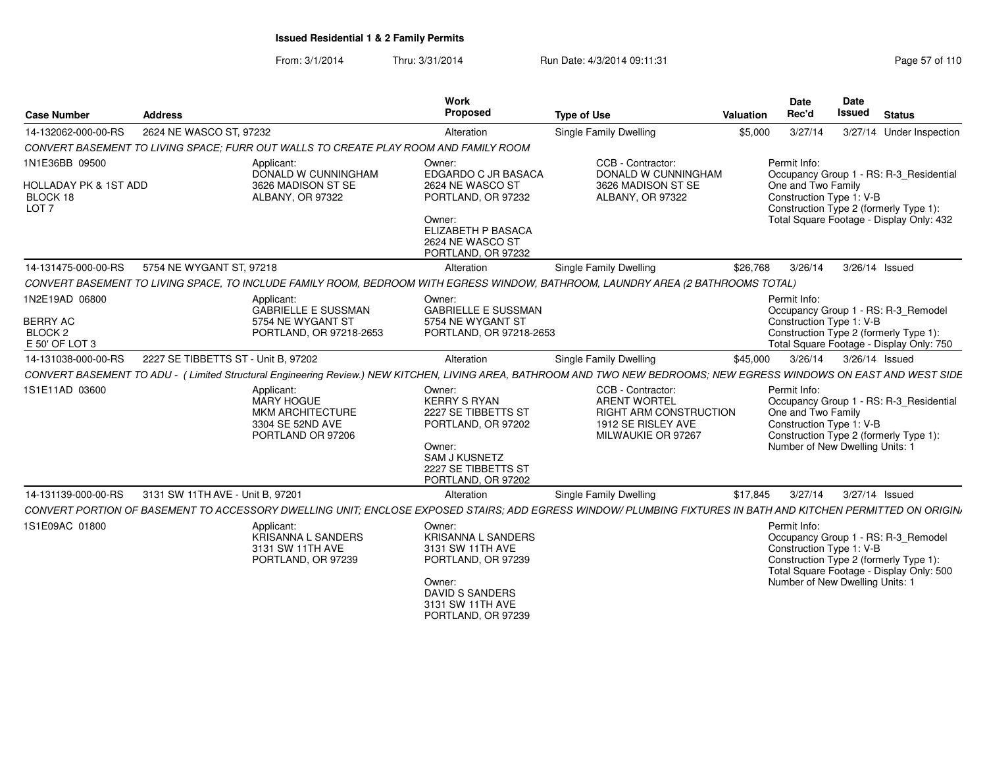From: 3/1/2014Thru: 3/31/2014 Run Date: 4/3/2014 09:11:31 Page 57 of 110

| <b>Address</b>                   |                                                                                              | Work<br>Proposed                                                                                                                                          | <b>Type of Use</b>                                                                   |                         | <b>Date</b><br>Rec'd                                                  | Date<br><b>Issued</b>                                                                                                                                                                                                                | <b>Status</b>                                                                                                                                                                                                                                                                                                                                                                                                                                                                                                                                                                                                                                                                                                                                                                                                                                                                                                                                                                                                                                           |
|----------------------------------|----------------------------------------------------------------------------------------------|-----------------------------------------------------------------------------------------------------------------------------------------------------------|--------------------------------------------------------------------------------------|-------------------------|-----------------------------------------------------------------------|--------------------------------------------------------------------------------------------------------------------------------------------------------------------------------------------------------------------------------------|---------------------------------------------------------------------------------------------------------------------------------------------------------------------------------------------------------------------------------------------------------------------------------------------------------------------------------------------------------------------------------------------------------------------------------------------------------------------------------------------------------------------------------------------------------------------------------------------------------------------------------------------------------------------------------------------------------------------------------------------------------------------------------------------------------------------------------------------------------------------------------------------------------------------------------------------------------------------------------------------------------------------------------------------------------|
|                                  |                                                                                              | Alteration                                                                                                                                                | <b>Single Family Dwelling</b>                                                        |                         | 3/27/14                                                               |                                                                                                                                                                                                                                      | 3/27/14 Under Inspection                                                                                                                                                                                                                                                                                                                                                                                                                                                                                                                                                                                                                                                                                                                                                                                                                                                                                                                                                                                                                                |
|                                  |                                                                                              |                                                                                                                                                           |                                                                                      |                         |                                                                       |                                                                                                                                                                                                                                      |                                                                                                                                                                                                                                                                                                                                                                                                                                                                                                                                                                                                                                                                                                                                                                                                                                                                                                                                                                                                                                                         |
| <b>HOLLADAY PK &amp; 1ST ADD</b> | Applicant:<br>DONALD W CUNNINGHAM<br>3626 MADISON ST SE<br>ALBANY, OR 97322                  | Owner:<br>EDGARDO C JR BASACA<br>2624 NE WASCO ST<br>PORTLAND, OR 97232<br>Owner:<br><b>ELIZABETH P BASACA</b><br>2624 NE WASCO ST<br>PORTLAND, OR 97232  | CCB - Contractor:<br>3626 MADISON ST SE<br>ALBANY, OR 97322                          |                         |                                                                       |                                                                                                                                                                                                                                      |                                                                                                                                                                                                                                                                                                                                                                                                                                                                                                                                                                                                                                                                                                                                                                                                                                                                                                                                                                                                                                                         |
|                                  |                                                                                              | Alteration                                                                                                                                                | <b>Single Family Dwelling</b>                                                        |                         | 3/26/14                                                               |                                                                                                                                                                                                                                      | 3/26/14 Issued                                                                                                                                                                                                                                                                                                                                                                                                                                                                                                                                                                                                                                                                                                                                                                                                                                                                                                                                                                                                                                          |
|                                  |                                                                                              |                                                                                                                                                           |                                                                                      |                         |                                                                       |                                                                                                                                                                                                                                      |                                                                                                                                                                                                                                                                                                                                                                                                                                                                                                                                                                                                                                                                                                                                                                                                                                                                                                                                                                                                                                                         |
|                                  | Applicant:<br><b>GABRIELLE E SUSSMAN</b><br>5754 NE WYGANT ST<br>PORTLAND, OR 97218-2653     | Owner:<br><b>GABRIELLE E SUSSMAN</b><br>5754 NE WYGANT ST                                                                                                 |                                                                                      |                         |                                                                       |                                                                                                                                                                                                                                      |                                                                                                                                                                                                                                                                                                                                                                                                                                                                                                                                                                                                                                                                                                                                                                                                                                                                                                                                                                                                                                                         |
|                                  |                                                                                              | Alteration                                                                                                                                                | Single Family Dwelling                                                               |                         | 3/26/14                                                               |                                                                                                                                                                                                                                      | 3/26/14 Issued                                                                                                                                                                                                                                                                                                                                                                                                                                                                                                                                                                                                                                                                                                                                                                                                                                                                                                                                                                                                                                          |
|                                  |                                                                                              |                                                                                                                                                           |                                                                                      |                         |                                                                       |                                                                                                                                                                                                                                      |                                                                                                                                                                                                                                                                                                                                                                                                                                                                                                                                                                                                                                                                                                                                                                                                                                                                                                                                                                                                                                                         |
|                                  | Applicant:<br><b>MARY HOGUE</b><br>MKM ARCHITECTURE<br>3304 SE 52ND AVE<br>PORTLAND OR 97206 | Owner:<br><b>KERRY S RYAN</b><br>2227 SE TIBBETTS ST<br>PORTLAND, OR 97202<br>Owner:<br><b>SAM J KUSNETZ</b><br>2227 SE TIBBETTS ST<br>PORTLAND, OR 97202 | CCB - Contractor:<br><b>ARENT WORTEL</b><br>1912 SE RISLEY AVE<br>MILWAUKIE OR 97267 |                         |                                                                       |                                                                                                                                                                                                                                      |                                                                                                                                                                                                                                                                                                                                                                                                                                                                                                                                                                                                                                                                                                                                                                                                                                                                                                                                                                                                                                                         |
|                                  |                                                                                              | Alteration                                                                                                                                                | Single Family Dwelling                                                               |                         | 3/27/14                                                               |                                                                                                                                                                                                                                      | 3/27/14 Issued                                                                                                                                                                                                                                                                                                                                                                                                                                                                                                                                                                                                                                                                                                                                                                                                                                                                                                                                                                                                                                          |
|                                  |                                                                                              |                                                                                                                                                           |                                                                                      |                         |                                                                       |                                                                                                                                                                                                                                      |                                                                                                                                                                                                                                                                                                                                                                                                                                                                                                                                                                                                                                                                                                                                                                                                                                                                                                                                                                                                                                                         |
|                                  | Applicant:<br><b>KRISANNA L SANDERS</b><br>3131 SW 11TH AVE<br>PORTLAND, OR 97239            | Owner:<br><b>KRISANNA L SANDERS</b><br>3131 SW 11TH AVE<br>PORTLAND, OR 97239<br>Owner:<br>DAVID S SANDERS<br>3131 SW 11TH AVE                            |                                                                                      |                         |                                                                       |                                                                                                                                                                                                                                      |                                                                                                                                                                                                                                                                                                                                                                                                                                                                                                                                                                                                                                                                                                                                                                                                                                                                                                                                                                                                                                                         |
|                                  |                                                                                              | 2624 NE WASCO ST, 97232<br>5754 NE WYGANT ST. 97218<br>2227 SE TIBBETTS ST - Unit B, 97202<br>3131 SW 11TH AVE - Unit B. 97201                            | CONVERT BASEMENT TO LIVING SPACE: FURR OUT WALLS TO CREATE PLAY ROOM AND FAMILY ROOM | PORTLAND, OR 97218-2653 | Valuation<br>\$5,000<br>DONALD W CUNNINGHAM<br>RIGHT ARM CONSTRUCTION | Permit Info:<br>\$26,768<br>CONVERT BASEMENT TO LIVING SPACE, TO INCLUDE FAMILY ROOM, BEDROOM WITH EGRESS WINDOW, BATHROOM, LAUNDRY AREA (2 BATHROOMS TOTAL)<br>Permit Info:<br>\$45,000<br>Permit Info:<br>\$17,845<br>Permit Info: | Occupancy Group 1 - RS: R-3_Residential<br>One and Two Family<br>Construction Type 1: V-B<br>Construction Type 2 (formerly Type 1):<br>Total Square Footage - Display Only: 432<br>Occupancy Group 1 - RS: R-3_Remodel<br>Construction Type 1: V-B<br>Construction Type 2 (formerly Type 1):<br>Total Square Footage - Display Only: 750<br>CONVERT BASEMENT TO ADU - (Limited Structural Engineering Review.) NEW KITCHEN, LIVING AREA, BATHROOM AND TWO NEW BEDROOMS; NEW EGRESS WINDOWS ON EAST AND WEST SIDE<br>Occupancy Group 1 - RS: R-3_Residential<br>One and Two Family<br>Construction Type 1: V-B<br>Construction Type 2 (formerly Type 1):<br>Number of New Dwelling Units: 1<br>CONVERT PORTION OF BASEMENT TO ACCESSORY DWELLING UNIT; ENCLOSE EXPOSED STAIRS; ADD EGRESS WINDOW/ PLUMBING FIXTURES IN BATH AND KITCHEN PERMITTED ON ORIGIN,<br>Occupancy Group 1 - RS: R-3_Remodel<br>Construction Type 1: V-B<br>Construction Type 2 (formerly Type 1):<br>Total Square Footage - Display Only: 500<br>Number of New Dwelling Units: 1 |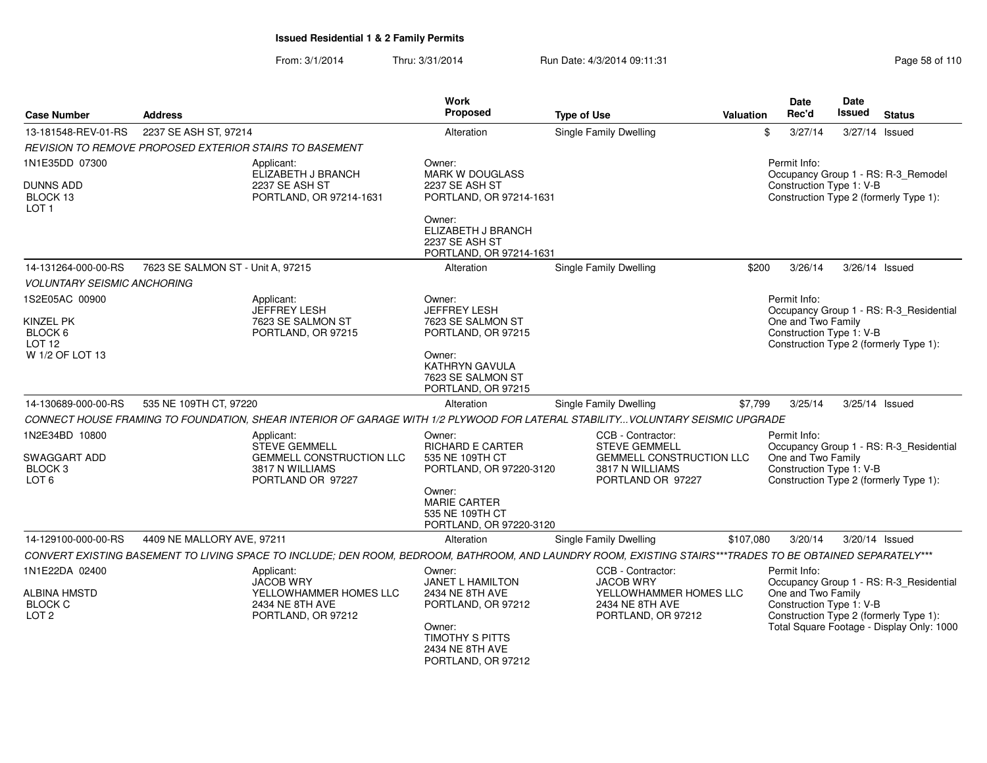From: 3/1/2014Thru: 3/31/2014 Run Date: 4/3/2014 09:11:31 Research 2010 Rage 58 of 110

| <b>Address</b>                     |                                                                                                   | <b>Work</b><br><b>Proposed</b>                                                                                                                                                                                           | <b>Type of Use</b>                                                             |                                                                                                                                                     | <b>Date</b><br>Rec'd                                      | <b>Date</b><br>Issued                                                                                                                                                                     | <b>Status</b>                                                                                                                                                                                                                                                                                                                                                                                                                                                                                                                                                                                                                                                                                                                             |
|------------------------------------|---------------------------------------------------------------------------------------------------|--------------------------------------------------------------------------------------------------------------------------------------------------------------------------------------------------------------------------|--------------------------------------------------------------------------------|-----------------------------------------------------------------------------------------------------------------------------------------------------|-----------------------------------------------------------|-------------------------------------------------------------------------------------------------------------------------------------------------------------------------------------------|-------------------------------------------------------------------------------------------------------------------------------------------------------------------------------------------------------------------------------------------------------------------------------------------------------------------------------------------------------------------------------------------------------------------------------------------------------------------------------------------------------------------------------------------------------------------------------------------------------------------------------------------------------------------------------------------------------------------------------------------|
|                                    |                                                                                                   | Alteration                                                                                                                                                                                                               | Single Family Dwelling                                                         |                                                                                                                                                     | 3/27/14                                                   |                                                                                                                                                                                           | 3/27/14 Issued                                                                                                                                                                                                                                                                                                                                                                                                                                                                                                                                                                                                                                                                                                                            |
|                                    |                                                                                                   |                                                                                                                                                                                                                          |                                                                                |                                                                                                                                                     |                                                           |                                                                                                                                                                                           |                                                                                                                                                                                                                                                                                                                                                                                                                                                                                                                                                                                                                                                                                                                                           |
|                                    | Applicant:                                                                                        | Owner:                                                                                                                                                                                                                   |                                                                                |                                                                                                                                                     | Permit Info:                                              |                                                                                                                                                                                           |                                                                                                                                                                                                                                                                                                                                                                                                                                                                                                                                                                                                                                                                                                                                           |
|                                    | 2237 SE ASH ST<br>PORTLAND, OR 97214-1631                                                         | 2237 SE ASH ST                                                                                                                                                                                                           |                                                                                |                                                                                                                                                     |                                                           |                                                                                                                                                                                           |                                                                                                                                                                                                                                                                                                                                                                                                                                                                                                                                                                                                                                                                                                                                           |
|                                    |                                                                                                   | Owner:<br>ELIZABETH J BRANCH<br>2237 SE ASH ST                                                                                                                                                                           |                                                                                |                                                                                                                                                     |                                                           |                                                                                                                                                                                           |                                                                                                                                                                                                                                                                                                                                                                                                                                                                                                                                                                                                                                                                                                                                           |
|                                    |                                                                                                   | Alteration                                                                                                                                                                                                               | Single Family Dwelling                                                         |                                                                                                                                                     | 3/26/14                                                   |                                                                                                                                                                                           | 3/26/14 Issued                                                                                                                                                                                                                                                                                                                                                                                                                                                                                                                                                                                                                                                                                                                            |
| <b>VOLUNTARY SEISMIC ANCHORING</b> |                                                                                                   |                                                                                                                                                                                                                          |                                                                                |                                                                                                                                                     |                                                           |                                                                                                                                                                                           |                                                                                                                                                                                                                                                                                                                                                                                                                                                                                                                                                                                                                                                                                                                                           |
|                                    | Applicant:<br><b>JEFFREY LESH</b><br>7623 SE SALMON ST<br>PORTLAND, OR 97215                      | Owner:<br><b>JEFFREY LESH</b><br>7623 SE SALMON ST<br>PORTLAND, OR 97215                                                                                                                                                 |                                                                                |                                                                                                                                                     | Permit Info:                                              |                                                                                                                                                                                           |                                                                                                                                                                                                                                                                                                                                                                                                                                                                                                                                                                                                                                                                                                                                           |
|                                    |                                                                                                   | Owner:<br>KATHRYN GAVULA<br>7623 SE SALMON ST<br>PORTLAND, OR 97215                                                                                                                                                      |                                                                                |                                                                                                                                                     |                                                           |                                                                                                                                                                                           |                                                                                                                                                                                                                                                                                                                                                                                                                                                                                                                                                                                                                                                                                                                                           |
|                                    |                                                                                                   | Alteration                                                                                                                                                                                                               | <b>Single Family Dwelling</b>                                                  |                                                                                                                                                     | 3/25/14                                                   |                                                                                                                                                                                           | 3/25/14 Issued                                                                                                                                                                                                                                                                                                                                                                                                                                                                                                                                                                                                                                                                                                                            |
|                                    |                                                                                                   |                                                                                                                                                                                                                          |                                                                                |                                                                                                                                                     |                                                           |                                                                                                                                                                                           |                                                                                                                                                                                                                                                                                                                                                                                                                                                                                                                                                                                                                                                                                                                                           |
|                                    | Applicant:<br><b>STEVE GEMMELL</b><br><b>GEMMELL CONSTRUCTION LLC</b><br>3817 N WILLIAMS          | Owner:<br><b>RICHARD E CARTER</b><br>535 NE 109TH CT                                                                                                                                                                     | CCB - Contractor:<br><b>STEVE GEMMELL</b><br>3817 N WILLIAMS                   |                                                                                                                                                     | Permit Info:                                              |                                                                                                                                                                                           |                                                                                                                                                                                                                                                                                                                                                                                                                                                                                                                                                                                                                                                                                                                                           |
|                                    |                                                                                                   | Owner:<br><b>MARIE CARTER</b><br>535 NE 109TH CT                                                                                                                                                                         |                                                                                |                                                                                                                                                     |                                                           |                                                                                                                                                                                           |                                                                                                                                                                                                                                                                                                                                                                                                                                                                                                                                                                                                                                                                                                                                           |
|                                    |                                                                                                   | Alteration                                                                                                                                                                                                               | <b>Single Family Dwelling</b>                                                  |                                                                                                                                                     | 3/20/14                                                   |                                                                                                                                                                                           | 3/20/14 Issued                                                                                                                                                                                                                                                                                                                                                                                                                                                                                                                                                                                                                                                                                                                            |
|                                    |                                                                                                   |                                                                                                                                                                                                                          |                                                                                |                                                                                                                                                     |                                                           |                                                                                                                                                                                           |                                                                                                                                                                                                                                                                                                                                                                                                                                                                                                                                                                                                                                                                                                                                           |
|                                    | Applicant:<br><b>JACOB WRY</b><br>YELLOWHAMMER HOMES LLC<br>2434 NE 8TH AVE<br>PORTLAND, OR 97212 | Owner:<br><b>JANET L HAMILTON</b><br>2434 NE 8TH AVE<br>PORTLAND, OR 97212<br>Owner:<br><b>TIMOTHY S PITTS</b><br>2434 NE 8TH AVE                                                                                        | CCB - Contractor:<br><b>JACOB WRY</b><br>2434 NE 8TH AVE<br>PORTLAND, OR 97212 |                                                                                                                                                     | Permit Info:                                              |                                                                                                                                                                                           |                                                                                                                                                                                                                                                                                                                                                                                                                                                                                                                                                                                                                                                                                                                                           |
|                                    |                                                                                                   | 2237 SE ASH ST, 97214<br>REVISION TO REMOVE PROPOSED EXTERIOR STAIRS TO BASEMENT<br>ELIZABETH J BRANCH<br>7623 SE SALMON ST - Unit A, 97215<br>535 NE 109TH CT, 97220<br>PORTLAND OR 97227<br>4409 NE MALLORY AVE, 97211 | <b>MARK W DOUGLASS</b>                                                         | PORTLAND, OR 97214-1631<br>PORTLAND, OR 97214-1631<br>PORTLAND, OR 97220-3120<br>PORTLAND OR 97227<br>PORTLAND, OR 97220-3120<br>PORTLAND, OR 97212 | <b>GEMMELL CONSTRUCTION LLC</b><br>YELLOWHAMMER HOMES LLC | <b>Valuation</b><br>\$<br>\$200<br>\$7,799<br>CONNECT HOUSE FRAMING TO FOUNDATION, SHEAR INTERIOR OF GARAGE WITH 1/2 PLYWOOD FOR LATERAL STABILITY VOLUNTARY SEISMIC UPGRADE<br>\$107,080 | Occupancy Group 1 - RS: R-3_Remodel<br>Construction Type 1: V-B<br>Construction Type 2 (formerly Type 1):<br>Occupancy Group 1 - RS: R-3 Residential<br>One and Two Family<br>Construction Type 1: V-B<br>Construction Type 2 (formerly Type 1):<br>Occupancy Group 1 - RS: R-3_Residential<br>One and Two Family<br>Construction Type 1: V-B<br>Construction Type 2 (formerly Type 1):<br>CONVERT EXISTING BASEMENT TO LIVING SPACE TO INCLUDE; DEN ROOM, BEDROOM, BATHROOM, AND LAUNDRY ROOM, EXISTING STAIRS***TRADES TO BE OBTAINED SEPARATELY***<br>Occupancy Group 1 - RS: R-3_Residential<br>One and Two Family<br>Construction Type 1: V-B<br>Construction Type 2 (formerly Type 1):<br>Total Square Footage - Display Only: 1000 |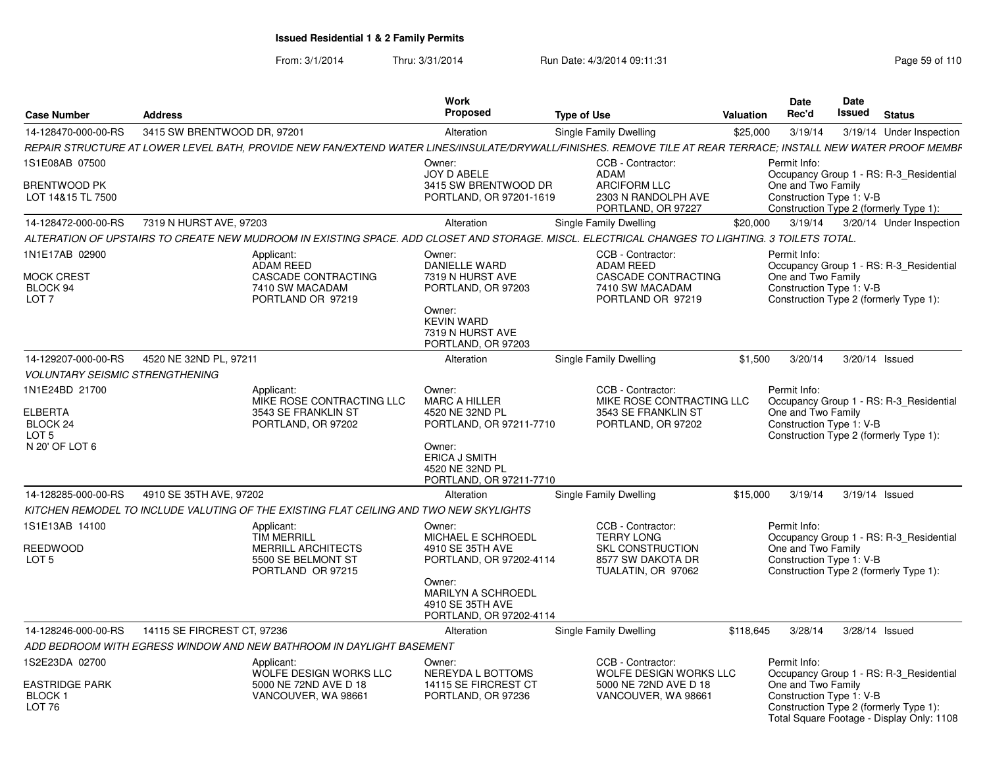From: 3/1/2014Thru: 3/31/2014 Run Date: 4/3/2014 09:11:31 Research 2010 Rage 59 of 110

| <b>Case Number</b>                                                  | <b>Address</b>                                                                                                                                                 | <b>Work</b><br>Proposed                                                            | <b>Type of Use</b>                                                                                    | <b>Valuation</b> | Date<br>Rec'd                                                  | <b>Date</b><br>Issued | <b>Status</b>                                                                                                                  |
|---------------------------------------------------------------------|----------------------------------------------------------------------------------------------------------------------------------------------------------------|------------------------------------------------------------------------------------|-------------------------------------------------------------------------------------------------------|------------------|----------------------------------------------------------------|-----------------------|--------------------------------------------------------------------------------------------------------------------------------|
| 14-128470-000-00-RS                                                 | 3415 SW BRENTWOOD DR. 97201                                                                                                                                    | Alteration                                                                         | Single Family Dwelling                                                                                | \$25,000         | 3/19/14                                                        |                       | 3/19/14 Under Inspection                                                                                                       |
|                                                                     | REPAIR STRUCTURE AT LOWER LEVEL BATH, PROVIDE NEW FAN/EXTEND WATER LINES/INSULATE/DRYWALL/FINISHES. REMOVE TILE AT REAR TERRACE; INSTALL NEW WATER PROOF MEMBF |                                                                                    |                                                                                                       |                  |                                                                |                       |                                                                                                                                |
| 1S1E08AB 07500                                                      |                                                                                                                                                                | Owner:                                                                             | CCB - Contractor:                                                                                     |                  | Permit Info:                                                   |                       |                                                                                                                                |
| BRENTWOOD PK<br>LOT 14&15 TL 7500                                   |                                                                                                                                                                | JOY D ABELE<br>3415 SW BRENTWOOD DR<br>PORTLAND, OR 97201-1619                     | <b>ADAM</b><br><b>ARCIFORM LLC</b><br>2303 N RANDOLPH AVE<br>PORTLAND, OR 97227                       |                  | One and Two Family<br>Construction Type 1: V-B                 |                       | Occupancy Group 1 - RS: R-3_Residential<br>Construction Type 2 (formerly Type 1):                                              |
| 14-128472-000-00-RS                                                 | 7319 N HURST AVE, 97203                                                                                                                                        | Alteration                                                                         | <b>Single Family Dwelling</b>                                                                         | \$20,000         | 3/19/14                                                        |                       | 3/20/14 Under Inspection                                                                                                       |
|                                                                     | ALTERATION OF UPSTAIRS TO CREATE NEW MUDROOM IN EXISTING SPACE. ADD CLOSET AND STORAGE. MISCL. ELECTRICAL CHANGES TO LIGHTING. 3 TOILETS TOTAL.                |                                                                                    |                                                                                                       |                  |                                                                |                       |                                                                                                                                |
| 1N1E17AB 02900<br><b>MOCK CREST</b><br>BLOCK 94<br>LOT <sub>7</sub> | Applicant:<br><b>ADAM REED</b><br>CASCADE CONTRACTING<br>7410 SW MACADAM<br>PORTLAND OR 97219                                                                  | Owner:<br>DANIELLE WARD<br>7319 N HURST AVE<br>PORTLAND, OR 97203                  | CCB - Contractor:<br>ADAM REED<br><b>CASCADE CONTRACTING</b><br>7410 SW MACADAM<br>PORTLAND OR 97219  |                  | Permit Info:<br>One and Two Family<br>Construction Type 1: V-B |                       | Occupancy Group 1 - RS: R-3 Residential<br>Construction Type 2 (formerly Type 1):                                              |
|                                                                     |                                                                                                                                                                | Owner:<br><b>KEVIN WARD</b><br>7319 N HURST AVE<br>PORTLAND, OR 97203              |                                                                                                       |                  |                                                                |                       |                                                                                                                                |
| 14-129207-000-00-RS                                                 | 4520 NE 32ND PL. 97211                                                                                                                                         | <b>Alteration</b>                                                                  | Single Family Dwelling                                                                                | \$1,500          | 3/20/14                                                        | 3/20/14 Issued        |                                                                                                                                |
| <b>VOLUNTARY SEISMIC STRENGTHENING</b>                              |                                                                                                                                                                |                                                                                    |                                                                                                       |                  |                                                                |                       |                                                                                                                                |
| 1N1E24BD 21700<br><b>ELBERTA</b><br>BLOCK 24<br>LOT <sub>5</sub>    | Applicant:<br>MIKE ROSE CONTRACTING LLC<br>3543 SE FRANKLIN ST<br>PORTLAND, OR 97202                                                                           | Owner:<br><b>MARC A HILLER</b><br>4520 NE 32ND PL<br>PORTLAND, OR 97211-7710       | CCB - Contractor:<br>MIKE ROSE CONTRACTING LLC<br>3543 SE FRANKLIN ST<br>PORTLAND, OR 97202           |                  | Permit Info:<br>One and Two Family<br>Construction Type 1: V-B |                       | Occupancy Group 1 - RS: R-3 Residential<br>Construction Type 2 (formerly Type 1):                                              |
| N 20' OF LOT 6                                                      |                                                                                                                                                                | Owner:<br><b>ERICA J SMITH</b><br>4520 NE 32ND PL<br>PORTLAND, OR 97211-7710       |                                                                                                       |                  |                                                                |                       |                                                                                                                                |
| 14-128285-000-00-RS                                                 | 4910 SE 35TH AVE, 97202                                                                                                                                        | <b>Alteration</b>                                                                  | Single Family Dwelling                                                                                | \$15,000         | 3/19/14                                                        | 3/19/14 Issued        |                                                                                                                                |
|                                                                     | KITCHEN REMODEL TO INCLUDE VALUTING OF THE EXISTING FLAT CEILING AND TWO NEW SKYLIGHTS                                                                         |                                                                                    |                                                                                                       |                  |                                                                |                       |                                                                                                                                |
| 1S1E13AB 14100<br>REEDWOOD<br>LOT <sub>5</sub>                      | Applicant:<br><b>TIM MERRILL</b><br><b>MERRILL ARCHITECTS</b><br>5500 SE BELMONT ST<br>PORTLAND OR 97215                                                       | Owner:<br>MICHAEL E SCHROEDL<br>4910 SE 35TH AVE<br>PORTLAND, OR 97202-4114        | CCB - Contractor:<br><b>TERRY LONG</b><br>SKL CONSTRUCTION<br>8577 SW DAKOTA DR<br>TUALATIN, OR 97062 |                  | Permit Info:<br>One and Two Family<br>Construction Type 1: V-B |                       | Occupancy Group 1 - RS: R-3_Residential<br>Construction Type 2 (formerly Type 1):                                              |
|                                                                     |                                                                                                                                                                | Owner:<br><b>MARILYN A SCHROEDL</b><br>4910 SE 35TH AVE<br>PORTLAND, OR 97202-4114 |                                                                                                       |                  |                                                                |                       |                                                                                                                                |
| 14-128246-000-00-RS                                                 | 14115 SE FIRCREST CT, 97236                                                                                                                                    | Alteration                                                                         | Single Family Dwelling                                                                                | \$118,645        | 3/28/14                                                        | 3/28/14 Issued        |                                                                                                                                |
|                                                                     | ADD BEDROOM WITH EGRESS WINDOW AND NEW BATHROOM IN DAYLIGHT BASEMENT                                                                                           |                                                                                    |                                                                                                       |                  |                                                                |                       |                                                                                                                                |
| 1S2E23DA 02700<br>EASTRIDGE PARK<br><b>BLOCK1</b><br>LOT 76         | Applicant:<br>WOLFE DESIGN WORKS LLC<br>5000 NE 72ND AVE D 18<br>VANCOUVER, WA 98661                                                                           | Owner:<br>NEREYDA L BOTTOMS<br>14115 SE FIRCREST CT<br>PORTLAND, OR 97236          | CCB - Contractor:<br>WOLFE DESIGN WORKS LLC<br>5000 NE 72ND AVE D 18<br>VANCOUVER, WA 98661           |                  | Permit Info:<br>One and Two Family<br>Construction Type 1: V-B |                       | Occupancy Group 1 - RS: R-3 Residential<br>Construction Type 2 (formerly Type 1):<br>Total Square Footage - Display Only: 1108 |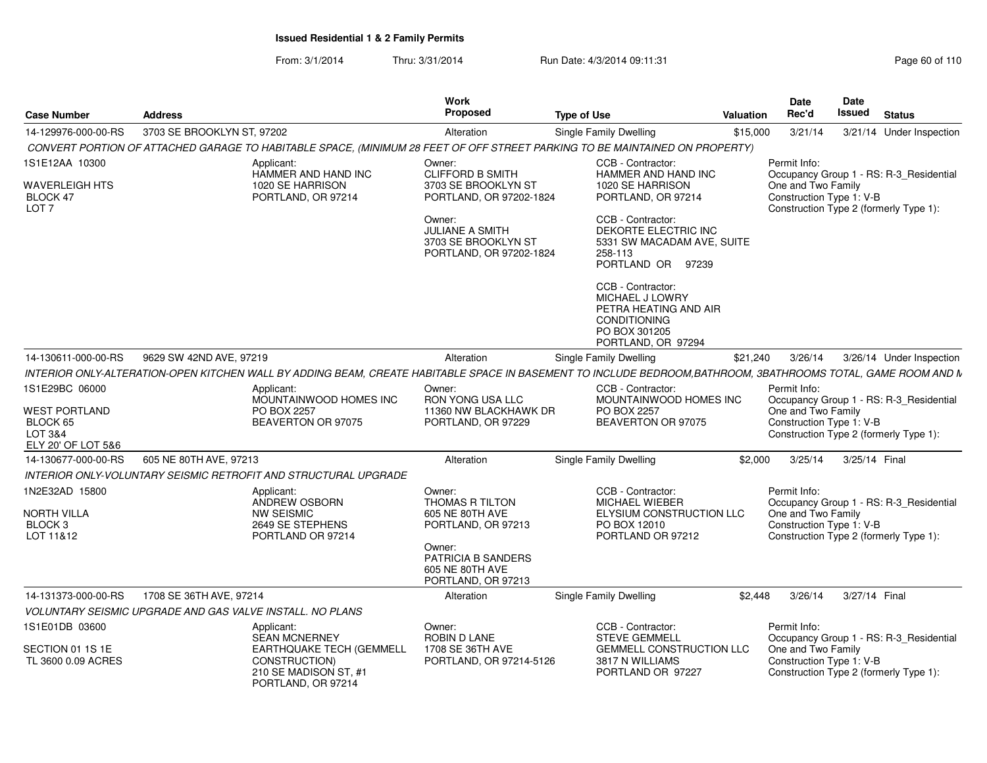From: 3/1/2014Thru: 3/31/2014 Run Date: 4/3/2014 09:11:31 Research 2010 110

| <b>Case Number</b>                             | Address                                                                                                                                                      |                                 | Work<br><b>Proposed</b>                                                  | <b>Type of Use</b>                                                                                                          | Valuation | <b>Date</b><br>Rec'd                                                                     | Date<br><b>Issued</b> | <b>Status</b> |                                         |
|------------------------------------------------|--------------------------------------------------------------------------------------------------------------------------------------------------------------|---------------------------------|--------------------------------------------------------------------------|-----------------------------------------------------------------------------------------------------------------------------|-----------|------------------------------------------------------------------------------------------|-----------------------|---------------|-----------------------------------------|
| 14-129976-000-00-RS                            | 3703 SE BROOKLYN ST, 97202                                                                                                                                   |                                 | Alteration                                                               | Single Family Dwelling                                                                                                      | \$15,000  | 3/21/14                                                                                  |                       |               | 3/21/14 Under Inspection                |
|                                                | CONVERT PORTION OF ATTACHED GARAGE TO HABITABLE SPACE, (MINIMUM 28 FEET OF OFF STREET PARKING TO BE MAINTAINED ON PROPERTY)                                  |                                 |                                                                          |                                                                                                                             |           |                                                                                          |                       |               |                                         |
| 1S1E12AA 10300                                 | Applicant:<br>HAMMER AND HAND INC                                                                                                                            |                                 | Owner:<br><b>CLIFFORD B SMITH</b>                                        | CCB - Contractor:<br>HAMMER AND HAND INC                                                                                    |           | Permit Info:                                                                             |                       |               | Occupancy Group 1 - RS: R-3_Residential |
| WAVERLEIGH HTS<br>BLOCK 47<br>LOT <sub>7</sub> | 1020 SE HARRISON<br>PORTLAND, OR 97214                                                                                                                       |                                 | 3703 SE BROOKLYN ST<br>PORTLAND, OR 97202-1824<br>Owner:                 | 1020 SE HARRISON<br>PORTLAND, OR 97214<br>CCB - Contractor:                                                                 |           | One and Two Family<br>Construction Type 1: V-B<br>Construction Type 2 (formerly Type 1): |                       |               |                                         |
|                                                |                                                                                                                                                              |                                 | <b>JULIANE A SMITH</b><br>3703 SE BROOKLYN ST<br>PORTLAND, OR 97202-1824 | DEKORTE ELECTRIC INC<br>5331 SW MACADAM AVE, SUITE<br>258-113<br>PORTLAND OR 97239                                          |           |                                                                                          |                       |               |                                         |
|                                                |                                                                                                                                                              |                                 |                                                                          | CCB - Contractor:<br>MICHAEL J LOWRY<br>PETRA HEATING AND AIR<br><b>CONDITIONING</b><br>PO BOX 301205<br>PORTLAND, OR 97294 |           |                                                                                          |                       |               |                                         |
| 14-130611-000-00-RS                            | 9629 SW 42ND AVE, 97219                                                                                                                                      |                                 | Alteration                                                               | <b>Single Family Dwelling</b>                                                                                               | \$21,240  | 3/26/14                                                                                  |                       |               | 3/26/14 Under Inspection                |
|                                                | INTERIOR ONLY-ALTERATION-OPEN KITCHEN WALL BY ADDING BEAM, CREATE HABITABLE SPACE IN BASEMENT TO INCLUDE BEDROOM,BATHROOM, 3BATHROOMS TOTAL, GAME ROOM AND N |                                 |                                                                          |                                                                                                                             |           |                                                                                          |                       |               |                                         |
| 1S1E29BC 06000<br><b>WEST PORTLAND</b>         | Applicant:<br>PO BOX 2257                                                                                                                                    | MOUNTAINWOOD HOMES INC          | Owner:<br>RON YONG USA LLC<br>11360 NW BLACKHAWK DR                      | CCB - Contractor:<br>MOUNTAINWOOD HOMES INC<br><b>PO BOX 2257</b>                                                           |           | Permit Info:<br>Occupancy Group 1 - RS: R-3 Residential<br>One and Two Family            |                       |               |                                         |
| BLOCK 65<br>LOT 3&4<br>ELY 20' OF LOT 5&6      | BEAVERTON OR 97075                                                                                                                                           |                                 | PORTLAND, OR 97229                                                       | BEAVERTON OR 97075                                                                                                          |           | Construction Type 1: V-B<br>Construction Type 2 (formerly Type 1):                       |                       |               |                                         |
| 14-130677-000-00-RS                            | 605 NE 80TH AVE, 97213                                                                                                                                       |                                 | Alteration                                                               | Single Family Dwelling                                                                                                      | \$2.000   | 3/25/14                                                                                  |                       | 3/25/14 Final |                                         |
|                                                | INTERIOR ONLY-VOLUNTARY SEISMIC RETROFIT AND STRUCTURAL UPGRADE                                                                                              |                                 |                                                                          |                                                                                                                             |           |                                                                                          |                       |               |                                         |
| 1N2E32AD 15800                                 | Applicant:<br>ANDREW OSBORN                                                                                                                                  |                                 | Owner:<br><b>THOMAS R TILTON</b>                                         | CCB - Contractor:<br>MICHAEL WIEBER                                                                                         |           | Permit Info:<br>Occupancy Group 1 - RS: R-3_Residential                                  |                       |               |                                         |
| <b>NORTH VILLA</b><br>BLOCK 3<br>LOT 11&12     | <b>NW SEISMIC</b><br>2649 SE STEPHENS<br>PORTLAND OR 97214                                                                                                   |                                 | 605 NE 80TH AVE<br>PORTLAND, OR 97213                                    | ELYSIUM CONSTRUCTION LLC<br>PO BOX 12010<br>PORTLAND OR 97212                                                               |           | One and Two Family<br>Construction Type 1: V-B<br>Construction Type 2 (formerly Type 1): |                       |               |                                         |
|                                                |                                                                                                                                                              |                                 | Owner:<br>PATRICIA B SANDERS<br>605 NE 80TH AVE<br>PORTLAND, OR 97213    |                                                                                                                             |           |                                                                                          |                       |               |                                         |
| 14-131373-000-00-RS                            | 1708 SE 36TH AVE, 97214                                                                                                                                      |                                 | Alteration                                                               | <b>Single Family Dwelling</b>                                                                                               | \$2.448   | 3/26/14                                                                                  |                       | 3/27/14 Final |                                         |
|                                                | <b>VOLUNTARY SEISMIC UPGRADE AND GAS VALVE INSTALL. NO PLANS</b>                                                                                             |                                 |                                                                          |                                                                                                                             |           |                                                                                          |                       |               |                                         |
| 1S1E01DB 03600                                 | Applicant:<br><b>SEAN MCNERNEY</b>                                                                                                                           |                                 | Owner:<br>ROBIN D LANE                                                   | CCB - Contractor:<br><b>STEVE GEMMELI</b>                                                                                   |           | Permit Info:<br>Occupancy Group 1 - RS: R-3_Residential                                  |                       |               |                                         |
| SECTION 01 1S 1E<br>TL 3600 0.09 ACRES         | CONSTRUCTION)<br>210 SE MADISON ST. #1<br>PORTLAND, OR 97214                                                                                                 | <b>EARTHQUAKE TECH (GEMMELL</b> | 1708 SE 36TH AVE<br>PORTLAND, OR 97214-5126                              | <b>GEMMELL CONSTRUCTION LLC</b><br>3817 N WILLIAMS<br>PORTLAND OR 97227                                                     |           | One and Two Family<br>Construction Type 1: V-B<br>Construction Type 2 (formerly Type 1): |                       |               |                                         |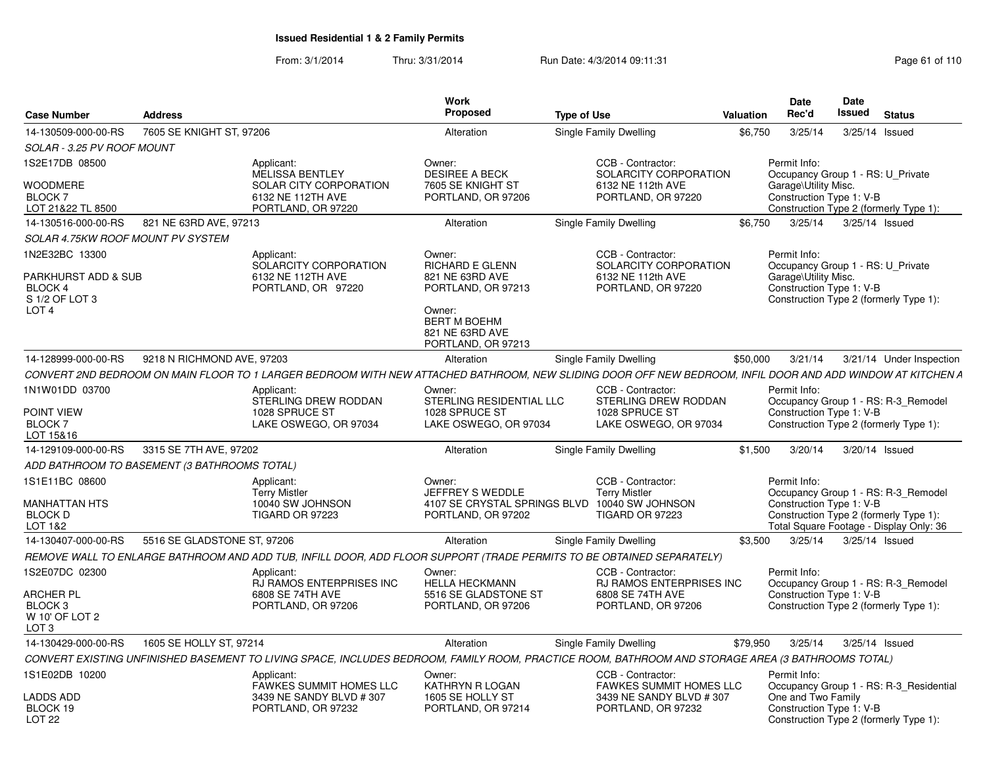From: 3/1/2014Thru: 3/31/2014 Run Date: 4/3/2014 09:11:31 Page 61 of 110

| <b>Case Number</b>                                                                   | <b>Address</b>                               |                                                                                                           | Work<br>Proposed                                                           | <b>Type of Use</b>                                                                                                                                         | <b>Valuation</b> | <b>Date</b><br>Rec'd                                                                                  | Date<br><b>Issued</b> | <b>Status</b>                                                                                                            |
|--------------------------------------------------------------------------------------|----------------------------------------------|-----------------------------------------------------------------------------------------------------------|----------------------------------------------------------------------------|------------------------------------------------------------------------------------------------------------------------------------------------------------|------------------|-------------------------------------------------------------------------------------------------------|-----------------------|--------------------------------------------------------------------------------------------------------------------------|
| 14-130509-000-00-RS                                                                  | 7605 SE KNIGHT ST, 97206                     |                                                                                                           | Alteration                                                                 | Single Family Dwelling                                                                                                                                     | \$6.750          | 3/25/14                                                                                               | 3/25/14 Issued        |                                                                                                                          |
| SOLAR - 3.25 PV ROOF MOUNT                                                           |                                              |                                                                                                           |                                                                            |                                                                                                                                                            |                  |                                                                                                       |                       |                                                                                                                          |
| 1S2E17DB 08500<br>WOODMERE<br>BLOCK 7<br>LOT 21&22 TL 8500                           |                                              | Applicant:<br><b>MELISSA BENTLEY</b><br>SOLAR CITY CORPORATION<br>6132 NE 112TH AVE<br>PORTLAND, OR 97220 | Owner:<br><b>DESIREE A BECK</b><br>7605 SE KNIGHT ST<br>PORTLAND, OR 97206 | CCB - Contractor:<br>SOLARCITY CORPORATION<br>6132 NE 112th AVE<br>PORTLAND, OR 97220                                                                      |                  | Permit Info:<br>Occupancy Group 1 - RS: U Private<br>Garage\Utility Misc.<br>Construction Type 1: V-B |                       | Construction Type 2 (formerly Type 1):                                                                                   |
| 14-130516-000-00-RS                                                                  | 821 NE 63RD AVE, 97213                       |                                                                                                           | Alteration                                                                 | Single Family Dwelling                                                                                                                                     | \$6.750          | 3/25/14                                                                                               | 3/25/14 Issued        |                                                                                                                          |
| SOLAR 4.75KW ROOF MOUNT PV SYSTEM                                                    |                                              |                                                                                                           |                                                                            |                                                                                                                                                            |                  |                                                                                                       |                       |                                                                                                                          |
| 1N2E32BC 13300<br><b>PARKHURST ADD &amp; SUB</b><br><b>BLOCK 4</b><br>S 1/2 OF LOT 3 |                                              | Applicant:<br>SOLARCITY CORPORATION<br>6132 NE 112TH AVE<br>PORTLAND, OR 97220                            | Owner:<br>RICHARD E GLENN<br>821 NE 63RD AVE<br>PORTLAND, OR 97213         | CCB - Contractor:<br>SOLARCITY CORPORATION<br>6132 NE 112th AVE<br>PORTLAND, OR 97220                                                                      |                  | Permit Info:<br>Occupancy Group 1 - RS: U Private<br>Garage\Utility Misc.<br>Construction Type 1: V-B |                       | Construction Type 2 (formerly Type 1):                                                                                   |
| LOT <sub>4</sub>                                                                     |                                              |                                                                                                           | Owner:<br><b>BERT M BOEHM</b><br>821 NE 63RD AVE<br>PORTLAND, OR 97213     |                                                                                                                                                            |                  |                                                                                                       |                       |                                                                                                                          |
| 14-128999-000-00-RS                                                                  | 9218 N RICHMOND AVE, 97203                   |                                                                                                           | Alteration                                                                 | Single Family Dwelling                                                                                                                                     | \$50,000         | 3/21/14                                                                                               |                       | 3/21/14 Under Inspection                                                                                                 |
|                                                                                      |                                              |                                                                                                           |                                                                            | CONVERT 2ND BEDROOM ON MAIN FLOOR TO 1 LARGER BEDROOM WITH NEW ATTACHED BATHROOM, NEW SLIDING DOOR OFF NEW BEDROOM, INFIL DOOR AND ADD WINDOW AT KITCHEN A |                  |                                                                                                       |                       |                                                                                                                          |
| 1N1W01DD 03700                                                                       |                                              | Applicant:<br>STERLING DREW RODDAN                                                                        | Owner:<br>STERLING RESIDENTIAL LLC                                         | CCB - Contractor:<br>STERLING DREW RODDAN                                                                                                                  |                  | Permit Info:                                                                                          |                       | Occupancy Group 1 - RS: R-3_Remodel                                                                                      |
| POINT VIEW<br><b>BLOCK 7</b><br>LOT 15&16                                            |                                              | 1028 SPRUCE ST<br>LAKE OSWEGO, OR 97034                                                                   | 1028 SPRUCE ST<br>LAKE OSWEGO, OR 97034                                    | 1028 SPRUCE ST<br>LAKE OSWEGO, OR 97034                                                                                                                    |                  | Construction Type 1: V-B                                                                              |                       | Construction Type 2 (formerly Type 1):                                                                                   |
| 14-129109-000-00-RS                                                                  | 3315 SE 7TH AVE, 97202                       |                                                                                                           | Alteration                                                                 | Single Family Dwelling                                                                                                                                     | \$1,500          | 3/20/14                                                                                               | 3/20/14 Issued        |                                                                                                                          |
|                                                                                      | ADD BATHROOM TO BASEMENT (3 BATHROOMS TOTAL) |                                                                                                           |                                                                            |                                                                                                                                                            |                  |                                                                                                       |                       |                                                                                                                          |
| 1S1E11BC 08600<br><b>MANHATTAN HTS</b><br><b>BLOCK D</b><br>LOT 1&2                  |                                              | Applicant:<br><b>Terry Mistler</b><br>10040 SW JOHNSON<br><b>TIGARD OR 97223</b>                          | Owner:<br>JEFFREY S WEDDLE<br>PORTLAND, OR 97202                           | CCB - Contractor:<br><b>Terry Mistler</b><br>4107 SE CRYSTAL SPRINGS BLVD 10040 SW JOHNSON<br><b>TIGARD OR 97223</b>                                       |                  | Permit Info:<br>Construction Type 1: V-B                                                              |                       | Occupancy Group 1 - RS: R-3_Remodel<br>Construction Type 2 (formerly Type 1):<br>Total Square Footage - Display Only: 36 |
| 14-130407-000-00-RS                                                                  | 5516 SE GLADSTONE ST, 97206                  |                                                                                                           | Alteration                                                                 | Single Family Dwelling                                                                                                                                     | \$3,500          | 3/25/14                                                                                               | 3/25/14 Issued        |                                                                                                                          |
|                                                                                      |                                              |                                                                                                           |                                                                            | REMOVE WALL TO ENLARGE BATHROOM AND ADD TUB, INFILL DOOR, ADD FLOOR SUPPORT (TRADE PERMITS TO BE OBTAINED SEPARATELY)                                      |                  |                                                                                                       |                       |                                                                                                                          |
| 1S2E07DC 02300<br>ARCHER PL                                                          |                                              | Applicant:<br>RJ RAMOS ENTERPRISES INC<br>6808 SE 74TH AVE                                                | Owner:<br><b>HELLA HECKMANN</b><br>5516 SE GLADSTONE ST                    | CCB - Contractor:<br>RJ RAMOS ENTERPRISES INC<br>6808 SE 74TH AVE                                                                                          |                  | Permit Info:<br>Construction Type 1: V-B                                                              |                       | Occupancy Group 1 - RS: R-3_Remodel                                                                                      |
| BLOCK <sub>3</sub><br>W 10' OF LOT 2<br>LOT <sub>3</sub>                             |                                              | PORTLAND, OR 97206                                                                                        | PORTLAND, OR 97206                                                         | PORTLAND, OR 97206                                                                                                                                         |                  |                                                                                                       |                       | Construction Type 2 (formerly Type 1):                                                                                   |
| 14-130429-000-00-RS                                                                  | 1605 SE HOLLY ST, 97214                      |                                                                                                           | Alteration                                                                 | Single Family Dwelling                                                                                                                                     | \$79,950         | 3/25/14                                                                                               | 3/25/14 Issued        |                                                                                                                          |
|                                                                                      |                                              |                                                                                                           |                                                                            | CONVERT EXISTING UNFINISHED BASEMENT TO LIVING SPACE, INCLUDES BEDROOM, FAMILY ROOM, PRACTICE ROOM, BATHROOM AND STORAGE AREA (3 BATHROOMS TOTAL)          |                  |                                                                                                       |                       |                                                                                                                          |
| 1S1E02DB 10200                                                                       |                                              | Applicant:<br><b>FAWKES SUMMIT HOMES LLC</b>                                                              | Owner:<br>KATHRYN R LOGAN                                                  | CCB - Contractor:<br><b>FAWKES SUMMIT HOMES LLC</b>                                                                                                        |                  | Permit Info:                                                                                          |                       | Occupancy Group 1 - RS: R-3_Residential                                                                                  |
| <b>LADDS ADD</b><br>BLOCK 19<br>LOT <sub>22</sub>                                    |                                              | 3439 NE SANDY BLVD #307<br>PORTLAND, OR 97232                                                             | 1605 SE HOLLY ST<br>PORTLAND, OR 97214                                     | 3439 NE SANDY BLVD #307<br>PORTLAND, OR 97232                                                                                                              |                  | One and Two Family<br>Construction Type 1: V-B                                                        |                       | Construction Type 2 (formerly Type 1):                                                                                   |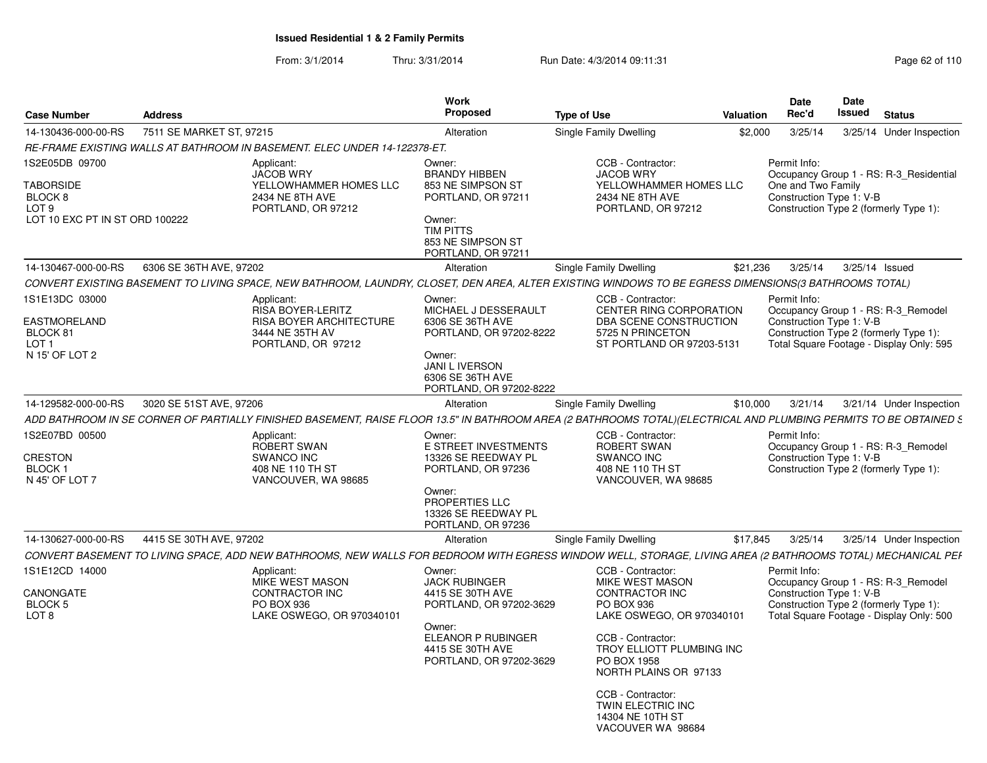From: 3/1/2014Thru: 3/31/2014 Run Date: 4/3/2014 09:11:31 Research 2010 Rage 62 of 110

| <b>Case Number</b>                                                                           | <b>Address</b>                                                                                                                                                                                                                                                        |                                                                                                                                                             | <b>Work</b><br><b>Proposed</b>                                                                                                                                  | <b>Type of Use</b>                                                                                                                                                                                                                           | <b>Valuation</b> | <b>Date</b><br>Rec'd                                           | Date<br><b>Issued</b> | <b>Status</b>                                                                                                             |
|----------------------------------------------------------------------------------------------|-----------------------------------------------------------------------------------------------------------------------------------------------------------------------------------------------------------------------------------------------------------------------|-------------------------------------------------------------------------------------------------------------------------------------------------------------|-----------------------------------------------------------------------------------------------------------------------------------------------------------------|----------------------------------------------------------------------------------------------------------------------------------------------------------------------------------------------------------------------------------------------|------------------|----------------------------------------------------------------|-----------------------|---------------------------------------------------------------------------------------------------------------------------|
| 14-130436-000-00-RS                                                                          | 7511 SE MARKET ST, 97215                                                                                                                                                                                                                                              |                                                                                                                                                             | Alteration                                                                                                                                                      | Single Family Dwelling                                                                                                                                                                                                                       | \$2,000          | 3/25/14                                                        |                       | 3/25/14 Under Inspection                                                                                                  |
|                                                                                              |                                                                                                                                                                                                                                                                       | RE-FRAME EXISTING WALLS AT BATHROOM IN BASEMENT. ELEC UNDER 14-122378-ET.                                                                                   |                                                                                                                                                                 |                                                                                                                                                                                                                                              |                  |                                                                |                       |                                                                                                                           |
| 1S2E05DB 09700<br>TABORSIDE<br>BLOCK 8<br>LOT <sub>9</sub><br>LOT 10 EXC PT IN ST ORD 100222 |                                                                                                                                                                                                                                                                       | Applicant:<br><b>JACOB WRY</b><br>YELLOWHAMMER HOMES LLC<br>2434 NE 8TH AVE<br>PORTLAND, OR 97212                                                           | Owner:<br><b>BRANDY HIBBEN</b><br>853 NE SIMPSON ST<br>PORTLAND, OR 97211<br>Owner:<br><b>TIM PITTS</b><br>853 NE SIMPSON ST<br>PORTLAND, OR 97211              | CCB - Contractor:<br><b>JACOB WRY</b><br>YELLOWHAMMER HOMES LLC<br>2434 NE 8TH AVE<br>PORTLAND, OR 97212                                                                                                                                     |                  | Permit Info:<br>One and Two Family<br>Construction Type 1: V-B |                       | Occupancy Group 1 - RS: R-3 Residential<br>Construction Type 2 (formerly Type 1):                                         |
| 14-130467-000-00-RS                                                                          | 6306 SE 36TH AVE, 97202                                                                                                                                                                                                                                               |                                                                                                                                                             | Alteration                                                                                                                                                      | Single Family Dwelling                                                                                                                                                                                                                       | \$21,236         | 3/25/14                                                        |                       | 3/25/14 Issued                                                                                                            |
|                                                                                              |                                                                                                                                                                                                                                                                       | CONVERT EXISTING BASEMENT TO LIVING SPACE, NEW BATHROOM, LAUNDRY, CLOSET, DEN AREA, ALTER EXISTING WINDOWS TO BE EGRESS DIMENSIONS(3 BATHROOMS TOTAL)       |                                                                                                                                                                 |                                                                                                                                                                                                                                              |                  |                                                                |                       |                                                                                                                           |
| 1S1E13DC 03000<br>EASTMORELAND<br>BLOCK 81<br>LOT 1<br>N 15' OF LOT 2                        |                                                                                                                                                                                                                                                                       | Applicant:<br><b>RISA BOYER-LERITZ</b><br><b>RISA BOYER ARCHITECTURE</b><br>3444 NE 35TH AV<br>PORTLAND, OR 97212                                           | Owner:<br>MICHAEL J DESSERAULT<br>6306 SE 36TH AVE<br>PORTLAND, OR 97202-8222<br>Owner:<br><b>JANI L IVERSON</b><br>6306 SE 36TH AVE<br>PORTLAND, OR 97202-8222 | CCB - Contractor:<br>CENTER RING CORPORATION<br>DBA SCENE CONSTRUCTION<br>5725 N PRINCETON<br>ST PORTLAND OR 97203-5131                                                                                                                      |                  | Permit Info:<br>Construction Type 1: V-B                       |                       | Occupancy Group 1 - RS: R-3 Remodel<br>Construction Type 2 (formerly Type 1):<br>Total Square Footage - Display Only: 595 |
| 14-129582-000-00-RS                                                                          | 3020 SE 51ST AVE, 97206                                                                                                                                                                                                                                               |                                                                                                                                                             | Alteration                                                                                                                                                      | <b>Single Family Dwelling</b>                                                                                                                                                                                                                | \$10,000         | 3/21/14                                                        |                       | 3/21/14 Under Inspection                                                                                                  |
|                                                                                              |                                                                                                                                                                                                                                                                       |                                                                                                                                                             |                                                                                                                                                                 |                                                                                                                                                                                                                                              |                  |                                                                |                       |                                                                                                                           |
| 1S2E07BD 00500<br>CRESTON<br>BLOCK 1<br>N 45' OF LOT 7                                       | ADD BATHROOM IN SE CORNER OF PARTIALLY FINISHED BASEMENT, RAISE FLOOR 13.5" IN BATHROOM AREA (2 BATHROOMS TOTAL)(ELECTRICAL AND PLUMBING PERMITS TO BE OBTAINED S<br>Applicant:<br><b>ROBERT SWAN</b><br><b>SWANCO INC</b><br>408 NE 110 TH ST<br>VANCOUVER, WA 98685 |                                                                                                                                                             | Owner:<br>E STREET INVESTMENTS<br>13326 SE REEDWAY PL<br>PORTLAND, OR 97236<br>Owner:<br>PROPERTIES LLC<br>13326 SE REEDWAY PL<br>PORTLAND, OR 97236            | CCB - Contractor:<br><b>ROBERT SWAN</b><br><b>SWANCO INC</b><br>408 NE 110 TH ST<br>VANCOUVER, WA 98685                                                                                                                                      |                  | Permit Info:<br>Construction Type 1: V-B                       |                       | Occupancy Group 1 - RS: R-3_Remodel<br>Construction Type 2 (formerly Type 1):                                             |
| 14-130627-000-00-RS                                                                          | 4415 SE 30TH AVE, 97202                                                                                                                                                                                                                                               |                                                                                                                                                             | Alteration                                                                                                                                                      | Single Family Dwelling                                                                                                                                                                                                                       | \$17,845         | 3/25/14                                                        |                       | 3/25/14 Under Inspection                                                                                                  |
|                                                                                              |                                                                                                                                                                                                                                                                       | CONVERT BASEMENT TO LIVING SPACE, ADD NEW BATHROOMS, NEW WALLS FOR BEDROOM WITH EGRESS WINDOW WELL, STORAGE, LIVING AREA (2 BATHROOMS TOTAL) MECHANICAL PEF |                                                                                                                                                                 |                                                                                                                                                                                                                                              |                  |                                                                |                       |                                                                                                                           |
| 1S1E12CD 14000<br>CANONGATE<br>BLOCK 5<br>LOT <sub>8</sub>                                   |                                                                                                                                                                                                                                                                       | Applicant:<br>MIKE WEST MASON<br>CONTRACTOR INC<br>PO BOX 936<br>LAKE OSWEGO, OR 970340101                                                                  | Owner:<br><b>JACK RUBINGER</b><br>4415 SE 30TH AVE<br>PORTLAND, OR 97202-3629<br>Owner:<br>ELEANOR P RUBINGER<br>4415 SE 30TH AVE<br>PORTLAND, OR 97202-3629    | CCB - Contractor:<br>MIKE WEST MASON<br><b>CONTRACTOR INC</b><br>PO BOX 936<br>LAKE OSWEGO, OR 970340101<br>CCB - Contractor:<br>TROY ELLIOTT PLUMBING INC<br>PO BOX 1958<br>NORTH PLAINS OR 97133<br>CCB - Contractor:<br>TWIN ELECTRIC INC |                  | Permit Info:<br>Construction Type 1: V-B                       |                       | Occupancy Group 1 - RS: R-3_Remodel<br>Construction Type 2 (formerly Type 1):<br>Total Square Footage - Display Only: 500 |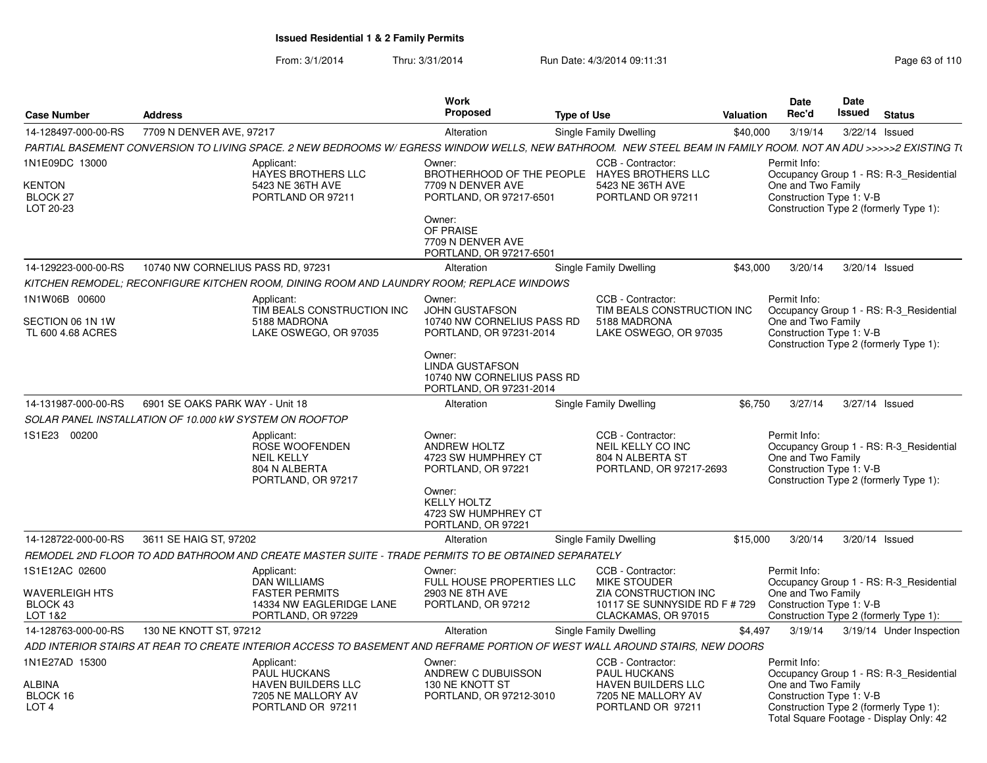From: 3/1/2014Thru: 3/31/2014 Run Date: 4/3/2014 09:11:31 Research 2010 Rage 63 of 110

|                                                          |                                                         |                                                                                                                                                                | Work                                                                                                                                                                                  |                    |                                                                                                           |                  | <b>Date</b>                                                    | Date   |                                                                                                                              |
|----------------------------------------------------------|---------------------------------------------------------|----------------------------------------------------------------------------------------------------------------------------------------------------------------|---------------------------------------------------------------------------------------------------------------------------------------------------------------------------------------|--------------------|-----------------------------------------------------------------------------------------------------------|------------------|----------------------------------------------------------------|--------|------------------------------------------------------------------------------------------------------------------------------|
| <b>Case Number</b>                                       | <b>Address</b>                                          |                                                                                                                                                                | <b>Proposed</b>                                                                                                                                                                       | <b>Type of Use</b> |                                                                                                           | <b>Valuation</b> | Rec'd                                                          | Issued | <b>Status</b>                                                                                                                |
| 14-128497-000-00-RS                                      | 7709 N DENVER AVE, 97217                                |                                                                                                                                                                | Alteration                                                                                                                                                                            |                    | Single Family Dwelling                                                                                    | \$40,000         | 3/19/14                                                        |        | 3/22/14 Issued                                                                                                               |
|                                                          |                                                         | PARTIAL BASEMENT CONVERSION TO LIVING SPACE. 2 NEW BEDROOMS W/ EGRESS WINDOW WELLS, NEW BATHROOM. NEW STEEL BEAM IN FAMILY ROOM. NOT AN ADU >>>>>2 EXISTING T( |                                                                                                                                                                                       |                    |                                                                                                           |                  |                                                                |        |                                                                                                                              |
| 1N1E09DC 13000<br>KENTON<br><b>BLOCK 27</b><br>LOT 20-23 |                                                         | Applicant:<br>HAYES BROTHERS LLC<br>5423 NE 36TH AVE<br>PORTLAND OR 97211                                                                                      | Owner:<br>BROTHERHOOD OF THE PEOPLE<br>7709 N DENVER AVE<br>PORTLAND, OR 97217-6501<br>Owner:<br>OF PRAISE<br>7709 N DENVER AVE<br>PORTLAND, OR 97217-6501                            |                    | CCB - Contractor:<br><b>HAYES BROTHERS LLC</b><br>5423 NE 36TH AVE<br>PORTLAND OR 97211                   |                  | Permit Info:<br>One and Two Family<br>Construction Type 1: V-B |        | Occupancy Group 1 - RS: R-3 Residential<br>Construction Type 2 (formerly Type 1):                                            |
| 14-129223-000-00-RS                                      | 10740 NW CORNELIUS PASS RD, 97231                       |                                                                                                                                                                | Alteration                                                                                                                                                                            |                    | Single Family Dwelling                                                                                    | \$43,000         | 3/20/14                                                        |        | 3/20/14 Issued                                                                                                               |
|                                                          |                                                         | KITCHEN REMODEL: RECONFIGURE KITCHEN ROOM. DINING ROOM AND LAUNDRY ROOM: REPLACE WINDOWS                                                                       |                                                                                                                                                                                       |                    |                                                                                                           |                  |                                                                |        |                                                                                                                              |
| 1N1W06B 00600<br>SECTION 06 1N 1W<br>TL 600 4.68 ACRES   |                                                         | Applicant:<br>TIM BEALS CONSTRUCTION INC<br>5188 MADRONA<br>LAKE OSWEGO, OR 97035                                                                              | Owner:<br><b>JOHN GUSTAFSON</b><br>10740 NW CORNELIUS PASS RD<br>PORTLAND, OR 97231-2014<br>Owner:<br><b>LINDA GUSTAFSON</b><br>10740 NW CORNELIUS PASS RD<br>PORTLAND, OR 97231-2014 |                    | CCB - Contractor:<br>TIM BEALS CONSTRUCTION INC<br>5188 MADRONA<br>LAKE OSWEGO, OR 97035                  |                  | Permit Info:<br>One and Two Family<br>Construction Type 1: V-B |        | Occupancy Group 1 - RS: R-3 Residential<br>Construction Type 2 (formerly Type 1):                                            |
| 14-131987-000-00-RS                                      | 6901 SE OAKS PARK WAY - Unit 18                         |                                                                                                                                                                | Alteration                                                                                                                                                                            |                    | Single Family Dwelling                                                                                    | \$6,750          | 3/27/14                                                        |        | 3/27/14 Issued                                                                                                               |
|                                                          | SOLAR PANEL INSTALLATION OF 10.000 KW SYSTEM ON ROOFTOP |                                                                                                                                                                |                                                                                                                                                                                       |                    |                                                                                                           |                  |                                                                |        |                                                                                                                              |
| 1S1E23 00200                                             |                                                         | Applicant:<br>ROSE WOOFENDEN<br><b>NEIL KELLY</b><br>804 N ALBERTA<br>PORTLAND, OR 97217                                                                       | Owner:<br><b>ANDREW HOLTZ</b><br>4723 SW HUMPHREY CT<br>PORTLAND, OR 97221<br>Owner:<br><b>KELLY HOLTZ</b><br>4723 SW HUMPHREY CT<br>PORTLAND, OR 97221                               |                    | CCB - Contractor:<br>NEIL KELLY CO INC<br>804 N ALBERTA ST<br>PORTLAND, OR 97217-2693                     |                  | Permit Info:<br>One and Two Family<br>Construction Type 1: V-B |        | Occupancy Group 1 - RS: R-3_Residential<br>Construction Type 2 (formerly Type 1):                                            |
| 14-128722-000-00-RS                                      | 3611 SE HAIG ST, 97202                                  |                                                                                                                                                                | Alteration                                                                                                                                                                            |                    | Single Family Dwelling                                                                                    | \$15,000         | 3/20/14                                                        |        | 3/20/14 Issued                                                                                                               |
|                                                          |                                                         | REMODEL 2ND FLOOR TO ADD BATHROOM AND CREATE MASTER SUITE - TRADE PERMITS TO BE OBTAINED SEPARATELY                                                            |                                                                                                                                                                                       |                    |                                                                                                           |                  |                                                                |        |                                                                                                                              |
| 1S1E12AC 02600                                           |                                                         | Applicant:<br>DAN WILLIAMS                                                                                                                                     | Owner:<br>FULL HOUSE PROPERTIES LLC                                                                                                                                                   |                    | CCB - Contractor:<br><b>MIKE STOUDER</b>                                                                  |                  | Permit Info:                                                   |        | Occupancy Group 1 - RS: R-3 Residential                                                                                      |
| WAVERLEIGH HTS<br>BLOCK 43<br>LOT 1&2                    |                                                         | <b>FASTER PERMITS</b><br>14334 NW EAGLERIDGE LANE<br>PORTLAND, OR 97229                                                                                        | 2903 NE 8TH AVE<br>PORTLAND, OR 97212                                                                                                                                                 |                    | ZIA CONSTRUCTION INC<br>10117 SE SUNNYSIDE RD F # 729<br>CLACKAMAS, OR 97015                              |                  | One and Two Family<br>Construction Type 1: V-B                 |        | Construction Type 2 (formerly Type 1):                                                                                       |
| 14-128763-000-00-RS                                      | 130 NE KNOTT ST, 97212                                  |                                                                                                                                                                | Alteration                                                                                                                                                                            |                    | Single Family Dwelling                                                                                    | \$4,497          | 3/19/14                                                        |        | 3/19/14 Under Inspection                                                                                                     |
|                                                          |                                                         | ADD INTERIOR STAIRS AT REAR TO CREATE INTERIOR ACCESS TO BASEMENT AND REFRAME PORTION OF WEST WALL AROUND STAIRS. NEW DOORS                                    |                                                                                                                                                                                       |                    |                                                                                                           |                  |                                                                |        |                                                                                                                              |
| 1N1E27AD 15300<br>ALBINA<br>BLOCK 16<br>LOT <sub>4</sub> |                                                         | Applicant:<br><b>PAUL HUCKANS</b><br><b>HAVEN BUILDERS LLC</b><br>7205 NE MALLORY AV<br>PORTLAND OR 97211                                                      | Owner:<br>ANDREW C DUBUISSON<br>130 NE KNOTT ST<br>PORTLAND, OR 97212-3010                                                                                                            |                    | CCB - Contractor:<br>PAUL HUCKANS<br><b>HAVEN BUILDERS LLC</b><br>7205 NE MALLORY AV<br>PORTLAND OR 97211 |                  | Permit Info:<br>One and Two Family<br>Construction Type 1: V-B |        | Occupancy Group 1 - RS: R-3 Residential<br>Construction Type 2 (formerly Type 1):<br>Total Square Footage - Display Only: 42 |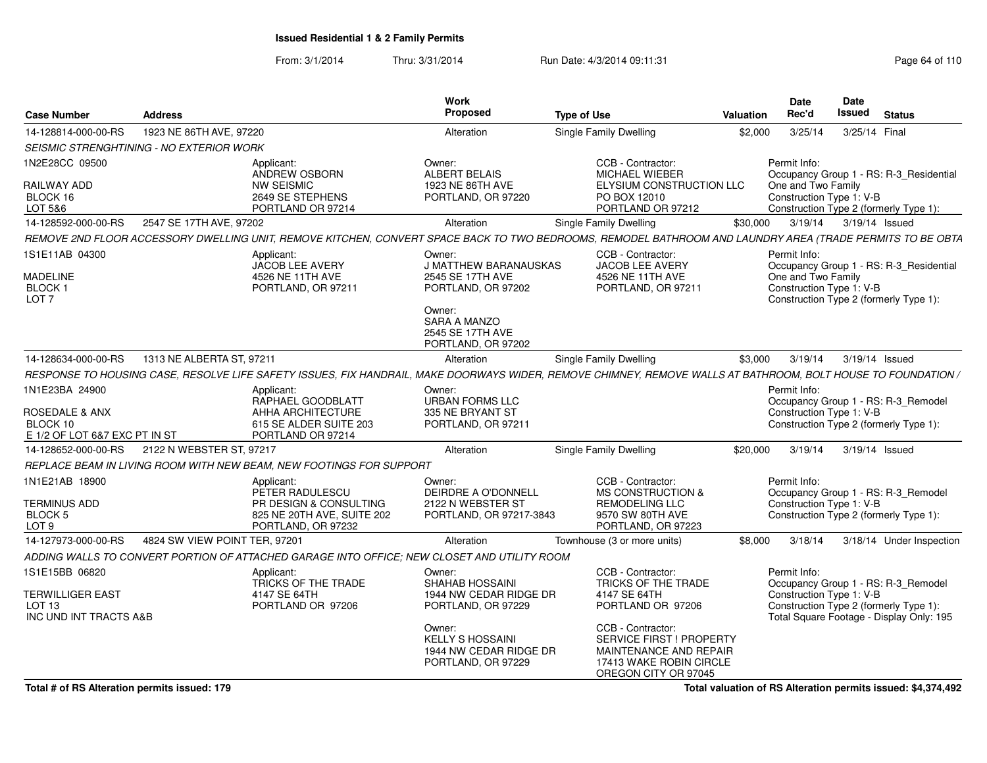From: 3/1/2014Thru: 3/31/2014 Run Date: 4/3/2014 09:11:31 Page 64 of 110

| <b>Case Number</b>                                                                       | Address                                                                                                                                                       | <b>Work</b><br>Proposed                                                                                                                                        | <b>Type of Use</b>                                                                                                                                                                                          | <b>Valuation</b> | <b>Date</b><br>Rec'd                                           | Date<br>Issued | <b>Status</b>                                                                                                             |
|------------------------------------------------------------------------------------------|---------------------------------------------------------------------------------------------------------------------------------------------------------------|----------------------------------------------------------------------------------------------------------------------------------------------------------------|-------------------------------------------------------------------------------------------------------------------------------------------------------------------------------------------------------------|------------------|----------------------------------------------------------------|----------------|---------------------------------------------------------------------------------------------------------------------------|
| 14-128814-000-00-RS                                                                      | 1923 NE 86TH AVE, 97220                                                                                                                                       | Alteration                                                                                                                                                     | Single Family Dwelling                                                                                                                                                                                      | \$2,000          | 3/25/14                                                        | 3/25/14 Final  |                                                                                                                           |
|                                                                                          | SEISMIC STRENGHTINING - NO EXTERIOR WORK                                                                                                                      |                                                                                                                                                                |                                                                                                                                                                                                             |                  |                                                                |                |                                                                                                                           |
| 1N2E28CC 09500<br>RAILWAY ADD<br>BLOCK 16<br>LOT 5&6                                     | Applicant:<br>ANDREW OSBORN<br><b>NW SEISMIC</b><br>2649 SE STEPHENS<br>PORTLAND OR 97214                                                                     | Owner:<br><b>ALBERT BELAIS</b><br>1923 NE 86TH AVE<br>PORTLAND, OR 97220                                                                                       | CCB - Contractor:<br>MICHAEL WIEBER<br>ELYSIUM CONSTRUCTION LLC<br>PO BOX 12010<br>PORTLAND OR 97212                                                                                                        |                  | Permit Info:<br>One and Two Family<br>Construction Type 1: V-B |                | Occupancy Group 1 - RS: R-3_Residential<br>Construction Type 2 (formerly Type 1):                                         |
| 14-128592-000-00-RS                                                                      | 2547 SE 17TH AVE, 97202                                                                                                                                       | Alteration                                                                                                                                                     | Single Family Dwelling                                                                                                                                                                                      | \$30,000         | 3/19/14                                                        | 3/19/14 Issued |                                                                                                                           |
|                                                                                          | REMOVE 2ND FLOOR ACCESSORY DWELLING UNIT, REMOVE KITCHEN, CONVERT SPACE BACK TO TWO BEDROOMS, REMODEL BATHROOM AND LAUNDRY AREA (TRADE PERMITS TO BE OBTA     |                                                                                                                                                                |                                                                                                                                                                                                             |                  |                                                                |                |                                                                                                                           |
| 1S1E11AB 04300<br>MADELINE<br>BLOCK 1<br>LOT <sub>7</sub>                                | Applicant:<br><b>JACOB LEE AVERY</b><br>4526 NE 11TH AVE<br>PORTLAND, OR 97211                                                                                | Owner:<br><b>J MATTHEW BARANAUSKAS</b><br>2545 SE 17TH AVE<br>PORTLAND, OR 97202<br>Owner:<br><b>SARA A MANZO</b>                                              | CCB - Contractor:<br><b>JACOB LEE AVERY</b><br>4526 NE 11TH AVE<br>PORTLAND, OR 97211                                                                                                                       |                  | Permit Info:<br>One and Two Family<br>Construction Type 1: V-B |                | Occupancy Group 1 - RS: R-3_Residential<br>Construction Type 2 (formerly Type 1):                                         |
|                                                                                          |                                                                                                                                                               | 2545 SE 17TH AVE<br>PORTLAND, OR 97202                                                                                                                         |                                                                                                                                                                                                             |                  |                                                                |                |                                                                                                                           |
| 14-128634-000-00-RS                                                                      | 1313 NE ALBERTA ST, 97211                                                                                                                                     | Alteration                                                                                                                                                     | Single Family Dwelling                                                                                                                                                                                      | \$3,000          | 3/19/14                                                        | 3/19/14 Issued |                                                                                                                           |
|                                                                                          | RESPONSE TO HOUSING CASE, RESOLVE LIFE SAFETY ISSUES, FIX HANDRAIL, MAKE DOORWAYS WIDER, REMOVE CHIMNEY, REMOVE WALLS AT BATHROOM, BOLT HOUSE TO FOUNDATION / |                                                                                                                                                                |                                                                                                                                                                                                             |                  |                                                                |                |                                                                                                                           |
| 1N1E23BA 24900<br><b>ROSEDALE &amp; ANX</b><br>BLOCK 10<br>E 1/2 OF LOT 6&7 EXC PT IN ST | Applicant:<br>RAPHAEL GOODBLATT<br>AHHA ARCHITECTURE<br>615 SE ALDER SUITE 203<br>PORTLAND OR 97214                                                           | Owner:<br>URBAN FORMS LLC<br>335 NE BRYANT ST<br>PORTLAND, OR 97211                                                                                            |                                                                                                                                                                                                             |                  | Permit Info:<br>Construction Type 1: V-B                       |                | Occupancy Group 1 - RS: R-3_Remodel<br>Construction Type 2 (formerly Type 1):                                             |
| 14-128652-000-00-RS                                                                      | 2122 N WEBSTER ST, 97217                                                                                                                                      | Alteration                                                                                                                                                     | Single Family Dwelling                                                                                                                                                                                      | \$20,000         | 3/19/14                                                        | 3/19/14 Issued |                                                                                                                           |
|                                                                                          | REPLACE BEAM IN LIVING ROOM WITH NEW BEAM, NEW FOOTINGS FOR SUPPORT                                                                                           |                                                                                                                                                                |                                                                                                                                                                                                             |                  |                                                                |                |                                                                                                                           |
| 1N1E21AB 18900<br>TERMINUS ADD<br>BLOCK <sub>5</sub><br>LOT <sub>9</sub>                 | Applicant:<br>PETER RADULESCU<br>PR DESIGN & CONSULTING<br>825 NE 20TH AVE, SUITE 202<br>PORTLAND, OR 97232                                                   | Owner:<br>DEIRDRE A O'DONNELL<br>2122 N WEBSTER ST<br>PORTLAND, OR 97217-3843                                                                                  | CCB - Contractor:<br><b>MS CONSTRUCTION &amp;</b><br>REMODELING LLC<br>9570 SW 80TH AVE<br>PORTLAND, OR 97223                                                                                               |                  | Permit Info:<br>Construction Type 1: V-B                       |                | Occupancy Group 1 - RS: R-3_Remodel<br>Construction Type 2 (formerly Type 1):                                             |
| 14-127973-000-00-RS                                                                      | 4824 SW VIEW POINT TER, 97201                                                                                                                                 | Alteration                                                                                                                                                     | Townhouse (3 or more units)                                                                                                                                                                                 | \$8,000          | 3/18/14                                                        |                | 3/18/14 Under Inspection                                                                                                  |
|                                                                                          | ADDING WALLS TO CONVERT PORTION OF ATTACHED GARAGE INTO OFFICE; NEW CLOSET AND UTILITY ROOM                                                                   |                                                                                                                                                                |                                                                                                                                                                                                             |                  |                                                                |                |                                                                                                                           |
| 1S1E15BB 06820<br><b>TERWILLIGER EAST</b><br>LOT <sub>13</sub><br>INC UND INT TRACTS A&B | Applicant:<br>TRICKS OF THE TRADE<br>4147 SE 64TH<br>PORTLAND OR 97206                                                                                        | Owner:<br>SHAHAB HOSSAINI<br>1944 NW CEDAR RIDGE DR<br>PORTLAND, OR 97229<br>Owner:<br><b>KELLY S HOSSAINI</b><br>1944 NW CEDAR RIDGE DR<br>PORTLAND, OR 97229 | CCB - Contractor:<br>TRICKS OF THE TRADE<br>4147 SE 64TH<br>PORTLAND OR 97206<br>CCB - Contractor:<br>SERVICE FIRST ! PROPERTY<br>MAINTENANCE AND REPAIR<br>17413 WAKE ROBIN CIRCLE<br>OREGON CITY OR 97045 |                  | Permit Info:<br>Construction Type 1: V-B                       |                | Occupancy Group 1 - RS: R-3_Remodel<br>Construction Type 2 (formerly Type 1):<br>Total Square Footage - Display Only: 195 |

**Total valuation of RS Alteration permits issued: \$4,374,492**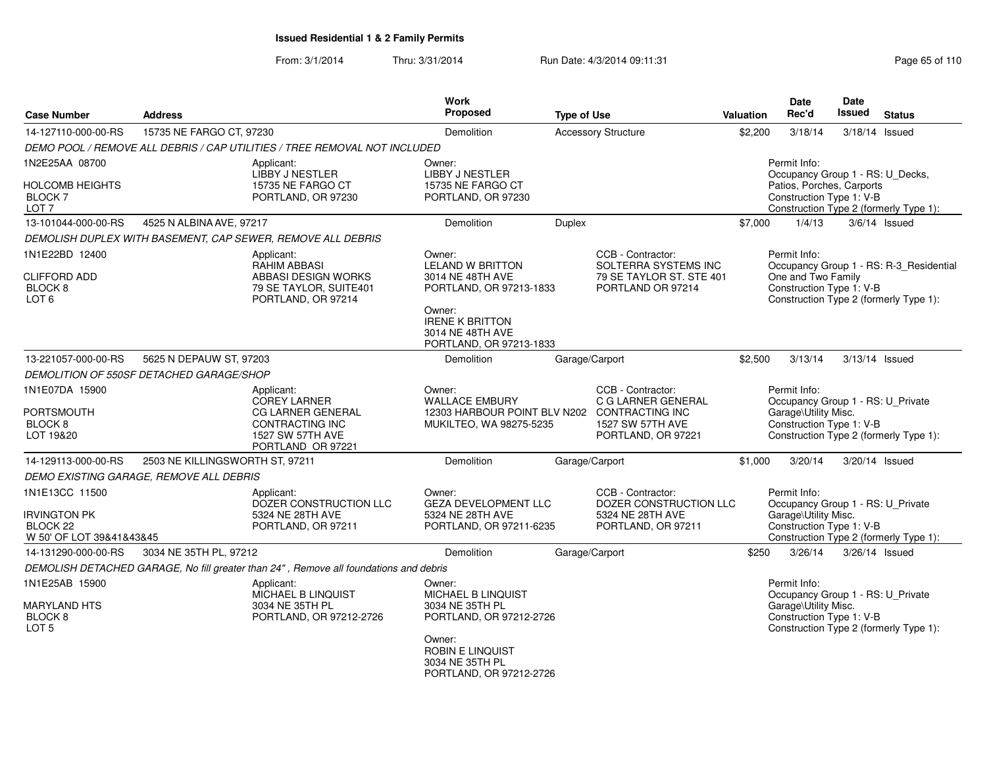From: 3/1/2014Thru: 3/31/2014 Run Date: 4/3/2014 09:11:31 Page 65 of 110

| <b>Case Number</b>                                                                       | <b>Address</b>                           |                                                                                                                    | Work<br>Proposed                                                                                                                                                    | <b>Type of Use</b> |                                                                                            | Valuation | <b>Date</b><br>Rec'd                                                                                      | <b>Date</b><br>Issued | <b>Status</b>                                                                     |
|------------------------------------------------------------------------------------------|------------------------------------------|--------------------------------------------------------------------------------------------------------------------|---------------------------------------------------------------------------------------------------------------------------------------------------------------------|--------------------|--------------------------------------------------------------------------------------------|-----------|-----------------------------------------------------------------------------------------------------------|-----------------------|-----------------------------------------------------------------------------------|
| 14-127110-000-00-RS                                                                      | 15735 NE FARGO CT, 97230                 |                                                                                                                    | Demolition                                                                                                                                                          |                    | <b>Accessory Structure</b>                                                                 | \$2,200   | 3/18/14                                                                                                   |                       | 3/18/14 Issued                                                                    |
|                                                                                          |                                          | DEMO POOL / REMOVE ALL DEBRIS / CAP UTILITIES / TREE REMOVAL NOT INCLUDED                                          |                                                                                                                                                                     |                    |                                                                                            |           |                                                                                                           |                       |                                                                                   |
| 1N2E25AA 08700<br><b>HOLCOMB HEIGHTS</b><br>BLOCK <sub>7</sub>                           |                                          | Applicant:<br>LIBBY J NESTLER<br>15735 NE FARGO CT<br>PORTLAND, OR 97230                                           | Owner:<br>LIBBY J NESTLER<br>15735 NE FARGO CT<br>PORTLAND, OR 97230                                                                                                |                    |                                                                                            |           | Permit Info:<br>Occupancy Group 1 - RS: U_Decks,<br>Patios, Porches, Carports<br>Construction Type 1: V-B |                       |                                                                                   |
| LOT <sub>7</sub>                                                                         |                                          |                                                                                                                    |                                                                                                                                                                     |                    |                                                                                            |           |                                                                                                           |                       | Construction Type 2 (formerly Type 1):                                            |
| 13-101044-000-00-RS                                                                      | 4525 N ALBINA AVE, 97217                 |                                                                                                                    | Demolition                                                                                                                                                          | <b>Duplex</b>      |                                                                                            | \$7,000   | 1/4/13                                                                                                    |                       | $3/6/14$ Issued                                                                   |
|                                                                                          |                                          | DEMOLISH DUPLEX WITH BASEMENT, CAP SEWER, REMOVE ALL DEBRIS                                                        |                                                                                                                                                                     |                    |                                                                                            |           |                                                                                                           |                       |                                                                                   |
| 1N1E22BD 12400<br><b>CLIFFORD ADD</b><br>BLOCK <sub>8</sub><br>LOT <sub>6</sub>          |                                          | Applicant:<br><b>RAHIM ABBASI</b><br>ABBASI DESIGN WORKS<br>79 SE TAYLOR, SUITE401<br>PORTLAND, OR 97214           | Owner:<br><b>LELAND W BRITTON</b><br>3014 NE 48TH AVE<br>PORTLAND, OR 97213-1833<br>Owner:<br><b>IRENE K BRITTON</b><br>3014 NE 48TH AVE<br>PORTLAND, OR 97213-1833 |                    | CCB - Contractor:<br>SOLTERRA SYSTEMS INC<br>79 SE TAYLOR ST. STE 401<br>PORTLAND OR 97214 |           | Permit Info:<br>One and Two Family<br>Construction Type 1: V-B                                            |                       | Occupancy Group 1 - RS: R-3_Residential<br>Construction Type 2 (formerly Type 1): |
| 13-221057-000-00-RS                                                                      | 5625 N DEPAUW ST, 97203                  |                                                                                                                    | <b>Demolition</b>                                                                                                                                                   | Garage/Carport     |                                                                                            | \$2,500   | 3/13/14                                                                                                   |                       | 3/13/14 Issued                                                                    |
|                                                                                          | DEMOLITION OF 550SF DETACHED GARAGE/SHOP |                                                                                                                    |                                                                                                                                                                     |                    |                                                                                            |           |                                                                                                           |                       |                                                                                   |
| 1N1E07DA 15900<br><b>PORTSMOUTH</b><br>BLOCK <sub>8</sub><br>LOT 19&20                   |                                          | Applicant:<br>COREY LARNER<br><b>CG LARNER GENERAL</b><br>CONTRACTING INC<br>1527 SW 57TH AVE<br>PORTLAND OR 97221 | Owner:<br><b>WALLACE EMBURY</b><br>12303 HARBOUR POINT BLV N202 CONTRACTING INC<br>MUKILTEO, WA 98275-5235                                                          |                    | CCB - Contractor:<br>C G LARNER GENERAL<br>1527 SW 57TH AVE<br>PORTLAND, OR 97221          |           | Permit Info:<br>Occupancy Group 1 - RS: U_Private<br>Garage\Utility Misc.<br>Construction Type 1: V-B     |                       | Construction Type 2 (formerly Type 1):                                            |
| 14-129113-000-00-RS                                                                      | 2503 NE KILLINGSWORTH ST, 97211          |                                                                                                                    | Demolition                                                                                                                                                          | Garage/Carport     |                                                                                            | \$1,000   | 3/20/14                                                                                                   |                       | 3/20/14 Issued                                                                    |
|                                                                                          | DEMO EXISTING GARAGE, REMOVE ALL DEBRIS  |                                                                                                                    |                                                                                                                                                                     |                    |                                                                                            |           |                                                                                                           |                       |                                                                                   |
| 1N1E13CC 11500<br><b>IRVINGTON PK</b><br>BLOCK <sub>22</sub><br>W 50' OF LOT 39&41&43&45 |                                          | Applicant:<br>DOZER CONSTRUCTION LLC<br>5324 NE 28TH AVE<br>PORTLAND, OR 97211                                     | Owner:<br><b>GEZA DEVELOPMENT LLC</b><br>5324 NE 28TH AVE<br>PORTLAND, OR 97211-6235                                                                                |                    | CCB - Contractor:<br>DOZER CONSTRUCTION LLC<br>5324 NE 28TH AVE<br>PORTLAND, OR 97211      |           | Permit Info:<br>Occupancy Group 1 - RS: U Private<br>Garage\Utility Misc.<br>Construction Type 1: V-B     |                       | Construction Type 2 (formerly Type 1):                                            |
| 14-131290-000-00-RS                                                                      | 3034 NE 35TH PL, 97212                   |                                                                                                                    | Demolition                                                                                                                                                          | Garage/Carport     |                                                                                            | \$250     | 3/26/14                                                                                                   |                       | 3/26/14 Issued                                                                    |
|                                                                                          |                                          | DEMOLISH DETACHED GARAGE, No fill greater than 24", Remove all foundations and debris                              |                                                                                                                                                                     |                    |                                                                                            |           |                                                                                                           |                       |                                                                                   |
| 1N1E25AB 15900<br><b>MARYLAND HTS</b><br>BLOCK <sub>8</sub><br>LOT <sub>5</sub>          |                                          | Applicant:<br>MICHAEL B LINQUIST<br>3034 NE 35TH PL<br>PORTLAND, OR 97212-2726                                     | Owner:<br>MICHAEL B LINQUIST<br>3034 NE 35TH PL<br>PORTLAND, OR 97212-2726<br>Owner:<br><b>ROBIN E LINQUIST</b><br>3034 NE 35TH PL<br>PORTLAND, OR 97212-2726       |                    |                                                                                            |           | Permit Info:<br>Occupancy Group 1 - RS: U Private<br>Garage\Utility Misc.<br>Construction Type 1: V-B     |                       | Construction Type 2 (formerly Type 1):                                            |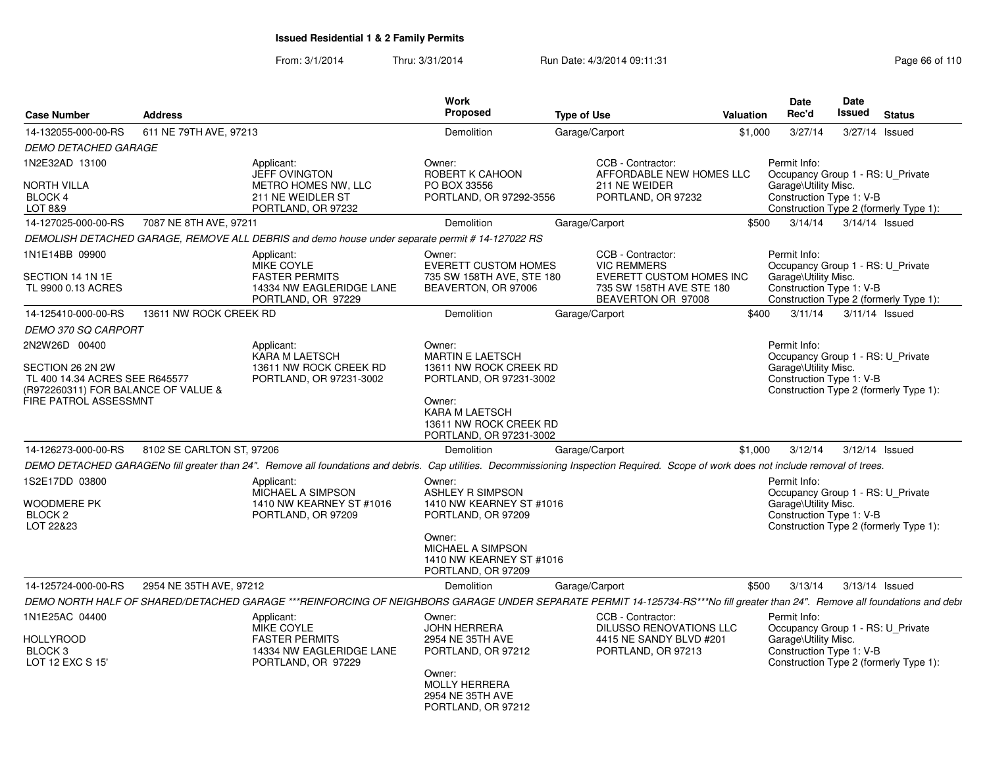From: 3/1/2014Thru: 3/31/2014 Run Date: 4/3/2014 09:11:31 Research 2010 Rage 66 of 110

| <b>Case Number</b>                                                                                                        | <b>Address</b>            |                                                                                                     | Work<br><b>Proposed</b>                                                                                                                                              | <b>Type of Use</b>                                                                                                                                                                    | <b>Valuation</b> | Date<br>Rec'd                                                                                         | Date<br>Issued | <b>Status</b>                          |
|---------------------------------------------------------------------------------------------------------------------------|---------------------------|-----------------------------------------------------------------------------------------------------|----------------------------------------------------------------------------------------------------------------------------------------------------------------------|---------------------------------------------------------------------------------------------------------------------------------------------------------------------------------------|------------------|-------------------------------------------------------------------------------------------------------|----------------|----------------------------------------|
| 14-132055-000-00-RS                                                                                                       | 611 NE 79TH AVE, 97213    |                                                                                                     | Demolition                                                                                                                                                           | Garage/Carport                                                                                                                                                                        | \$1,000          | 3/27/14                                                                                               |                | 3/27/14 Issued                         |
| <b>DEMO DETACHED GARAGE</b>                                                                                               |                           |                                                                                                     |                                                                                                                                                                      |                                                                                                                                                                                       |                  |                                                                                                       |                |                                        |
| 1N2E32AD 13100                                                                                                            |                           | Applicant:<br><b>JEFF OVINGTON</b>                                                                  | Owner:<br>ROBERT K CAHOON                                                                                                                                            | CCB - Contractor:<br>AFFORDABLE NEW HOMES LLC                                                                                                                                         |                  | Permit Info:<br>Occupancy Group 1 - RS: U Private                                                     |                |                                        |
| NORTH VILLA<br><b>BLOCK 4</b><br>LOT 8&9                                                                                  |                           | METRO HOMES NW, LLC<br>211 NE WEIDLER ST<br>PORTLAND, OR 97232                                      | PO BOX 33556<br>PORTLAND, OR 97292-3556                                                                                                                              | 211 NE WEIDER<br>PORTLAND, OR 97232                                                                                                                                                   |                  | Garage\Utility Misc.<br>Construction Type 1: V-B                                                      |                | Construction Type 2 (formerly Type 1): |
| 14-127025-000-00-RS                                                                                                       | 7087 NE 8TH AVE, 97211    |                                                                                                     | <b>Demolition</b>                                                                                                                                                    | Garage/Carport                                                                                                                                                                        | \$500            | 3/14/14                                                                                               | 3/14/14 Issued |                                        |
|                                                                                                                           |                           | DEMOLISH DETACHED GARAGE, REMOVE ALL DEBRIS and demo house under separate permit # 14-127022 RS     |                                                                                                                                                                      |                                                                                                                                                                                       |                  |                                                                                                       |                |                                        |
| 1N1E14BB 09900                                                                                                            |                           | Applicant:                                                                                          | Owner:                                                                                                                                                               | CCB - Contractor:                                                                                                                                                                     |                  | Permit Info:                                                                                          |                |                                        |
| SECTION 14 1N 1E<br>TL 9900 0.13 ACRES                                                                                    |                           | MIKE COYLE<br><b>FASTER PERMITS</b><br>14334 NW EAGLERIDGE LANE<br>PORTLAND, OR 97229               | <b>EVERETT CUSTOM HOMES</b><br>735 SW 158TH AVE, STE 180<br>BEAVERTON, OR 97006                                                                                      | <b>VIC REMMERS</b><br>EVERETT CUSTOM HOMES INC<br>735 SW 158TH AVE STE 180<br>BEAVERTON OR 97008                                                                                      |                  | Occupancy Group 1 - RS: U Private<br>Garage\Utility Misc.<br>Construction Type 1: V-B                 |                | Construction Type 2 (formerly Type 1): |
| 14-125410-000-00-RS                                                                                                       | 13611 NW ROCK CREEK RD    |                                                                                                     | Demolition                                                                                                                                                           | Garage/Carport                                                                                                                                                                        | \$400            | 3/11/14                                                                                               | 3/11/14 Issued |                                        |
| <b>DEMO 370 SQ CARPORT</b>                                                                                                |                           |                                                                                                     |                                                                                                                                                                      |                                                                                                                                                                                       |                  |                                                                                                       |                |                                        |
| 2N2W26D 00400                                                                                                             |                           | Applicant:                                                                                          | Owner:                                                                                                                                                               |                                                                                                                                                                                       |                  | Permit Info:                                                                                          |                |                                        |
| SECTION 26 2N 2W<br>TL 400 14.34 ACRES SEE R645577<br>(R972260311) FOR BALANCE OF VALUE &<br><b>FIRE PATROL ASSESSMNT</b> |                           | <b>KARA M LAETSCH</b><br>13611 NW ROCK CREEK RD<br>PORTLAND, OR 97231-3002                          | <b>MARTIN E LAETSCH</b><br>13611 NW ROCK CREEK RD<br>PORTLAND, OR 97231-3002<br>Owner:<br><b>KARA M LAETSCH</b><br>13611 NW ROCK CREEK RD<br>PORTLAND, OR 97231-3002 |                                                                                                                                                                                       |                  | Occupancy Group 1 - RS: U_Private<br>Garage\Utility Misc.<br>Construction Type 1: V-B                 |                | Construction Type 2 (formerly Type 1): |
| 14-126273-000-00-RS                                                                                                       | 8102 SE CARLTON ST, 97206 |                                                                                                     | <b>Demolition</b>                                                                                                                                                    | Garage/Carport                                                                                                                                                                        | \$1,000          | 3/12/14                                                                                               | 3/12/14 Issued |                                        |
|                                                                                                                           |                           |                                                                                                     |                                                                                                                                                                      | DEMO DETACHED GARAGENo fill greater than 24". Remove all foundations and debris. Cap utilities. Decommissioning Inspection Required. Scope of work does not include removal of trees. |                  |                                                                                                       |                |                                        |
| 1S2E17DD 03800                                                                                                            |                           | Applicant:                                                                                          | Owner:                                                                                                                                                               |                                                                                                                                                                                       |                  | Permit Info:                                                                                          |                |                                        |
| <b>WOODMERE PK</b><br>BLOCK <sub>2</sub><br>LOT 22&23                                                                     |                           | MICHAEL A SIMPSON<br>1410 NW KEARNEY ST #1016<br>PORTLAND, OR 97209                                 | <b>ASHLEY R SIMPSON</b><br>1410 NW KEARNEY ST #1016<br>PORTLAND, OR 97209                                                                                            |                                                                                                                                                                                       |                  | Occupancy Group 1 - RS: U_Private<br>Garage\Utility Misc.<br>Construction Type 1: V-B                 |                | Construction Type 2 (formerly Type 1): |
|                                                                                                                           |                           |                                                                                                     | Owner:<br>MICHAEL A SIMPSON<br>1410 NW KEARNEY ST #1016<br>PORTLAND, OR 97209                                                                                        |                                                                                                                                                                                       |                  |                                                                                                       |                |                                        |
| 14-125724-000-00-RS                                                                                                       | 2954 NE 35TH AVE, 97212   |                                                                                                     | Demolition                                                                                                                                                           | Garage/Carport                                                                                                                                                                        | \$500            | 3/13/14                                                                                               | 3/13/14 Issued |                                        |
|                                                                                                                           |                           |                                                                                                     |                                                                                                                                                                      | DEMO NORTH HALF OF SHARED/DETACHED GARAGE ***REINFORCING OF NEIGHBORS GARAGE UNDER SEPARATE PERMIT 14-125734-RS***No fill greater than 24". Remove all foundations and debi           |                  |                                                                                                       |                |                                        |
| 1N1E25AC 04400<br><b>HOLLYROOD</b><br>BLOCK <sub>3</sub><br>LOT 12 EXC S 15'                                              |                           | Applicant:<br>MIKE COYLE<br><b>FASTER PERMITS</b><br>14334 NW EAGLERIDGE LANE<br>PORTLAND, OR 97229 | Owner:<br><b>JOHN HERRERA</b><br>2954 NE 35TH AVE<br>PORTLAND, OR 97212                                                                                              | CCB - Contractor:<br>DILUSSO RENOVATIONS LLC<br>4415 NE SANDY BLVD #201<br>PORTLAND, OR 97213                                                                                         |                  | Permit Info:<br>Occupancy Group 1 - RS: U_Private<br>Garage\Utility Misc.<br>Construction Type 1: V-B |                | Construction Type 2 (formerly Type 1): |
|                                                                                                                           |                           |                                                                                                     | Owner:<br><b>MOLLY HERRERA</b><br>2954 NE 35TH AVE<br>PORTLAND, OR 97212                                                                                             |                                                                                                                                                                                       |                  |                                                                                                       |                |                                        |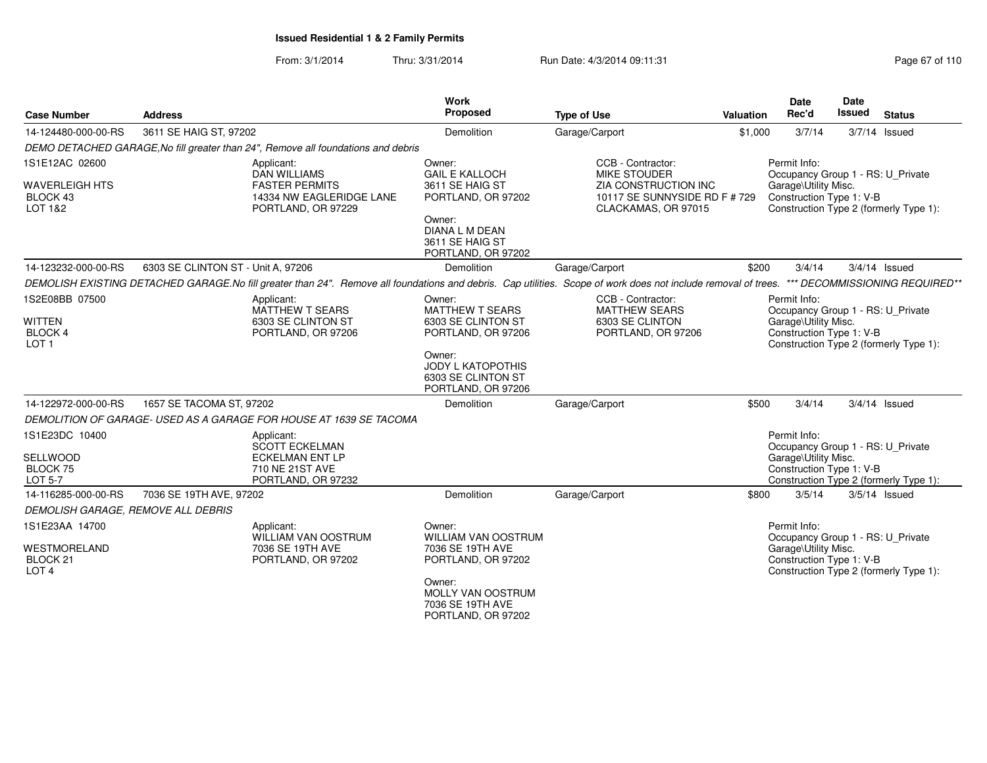From: 3/1/2014Thru: 3/31/2014 Run Date: 4/3/2014 09:11:31 Page 67 of 110

| <b>Case Number</b>                                  | <b>Address</b>                     |                                                                                   | Work<br>Proposed                                                               | <b>Type of Use</b>                                                                                                                                             | Valuation | <b>Date</b><br>Rec'd                             |                                        | <b>Date</b><br><b>Issued</b> | <b>Status</b>                          |
|-----------------------------------------------------|------------------------------------|-----------------------------------------------------------------------------------|--------------------------------------------------------------------------------|----------------------------------------------------------------------------------------------------------------------------------------------------------------|-----------|--------------------------------------------------|----------------------------------------|------------------------------|----------------------------------------|
| 14-124480-000-00-RS                                 | 3611 SE HAIG ST, 97202             |                                                                                   | Demolition                                                                     | Garage/Carport                                                                                                                                                 | \$1,000   | 3/7/14                                           |                                        | $3/7/14$ Issued              |                                        |
|                                                     |                                    | DEMO DETACHED GARAGE, No fill greater than 24", Remove all foundations and debris |                                                                                |                                                                                                                                                                |           |                                                  |                                        |                              |                                        |
| 1S1E12AC 02600                                      |                                    | Applicant:<br><b>DAN WILLIAMS</b>                                                 | Owner:<br><b>GAIL E KALLOCH</b>                                                | CCB - Contractor:<br>MIKE STOUDER                                                                                                                              |           | Permit Info:                                     |                                        |                              | Occupancy Group 1 - RS: U_Private      |
| <b>WAVERLEIGH HTS</b><br>BLOCK 43<br>LOT 1&2        |                                    | <b>FASTER PERMITS</b><br>14334 NW EAGLERIDGE LANE<br>PORTLAND, OR 97229           | 3611 SE HAIG ST<br>PORTLAND, OR 97202                                          | <b>ZIA CONSTRUCTION INC</b><br>10117 SE SUNNYSIDE RD F # 729<br>CLACKAMAS, OR 97015                                                                            |           | Garage\Utility Misc.<br>Construction Type 1: V-B |                                        |                              |                                        |
|                                                     |                                    |                                                                                   | Owner:<br>DIANA L M DEAN<br>3611 SE HAIG ST<br>PORTLAND, OR 97202              |                                                                                                                                                                |           |                                                  | Construction Type 2 (formerly Type 1): |                              |                                        |
| 14-123232-000-00-RS                                 | 6303 SE CLINTON ST - Unit A, 97206 |                                                                                   | Demolition                                                                     | Garage/Carport                                                                                                                                                 | \$200     | 3/4/14                                           |                                        | $3/4/14$ Issued              |                                        |
|                                                     |                                    |                                                                                   |                                                                                | DEMOLISH EXISTING DETACHED GARAGE.No fill greater than 24". Remove all foundations and debris. Cap utilities. Scope of work does not include removal of trees. |           |                                                  |                                        |                              | *** DECOMMISSIONING REQUIRED**         |
| 1S2E08BB 07500                                      |                                    | Applicant:<br><b>MATTHEW T SEARS</b>                                              | Owner:<br><b>MATTHEW T SEARS</b>                                               | CCB - Contractor:<br><b>MATTHEW SEARS</b>                                                                                                                      |           | Permit Info:                                     |                                        |                              | Occupancy Group 1 - RS: U_Private      |
| <b>WITTEN</b><br><b>BLOCK 4</b>                     |                                    | 6303 SE CLINTON ST<br>PORTLAND, OR 97206                                          | 6303 SE CLINTON ST<br>PORTLAND, OR 97206                                       | 6303 SE CLINTON<br>PORTLAND, OR 97206                                                                                                                          |           | Garage\Utility Misc.<br>Construction Type 1: V-B |                                        |                              |                                        |
| LOT <sub>1</sub>                                    |                                    |                                                                                   | Owner:<br><b>JODY L KATOPOTHIS</b><br>6303 SE CLINTON ST<br>PORTLAND, OR 97206 |                                                                                                                                                                |           |                                                  |                                        |                              | Construction Type 2 (formerly Type 1): |
| 14-122972-000-00-RS                                 | 1657 SE TACOMA ST, 97202           |                                                                                   | Demolition                                                                     | Garage/Carport                                                                                                                                                 | \$500     | 3/4/14                                           |                                        | 3/4/14 Issued                |                                        |
|                                                     |                                    | DEMOLITION OF GARAGE-USED AS A GARAGE FOR HOUSE AT 1639 SE TACOMA                 |                                                                                |                                                                                                                                                                |           |                                                  |                                        |                              |                                        |
| 1S1E23DC 10400                                      |                                    | Applicant:<br><b>SCOTT ECKELMAN</b>                                               |                                                                                |                                                                                                                                                                |           | Permit Info:                                     |                                        |                              | Occupancy Group 1 - RS: U_Private      |
| <b>SELLWOOD</b><br>BLOCK 75<br><b>LOT 5-7</b>       |                                    | <b>ECKELMAN ENT LP</b><br>710 NE 21ST AVE<br>PORTLAND, OR 97232                   |                                                                                |                                                                                                                                                                |           | Garage\Utility Misc.<br>Construction Type 1: V-B |                                        |                              | Construction Type 2 (formerly Type 1): |
| 14-116285-000-00-RS                                 | 7036 SE 19TH AVE, 97202            |                                                                                   | Demolition                                                                     | Garage/Carport                                                                                                                                                 | \$800     | 3/5/14                                           |                                        | $3/5/14$ Issued              |                                        |
| DEMOLISH GARAGE, REMOVE ALL DEBRIS                  |                                    |                                                                                   |                                                                                |                                                                                                                                                                |           |                                                  |                                        |                              |                                        |
| 1S1E23AA 14700                                      |                                    | Applicant:<br>WILLIAM VAN OOSTRUM                                                 | Owner:<br><b>WILLIAM VAN OOSTRUM</b>                                           |                                                                                                                                                                |           | Permit Info:                                     |                                        |                              | Occupancy Group 1 - RS: U_Private      |
| <b>WESTMORELAND</b><br>BLOCK 21<br>LOT <sub>4</sub> |                                    | 7036 SE 19TH AVE<br>PORTLAND, OR 97202                                            | 7036 SE 19TH AVE<br>PORTLAND, OR 97202                                         |                                                                                                                                                                |           | Garage\Utility Misc.<br>Construction Type 1: V-B |                                        |                              | Construction Type 2 (formerly Type 1): |
|                                                     |                                    |                                                                                   | Owner:<br>MOLLY VAN OOSTRUM<br>7036 SE 19TH AVE<br>PORTLAND, OR 97202          |                                                                                                                                                                |           |                                                  |                                        |                              |                                        |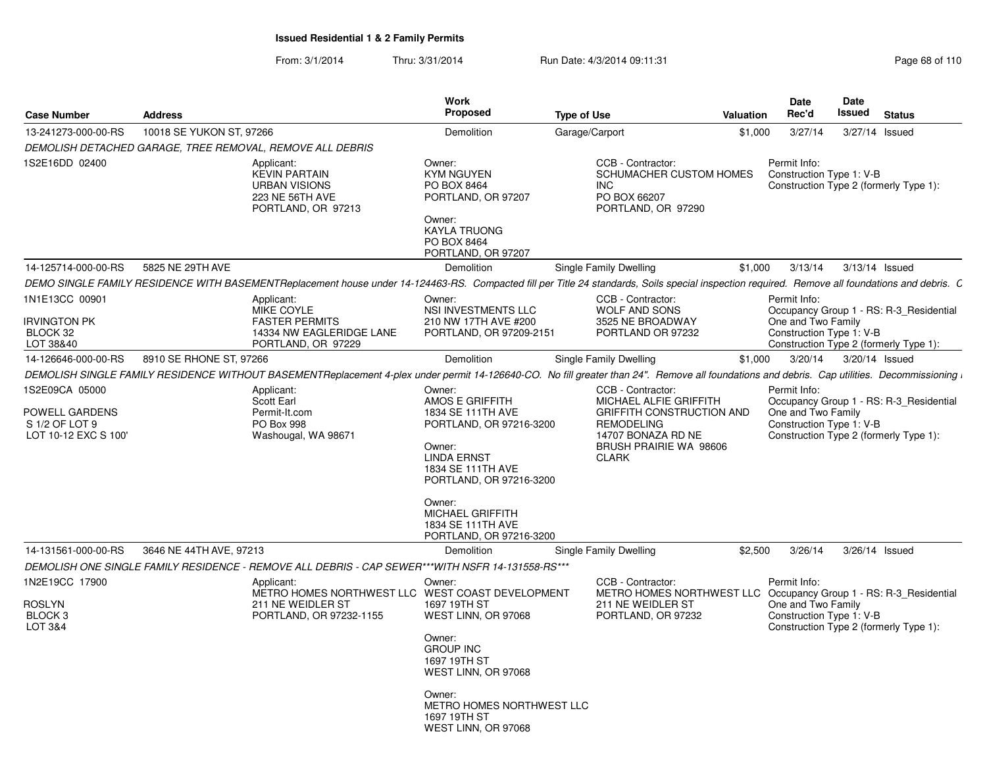From: 3/1/2014Thru: 3/31/2014 Run Date: 4/3/2014 09:11:31 Research 2010 Rage 68 of 110

| <b>Address</b>   |                                                                                                            | <b>Work</b><br>Proposed                                                                                                                                                                                             |                                                                                    |                                                                                                                                                                                                                                                                            | Date<br>Rec'd                                                                                            | Date<br>Issued                                                   | <b>Status</b>                                                                                                                                                                                                                                                                                                                                                                                                                                                                                                                                                                                                                                                                                                                                                                                                                                                                                                     |
|------------------|------------------------------------------------------------------------------------------------------------|---------------------------------------------------------------------------------------------------------------------------------------------------------------------------------------------------------------------|------------------------------------------------------------------------------------|----------------------------------------------------------------------------------------------------------------------------------------------------------------------------------------------------------------------------------------------------------------------------|----------------------------------------------------------------------------------------------------------|------------------------------------------------------------------|-------------------------------------------------------------------------------------------------------------------------------------------------------------------------------------------------------------------------------------------------------------------------------------------------------------------------------------------------------------------------------------------------------------------------------------------------------------------------------------------------------------------------------------------------------------------------------------------------------------------------------------------------------------------------------------------------------------------------------------------------------------------------------------------------------------------------------------------------------------------------------------------------------------------|
|                  |                                                                                                            | Demolition                                                                                                                                                                                                          |                                                                                    |                                                                                                                                                                                                                                                                            | 3/27/14                                                                                                  |                                                                  | 3/27/14 Issued                                                                                                                                                                                                                                                                                                                                                                                                                                                                                                                                                                                                                                                                                                                                                                                                                                                                                                    |
|                  |                                                                                                            |                                                                                                                                                                                                                     |                                                                                    |                                                                                                                                                                                                                                                                            |                                                                                                          |                                                                  |                                                                                                                                                                                                                                                                                                                                                                                                                                                                                                                                                                                                                                                                                                                                                                                                                                                                                                                   |
|                  | Applicant:<br><b>KEVIN PARTAIN</b><br><b>URBAN VISIONS</b><br>223 NE 56TH AVE<br>PORTLAND, OR 97213        | Owner:<br><b>KYM NGUYEN</b><br>PO BOX 8464<br>PORTLAND, OR 97207<br>Owner:<br><b>KAYLA TRUONG</b><br>PO BOX 8464<br>PORTLAND, OR 97207                                                                              | CCB - Contractor:<br>INC.<br>PO BOX 66207<br>PORTLAND, OR 97290                    |                                                                                                                                                                                                                                                                            | Permit Info:                                                                                             |                                                                  |                                                                                                                                                                                                                                                                                                                                                                                                                                                                                                                                                                                                                                                                                                                                                                                                                                                                                                                   |
| 5825 NE 29TH AVE |                                                                                                            | Demolition                                                                                                                                                                                                          |                                                                                    |                                                                                                                                                                                                                                                                            | 3/13/14                                                                                                  |                                                                  | 3/13/14 Issued                                                                                                                                                                                                                                                                                                                                                                                                                                                                                                                                                                                                                                                                                                                                                                                                                                                                                                    |
|                  |                                                                                                            |                                                                                                                                                                                                                     |                                                                                    |                                                                                                                                                                                                                                                                            |                                                                                                          |                                                                  |                                                                                                                                                                                                                                                                                                                                                                                                                                                                                                                                                                                                                                                                                                                                                                                                                                                                                                                   |
|                  | Applicant:<br><b>MIKE COYLE</b><br><b>FASTER PERMITS</b><br>14334 NW EAGLERIDGE LANE<br>PORTLAND, OR 97229 | Owner:<br>NSI INVESTMENTS LLC<br>210 NW 17TH AVE #200<br>PORTLAND, OR 97209-2151                                                                                                                                    | CCB - Contractor:<br><b>WOLF AND SONS</b><br>3525 NE BROADWAY<br>PORTLAND OR 97232 |                                                                                                                                                                                                                                                                            | Permit Info:                                                                                             |                                                                  |                                                                                                                                                                                                                                                                                                                                                                                                                                                                                                                                                                                                                                                                                                                                                                                                                                                                                                                   |
|                  |                                                                                                            | <b>Demolition</b>                                                                                                                                                                                                   |                                                                                    |                                                                                                                                                                                                                                                                            | 3/20/14                                                                                                  |                                                                  | 3/20/14 Issued                                                                                                                                                                                                                                                                                                                                                                                                                                                                                                                                                                                                                                                                                                                                                                                                                                                                                                    |
|                  |                                                                                                            |                                                                                                                                                                                                                     |                                                                                    |                                                                                                                                                                                                                                                                            |                                                                                                          |                                                                  |                                                                                                                                                                                                                                                                                                                                                                                                                                                                                                                                                                                                                                                                                                                                                                                                                                                                                                                   |
|                  | Applicant:<br>Scott Earl<br>Permit-It.com<br>PO Box 998<br>Washougal, WA 98671                             | Owner:<br>AMOS E GRIFFITH<br>1834 SE 111TH AVE<br>PORTLAND, OR 97216-3200<br>Owner:<br><b>LINDA ERNST</b><br>1834 SE 111TH AVE<br>PORTLAND, OR 97216-3200<br>Owner:<br><b>MICHAEL GRIFFITH</b><br>1834 SE 111TH AVE | CCB - Contractor:<br><b>REMODELING</b><br>14707 BONAZA RD NE<br><b>CLARK</b>       |                                                                                                                                                                                                                                                                            | Permit Info:                                                                                             |                                                                  |                                                                                                                                                                                                                                                                                                                                                                                                                                                                                                                                                                                                                                                                                                                                                                                                                                                                                                                   |
|                  |                                                                                                            |                                                                                                                                                                                                                     |                                                                                    |                                                                                                                                                                                                                                                                            |                                                                                                          |                                                                  | 3/26/14 Issued                                                                                                                                                                                                                                                                                                                                                                                                                                                                                                                                                                                                                                                                                                                                                                                                                                                                                                    |
|                  |                                                                                                            |                                                                                                                                                                                                                     |                                                                                    |                                                                                                                                                                                                                                                                            |                                                                                                          |                                                                  |                                                                                                                                                                                                                                                                                                                                                                                                                                                                                                                                                                                                                                                                                                                                                                                                                                                                                                                   |
|                  | Applicant:<br>211 NE WEIDLER ST<br>PORTLAND, OR 97232-1155                                                 | Owner:<br>1697 19TH ST<br>WEST LINN, OR 97068<br>Owner:<br><b>GROUP INC</b><br>1697 19TH ST<br>WEST LINN, OR 97068<br>Owner:                                                                                        | CCB - Contractor:<br>211 NE WEIDLER ST<br>PORTLAND, OR 97232                       |                                                                                                                                                                                                                                                                            | Permit Info:                                                                                             |                                                                  |                                                                                                                                                                                                                                                                                                                                                                                                                                                                                                                                                                                                                                                                                                                                                                                                                                                                                                                   |
|                  |                                                                                                            | 10018 SE YUKON ST, 97266<br>DEMOLISH DETACHED GARAGE, TREE REMOVAL, REMOVE ALL DEBRIS<br>8910 SE RHONE ST, 97266<br>3646 NE 44TH AVE, 97213                                                                         | PORTLAND, OR 97216-3200<br>Demolition                                              | <b>Type of Use</b><br>Garage/Carport<br>Single Family Dwelling<br>Single Family Dwelling<br>Single Family Dwelling<br>DEMOLISH ONE SINGLE FAMILY RESIDENCE - REMOVE ALL DEBRIS - CAP SEWER***WITH NSFR 14-131558-RS***<br>METRO HOMES NORTHWEST LLC WEST COAST DEVELOPMENT | SCHUMACHER CUSTOM HOMES<br>MICHAEL ALFIE GRIFFITH<br>GRIFFITH CONSTRUCTION AND<br>BRUSH PRAIRIE WA 98606 | Valuation<br>\$1,000<br>\$1,000<br>\$1,000<br>\$2,500<br>3/26/14 | Construction Type 1: V-B<br>Construction Type 2 (formerly Type 1):<br>DEMO SINGLE FAMILY RESIDENCE WITH BASEMENTReplacement house under 14-124463-RS. Compacted fill per Title 24 standards, Soils special inspection required. Remove all foundations and debris. C<br>Occupancy Group 1 - RS: R-3_Residential<br>One and Two Family<br>Construction Type 1: V-B<br>Construction Type 2 (formerly Type 1):<br>DEMOLISH SINGLE FAMILY RESIDENCE WITHOUT BASEMENTReplacement 4-plex under permit 14-126640-CO. No fill greater than 24". Remove all foundations and debris. Cap utilities. Decommissioning<br>Occupancy Group 1 - RS: R-3_Residential<br>One and Two Family<br>Construction Type 1: V-B<br>Construction Type 2 (formerly Type 1):<br>METRO HOMES NORTHWEST LLC Occupancy Group 1 - RS: R-3_Residential<br>One and Two Family<br>Construction Type 1: V-B<br>Construction Type 2 (formerly Type 1): |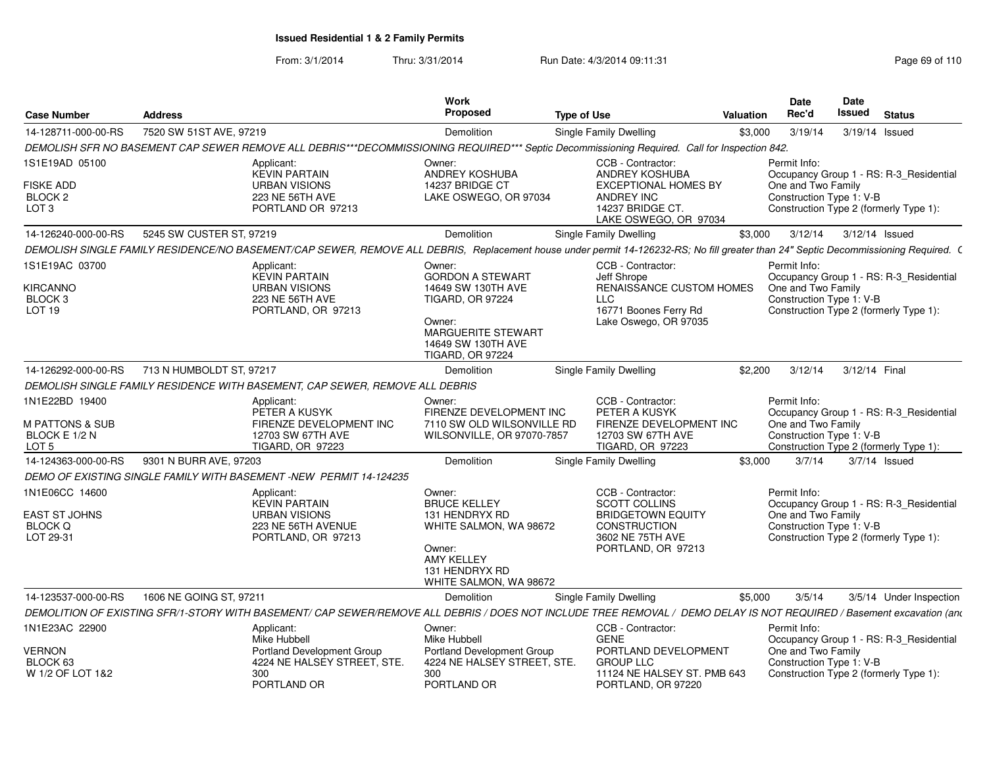From: 3/1/2014Thru: 3/31/2014 Run Date: 4/3/2014 09:11:31 Research 2010 Rage 69 of 110

| <b>Case Number</b>                               | <b>Address</b>           |                                                                                                                                                                                     | Work<br>Proposed                                                                     | <b>Type of Use</b> |                                                                                               | <b>Valuation</b> | <b>Date</b><br>Rec'd                                           | <b>Date</b><br>Issued | <b>Status</b>                           |
|--------------------------------------------------|--------------------------|-------------------------------------------------------------------------------------------------------------------------------------------------------------------------------------|--------------------------------------------------------------------------------------|--------------------|-----------------------------------------------------------------------------------------------|------------------|----------------------------------------------------------------|-----------------------|-----------------------------------------|
| 14-128711-000-00-RS                              | 7520 SW 51ST AVE, 97219  |                                                                                                                                                                                     | Demolition                                                                           |                    | <b>Single Family Dwelling</b>                                                                 | \$3,000          | 3/19/14                                                        | 3/19/14 Issued        |                                         |
|                                                  |                          | DEMOLISH SFR NO BASEMENT CAP SEWER REMOVE ALL DEBRIS***DECOMMISSIONING REQUIRED*** Septic Decommissioning Required. Call for Inspection 842.                                        |                                                                                      |                    |                                                                                               |                  |                                                                |                       |                                         |
| 1S1E19AD 05100                                   |                          | Applicant:<br><b>KEVIN PARTAIN</b>                                                                                                                                                  | Owner:<br>ANDREY KOSHUBA                                                             |                    | CCB - Contractor:<br>ANDREY KOSHUBA                                                           |                  | Permit Info:                                                   |                       | Occupancy Group 1 - RS: R-3_Residential |
| <b>FISKE ADD</b><br>BLOCK 2<br>LOT <sub>3</sub>  |                          | <b>URBAN VISIONS</b><br>223 NE 56TH AVE<br>PORTLAND OR 97213                                                                                                                        | 14237 BRIDGE CT<br>LAKE OSWEGO, OR 97034                                             |                    | <b>EXCEPTIONAL HOMES BY</b><br><b>ANDREY INC</b><br>14237 BRIDGE CT.<br>LAKE OSWEGO, OR 97034 |                  | One and Two Family<br>Construction Type 1: V-B                 |                       | Construction Type 2 (formerly Type 1):  |
| 14-126240-000-00-RS                              | 5245 SW CUSTER ST, 97219 |                                                                                                                                                                                     | Demolition                                                                           |                    | <b>Single Family Dwelling</b>                                                                 | \$3,000          | 3/12/14                                                        | 3/12/14 Issued        |                                         |
|                                                  |                          | DEMOLISH SINGLE FAMILY RESIDENCE/NO BASEMENT/CAP SEWER, REMOVE ALL DEBRIS, Replacement house under permit 14-126232-RS; No fill greater than 24" Septic Decommissioning Required. ( |                                                                                      |                    |                                                                                               |                  |                                                                |                       |                                         |
| 1S1E19AC 03700<br>KIRCANNO<br>BLOCK <sub>3</sub> |                          | Applicant:<br><b>KEVIN PARTAIN</b><br><b>URBAN VISIONS</b><br><b>223 NE 56TH AVE</b>                                                                                                | Owner:<br><b>GORDON A STEWART</b><br>14649 SW 130TH AVE<br><b>TIGARD, OR 97224</b>   |                    | CCB - Contractor:<br>Jeff Shrope<br>RENAISSANCE CUSTOM HOMES<br><b>LLC</b>                    |                  | Permit Info:<br>One and Two Family<br>Construction Type 1: V-B |                       | Occupancy Group 1 - RS: R-3_Residential |
| LOT <sub>19</sub>                                |                          | PORTLAND, OR 97213                                                                                                                                                                  | Owner:<br><b>MARGUERITE STEWART</b><br>14649 SW 130TH AVE<br><b>TIGARD, OR 97224</b> |                    | 16771 Boones Ferry Rd<br>Lake Oswego, OR 97035                                                |                  |                                                                |                       | Construction Type 2 (formerly Type 1):  |
| 14-126292-000-00-RS                              | 713 N HUMBOLDT ST, 97217 |                                                                                                                                                                                     | <b>Demolition</b>                                                                    |                    | Single Family Dwelling                                                                        | \$2.200          | 3/12/14                                                        | 3/12/14 Final         |                                         |
|                                                  |                          | DEMOLISH SINGLE FAMILY RESIDENCE WITH BASEMENT, CAP SEWER, REMOVE ALL DEBRIS                                                                                                        |                                                                                      |                    |                                                                                               |                  |                                                                |                       |                                         |
| 1N1E22BD 19400<br><b>M PATTONS &amp; SUB</b>     |                          | Applicant:<br>PETER A KUSYK<br>FIRENZE DEVELOPMENT INC                                                                                                                              | Owner:<br>FIRENZE DEVELOPMENT INC<br>7110 SW OLD WILSONVILLE RD                      |                    | CCB - Contractor:<br>PETER A KUSYK<br>FIRENZE DEVELOPMENT INC                                 |                  | Permit Info:<br>One and Two Family                             |                       | Occupancy Group 1 - RS: R-3_Residential |
| BLOCK E 1/2 N<br>LOT <sub>5</sub>                |                          | 12703 SW 67TH AVE<br><b>TIGARD, OR 97223</b>                                                                                                                                        | WILSONVILLE, OR 97070-7857                                                           |                    | 12703 SW 67TH AVE<br><b>TIGARD, OR 97223</b>                                                  |                  | Construction Type 1: V-B                                       |                       | Construction Type 2 (formerly Type 1):  |
| 14-124363-000-00-RS                              | 9301 N BURR AVE, 97203   |                                                                                                                                                                                     | <b>Demolition</b>                                                                    |                    | Single Family Dwelling                                                                        | \$3.000          | 3/7/14                                                         |                       | $3/7/14$ Issued                         |
|                                                  |                          | DEMO OF EXISTING SINGLE FAMILY WITH BASEMENT -NEW PERMIT 14-124235                                                                                                                  |                                                                                      |                    |                                                                                               |                  |                                                                |                       |                                         |
| 1N1E06CC 14600                                   |                          | Applicant:<br><b>KEVIN PARTAIN</b>                                                                                                                                                  | Owner:<br><b>BRUCE KELLEY</b>                                                        |                    | CCB - Contractor:<br><b>SCOTT COLLINS</b>                                                     |                  | Permit Info:                                                   |                       | Occupancy Group 1 - RS: R-3_Residential |
| EAST ST JOHNS<br><b>BLOCK Q</b><br>LOT 29-31     |                          | <b>URBAN VISIONS</b><br>223 NE 56TH AVENUE<br>PORTLAND, OR 97213                                                                                                                    | 131 HENDRYX RD<br>WHITE SALMON, WA 98672                                             |                    | <b>BRIDGETOWN EQUITY</b><br><b>CONSTRUCTION</b><br>3602 NE 75TH AVE                           |                  | One and Two Family<br>Construction Type 1: V-B                 |                       | Construction Type 2 (formerly Type 1):  |
|                                                  |                          |                                                                                                                                                                                     | Owner:<br><b>AMY KELLEY</b><br>131 HENDRYX RD<br>WHITE SALMON, WA 98672              |                    | PORTLAND, OR 97213                                                                            |                  |                                                                |                       |                                         |
| 14-123537-000-00-RS                              | 1606 NE GOING ST, 97211  |                                                                                                                                                                                     | Demolition                                                                           |                    | Single Family Dwelling                                                                        | \$5,000          | 3/5/14                                                         |                       | 3/5/14 Under Inspection                 |
|                                                  |                          | DEMOLITION OF EXISTING SFR/1-STORY WITH BASEMENT/ CAP SEWER/REMOVE ALL DEBRIS / DOES NOT INCLUDE TREE REMOVAL / DEMO DELAY IS NOT REQUIRED / Basement excavation (and               |                                                                                      |                    |                                                                                               |                  |                                                                |                       |                                         |
| 1N1E23AC 22900                                   |                          | Applicant:<br>Mike Hubbell                                                                                                                                                          | Owner:<br>Mike Hubbell                                                               |                    | CCB - Contractor:<br><b>GENE</b>                                                              |                  | Permit Info:                                                   |                       | Occupancy Group 1 - RS: R-3_Residential |
| VERNON                                           |                          | <b>Portland Development Group</b>                                                                                                                                                   | <b>Portland Development Group</b>                                                    |                    | PORTLAND DEVELOPMENT                                                                          |                  | One and Two Family                                             |                       |                                         |
| BLOCK 63<br>W 1/2 OF LOT 1&2                     |                          | 4224 NE HALSEY STREET, STE.<br>300<br>PORTLAND OR                                                                                                                                   | 4224 NE HALSEY STREET, STE.<br>300<br>PORTLAND OR                                    |                    | <b>GROUP LLC</b><br>11124 NE HALSEY ST. PMB 643<br>PORTLAND, OR 97220                         |                  | Construction Type 1: V-B                                       |                       | Construction Type 2 (formerly Type 1):  |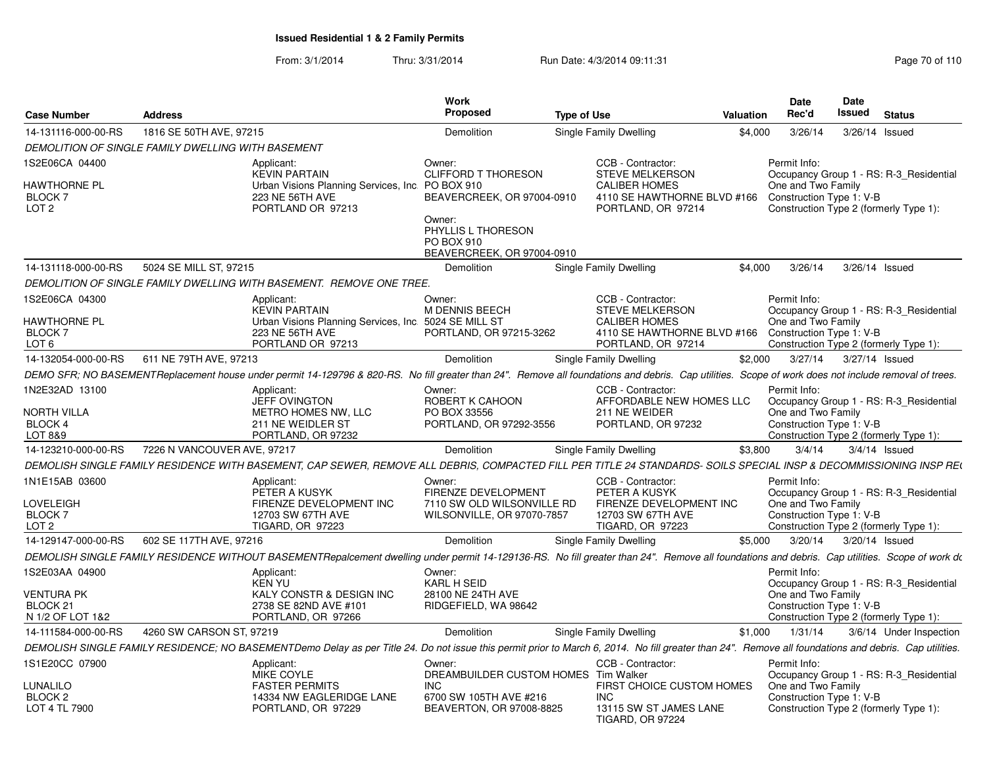From: 3/1/2014Thru: 3/31/2014 Run Date: 4/3/2014 09:11:31 Research 2010 110

|                                             |                                                    |                                                                                                                                                                                                       | <b>Work</b>                                                              |                    |                                                                                                     |           | <b>Date</b>                                    | Date          |                                                                                   |
|---------------------------------------------|----------------------------------------------------|-------------------------------------------------------------------------------------------------------------------------------------------------------------------------------------------------------|--------------------------------------------------------------------------|--------------------|-----------------------------------------------------------------------------------------------------|-----------|------------------------------------------------|---------------|-----------------------------------------------------------------------------------|
| <b>Case Number</b>                          | <b>Address</b>                                     |                                                                                                                                                                                                       | Proposed                                                                 | <b>Type of Use</b> |                                                                                                     | Valuation | Rec'd                                          | <b>Issued</b> | <b>Status</b>                                                                     |
| 14-131116-000-00-RS                         | 1816 SE 50TH AVE, 97215                            |                                                                                                                                                                                                       | Demolition                                                               |                    | Single Family Dwelling                                                                              | \$4,000   | 3/26/14                                        |               | 3/26/14 Issued                                                                    |
|                                             | DEMOLITION OF SINGLE FAMILY DWELLING WITH BASEMENT |                                                                                                                                                                                                       |                                                                          |                    |                                                                                                     |           |                                                |               |                                                                                   |
| 1S2E06CA 04400                              |                                                    | Applicant:                                                                                                                                                                                            | Owner:                                                                   |                    | CCB - Contractor:                                                                                   |           | Permit Info:                                   |               |                                                                                   |
| HAWTHORNE PL<br>BLOCK 7<br>LOT <sub>2</sub> |                                                    | <b>KEVIN PARTAIN</b><br>Urban Visions Planning Services, Inc. PO BOX 910<br>223 NE 56TH AVE<br>PORTLAND OR 97213                                                                                      | <b>CLIFFORD T THORESON</b><br>BEAVERCREEK, OR 97004-0910                 |                    | <b>STEVE MELKERSON</b><br><b>CALIBER HOMES</b><br>4110 SE HAWTHORNE BLVD #166<br>PORTLAND, OR 97214 |           | One and Two Family<br>Construction Type 1: V-B |               | Occupancy Group 1 - RS: R-3 Residential<br>Construction Type 2 (formerly Type 1): |
|                                             |                                                    |                                                                                                                                                                                                       | Owner:<br>PHYLLIS L THORESON<br>PO BOX 910<br>BEAVERCREEK, OR 97004-0910 |                    |                                                                                                     |           |                                                |               |                                                                                   |
| 14-131118-000-00-RS                         | 5024 SE MILL ST, 97215                             |                                                                                                                                                                                                       | Demolition                                                               |                    | Single Family Dwelling                                                                              | \$4,000   | 3/26/14                                        |               | 3/26/14 Issued                                                                    |
|                                             |                                                    | DEMOLITION OF SINGLE FAMILY DWELLING WITH BASEMENT. REMOVE ONE TREE.                                                                                                                                  |                                                                          |                    |                                                                                                     |           |                                                |               |                                                                                   |
| 1S2E06CA 04300<br>HAWTHORNE PL              |                                                    | Applicant:<br><b>KEVIN PARTAIN</b><br>Urban Visions Planning Services, Inc. 5024 SE MILL ST                                                                                                           | Owner:<br><b>M DENNIS BEECH</b>                                          |                    | CCB - Contractor:<br><b>STEVE MELKERSON</b><br><b>CALIBER HOMES</b>                                 |           | Permit Info:<br>One and Two Family             |               | Occupancy Group 1 - RS: R-3 Residential                                           |
| BLOCK 7<br>LOT <sub>6</sub>                 |                                                    | 223 NE 56TH AVE<br>PORTLAND OR 97213                                                                                                                                                                  | PORTLAND, OR 97215-3262                                                  |                    | 4110 SE HAWTHORNE BLVD #166 Construction Type 1: V-B<br>PORTLAND, OR 97214                          |           |                                                |               | Construction Type 2 (formerly Type 1):                                            |
| 14-132054-000-00-RS                         | 611 NE 79TH AVE, 97213                             |                                                                                                                                                                                                       | Demolition                                                               |                    | Single Family Dwelling                                                                              | \$2,000   | 3/27/14                                        |               | 3/27/14 Issued                                                                    |
|                                             |                                                    | DEMO SFR; NO BASEMENTReplacement house under permit 14-129796 & 820-RS. No fill greater than 24". Remove all foundations and debris. Cap utilities. Scope of work does not include removal of trees.  |                                                                          |                    |                                                                                                     |           |                                                |               |                                                                                   |
| 1N2E32AD 13100                              |                                                    | Applicant:                                                                                                                                                                                            | Owner:                                                                   |                    | CCB - Contractor:                                                                                   |           | Permit Info:                                   |               |                                                                                   |
| NORTH VILLA<br>BLOCK 4                      |                                                    | <b>JEFF OVINGTON</b><br>METRO HOMES NW, LLC<br>211 NE WEIDLER ST                                                                                                                                      | ROBERT K CAHOON<br>PO BOX 33556<br>PORTLAND, OR 97292-3556               |                    | AFFORDABLE NEW HOMES LLC<br>211 NE WEIDER<br>PORTLAND, OR 97232                                     |           | One and Two Family<br>Construction Type 1: V-B |               | Occupancy Group 1 - RS: R-3_Residential                                           |
| LOT 8&9                                     |                                                    | PORTLAND, OR 97232                                                                                                                                                                                    |                                                                          |                    |                                                                                                     |           |                                                |               | Construction Type 2 (formerly Type 1):                                            |
| 14-123210-000-00-RS                         | 7226 N VANCOUVER AVE, 97217                        |                                                                                                                                                                                                       | Demolition                                                               |                    | <b>Single Family Dwelling</b>                                                                       | \$3,800   | 3/4/14                                         |               | $3/4/14$ Issued                                                                   |
|                                             |                                                    | DEMOLISH SINGLE FAMILY RESIDENCE WITH BASEMENT, CAP SEWER, REMOVE ALL DEBRIS, COMPACTED FILL PER TITLE 24 STANDARDS- SOILS SPECIAL INSP & DECOMMISSIONING INSP REC                                    |                                                                          |                    |                                                                                                     |           |                                                |               |                                                                                   |
| 1N1E15AB 03600                              |                                                    | Applicant:<br>PETER A KUSYK                                                                                                                                                                           | Owner:<br>FIRENZE DEVELOPMENT                                            |                    | CCB - Contractor:<br>PETER A KUSYK                                                                  |           | Permit Info:                                   |               | Occupancy Group 1 - RS: R-3 Residential                                           |
| LOVELEIGH                                   |                                                    | FIRENZE DEVELOPMENT INC                                                                                                                                                                               | 7110 SW OLD WILSONVILLE RD                                               |                    | FIRENZE DEVELOPMENT INC                                                                             |           | One and Two Family                             |               |                                                                                   |
| BLOCK <sub>7</sub>                          |                                                    | 12703 SW 67TH AVE                                                                                                                                                                                     | WILSONVILLE, OR 97070-7857                                               |                    | 12703 SW 67TH AVE                                                                                   |           | Construction Type 1: V-B                       |               |                                                                                   |
| LOT <sub>2</sub>                            |                                                    | <b>TIGARD, OR 97223</b>                                                                                                                                                                               |                                                                          |                    | <b>TIGARD, OR 97223</b>                                                                             |           |                                                |               | Construction Type 2 (formerly Type 1):                                            |
| 14-129147-000-00-RS                         | 602 SE 117TH AVE, 97216                            |                                                                                                                                                                                                       | Demolition                                                               |                    | Single Family Dwelling                                                                              | \$5,000   | 3/20/14                                        |               | 3/20/14 Issued                                                                    |
|                                             |                                                    | DEMOLISH SINGLE FAMILY RESIDENCE WITHOUT BASEMENTRepalcement dwelling under permit 14-129136-RS. No fill greater than 24". Remove all foundations and debris. Cap utilities. Scope of work do         |                                                                          |                    |                                                                                                     |           |                                                |               |                                                                                   |
| 1S2E03AA 04900                              |                                                    | Applicant:<br>KEN YU                                                                                                                                                                                  | Owner:<br><b>KARL H SEID</b>                                             |                    |                                                                                                     |           | Permit Info:                                   |               | Occupancy Group 1 - RS: R-3 Residential                                           |
| VENTURA PK                                  |                                                    | KALY CONSTR & DESIGN INC                                                                                                                                                                              | 28100 NE 24TH AVE                                                        |                    |                                                                                                     |           | One and Two Family                             |               |                                                                                   |
| BLOCK <sub>21</sub>                         |                                                    | 2738 SE 82ND AVE #101                                                                                                                                                                                 | RIDGEFIELD, WA 98642                                                     |                    |                                                                                                     |           | Construction Type 1: V-B                       |               |                                                                                   |
| N 1/2 OF LOT 1&2                            |                                                    | PORTLAND, OR 97266                                                                                                                                                                                    |                                                                          |                    |                                                                                                     |           |                                                |               | Construction Type 2 (formerly Type 1):                                            |
| 14-111584-000-00-RS                         | 4260 SW CARSON ST, 97219                           |                                                                                                                                                                                                       | Demolition                                                               |                    | Single Family Dwelling                                                                              | \$1,000   | 1/31/14                                        |               | 3/6/14 Under Inspection                                                           |
|                                             |                                                    | DEMOLISH SINGLE FAMILY RESIDENCE; NO BASEMENTDemo Delay as per Title 24. Do not issue this permit prior to March 6, 2014. No fill greater than 24". Remove all foundations and debris. Cap utilities. |                                                                          |                    |                                                                                                     |           |                                                |               |                                                                                   |
| 1S1E20CC 07900                              |                                                    | Applicant:<br>MIKE COYLE                                                                                                                                                                              | Owner:<br>DREAMBUILDER CUSTOM HOMES Tim Walker                           |                    | CCB - Contractor:                                                                                   |           | Permit Info:                                   |               | Occupancy Group 1 - RS: R-3_Residential                                           |
| LUNALILO                                    |                                                    | <b>FASTER PERMITS</b>                                                                                                                                                                                 | <b>INC</b>                                                               |                    | FIRST CHOICE CUSTOM HOMES                                                                           |           | One and Two Family                             |               |                                                                                   |
| BLOCK <sub>2</sub>                          |                                                    | 14334 NW EAGLERIDGE LANE                                                                                                                                                                              | 6700 SW 105TH AVE #216                                                   |                    | <b>INC</b>                                                                                          |           | Construction Type 1: V-B                       |               |                                                                                   |
| LOT 4 TL 7900                               |                                                    | PORTLAND, OR 97229                                                                                                                                                                                    | BEAVERTON, OR 97008-8825                                                 |                    | 13115 SW ST JAMES LANE<br><b>TIGARD, OR 97224</b>                                                   |           |                                                |               | Construction Type 2 (formerly Type 1):                                            |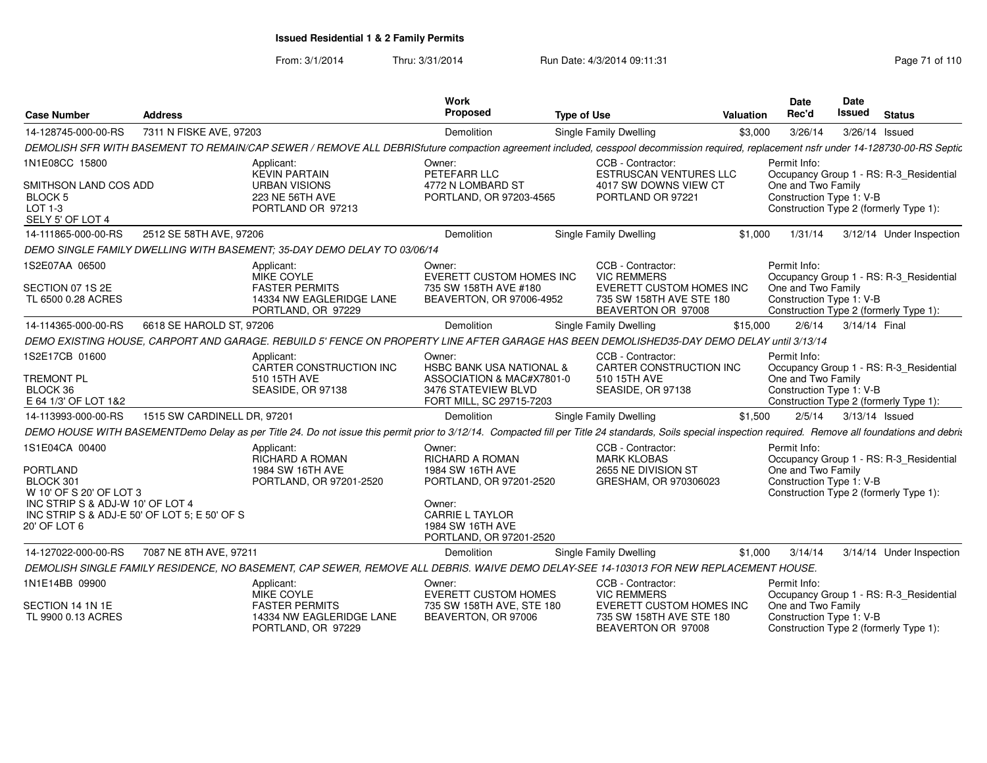From: 3/1/2014Thru: 3/31/2014 Run Date: 4/3/2014 09:11:31 Research 2010 110

| <b>Case Number</b>                                                                               | <b>Address</b>              |                                                                                                                                                                                                            | Work<br>Proposed                                                                | <b>Type of Use</b> |                                                                                   | <b>Valuation</b> | <b>Date</b><br>Rec'd                           | <b>Date</b><br><b>Issued</b> | <b>Status</b>                           |
|--------------------------------------------------------------------------------------------------|-----------------------------|------------------------------------------------------------------------------------------------------------------------------------------------------------------------------------------------------------|---------------------------------------------------------------------------------|--------------------|-----------------------------------------------------------------------------------|------------------|------------------------------------------------|------------------------------|-----------------------------------------|
| 14-128745-000-00-RS                                                                              | 7311 N FISKE AVE, 97203     |                                                                                                                                                                                                            | Demolition                                                                      |                    | Single Family Dwelling                                                            | \$3,000          | 3/26/14                                        |                              | 3/26/14 Issued                          |
|                                                                                                  |                             | DEMOLISH SFR WITH BASEMENT TO REMAIN/CAP SEWER / REMOVE ALL DEBRISfuture compaction agreement included, cesspool decommission required, replacement nsfr under 14-128730-00-RS Septic                      |                                                                                 |                    |                                                                                   |                  |                                                |                              |                                         |
| 1N1E08CC 15800                                                                                   |                             | Applicant:<br><b>KEVIN PARTAIN</b>                                                                                                                                                                         | Owner:<br>PETEFARR LLC                                                          |                    | CCB - Contractor:<br><b>ESTRUSCAN VENTURES LLC</b>                                |                  | Permit Info:                                   |                              | Occupancy Group 1 - RS: R-3_Residential |
| SMITHSON LAND COS ADD<br>BLOCK 5<br>LOT 1-3<br>SELY 5' OF LOT 4                                  |                             | <b>URBAN VISIONS</b><br>223 NE 56TH AVE<br>PORTLAND OR 97213                                                                                                                                               | 4772 N LOMBARD ST<br>PORTLAND, OR 97203-4565                                    |                    | 4017 SW DOWNS VIEW CT<br>PORTLAND OR 97221                                        |                  | One and Two Family<br>Construction Type 1: V-B |                              | Construction Type 2 (formerly Type 1):  |
| 14-111865-000-00-RS                                                                              | 2512 SE 58TH AVE, 97206     |                                                                                                                                                                                                            | Demolition                                                                      |                    | Single Family Dwelling                                                            | \$1,000          | 1/31/14                                        |                              | 3/12/14 Under Inspection                |
|                                                                                                  |                             | DEMO SINGLE FAMILY DWELLING WITH BASEMENT; 35-DAY DEMO DELAY TO 03/06/14                                                                                                                                   |                                                                                 |                    |                                                                                   |                  |                                                |                              |                                         |
| 1S2E07AA 06500                                                                                   |                             | Applicant:<br><b>MIKE COYLE</b>                                                                                                                                                                            | Owner:<br>EVERETT CUSTOM HOMES INC                                              |                    | CCB - Contractor:<br><b>VIC REMMERS</b>                                           |                  | Permit Info:                                   |                              | Occupancy Group 1 - RS: R-3_Residential |
| SECTION 07 1S 2E<br>TL 6500 0.28 ACRES                                                           |                             | <b>FASTER PERMITS</b><br>14334 NW EAGLERIDGE LANE<br>PORTLAND, OR 97229                                                                                                                                    | 735 SW 158TH AVE #180<br>BEAVERTON, OR 97006-4952                               |                    | <b>EVERETT CUSTOM HOMES INC</b><br>735 SW 158TH AVE STE 180<br>BEAVERTON OR 97008 |                  | One and Two Family<br>Construction Type 1: V-B |                              | Construction Type 2 (formerly Type 1):  |
| 14-114365-000-00-RS                                                                              | 6618 SE HAROLD ST, 97206    |                                                                                                                                                                                                            | Demolition                                                                      |                    | Single Family Dwelling                                                            | \$15,000         | 2/6/14                                         | 3/14/14 Final                |                                         |
|                                                                                                  |                             | DEMO EXISTING HOUSE, CARPORT AND GARAGE. REBUILD 5' FENCE ON PROPERTY LINE AFTER GARAGE HAS BEEN DEMOLISHED35-DAY DEMO DELAY until 3/13/14                                                                 |                                                                                 |                    |                                                                                   |                  |                                                |                              |                                         |
| 1S2E17CB 01600                                                                                   |                             | Applicant:<br>CARTER CONSTRUCTION INC                                                                                                                                                                      | Owner:<br><b>HSBC BANK USA NATIONAL &amp;</b>                                   |                    | CCB - Contractor:<br>CARTER CONSTRUCTION INC                                      |                  | Permit Info:                                   |                              | Occupancy Group 1 - RS: R-3_Residential |
| <b>TREMONT PL</b><br>BLOCK 36<br>E 64 1/3' OF LOT 1&2                                            |                             | 510 15TH AVE<br>SEASIDE, OR 97138                                                                                                                                                                          | ASSOCIATION & MAC#X7801-0<br>3476 STATEVIEW BLVD<br>FORT MILL, SC 29715-7203    |                    | 510 15TH AVE<br>SEASIDE, OR 97138                                                 |                  | One and Two Family<br>Construction Type 1: V-B |                              | Construction Type 2 (formerly Type 1):  |
| 14-113993-000-00-RS                                                                              | 1515 SW CARDINELL DR. 97201 |                                                                                                                                                                                                            | Demolition                                                                      |                    | Single Family Dwelling                                                            | \$1,500          | 2/5/14                                         |                              | 3/13/14 Issued                          |
|                                                                                                  |                             | DEMO HOUSE WITH BASEMENTDemo Delay as per Title 24. Do not issue this permit prior to 3/12/14. Compacted fill per Title 24 standards, Soils special inspection required. Remove all foundations and debrit |                                                                                 |                    |                                                                                   |                  |                                                |                              |                                         |
| 1S1E04CA 00400                                                                                   |                             | Applicant:<br><b>RICHARD A ROMAN</b>                                                                                                                                                                       | Owner:<br>RICHARD A ROMAN                                                       |                    | CCB - Contractor:<br><b>MARK KLOBAS</b>                                           |                  | Permit Info:                                   |                              | Occupancy Group 1 - RS: R-3_Residential |
| <b>PORTLAND</b><br>BLOCK 301<br>W 10' OF S 20' OF LOT 3                                          |                             | 1984 SW 16TH AVE<br>PORTLAND, OR 97201-2520                                                                                                                                                                | 1984 SW 16TH AVE<br>PORTLAND, OR 97201-2520                                     |                    | 2655 NE DIVISION ST<br>GRESHAM, OR 970306023                                      |                  | One and Two Family<br>Construction Type 1: V-B |                              | Construction Type 2 (formerly Type 1):  |
| INC STRIP S & ADJ-W 10' OF LOT 4<br>INC STRIP S & ADJ-E 50' OF LOT 5; E 50' OF S<br>20' OF LOT 6 |                             |                                                                                                                                                                                                            | Owner:<br><b>CARRIE L TAYLOR</b><br>1984 SW 16TH AVE<br>PORTLAND, OR 97201-2520 |                    |                                                                                   |                  |                                                |                              |                                         |
| 14-127022-000-00-RS                                                                              | 7087 NE 8TH AVE, 97211      |                                                                                                                                                                                                            | Demolition                                                                      |                    | Single Family Dwelling                                                            | \$1,000          | 3/14/14                                        |                              | 3/14/14 Under Inspection                |
|                                                                                                  |                             | DEMOLISH SINGLE FAMILY RESIDENCE, NO BASEMENT, CAP SEWER, REMOVE ALL DEBRIS. WAIVE DEMO DELAY-SEE 14-103013 FOR NEW REPLACEMENT HOUSE.                                                                     |                                                                                 |                    |                                                                                   |                  |                                                |                              |                                         |
| 1N1E14BB 09900                                                                                   |                             | Applicant:<br>MIKE COYLE                                                                                                                                                                                   | Owner:<br><b>EVERETT CUSTOM HOMES</b>                                           |                    | CCB - Contractor:<br><b>VIC REMMERS</b>                                           |                  | Permit Info:                                   |                              | Occupancy Group 1 - RS: R-3_Residential |
| SECTION 14 1N 1E<br>TL 9900 0.13 ACRES                                                           |                             | <b>FASTER PERMITS</b><br>14334 NW EAGLERIDGE LANE<br>PORTLAND, OR 97229                                                                                                                                    | 735 SW 158TH AVE, STE 180<br>BEAVERTON, OR 97006                                |                    | <b>EVERETT CUSTOM HOMES INC</b><br>735 SW 158TH AVE STE 180<br>BEAVERTON OR 97008 |                  | One and Two Family<br>Construction Type 1: V-B |                              | Construction Type 2 (formerly Type 1):  |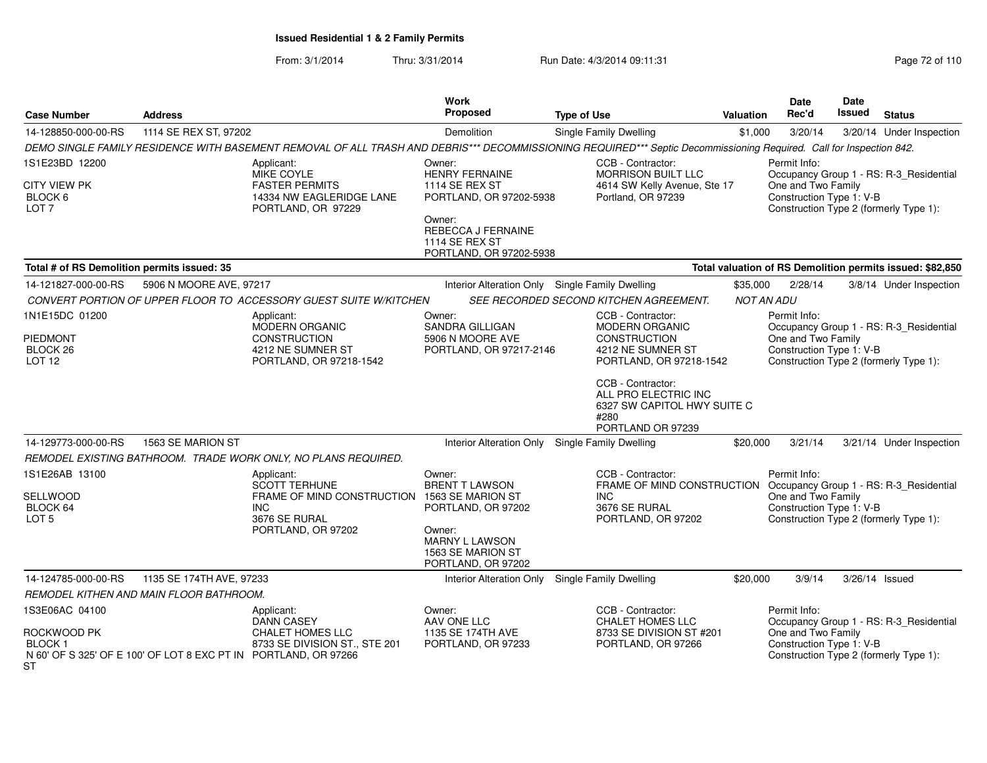From: 3/1/2014Thru: 3/31/2014 Run Date: 4/3/2014 09:11:31 Page 72 of 110

| <b>Case Number</b>                                                                                                               | <b>Address</b>                          |                                                                                                                                                                     | Work<br>Proposed                                                                                               | <b>Type of Use</b>                                                                                    | Valuation | <b>Date</b><br>Rec'd                                                                     | <b>Date</b><br><b>Issued</b> | <b>Status</b>                           |
|----------------------------------------------------------------------------------------------------------------------------------|-----------------------------------------|---------------------------------------------------------------------------------------------------------------------------------------------------------------------|----------------------------------------------------------------------------------------------------------------|-------------------------------------------------------------------------------------------------------|-----------|------------------------------------------------------------------------------------------|------------------------------|-----------------------------------------|
| 14-128850-000-00-RS                                                                                                              | 1114 SE REX ST, 97202                   |                                                                                                                                                                     | Demolition                                                                                                     | Single Family Dwelling                                                                                | \$1,000   | 3/20/14                                                                                  |                              | 3/20/14 Under Inspection                |
|                                                                                                                                  |                                         | DEMO SINGLE FAMILY RESIDENCE WITH BASEMENT REMOVAL OF ALL TRASH AND DEBRIS*** DECOMMISSIONING REQUIRED*** Septic Decommissioning Required. Call for Inspection 842. |                                                                                                                |                                                                                                       |           |                                                                                          |                              |                                         |
| 1S1E23BD 12200                                                                                                                   |                                         | Applicant:<br><b>MIKE COYLE</b>                                                                                                                                     | Owner:<br><b>HENRY FERNAINE</b>                                                                                | CCB - Contractor:<br><b>MORRISON BUILT LLC</b>                                                        |           | Permit Info:                                                                             |                              | Occupancy Group 1 - RS: R-3_Residential |
| <b>CITY VIEW PK</b><br>BLOCK 6<br>LOT <sub>7</sub>                                                                               |                                         | <b>FASTER PERMITS</b><br>14334 NW EAGLERIDGE LANE<br>PORTLAND, OR 97229                                                                                             | <b>1114 SE REX ST</b><br>PORTLAND, OR 97202-5938<br>Owner:                                                     | 4614 SW Kelly Avenue, Ste 17<br>Portland, OR 97239                                                    |           | One and Two Family<br>Construction Type 1: V-B<br>Construction Type 2 (formerly Type 1): |                              |                                         |
|                                                                                                                                  |                                         |                                                                                                                                                                     | REBECCA J FERNAINE<br><b>1114 SE REX ST</b><br>PORTLAND, OR 97202-5938                                         |                                                                                                       |           |                                                                                          |                              |                                         |
| Total valuation of RS Demolition permits issued: \$82,850<br>Total # of RS Demolition permits issued: 35                         |                                         |                                                                                                                                                                     |                                                                                                                |                                                                                                       |           |                                                                                          |                              |                                         |
| 14-121827-000-00-RS                                                                                                              | 5906 N MOORE AVE, 97217                 |                                                                                                                                                                     | Interior Alteration Only Single Family Dwelling                                                                |                                                                                                       | \$35,000  | 2/28/14                                                                                  |                              | 3/8/14 Under Inspection                 |
| CONVERT PORTION OF UPPER FLOOR TO ACCESSORY GUEST SUITE W/KITCHEN<br>SEE RECORDED SECOND KITCHEN AGREEMENT.<br><b>NOT AN ADU</b> |                                         |                                                                                                                                                                     |                                                                                                                |                                                                                                       |           |                                                                                          |                              |                                         |
| 1N1E15DC 01200                                                                                                                   |                                         | Applicant:<br>MODERN ORGANIC                                                                                                                                        | Owner:<br><b>SANDRA GILLIGAN</b>                                                                               | CCB - Contractor:<br><b>MODERN ORGANIC</b><br><b>CONSTRUCTION</b>                                     |           | Permit Info:                                                                             |                              | Occupancy Group 1 - RS: R-3_Residential |
| <b>PIEDMONT</b><br>BLOCK <sub>26</sub><br><b>LOT 12</b>                                                                          |                                         | <b>CONSTRUCTION</b><br>4212 NE SUMNER ST<br>PORTLAND, OR 97218-1542                                                                                                 | 5906 N MOORE AVE<br>PORTLAND, OR 97217-2146                                                                    | 4212 NE SUMNER ST<br>PORTLAND, OR 97218-1542                                                          |           | One and Two Family<br>Construction Type 1: V-B<br>Construction Type 2 (formerly Type 1): |                              |                                         |
|                                                                                                                                  |                                         |                                                                                                                                                                     |                                                                                                                | CCB - Contractor:<br>ALL PRO ELECTRIC INC<br>6327 SW CAPITOL HWY SUITE C<br>#280<br>PORTLAND OR 97239 |           |                                                                                          |                              |                                         |
| 14-129773-000-00-RS                                                                                                              | 1563 SE MARION ST                       |                                                                                                                                                                     | Interior Alteration Only Single Family Dwelling                                                                |                                                                                                       | \$20,000  | 3/21/14                                                                                  |                              | 3/21/14 Under Inspection                |
| REMODEL EXISTING BATHROOM. TRADE WORK ONLY, NO PLANS REQUIRED.                                                                   |                                         |                                                                                                                                                                     |                                                                                                                |                                                                                                       |           |                                                                                          |                              |                                         |
| 1S1E26AB 13100                                                                                                                   |                                         | Applicant:<br><b>SCOTT TERHUNE</b>                                                                                                                                  | Owner:<br><b>BRENT T LAWSON</b>                                                                                | CCB - Contractor:<br>FRAME OF MIND CONSTRUCTION Occupancy Group 1 - RS: R-3_Residential               |           | Permit Info:                                                                             |                              |                                         |
| SELLWOOD<br>BLOCK 64<br>LOT <sub>5</sub>                                                                                         |                                         | FRAME OF MIND CONSTRUCTION<br><b>INC</b><br>3676 SE RURAL<br>PORTLAND, OR 97202                                                                                     | 1563 SE MARION ST<br>PORTLAND, OR 97202<br>Owner:<br>MARNY L LAWSON<br>1563 SE MARION ST<br>PORTLAND, OR 97202 | INC.<br>3676 SE RURAL<br>PORTLAND, OR 97202                                                           |           | One and Two Family<br>Construction Type 1: V-B                                           |                              | Construction Type 2 (formerly Type 1):  |
| 1135 SE 174TH AVE, 97233<br>14-124785-000-00-RS                                                                                  |                                         |                                                                                                                                                                     | Interior Alteration Only                                                                                       | Single Family Dwelling                                                                                | \$20,000  | 3/9/14                                                                                   |                              | $3/26/14$ Issued                        |
|                                                                                                                                  | REMODEL KITHEN AND MAIN FLOOR BATHROOM. |                                                                                                                                                                     |                                                                                                                |                                                                                                       |           |                                                                                          |                              |                                         |
| 1S3E06AC 04100                                                                                                                   |                                         | Applicant:<br><b>DANN CASEY</b><br>CHALET HOMES LLC<br>8733 SE DIVISION ST., STE 201<br>N 60' OF S 325' OF E 100' OF LOT 8 EXC PT IN PORTLAND, OR 97266             | Owner:<br>AAV ONE LLC<br>1135 SE 174TH AVE<br>PORTLAND, OR 97233                                               | CCB - Contractor:<br><b>CHALET HOMES LLC</b><br>8733 SE DIVISION ST #201<br>PORTLAND, OR 97266        |           | Permit Info:<br>Occupancy Group 1 - RS: R-3 Residential                                  |                              |                                         |
| ROCKWOOD PK<br><b>BLOCK1</b><br>ST                                                                                               |                                         |                                                                                                                                                                     |                                                                                                                |                                                                                                       |           | One and Two Family<br>Construction Type 1: V-B<br>Construction Type 2 (formerly Type 1): |                              |                                         |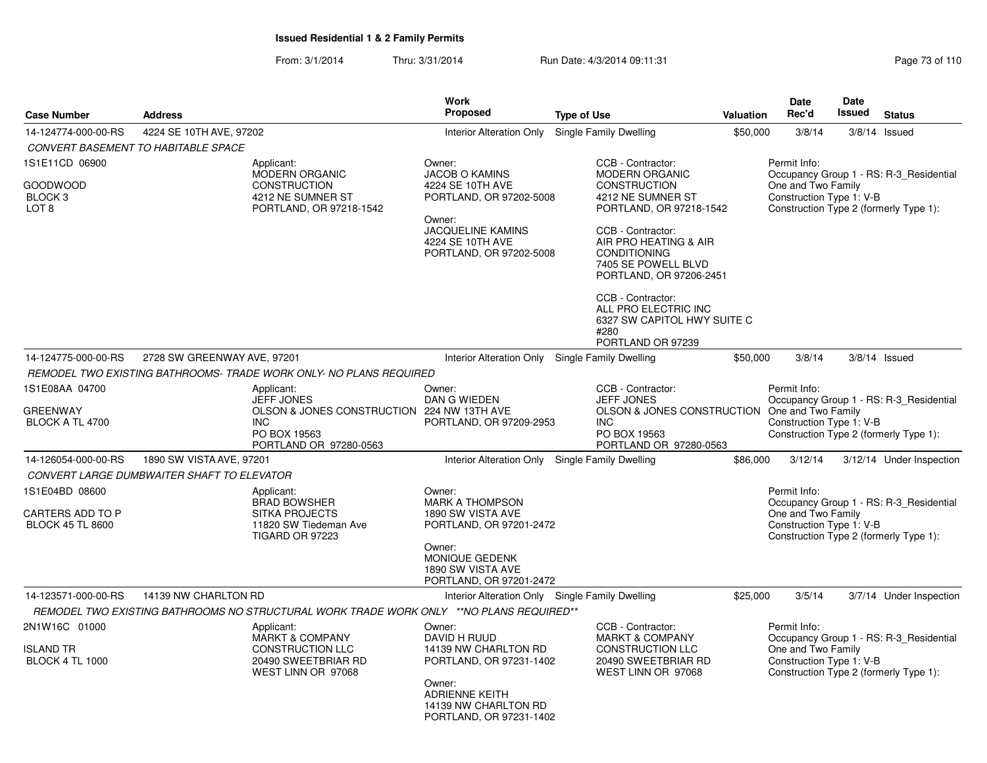From: 3/1/2014Thru: 3/31/2014 Run Date: 4/3/2014 09:11:31 Page 73 of 110

|                                                                      |                                            |                                                                                             | <b>Work</b>                                                                                                                           |                                                                                                                     |           | Date                                                           | <b>Date</b> |                                         |
|----------------------------------------------------------------------|--------------------------------------------|---------------------------------------------------------------------------------------------|---------------------------------------------------------------------------------------------------------------------------------------|---------------------------------------------------------------------------------------------------------------------|-----------|----------------------------------------------------------------|-------------|-----------------------------------------|
| <b>Case Number</b>                                                   | <b>Address</b>                             |                                                                                             | <b>Proposed</b>                                                                                                                       | <b>Type of Use</b>                                                                                                  | Valuation | Rec'd                                                          | Issued      | <b>Status</b>                           |
| 14-124774-000-00-RS                                                  | 4224 SE 10TH AVE, 97202                    |                                                                                             | <b>Interior Alteration Only</b>                                                                                                       | Single Family Dwelling                                                                                              | \$50,000  | 3/8/14                                                         |             | $3/8/14$ Issued                         |
|                                                                      | <b>CONVERT BASEMENT TO HABITABLE SPACE</b> |                                                                                             |                                                                                                                                       |                                                                                                                     |           |                                                                |             |                                         |
| 1S1E11CD 06900                                                       |                                            | Applicant:<br>MODERN ORGANIC                                                                | Owner:<br><b>JACOB O KAMINS</b>                                                                                                       | CCB - Contractor:<br><b>MODERN ORGANIC</b>                                                                          |           | Permit Info:                                                   |             | Occupancy Group 1 - RS: R-3_Residential |
| GOODWOOD<br>BLOCK <sub>3</sub><br>LOT <sub>8</sub>                   |                                            | <b>CONSTRUCTION</b><br>4212 NE SUMNER ST<br>PORTLAND, OR 97218-1542                         | 4224 SE 10TH AVE<br>PORTLAND, OR 97202-5008                                                                                           | <b>CONSTRUCTION</b><br>4212 NE SUMNER ST<br>PORTLAND, OR 97218-1542                                                 |           | One and Two Family<br>Construction Type 1: V-B                 |             | Construction Type 2 (formerly Type 1):  |
|                                                                      |                                            |                                                                                             | Owner:<br><b>JACQUELINE KAMINS</b><br>4224 SE 10TH AVE<br>PORTLAND, OR 97202-5008                                                     | CCB - Contractor:<br>AIR PRO HEATING & AIR<br><b>CONDITIONING</b><br>7405 SE POWELL BLVD<br>PORTLAND, OR 97206-2451 |           |                                                                |             |                                         |
|                                                                      |                                            |                                                                                             |                                                                                                                                       | CCB - Contractor:<br>ALL PRO ELECTRIC INC<br>6327 SW CAPITOL HWY SUITE C<br>#280<br>PORTLAND OR 97239               |           |                                                                |             |                                         |
| 14-124775-000-00-RS                                                  | 2728 SW GREENWAY AVE, 97201                |                                                                                             | Interior Alteration Only Single Family Dwelling                                                                                       |                                                                                                                     | \$50,000  | 3/8/14                                                         |             | $3/8/14$ Issued                         |
|                                                                      |                                            | REMODEL TWO EXISTING BATHROOMS-TRADE WORK ONLY- NO PLANS REQUIRED                           |                                                                                                                                       |                                                                                                                     |           |                                                                |             |                                         |
| 1S1E08AA 04700                                                       |                                            | Applicant:<br><b>JEFF JONES</b>                                                             | Owner:<br>DAN G WIEDEN                                                                                                                | CCB - Contractor:<br><b>JEFF JONES</b>                                                                              |           | Permit Info:                                                   |             | Occupancy Group 1 - RS: R-3 Residential |
| GREENWAY<br>BLOCK A TL 4700                                          |                                            | OLSON & JONES CONSTRUCTION 224 NW 13TH AVE<br>INC<br>PO BOX 19563<br>PORTLAND OR 97280-0563 | PORTLAND, OR 97209-2953                                                                                                               | OLSON & JONES CONSTRUCTION One and Two Family<br>INC<br>PO BOX 19563<br>PORTLAND OR 97280-0563                      |           | Construction Type 1: V-B                                       |             | Construction Type 2 (formerly Type 1):  |
| 14-126054-000-00-RS                                                  | 1890 SW VISTA AVE, 97201                   |                                                                                             | Interior Alteration Only Single Family Dwelling                                                                                       |                                                                                                                     | \$86,000  | 3/12/14                                                        |             | 3/12/14 Under Inspection                |
|                                                                      | CONVERT LARGE DUMBWAITER SHAFT TO ELEVATOR |                                                                                             |                                                                                                                                       |                                                                                                                     |           |                                                                |             |                                         |
| 1S1E04BD 08600<br><b>CARTERS ADD TO P</b><br><b>BLOCK 45 TL 8600</b> |                                            | Applicant:<br><b>BRAD BOWSHER</b><br><b>SITKA PROJECTS</b><br>11820 SW Tiedeman Ave         | Owner:<br><b>MARK A THOMPSON</b><br>1890 SW VISTA AVE<br>PORTLAND, OR 97201-2472                                                      |                                                                                                                     |           | Permit Info:<br>One and Two Family<br>Construction Type 1: V-B |             | Occupancy Group 1 - RS: R-3 Residential |
|                                                                      |                                            | <b>TIGARD OR 97223</b>                                                                      | Owner:<br>MONIQUE GEDENK<br>1890 SW VISTA AVE<br>PORTLAND, OR 97201-2472                                                              |                                                                                                                     |           |                                                                |             | Construction Type 2 (formerly Type 1):  |
| 14-123571-000-00-RS                                                  | 14139 NW CHARLTON RD                       | REMODEL TWO EXISTING BATHROOMS NO STRUCTURAL WORK TRADE WORK ONLY **NO PLANS REQUIRED**     | Interior Alteration Only Single Family Dwelling                                                                                       |                                                                                                                     | \$25,000  | 3/5/14                                                         |             | 3/7/14 Under Inspection                 |
| 2N1W16C 01000                                                        |                                            | Applicant:<br><b>MARKT &amp; COMPANY</b>                                                    | Owner:<br>DAVID H RUUD                                                                                                                | CCB - Contractor:<br><b>MARKT &amp; COMPANY</b>                                                                     |           | Permit Info:                                                   |             | Occupancy Group 1 - RS: R-3_Residential |
| ISLAND TR<br><b>BLOCK 4 TL 1000</b>                                  |                                            | <b>CONSTRUCTION LLC</b><br>20490 SWEETBRIAR RD<br>WEST LINN OR 97068                        | 14139 NW CHARLTON RD<br>PORTLAND, OR 97231-1402<br>Owner:<br><b>ADRIENNE KEITH</b><br>14139 NW CHARLTON RD<br>PORTLAND, OR 97231-1402 | <b>CONSTRUCTION LLC</b><br>20490 SWEETBRIAR RD<br>WEST LINN OR 97068                                                |           | One and Two Family<br>Construction Type 1: V-B                 |             | Construction Type 2 (formerly Type 1):  |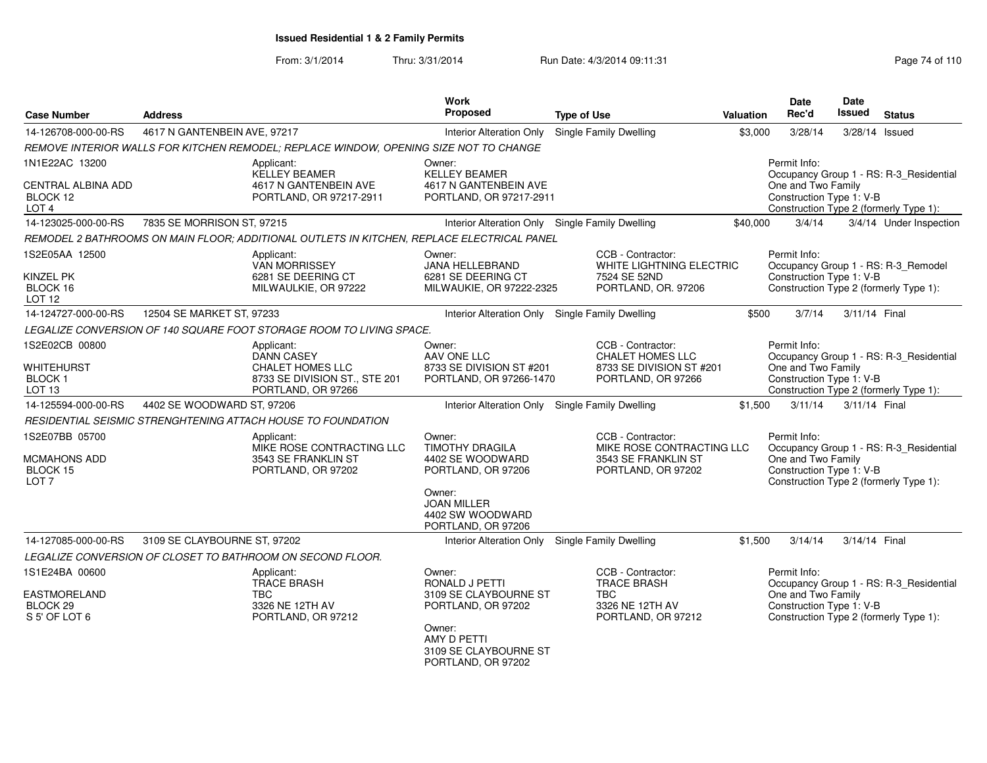From: 3/1/2014Thru: 3/31/2014 Run Date: 4/3/2014 09:11:31 Page 74 of 110

| <b>Case Number</b>                                                          | <b>Address</b>               |                                                                                                                   | Work<br><b>Proposed</b>                                                                                                                              | <b>Type of Use</b>                                                                             | Valuation | <b>Date</b><br>Rec'd                                           | Date<br><b>Issued</b> | <b>Status</b>                                                                     |
|-----------------------------------------------------------------------------|------------------------------|-------------------------------------------------------------------------------------------------------------------|------------------------------------------------------------------------------------------------------------------------------------------------------|------------------------------------------------------------------------------------------------|-----------|----------------------------------------------------------------|-----------------------|-----------------------------------------------------------------------------------|
| 14-126708-000-00-RS                                                         | 4617 N GANTENBEIN AVE, 97217 |                                                                                                                   | <b>Interior Alteration Only</b>                                                                                                                      | Single Family Dwelling                                                                         | \$3,000   | 3/28/14                                                        | 3/28/14               | Issued                                                                            |
|                                                                             |                              | REMOVE INTERIOR WALLS FOR KITCHEN REMODEL; REPLACE WINDOW, OPENING SIZE NOT TO CHANGE                             |                                                                                                                                                      |                                                                                                |           |                                                                |                       |                                                                                   |
| 1N1E22AC 13200<br><b>CENTRAL ALBINA ADD</b><br>BLOCK 12<br>LOT <sub>4</sub> |                              | Applicant:<br><b>KELLEY BEAMER</b><br>4617 N GANTENBEIN AVE<br>PORTLAND, OR 97217-2911                            | Owner:<br><b>KELLEY BEAMER</b><br>4617 N GANTENBEIN AVE<br>PORTLAND, OR 97217-2911                                                                   |                                                                                                |           | Permit Info:<br>One and Two Family<br>Construction Type 1: V-B |                       | Occupancy Group 1 - RS: R-3_Residential<br>Construction Type 2 (formerly Type 1): |
| 14-123025-000-00-RS                                                         | 7835 SE MORRISON ST, 97215   |                                                                                                                   | Interior Alteration Only Single Family Dwelling                                                                                                      |                                                                                                | \$40,000  | 3/4/14                                                         |                       | 3/4/14 Under Inspection                                                           |
|                                                                             |                              | REMODEL 2 BATHROOMS ON MAIN FLOOR; ADDITIONAL OUTLETS IN KITCHEN, REPLACE ELECTRICAL PANEL                        |                                                                                                                                                      |                                                                                                |           |                                                                |                       |                                                                                   |
| 1S2E05AA 12500<br><b>KINZEL PK</b><br>BLOCK 16<br><b>LOT 12</b>             |                              | Applicant:<br><b>VAN MORRISSEY</b><br>6281 SE DEERING CT<br>MILWAULKIE, OR 97222                                  | Owner:<br>JANA HELLEBRAND<br>6281 SE DEERING CT<br>MILWAUKIE, OR 97222-2325                                                                          | CCB - Contractor:<br>WHITE LIGHTNING ELECTRIC<br>7524 SE 52ND<br>PORTLAND, OR. 97206           |           | Permit Info:<br>Construction Type 1: V-B                       |                       | Occupancy Group 1 - RS: R-3_Remodel<br>Construction Type 2 (formerly Type 1):     |
| 14-124727-000-00-RS                                                         | 12504 SE MARKET ST, 97233    |                                                                                                                   | Interior Alteration Only Single Family Dwelling                                                                                                      |                                                                                                | \$500     | 3/7/14                                                         | 3/11/14 Final         |                                                                                   |
|                                                                             |                              | LEGALIZE CONVERSION OF 140 SQUARE FOOT STORAGE ROOM TO LIVING SPACE.                                              |                                                                                                                                                      |                                                                                                |           |                                                                |                       |                                                                                   |
| 1S2E02CB 00800<br><b>WHITEHURST</b><br>BLOCK 1<br>LOT <sub>13</sub>         |                              | Applicant:<br><b>DANN CASEY</b><br><b>CHALET HOMES LLC</b><br>8733 SE DIVISION ST., STE 201<br>PORTLAND, OR 97266 | Owner:<br>AAV ONE LLC<br>8733 SE DIVISION ST #201<br>PORTLAND, OR 97266-1470                                                                         | CCB - Contractor:<br>CHALET HOMES LLC<br>8733 SE DIVISION ST #201<br>PORTLAND, OR 97266        |           | Permit Info:<br>One and Two Family<br>Construction Type 1: V-B |                       | Occupancy Group 1 - RS: R-3_Residential<br>Construction Type 2 (formerly Type 1): |
| 14-125594-000-00-RS                                                         | 4402 SE WOODWARD ST, 97206   |                                                                                                                   | Interior Alteration Only Single Family Dwelling                                                                                                      |                                                                                                | \$1,500   | 3/11/14                                                        | 3/11/14 Final         |                                                                                   |
|                                                                             |                              | RESIDENTIAL SEISMIC STRENGHTENING ATTACH HOUSE TO FOUNDATION                                                      |                                                                                                                                                      |                                                                                                |           |                                                                |                       |                                                                                   |
| 1S2E07BB 05700<br><b>MCMAHONS ADD</b><br>BLOCK 15<br>LOT <sub>7</sub>       |                              | Applicant:<br>MIKE ROSE CONTRACTING LLC<br>3543 SE FRANKLIN ST<br>PORTLAND, OR 97202                              | Owner:<br><b>TIMOTHY DRAGILA</b><br>4402 SE WOODWARD<br>PORTLAND, OR 97206<br>Owner:<br><b>JOAN MILLER</b><br>4402 SW WOODWARD<br>PORTLAND, OR 97206 | CCB - Contractor:<br>MIKE ROSE CONTRACTING LLC<br>3543 SE FRANKLIN ST<br>PORTLAND, OR 97202    |           | Permit Info:<br>One and Two Family<br>Construction Type 1: V-B |                       | Occupancy Group 1 - RS: R-3_Residential<br>Construction Type 2 (formerly Type 1): |
| 14-127085-000-00-RS                                                         | 3109 SE CLAYBOURNE ST, 97202 |                                                                                                                   | Interior Alteration Only                                                                                                                             | Single Family Dwelling                                                                         | \$1,500   | 3/14/14                                                        | 3/14/14 Final         |                                                                                   |
|                                                                             |                              | LEGALIZE CONVERSION OF CLOSET TO BATHROOM ON SECOND FLOOR.                                                        |                                                                                                                                                      |                                                                                                |           |                                                                |                       |                                                                                   |
| 1S1E24BA 00600<br>EASTMORELAND<br>BLOCK <sub>29</sub><br>S 5' OF LOT 6      |                              | Applicant:<br><b>TRACE BRASH</b><br><b>TBC</b><br>3326 NE 12TH AV<br>PORTLAND, OR 97212                           | Owner:<br>RONALD J PETTI<br>3109 SE CLAYBOURNE ST<br>PORTLAND, OR 97202<br>Owner:<br>AMY D PETTI<br>3109 SE CLAYBOURNE ST<br>PORTLAND, OR 97202      | CCB - Contractor:<br><b>TRACE BRASH</b><br><b>TBC</b><br>3326 NE 12TH AV<br>PORTLAND, OR 97212 |           | Permit Info:<br>One and Two Family<br>Construction Type 1: V-B |                       | Occupancy Group 1 - RS: R-3_Residential<br>Construction Type 2 (formerly Type 1): |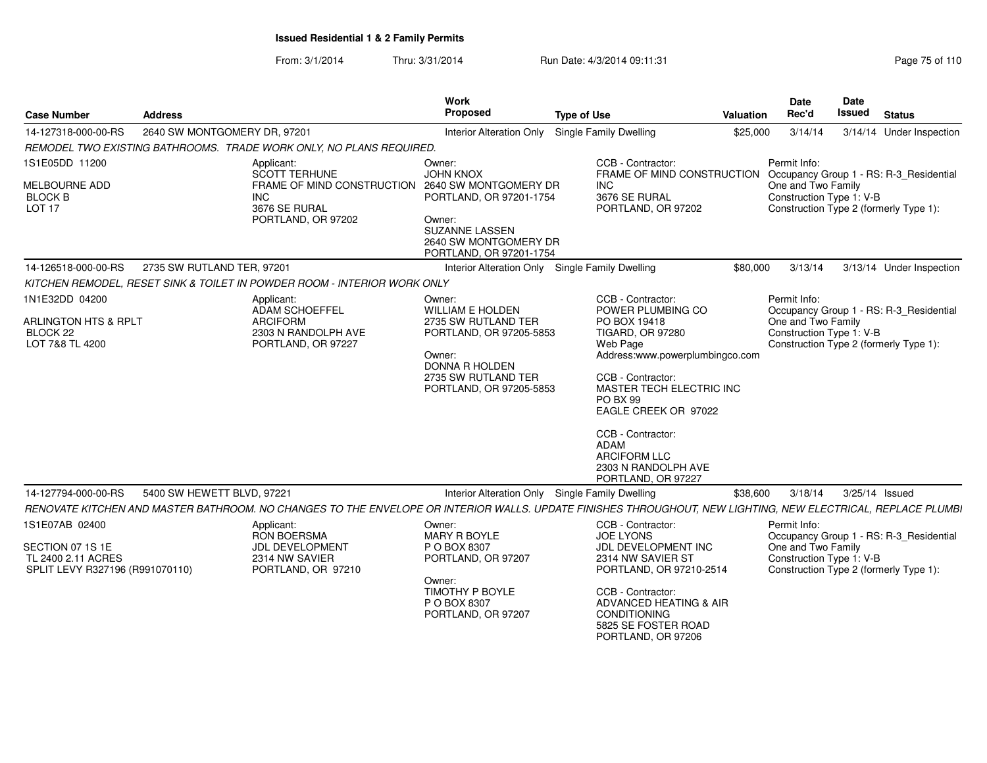From: 3/1/2014Thru: 3/31/2014 Run Date: 4/3/2014 09:11:31

| Page 75 of 110 |
|----------------|
|----------------|

| <b>Case Number</b>                                                                          | <b>Address</b>               |                                                                                                                                                              | Work<br>Proposed                                                                                                                                                  | <b>Type of Use</b>                                                                                                                                                                                                                                                                                                            | <b>Valuation</b> | Date<br>Rec'd                                                                                            | Date<br><b>Issued</b> | <b>Status</b>                                                                     |
|---------------------------------------------------------------------------------------------|------------------------------|--------------------------------------------------------------------------------------------------------------------------------------------------------------|-------------------------------------------------------------------------------------------------------------------------------------------------------------------|-------------------------------------------------------------------------------------------------------------------------------------------------------------------------------------------------------------------------------------------------------------------------------------------------------------------------------|------------------|----------------------------------------------------------------------------------------------------------|-----------------------|-----------------------------------------------------------------------------------|
| 14-127318-000-00-RS                                                                         | 2640 SW MONTGOMERY DR, 97201 |                                                                                                                                                              | <b>Interior Alteration Only</b>                                                                                                                                   | <b>Single Family Dwelling</b>                                                                                                                                                                                                                                                                                                 | \$25,000         | 3/14/14                                                                                                  |                       | 3/14/14 Under Inspection                                                          |
|                                                                                             |                              | REMODEL TWO EXISTING BATHROOMS. TRADE WORK ONLY, NO PLANS REQUIRED.                                                                                          |                                                                                                                                                                   |                                                                                                                                                                                                                                                                                                                               |                  |                                                                                                          |                       |                                                                                   |
| 1S1E05DD 11200<br>MELBOURNE ADD<br><b>BLOCK B</b><br><b>LOT 17</b>                          |                              | Applicant:<br><b>SCOTT TERHUNE</b><br>FRAME OF MIND CONSTRUCTION<br><b>INC</b><br>3676 SE RURAL<br>PORTLAND, OR 97202                                        | Owner:<br><b>JOHN KNOX</b><br>2640 SW MONTGOMERY DR<br>PORTLAND, OR 97201-1754<br>Owner:<br>SUZANNE LASSEN<br>2640 SW MONTGOMERY DR<br>PORTLAND, OR 97201-1754    | CCB - Contractor:<br>FRAME OF MIND CONSTRUCTION<br>INC.<br>3676 SE RURAL<br>PORTLAND, OR 97202                                                                                                                                                                                                                                |                  | Permit Info:<br>One and Two Family<br>Construction Type 1: V-B                                           |                       | Occupancy Group 1 - RS: R-3_Residential<br>Construction Type 2 (formerly Type 1): |
| 14-126518-000-00-RS                                                                         | 2735 SW RUTLAND TER, 97201   |                                                                                                                                                              |                                                                                                                                                                   | Interior Alteration Only Single Family Dwelling                                                                                                                                                                                                                                                                               | \$80,000         | 3/13/14                                                                                                  |                       | 3/13/14 Under Inspection                                                          |
|                                                                                             |                              | KITCHEN REMODEL, RESET SINK & TOILET IN POWDER ROOM - INTERIOR WORK ONLY                                                                                     |                                                                                                                                                                   |                                                                                                                                                                                                                                                                                                                               |                  |                                                                                                          |                       |                                                                                   |
| 1N1E32DD 04200<br>ARLINGTON HTS & RPLT<br>BLOCK 22<br>LOT 7&8 TL 4200                       |                              | Applicant:<br>ADAM SCHOEFFEL<br><b>ARCIFORM</b><br>2303 N RANDOLPH AVE<br>PORTLAND, OR 97227                                                                 | Owner:<br><b>WILLIAM E HOLDEN</b><br>2735 SW RUTLAND TER<br>PORTLAND, OR 97205-5853<br>Owner:<br>DONNA R HOLDEN<br>2735 SW RUTLAND TER<br>PORTLAND, OR 97205-5853 | CCB - Contractor:<br>POWER PLUMBING CO<br>PO BOX 19418<br><b>TIGARD, OR 97280</b><br>Web Page<br>Address:www.powerplumbingco.com<br>CCB - Contractor:<br>MASTER TECH ELECTRIC INC<br>PO BX 99<br>EAGLE CREEK OR 97022<br>CCB - Contractor:<br><b>ADAM</b><br><b>ARCIFORM LLC</b><br>2303 N RANDOLPH AVE<br>PORTLAND, OR 97227 |                  | Permit Info:<br>One and Two Family<br>Construction Type 1: V-B                                           |                       | Occupancy Group 1 - RS: R-3 Residential<br>Construction Type 2 (formerly Type 1): |
| 14-127794-000-00-RS                                                                         | 5400 SW HEWETT BLVD, 97221   |                                                                                                                                                              |                                                                                                                                                                   | Interior Alteration Only Single Family Dwelling                                                                                                                                                                                                                                                                               | \$38,600         | 3/18/14                                                                                                  | 3/25/14 Issued        |                                                                                   |
|                                                                                             |                              | RENOVATE KITCHEN AND MASTER BATHROOM. NO CHANGES TO THE ENVELOPE OR INTERIOR WALLS. UPDATE FINISHES THROUGHOUT, NEW LIGHTING, NEW ELECTRICAL, REPLACE PLUMBI |                                                                                                                                                                   |                                                                                                                                                                                                                                                                                                                               |                  |                                                                                                          |                       |                                                                                   |
| 1S1E07AB 02400<br>SECTION 07 1S 1E<br>TL 2400 2.11 ACRES<br>SPLIT LEVY R327196 (R991070110) |                              | Applicant:<br><b>RON BOERSMA</b><br>JDL DEVELOPMENT<br>2314 NW SAVIER<br>PORTLAND, OR 97210                                                                  | Owner:<br>MARY R BOYLE<br>P O BOX 8307<br>PORTLAND, OR 97207<br>Owner:<br><b>TIMOTHY P BOYLE</b><br>P O BOX 8307<br>PORTLAND, OR 97207                            | CCB - Contractor:<br><b>JOE LYONS</b><br>JDL DEVELOPMENT INC<br>2314 NW SAVIER ST<br>PORTLAND, OR 97210-2514<br>CCB - Contractor:<br>ADVANCED HEATING & AIR<br><b>CONDITIONING</b><br>5825 SE FOSTER ROAD<br>PORTLAND, OR 97206                                                                                               |                  | Permit Info:<br>One and Two Family<br>Construction Type 1: V-B<br>Construction Type 2 (formerly Type 1): |                       | Occupancy Group 1 - RS: R-3 Residential                                           |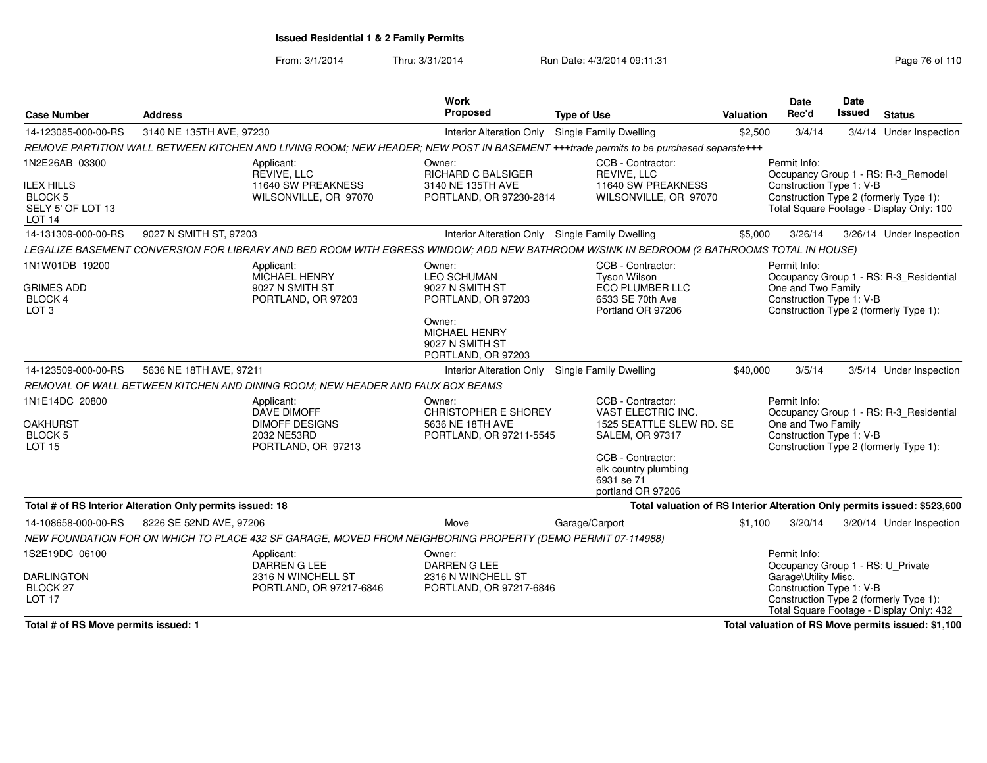From: 3/1/2014Thru: 3/31/2014 Run Date: 4/3/2014 09:11:31 Page 76 of 110

| <b>Case Number</b>                                                                              | <b>Address</b>                                                                                                                            | Work<br><b>Proposed</b>                                                                                                    | <b>Type of Use</b>                                                                                                                                                            | Valuation | <b>Date</b><br>Rec'd                                                                                  | <b>Date</b><br><b>Issued</b> | <b>Status</b>                                                                                                             |
|-------------------------------------------------------------------------------------------------|-------------------------------------------------------------------------------------------------------------------------------------------|----------------------------------------------------------------------------------------------------------------------------|-------------------------------------------------------------------------------------------------------------------------------------------------------------------------------|-----------|-------------------------------------------------------------------------------------------------------|------------------------------|---------------------------------------------------------------------------------------------------------------------------|
| 14-123085-000-00-RS                                                                             | 3140 NE 135TH AVE, 97230                                                                                                                  | <b>Interior Alteration Only</b>                                                                                            | Single Family Dwelling                                                                                                                                                        | \$2,500   | 3/4/14                                                                                                |                              | 3/4/14 Under Inspection                                                                                                   |
|                                                                                                 | REMOVE PARTITION WALL BETWEEN KITCHEN AND LIVING ROOM; NEW HEADER; NEW POST IN BASEMENT +++trade permits to be purchased separate+++      |                                                                                                                            |                                                                                                                                                                               |           |                                                                                                       |                              |                                                                                                                           |
| 1N2E26AB 03300<br><b>ILEX HILLS</b><br><b>BLOCK 5</b><br>SELY 5' OF LOT 13<br>LOT <sub>14</sub> | Applicant:<br>REVIVE, LLC<br>11640 SW PREAKNESS<br>WILSONVILLE, OR 97070                                                                  | Owner:<br><b>RICHARD C BALSIGER</b><br>3140 NE 135TH AVE<br>PORTLAND, OR 97230-2814                                        | CCB - Contractor:<br>REVIVE, LLC<br>11640 SW PREAKNESS<br>WILSONVILLE, OR 97070                                                                                               |           | Permit Info:<br>Construction Type 1: V-B                                                              |                              | Occupancy Group 1 - RS: R-3_Remodel<br>Construction Type 2 (formerly Type 1):<br>Total Square Footage - Display Only: 100 |
| 14-131309-000-00-RS                                                                             | 9027 N SMITH ST, 97203                                                                                                                    | Interior Alteration Only Single Family Dwelling                                                                            |                                                                                                                                                                               | \$5,000   | 3/26/14                                                                                               |                              | 3/26/14 Under Inspection                                                                                                  |
|                                                                                                 | LEGALIZE BASEMENT CONVERSION FOR LIBRARY AND BED ROOM WITH EGRESS WINDOW; ADD NEW BATHROOM W/SINK IN BEDROOM (2 BATHROOMS TOTAL IN HOUSE) |                                                                                                                            |                                                                                                                                                                               |           |                                                                                                       |                              |                                                                                                                           |
| 1N1W01DB 19200<br><b>GRIMES ADD</b><br>BLOCK 4<br>LOT <sub>3</sub>                              | Applicant:<br><b>MICHAEL HENRY</b><br>9027 N SMITH ST<br>PORTLAND, OR 97203                                                               | Owner:<br><b>LEO SCHUMAN</b><br>9027 N SMITH ST<br>PORTLAND, OR 97203<br>Owner:<br><b>MICHAEL HENRY</b><br>9027 N SMITH ST | CCB - Contractor:<br><b>Tyson Wilson</b><br>ECO PLUMBER LLC<br>6533 SE 70th Ave<br>Portland OR 97206                                                                          |           | Permit Info:<br>One and Two Family<br>Construction Type 1: V-B                                        |                              | Occupancy Group 1 - RS: R-3 Residential<br>Construction Type 2 (formerly Type 1):                                         |
|                                                                                                 |                                                                                                                                           | PORTLAND, OR 97203                                                                                                         |                                                                                                                                                                               |           |                                                                                                       |                              |                                                                                                                           |
| 14-123509-000-00-RS                                                                             | 5636 NE 18TH AVE, 97211                                                                                                                   | <b>Interior Alteration Only</b>                                                                                            | Single Family Dwelling                                                                                                                                                        | \$40,000  | 3/5/14                                                                                                |                              | 3/5/14 Under Inspection                                                                                                   |
|                                                                                                 | REMOVAL OF WALL BETWEEN KITCHEN AND DINING ROOM: NEW HEADER AND FAUX BOX BEAMS                                                            |                                                                                                                            |                                                                                                                                                                               |           |                                                                                                       |                              |                                                                                                                           |
| 1N1E14DC 20800<br><b>OAKHURST</b><br><b>BLOCK 5</b><br><b>LOT 15</b>                            | Applicant:<br><b>DAVE DIMOFF</b><br><b>DIMOFF DESIGNS</b><br>2032 NE53RD<br>PORTLAND, OR 97213                                            | Owner:<br><b>CHRISTOPHER E SHOREY</b><br>5636 NE 18TH AVE<br>PORTLAND, OR 97211-5545                                       | CCB - Contractor:<br>VAST ELECTRIC INC.<br>1525 SEATTLE SLEW RD. SE<br><b>SALEM, OR 97317</b><br>CCB - Contractor:<br>elk country plumbing<br>6931 se 71<br>portland OR 97206 |           | Permit Info:<br>One and Two Family<br>Construction Type 1: V-B                                        |                              | Occupancy Group 1 - RS: R-3_Residential<br>Construction Type 2 (formerly Type 1):                                         |
|                                                                                                 | Total # of RS Interior Alteration Only permits issued: 18                                                                                 |                                                                                                                            | Total valuation of RS Interior Alteration Only permits issued: \$523,600                                                                                                      |           |                                                                                                       |                              |                                                                                                                           |
| 14-108658-000-00-RS                                                                             | 8226 SE 52ND AVE, 97206                                                                                                                   | Move                                                                                                                       | Garage/Carport                                                                                                                                                                | \$1.100   | 3/20/14                                                                                               |                              | 3/20/14 Under Inspection                                                                                                  |
|                                                                                                 | NEW FOUNDATION FOR ON WHICH TO PLACE 432 SF GARAGE, MOVED FROM NEIGHBORING PROPERTY (DEMO PERMIT 07-114988)                               |                                                                                                                            |                                                                                                                                                                               |           |                                                                                                       |                              |                                                                                                                           |
| 1S2E19DC 06100<br><b>DARLINGTON</b><br>BLOCK <sub>27</sub><br>LOT <sub>17</sub>                 | Applicant:<br>DARREN G LEE<br>2316 N WINCHELL ST<br>PORTLAND, OR 97217-6846                                                               | Owner:<br><b>DARREN G LEE</b><br>2316 N WINCHELL ST<br>PORTLAND, OR 97217-6846                                             |                                                                                                                                                                               |           | Permit Info:<br>Occupancy Group 1 - RS: U_Private<br>Garage\Utility Misc.<br>Construction Type 1: V-B |                              | Construction Type 2 (formerly Type 1):<br>Total Square Footage - Display Only: 432                                        |

**Total # of RS Move permits issued: 1**

**Total valuation of RS Move permits issued: \$1,100**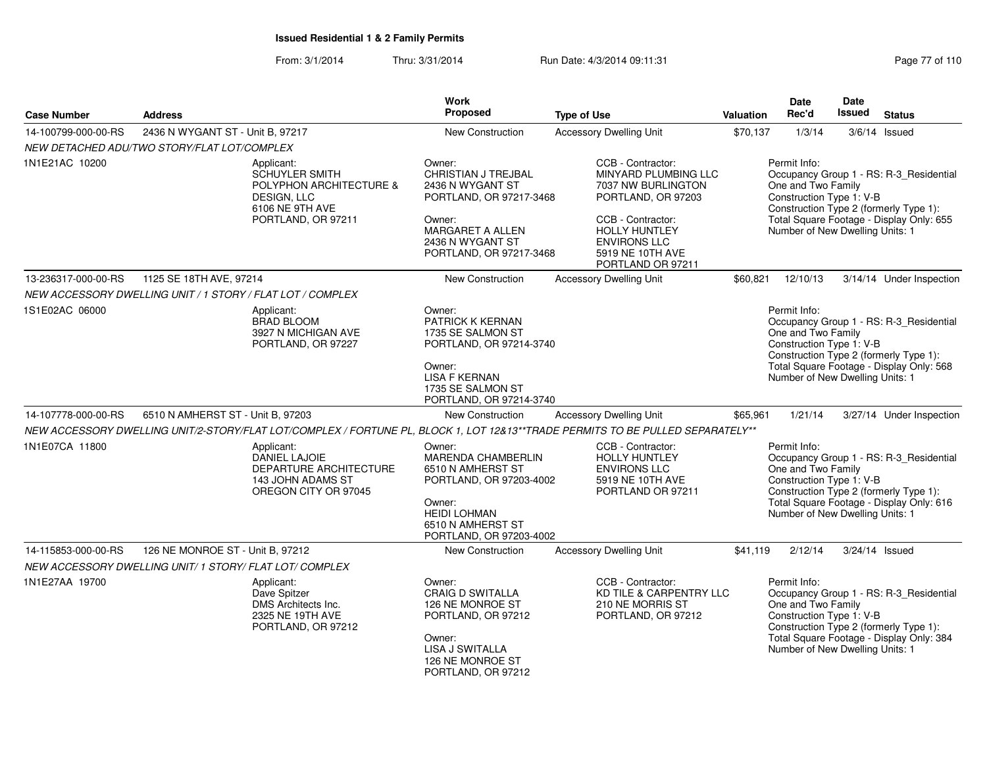From: 3/1/2014Thru: 3/31/2014 Run Date: 4/3/2014 09:11:31 Page 77 of 110

| <b>Case Number</b>  | <b>Address</b>                                          |                                                                                                                        | Work<br>Proposed                                                                                                                                                     | <b>Type of Use</b>                                                                                                                                                                          | <b>Valuation</b> | Date<br>Rec'd                                                                                     | Date<br><b>Issued</b> | <b>Status</b>                                                                                                                 |
|---------------------|---------------------------------------------------------|------------------------------------------------------------------------------------------------------------------------|----------------------------------------------------------------------------------------------------------------------------------------------------------------------|---------------------------------------------------------------------------------------------------------------------------------------------------------------------------------------------|------------------|---------------------------------------------------------------------------------------------------|-----------------------|-------------------------------------------------------------------------------------------------------------------------------|
| 14-100799-000-00-RS | 2436 N WYGANT ST - Unit B, 97217                        |                                                                                                                        | New Construction                                                                                                                                                     | <b>Accessory Dwelling Unit</b>                                                                                                                                                              | \$70,137         | 1/3/14                                                                                            |                       | $3/6/14$ Issued                                                                                                               |
|                     | NEW DETACHED ADU/TWO STORY/FLAT LOT/COMPLEX             |                                                                                                                        |                                                                                                                                                                      |                                                                                                                                                                                             |                  |                                                                                                   |                       |                                                                                                                               |
| 1N1E21AC 10200      |                                                         | Applicant:<br>SCHUYLER SMITH<br>POLYPHON ARCHITECTURE &<br><b>DESIGN, LLC</b><br>6106 NE 9TH AVE<br>PORTLAND, OR 97211 | Owner:<br>CHRISTIAN J TREJBAL<br>2436 N WYGANT ST<br>PORTLAND, OR 97217-3468<br>Owner:<br>MARGARET A ALLEN<br>2436 N WYGANT ST<br>PORTLAND, OR 97217-3468            | CCB - Contractor:<br>MINYARD PLUMBING LLC<br>7037 NW BURLINGTON<br>PORTLAND, OR 97203<br>CCB - Contractor:<br>HOLLY HUNTLEY<br><b>ENVIRONS LLC</b><br>5919 NE 10TH AVE<br>PORTLAND OR 97211 |                  | Permit Info:<br>One and Two Family<br>Construction Type 1: V-B<br>Number of New Dwelling Units: 1 |                       | Occupancy Group 1 - RS: R-3_Residential<br>Construction Type 2 (formerly Type 1):<br>Total Square Footage - Display Only: 655 |
| 13-236317-000-00-RS | 1125 SE 18TH AVE, 97214                                 |                                                                                                                        | New Construction                                                                                                                                                     | <b>Accessory Dwelling Unit</b>                                                                                                                                                              | \$60,821         | 12/10/13                                                                                          |                       | 3/14/14 Under Inspection                                                                                                      |
|                     |                                                         | NEW ACCESSORY DWELLING UNIT / 1 STORY / FLAT LOT / COMPLEX                                                             |                                                                                                                                                                      |                                                                                                                                                                                             |                  |                                                                                                   |                       |                                                                                                                               |
| 1S1E02AC 06000      |                                                         | Applicant:<br><b>BRAD BLOOM</b><br>3927 N MICHIGAN AVE<br>PORTLAND, OR 97227                                           | Owner:<br>PATRICK K KERNAN<br>1735 SE SALMON ST<br>PORTLAND, OR 97214-3740<br>Owner:<br><b>LISA F KERNAN</b>                                                         |                                                                                                                                                                                             |                  | Permit Info:<br>One and Two Family<br>Construction Type 1: V-B<br>Number of New Dwelling Units: 1 |                       | Occupancy Group 1 - RS: R-3_Residential<br>Construction Type 2 (formerly Type 1):<br>Total Square Footage - Display Only: 568 |
|                     |                                                         |                                                                                                                        | 1735 SE SALMON ST<br>PORTLAND, OR 97214-3740                                                                                                                         |                                                                                                                                                                                             |                  |                                                                                                   |                       |                                                                                                                               |
| 14-107778-000-00-RS | 6510 N AMHERST ST - Unit B, 97203                       |                                                                                                                        | New Construction                                                                                                                                                     | <b>Accessory Dwelling Unit</b>                                                                                                                                                              | \$65,961         | 1/21/14                                                                                           |                       | 3/27/14 Under Inspection                                                                                                      |
|                     |                                                         |                                                                                                                        |                                                                                                                                                                      | NEW ACCESSORY DWELLING UNIT/2-STORY/FLAT LOT/COMPLEX / FORTUNE PL, BLOCK 1, LOT 12&13**TRADE PERMITS TO BE PULLED SEPARATELY**                                                              |                  |                                                                                                   |                       |                                                                                                                               |
| 1N1E07CA 11800      |                                                         | Applicant:<br>DANIEL LAJOIE<br>DEPARTURE ARCHITECTURE<br>143 JOHN ADAMS ST<br>OREGON CITY OR 97045                     | Owner:<br><b>MARENDA CHAMBERLIN</b><br>6510 N AMHERST ST<br>PORTLAND, OR 97203-4002<br>Owner:<br><b>HEIDI LOHMAN</b><br>6510 N AMHERST ST<br>PORTLAND, OR 97203-4002 | CCB - Contractor:<br><b>HOLLY HUNTLEY</b><br><b>ENVIRONS LLC</b><br>5919 NE 10TH AVE<br>PORTLAND OR 97211                                                                                   |                  | Permit Info:<br>One and Two Family<br>Construction Type 1: V-B<br>Number of New Dwelling Units: 1 |                       | Occupancy Group 1 - RS: R-3_Residential<br>Construction Type 2 (formerly Type 1):<br>Total Square Footage - Display Only: 616 |
| 14-115853-000-00-RS | 126 NE MONROE ST - Unit B, 97212                        |                                                                                                                        | New Construction                                                                                                                                                     | <b>Accessory Dwelling Unit</b>                                                                                                                                                              | \$41,119         | 2/12/14                                                                                           |                       | 3/24/14 Issued                                                                                                                |
|                     | NEW ACCESSORY DWELLING UNIT/ 1 STORY/ FLAT LOT/ COMPLEX |                                                                                                                        |                                                                                                                                                                      |                                                                                                                                                                                             |                  |                                                                                                   |                       |                                                                                                                               |
| 1N1E27AA 19700      |                                                         | Applicant:<br>Dave Spitzer<br>DMS Architects Inc.<br>2325 NE 19TH AVE<br>PORTLAND, OR 97212                            | Owner:<br><b>CRAIG D SWITALLA</b><br>126 NE MONROE ST<br>PORTLAND, OR 97212<br>Owner:<br>LISA J SWITALLA<br>126 NE MONROE ST<br>PORTLAND, OR 97212                   | CCB - Contractor:<br>KD TILE & CARPENTRY LLC<br>210 NE MORRIS ST<br>PORTLAND, OR 97212                                                                                                      |                  | Permit Info:<br>One and Two Family<br>Construction Type 1: V-B<br>Number of New Dwelling Units: 1 |                       | Occupancy Group 1 - RS: R-3_Residential<br>Construction Type 2 (formerly Type 1):<br>Total Square Footage - Display Only: 384 |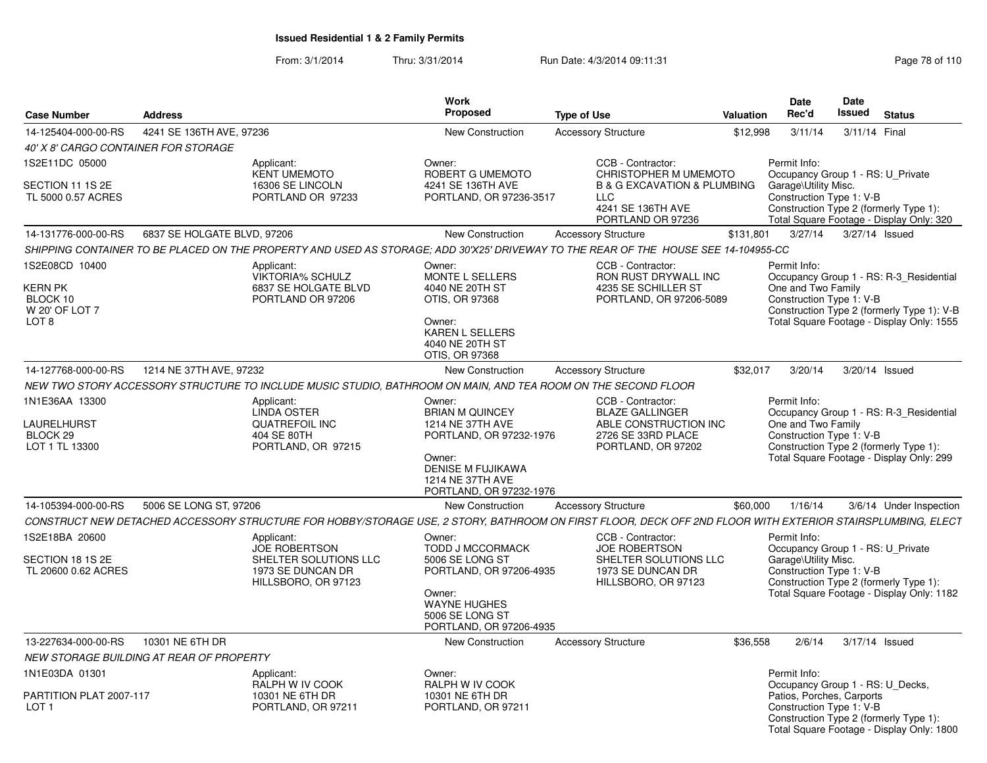From: 3/1/2014Thru: 3/31/2014 Run Date: 4/3/2014 09:11:31 Research 2010 Rage 78 of 110

| <b>Case Number</b>                                               | <b>Address</b>              |                                                                                                                                                            | <b>Work</b><br>Proposed                                                                                                                                              | <b>Type of Use</b>                                                                                                          | <b>Valuation</b> | Date<br>Rec'd                                                         | Date<br>Issued | <b>Status</b>                                                                                                                      |
|------------------------------------------------------------------|-----------------------------|------------------------------------------------------------------------------------------------------------------------------------------------------------|----------------------------------------------------------------------------------------------------------------------------------------------------------------------|-----------------------------------------------------------------------------------------------------------------------------|------------------|-----------------------------------------------------------------------|----------------|------------------------------------------------------------------------------------------------------------------------------------|
| 14-125404-000-00-RS                                              | 4241 SE 136TH AVE, 97236    |                                                                                                                                                            | New Construction                                                                                                                                                     | <b>Accessory Structure</b>                                                                                                  | \$12,998         | 3/11/14                                                               |                | 3/11/14 Final                                                                                                                      |
| <i>40' X 8' CARGO CONTAINER FOR STORAGE</i>                      |                             |                                                                                                                                                            |                                                                                                                                                                      |                                                                                                                             |                  |                                                                       |                |                                                                                                                                    |
| IS2E11DC 05000                                                   |                             | Applicant:                                                                                                                                                 | Owner:                                                                                                                                                               | CCB - Contractor:                                                                                                           |                  | Permit Info:                                                          |                |                                                                                                                                    |
| SECTION 11 1S 2E<br>TL 5000 0.57 ACRES                           |                             | <b>KENT UMEMOTO</b><br>16306 SE LINCOLN<br>PORTLAND OR 97233                                                                                               | ROBERT G UMEMOTO<br>4241 SE 136TH AVE<br>PORTLAND, OR 97236-3517                                                                                                     | CHRISTOPHER M UMEMOTO<br><b>B &amp; G EXCAVATION &amp; PLUMBING</b><br><b>LLC</b><br>4241 SE 136TH AVE<br>PORTLAND OR 97236 |                  | Garage\Utility Misc.<br>Construction Type 1: V-B                      |                | Occupancy Group 1 - RS: U_Private<br>Construction Type 2 (formerly Type 1):<br>Total Square Footage - Display Only: 320            |
| 14-131776-000-00-RS                                              | 6837 SE HOLGATE BLVD, 97206 |                                                                                                                                                            | <b>New Construction</b>                                                                                                                                              | <b>Accessory Structure</b>                                                                                                  | \$131,801        | 3/27/14                                                               |                | 3/27/14 Issued                                                                                                                     |
|                                                                  |                             | SHIPPING CONTAINER TO BE PLACED ON THE PROPERTY AND USED AS STORAGE: ADD 30'X25' DRIVEWAY TO THE REAR OF THE HOUSE SEE 14-104955-CC                        |                                                                                                                                                                      |                                                                                                                             |                  |                                                                       |                |                                                                                                                                    |
| 1S2E08CD 10400<br>KERN PK<br>BLOCK 10<br>W 20' OF LOT 7<br>LOT 8 |                             | Applicant:<br><b>VIKTORIA% SCHULZ</b><br>6837 SE HOLGATE BLVD<br>PORTLAND OR 97206                                                                         | Owner:<br>MONTE L SELLERS<br>4040 NE 20TH ST<br>OTIS, OR 97368<br>Owner:<br>KAREN L SELLERS<br>4040 NE 20TH ST<br>OTIS, OR 97368                                     | CCB - Contractor:<br>RON RUST DRYWALL INC<br>4235 SE SCHILLER ST<br>PORTLAND, OR 97206-5089                                 |                  | Permit Info:<br>One and Two Family<br>Construction Type 1: V-B        |                | Occupancy Group 1 - RS: R-3_Residential<br>Construction Type 2 (formerly Type 1): V-B<br>Total Square Footage - Display Only: 1555 |
| 14-127768-000-00-RS                                              | 1214 NE 37TH AVE, 97232     |                                                                                                                                                            | New Construction                                                                                                                                                     | <b>Accessory Structure</b>                                                                                                  | \$32,017         | 3/20/14                                                               |                | 3/20/14 Issued                                                                                                                     |
|                                                                  |                             | NEW TWO STORY ACCESSORY STRUCTURE TO INCLUDE MUSIC STUDIO, BATHROOM ON MAIN, AND TEA ROOM ON THE SECOND FLOOR                                              |                                                                                                                                                                      |                                                                                                                             |                  |                                                                       |                |                                                                                                                                    |
| 1N1E36AA 13300<br>LAURELHURST<br>BLOCK 29<br>LOT 1 TL 13300      |                             | Applicant:<br><b>LINDA OSTER</b><br><b>QUATREFOIL INC</b><br>404 SE 80TH<br>PORTLAND, OR 97215                                                             | Owner:<br><b>BRIAN M QUINCEY</b><br>1214 NE 37TH AVE<br>PORTLAND, OR 97232-1976<br>Owner:<br><b>DENISE M FUJIKAWA</b><br>1214 NE 37TH AVE<br>PORTLAND, OR 97232-1976 | CCB - Contractor:<br><b>BLAZE GALLINGER</b><br>ABLE CONSTRUCTION INC<br>2726 SE 33RD PLACE<br>PORTLAND, OR 97202            |                  | Permit Info:<br>One and Two Family<br>Construction Type 1: V-B        |                | Occupancy Group 1 - RS: R-3_Residential<br>Construction Type 2 (formerly Type 1):<br>Total Square Footage - Display Only: 299      |
| 14-105394-000-00-RS                                              | 5006 SE LONG ST, 97206      |                                                                                                                                                            | <b>New Construction</b>                                                                                                                                              | <b>Accessory Structure</b>                                                                                                  | \$60,000         | 1/16/14                                                               |                | 3/6/14 Under Inspection                                                                                                            |
|                                                                  |                             | CONSTRUCT NEW DETACHED ACCESSORY STRUCTURE FOR HOBBY/STORAGE USE, 2 STORY, BATHROOM ON FIRST FLOOR, DECK OFF 2ND FLOOR WITH EXTERIOR STAIRSPLUMBING, ELECT |                                                                                                                                                                      |                                                                                                                             |                  |                                                                       |                |                                                                                                                                    |
| 1S2E18BA 20600<br>SECTION 18 1S 2E<br>TL 20600 0.62 ACRES        |                             | Applicant:<br><b>JOE ROBERTSON</b><br>SHELTER SOLUTIONS LLC<br>1973 SE DUNCAN DR<br>HILLSBORO, OR 97123                                                    | Owner:<br><b>TODD J MCCORMACK</b><br>5006 SE LONG ST<br>PORTLAND, OR 97206-4935<br>Owner:<br><b>WAYNE HUGHES</b><br>5006 SE LONG ST<br>PORTLAND, OR 97206-4935       | CCB - Contractor:<br><b>JOE ROBERTSON</b><br>SHELTER SOLUTIONS LLC<br>1973 SE DUNCAN DR<br>HILLSBORO, OR 97123              |                  | Permit Info:<br>Garage\Utility Misc.<br>Construction Type 1: V-B      |                | Occupancy Group 1 - RS: U Private<br>Construction Type 2 (formerly Type 1):<br>Total Square Footage - Display Only: 1182           |
| 13-227634-000-00-RS                                              | 10301 NE 6TH DR             |                                                                                                                                                            | New Construction                                                                                                                                                     | <b>Accessory Structure</b>                                                                                                  | \$36,558         | 2/6/14                                                                |                | 3/17/14 Issued                                                                                                                     |
| NEW STORAGE BUILDING AT REAR OF PROPERTY                         |                             |                                                                                                                                                            |                                                                                                                                                                      |                                                                                                                             |                  |                                                                       |                |                                                                                                                                    |
| 1N1E03DA 01301<br>PARTITION PLAT 2007-117<br>LOT <sub>1</sub>    |                             | Applicant:<br>RALPH W IV COOK<br>10301 NE 6TH DR<br>PORTLAND, OR 97211                                                                                     | Owner:<br>RALPH W IV COOK<br>10301 NE 6TH DR<br>PORTLAND, OR 97211                                                                                                   |                                                                                                                             |                  | Permit Info:<br>Patios, Porches, Carports<br>Construction Type 1: V-B |                | Occupancy Group 1 - RS: U_Decks,<br>Construction Type 2 (formerly Type 1):<br>Total Square Footage - Display Only: 1800            |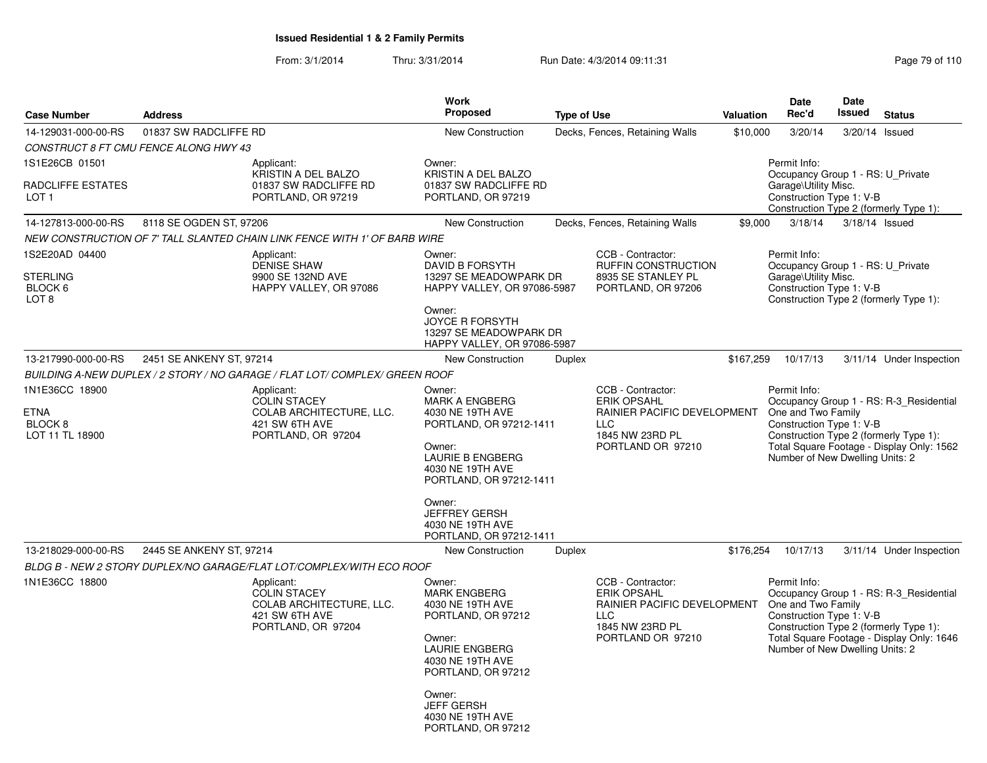From: 3/1/2014Thru: 3/31/2014 Run Date: 4/3/2014 09:11:31 Research 2010 Rage 79 of 110

| <b>Case Number</b>                                                     | <b>Address</b>           |                                                                                                       | <b>Work</b><br>Proposed                                                                                                                              | <b>Type of Use</b> |                                                                                                                              | Valuation | <b>Date</b><br>Rec'd                                                                                  | Date<br><b>Issued</b> | <b>Status</b>                                                                                                                  |
|------------------------------------------------------------------------|--------------------------|-------------------------------------------------------------------------------------------------------|------------------------------------------------------------------------------------------------------------------------------------------------------|--------------------|------------------------------------------------------------------------------------------------------------------------------|-----------|-------------------------------------------------------------------------------------------------------|-----------------------|--------------------------------------------------------------------------------------------------------------------------------|
| 14-129031-000-00-RS                                                    | 01837 SW RADCLIFFE RD    |                                                                                                       | <b>New Construction</b>                                                                                                                              |                    | Decks, Fences, Retaining Walls                                                                                               | \$10,000  | 3/20/14                                                                                               |                       | 3/20/14 Issued                                                                                                                 |
| CONSTRUCT 8 FT CMU FENCE ALONG HWY 43                                  |                          |                                                                                                       |                                                                                                                                                      |                    |                                                                                                                              |           |                                                                                                       |                       |                                                                                                                                |
| 1S1E26CB 01501<br>RADCLIFFE ESTATES<br>LOT 1                           |                          | Applicant:<br>KRISTIN A DEL BALZO<br>01837 SW RADCLIFFE RD<br>PORTLAND, OR 97219                      | Owner:<br>KRISTIN A DEL BALZO<br>01837 SW RADCLIFFE RD<br>PORTLAND, OR 97219                                                                         |                    |                                                                                                                              |           | Permit Info:<br>Occupancy Group 1 - RS: U_Private<br>Garage\Utility Misc.<br>Construction Type 1: V-B |                       | Construction Type 2 (formerly Type 1):                                                                                         |
| 14-127813-000-00-RS                                                    | 8118 SE OGDEN ST, 97206  |                                                                                                       | New Construction                                                                                                                                     |                    | Decks, Fences, Retaining Walls                                                                                               | \$9,000   | 3/18/14                                                                                               |                       | 3/18/14 Issued                                                                                                                 |
|                                                                        |                          | NEW CONSTRUCTION OF 7' TALL SLANTED CHAIN LINK FENCE WITH 1' OF BARB WIRE                             |                                                                                                                                                      |                    |                                                                                                                              |           |                                                                                                       |                       |                                                                                                                                |
| 1S2E20AD 04400<br><b>STERLING</b>                                      |                          | Applicant:<br><b>DENISE SHAW</b><br>9900 SE 132ND AVE                                                 | Owner:<br><b>DAVID B FORSYTH</b><br>13297 SE MEADOWPARK DR                                                                                           |                    | CCB - Contractor:<br>RUFFIN CONSTRUCTION<br>8935 SE STANLEY PL                                                               |           | Permit Info:<br>Occupancy Group 1 - RS: U_Private<br>Garage\Utility Misc.                             |                       |                                                                                                                                |
| BLOCK 6<br>LOT <sub>8</sub>                                            |                          | HAPPY VALLEY, OR 97086                                                                                | HAPPY VALLEY, OR 97086-5987<br>Owner:<br><b>JOYCE R FORSYTH</b><br>13297 SE MEADOWPARK DR<br>HAPPY VALLEY, OR 97086-5987                             |                    | PORTLAND, OR 97206                                                                                                           |           | Construction Type 1: V-B                                                                              |                       | Construction Type 2 (formerly Type 1):                                                                                         |
| 13-217990-000-00-RS                                                    | 2451 SE ANKENY ST, 97214 |                                                                                                       | New Construction                                                                                                                                     | Duplex             |                                                                                                                              | \$167,259 | 10/17/13                                                                                              |                       | 3/11/14 Under Inspection                                                                                                       |
|                                                                        |                          | BUILDING A-NEW DUPLEX / 2 STORY / NO GARAGE / FLAT LOT/ COMPLEX/ GREEN ROOF                           |                                                                                                                                                      |                    |                                                                                                                              |           |                                                                                                       |                       |                                                                                                                                |
| 1N1E36CC 18900<br><b>ETNA</b><br>BLOCK <sub>8</sub><br>LOT 11 TL 18900 |                          | Applicant:<br><b>COLIN STACEY</b><br>COLAB ARCHITECTURE, LLC.<br>421 SW 6TH AVE                       | Owner:<br><b>MARK A ENGBERG</b><br>4030 NE 19TH AVE<br>PORTLAND, OR 97212-1411                                                                       |                    | CCB - Contractor:<br><b>ERIK OPSAHL</b><br>RAINIER PACIFIC DEVELOPMENT<br><b>LLC</b><br>1845 NW 23RD PL                      |           | Permit Info:<br>One and Two Family<br>Construction Type 1: V-B                                        |                       | Occupancy Group 1 - RS: R-3 Residential<br>Construction Type 2 (formerly Type 1):                                              |
|                                                                        |                          | PORTLAND, OR 97204                                                                                    | Owner:<br><b>LAURIE B ENGBERG</b><br>4030 NE 19TH AVE<br>PORTLAND, OR 97212-1411                                                                     |                    | PORTLAND OR 97210                                                                                                            |           | Number of New Dwelling Units: 2                                                                       |                       | Total Square Footage - Display Only: 1562                                                                                      |
|                                                                        |                          |                                                                                                       | Owner:<br><b>JEFFREY GERSH</b><br>4030 NE 19TH AVE<br>PORTLAND, OR 97212-1411                                                                        |                    |                                                                                                                              |           |                                                                                                       |                       |                                                                                                                                |
| 13-218029-000-00-RS                                                    | 2445 SE ANKENY ST, 97214 |                                                                                                       | <b>New Construction</b>                                                                                                                              | <b>Duplex</b>      |                                                                                                                              | \$176,254 | 10/17/13                                                                                              |                       | 3/11/14 Under Inspection                                                                                                       |
|                                                                        |                          | BLDG B - NEW 2 STORY DUPLEX/NO GARAGE/FLAT LOT/COMPLEX/WITH ECO ROOF                                  |                                                                                                                                                      |                    |                                                                                                                              |           |                                                                                                       |                       |                                                                                                                                |
| 1N1E36CC 18800                                                         |                          | Applicant:<br><b>COLIN STACEY</b><br>COLAB ARCHITECTURE, LLC.<br>421 SW 6TH AVE<br>PORTLAND, OR 97204 | Owner:<br><b>MARK ENGBERG</b><br>4030 NE 19TH AVE<br>PORTLAND, OR 97212<br>Owner:<br><b>LAURIE ENGBERG</b><br>4030 NE 19TH AVE<br>PORTLAND, OR 97212 |                    | CCB - Contractor:<br><b>ERIK OPSAHL</b><br>RAINIER PACIFIC DEVELOPMENT<br><b>LLC</b><br>1845 NW 23RD PL<br>PORTLAND OR 97210 |           | Permit Info:<br>One and Two Family<br>Construction Type 1: V-B<br>Number of New Dwelling Units: 2     |                       | Occupancy Group 1 - RS: R-3_Residential<br>Construction Type 2 (formerly Type 1):<br>Total Square Footage - Display Only: 1646 |
|                                                                        |                          |                                                                                                       | Owner:<br><b>JEFF GERSH</b><br>4030 NE 19TH AVE<br>PORTLAND, OR 97212                                                                                |                    |                                                                                                                              |           |                                                                                                       |                       |                                                                                                                                |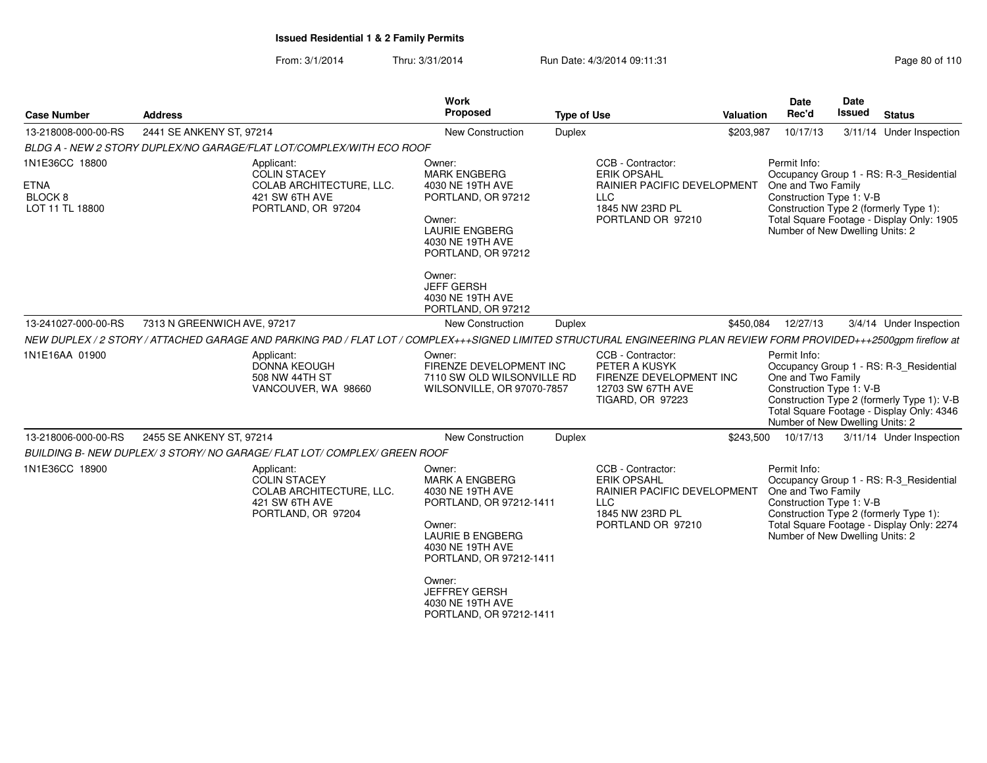From: 3/1/2014Thru: 3/31/2014 Run Date: 4/3/2014 09:11:31

| Page 80 of 110 |  |
|----------------|--|
|----------------|--|

| 2441 SE ANKENY ST, 97214<br>BLDG A - NEW 2 STORY DUPLEX/NO GARAGE/FLAT LOT/COMPLEX/WITH ECO ROOF<br>Applicant:<br><b>COLIN STACEY</b><br>COLAB ARCHITECTURE, LLC.<br>421 SW 6TH AVE<br>PORTLAND, OR 97204<br>7313 N GREENWICH AVE, 97217 | <b>New Construction</b><br>Owner:<br><b>MARK ENGBERG</b><br>4030 NE 19TH AVE<br>PORTLAND, OR 97212<br>Owner:<br><b>LAURIE ENGBERG</b><br>4030 NE 19TH AVE<br>PORTLAND, OR 97212<br>Owner:<br><b>JEFF GERSH</b><br>4030 NE 19TH AVE | <b>Duplex</b>                                                                                                         | CCB - Contractor:<br><b>ERIK OPSAHL</b><br>RAINIER PACIFIC DEVELOPMENT<br>LLC<br>1845 NW 23RD PL<br>PORTLAND OR 97210                                                | \$203,987                                    | 10/17/13<br>Permit Info:<br>One and Two Family<br>Construction Type 1: V-B<br>Number of New Dwelling Units: 2 |                              | 3/11/14 Under Inspection<br>Occupancy Group 1 - RS: R-3_Residential<br>Construction Type 2 (formerly Type 1):<br>Total Square Footage - Display Only: 1905                                                                                                                                                                                                                                                                                     |
|------------------------------------------------------------------------------------------------------------------------------------------------------------------------------------------------------------------------------------------|------------------------------------------------------------------------------------------------------------------------------------------------------------------------------------------------------------------------------------|-----------------------------------------------------------------------------------------------------------------------|----------------------------------------------------------------------------------------------------------------------------------------------------------------------|----------------------------------------------|---------------------------------------------------------------------------------------------------------------|------------------------------|------------------------------------------------------------------------------------------------------------------------------------------------------------------------------------------------------------------------------------------------------------------------------------------------------------------------------------------------------------------------------------------------------------------------------------------------|
|                                                                                                                                                                                                                                          |                                                                                                                                                                                                                                    |                                                                                                                       |                                                                                                                                                                      |                                              |                                                                                                               |                              |                                                                                                                                                                                                                                                                                                                                                                                                                                                |
|                                                                                                                                                                                                                                          |                                                                                                                                                                                                                                    |                                                                                                                       |                                                                                                                                                                      |                                              |                                                                                                               |                              |                                                                                                                                                                                                                                                                                                                                                                                                                                                |
|                                                                                                                                                                                                                                          |                                                                                                                                                                                                                                    |                                                                                                                       |                                                                                                                                                                      |                                              |                                                                                                               |                              |                                                                                                                                                                                                                                                                                                                                                                                                                                                |
|                                                                                                                                                                                                                                          | PORTLAND, OR 97212<br>New Construction                                                                                                                                                                                             | <b>Duplex</b>                                                                                                         |                                                                                                                                                                      | \$450,084                                    | 12/27/13                                                                                                      |                              | 3/4/14 Under Inspection                                                                                                                                                                                                                                                                                                                                                                                                                        |
| NEW DUPLEX / 2 STORY / ATTACHED GARAGE AND PARKING PAD / FLAT LOT / COMPLEX+++SIGNED LIMITED STRUCTURAL ENGINEERING PLAN REVIEW FORM PROVIDED+++2500gpm fireflow at                                                                      |                                                                                                                                                                                                                                    |                                                                                                                       |                                                                                                                                                                      |                                              |                                                                                                               |                              |                                                                                                                                                                                                                                                                                                                                                                                                                                                |
| Applicant:<br><b>DONNA KEOUGH</b><br>508 NW 44TH ST<br>VANCOUVER, WA 98660                                                                                                                                                               | Owner:                                                                                                                                                                                                                             |                                                                                                                       | CCB - Contractor:<br>PETER A KUSYK<br>12703 SW 67TH AVE<br><b>TIGARD, OR 97223</b>                                                                                   |                                              |                                                                                                               |                              |                                                                                                                                                                                                                                                                                                                                                                                                                                                |
| 2455 SE ANKENY ST, 97214                                                                                                                                                                                                                 | <b>New Construction</b>                                                                                                                                                                                                            | Duplex                                                                                                                |                                                                                                                                                                      |                                              | 10/17/13                                                                                                      |                              | 3/11/14 Under Inspection                                                                                                                                                                                                                                                                                                                                                                                                                       |
|                                                                                                                                                                                                                                          |                                                                                                                                                                                                                                    |                                                                                                                       |                                                                                                                                                                      |                                              |                                                                                                               |                              |                                                                                                                                                                                                                                                                                                                                                                                                                                                |
| Applicant:<br>COLIN STACEY<br>COLAB ARCHITECTURE, LLC.<br>421 SW 6TH AVE<br>PORTLAND, OR 97204                                                                                                                                           | Owner:<br><b>MARK A ENGBERG</b><br>4030 NE 19TH AVE<br>Owner:<br><b>LAURIE B ENGBERG</b><br>4030 NE 19TH AVE<br>Owner:                                                                                                             |                                                                                                                       | CCB - Contractor:<br><b>ERIK OPSAHL</b><br><b>LLC</b><br>1845 NW 23RD PL                                                                                             |                                              |                                                                                                               |                              |                                                                                                                                                                                                                                                                                                                                                                                                                                                |
|                                                                                                                                                                                                                                          |                                                                                                                                                                                                                                    | BUILDING B- NEW DUPLEX/ 3 STORY/ NO GARAGE/ FLAT LOT/ COMPLEX/ GREEN ROOF<br><b>JEFFREY GERSH</b><br>4030 NE 19TH AVE | FIRENZE DEVELOPMENT INC<br>7110 SW OLD WILSONVILLE RD<br>WILSONVILLE, OR 97070-7857<br>PORTLAND, OR 97212-1411<br>PORTLAND, OR 97212-1411<br>PORTLAND, OR 97212-1411 | FIRENZE DEVELOPMENT INC<br>PORTLAND OR 97210 | \$243,500<br>RAINIER PACIFIC DEVELOPMENT                                                                      | Permit Info:<br>Permit Info: | Occupancy Group 1 - RS: R-3_Residential<br>One and Two Family<br>Construction Type 1: V-B<br>Construction Type 2 (formerly Type 1): V-B<br>Total Square Footage - Display Only: 4346<br>Number of New Dwelling Units: 2<br>Occupancy Group 1 - RS: R-3_Residential<br>One and Two Family<br>Construction Type 1: V-B<br>Construction Type 2 (formerly Type 1):<br>Total Square Footage - Display Only: 2274<br>Number of New Dwelling Units: 2 |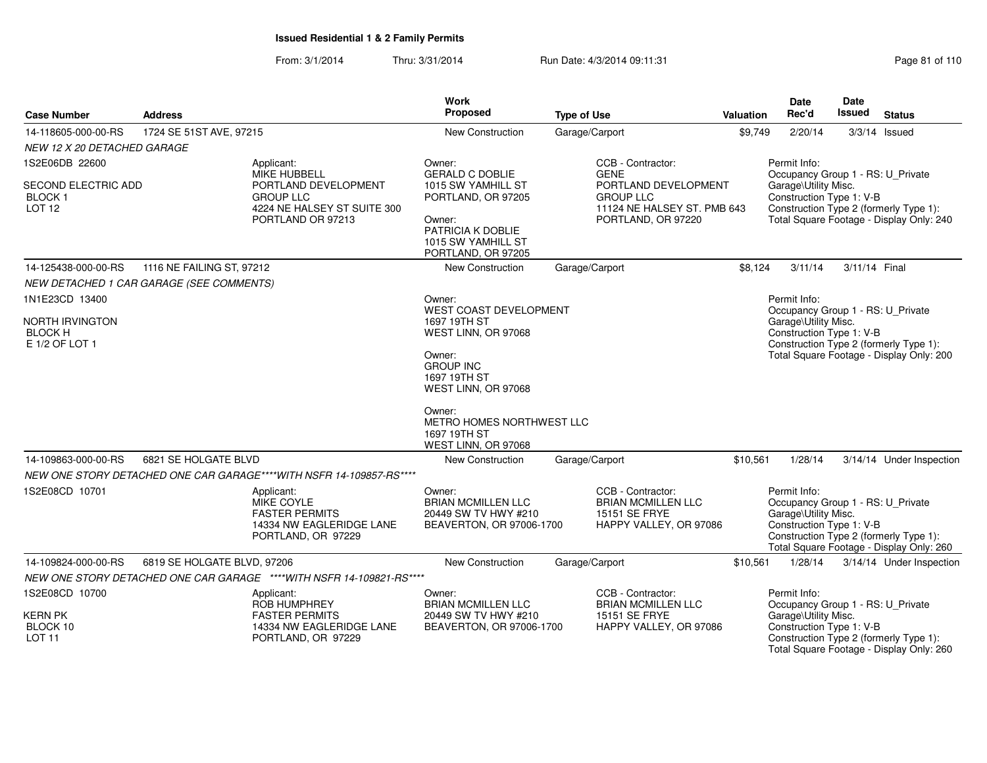From: 3/1/2014Thru: 3/31/2014 Run Date: 4/3/2014 09:11:31 Research 2010 110

| <b>Case Number</b>                                         | <b>Address</b>                           |                                                                                                     | <b>Work</b><br>Proposed                                                                                             | <b>Type of Use</b>                                                                            | <b>Valuation</b> | <b>Date</b><br>Rec'd                                                                                                                   | <b>Date</b><br>Issued | <b>Status</b>                                                                      |
|------------------------------------------------------------|------------------------------------------|-----------------------------------------------------------------------------------------------------|---------------------------------------------------------------------------------------------------------------------|-----------------------------------------------------------------------------------------------|------------------|----------------------------------------------------------------------------------------------------------------------------------------|-----------------------|------------------------------------------------------------------------------------|
| 14-118605-000-00-RS                                        | 1724 SE 51ST AVE, 97215                  |                                                                                                     | New Construction                                                                                                    | Garage/Carport                                                                                | \$9,749          | 2/20/14                                                                                                                                |                       | $3/3/14$ Issued                                                                    |
| NEW 12 X 20 DETACHED GARAGE                                |                                          |                                                                                                     |                                                                                                                     |                                                                                               |                  |                                                                                                                                        |                       |                                                                                    |
| 1S2E06DB 22600                                             |                                          | Applicant:<br>MIKE HUBBELL                                                                          | Owner:<br><b>GERALD C DOBLIE</b>                                                                                    | CCB - Contractor:<br><b>GENE</b>                                                              |                  | Permit Info:<br>Occupancy Group 1 - RS: U_Private                                                                                      |                       |                                                                                    |
| SECOND ELECTRIC ADD<br><b>BLOCK1</b><br>LOT <sub>12</sub>  |                                          | PORTLAND DEVELOPMENT<br><b>GROUP LLC</b><br>4224 NE HALSEY ST SUITE 300<br>PORTLAND OR 97213        | 1015 SW YAMHILL ST<br>PORTLAND, OR 97205<br>Owner:<br>PATRICIA K DOBLIE<br>1015 SW YAMHILL ST<br>PORTLAND, OR 97205 | PORTLAND DEVELOPMENT<br><b>GROUP LLC</b><br>11124 NE HALSEY ST. PMB 643<br>PORTLAND, OR 97220 |                  | Garage\Utility Misc.<br>Construction Type 1: V-B<br>Construction Type 2 (formerly Type 1):<br>Total Square Footage - Display Only: 240 |                       |                                                                                    |
| 14-125438-000-00-RS                                        | 1116 NE FAILING ST, 97212                |                                                                                                     | New Construction                                                                                                    | Garage/Carport                                                                                | \$8,124          | 3/11/14                                                                                                                                | 3/11/14 Final         |                                                                                    |
|                                                            | NEW DETACHED 1 CAR GARAGE (SEE COMMENTS) |                                                                                                     |                                                                                                                     |                                                                                               |                  |                                                                                                                                        |                       |                                                                                    |
| 1N1E23CD 13400                                             |                                          |                                                                                                     | Owner:<br><b>WEST COAST DEVELOPMENT</b>                                                                             |                                                                                               |                  | Permit Info:<br>Occupancy Group 1 - RS: U_Private                                                                                      |                       |                                                                                    |
| <b>NORTH IRVINGTON</b><br><b>BLOCK H</b><br>E 1/2 OF LOT 1 |                                          |                                                                                                     | 1697 19TH ST<br>WEST LINN, OR 97068                                                                                 |                                                                                               |                  | Garage\Utility Misc.<br>Construction Type 1: V-B                                                                                       |                       | Construction Type 2 (formerly Type 1):                                             |
|                                                            |                                          |                                                                                                     | Owner:<br><b>GROUP INC</b><br>1697 19TH ST<br>WEST LINN, OR 97068                                                   |                                                                                               |                  |                                                                                                                                        |                       | Total Square Footage - Display Only: 200                                           |
|                                                            |                                          |                                                                                                     | Owner:<br>METRO HOMES NORTHWEST LLC<br>1697 19TH ST<br>WEST LINN, OR 97068                                          |                                                                                               |                  |                                                                                                                                        |                       |                                                                                    |
| 14-109863-000-00-RS                                        | 6821 SE HOLGATE BLVD                     |                                                                                                     | New Construction                                                                                                    | Garage/Carport                                                                                | \$10,561         | 1/28/14                                                                                                                                |                       | 3/14/14 Under Inspection                                                           |
|                                                            |                                          | NEW ONE STORY DETACHED ONE CAR GARAGE****WITH NSFR 14-109857-RS****                                 |                                                                                                                     |                                                                                               |                  |                                                                                                                                        |                       |                                                                                    |
| 1S2E08CD 10701                                             |                                          | Applicant:<br>MIKE COYLE<br><b>FASTER PERMITS</b><br>14334 NW EAGLERIDGE LANE<br>PORTLAND, OR 97229 | Owner:<br><b>BRIAN MCMILLEN LLC</b><br>20449 SW TV HWY #210<br>BEAVERTON, OR 97006-1700                             | CCB - Contractor:<br><b>BRIAN MCMILLEN LLC</b><br>15151 SE FRYE<br>HAPPY VALLEY, OR 97086     |                  | Permit Info:<br>Occupancy Group 1 - RS: U_Private<br>Garage\Utility Misc.<br>Construction Type 1: V-B                                  |                       | Construction Type 2 (formerly Type 1):<br>Total Square Footage - Display Only: 260 |
| 14-109824-000-00-RS                                        | 6819 SE HOLGATE BLVD, 97206              |                                                                                                     | <b>New Construction</b>                                                                                             | Garage/Carport                                                                                | \$10,561         | 1/28/14                                                                                                                                |                       | 3/14/14 Under Inspection                                                           |
|                                                            |                                          | NEW ONE STORY DETACHED ONE CAR GARAGE ****WITH NSFR 14-109821-RS****                                |                                                                                                                     |                                                                                               |                  |                                                                                                                                        |                       |                                                                                    |
| 1S2E08CD 10700                                             |                                          | Applicant:<br>ROB HUMPHREY                                                                          | Owner:<br><b>BRIAN MCMILLEN LLC</b>                                                                                 | CCB - Contractor:<br><b>BRIAN MCMILLEN LLC</b>                                                |                  | Permit Info:<br>Occupancy Group 1 - RS: U_Private                                                                                      |                       |                                                                                    |
| <b>KERN PK</b>                                             |                                          | <b>FASTER PERMITS</b>                                                                               | 20449 SW TV HWY #210                                                                                                | 15151 SE FRYE                                                                                 |                  | Garage\Utility Misc.                                                                                                                   |                       |                                                                                    |
| BLOCK 10<br><b>LOT 11</b>                                  |                                          | 14334 NW EAGLERIDGE LANE<br>PORTLAND, OR 97229                                                      | BEAVERTON, OR 97006-1700                                                                                            | HAPPY VALLEY, OR 97086                                                                        |                  | Construction Type 1: V-B                                                                                                               |                       | Construction Type 2 (formerly Type 1):<br>Total Square Footage - Display Only: 260 |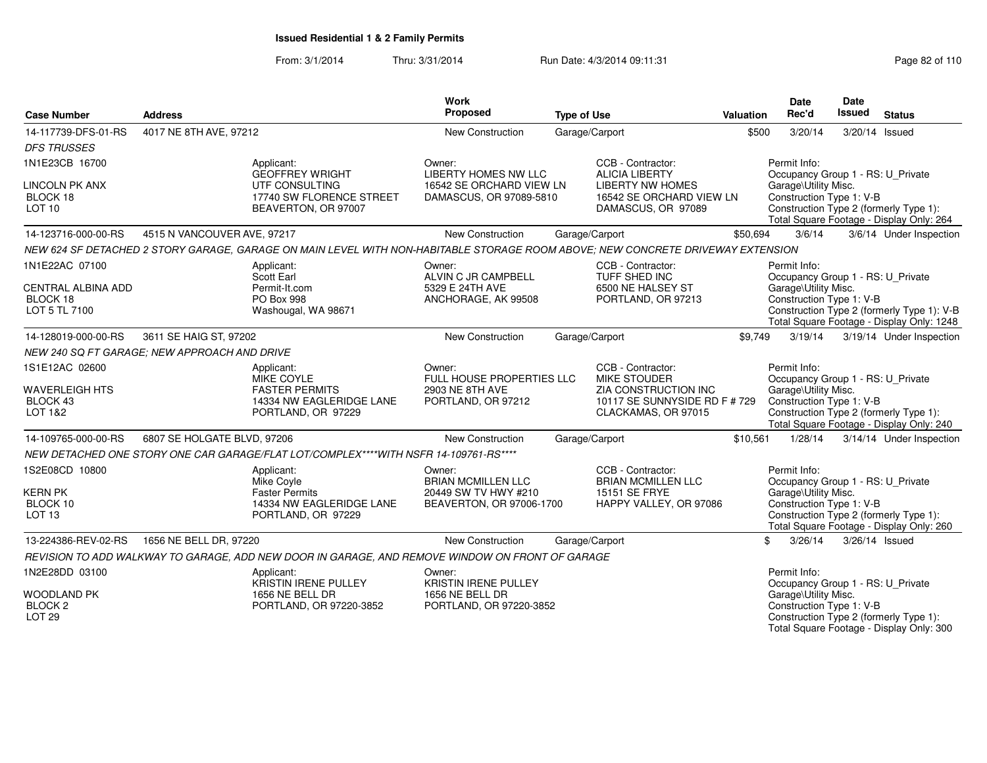From: 3/1/2014Thru: 3/31/2014 Run Date: 4/3/2014 09:11:31 Page 82 of 110

| <b>Case Number</b>                                        | <b>Address</b>                               |                                                                                                                                 | <b>Work</b><br>Proposed                             | <b>Type of Use</b> |                                                                              | <b>Valuation</b> | <b>Date</b><br>Rec'd                                                      | Date<br><b>Issued</b> | <b>Status</b>                                                                           |
|-----------------------------------------------------------|----------------------------------------------|---------------------------------------------------------------------------------------------------------------------------------|-----------------------------------------------------|--------------------|------------------------------------------------------------------------------|------------------|---------------------------------------------------------------------------|-----------------------|-----------------------------------------------------------------------------------------|
| 14-117739-DFS-01-RS                                       | 4017 NE 8TH AVE, 97212                       |                                                                                                                                 | New Construction                                    | Garage/Carport     |                                                                              | \$500            | 3/20/14                                                                   |                       | 3/20/14 Issued                                                                          |
| <b>DFS TRUSSES</b>                                        |                                              |                                                                                                                                 |                                                     |                    |                                                                              |                  |                                                                           |                       |                                                                                         |
| 1N1E23CB 16700                                            | Applicant:                                   | <b>GEOFFREY WRIGHT</b>                                                                                                          | Owner:<br><b>LIBERTY HOMES NW LLC</b>               |                    | CCB - Contractor:<br><b>ALICIA LIBERTY</b>                                   |                  | Permit Info:<br>Occupancy Group 1 - RS: U Private                         |                       |                                                                                         |
| <b>LINCOLN PK ANX</b><br>BLOCK 18<br>LOT <sub>10</sub>    |                                              | UTF CONSULTING<br>17740 SW FLORENCE STREET<br>BEAVERTON, OR 97007                                                               | 16542 SE ORCHARD VIEW LN<br>DAMASCUS, OR 97089-5810 |                    | <b>LIBERTY NW HOMES</b><br>16542 SE ORCHARD VIEW LN<br>DAMASCUS, OR 97089    |                  | Garage\Utility Misc.<br>Construction Type 1: V-B                          |                       | Construction Type 2 (formerly Type 1):<br>Total Square Footage - Display Only: 264      |
| 14-123716-000-00-RS                                       | 4515 N VANCOUVER AVE, 97217                  |                                                                                                                                 | New Construction                                    | Garage/Carport     |                                                                              | \$50,694         | 3/6/14                                                                    |                       | 3/6/14 Under Inspection                                                                 |
|                                                           |                                              | NEW 624 SF DETACHED 2 STORY GARAGE, GARAGE ON MAIN LEVEL WITH NON-HABITABLE STORAGE ROOM ABOVE; NEW CONCRETE DRIVEWAY EXTENSION |                                                     |                    |                                                                              |                  |                                                                           |                       |                                                                                         |
| 1N1E22AC 07100<br><b>CENTRAL ALBINA ADD</b>               | Applicant:<br>Scott Earl                     | Permit-It.com                                                                                                                   | Owner:<br>ALVIN C JR CAMPBELL<br>5329 E 24TH AVE    |                    | CCB - Contractor:<br>TUFF SHED INC<br>6500 NE HALSEY ST                      |                  | Permit Info:<br>Occupancy Group 1 - RS: U Private<br>Garage\Utility Misc. |                       |                                                                                         |
| BLOCK 18<br>LOT 5 TL 7100                                 |                                              | PO Box 998<br>Washougal, WA 98671                                                                                               | ANCHORAGE, AK 99508                                 |                    | PORTLAND, OR 97213                                                           |                  | Construction Type 1: V-B                                                  |                       | Construction Type 2 (formerly Type 1): V-B<br>Total Square Footage - Display Only: 1248 |
| 14-128019-000-00-RS                                       | 3611 SE HAIG ST, 97202                       |                                                                                                                                 | <b>New Construction</b>                             | Garage/Carport     |                                                                              | \$9,749          | 3/19/14                                                                   |                       | 3/19/14 Under Inspection                                                                |
|                                                           | NEW 240 SQ FT GARAGE; NEW APPROACH AND DRIVE |                                                                                                                                 |                                                     |                    |                                                                              |                  |                                                                           |                       |                                                                                         |
| 1S1E12AC 02600                                            | Applicant:                                   | <b>MIKE COYLE</b>                                                                                                               | Owner:<br><b>FULL HOUSE PROPERTIES LLC</b>          |                    | CCB - Contractor:<br><b>MIKE STOUDER</b>                                     |                  | Permit Info:<br>Occupancy Group 1 - RS: U_Private                         |                       |                                                                                         |
| <b>WAVERLEIGH HTS</b><br>BLOCK 43<br>LOT 1&2              |                                              | <b>FASTER PERMITS</b><br>14334 NW EAGLERIDGE LANE<br>PORTLAND, OR 97229                                                         | 2903 NE 8TH AVE<br>PORTLAND, OR 97212               |                    | ZIA CONSTRUCTION INC<br>10117 SE SUNNYSIDE RD F # 729<br>CLACKAMAS, OR 97015 |                  | Garage\Utility Misc.<br>Construction Type 1: V-B                          |                       | Construction Type 2 (formerly Type 1):<br>Total Square Footage - Display Only: 240      |
| 14-109765-000-00-RS                                       | 6807 SE HOLGATE BLVD, 97206                  |                                                                                                                                 | New Construction                                    | Garage/Carport     |                                                                              | \$10,561         | 1/28/14                                                                   |                       | 3/14/14 Under Inspection                                                                |
|                                                           |                                              | NEW DETACHED ONE STORY ONE CAR GARAGE/FLAT LOT/COMPLEX****WITH NSFR 14-109761-RS****                                            |                                                     |                    |                                                                              |                  |                                                                           |                       |                                                                                         |
| 1S2E08CD 10800                                            | Applicant:<br>Mike Coyle                     |                                                                                                                                 | Owner:<br><b>BRIAN MCMILLEN LLC</b>                 |                    | CCB - Contractor:<br><b>BRIAN MCMILLEN LLC</b>                               |                  | Permit Info:<br>Occupancy Group 1 - RS: U_Private                         |                       |                                                                                         |
| <b>KERN PK</b><br>BLOCK 10<br><b>LOT 13</b>               |                                              | <b>Faster Permits</b><br>14334 NW EAGLERIDGE LANE<br>PORTLAND, OR 97229                                                         | 20449 SW TV HWY #210<br>BEAVERTON, OR 97006-1700    |                    | 15151 SE FRYE<br>HAPPY VALLEY, OR 97086                                      |                  | Garage\Utility Misc.<br>Construction Type 1: V-B                          |                       | Construction Type 2 (formerly Type 1):<br>Total Square Footage - Display Only: 260      |
| 13-224386-REV-02-RS                                       | 1656 NE BELL DR, 97220                       |                                                                                                                                 | New Construction                                    | Garage/Carport     |                                                                              |                  | \$<br>3/26/14                                                             | 3/26/14 Issued        |                                                                                         |
|                                                           |                                              | REVISION TO ADD WALKWAY TO GARAGE, ADD NEW DOOR IN GARAGE, AND REMOVE WINDOW ON FRONT OF GARAGE                                 |                                                     |                    |                                                                              |                  |                                                                           |                       |                                                                                         |
| 1N2E28DD 03100                                            | Applicant:                                   | KRISTIN IRENE PULLEY                                                                                                            | Owner:<br>KRISTIN IRENE PULLEY                      |                    |                                                                              |                  | Permit Info:<br>Occupancy Group 1 - RS: U_Private                         |                       |                                                                                         |
| <b>WOODLAND PK</b><br>BLOCK <sub>2</sub><br><b>LOT 29</b> |                                              | 1656 NE BELL DR<br>PORTLAND, OR 97220-3852                                                                                      | 1656 NE BELL DR<br>PORTLAND, OR 97220-3852          |                    |                                                                              |                  | Garage\Utility Misc.<br>Construction Type 1: V-B                          |                       | Construction Type 2 (formerly Type 1):<br>Total Square Footage - Display Only: 300      |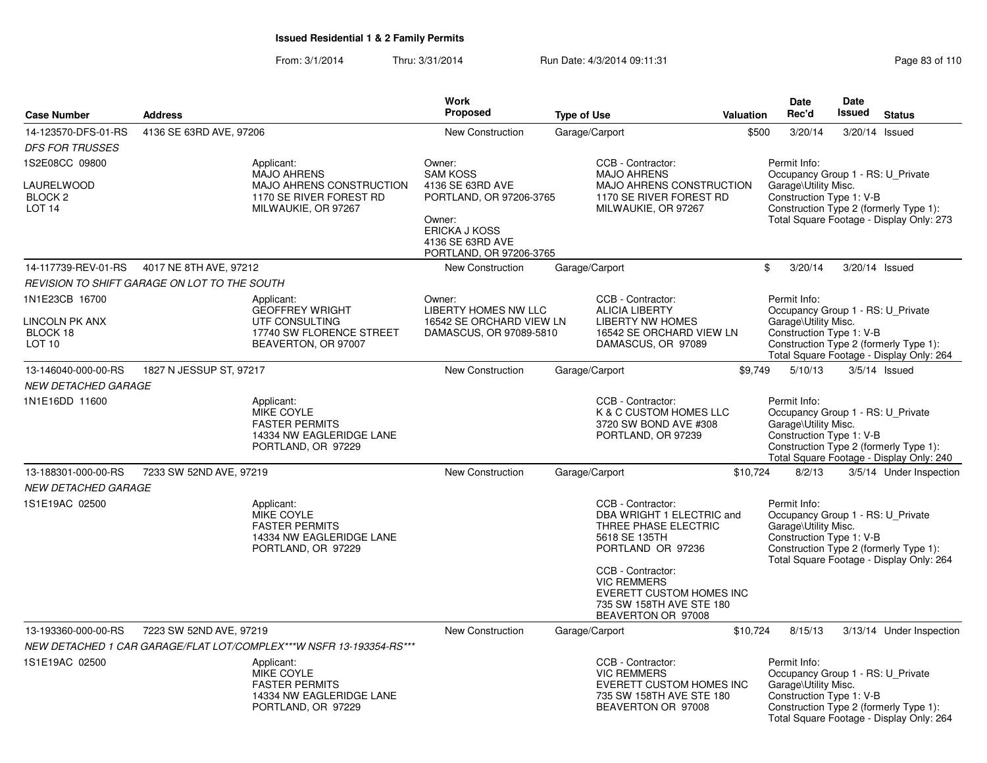From: 3/1/2014Thru: 3/31/2014 Run Date: 4/3/2014 09:11:31 Research 2010 Rage 83 of 110

|                                                                                |                                              |                                                                                                                | Work                                                                                                |                    |                                                                                                                                                                                                                 |                  | Date                                                                                                  | Date   |                                                                                    |
|--------------------------------------------------------------------------------|----------------------------------------------|----------------------------------------------------------------------------------------------------------------|-----------------------------------------------------------------------------------------------------|--------------------|-----------------------------------------------------------------------------------------------------------------------------------------------------------------------------------------------------------------|------------------|-------------------------------------------------------------------------------------------------------|--------|------------------------------------------------------------------------------------|
| <b>Case Number</b>                                                             | <b>Address</b>                               |                                                                                                                | <b>Proposed</b>                                                                                     | <b>Type of Use</b> |                                                                                                                                                                                                                 | <b>Valuation</b> | Rec'd                                                                                                 | Issued | <b>Status</b>                                                                      |
| 14-123570-DFS-01-RS                                                            | 4136 SE 63RD AVE, 97206                      |                                                                                                                | <b>New Construction</b>                                                                             |                    | Garage/Carport                                                                                                                                                                                                  | \$500            | 3/20/14                                                                                               |        | 3/20/14 Issued                                                                     |
| <b>DFS FOR TRUSSES</b>                                                         |                                              |                                                                                                                |                                                                                                     |                    |                                                                                                                                                                                                                 |                  |                                                                                                       |        |                                                                                    |
| 1S2E08CC 09800<br><b>LAURELWOOD</b><br>BLOCK <sub>2</sub><br>LOT <sub>14</sub> |                                              | Applicant:<br><b>MAJO AHRENS</b><br>MAJO AHRENS CONSTRUCTION<br>1170 SE RIVER FOREST RD<br>MILWAUKIE, OR 97267 | Owner:<br><b>SAM KOSS</b><br>4136 SE 63RD AVE<br>PORTLAND, OR 97206-3765<br>Owner:<br>ERICKA J KOSS |                    | CCB - Contractor:<br><b>MAJO AHRENS</b><br>MAJO AHRENS CONSTRUCTION<br>1170 SE RIVER FOREST RD<br>MILWAUKIE, OR 97267                                                                                           |                  | Permit Info:<br>Occupancy Group 1 - RS: U_Private<br>Garage\Utility Misc.<br>Construction Type 1: V-B |        | Construction Type 2 (formerly Type 1):<br>Total Square Footage - Display Only: 273 |
|                                                                                |                                              |                                                                                                                | 4136 SE 63RD AVE<br>PORTLAND, OR 97206-3765                                                         |                    |                                                                                                                                                                                                                 |                  |                                                                                                       |        |                                                                                    |
| 14-117739-REV-01-RS                                                            | 4017 NE 8TH AVE, 97212                       |                                                                                                                | New Construction                                                                                    |                    | Garage/Carport                                                                                                                                                                                                  |                  | $\mathbf{\$}$<br>3/20/14                                                                              |        | 3/20/14 Issued                                                                     |
|                                                                                | REVISION TO SHIFT GARAGE ON LOT TO THE SOUTH |                                                                                                                |                                                                                                     |                    |                                                                                                                                                                                                                 |                  |                                                                                                       |        |                                                                                    |
| 1N1E23CB 16700<br>LINCOLN PK ANX<br>BLOCK 18<br>LOT 10                         |                                              | Applicant:<br><b>GEOFFREY WRIGHT</b><br>UTF CONSULTING<br>17740 SW FLORENCE STREET<br>BEAVERTON, OR 97007      | Owner:<br>LIBERTY HOMES NW LLC<br>16542 SE ORCHARD VIEW LN<br>DAMASCUS, OR 97089-5810               |                    | CCB - Contractor:<br><b>ALICIA LIBERTY</b><br><b>LIBERTY NW HOMES</b><br>16542 SE ORCHARD VIEW LN<br>DAMASCUS, OR 97089                                                                                         |                  | Permit Info:<br>Occupancy Group 1 - RS: U_Private<br>Garage\Utility Misc.<br>Construction Type 1: V-B |        | Construction Type 2 (formerly Type 1):<br>Total Square Footage - Display Only: 264 |
| 13-146040-000-00-RS                                                            | 1827 N JESSUP ST, 97217                      |                                                                                                                | New Construction                                                                                    |                    | Garage/Carport                                                                                                                                                                                                  | \$9,749          | 5/10/13                                                                                               |        | $3/5/14$ Issued                                                                    |
| <b>NEW DETACHED GARAGE</b>                                                     |                                              |                                                                                                                |                                                                                                     |                    |                                                                                                                                                                                                                 |                  |                                                                                                       |        |                                                                                    |
| 1N1E16DD 11600                                                                 |                                              | Applicant:<br>MIKE COYLE<br><b>FASTER PERMITS</b><br>14334 NW EAGLERIDGE LANE<br>PORTLAND, OR 97229            |                                                                                                     |                    | CCB - Contractor:<br>K & C CUSTOM HOMES LLC<br>3720 SW BOND AVE #308<br>PORTLAND, OR 97239                                                                                                                      |                  | Permit Info:<br>Occupancy Group 1 - RS: U_Private<br>Garage\Utility Misc.<br>Construction Type 1: V-B |        | Construction Type 2 (formerly Type 1):<br>Total Square Footage - Display Only: 240 |
| 13-188301-000-00-RS<br><b>NEW DETACHED GARAGE</b>                              | 7233 SW 52ND AVE, 97219                      |                                                                                                                | <b>New Construction</b>                                                                             |                    | Garage/Carport                                                                                                                                                                                                  | \$10,724         | 8/2/13                                                                                                |        | 3/5/14 Under Inspection                                                            |
| 1S1E19AC 02500                                                                 |                                              | Applicant:<br>MIKE COYLE<br><b>FASTER PERMITS</b><br>14334 NW EAGLERIDGE LANE<br>PORTLAND, OR 97229            |                                                                                                     |                    | CCB - Contractor:<br>DBA WRIGHT 1 ELECTRIC and<br>THREE PHASE ELECTRIC<br>5618 SE 135TH<br>PORTLAND OR 97236<br>CCB - Contractor:<br><b>VIC REMMERS</b><br>EVERETT CUSTOM HOMES INC<br>735 SW 158TH AVE STE 180 |                  | Permit Info:<br>Occupancy Group 1 - RS: U_Private<br>Garage\Utility Misc.<br>Construction Type 1: V-B |        | Construction Type 2 (formerly Type 1):<br>Total Square Footage - Display Only: 264 |
|                                                                                |                                              |                                                                                                                |                                                                                                     |                    | BEAVERTON OR 97008                                                                                                                                                                                              |                  |                                                                                                       |        |                                                                                    |
| 13-193360-000-00-RS                                                            | 7223 SW 52ND AVE, 97219                      | NEW DETACHED 1 CAR GARAGE/FLAT LOT/COMPLEX***W NSFR 13-193354-RS***                                            | <b>New Construction</b>                                                                             |                    | Garage/Carport                                                                                                                                                                                                  | \$10,724         | 8/15/13                                                                                               |        | 3/13/14 Under Inspection                                                           |
| 1S1E19AC 02500                                                                 |                                              | Applicant:                                                                                                     |                                                                                                     |                    | CCB - Contractor:                                                                                                                                                                                               |                  | Permit Info:                                                                                          |        |                                                                                    |
|                                                                                |                                              | MIKE COYLE<br><b>FASTER PERMITS</b><br>14334 NW EAGLERIDGE LANE<br>PORTLAND, OR 97229                          |                                                                                                     |                    | <b>VIC REMMERS</b><br>EVERETT CUSTOM HOMES INC<br>735 SW 158TH AVE STE 180<br>BEAVERTON OR 97008                                                                                                                |                  | Occupancy Group 1 - RS: U_Private<br>Garage\Utility Misc.<br>Construction Type 1: V-B                 |        | Construction Type 2 (formerly Type 1):<br>Total Square Footage - Display Only: 264 |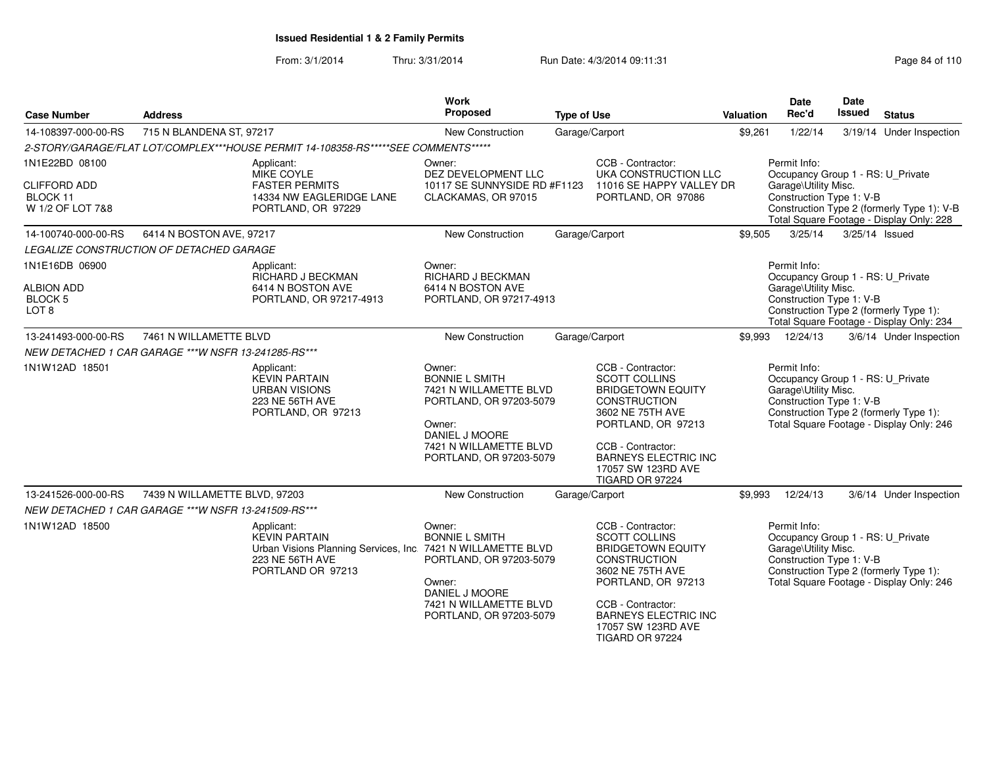From: 3/1/2014Thru: 3/31/2014 Run Date: 4/3/2014 09:11:31 Page 84 of 110

| <b>Case Number</b>                                  | <b>Address</b>                                       |                                                                                                                                            | Work<br><b>Proposed</b>                                                                                                                                               | <b>Type of Use</b> |                                                                                                                                                                                                                                            | <b>Valuation</b>                                                                                                                           | <b>Date</b><br>Rec'd                                                                                  | <b>Date</b><br><b>Issued</b> | <b>Status</b>                                                                      |  |
|-----------------------------------------------------|------------------------------------------------------|--------------------------------------------------------------------------------------------------------------------------------------------|-----------------------------------------------------------------------------------------------------------------------------------------------------------------------|--------------------|--------------------------------------------------------------------------------------------------------------------------------------------------------------------------------------------------------------------------------------------|--------------------------------------------------------------------------------------------------------------------------------------------|-------------------------------------------------------------------------------------------------------|------------------------------|------------------------------------------------------------------------------------|--|
| 14-108397-000-00-RS                                 | 715 N BLANDENA ST, 97217                             |                                                                                                                                            | New Construction                                                                                                                                                      |                    | Garage/Carport                                                                                                                                                                                                                             | \$9,261                                                                                                                                    | 1/22/14                                                                                               |                              | 3/19/14 Under Inspection                                                           |  |
|                                                     |                                                      | 2-STORY/GARAGE/FLAT LOT/COMPLEX***HOUSE PERMIT 14-108358-RS*****SEE COMMENTS*****                                                          |                                                                                                                                                                       |                    |                                                                                                                                                                                                                                            |                                                                                                                                            |                                                                                                       |                              |                                                                                    |  |
| 1N1E22BD 08100                                      |                                                      | Applicant:<br>MIKE COYLE                                                                                                                   | Owner:<br>DEZ DEVELOPMENT LLC                                                                                                                                         |                    | CCB - Contractor:<br>UKA CONSTRUCTION LLC                                                                                                                                                                                                  |                                                                                                                                            | Permit Info:<br>Occupancy Group 1 - RS: U_Private                                                     |                              |                                                                                    |  |
| <b>CLIFFORD ADD</b><br>BLOCK 11<br>W 1/2 OF LOT 7&8 |                                                      | <b>FASTER PERMITS</b><br>14334 NW EAGLERIDGE LANE<br>PORTLAND, OR 97229                                                                    | 10117 SE SUNNYSIDE RD #F1123<br>CLACKAMAS, OR 97015                                                                                                                   |                    | 11016 SE HAPPY VALLEY DR<br>PORTLAND, OR 97086                                                                                                                                                                                             | Garage\Utility Misc.<br>Construction Type 1: V-B<br>Construction Type 2 (formerly Type 1): V-B<br>Total Square Footage - Display Only: 228 |                                                                                                       |                              |                                                                                    |  |
| 14-100740-000-00-RS                                 | 6414 N BOSTON AVE, 97217                             |                                                                                                                                            | <b>New Construction</b>                                                                                                                                               |                    | Garage/Carport                                                                                                                                                                                                                             | \$9,505                                                                                                                                    | 3/25/14                                                                                               | 3/25/14 Issued               |                                                                                    |  |
|                                                     | LEGALIZE CONSTRUCTION OF DETACHED GARAGE             |                                                                                                                                            |                                                                                                                                                                       |                    |                                                                                                                                                                                                                                            |                                                                                                                                            |                                                                                                       |                              |                                                                                    |  |
| 1N1E16DB 06900<br><b>ALBION ADD</b>                 |                                                      | Applicant:<br>RICHARD J BECKMAN<br>6414 N BOSTON AVE                                                                                       | Owner:<br>RICHARD J BECKMAN<br>6414 N BOSTON AVE                                                                                                                      |                    |                                                                                                                                                                                                                                            |                                                                                                                                            | Permit Info:<br>Occupancy Group 1 - RS: U_Private<br>Garage\Utility Misc.                             |                              |                                                                                    |  |
| BLOCK 5<br>LOT <sub>8</sub>                         |                                                      | PORTLAND, OR 97217-4913                                                                                                                    | PORTLAND, OR 97217-4913                                                                                                                                               |                    |                                                                                                                                                                                                                                            |                                                                                                                                            | Construction Type 1: V-B                                                                              |                              | Construction Type 2 (formerly Type 1):<br>Total Square Footage - Display Only: 234 |  |
| 13-241493-000-00-RS                                 | 7461 N WILLAMETTE BLVD                               |                                                                                                                                            | <b>New Construction</b>                                                                                                                                               |                    | Garage/Carport                                                                                                                                                                                                                             | \$9,993                                                                                                                                    | 12/24/13                                                                                              |                              | 3/6/14 Under Inspection                                                            |  |
|                                                     | NEW DETACHED 1 CAR GARAGE *** W NSFR 13-241285-RS*** |                                                                                                                                            |                                                                                                                                                                       |                    |                                                                                                                                                                                                                                            |                                                                                                                                            |                                                                                                       |                              |                                                                                    |  |
| 1N1W12AD 18501                                      |                                                      | Applicant:<br><b>KEVIN PARTAIN</b><br><b>URBAN VISIONS</b><br>223 NE 56TH AVE<br>PORTLAND, OR 97213                                        | Owner:<br><b>BONNIE L SMITH</b><br>7421 N WILLAMETTE BLVD<br>PORTLAND, OR 97203-5079<br>Owner:<br>DANIEL J MOORE<br>7421 N WILLAMETTE BLVD<br>PORTLAND, OR 97203-5079 |                    | CCB - Contractor:<br><b>SCOTT COLLINS</b><br><b>BRIDGETOWN EQUITY</b><br><b>CONSTRUCTION</b><br>3602 NE 75TH AVE<br>PORTLAND, OR 97213<br>CCB - Contractor:<br><b>BARNEYS ELECTRIC INC</b><br>17057 SW 123RD AVE                           |                                                                                                                                            | Permit Info:<br>Occupancy Group 1 - RS: U_Private<br>Garage\Utility Misc.<br>Construction Type 1: V-B |                              | Construction Type 2 (formerly Type 1):<br>Total Square Footage - Display Only: 246 |  |
|                                                     |                                                      |                                                                                                                                            |                                                                                                                                                                       |                    | TIGARD OR 97224                                                                                                                                                                                                                            |                                                                                                                                            |                                                                                                       |                              |                                                                                    |  |
| 13-241526-000-00-RS                                 | 7439 N WILLAMETTE BLVD, 97203                        |                                                                                                                                            | New Construction                                                                                                                                                      |                    | Garage/Carport                                                                                                                                                                                                                             | \$9,993                                                                                                                                    | 12/24/13                                                                                              |                              | 3/6/14 Under Inspection                                                            |  |
|                                                     | NEW DETACHED 1 CAR GARAGE *** W NSFR 13-241509-RS*** |                                                                                                                                            |                                                                                                                                                                       |                    |                                                                                                                                                                                                                                            |                                                                                                                                            |                                                                                                       |                              |                                                                                    |  |
| 1N1W12AD 18500                                      |                                                      | Applicant:<br><b>KEVIN PARTAIN</b><br>Urban Visions Planning Services, Inc. 7421 N WILLAMETTE BLVD<br>223 NE 56TH AVE<br>PORTLAND OR 97213 | Owner:<br><b>BONNIE L SMITH</b><br>PORTLAND, OR 97203-5079<br>Owner:<br>DANIEL J MOORE<br>7421 N WILLAMETTE BLVD<br>PORTLAND, OR 97203-5079                           |                    | CCB - Contractor:<br><b>SCOTT COLLINS</b><br><b>BRIDGETOWN EQUITY</b><br><b>CONSTRUCTION</b><br>3602 NE 75TH AVE<br>PORTLAND, OR 97213<br>CCB - Contractor:<br><b>BARNEYS ELECTRIC INC</b><br>17057 SW 123RD AVE<br><b>TIGARD OR 97224</b> |                                                                                                                                            | Permit Info:<br>Occupancy Group 1 - RS: U_Private<br>Garage\Utility Misc.<br>Construction Type 1: V-B |                              | Construction Type 2 (formerly Type 1):<br>Total Square Footage - Display Only: 246 |  |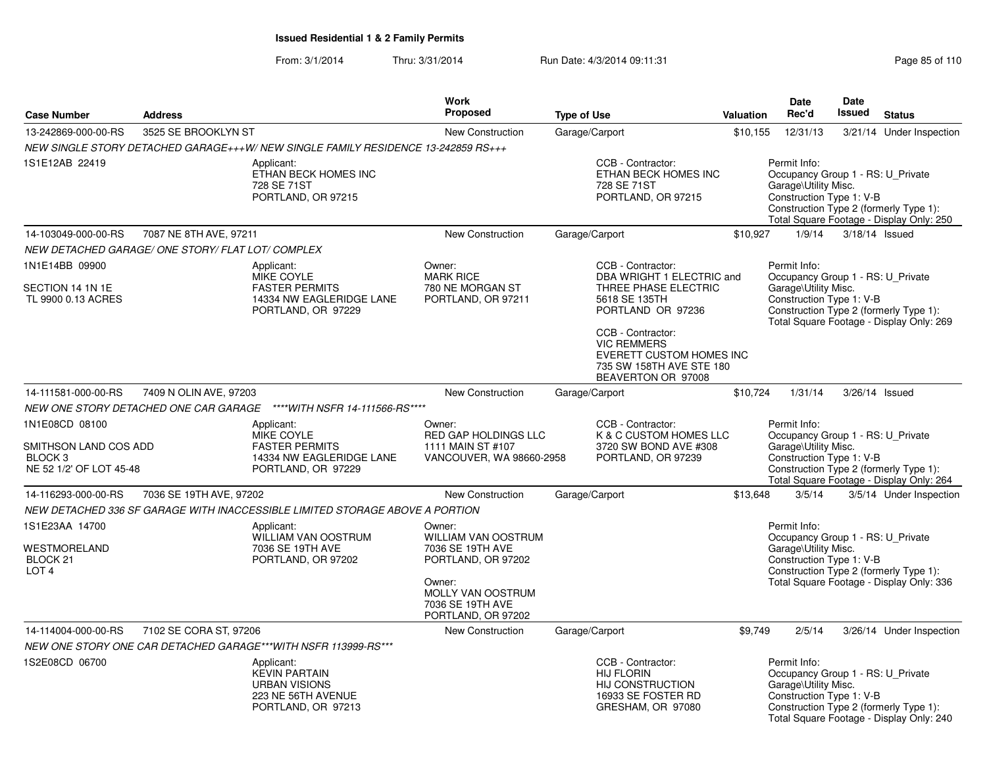#### From: 3/1/2014Thru: 3/31/2014 Run Date: 4/3/2014 09:11:31 Page 85 of 110

| <b>Case Number</b>                                                                       | <b>Address</b>                                                                                                                               |                                                                                                        | Work<br><b>Proposed</b>                                                                                                                                                              | <b>Type of Use</b>                                                                                                                                                                                                                    | <b>Valuation</b> | <b>Date</b><br>Rec'd                                                                                  | Date<br>Issued | <b>Status</b>                                                                      |
|------------------------------------------------------------------------------------------|----------------------------------------------------------------------------------------------------------------------------------------------|--------------------------------------------------------------------------------------------------------|--------------------------------------------------------------------------------------------------------------------------------------------------------------------------------------|---------------------------------------------------------------------------------------------------------------------------------------------------------------------------------------------------------------------------------------|------------------|-------------------------------------------------------------------------------------------------------|----------------|------------------------------------------------------------------------------------|
| 13-242869-000-00-RS                                                                      | 3525 SE BROOKLYN ST                                                                                                                          |                                                                                                        | <b>New Construction</b>                                                                                                                                                              | Garage/Carport                                                                                                                                                                                                                        | \$10,155         | 12/31/13                                                                                              |                | 3/21/14 Under Inspection                                                           |
|                                                                                          |                                                                                                                                              | NEW SINGLE STORY DETACHED GARAGE+++W/NEW SINGLE FAMILY RESIDENCE 13-242859 RS+++                       |                                                                                                                                                                                      |                                                                                                                                                                                                                                       |                  |                                                                                                       |                |                                                                                    |
| 1S1E12AB 22419                                                                           |                                                                                                                                              | Applicant:<br>ETHAN BECK HOMES INC<br>728 SE 71ST<br>PORTLAND, OR 97215                                |                                                                                                                                                                                      | CCB - Contractor:<br>ETHAN BECK HOMES INC<br>728 SE 71ST<br>PORTLAND, OR 97215                                                                                                                                                        |                  | Permit Info:<br>Occupancy Group 1 - RS: U_Private<br>Garage\Utility Misc.<br>Construction Type 1: V-B |                | Construction Type 2 (formerly Type 1):<br>Total Square Footage - Display Only: 250 |
| 14-103049-000-00-RS                                                                      | 7087 NE 8TH AVE, 97211                                                                                                                       |                                                                                                        | New Construction                                                                                                                                                                     | Garage/Carport                                                                                                                                                                                                                        | \$10,927         | 1/9/14                                                                                                |                | 3/18/14 Issued                                                                     |
| NEW DETACHED GARAGE/ ONE STORY/ FLAT LOT/ COMPLEX                                        |                                                                                                                                              |                                                                                                        |                                                                                                                                                                                      |                                                                                                                                                                                                                                       |                  |                                                                                                       |                |                                                                                    |
| 1N1E14BB 09900<br>SECTION 14 1N 1E<br>TL 9900 0.13 ACRES                                 |                                                                                                                                              | Applicant:<br>MIKE COYLE<br><b>FASTER PERMITS</b><br>14334 NW EAGLERIDGE LANE<br>PORTLAND, OR 97229    | Owner:<br><b>MARK RICE</b><br>780 NE MORGAN ST<br>PORTLAND, OR 97211                                                                                                                 | CCB - Contractor:<br>DBA WRIGHT 1 ELECTRIC and<br>THREE PHASE ELECTRIC<br>5618 SE 135TH<br>PORTLAND OR 97236<br>CCB - Contractor:<br><b>VIC REMMERS</b><br>EVERETT CUSTOM HOMES INC<br>735 SW 158TH AVE STE 180<br>BEAVERTON OR 97008 |                  | Permit Info:<br>Occupancy Group 1 - RS: U_Private<br>Garage\Utility Misc.<br>Construction Type 1: V-B |                | Construction Type 2 (formerly Type 1):<br>Total Square Footage - Display Only: 269 |
| 14-111581-000-00-RS                                                                      | 7409 N OLIN AVE, 97203                                                                                                                       |                                                                                                        | <b>New Construction</b>                                                                                                                                                              | Garage/Carport                                                                                                                                                                                                                        | \$10,724         | 1/31/14                                                                                               |                | 3/26/14 Issued                                                                     |
|                                                                                          |                                                                                                                                              | **** WITH NSFR 14-111566-RS****                                                                        |                                                                                                                                                                                      |                                                                                                                                                                                                                                       |                  |                                                                                                       |                |                                                                                    |
| 1N1E08CD 08100<br>SMITHSON LAND COS ADD<br>BLOCK <sub>3</sub><br>NE 52 1/2' OF LOT 45-48 | NEW ONE STORY DETACHED ONE CAR GARAGE<br>Applicant:<br>MIKE COYLE<br><b>FASTER PERMITS</b><br>14334 NW EAGLERIDGE LANE<br>PORTLAND, OR 97229 |                                                                                                        | CCB - Contractor:<br>Owner:<br><b>RED GAP HOLDINGS LLC</b><br>K & C CUSTOM HOMES LLC<br>1111 MAIN ST #107<br>3720 SW BOND AVE #308<br>VANCOUVER, WA 98660-2958<br>PORTLAND, OR 97239 |                                                                                                                                                                                                                                       |                  | Permit Info:<br>Occupancy Group 1 - RS: U_Private<br>Garage\Utility Misc.<br>Construction Type 1: V-B |                | Construction Type 2 (formerly Type 1):<br>Total Square Footage - Display Only: 264 |
| 14-116293-000-00-RS                                                                      | 7036 SE 19TH AVE, 97202                                                                                                                      |                                                                                                        | <b>New Construction</b>                                                                                                                                                              | Garage/Carport                                                                                                                                                                                                                        | \$13,648         | 3/5/14                                                                                                |                | 3/5/14 Under Inspection                                                            |
|                                                                                          |                                                                                                                                              | NEW DETACHED 336 SF GARAGE WITH INACCESSIBLE LIMITED STORAGE ABOVE A PORTION                           |                                                                                                                                                                                      |                                                                                                                                                                                                                                       |                  |                                                                                                       |                |                                                                                    |
| 1S1E23AA 14700<br>WESTMORELAND<br>BLOCK 21<br>LOT <sub>4</sub>                           |                                                                                                                                              | Applicant:<br>WILLIAM VAN OOSTRUM<br>7036 SE 19TH AVE<br>PORTLAND, OR 97202                            | Owner:<br><b>WILLIAM VAN OOSTRUM</b><br>7036 SE 19TH AVE<br>PORTLAND, OR 97202<br>Owner:<br>MOLLY VAN OOSTRUM<br>7036 SE 19TH AVE<br>PORTLAND, OR 97202                              |                                                                                                                                                                                                                                       |                  | Permit Info:<br>Occupancy Group 1 - RS: U_Private<br>Garage\Utility Misc.<br>Construction Type 1: V-B |                | Construction Type 2 (formerly Type 1):<br>Total Square Footage - Display Only: 336 |
| 14-114004-000-00-RS                                                                      | 7102 SE CORA ST, 97206                                                                                                                       |                                                                                                        | New Construction                                                                                                                                                                     | Garage/Carport                                                                                                                                                                                                                        | \$9,749          | 2/5/14                                                                                                |                | 3/26/14 Under Inspection                                                           |
|                                                                                          |                                                                                                                                              | NEW ONE STORY ONE CAR DETACHED GARAGE***WITH NSFR 113999-RS***                                         |                                                                                                                                                                                      |                                                                                                                                                                                                                                       |                  |                                                                                                       |                |                                                                                    |
| 1S2E08CD 06700                                                                           |                                                                                                                                              | Applicant:<br><b>KEVIN PARTAIN</b><br><b>URBAN VISIONS</b><br>223 NE 56TH AVENUE<br>PORTLAND, OR 97213 |                                                                                                                                                                                      | CCB - Contractor:<br><b>HIJ FLORIN</b><br>HIJ CONSTRUCTION<br>16933 SE FOSTER RD<br>GRESHAM, OR 97080                                                                                                                                 |                  | Permit Info:<br>Occupancy Group 1 - RS: U_Private<br>Garage\Utility Misc.<br>Construction Type 1: V-B |                | Construction Type 2 (formerly Type 1):<br>Total Square Footage - Display Only: 240 |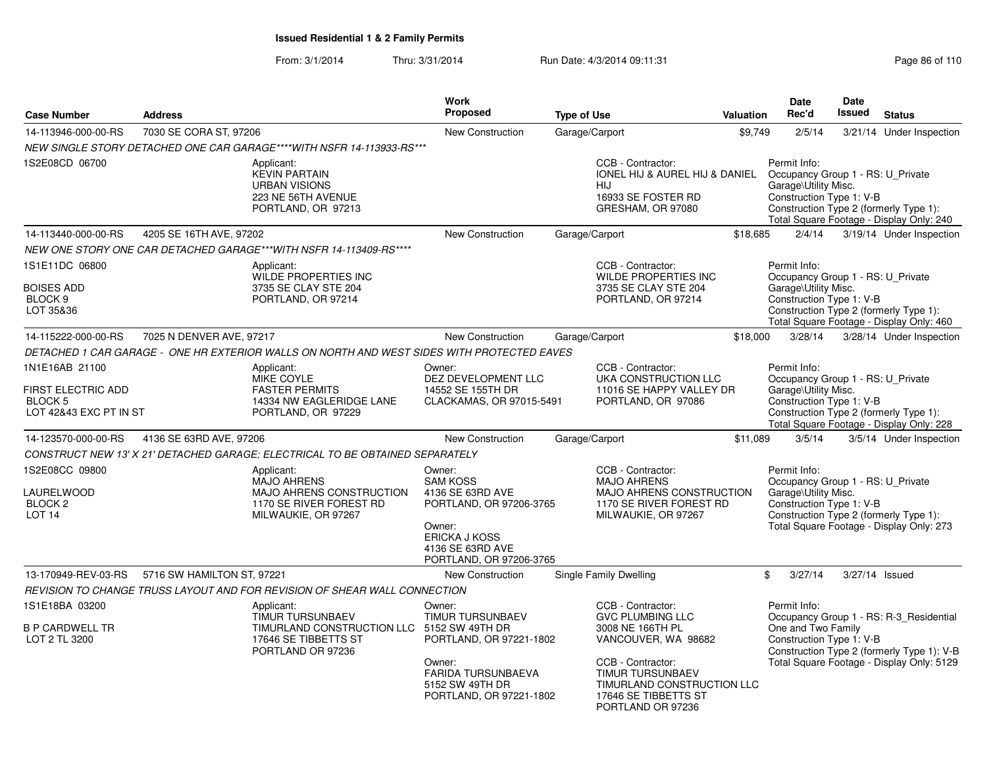#### From: 3/1/2014Thru: 3/31/2014 Run Date: 4/3/2014 09:11:31 Research 2010 Rage 86 of 110

| <b>Case Number</b>                                                               | <b>Address</b>                                                                                                 | <b>Work</b><br>Proposed                                                                                                                                       | <b>Type of Use</b>                                                                                                                                                                                          | Valuation | <b>Date</b><br>Rec'd                                                                                  | <b>Date</b><br><b>Issued</b> | <b>Status</b>                                                                                                                      |
|----------------------------------------------------------------------------------|----------------------------------------------------------------------------------------------------------------|---------------------------------------------------------------------------------------------------------------------------------------------------------------|-------------------------------------------------------------------------------------------------------------------------------------------------------------------------------------------------------------|-----------|-------------------------------------------------------------------------------------------------------|------------------------------|------------------------------------------------------------------------------------------------------------------------------------|
| 14-113946-000-00-RS                                                              | 7030 SE CORA ST, 97206                                                                                         | <b>New Construction</b>                                                                                                                                       | Garage/Carport                                                                                                                                                                                              | \$9,749   | 2/5/14                                                                                                |                              | 3/21/14 Under Inspection                                                                                                           |
|                                                                                  | NEW SINGLE STORY DETACHED ONE CAR GARAGE****WITH NSFR 14-113933-RS***                                          |                                                                                                                                                               |                                                                                                                                                                                                             |           |                                                                                                       |                              |                                                                                                                                    |
| 1S2E08CD 06700                                                                   | Applicant:<br><b>KEVIN PARTAIN</b><br><b>URBAN VISIONS</b><br>223 NE 56TH AVENUE<br>PORTLAND, OR 97213         |                                                                                                                                                               | CCB - Contractor:<br>IONEL HIJ & AUREL HIJ & DANIEL<br><b>HIJ</b><br>16933 SE FOSTER RD<br>GRESHAM, OR 97080                                                                                                |           | Permit Info:<br>Occupancy Group 1 - RS: U_Private<br>Garage\Utility Misc.<br>Construction Type 1: V-B |                              | Construction Type 2 (formerly Type 1):<br>Total Square Footage - Display Only: 240                                                 |
| 14-113440-000-00-RS                                                              | 4205 SE 16TH AVE, 97202                                                                                        | New Construction                                                                                                                                              | Garage/Carport                                                                                                                                                                                              | \$18,685  | 2/4/14                                                                                                |                              | 3/19/14 Under Inspection                                                                                                           |
|                                                                                  | NEW ONE STORY ONE CAR DETACHED GARAGE***WITH NSFR 14-113409-RS****                                             |                                                                                                                                                               |                                                                                                                                                                                                             |           |                                                                                                       |                              |                                                                                                                                    |
| 1S1E11DC 06800<br>BOISES ADD<br>BLOCK <sub>9</sub><br>LOT 35&36                  | Applicant:<br><b>WILDE PROPERTIES INC</b><br>3735 SE CLAY STE 204<br>PORTLAND, OR 97214                        |                                                                                                                                                               | CCB - Contractor:<br><b>WILDE PROPERTIES INC</b><br>3735 SE CLAY STE 204<br>PORTLAND, OR 97214                                                                                                              |           | Permit Info:<br>Occupancy Group 1 - RS: U_Private<br>Garage\Utility Misc.<br>Construction Type 1: V-B |                              | Construction Type 2 (formerly Type 1):<br>Total Square Footage - Display Only: 460                                                 |
| 14-115222-000-00-RS                                                              | 7025 N DENVER AVE, 97217                                                                                       | <b>New Construction</b>                                                                                                                                       | Garage/Carport                                                                                                                                                                                              | \$18,000  | 3/28/14                                                                                               |                              | 3/28/14 Under Inspection                                                                                                           |
|                                                                                  | DETACHED 1 CAR GARAGE - ONE HR EXTERIOR WALLS ON NORTH AND WEST SIDES WITH PROTECTED EAVES                     |                                                                                                                                                               |                                                                                                                                                                                                             |           |                                                                                                       |                              |                                                                                                                                    |
| 1N1E16AB 21100<br>FIRST ELECTRIC ADD<br><b>BLOCK 5</b><br>LOT 42&43 EXC PT IN ST | Applicant:<br><b>MIKE COYLE</b><br><b>FASTER PERMITS</b><br>14334 NW EAGLERIDGE LANE<br>PORTLAND, OR 97229     | Owner:<br>DEZ DEVELOPMENT LLC<br>14552 SE 155TH DR<br>CLACKAMAS, OR 97015-5491                                                                                | CCB - Contractor:<br>UKA CONSTRUCTION LLC<br>11016 SE HAPPY VALLEY DR<br>PORTLAND, OR 97086                                                                                                                 |           | Permit Info:<br>Occupancy Group 1 - RS: U Private<br>Garage\Utility Misc.<br>Construction Type 1: V-B |                              | Construction Type 2 (formerly Type 1):<br>Total Square Footage - Display Only: 228                                                 |
| 14-123570-000-00-RS                                                              | 4136 SE 63RD AVE, 97206                                                                                        | New Construction                                                                                                                                              | Garage/Carport                                                                                                                                                                                              | \$11,089  | 3/5/14                                                                                                |                              | 3/5/14 Under Inspection                                                                                                            |
|                                                                                  | CONSTRUCT NEW 13' X 21' DETACHED GARAGE; ELECTRICAL TO BE OBTAINED SEPARATELY                                  |                                                                                                                                                               |                                                                                                                                                                                                             |           |                                                                                                       |                              |                                                                                                                                    |
| 1S2E08CC 09800<br>LAURELWOOD<br>BLOCK <sub>2</sub><br><b>LOT 14</b>              | Applicant:<br><b>MAJO AHRENS</b><br>MAJO AHRENS CONSTRUCTION<br>1170 SE RIVER FOREST RD<br>MILWAUKIE, OR 97267 | Owner:<br><b>SAM KOSS</b><br>4136 SE 63RD AVE<br>PORTLAND, OR 97206-3765<br>Owner:<br>ERICKA J KOSS<br>4136 SE 63RD AVE<br>PORTLAND, OR 97206-3765            | CCB - Contractor:<br><b>MAJO AHRENS</b><br>MAJO AHRENS CONSTRUCTION<br>1170 SE RIVER FOREST RD<br>MILWAUKIE, OR 97267                                                                                       |           | Permit Info:<br>Occupancy Group 1 - RS: U_Private<br>Garage\Utility Misc.<br>Construction Type 1: V-B |                              | Construction Type 2 (formerly Type 1):<br>Total Square Footage - Display Only: 273                                                 |
| 13-170949-REV-03-RS                                                              | 5716 SW HAMILTON ST, 97221                                                                                     | <b>New Construction</b>                                                                                                                                       | Single Family Dwelling                                                                                                                                                                                      |           | 3/27/14<br>\$                                                                                         |                              | 3/27/14 Issued                                                                                                                     |
|                                                                                  | REVISION TO CHANGE TRUSS LAYOUT AND FOR REVISION OF SHEAR WALL CONNECTION                                      |                                                                                                                                                               |                                                                                                                                                                                                             |           |                                                                                                       |                              |                                                                                                                                    |
| 1S1E18BA 03200<br><b>B P CARDWELL TR</b><br>LOT 2 TL 3200                        | Applicant:<br>TIMUR TURSUNBAEV<br>TIMURLAND CONSTRUCTION LLC<br>17646 SE TIBBETTS ST<br>PORTLAND OR 97236      | Owner:<br>TIMUR TURSUNBAEV<br>5152 SW 49TH DR<br>PORTLAND, OR 97221-1802<br>Owner:<br><b>FARIDA TURSUNBAEVA</b><br>5152 SW 49TH DR<br>PORTLAND, OR 97221-1802 | CCB - Contractor:<br><b>GVC PLUMBING LLC</b><br>3008 NE 166TH PL<br>VANCOUVER, WA 98682<br>CCB - Contractor:<br>TIMUR TURSUNBAEV<br>TIMURLAND CONSTRUCTION LLC<br>17646 SE TIBBETTS ST<br>PORTLAND OR 97236 |           | Permit Info:<br>One and Two Family<br>Construction Type 1: V-B                                        |                              | Occupancy Group 1 - RS: R-3_Residential<br>Construction Type 2 (formerly Type 1): V-B<br>Total Square Footage - Display Only: 5129 |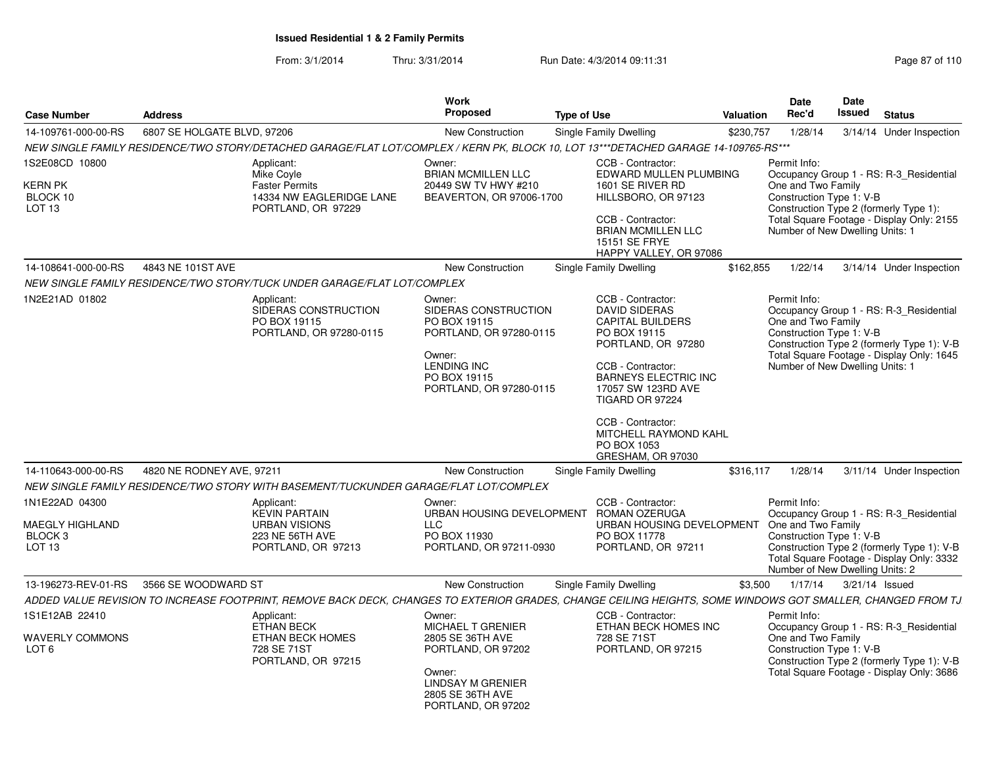From: 3/1/2014Thru: 3/31/2014 Run Date: 4/3/2014 09:11:31 Research 2010 Rage 87 of 110

| <b>Case Number</b>                                                           | <b>Address</b>              |                                                                                                                                                             | <b>Work</b><br>Proposed                                                                                                                                      | <b>Type of Use</b>     |                                                                                                                                                                                                                                                                                           | <b>Valuation</b> | Date<br>Rec'd                                                                                     | Date<br>Issued | <b>Status</b>                                                                                                                      |
|------------------------------------------------------------------------------|-----------------------------|-------------------------------------------------------------------------------------------------------------------------------------------------------------|--------------------------------------------------------------------------------------------------------------------------------------------------------------|------------------------|-------------------------------------------------------------------------------------------------------------------------------------------------------------------------------------------------------------------------------------------------------------------------------------------|------------------|---------------------------------------------------------------------------------------------------|----------------|------------------------------------------------------------------------------------------------------------------------------------|
| 14-109761-000-00-RS                                                          | 6807 SE HOLGATE BLVD, 97206 |                                                                                                                                                             | New Construction                                                                                                                                             | Single Family Dwelling |                                                                                                                                                                                                                                                                                           | \$230,757        | 1/28/14                                                                                           |                | 3/14/14 Under Inspection                                                                                                           |
|                                                                              |                             | NEW SINGLE FAMILY RESIDENCE/TWO STORY/DETACHED GARAGE/FLAT LOT/COMPLEX / KERN PK, BLOCK 10, LOT 13***DETACHED GARAGE 14-109765-RS***                        |                                                                                                                                                              |                        |                                                                                                                                                                                                                                                                                           |                  |                                                                                                   |                |                                                                                                                                    |
| 1S2E08CD 10800<br>KERN PK<br>BLOCK 10<br>LOT <sub>13</sub>                   |                             | Applicant:<br>Mike Coyle<br><b>Faster Permits</b><br>14334 NW EAGLERIDGE LANE<br>PORTLAND, OR 97229                                                         | Owner:<br><b>BRIAN MCMILLEN LLC</b><br>20449 SW TV HWY #210<br>BEAVERTON, OR 97006-1700                                                                      |                        | CCB - Contractor:<br>EDWARD MULLEN PLUMBING<br>1601 SE RIVER RD<br>HILLSBORO, OR 97123<br>CCB - Contractor:<br><b>BRIAN MCMILLEN LLC</b><br>15151 SE FRYE<br>HAPPY VALLEY, OR 97086                                                                                                       |                  | Permit Info:<br>One and Two Family<br>Construction Type 1: V-B<br>Number of New Dwelling Units: 1 |                | Occupancy Group 1 - RS: R-3_Residential<br>Construction Type 2 (formerly Type 1):<br>Total Square Footage - Display Only: 2155     |
| 14-108641-000-00-RS                                                          | 4843 NE 101ST AVE           |                                                                                                                                                             | <b>New Construction</b>                                                                                                                                      | Single Family Dwelling |                                                                                                                                                                                                                                                                                           | \$162,855        | 1/22/14                                                                                           |                | 3/14/14 Under Inspection                                                                                                           |
|                                                                              |                             | NEW SINGLE FAMILY RESIDENCE/TWO STORY/TUCK UNDER GARAGE/FLAT LOT/COMPLEX                                                                                    |                                                                                                                                                              |                        |                                                                                                                                                                                                                                                                                           |                  |                                                                                                   |                |                                                                                                                                    |
| 1N2E21AD 01802                                                               |                             | Applicant:<br>SIDERAS CONSTRUCTION<br>PO BOX 19115<br>PORTLAND, OR 97280-0115                                                                               | Owner:<br>SIDERAS CONSTRUCTION<br>PO BOX 19115<br>PORTLAND, OR 97280-0115<br>Owner:<br>LENDING INC<br>PO BOX 19115<br>PORTLAND, OR 97280-0115                |                        | CCB - Contractor:<br><b>DAVID SIDERAS</b><br><b>CAPITAL BUILDERS</b><br>PO BOX 19115<br>PORTLAND, OR 97280<br>CCB - Contractor:<br><b>BARNEYS ELECTRIC INC</b><br>17057 SW 123RD AVE<br>TIGARD OR 97224<br>CCB - Contractor:<br>MITCHELL RAYMOND KAHL<br>PO BOX 1053<br>GRESHAM, OR 97030 |                  | Permit Info:<br>One and Two Family<br>Construction Type 1: V-B<br>Number of New Dwelling Units: 1 |                | Occupancy Group 1 - RS: R-3 Residential<br>Construction Type 2 (formerly Type 1): V-B<br>Total Square Footage - Display Only: 1645 |
| 14-110643-000-00-RS                                                          | 4820 NE RODNEY AVE, 97211   |                                                                                                                                                             | <b>New Construction</b>                                                                                                                                      | Single Family Dwelling |                                                                                                                                                                                                                                                                                           | \$316,117        | 1/28/14                                                                                           |                | 3/11/14 Under Inspection                                                                                                           |
|                                                                              |                             | NEW SINGLE FAMILY RESIDENCE/TWO STORY WITH BASEMENT/TUCKUNDER GARAGE/FLAT LOT/COMPLEX                                                                       |                                                                                                                                                              |                        |                                                                                                                                                                                                                                                                                           |                  |                                                                                                   |                |                                                                                                                                    |
| 1N1E22AD 04300<br>MAEGLY HIGHLAND<br>BLOCK <sub>3</sub><br>LOT <sub>13</sub> |                             | Applicant:<br><b>KEVIN PARTAIN</b><br><b>URBAN VISIONS</b><br>223 NE 56TH AVE<br>PORTLAND, OR 97213                                                         | Owner:<br>URBAN HOUSING DEVELOPMENT<br><b>LLC</b><br>PO BOX 11930<br>PORTLAND, OR 97211-0930                                                                 |                        | CCB - Contractor:<br><b>ROMAN OZERUGA</b><br>URBAN HOUSING DEVELOPMENT<br>PO BOX 11778<br>PORTLAND, OR 97211                                                                                                                                                                              |                  | Permit Info:<br>One and Two Family<br>Construction Type 1: V-B<br>Number of New Dwelling Units: 2 |                | Occupancy Group 1 - RS: R-3_Residential<br>Construction Type 2 (formerly Type 1): V-B<br>Total Square Footage - Display Only: 3332 |
| 13-196273-REV-01-RS                                                          | 3566 SE WOODWARD ST         |                                                                                                                                                             | <b>New Construction</b>                                                                                                                                      | Single Family Dwelling |                                                                                                                                                                                                                                                                                           | \$3,500          | 1/17/14                                                                                           | 3/21/14 Issued |                                                                                                                                    |
|                                                                              |                             | ADDED VALUE REVISION TO INCREASE FOOTPRINT, REMOVE BACK DECK, CHANGES TO EXTERIOR GRADES, CHANGE CEILING HEIGHTS, SOME WINDOWS GOT SMALLER, CHANGED FROM TJ |                                                                                                                                                              |                        |                                                                                                                                                                                                                                                                                           |                  |                                                                                                   |                |                                                                                                                                    |
| 1S1E12AB 22410<br><b>WAVERLY COMMONS</b><br>LOT 6                            |                             | Applicant:<br><b>ETHAN BECK</b><br>ETHAN BECK HOMES<br>728 SE 71ST<br>PORTLAND, OR 97215                                                                    | Owner:<br><b>MICHAEL T GRENIER</b><br>2805 SE 36TH AVE<br>PORTLAND, OR 97202<br>Owner:<br><b>LINDSAY M GRENIER</b><br>2805 SE 36TH AVE<br>PORTLAND, OR 97202 |                        | CCB - Contractor:<br>ETHAN BECK HOMES INC<br>728 SE 71ST<br>PORTLAND, OR 97215                                                                                                                                                                                                            |                  | Permit Info:<br>One and Two Family<br>Construction Type 1: V-B                                    |                | Occupancy Group 1 - RS: R-3 Residential<br>Construction Type 2 (formerly Type 1): V-B<br>Total Square Footage - Display Only: 3686 |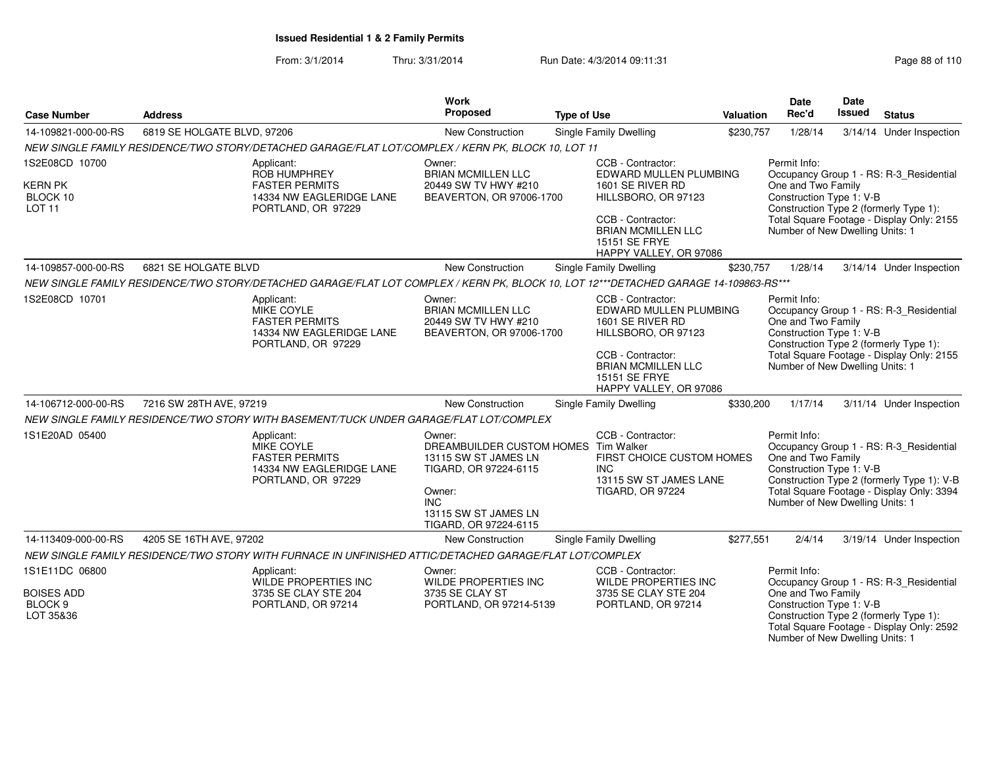From: 3/1/2014Thru: 3/31/2014 Run Date: 4/3/2014 09:11:31 Research 2010 Rage 88 of 110

| <b>Case Number</b>                                                     | <b>Address</b>                                                                                                                       | <b>Work</b><br>Proposed                                                                                                                                            | <b>Type of Use</b>                                                                                                                                                                         | Valuation | <b>Date</b><br>Rec'd                                                                              | Date<br>Issued | <b>Status</b>                                                                                                                      |
|------------------------------------------------------------------------|--------------------------------------------------------------------------------------------------------------------------------------|--------------------------------------------------------------------------------------------------------------------------------------------------------------------|--------------------------------------------------------------------------------------------------------------------------------------------------------------------------------------------|-----------|---------------------------------------------------------------------------------------------------|----------------|------------------------------------------------------------------------------------------------------------------------------------|
| 14-109821-000-00-RS                                                    | 6819 SE HOLGATE BLVD, 97206                                                                                                          | New Construction                                                                                                                                                   | Single Family Dwelling                                                                                                                                                                     | \$230,757 | 1/28/14                                                                                           |                | 3/14/14 Under Inspection                                                                                                           |
|                                                                        | NEW SINGLE FAMILY RESIDENCE/TWO STORY/DETACHED GARAGE/FLAT LOT/COMPLEX / KERN PK, BLOCK 10, LOT 11                                   |                                                                                                                                                                    |                                                                                                                                                                                            |           |                                                                                                   |                |                                                                                                                                    |
| 1S2E08CD 10700<br>KERN PK<br>BLOCK 10<br><b>LOT 11</b>                 | Applicant:<br><b>ROB HUMPHREY</b><br><b>FASTER PERMITS</b><br>14334 NW EAGLERIDGE LANE<br>PORTLAND, OR 97229                         | Owner:<br><b>BRIAN MCMILLEN LLC</b><br>20449 SW TV HWY #210<br>BEAVERTON, OR 97006-1700                                                                            | CCB - Contractor:<br>EDWARD MULLEN PLUMBING<br>1601 SE RIVER RD<br>HILLSBORO, OR 97123<br>CCB - Contractor:<br><b>BRIAN MCMILLEN LLC</b><br>15151 SE FRYE<br>HAPPY VALLEY, OR 97086        |           | Permit Info:<br>One and Two Family<br>Construction Type 1: V-B<br>Number of New Dwelling Units: 1 |                | Occupancy Group 1 - RS: R-3_Residential<br>Construction Type 2 (formerly Type 1):<br>Total Square Footage - Display Only: 2155     |
| 14-109857-000-00-RS                                                    | 6821 SE HOLGATE BLVD                                                                                                                 | New Construction                                                                                                                                                   | Single Family Dwelling                                                                                                                                                                     | \$230,757 | 1/28/14                                                                                           |                | 3/14/14 Under Inspection                                                                                                           |
|                                                                        | NEW SINGLE FAMILY RESIDENCE/TWO STORY/DETACHED GARAGE/FLAT LOT COMPLEX / KERN PK, BLOCK 10, LOT 12***DETACHED GARAGE 14-109863-RS*** |                                                                                                                                                                    |                                                                                                                                                                                            |           |                                                                                                   |                |                                                                                                                                    |
| 1S2E08CD 10701                                                         | Applicant:<br>MIKE COYLE<br><b>FASTER PERMITS</b><br>14334 NW EAGLERIDGE LANE<br>PORTLAND, OR 97229                                  | Owner:<br><b>BRIAN MCMILLEN LLC</b><br>20449 SW TV HWY #210<br>BEAVERTON, OR 97006-1700                                                                            | CCB - Contractor:<br>EDWARD MULLEN PLUMBING<br>1601 SE RIVER RD<br>HILLSBORO, OR 97123<br>CCB - Contractor:<br><b>BRIAN MCMILLEN LLC</b><br><b>15151 SE FRYE</b><br>HAPPY VALLEY, OR 97086 |           | Permit Info:<br>One and Two Family<br>Construction Type 1: V-B<br>Number of New Dwelling Units: 1 |                | Occupancy Group 1 - RS: R-3_Residential<br>Construction Type 2 (formerly Type 1):<br>Total Square Footage - Display Only: 2155     |
| 14-106712-000-00-RS                                                    | 7216 SW 28TH AVE, 97219                                                                                                              | New Construction                                                                                                                                                   | Single Family Dwelling                                                                                                                                                                     | \$330,200 | 1/17/14                                                                                           |                | 3/11/14 Under Inspection                                                                                                           |
|                                                                        | NEW SINGLE FAMILY RESIDENCE/TWO STORY WITH BASEMENT/TUCK UNDER GARAGE/FLAT LOT/COMPLEX                                               |                                                                                                                                                                    |                                                                                                                                                                                            |           |                                                                                                   |                |                                                                                                                                    |
| 1S1E20AD 05400                                                         | Applicant:<br>MIKE COYLE<br><b>FASTER PERMITS</b><br>14334 NW EAGLERIDGE LANE<br>PORTLAND, OR 97229                                  | Owner:<br>DREAMBUILDER CUSTOM HOMES Tim Walker<br>13115 SW ST JAMES LN<br>TIGARD, OR 97224-6115<br>Owner:<br>INC.<br>13115 SW ST JAMES LN<br>TIGARD, OR 97224-6115 | CCB - Contractor:<br>FIRST CHOICE CUSTOM HOMES<br><b>INC</b><br>13115 SW ST JAMES LANE<br><b>TIGARD, OR 97224</b>                                                                          |           | Permit Info:<br>One and Two Family<br>Construction Type 1: V-B<br>Number of New Dwelling Units: 1 |                | Occupancy Group 1 - RS: R-3_Residential<br>Construction Type 2 (formerly Type 1): V-B<br>Total Square Footage - Display Only: 3394 |
| 14-113409-000-00-RS                                                    | 4205 SE 16TH AVE, 97202                                                                                                              | New Construction                                                                                                                                                   | Single Family Dwelling                                                                                                                                                                     | \$277,551 | 2/4/14                                                                                            |                | 3/19/14 Under Inspection                                                                                                           |
|                                                                        | NEW SINGLE FAMILY RESIDENCE/TWO STORY WITH FURNACE IN UNFINISHED ATTIC/DETACHED GARAGE/FLAT LOT/COMPLEX                              |                                                                                                                                                                    |                                                                                                                                                                                            |           |                                                                                                   |                |                                                                                                                                    |
| 1S1E11DC 06800<br><b>BOISES ADD</b><br>BLOCK <sub>9</sub><br>LOT 35&36 | Applicant:<br>WILDE PROPERTIES INC<br>3735 SE CLAY STE 204<br>PORTLAND, OR 97214                                                     | Owner:<br>WILDE PROPERTIES INC<br>3735 SE CLAY ST<br>PORTLAND, OR 97214-5139                                                                                       | CCB - Contractor:<br>WILDE PROPERTIES INC<br>3735 SE CLAY STE 204<br>PORTLAND, OR 97214                                                                                                    |           | Permit Info:<br>One and Two Family<br>Construction Type 1: V-B<br>Number of New Dwelling Units: 1 |                | Occupancy Group 1 - RS: R-3_Residential<br>Construction Type 2 (formerly Type 1):<br>Total Square Footage - Display Only: 2592     |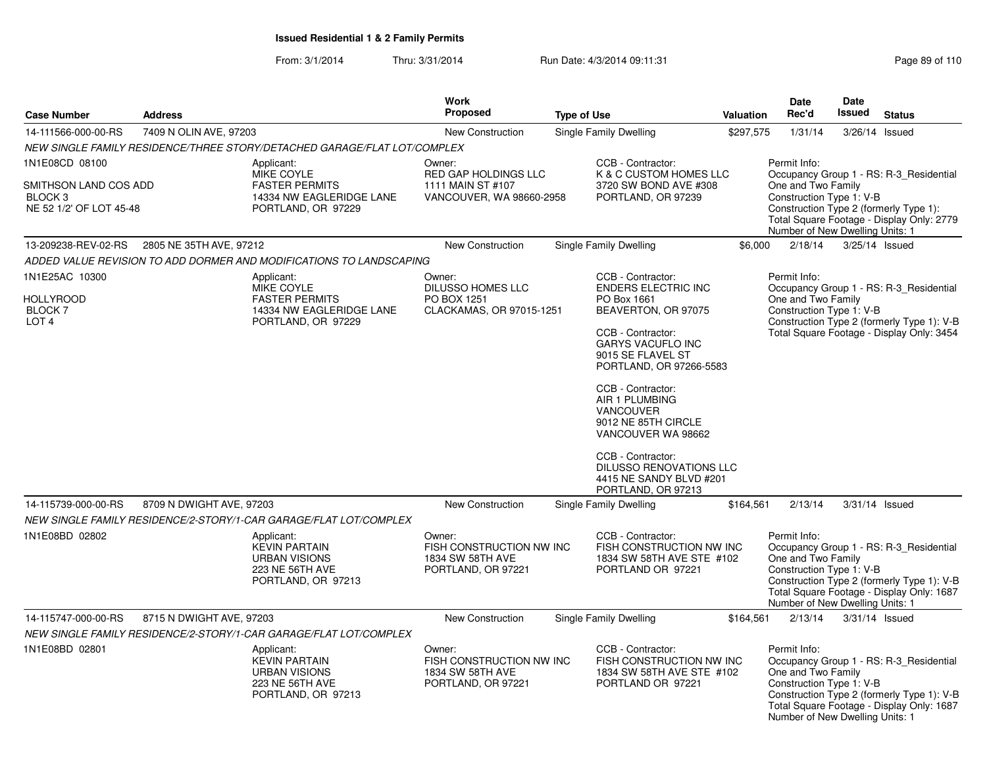From: 3/1/2014Thru: 3/31/2014 Run Date: 4/3/2014 09:11:31 Page 89 of 110

| <b>Case Number</b>                                                      | <b>Address</b>           |                                                                                                     | Work<br><b>Proposed</b>                                                      | <b>Type of Use</b>                                                                                                                                                                                                                                                                                                                                                                       | Valuation | <b>Date</b><br>Rec'd                                                                                                        | Date<br>Issued                                                                       | <b>Status</b>                                                                                                                      |
|-------------------------------------------------------------------------|--------------------------|-----------------------------------------------------------------------------------------------------|------------------------------------------------------------------------------|------------------------------------------------------------------------------------------------------------------------------------------------------------------------------------------------------------------------------------------------------------------------------------------------------------------------------------------------------------------------------------------|-----------|-----------------------------------------------------------------------------------------------------------------------------|--------------------------------------------------------------------------------------|------------------------------------------------------------------------------------------------------------------------------------|
| 7409 N OLIN AVE, 97203<br>14-111566-000-00-RS                           |                          |                                                                                                     | <b>New Construction</b>                                                      | Single Family Dwelling                                                                                                                                                                                                                                                                                                                                                                   | \$297,575 | 1/31/14                                                                                                                     | 3/26/14 Issued                                                                       |                                                                                                                                    |
|                                                                         |                          | NEW SINGLE FAMILY RESIDENCE/THREE STORY/DETACHED GARAGE/FLAT LOT/COMPLEX                            |                                                                              |                                                                                                                                                                                                                                                                                                                                                                                          |           |                                                                                                                             |                                                                                      |                                                                                                                                    |
| 1N1E08CD 08100                                                          |                          | Applicant:                                                                                          | Owner:                                                                       | CCB - Contractor:                                                                                                                                                                                                                                                                                                                                                                        |           | Permit Info:                                                                                                                |                                                                                      |                                                                                                                                    |
| SMITHSON LAND COS ADD<br>BLOCK <sub>3</sub><br>NE 52 1/2' OF LOT 45-48  |                          | MIKE COYLE<br><b>FASTER PERMITS</b><br>14334 NW EAGLERIDGE LANE<br>PORTLAND, OR 97229               | <b>RED GAP HOLDINGS LLC</b><br>1111 MAIN ST #107<br>VANCOUVER, WA 98660-2958 | K & C CUSTOM HOMES LLC<br>3720 SW BOND AVE #308<br>PORTLAND, OR 97239                                                                                                                                                                                                                                                                                                                    |           | One and Two Family<br>Construction Type 1: V-B<br>Construction Type 2 (formerly Type 1):<br>Number of New Dwelling Units: 1 | Occupancy Group 1 - RS: R-3 Residential<br>Total Square Footage - Display Only: 2779 |                                                                                                                                    |
| 13-209238-REV-02-RS                                                     | 2805 NE 35TH AVE, 97212  |                                                                                                     | <b>New Construction</b>                                                      | Single Family Dwelling                                                                                                                                                                                                                                                                                                                                                                   | \$6,000   | 2/18/14                                                                                                                     | 3/25/14 Issued                                                                       |                                                                                                                                    |
|                                                                         |                          | ADDED VALUE REVISION TO ADD DORMER AND MODIFICATIONS TO LANDSCAPING                                 |                                                                              |                                                                                                                                                                                                                                                                                                                                                                                          |           |                                                                                                                             |                                                                                      |                                                                                                                                    |
| 1N1E25AC 10300<br><b>HOLLYROOD</b><br><b>BLOCK7</b><br>LOT <sub>4</sub> |                          | Applicant:<br>MIKE COYLE<br><b>FASTER PERMITS</b><br>14334 NW EAGLERIDGE LANE<br>PORTLAND, OR 97229 | Owner:<br>DILUSSO HOMES LLC<br>PO BOX 1251<br>CLACKAMAS, OR 97015-1251       | CCB - Contractor:<br><b>ENDERS ELECTRIC INC</b><br>PO Box 1661<br>BEAVERTON, OR 97075<br>CCB - Contractor:<br><b>GARYS VACUFLO INC</b><br>9015 SE FLAVEL ST<br>PORTLAND, OR 97266-5583<br>CCB - Contractor:<br>AIR 1 PLUMBING<br>VANCOUVER<br>9012 NE 85TH CIRCLE<br>VANCOUVER WA 98662<br>CCB - Contractor:<br>DILUSSO RENOVATIONS LLC<br>4415 NE SANDY BLVD #201<br>PORTLAND, OR 97213 |           | Permit Info:<br>One and Two Family<br>Construction Type 1: V-B                                                              |                                                                                      | Occupancy Group 1 - RS: R-3 Residential<br>Construction Type 2 (formerly Type 1): V-B<br>Total Square Footage - Display Only: 3454 |
| 14-115739-000-00-RS                                                     | 8709 N DWIGHT AVE, 97203 |                                                                                                     | <b>New Construction</b>                                                      | Single Family Dwelling                                                                                                                                                                                                                                                                                                                                                                   | \$164,561 | 2/13/14                                                                                                                     | 3/31/14 Issued                                                                       |                                                                                                                                    |
|                                                                         |                          | NEW SINGLE FAMILY RESIDENCE/2-STORY/1-CAR GARAGE/FLAT LOT/COMPLEX                                   |                                                                              |                                                                                                                                                                                                                                                                                                                                                                                          |           |                                                                                                                             |                                                                                      |                                                                                                                                    |
| 1N1E08BD 02802                                                          |                          | Applicant:<br><b>KEVIN PARTAIN</b><br><b>URBAN VISIONS</b><br>223 NE 56TH AVE<br>PORTLAND, OR 97213 | Owner:<br>FISH CONSTRUCTION NW INC<br>1834 SW 58TH AVE<br>PORTLAND, OR 97221 | CCB - Contractor:<br>FISH CONSTRUCTION NW INC<br>1834 SW 58TH AVE STE #102<br>PORTLAND OR 97221                                                                                                                                                                                                                                                                                          |           | Permit Info:<br>One and Two Family<br>Construction Type 1: V-B<br>Number of New Dwelling Units: 1                           |                                                                                      | Occupancy Group 1 - RS: R-3 Residential<br>Construction Type 2 (formerly Type 1): V-B<br>Total Square Footage - Display Only: 1687 |
| 14-115747-000-00-RS                                                     | 8715 N DWIGHT AVE, 97203 |                                                                                                     | <b>New Construction</b>                                                      | Single Family Dwelling                                                                                                                                                                                                                                                                                                                                                                   | \$164,561 | 2/13/14                                                                                                                     | 3/31/14 Issued                                                                       |                                                                                                                                    |
|                                                                         |                          | NEW SINGLE FAMILY RESIDENCE/2-STORY/1-CAR GARAGE/FLAT LOT/COMPLEX                                   |                                                                              |                                                                                                                                                                                                                                                                                                                                                                                          |           |                                                                                                                             |                                                                                      |                                                                                                                                    |
| 1N1E08BD 02801                                                          |                          | Applicant:<br><b>KEVIN PARTAIN</b><br><b>URBAN VISIONS</b><br>223 NE 56TH AVE<br>PORTLAND, OR 97213 | Owner:<br>FISH CONSTRUCTION NW INC<br>1834 SW 58TH AVE<br>PORTLAND, OR 97221 | CCB - Contractor:<br>FISH CONSTRUCTION NW INC<br>1834 SW 58TH AVE STE #102<br>PORTLAND OR 97221                                                                                                                                                                                                                                                                                          |           | Permit Info:<br>One and Two Family<br>Construction Type 1: V-B<br>Number of New Dwelling Units: 1                           |                                                                                      | Occupancy Group 1 - RS: R-3_Residential<br>Construction Type 2 (formerly Type 1): V-B<br>Total Square Footage - Display Only: 1687 |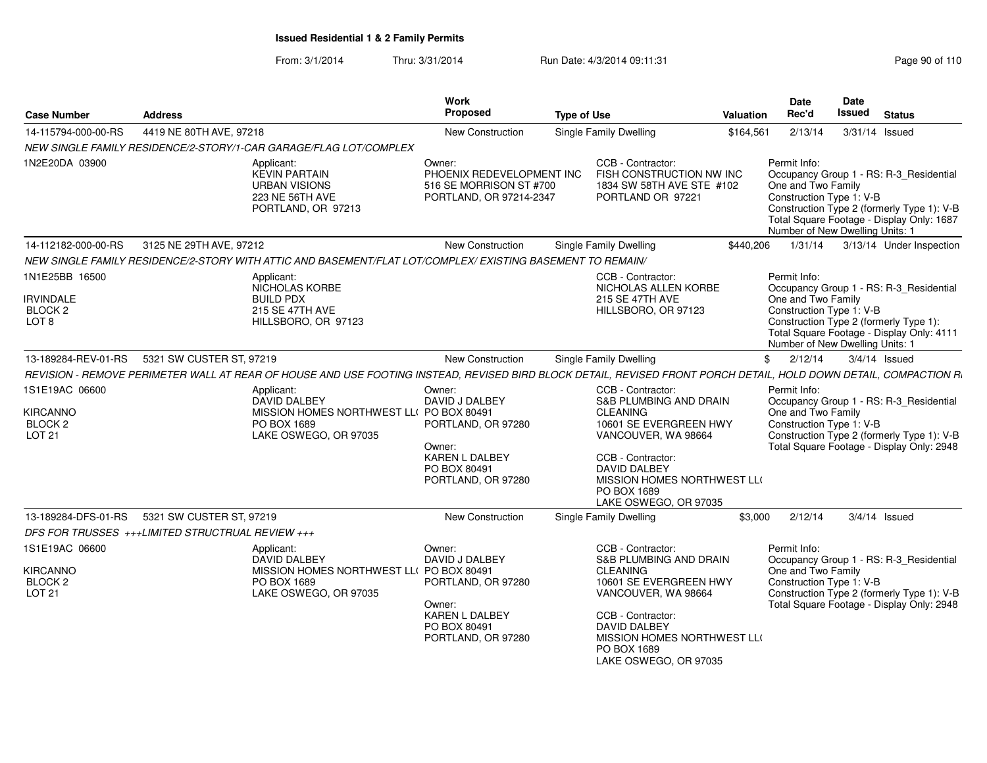From: 3/1/2014Thru: 3/31/2014 Run Date: 4/3/2014 09:11:31

| Page 90 of 110 |  |  |
|----------------|--|--|
|----------------|--|--|

| <b>Case Number</b>                                     | <b>Address</b>                                                                                                                                                    |                                                                   | Work<br>Proposed                                                                          | <b>Type of Use</b> |                                                                                                                 | <b>Valuation</b> | Date<br>Rec'd                                                                                     | Date<br><b>Issued</b> | <b>Status</b>                                                                                                                      |
|--------------------------------------------------------|-------------------------------------------------------------------------------------------------------------------------------------------------------------------|-------------------------------------------------------------------|-------------------------------------------------------------------------------------------|--------------------|-----------------------------------------------------------------------------------------------------------------|------------------|---------------------------------------------------------------------------------------------------|-----------------------|------------------------------------------------------------------------------------------------------------------------------------|
| 14-115794-000-00-RS                                    | 4419 NE 80TH AVE, 97218                                                                                                                                           |                                                                   | <b>New Construction</b>                                                                   |                    | Single Family Dwelling                                                                                          | \$164,561        | 2/13/14                                                                                           |                       | 3/31/14 Issued                                                                                                                     |
|                                                        | NEW SINGLE FAMILY RESIDENCE/2-STORY/1-CAR GARAGE/FLAG LOT/COMPLEX                                                                                                 |                                                                   |                                                                                           |                    |                                                                                                                 |                  |                                                                                                   |                       |                                                                                                                                    |
| 1N2E20DA 03900                                         | Applicant:<br><b>KEVIN PARTAIN</b><br><b>URBAN VISIONS</b><br>223 NE 56TH AVE<br>PORTLAND, OR 97213                                                               |                                                                   | Owner:<br>PHOENIX REDEVELOPMENT INC<br>516 SE MORRISON ST #700<br>PORTLAND, OR 97214-2347 |                    | CCB - Contractor:<br>FISH CONSTRUCTION NW INC<br>1834 SW 58TH AVE STE #102<br>PORTLAND OR 97221                 |                  | Permit Info:<br>One and Two Family<br>Construction Type 1: V-B<br>Number of New Dwelling Units: 1 |                       | Occupancy Group 1 - RS: R-3 Residential<br>Construction Type 2 (formerly Type 1): V-B<br>Total Square Footage - Display Only: 1687 |
| 14-112182-000-00-RS                                    | 3125 NE 29TH AVE, 97212                                                                                                                                           |                                                                   | <b>New Construction</b>                                                                   |                    | <b>Single Family Dwelling</b>                                                                                   | \$440,206        |                                                                                                   |                       | 1/31/14   3/13/14   Under Inspection                                                                                               |
|                                                        | NEW SINGLE FAMILY RESIDENCE/2-STORY WITH ATTIC AND BASEMENT/FLAT LOT/COMPLEX/ EXISTING BASEMENT TO REMAIN/                                                        |                                                                   |                                                                                           |                    |                                                                                                                 |                  |                                                                                                   |                       |                                                                                                                                    |
| 1N1E25BB 16500<br><b>IRVINDALE</b><br>BLOCK 2<br>LOT 8 | Applicant:<br>NICHOLAS KORBE<br><b>BUILD PDX</b><br><b>215 SE 47TH AVE</b><br>HILLSBORO, OR 97123                                                                 |                                                                   |                                                                                           |                    | CCB - Contractor:<br>NICHOLAS ALLEN KORBE<br>215 SE 47TH AVE<br>HILLSBORO, OR 97123                             |                  | Permit Info:<br>One and Two Family<br>Construction Type 1: V-B<br>Number of New Dwelling Units: 1 |                       | Occupancy Group 1 - RS: R-3_Residential<br>Construction Type 2 (formerly Type 1):<br>Total Square Footage - Display Only: 4111     |
| 13-189284-REV-01-RS                                    | 5321 SW CUSTER ST, 97219                                                                                                                                          |                                                                   | <b>New Construction</b>                                                                   |                    | <b>Single Family Dwelling</b>                                                                                   |                  | \$<br>2/12/14                                                                                     |                       | $3/4/14$ Issued                                                                                                                    |
|                                                        | REVISION - REMOVE PERIMETER WALL AT REAR OF HOUSE AND USE FOOTING INSTEAD, REVISED BIRD BLOCK DETAIL, REVISED FRONT PORCH DETAIL, HOLD DOWN DETAIL, COMPACTION R. |                                                                   |                                                                                           |                    |                                                                                                                 |                  |                                                                                                   |                       |                                                                                                                                    |
| 1S1E19AC 06600                                         | Applicant:<br><b>DAVID DALBEY</b>                                                                                                                                 |                                                                   | Owner:<br>DAVID J DALBEY                                                                  |                    | CCB - Contractor:<br><b>S&amp;B PLUMBING AND DRAIN</b>                                                          |                  | Permit Info:                                                                                      |                       | Occupancy Group 1 - RS: R-3_Residential                                                                                            |
| KIRCANNO<br>BLOCK 2<br>LOT 21                          | PO BOX 1689                                                                                                                                                       | MISSION HOMES NORTHWEST LL( PO BOX 80491<br>LAKE OSWEGO, OR 97035 | PORTLAND, OR 97280<br>Owner:                                                              |                    | <b>CLEANING</b><br>10601 SE EVERGREEN HWY<br>VANCOUVER, WA 98664                                                |                  | One and Two Family<br>Construction Type 1: V-B                                                    |                       | Construction Type 2 (formerly Type 1): V-B<br>Total Square Footage - Display Only: 2948                                            |
|                                                        |                                                                                                                                                                   |                                                                   | KAREN L DALBEY<br>PO BOX 80491<br>PORTLAND, OR 97280                                      |                    | CCB - Contractor:<br><b>DAVID DALBEY</b><br>MISSION HOMES NORTHWEST LLO<br>PO BOX 1689<br>LAKE OSWEGO, OR 97035 |                  |                                                                                                   |                       |                                                                                                                                    |
| 13-189284-DFS-01-RS                                    | 5321 SW CUSTER ST, 97219                                                                                                                                          |                                                                   | New Construction                                                                          |                    | Single Family Dwelling                                                                                          | \$3,000          | 2/12/14                                                                                           |                       | $3/4/14$ Issued                                                                                                                    |
|                                                        | DFS FOR TRUSSES +++LIMITED STRUCTRUAL REVIEW +++                                                                                                                  |                                                                   |                                                                                           |                    |                                                                                                                 |                  |                                                                                                   |                       |                                                                                                                                    |
| 1S1E19AC 06600                                         | Applicant:<br>DAVID DALBEY                                                                                                                                        |                                                                   | Owner:<br>DAVID J DALBEY                                                                  |                    | CCB - Contractor:<br><b>S&amp;B PLUMBING AND DRAIN</b>                                                          |                  | Permit Info:                                                                                      |                       | Occupancy Group 1 - RS: R-3 Residential                                                                                            |
| <b>KIRCANNO</b><br>BLOCK 2<br>LOT 21                   | PO BOX 1689                                                                                                                                                       | MISSION HOMES NORTHWEST LL( PO BOX 80491<br>LAKE OSWEGO, OR 97035 | PORTLAND, OR 97280<br>Owner:                                                              |                    | <b>CLEANING</b><br>10601 SE EVERGREEN HWY<br>VANCOUVER, WA 98664                                                |                  | One and Two Family<br>Construction Type 1: V-B                                                    |                       | Construction Type 2 (formerly Type 1): V-B<br>Total Square Footage - Display Only: 2948                                            |
|                                                        |                                                                                                                                                                   |                                                                   | <b>KAREN L DALBEY</b><br>PO BOX 80491<br>PORTLAND, OR 97280                               |                    | CCB - Contractor:<br><b>DAVID DALBEY</b><br>MISSION HOMES NORTHWEST LLO<br>PO BOX 1689<br>LAKE OSWEGO, OR 97035 |                  |                                                                                                   |                       |                                                                                                                                    |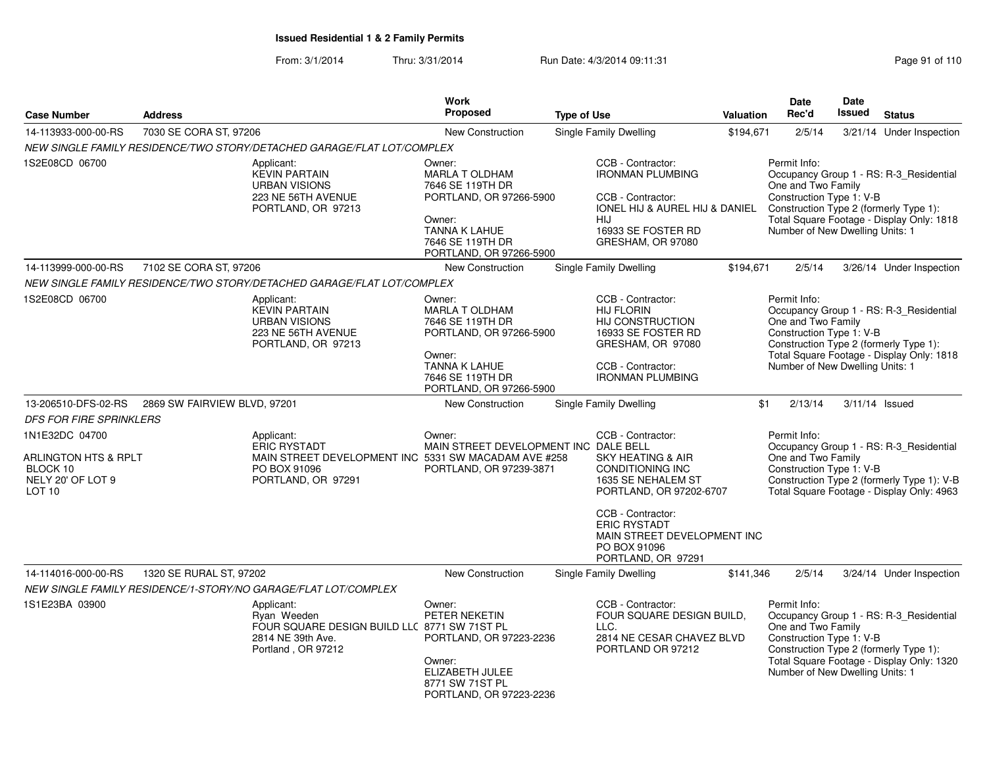From: 3/1/2014Thru: 3/31/2014 Run Date: 4/3/2014 09:11:31 Research 2010 110

| <b>Case Number</b>                                                                                      | <b>Address</b>                                                                                         | Work<br><b>Proposed</b>                                                                                                                                                       | <b>Type of Use</b>                                                                                                                                                                                       | Valuation | Date<br>Rec'd                                                                                     | Date<br>Issued | <b>Status</b>                                                                                                                      |
|---------------------------------------------------------------------------------------------------------|--------------------------------------------------------------------------------------------------------|-------------------------------------------------------------------------------------------------------------------------------------------------------------------------------|----------------------------------------------------------------------------------------------------------------------------------------------------------------------------------------------------------|-----------|---------------------------------------------------------------------------------------------------|----------------|------------------------------------------------------------------------------------------------------------------------------------|
| 14-113933-000-00-RS                                                                                     | 7030 SE CORA ST, 97206                                                                                 | <b>New Construction</b>                                                                                                                                                       | Single Family Dwelling                                                                                                                                                                                   | \$194,671 | 2/5/14                                                                                            |                | 3/21/14 Under Inspection                                                                                                           |
|                                                                                                         | NEW SINGLE FAMILY RESIDENCE/TWO STORY/DETACHED GARAGE/FLAT LOT/COMPLEX                                 |                                                                                                                                                                               |                                                                                                                                                                                                          |           |                                                                                                   |                |                                                                                                                                    |
| 1S2E08CD 06700                                                                                          | Applicant:<br><b>KEVIN PARTAIN</b><br><b>URBAN VISIONS</b><br>223 NE 56TH AVENUE<br>PORTLAND, OR 97213 | Owner:<br>MARLA T OLDHAM<br>7646 SE 119TH DR<br>PORTLAND, OR 97266-5900<br>Owner:<br><b>TANNA K LAHUE</b><br>7646 SE 119TH DR<br>PORTLAND, OR 97266-5900                      | CCB - Contractor:<br><b>IRONMAN PLUMBING</b><br>CCB - Contractor:<br><b>IONEL HIJ &amp; AUREL HIJ &amp; DANIEL</b><br><b>HIJ</b><br>16933 SE FOSTER RD<br>GRESHAM, OR 97080                              |           | Permit Info:<br>One and Two Family<br>Construction Type 1: V-B<br>Number of New Dwelling Units: 1 |                | Occupancy Group 1 - RS: R-3_Residential<br>Construction Type 2 (formerly Type 1):<br>Total Square Footage - Display Only: 1818     |
| 14-113999-000-00-RS                                                                                     | 7102 SE CORA ST, 97206                                                                                 | <b>New Construction</b>                                                                                                                                                       | Single Family Dwelling                                                                                                                                                                                   | \$194,671 | 2/5/14                                                                                            |                | 3/26/14 Under Inspection                                                                                                           |
|                                                                                                         | NEW SINGLE FAMILY RESIDENCE/TWO STORY/DETACHED GARAGE/FLAT LOT/COMPLEX                                 |                                                                                                                                                                               |                                                                                                                                                                                                          |           |                                                                                                   |                |                                                                                                                                    |
| 1S2E08CD 06700                                                                                          | Applicant:<br><b>KEVIN PARTAIN</b><br><b>URBAN VISIONS</b><br>223 NE 56TH AVENUE<br>PORTLAND, OR 97213 | Owner:<br><b>MARLA T OLDHAM</b><br>7646 SE 119TH DR<br>PORTLAND, OR 97266-5900<br>Owner:<br><b>TANNA K LAHUE</b><br>7646 SE 119TH DR<br>PORTLAND, OR 97266-5900               | CCB - Contractor:<br><b>HIJ FLORIN</b><br>HIJ CONSTRUCTION<br>16933 SE FOSTER RD<br>GRESHAM, OR 97080<br>CCB - Contractor:<br><b>IRONMAN PLUMBING</b>                                                    |           | Permit Info:<br>One and Two Family<br>Construction Type 1: V-B<br>Number of New Dwelling Units: 1 |                | Occupancy Group 1 - RS: R-3_Residential<br>Construction Type 2 (formerly Type 1):<br>Total Square Footage - Display Only: 1818     |
| 13-206510-DFS-02-RS                                                                                     | 2869 SW FAIRVIEW BLVD, 97201                                                                           | New Construction                                                                                                                                                              | Single Family Dwelling                                                                                                                                                                                   | \$1       | 2/13/14                                                                                           |                | 3/11/14 Issued                                                                                                                     |
| <b>DFS FOR FIRE SPRINKLERS</b>                                                                          |                                                                                                        |                                                                                                                                                                               |                                                                                                                                                                                                          |           |                                                                                                   |                |                                                                                                                                    |
| 1N1E32DC 04700<br><b>ARLINGTON HTS &amp; RPLT</b><br>BLOCK 10<br>NELY 20' OF LOT 9<br>LOT <sub>10</sub> | Applicant:<br><b>ERIC RYSTADT</b><br>PO BOX 91096<br>PORTLAND, OR 97291                                | Owner:<br>MAIN STREET DEVELOPMENT INC DALE BELL<br>MAIN STREET DEVELOPMENT INC 5331 SW MACADAM AVE #258<br>PORTLAND, OR 97239-3871                                            | CCB - Contractor:<br><b>SKY HEATING &amp; AIR</b><br><b>CONDITIONING INC</b><br>1635 SE NEHALEM ST<br>PORTLAND, OR 97202-6707<br>CCB - Contractor:<br><b>ERIC RYSTADT</b><br>MAIN STREET DEVELOPMENT INC |           | Permit Info:<br>One and Two Family<br>Construction Type 1: V-B                                    |                | Occupancy Group 1 - RS: R-3_Residential<br>Construction Type 2 (formerly Type 1): V-B<br>Total Square Footage - Display Only: 4963 |
|                                                                                                         |                                                                                                        |                                                                                                                                                                               | PO BOX 91096<br>PORTLAND, OR 97291                                                                                                                                                                       |           |                                                                                                   |                |                                                                                                                                    |
| 14-114016-000-00-RS                                                                                     | 1320 SE RURAL ST, 97202                                                                                | <b>New Construction</b>                                                                                                                                                       | Single Family Dwelling                                                                                                                                                                                   | \$141,346 | 2/5/14                                                                                            |                | 3/24/14 Under Inspection                                                                                                           |
|                                                                                                         | NEW SINGLE FAMILY RESIDENCE/1-STORY/NO GARAGE/FLAT LOT/COMPLEX                                         |                                                                                                                                                                               |                                                                                                                                                                                                          |           |                                                                                                   |                |                                                                                                                                    |
| 1S1E23BA 03900                                                                                          | Applicant:<br>Ryan Weeden<br>2814 NE 39th Ave.<br>Portland, OR 97212                                   | Owner:<br>PETER NEKETIN<br>FOUR SQUARE DESIGN BUILD LLC 8771 SW 71ST PL<br>PORTLAND, OR 97223-2236<br>Owner:<br>ELIZABETH JULEE<br>8771 SW 71ST PL<br>PORTLAND, OR 97223-2236 | CCB - Contractor:<br>FOUR SQUARE DESIGN BUILD.<br>LLC.<br>2814 NE CESAR CHAVEZ BLVD<br>PORTLAND OR 97212                                                                                                 |           | Permit Info:<br>One and Two Family<br>Construction Type 1: V-B<br>Number of New Dwelling Units: 1 |                | Occupancy Group 1 - RS: R-3_Residential<br>Construction Type 2 (formerly Type 1):<br>Total Square Footage - Display Only: 1320     |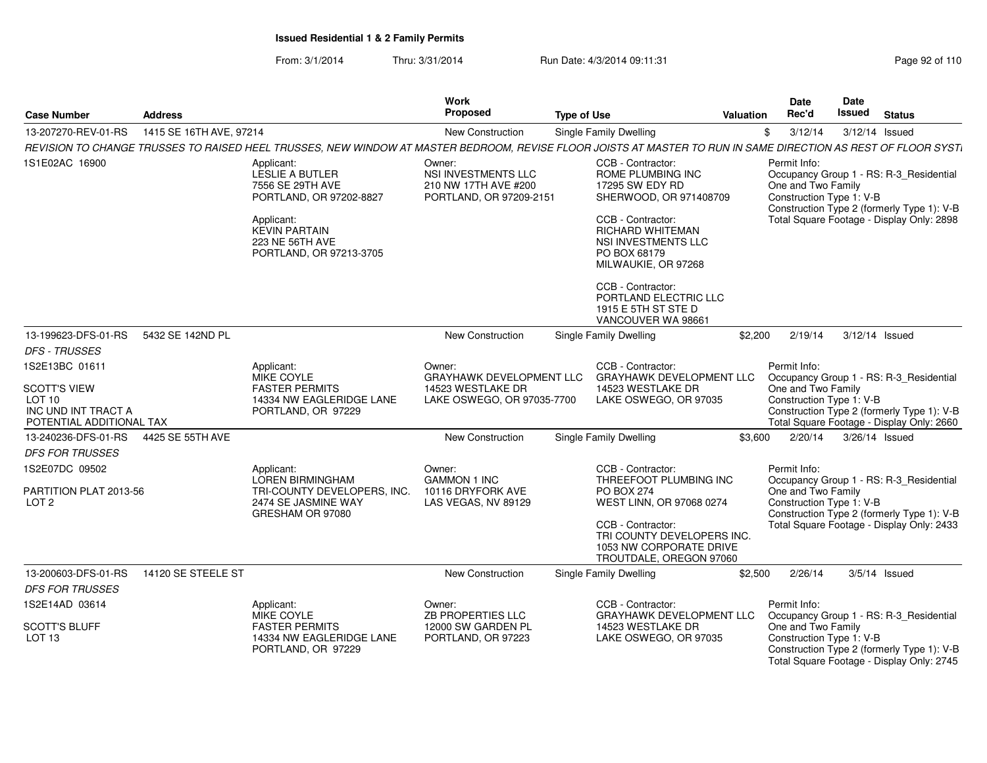From: 3/1/2014Thru: 3/31/2014 Run Date: 4/3/2014 09:11:31 Research 2010 Rage 92 of 110

| <b>Case Number</b>                                                                                 | <b>Address</b>          |                                                                                                                                                                         | <b>Type of Use</b>                                                                      |  | Valuation                                                                                                                                                                                             | Date<br>Rec'd | <b>Date</b><br><b>Issued</b>                                                                                                                                                                         | <b>Status</b>  |                                                                                                                                    |
|----------------------------------------------------------------------------------------------------|-------------------------|-------------------------------------------------------------------------------------------------------------------------------------------------------------------------|-----------------------------------------------------------------------------------------|--|-------------------------------------------------------------------------------------------------------------------------------------------------------------------------------------------------------|---------------|------------------------------------------------------------------------------------------------------------------------------------------------------------------------------------------------------|----------------|------------------------------------------------------------------------------------------------------------------------------------|
| 13-207270-REV-01-RS                                                                                | 1415 SE 16TH AVE, 97214 |                                                                                                                                                                         | <b>New Construction</b>                                                                 |  | Single Family Dwelling                                                                                                                                                                                |               | \$<br>3/12/14                                                                                                                                                                                        |                | $3/12/14$ Issued                                                                                                                   |
|                                                                                                    |                         | REVISION TO CHANGE TRUSSES TO RAISED HEEL TRUSSES. NEW WINDOW AT MASTER BEDROOM. REVISE FLOOR JOISTS AT MASTER TO RUN IN SAME DIRECTION AS REST OF FLOOR SYST.          |                                                                                         |  |                                                                                                                                                                                                       |               |                                                                                                                                                                                                      |                |                                                                                                                                    |
| 1S1E02AC 16900                                                                                     |                         | Applicant:<br>LESLIE A BUTLER<br>7556 SE 29TH AVE<br>PORTLAND, OR 97202-8827<br>Applicant:<br><b>KEVIN PARTAIN</b><br><b>223 NE 56TH AVE</b><br>PORTLAND, OR 97213-3705 | Owner:<br><b>NSI INVESTMENTS LLC</b><br>210 NW 17TH AVE #200<br>PORTLAND, OR 97209-2151 |  | CCB - Contractor:<br>ROME PLUMBING INC<br>17295 SW EDY RD<br>SHERWOOD, OR 971408709<br>CCB - Contractor:<br><b>RICHARD WHITEMAN</b><br>NSI INVESTMENTS LLC<br>PO BOX 68179<br>MILWAUKIE, OR 97268     |               | Permit Info:<br>One and Two Family<br>Construction Type 1: V-B                                                                                                                                       |                | Occupancy Group 1 - RS: R-3_Residential<br>Construction Type 2 (formerly Type 1): V-B<br>Total Square Footage - Display Only: 2898 |
|                                                                                                    |                         |                                                                                                                                                                         |                                                                                         |  | CCB - Contractor:<br>PORTLAND ELECTRIC LLC<br>1915 E 5TH ST STE D<br>VANCOUVER WA 98661                                                                                                               |               |                                                                                                                                                                                                      |                |                                                                                                                                    |
| 13-199623-DFS-01-RS                                                                                | 5432 SE 142ND PL        |                                                                                                                                                                         | New Construction                                                                        |  | Single Family Dwelling                                                                                                                                                                                | \$2,200       | 2/19/14                                                                                                                                                                                              | 3/12/14 Issued |                                                                                                                                    |
| <b>DFS - TRUSSES</b>                                                                               |                         |                                                                                                                                                                         |                                                                                         |  |                                                                                                                                                                                                       |               |                                                                                                                                                                                                      |                |                                                                                                                                    |
| 1S2E13BC 01611<br><b>SCOTT'S VIEW</b><br>LOT 10<br>INC UND INT TRACT A<br>POTENTIAL ADDITIONAL TAX |                         | Applicant:<br>MIKE COYLE<br><b>FASTER PERMITS</b><br>14334 NW EAGLERIDGE LANE<br>PORTLAND, OR 97229                                                                     | Owner:<br>GRAYHAWK DEVELOPMENT LLC<br>14523 WESTLAKE DR<br>LAKE OSWEGO, OR 97035-7700   |  | CCB - Contractor:<br>GRAYHAWK DEVELOPMENT LLC<br>14523 WESTLAKE DR<br>LAKE OSWEGO, OR 97035                                                                                                           |               | Permit Info:<br>One and Two Family<br>Construction Type 1: V-B                                                                                                                                       |                | Occupancy Group 1 - RS: R-3_Residential<br>Construction Type 2 (formerly Type 1): V-B<br>Total Square Footage - Display Only: 2660 |
| 13-240236-DFS-01-RS                                                                                | 4425 SE 55TH AVE        |                                                                                                                                                                         | New Construction                                                                        |  | Single Family Dwelling                                                                                                                                                                                | \$3,600       | 2/20/14                                                                                                                                                                                              | 3/26/14 Issued |                                                                                                                                    |
| <b>DFS FOR TRUSSES</b>                                                                             |                         |                                                                                                                                                                         |                                                                                         |  |                                                                                                                                                                                                       |               |                                                                                                                                                                                                      |                |                                                                                                                                    |
| 1S2E07DC 09502<br>PARTITION PLAT 2013-56<br>LOT <sub>2</sub>                                       |                         | Applicant:<br>LOREN BIRMINGHAM<br>TRI-COUNTY DEVELOPERS, INC.<br>2474 SE JASMINE WAY<br>GRESHAM OR 97080                                                                | Owner:<br><b>GAMMON 1 INC</b><br>10116 DRYFORK AVE<br>LAS VEGAS, NV 89129               |  | CCB - Contractor:<br>THREEFOOT PLUMBING INC<br><b>PO BOX 274</b><br>WEST LINN, OR 97068 0274<br>CCB - Contractor:<br>TRI COUNTY DEVELOPERS INC.<br>1053 NW CORPORATE DRIVE<br>TROUTDALE, OREGON 97060 |               | Permit Info:<br>Occupancy Group 1 - RS: R-3_Residential<br>One and Two Family<br>Construction Type 1: V-B<br>Construction Type 2 (formerly Type 1): V-B<br>Total Square Footage - Display Only: 2433 |                |                                                                                                                                    |
| 13-200603-DFS-01-RS                                                                                | 14120 SE STEELE ST      |                                                                                                                                                                         | New Construction                                                                        |  | Single Family Dwelling                                                                                                                                                                                | \$2,500       | 2/26/14                                                                                                                                                                                              |                | $3/5/14$ Issued                                                                                                                    |
| <b>DFS FOR TRUSSES</b>                                                                             |                         |                                                                                                                                                                         |                                                                                         |  |                                                                                                                                                                                                       |               |                                                                                                                                                                                                      |                |                                                                                                                                    |
| 1S2E14AD 03614                                                                                     |                         | Applicant:<br><b>MIKE COYLE</b>                                                                                                                                         | Owner:<br><b>ZB PROPERTIES LLC</b>                                                      |  | CCB - Contractor:<br><b>GRAYHAWK DEVELOPMENT LLC</b>                                                                                                                                                  |               | Permit Info:                                                                                                                                                                                         |                | Occupancy Group 1 - RS: R-3 Residential                                                                                            |
| <b>SCOTT'S BLUFF</b><br>LOT <sub>13</sub>                                                          |                         | <b>FASTER PERMITS</b><br>14334 NW EAGLERIDGE LANE<br>PORTLAND, OR 97229                                                                                                 | 12000 SW GARDEN PL<br>PORTLAND, OR 97223                                                |  | 14523 WESTLAKE DR<br>LAKE OSWEGO, OR 97035                                                                                                                                                            |               | One and Two Family<br>Construction Type 1: V-B                                                                                                                                                       |                | Construction Type 2 (formerly Type 1): V-B<br>Total Square Footage - Display Only: 2745                                            |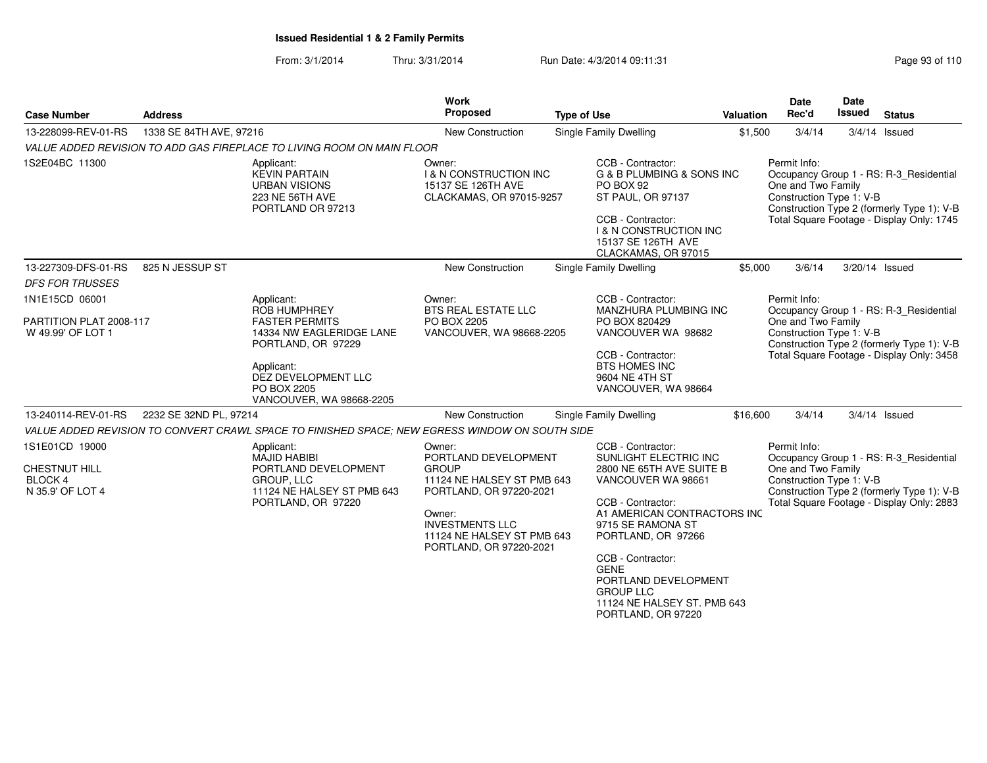#### From: 3/1/2014Thru: 3/31/2014 Run Date: 4/3/2014 09:11:31

| <b>Case Number</b>                                             | <b>Address</b>                                                                                                       |                                                                                                    | Work<br>Proposed                                                                                                                            | <b>Type of Use</b>                                                                                                                                                                                     | <b>Valuation</b>                          | <b>Date</b><br>Rec'd                                                                                                                                                                                 | Date<br>Issued | <b>Status</b>                                                                                                                      |  |
|----------------------------------------------------------------|----------------------------------------------------------------------------------------------------------------------|----------------------------------------------------------------------------------------------------|---------------------------------------------------------------------------------------------------------------------------------------------|--------------------------------------------------------------------------------------------------------------------------------------------------------------------------------------------------------|-------------------------------------------|------------------------------------------------------------------------------------------------------------------------------------------------------------------------------------------------------|----------------|------------------------------------------------------------------------------------------------------------------------------------|--|
| 13-228099-REV-01-RS                                            | 1338 SE 84TH AVE, 97216                                                                                              |                                                                                                    | <b>New Construction</b>                                                                                                                     | Single Family Dwelling                                                                                                                                                                                 | \$1,500                                   | 3/4/14                                                                                                                                                                                               |                | $3/4/14$ Issued                                                                                                                    |  |
|                                                                |                                                                                                                      | VALUE ADDED REVISION TO ADD GAS FIREPLACE TO LIVING ROOM ON MAIN FLOOR                             |                                                                                                                                             |                                                                                                                                                                                                        |                                           |                                                                                                                                                                                                      |                |                                                                                                                                    |  |
| 1S2E04BC 11300                                                 |                                                                                                                      | Applicant:<br><b>KEVIN PARTAIN</b><br><b>URBAN VISIONS</b><br>223 NE 56TH AVE<br>PORTLAND OR 97213 | Owner:<br><b>I &amp; N CONSTRUCTION INC</b><br>15137 SE 126TH AVE<br>CLACKAMAS, OR 97015-9257                                               | CCB - Contractor:<br><b>G &amp; B PLUMBING &amp; SONS INC</b><br>PO BOX 92<br>ST PAUL, OR 97137<br>CCB - Contractor:<br><b>I &amp; N CONSTRUCTION INC</b><br>15137 SE 126TH AVE<br>CLACKAMAS, OR 97015 |                                           | Permit Info:<br>One and Two Family<br>Construction Type 1: V-B                                                                                                                                       |                | Occupancy Group 1 - RS: R-3 Residential<br>Construction Type 2 (formerly Type 1): V-B<br>Total Square Footage - Display Only: 1745 |  |
| 13-227309-DFS-01-RS                                            | 825 N JESSUP ST                                                                                                      |                                                                                                    | New Construction                                                                                                                            | Single Family Dwelling                                                                                                                                                                                 | \$5,000                                   | 3/6/14                                                                                                                                                                                               | 3/20/14 Issued |                                                                                                                                    |  |
| <b>DFS FOR TRUSSES</b>                                         |                                                                                                                      |                                                                                                    |                                                                                                                                             |                                                                                                                                                                                                        |                                           |                                                                                                                                                                                                      |                |                                                                                                                                    |  |
| 1N1E15CD 06001<br>PARTITION PLAT 2008-117                      |                                                                                                                      | Applicant:<br><b>ROB HUMPHREY</b><br><b>FASTER PERMITS</b>                                         | Owner:<br><b>BTS REAL ESTATE LLC</b><br>PO BOX 2205                                                                                         | CCB - Contractor:<br>MANZHURA PLUMBING INC<br>PO BOX 820429                                                                                                                                            |                                           | Permit Info:<br>One and Two Family                                                                                                                                                                   |                | Occupancy Group 1 - RS: R-3_Residential                                                                                            |  |
| W 49.99' OF LOT 1                                              |                                                                                                                      | 14334 NW EAGLERIDGE LANE<br>PORTLAND, OR 97229                                                     | VANCOUVER, WA 98668-2205                                                                                                                    | VANCOUVER WA 98682                                                                                                                                                                                     |                                           | Construction Type 1: V-B<br>Construction Type 2 (formerly Type 1): V-B                                                                                                                               |                |                                                                                                                                    |  |
|                                                                |                                                                                                                      | Applicant:<br>DEZ DEVELOPMENT LLC<br>PO BOX 2205<br>VANCOUVER, WA 98668-2205                       |                                                                                                                                             | CCB - Contractor:<br><b>BTS HOMES INC</b><br>9604 NE 4TH ST<br>VANCOUVER, WA 98664                                                                                                                     | Total Square Footage - Display Only: 3458 |                                                                                                                                                                                                      |                |                                                                                                                                    |  |
| 13-240114-REV-01-RS                                            | 2232 SE 32ND PL, 97214                                                                                               |                                                                                                    | New Construction                                                                                                                            | <b>Single Family Dwelling</b>                                                                                                                                                                          | \$16,600                                  | 3/4/14                                                                                                                                                                                               |                | $3/4/14$ Issued                                                                                                                    |  |
|                                                                |                                                                                                                      | VALUE ADDED REVISION TO CONVERT CRAWL SPACE TO FINISHED SPACE; NEW EGRESS WINDOW ON SOUTH SIDE     |                                                                                                                                             |                                                                                                                                                                                                        |                                           |                                                                                                                                                                                                      |                |                                                                                                                                    |  |
| 1S1E01CD 19000<br>CHESTNUT HILL<br>BLOCK 4<br>N 35.9' OF LOT 4 | Applicant:<br>MAJID HABIBI<br>PORTLAND DEVELOPMENT<br>GROUP, LLC<br>11124 NE HALSEY ST PMB 643<br>PORTLAND, OR 97220 |                                                                                                    | Owner:<br>PORTLAND DEVELOPMENT<br><b>GROUP</b><br>11124 NE HALSEY ST PMB 643<br>PORTLAND, OR 97220-2021<br>Owner:<br><b>INVESTMENTS LLC</b> | CCB - Contractor:<br>SUNLIGHT ELECTRIC INC<br>2800 NE 65TH AVE SUITE B<br>VANCOUVER WA 98661<br>CCB - Contractor:<br>A1 AMERICAN CONTRACTORS INC<br>9715 SE RAMONA ST                                  |                                           | Permit Info:<br>Occupancy Group 1 - RS: R-3 Residential<br>One and Two Family<br>Construction Type 1: V-B<br>Construction Type 2 (formerly Type 1): V-B<br>Total Square Footage - Display Only: 2883 |                |                                                                                                                                    |  |
|                                                                |                                                                                                                      |                                                                                                    | 11124 NE HALSEY ST PMB 643<br>PORTLAND, OR 97220-2021                                                                                       | PORTLAND, OR 97266<br>CCB - Contractor:<br><b>GENE</b><br>PORTLAND DEVELOPMENT<br><b>GROUP LLC</b><br>11124 NE HALSEY ST. PMB 643<br>PORTLAND, OR 97220                                                |                                           |                                                                                                                                                                                                      |                |                                                                                                                                    |  |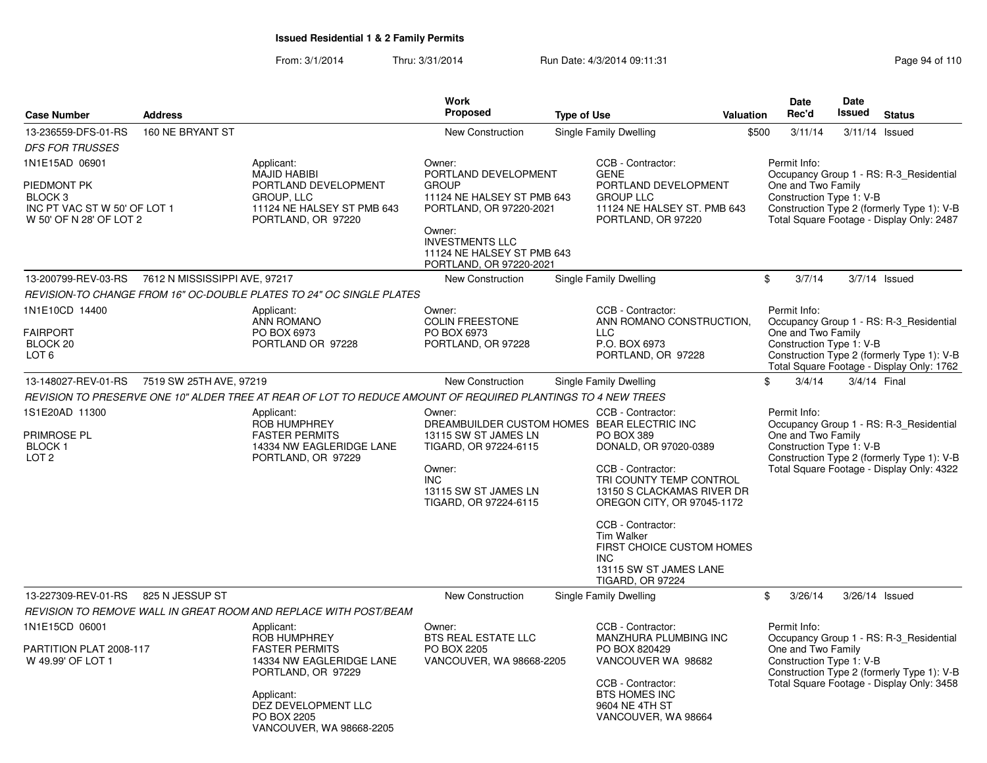From: 3/1/2014Thru: 3/31/2014 Run Date: 4/3/2014 09:11:31 Research 2010 Rage 94 of 110

|                                                                               |                               |                                                                                                              | <b>Work</b>                                                                               |                    |                                                                                                          |           | <b>Date</b>                                                                                                         | <b>Date</b>                                                                             |                                                                                         |  |  |
|-------------------------------------------------------------------------------|-------------------------------|--------------------------------------------------------------------------------------------------------------|-------------------------------------------------------------------------------------------|--------------------|----------------------------------------------------------------------------------------------------------|-----------|---------------------------------------------------------------------------------------------------------------------|-----------------------------------------------------------------------------------------|-----------------------------------------------------------------------------------------|--|--|
| <b>Case Number</b>                                                            | <b>Address</b>                |                                                                                                              | <b>Proposed</b>                                                                           | <b>Type of Use</b> |                                                                                                          | Valuation | Rec'd                                                                                                               | <b>Issued</b>                                                                           | <b>Status</b>                                                                           |  |  |
| 13-236559-DFS-01-RS                                                           | 160 NE BRYANT ST              |                                                                                                              | <b>New Construction</b>                                                                   |                    | Single Family Dwelling                                                                                   | \$500     | 3/11/14                                                                                                             |                                                                                         | 3/11/14 Issued                                                                          |  |  |
| <b>DFS FOR TRUSSES</b>                                                        |                               |                                                                                                              |                                                                                           |                    |                                                                                                          |           |                                                                                                                     |                                                                                         |                                                                                         |  |  |
| 1N1E15AD 06901<br>PIEDMONT PK                                                 |                               | Applicant:<br><b>MAJID HABIBI</b><br>PORTLAND DEVELOPMENT                                                    | Owner:<br>PORTLAND DEVELOPMENT<br><b>GROUP</b>                                            |                    | CCB - Contractor:<br><b>GENE</b><br>PORTLAND DEVELOPMENT                                                 |           | Permit Info:<br>One and Two Family                                                                                  |                                                                                         | Occupancy Group 1 - RS: R-3_Residential                                                 |  |  |
| BLOCK <sub>3</sub><br>INC PT VAC ST W 50' OF LOT 1<br>W 50' OF N 28' OF LOT 2 |                               | GROUP, LLC<br>11124 NE HALSEY ST PMB 643<br>PORTLAND, OR 97220                                               | 11124 NE HALSEY ST PMB 643<br><b>GROUP LLC</b><br>PORTLAND, OR 97220-2021                 |                    | 11124 NE HALSEY ST. PMB 643<br>PORTLAND, OR 97220                                                        |           | Construction Type 1: V-B<br>Construction Type 2 (formerly Type 1): V-B<br>Total Square Footage - Display Only: 2487 |                                                                                         |                                                                                         |  |  |
|                                                                               |                               |                                                                                                              | Owner:<br><b>INVESTMENTS LLC</b><br>11124 NE HALSEY ST PMB 643<br>PORTLAND, OR 97220-2021 |                    |                                                                                                          |           |                                                                                                                     |                                                                                         |                                                                                         |  |  |
| 13-200799-REV-03-RS                                                           | 7612 N MISSISSIPPI AVE, 97217 |                                                                                                              | New Construction                                                                          |                    | Single Family Dwelling                                                                                   |           | \$<br>3/7/14                                                                                                        |                                                                                         | $3/7/14$ Issued                                                                         |  |  |
|                                                                               |                               | REVISION-TO CHANGE FROM 16" OC-DOUBLE PLATES TO 24" OC SINGLE PLATES                                         |                                                                                           |                    |                                                                                                          |           |                                                                                                                     |                                                                                         |                                                                                         |  |  |
| 1N1E10CD 14400                                                                |                               | Applicant:<br>ANN ROMANO                                                                                     | Owner:<br><b>COLIN FREESTONE</b>                                                          |                    | CCB - Contractor:<br>ANN ROMANO CONSTRUCTION,                                                            |           | Permit Info:                                                                                                        |                                                                                         | Occupancy Group 1 - RS: R-3_Residential                                                 |  |  |
| <b>FAIRPORT</b><br>BLOCK <sub>20</sub><br>LOT <sub>6</sub>                    |                               | PO BOX 6973<br>PORTLAND OR 97228                                                                             | PO BOX 6973<br>PORTLAND, OR 97228                                                         |                    | <b>LLC</b><br>P.O. BOX 6973<br>PORTLAND, OR 97228                                                        |           | One and Two Family<br>Construction Type 1: V-B                                                                      | Construction Type 2 (formerly Type 1): V-B<br>Total Square Footage - Display Only: 1762 |                                                                                         |  |  |
| 13-148027-REV-01-RS                                                           | 7519 SW 25TH AVE, 97219       |                                                                                                              | New Construction                                                                          |                    | Single Family Dwelling                                                                                   |           | \$<br>3/4/14                                                                                                        | 3/4/14 Final                                                                            |                                                                                         |  |  |
|                                                                               |                               | REVISION TO PRESERVE ONE 10" ALDER TREE AT REAR OF LOT TO REDUCE AMOUNT OF REQUIRED PLANTINGS TO 4 NEW TREES |                                                                                           |                    |                                                                                                          |           |                                                                                                                     |                                                                                         |                                                                                         |  |  |
| 1S1E20AD 11300                                                                |                               | Applicant:<br>ROB HUMPHREY                                                                                   | Owner:<br>DREAMBUILDER CUSTOM HOMES BEAR ELECTRIC INC                                     |                    | CCB - Contractor:                                                                                        |           | Permit Info:                                                                                                        |                                                                                         | Occupancy Group 1 - RS: R-3_Residential                                                 |  |  |
| Primrose Pl<br>BLOCK 1<br>LOT <sub>2</sub>                                    |                               | <b>FASTER PERMITS</b><br>14334 NW EAGLERIDGE LANE<br>PORTLAND, OR 97229                                      | 13115 SW ST JAMES LN<br>TIGARD, OR 97224-6115                                             |                    | <b>PO BOX 389</b><br>DONALD, OR 97020-0389                                                               |           | One and Two Family<br>Construction Type 1: V-B                                                                      | Construction Type 2 (formerly Type 1): V-B                                              |                                                                                         |  |  |
|                                                                               |                               |                                                                                                              | Owner:<br><b>INC</b><br>13115 SW ST JAMES LN<br>TIGARD, OR 97224-6115                     |                    | CCB - Contractor:<br>TRI COUNTY TEMP CONTROL<br>13150 S CLACKAMAS RIVER DR<br>OREGON CITY, OR 97045-1172 |           |                                                                                                                     | Total Square Footage - Display Only: 4322                                               |                                                                                         |  |  |
|                                                                               |                               |                                                                                                              |                                                                                           |                    | CCB - Contractor:<br>Tim Walker<br>FIRST CHOICE CUSTOM HOMES                                             |           |                                                                                                                     |                                                                                         |                                                                                         |  |  |
|                                                                               |                               |                                                                                                              |                                                                                           |                    | <b>INC</b><br>13115 SW ST JAMES LANE<br><b>TIGARD, OR 97224</b>                                          |           |                                                                                                                     |                                                                                         |                                                                                         |  |  |
| 13-227309-REV-01-RS                                                           | 825 N JESSUP ST               |                                                                                                              | New Construction                                                                          |                    | Single Family Dwelling                                                                                   |           | \$<br>3/26/14                                                                                                       |                                                                                         | 3/26/14 Issued                                                                          |  |  |
|                                                                               |                               | REVISION TO REMOVE WALL IN GREAT ROOM AND REPLACE WITH POST/BEAM                                             |                                                                                           |                    |                                                                                                          |           |                                                                                                                     |                                                                                         |                                                                                         |  |  |
| 1N1E15CD 06001                                                                |                               | Applicant:<br><b>ROB HUMPHREY</b>                                                                            | Owner:<br>BTS REAL ESTATE LLC                                                             |                    | CCB - Contractor:<br>MANZHURA PLUMBING INC                                                               |           | Permit Info:                                                                                                        |                                                                                         | Occupancy Group 1 - RS: R-3 Residential                                                 |  |  |
| PARTITION PLAT 2008-117<br>W 49.99' OF LOT 1                                  |                               | <b>FASTER PERMITS</b><br>14334 NW EAGLERIDGE LANE<br>PORTLAND, OR 97229                                      | PO BOX 2205<br>VANCOUVER, WA 98668-2205                                                   |                    | PO BOX 820429<br>VANCOUVER WA 98682                                                                      |           | One and Two Family<br>Construction Type 1: V-B                                                                      |                                                                                         | Construction Type 2 (formerly Type 1): V-B<br>Total Square Footage - Display Only: 3458 |  |  |
|                                                                               |                               | Applicant:<br>DEZ DEVELOPMENT LLC<br>PO BOX 2205<br>VANCOUVER, WA 98668-2205                                 |                                                                                           |                    | CCB - Contractor:<br><b>BTS HOMES INC</b><br>9604 NE 4TH ST<br>VANCOUVER, WA 98664                       |           |                                                                                                                     |                                                                                         |                                                                                         |  |  |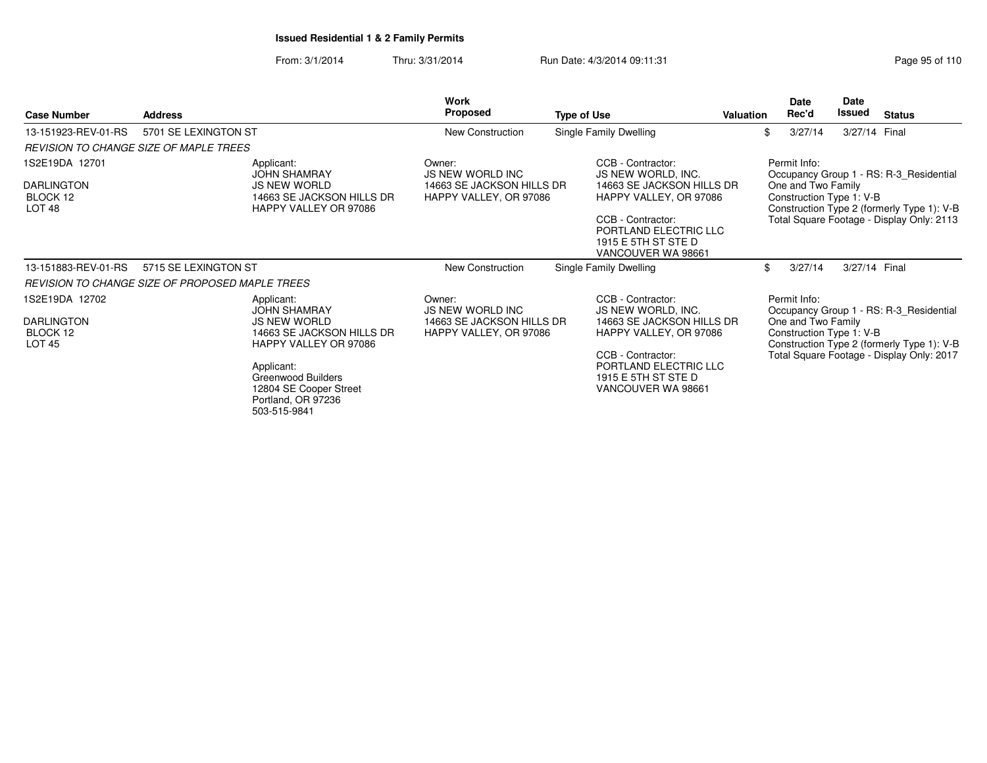From: 3/1/2014Thru: 3/31/2014 Run Date: 4/3/2014 09:11:31 Research 2010 Rage 95 of 110

| <b>Case Number</b>                                               | <b>Address</b>                                  |                                                                                                                                                                                        | <b>Work</b><br>Proposed                                                                  | <b>Type of Use</b>                                                                                                                                                                        | <b>Valuation</b> | Date<br>Rec'd                                                  | Date<br>Issued | <b>Status</b>                                                                                                                      |
|------------------------------------------------------------------|-------------------------------------------------|----------------------------------------------------------------------------------------------------------------------------------------------------------------------------------------|------------------------------------------------------------------------------------------|-------------------------------------------------------------------------------------------------------------------------------------------------------------------------------------------|------------------|----------------------------------------------------------------|----------------|------------------------------------------------------------------------------------------------------------------------------------|
| 13-151923-REV-01-RS                                              | 5701 SE LEXINGTON ST                            |                                                                                                                                                                                        | New Construction                                                                         | Single Family Dwelling                                                                                                                                                                    |                  | 3/27/14<br>\$                                                  | 3/27/14 Final  |                                                                                                                                    |
|                                                                  | <b>REVISION TO CHANGE SIZE OF MAPLE TREES</b>   |                                                                                                                                                                                        |                                                                                          |                                                                                                                                                                                           |                  |                                                                |                |                                                                                                                                    |
| 1S2E19DA 12701<br><b>DARLINGTON</b><br>BLOCK 12<br>LOT 48        | Applicant:                                      | <b>JOHN SHAMRAY</b><br><b>JS NEW WORLD</b><br>14663 SE JACKSON HILLS DR<br>HAPPY VALLEY OR 97086                                                                                       | Owner:<br><b>JS NEW WORLD INC</b><br>14663 SE JACKSON HILLS DR<br>HAPPY VALLEY, OR 97086 | CCB - Contractor:<br>JS NEW WORLD, INC.<br>14663 SE JACKSON HILLS DR<br>HAPPY VALLEY, OR 97086<br>CCB - Contractor:<br>PORTLAND ELECTRIC LLC<br>1915 E 5TH ST STE D<br>VANCOUVER WA 98661 |                  | Permit Info:<br>One and Two Family<br>Construction Type 1: V-B |                | Occupancy Group 1 - RS: R-3 Residential<br>Construction Type 2 (formerly Type 1): V-B<br>Total Square Footage - Display Only: 2113 |
| 13-151883-REV-01-RS                                              | 5715 SE LEXINGTON ST                            |                                                                                                                                                                                        | New Construction                                                                         | Single Family Dwelling                                                                                                                                                                    |                  | \$<br>3/27/14                                                  | 3/27/14 Final  |                                                                                                                                    |
|                                                                  | REVISION TO CHANGE SIZE OF PROPOSED MAPLE TREES |                                                                                                                                                                                        |                                                                                          |                                                                                                                                                                                           |                  |                                                                |                |                                                                                                                                    |
| 1S2E19DA 12702<br><b>DARLINGTON</b><br>BLOCK 12<br><b>LOT 45</b> | Applicant:<br>Applicant:                        | <b>JOHN SHAMRAY</b><br><b>JS NEW WORLD</b><br>14663 SE JACKSON HILLS DR<br>HAPPY VALLEY OR 97086<br>Greenwood Builders<br>12804 SE Cooper Street<br>Portland, OR 97236<br>503-515-9841 | Owner:<br><b>JS NEW WORLD INC</b><br>14663 SE JACKSON HILLS DR<br>HAPPY VALLEY, OR 97086 | CCB - Contractor:<br>JS NEW WORLD, INC.<br>14663 SE JACKSON HILLS DR<br>HAPPY VALLEY, OR 97086<br>CCB - Contractor:<br>PORTLAND ELECTRIC LLC<br>1915 E 5TH ST STE D<br>VANCOUVER WA 98661 |                  | Permit Info:<br>One and Two Family<br>Construction Type 1: V-B |                | Occupancy Group 1 - RS: R-3 Residential<br>Construction Type 2 (formerly Type 1): V-B<br>Total Square Footage - Display Only: 2017 |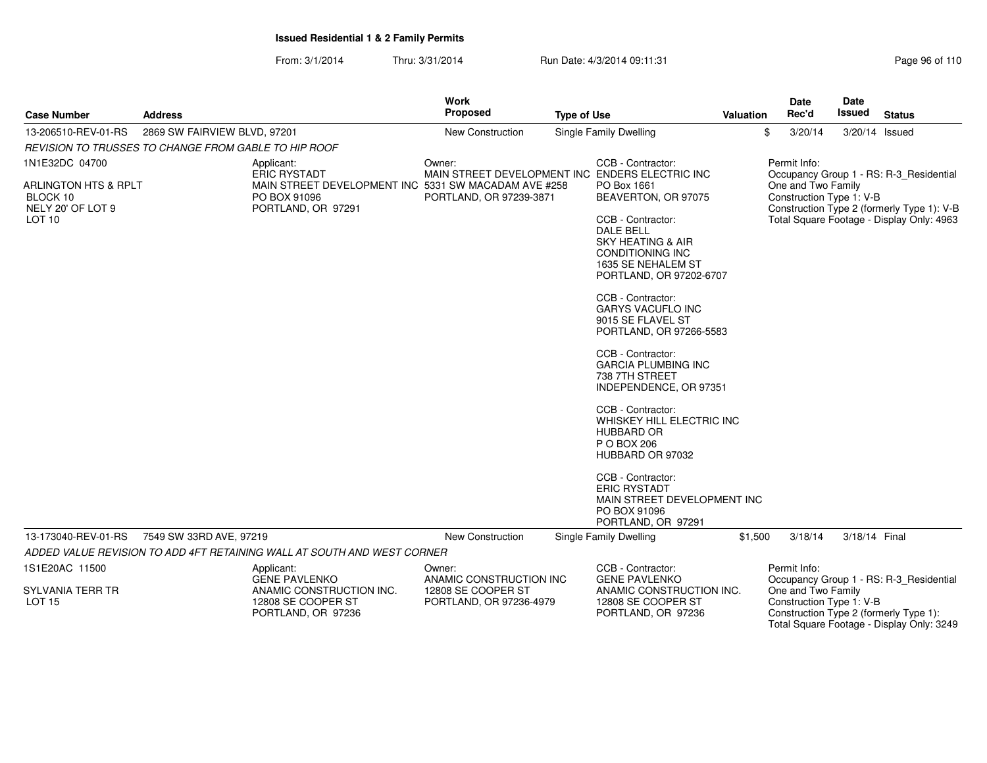From: 3/1/2014Thru: 3/31/2014 Run Date: 4/3/2014 09:11:31 Research 2010 Rage 96 of 110

|                                                                                       |                                                      |                                                                                                                   | Work                                          |  |                                                                                                                                                                                                                                                                                                                                                                                                                                                                                                                                                                                                                                          |                  | Date                                           | <b>Date</b>    |                                                                                                                                    |
|---------------------------------------------------------------------------------------|------------------------------------------------------|-------------------------------------------------------------------------------------------------------------------|-----------------------------------------------|--|------------------------------------------------------------------------------------------------------------------------------------------------------------------------------------------------------------------------------------------------------------------------------------------------------------------------------------------------------------------------------------------------------------------------------------------------------------------------------------------------------------------------------------------------------------------------------------------------------------------------------------------|------------------|------------------------------------------------|----------------|------------------------------------------------------------------------------------------------------------------------------------|
| <b>Case Number</b>                                                                    | <b>Address</b>                                       |                                                                                                                   | <b>Proposed</b><br><b>Type of Use</b>         |  |                                                                                                                                                                                                                                                                                                                                                                                                                                                                                                                                                                                                                                          | <b>Valuation</b> | Rec'd                                          | <b>Issued</b>  | <b>Status</b>                                                                                                                      |
| 13-206510-REV-01-RS                                                                   | 2869 SW FAIRVIEW BLVD, 97201                         |                                                                                                                   | New Construction                              |  | <b>Single Family Dwelling</b>                                                                                                                                                                                                                                                                                                                                                                                                                                                                                                                                                                                                            |                  | \$<br>3/20/14                                  | 3/20/14 Issued |                                                                                                                                    |
|                                                                                       | REVISION TO TRUSSES TO CHANGE FROM GABLE TO HIP ROOF |                                                                                                                   |                                               |  |                                                                                                                                                                                                                                                                                                                                                                                                                                                                                                                                                                                                                                          |                  |                                                |                |                                                                                                                                    |
| 1N1E32DC 04700                                                                        |                                                      | Applicant:                                                                                                        | Owner:                                        |  | CCB - Contractor:                                                                                                                                                                                                                                                                                                                                                                                                                                                                                                                                                                                                                        |                  | Permit Info:                                   |                |                                                                                                                                    |
| <b>ARLINGTON HTS &amp; RPLT</b><br>BLOCK 10<br>NELY 20' OF LOT 9<br>LOT <sub>10</sub> |                                                      | <b>ERIC RYSTADT</b><br>MAIN STREET DEVELOPMENT INC 5331 SW MACADAM AVE #258<br>PO BOX 91096<br>PORTLAND, OR 97291 | PORTLAND, OR 97239-3871                       |  | MAIN STREET DEVELOPMENT INC ENDERS ELECTRIC INC<br>PO Box 1661<br>BEAVERTON, OR 97075<br>CCB - Contractor:<br><b>DALE BELL</b><br><b>SKY HEATING &amp; AIR</b><br><b>CONDITIONING INC</b><br>1635 SE NEHALEM ST<br>PORTLAND, OR 97202-6707<br>CCB - Contractor:<br><b>GARYS VACUFLO INC</b><br>9015 SE FLAVEL ST<br>PORTLAND, OR 97266-5583<br>CCB - Contractor:<br><b>GARCIA PLUMBING INC</b><br>738 7TH STREET<br>INDEPENDENCE, OR 97351<br>CCB - Contractor:<br>WHISKEY HILL ELECTRIC INC<br>HUBBARD OR<br>P O BOX 206<br>HUBBARD OR 97032<br>CCB - Contractor:<br><b>ERIC RYSTADT</b><br>MAIN STREET DEVELOPMENT INC<br>PO BOX 91096 |                  | One and Two Family<br>Construction Type 1: V-B |                | Occupancy Group 1 - RS: R-3_Residential<br>Construction Type 2 (formerly Type 1): V-B<br>Total Square Footage - Display Only: 4963 |
|                                                                                       |                                                      |                                                                                                                   |                                               |  | PORTLAND, OR 97291                                                                                                                                                                                                                                                                                                                                                                                                                                                                                                                                                                                                                       |                  |                                                |                |                                                                                                                                    |
| 13-173040-REV-01-RS                                                                   | 7549 SW 33RD AVE, 97219                              |                                                                                                                   | <b>New Construction</b>                       |  | Single Family Dwelling                                                                                                                                                                                                                                                                                                                                                                                                                                                                                                                                                                                                                   | \$1,500          | 3/18/14                                        | 3/18/14 Final  |                                                                                                                                    |
|                                                                                       |                                                      | ADDED VALUE REVISION TO ADD 4FT RETAINING WALL AT SOUTH AND WEST CORNER                                           |                                               |  |                                                                                                                                                                                                                                                                                                                                                                                                                                                                                                                                                                                                                                          |                  |                                                |                |                                                                                                                                    |
| 1S1E20AC 11500                                                                        |                                                      | Applicant:<br><b>GENE PAVLENKO</b>                                                                                | Owner:<br>ANAMIC CONSTRUCTION INC             |  | CCB - Contractor:<br><b>GENE PAVLENKO</b>                                                                                                                                                                                                                                                                                                                                                                                                                                                                                                                                                                                                |                  | Permit Info:                                   |                | Occupancy Group 1 - RS: R-3_Residential                                                                                            |
| SYLVANIA TERR TR<br><b>LOT 15</b>                                                     |                                                      | ANAMIC CONSTRUCTION INC.<br>12808 SE COOPER ST<br>PORTLAND, OR 97236                                              | 12808 SE COOPER ST<br>PORTLAND, OR 97236-4979 |  | ANAMIC CONSTRUCTION INC.<br>12808 SE COOPER ST<br>PORTLAND, OR 97236                                                                                                                                                                                                                                                                                                                                                                                                                                                                                                                                                                     |                  | One and Two Family<br>Construction Type 1: V-B |                | Construction Type 2 (formerly Type 1):<br>Total Square Footage - Display Only: 3249                                                |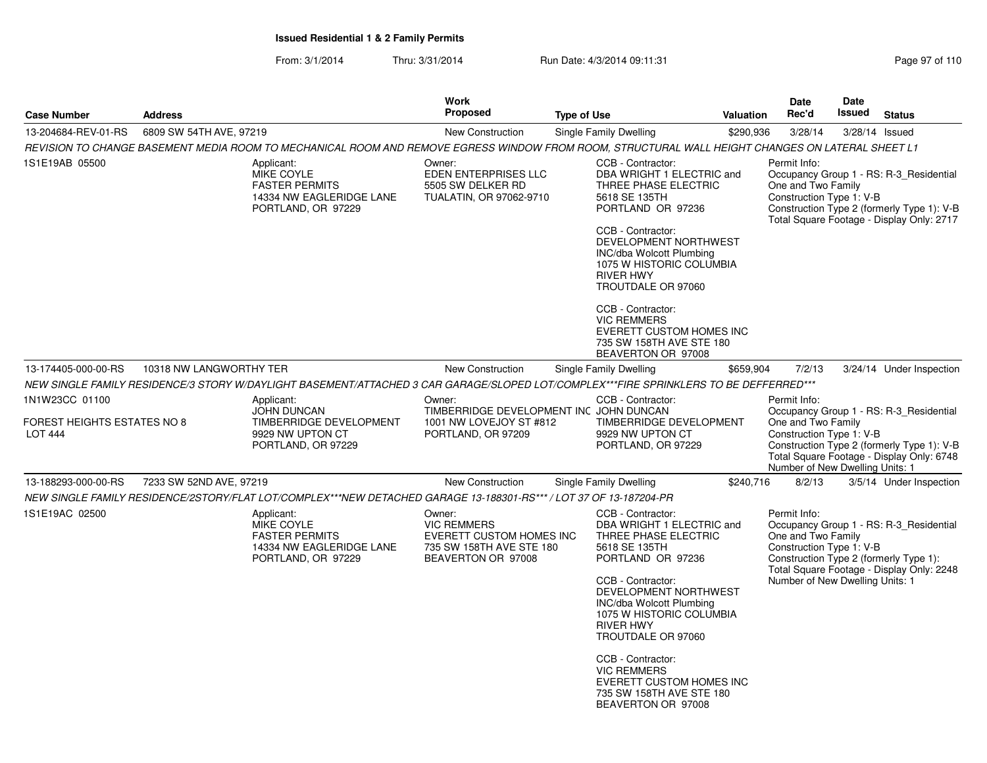From: 3/1/2014Thru: 3/31/2014 Run Date: 4/3/2014 09:11:31

| <b>Case Number</b>                                                     | <b>Address</b>          |                                                                                                                                                  | Work<br>Proposed                                                                                           | <b>Type of Use</b>                                                                                                     | <b>Valuation</b>                                                                                                                                                                                                                                            | <b>Date</b><br>Rec'd                                                                                                                        | Date<br>Issued   | <b>Status</b>                                                                                                                      |
|------------------------------------------------------------------------|-------------------------|--------------------------------------------------------------------------------------------------------------------------------------------------|------------------------------------------------------------------------------------------------------------|------------------------------------------------------------------------------------------------------------------------|-------------------------------------------------------------------------------------------------------------------------------------------------------------------------------------------------------------------------------------------------------------|---------------------------------------------------------------------------------------------------------------------------------------------|------------------|------------------------------------------------------------------------------------------------------------------------------------|
| 13-204684-REV-01-RS                                                    | 6809 SW 54TH AVE, 97219 |                                                                                                                                                  | New Construction                                                                                           | Single Family Dwelling                                                                                                 | \$290,936                                                                                                                                                                                                                                                   | 3/28/14                                                                                                                                     | $3/28/14$ Issued |                                                                                                                                    |
|                                                                        |                         | REVISION TO CHANGE BASEMENT MEDIA ROOM TO MECHANICAL ROOM AND REMOVE EGRESS WINDOW FROM ROOM. STRUCTURAL WALL HEIGHT CHANGES ON LATERAL SHEET L1 |                                                                                                            |                                                                                                                        |                                                                                                                                                                                                                                                             |                                                                                                                                             |                  |                                                                                                                                    |
| 1S1E19AB 05500                                                         |                         | Applicant:<br>MIKE COYLE<br><b>FASTER PERMITS</b><br>14334 NW EAGLERIDGE LANE<br>PORTLAND, OR 97229                                              | Owner:<br>EDEN ENTERPRISES LLC<br>5505 SW DELKER RD<br>TUALATIN, OR 97062-9710                             | CCB - Contractor:<br>5618 SE 135TH<br>CCB - Contractor:<br><b>RIVER HWY</b>                                            | DBA WRIGHT 1 ELECTRIC and<br>THREE PHASE ELECTRIC<br>PORTLAND OR 97236<br>DEVELOPMENT NORTHWEST<br>INC/dba Wolcott Plumbing<br>1075 W HISTORIC COLUMBIA<br>TROUTDALE OR 97060                                                                               | Permit Info:<br>One and Two Family<br>Construction Type 1: V-B                                                                              |                  | Occupancy Group 1 - RS: R-3_Residential<br>Construction Type 2 (formerly Type 1): V-B<br>Total Square Footage - Display Only: 2717 |
|                                                                        |                         |                                                                                                                                                  |                                                                                                            | CCB - Contractor:<br><b>VIC REMMERS</b>                                                                                | <b>EVERETT CUSTOM HOMES INC</b><br>735 SW 158TH AVE STE 180<br>BEAVERTON OR 97008                                                                                                                                                                           |                                                                                                                                             |                  |                                                                                                                                    |
| 13-174405-000-00-RS                                                    | 10318 NW LANGWORTHY TER |                                                                                                                                                  | <b>New Construction</b>                                                                                    | Single Family Dwelling                                                                                                 | \$659,904                                                                                                                                                                                                                                                   | 7/2/13                                                                                                                                      |                  | 3/24/14 Under Inspection                                                                                                           |
|                                                                        |                         | NEW SINGLE FAMILY RESIDENCE/3 STORY W/DAYLIGHT BASEMENT/ATTACHED 3 CAR GARAGE/SLOPED LOT/COMPLEX***FIRE SPRINKLERS TO BE DEFFERRED***            |                                                                                                            |                                                                                                                        |                                                                                                                                                                                                                                                             |                                                                                                                                             |                  |                                                                                                                                    |
| 1N1W23CC 01100<br><b>FOREST HEIGHTS ESTATES NO 8</b><br><b>LOT 444</b> |                         | Applicant:<br><b>JOHN DUNCAN</b><br>TIMBERRIDGE DEVELOPMENT<br>9929 NW UPTON CT<br>PORTLAND, OR 97229                                            | Owner:<br>TIMBERRIDGE DEVELOPMENT INC JOHN DUNCAN<br>1001 NW LOVEJOY ST #812<br>PORTLAND, OR 97209         | CCB - Contractor:<br>9929 NW UPTON CT<br>PORTLAND, OR 97229                                                            | TIMBERRIDGE DEVELOPMENT                                                                                                                                                                                                                                     | Permit Info:<br>One and Two Family<br>Construction Type 1: V-B<br>Number of New Dwelling Units: 1                                           |                  | Occupancy Group 1 - RS: R-3 Residential<br>Construction Type 2 (formerly Type 1): V-B<br>Total Square Footage - Display Only: 6748 |
| 13-188293-000-00-RS                                                    | 7233 SW 52ND AVE, 97219 |                                                                                                                                                  | New Construction                                                                                           | Single Family Dwelling                                                                                                 | \$240,716                                                                                                                                                                                                                                                   | 8/2/13                                                                                                                                      |                  | 3/5/14 Under Inspection                                                                                                            |
|                                                                        |                         | NEW SINGLE FAMILY RESIDENCE/2STORY/FLAT LOT/COMPLEX***NEW DETACHED GARAGE 13-188301-RS*** / LOT 37 OF 13-187204-PR                               |                                                                                                            |                                                                                                                        |                                                                                                                                                                                                                                                             |                                                                                                                                             |                  |                                                                                                                                    |
| 1S1E19AC 02500                                                         |                         | Applicant:<br><b>MIKE COYLE</b><br><b>FASTER PERMITS</b><br>14334 NW EAGLERIDGE LANE<br>PORTLAND, OR 97229                                       | Owner:<br><b>VIC REMMERS</b><br>EVERETT CUSTOM HOMES INC<br>735 SW 158TH AVE STE 180<br>BEAVERTON OR 97008 | CCB - Contractor:<br>5618 SE 135TH<br>CCB - Contractor:<br><b>RIVER HWY</b><br>CCB - Contractor:<br><b>VIC REMMERS</b> | DBA WRIGHT 1 ELECTRIC and<br>THREE PHASE ELECTRIC<br>PORTLAND OR 97236<br>DEVELOPMENT NORTHWEST<br>INC/dba Wolcott Plumbing<br>1075 W HISTORIC COLUMBIA<br>TROUTDALE OR 97060<br>EVERETT CUSTOM HOMES INC<br>735 SW 158TH AVE STE 180<br>BEAVERTON OR 97008 | Permit Info:<br>One and Two Family<br>Construction Type 1: V-B<br>Construction Type 2 (formerly Type 1):<br>Number of New Dwelling Units: 1 |                  | Occupancy Group 1 - RS: R-3 Residential<br>Total Square Footage - Display Only: 2248                                               |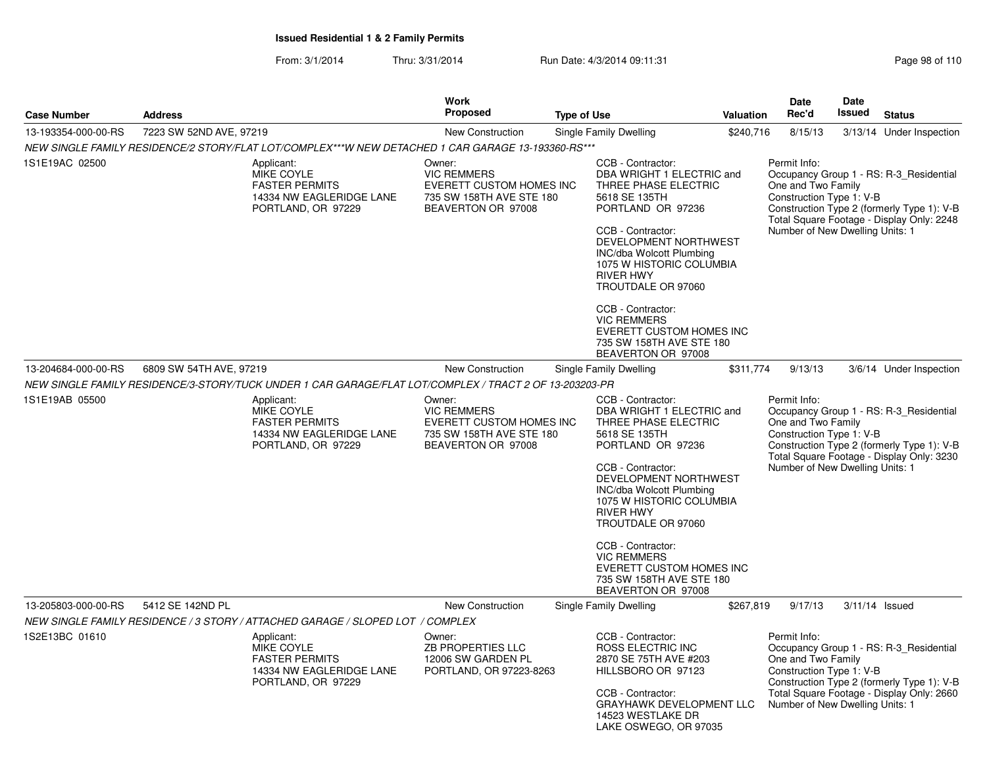From: 3/1/2014Thru: 3/31/2014 Run Date: 4/3/2014 09:11:31 Research 2010 Rage 98 of 110

| <b>Case Number</b>  | <b>Address</b>          |                                                                                                            | <b>Work</b><br><b>Proposed</b>                                                                             | <b>Type of Use</b> |                                                                                                                                                                                                                                                                                                                                                                                              | <b>Valuation</b> | Date<br>Rec'd                                                                                     | <b>Date</b><br><b>Issued</b> | <b>Status</b>                                                                                                                      |
|---------------------|-------------------------|------------------------------------------------------------------------------------------------------------|------------------------------------------------------------------------------------------------------------|--------------------|----------------------------------------------------------------------------------------------------------------------------------------------------------------------------------------------------------------------------------------------------------------------------------------------------------------------------------------------------------------------------------------------|------------------|---------------------------------------------------------------------------------------------------|------------------------------|------------------------------------------------------------------------------------------------------------------------------------|
| 13-193354-000-00-RS | 7223 SW 52ND AVE, 97219 |                                                                                                            | New Construction                                                                                           |                    | Single Family Dwelling                                                                                                                                                                                                                                                                                                                                                                       | \$240,716        | 8/15/13                                                                                           |                              | 3/13/14 Under Inspection                                                                                                           |
|                     |                         | NEW SINGLE FAMILY RESIDENCE/2 STORY/FLAT LOT/COMPLEX***W NEW DETACHED 1 CAR GARAGE 13-193360-RS***         |                                                                                                            |                    |                                                                                                                                                                                                                                                                                                                                                                                              |                  |                                                                                                   |                              |                                                                                                                                    |
| 1S1E19AC 02500      |                         | Applicant:<br>MIKE COYLE<br><b>FASTER PERMITS</b><br>14334 NW EAGLERIDGE LANE<br>PORTLAND, OR 97229        | Owner:<br><b>VIC REMMERS</b><br>EVERETT CUSTOM HOMES INC<br>735 SW 158TH AVE STE 180<br>BEAVERTON OR 97008 |                    | CCB - Contractor:<br>DBA WRIGHT 1 ELECTRIC and<br>THREE PHASE ELECTRIC<br>5618 SE 135TH<br>PORTLAND OR 97236<br>CCB - Contractor:<br>DEVELOPMENT NORTHWEST<br><b>INC/dba Wolcott Plumbing</b><br>1075 W HISTORIC COLUMBIA<br><b>RIVER HWY</b><br>TROUTDALE OR 97060                                                                                                                          |                  | Permit Info:<br>One and Two Family<br>Construction Type 1: V-B<br>Number of New Dwelling Units: 1 |                              | Occupancy Group 1 - RS: R-3 Residential<br>Construction Type 2 (formerly Type 1): V-B<br>Total Square Footage - Display Only: 2248 |
|                     |                         |                                                                                                            |                                                                                                            |                    | CCB - Contractor:<br><b>VIC REMMERS</b><br><b>EVERETT CUSTOM HOMES INC</b><br>735 SW 158TH AVE STE 180<br>BEAVERTON OR 97008                                                                                                                                                                                                                                                                 |                  |                                                                                                   |                              |                                                                                                                                    |
| 13-204684-000-00-RS | 6809 SW 54TH AVE, 97219 |                                                                                                            | New Construction                                                                                           |                    | Single Family Dwelling                                                                                                                                                                                                                                                                                                                                                                       | \$311,774        | 9/13/13                                                                                           |                              | 3/6/14 Under Inspection                                                                                                            |
|                     |                         | NEW SINGLE FAMILY RESIDENCE/3-STORY/TUCK UNDER 1 CAR GARAGE/FLAT LOT/COMPLEX / TRACT 2 OF 13-203203-PR     |                                                                                                            |                    |                                                                                                                                                                                                                                                                                                                                                                                              |                  |                                                                                                   |                              |                                                                                                                                    |
| 1S1E19AB 05500      |                         | Applicant:<br><b>MIKE COYLE</b><br><b>FASTER PERMITS</b><br>14334 NW EAGLERIDGE LANE<br>PORTLAND, OR 97229 | Owner:<br><b>VIC REMMERS</b><br>EVERETT CUSTOM HOMES INC<br>735 SW 158TH AVE STE 180<br>BEAVERTON OR 97008 |                    | CCB - Contractor:<br>DBA WRIGHT 1 ELECTRIC and<br>THREE PHASE ELECTRIC<br>5618 SE 135TH<br>PORTLAND OR 97236<br>CCB - Contractor:<br>DEVELOPMENT NORTHWEST<br><b>INC/dba Wolcott Plumbing</b><br>1075 W HISTORIC COLUMBIA<br><b>RIVER HWY</b><br>TROUTDALE OR 97060<br>CCB - Contractor:<br><b>VIC REMMERS</b><br>EVERETT CUSTOM HOMES INC<br>735 SW 158TH AVE STE 180<br>BEAVERTON OR 97008 |                  | Permit Info:<br>One and Two Family<br>Construction Type 1: V-B<br>Number of New Dwelling Units: 1 |                              | Occupancy Group 1 - RS: R-3_Residential<br>Construction Type 2 (formerly Type 1): V-B<br>Total Square Footage - Display Only: 3230 |
| 13-205803-000-00-RS | 5412 SE 142ND PL        |                                                                                                            | <b>New Construction</b>                                                                                    |                    | Single Family Dwelling                                                                                                                                                                                                                                                                                                                                                                       | \$267,819        | 9/17/13                                                                                           |                              | $3/11/14$ Issued                                                                                                                   |
|                     |                         | NEW SINGLE FAMILY RESIDENCE / 3 STORY / ATTACHED GARAGE / SLOPED LOT / COMPLEX                             |                                                                                                            |                    |                                                                                                                                                                                                                                                                                                                                                                                              |                  |                                                                                                   |                              |                                                                                                                                    |
| 1S2E13BC 01610      |                         | Applicant:<br>MIKE COYLE<br><b>FASTER PERMITS</b><br>14334 NW EAGLERIDGE LANE<br>PORTLAND, OR 97229        | Owner:<br>ZB PROPERTIES LLC<br>12006 SW GARDEN PL<br>PORTLAND, OR 97223-8263                               |                    | CCB - Contractor:<br><b>ROSS ELECTRIC INC</b><br>2870 SE 75TH AVE #203<br>HILLSBORO OR 97123<br>CCB - Contractor:<br><b>GRAYHAWK DEVELOPMENT LLC</b><br>14523 WESTLAKE DR<br>LAKE OSWEGO, OR 97035                                                                                                                                                                                           |                  | Permit Info:<br>One and Two Family<br>Construction Type 1: V-B<br>Number of New Dwelling Units: 1 |                              | Occupancy Group 1 - RS: R-3_Residential<br>Construction Type 2 (formerly Type 1): V-B<br>Total Square Footage - Display Only: 2660 |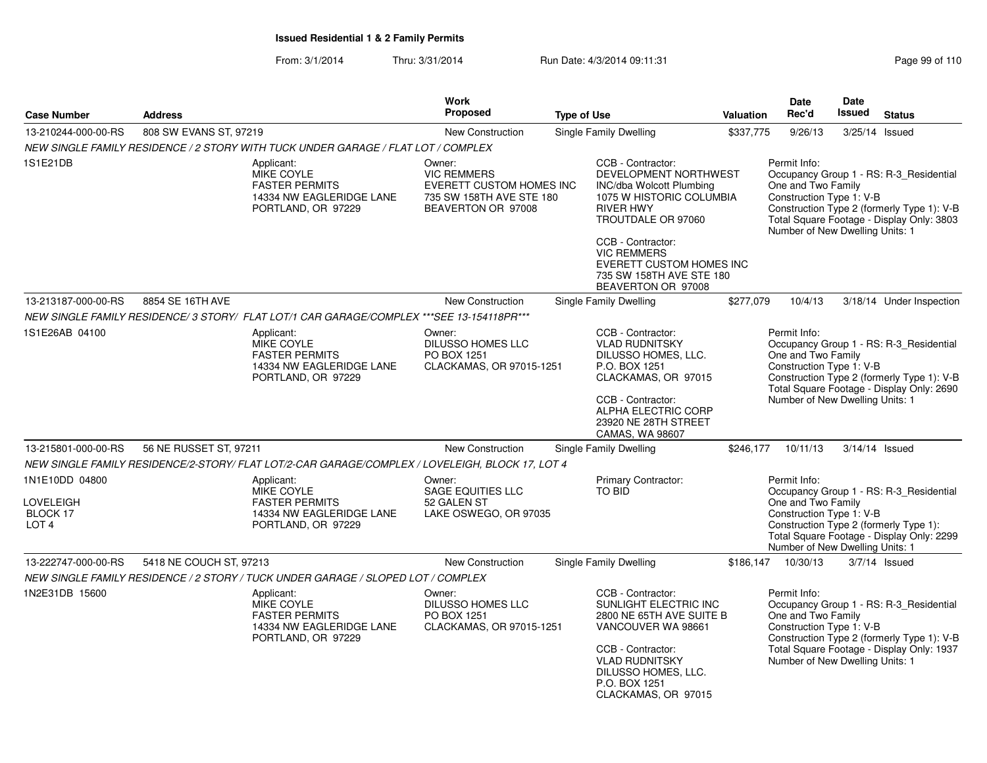From: 3/1/2014Thru: 3/31/2014 Run Date: 4/3/2014 09:11:31

|                                                                    |                         |                                                                                                            | Work<br>Proposed                                                                                                  |                    |                                                                                                                                                                                                                                                                              |           | <b>Date</b><br>Rec'd                                                                              | <b>Date</b><br><b>Issued</b> |                                                                                                                                    |
|--------------------------------------------------------------------|-------------------------|------------------------------------------------------------------------------------------------------------|-------------------------------------------------------------------------------------------------------------------|--------------------|------------------------------------------------------------------------------------------------------------------------------------------------------------------------------------------------------------------------------------------------------------------------------|-----------|---------------------------------------------------------------------------------------------------|------------------------------|------------------------------------------------------------------------------------------------------------------------------------|
| <b>Case Number</b>                                                 | <b>Address</b>          |                                                                                                            |                                                                                                                   | <b>Type of Use</b> |                                                                                                                                                                                                                                                                              | Valuation |                                                                                                   |                              | <b>Status</b>                                                                                                                      |
| 13-210244-000-00-RS                                                | 808 SW EVANS ST, 97219  |                                                                                                            | New Construction                                                                                                  |                    | <b>Single Family Dwelling</b>                                                                                                                                                                                                                                                | \$337,775 | 9/26/13                                                                                           |                              | 3/25/14 Issued                                                                                                                     |
|                                                                    |                         | NEW SINGLE FAMILY RESIDENCE / 2 STORY WITH TUCK UNDER GARAGE / FLAT LOT / COMPLEX                          |                                                                                                                   |                    |                                                                                                                                                                                                                                                                              |           |                                                                                                   |                              |                                                                                                                                    |
| 1S1E21DB                                                           |                         | Applicant:<br>MIKE COYLE<br><b>FASTER PERMITS</b><br>14334 NW EAGLERIDGE LANE<br>PORTLAND, OR 97229        | Owner:<br><b>VIC REMMERS</b><br><b>EVERETT CUSTOM HOMES INC</b><br>735 SW 158TH AVE STE 180<br>BEAVERTON OR 97008 |                    | CCB - Contractor:<br>DEVELOPMENT NORTHWEST<br><b>INC/dba Wolcott Plumbing</b><br>1075 W HISTORIC COLUMBIA<br><b>RIVER HWY</b><br>TROUTDALE OR 97060<br>CCB - Contractor:<br><b>VIC REMMERS</b><br>EVERETT CUSTOM HOMES INC<br>735 SW 158TH AVE STE 180<br>BEAVERTON OR 97008 |           | Permit Info:<br>One and Two Family<br>Construction Type 1: V-B<br>Number of New Dwelling Units: 1 |                              | Occupancy Group 1 - RS: R-3_Residential<br>Construction Type 2 (formerly Type 1): V-B<br>Total Square Footage - Display Only: 3803 |
| 13-213187-000-00-RS                                                | 8854 SE 16TH AVE        |                                                                                                            | New Construction                                                                                                  |                    | Single Family Dwelling                                                                                                                                                                                                                                                       | \$277,079 | 10/4/13                                                                                           |                              | 3/18/14 Under Inspection                                                                                                           |
|                                                                    |                         | NEW SINGLE FAMILY RESIDENCE/3 STORY/ FLAT LOT/1 CAR GARAGE/COMPLEX ***SEE 13-154118PR***                   |                                                                                                                   |                    |                                                                                                                                                                                                                                                                              |           |                                                                                                   |                              |                                                                                                                                    |
| 1S1E26AB 04100                                                     |                         | Applicant:<br><b>MIKE COYLE</b><br><b>FASTER PERMITS</b><br>14334 NW EAGLERIDGE LANE<br>PORTLAND, OR 97229 | Owner:<br>DILUSSO HOMES LLC<br>PO BOX 1251<br>CLACKAMAS, OR 97015-1251                                            |                    | CCB - Contractor:<br><b>VLAD RUDNITSKY</b><br>DILUSSO HOMES, LLC.<br>P.O. BOX 1251<br>CLACKAMAS, OR 97015<br>CCB - Contractor:<br><b>ALPHA ELECTRIC CORP</b><br>23920 NE 28TH STREET<br>CAMAS, WA 98607                                                                      |           | Permit Info:<br>One and Two Family<br>Construction Type 1: V-B<br>Number of New Dwelling Units: 1 |                              | Occupancy Group 1 - RS: R-3_Residential<br>Construction Type 2 (formerly Type 1): V-B<br>Total Square Footage - Display Only: 2690 |
| 13-215801-000-00-RS                                                | 56 NE RUSSET ST, 97211  |                                                                                                            | <b>New Construction</b>                                                                                           |                    | Single Family Dwelling                                                                                                                                                                                                                                                       | \$246,177 | 10/11/13                                                                                          |                              | $3/14/14$ Issued                                                                                                                   |
|                                                                    |                         | NEW SINGLE FAMILY RESIDENCE/2-STORY/ FLAT LOT/2-CAR GARAGE/COMPLEX / LOVELEIGH, BLOCK 17, LOT 4            |                                                                                                                   |                    |                                                                                                                                                                                                                                                                              |           |                                                                                                   |                              |                                                                                                                                    |
| 1N1E10DD 04800<br><b>LOVELEIGH</b><br>BLOCK 17<br>LOT <sub>4</sub> |                         | Applicant:<br><b>MIKE COYLE</b><br><b>FASTER PERMITS</b><br>14334 NW EAGLERIDGE LANE<br>PORTLAND, OR 97229 | Owner:<br><b>SAGE EQUITIES LLC</b><br>52 GALEN ST<br>LAKE OSWEGO, OR 97035                                        |                    | <b>Primary Contractor:</b><br><b>TO BID</b>                                                                                                                                                                                                                                  |           | Permit Info:<br>One and Two Family<br>Construction Type 1: V-B<br>Number of New Dwelling Units: 1 |                              | Occupancy Group 1 - RS: R-3_Residential<br>Construction Type 2 (formerly Type 1):<br>Total Square Footage - Display Only: 2299     |
| 13-222747-000-00-RS                                                | 5418 NE COUCH ST, 97213 |                                                                                                            | New Construction                                                                                                  |                    | Single Family Dwelling                                                                                                                                                                                                                                                       | \$186,147 | 10/30/13                                                                                          |                              | $3/7/14$ Issued                                                                                                                    |
|                                                                    |                         | NEW SINGLE FAMILY RESIDENCE / 2 STORY / TUCK UNDER GARAGE / SLOPED LOT / COMPLEX                           |                                                                                                                   |                    |                                                                                                                                                                                                                                                                              |           |                                                                                                   |                              |                                                                                                                                    |
| 1N2E31DB 15600                                                     |                         | Applicant:<br>MIKE COYLE<br><b>FASTER PERMITS</b><br>14334 NW EAGLERIDGE LANE<br>PORTLAND, OR 97229        | Owner:<br>DILUSSO HOMES LLC<br>PO BOX 1251<br>CLACKAMAS, OR 97015-1251                                            |                    | CCB - Contractor:<br>SUNLIGHT ELECTRIC INC<br>2800 NE 65TH AVE SUITE B<br>VANCOUVER WA 98661<br>CCB - Contractor:<br><b>VLAD RUDNITSKY</b><br>DILUSSO HOMES, LLC.<br>P.O. BOX 1251<br>CLACKAMAS, OR 97015                                                                    |           | Permit Info:<br>One and Two Family<br>Construction Type 1: V-B<br>Number of New Dwelling Units: 1 |                              | Occupancy Group 1 - RS: R-3_Residential<br>Construction Type 2 (formerly Type 1): V-B<br>Total Square Footage - Display Only: 1937 |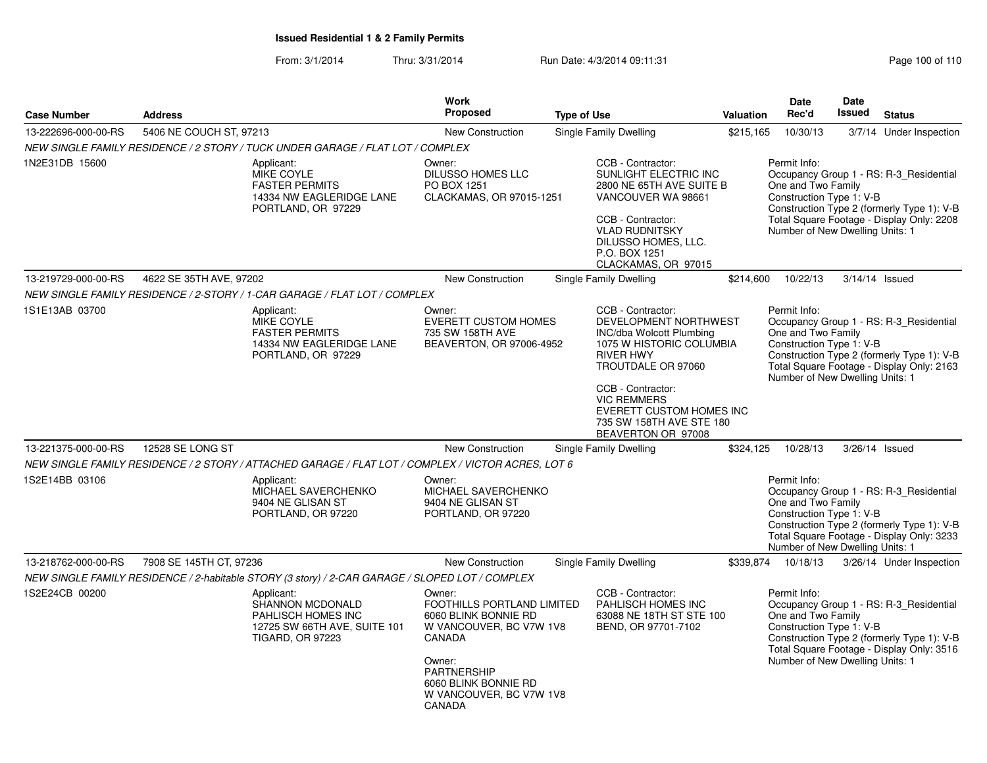From: 3/1/2014Thru: 3/31/2014 Run Date: 4/3/2014 09:11:31 Page 100 of 110

| <b>Case Number</b>  | <b>Address</b>          |                                                                                                                 | <b>Work</b><br><b>Proposed</b>                                                                                                                                                          | <b>Type of Use</b>                                                                                                                                                                                                                                     | Valuation | <b>Date</b><br>Rec'd                                                                              | Date<br>Issued | <b>Status</b>                                                                                                                      |
|---------------------|-------------------------|-----------------------------------------------------------------------------------------------------------------|-----------------------------------------------------------------------------------------------------------------------------------------------------------------------------------------|--------------------------------------------------------------------------------------------------------------------------------------------------------------------------------------------------------------------------------------------------------|-----------|---------------------------------------------------------------------------------------------------|----------------|------------------------------------------------------------------------------------------------------------------------------------|
| 13-222696-000-00-RS | 5406 NE COUCH ST, 97213 |                                                                                                                 | <b>New Construction</b>                                                                                                                                                                 | Single Family Dwelling                                                                                                                                                                                                                                 | \$215,165 | 10/30/13                                                                                          |                | 3/7/14 Under Inspection                                                                                                            |
|                     |                         | NEW SINGLE FAMILY RESIDENCE / 2 STORY / TUCK UNDER GARAGE / FLAT LOT / COMPLEX                                  |                                                                                                                                                                                         |                                                                                                                                                                                                                                                        |           |                                                                                                   |                |                                                                                                                                    |
| 1N2E31DB 15600      |                         | Applicant:<br>MIKE COYLE<br><b>FASTER PERMITS</b><br>14334 NW EAGLERIDGE LANE<br>PORTLAND, OR 97229             | Owner:<br><b>DILUSSO HOMES LLC</b><br>PO BOX 1251<br>CLACKAMAS, OR 97015-1251                                                                                                           | CCB - Contractor:<br>SUNLIGHT ELECTRIC INC<br>2800 NE 65TH AVE SUITE B<br>VANCOUVER WA 98661<br>CCB - Contractor:<br><b>VLAD RUDNITSKY</b><br>DILUSSO HOMES, LLC.<br>P.O. BOX 1251<br>CLACKAMAS, OR 97015                                              |           | Permit Info:<br>One and Two Family<br>Construction Type 1: V-B<br>Number of New Dwelling Units: 1 |                | Occupancy Group 1 - RS: R-3_Residential<br>Construction Type 2 (formerly Type 1): V-B<br>Total Square Footage - Display Only: 2208 |
| 13-219729-000-00-RS | 4622 SE 35TH AVE, 97202 |                                                                                                                 | <b>New Construction</b>                                                                                                                                                                 | Single Family Dwelling                                                                                                                                                                                                                                 | \$214,600 | 10/22/13                                                                                          | 3/14/14 Issued |                                                                                                                                    |
|                     |                         | NEW SINGLE FAMILY RESIDENCE / 2-STORY / 1-CAR GARAGE / FLAT LOT / COMPLEX                                       |                                                                                                                                                                                         |                                                                                                                                                                                                                                                        |           |                                                                                                   |                |                                                                                                                                    |
| 1S1E13AB 03700      |                         | Applicant:<br>MIKE COYLE<br><b>FASTER PERMITS</b><br>14334 NW EAGLERIDGE LANE<br>PORTLAND, OR 97229             | Owner:<br><b>EVERETT CUSTOM HOMES</b><br>735 SW 158TH AVE<br>BEAVERTON, OR 97006-4952                                                                                                   | CCB - Contractor:<br>DEVELOPMENT NORTHWEST<br>INC/dba Wolcott Plumbing<br>1075 W HISTORIC COLUMBIA<br><b>RIVER HWY</b><br>TROUTDALE OR 97060<br>CCB - Contractor:<br><b>VIC REMMERS</b><br><b>EVERETT CUSTOM HOMES INC</b><br>735 SW 158TH AVE STE 180 |           | Permit Info:<br>One and Two Family<br>Construction Type 1: V-B<br>Number of New Dwelling Units: 1 |                | Occupancy Group 1 - RS: R-3_Residential<br>Construction Type 2 (formerly Type 1): V-B<br>Total Square Footage - Display Only: 2163 |
|                     |                         |                                                                                                                 |                                                                                                                                                                                         | BEAVERTON OR 97008                                                                                                                                                                                                                                     |           |                                                                                                   |                |                                                                                                                                    |
| 13-221375-000-00-RS | 12528 SE LONG ST        |                                                                                                                 | <b>New Construction</b>                                                                                                                                                                 | Single Family Dwelling                                                                                                                                                                                                                                 | \$324,125 | 10/28/13                                                                                          | 3/26/14 Issued |                                                                                                                                    |
|                     |                         | NEW SINGLE FAMILY RESIDENCE / 2 STORY / ATTACHED GARAGE / FLAT LOT / COMPLEX / VICTOR ACRES, LOT 6              |                                                                                                                                                                                         |                                                                                                                                                                                                                                                        |           |                                                                                                   |                |                                                                                                                                    |
| 1S2E14BB 03106      |                         | Applicant:<br>MICHAEL SAVERCHENKO<br>9404 NE GLISAN ST<br>PORTLAND, OR 97220                                    | Owner:<br>MICHAEL SAVERCHENKO<br>9404 NE GLISAN ST<br>PORTLAND, OR 97220                                                                                                                |                                                                                                                                                                                                                                                        |           | Permit Info:<br>One and Two Family<br>Construction Type 1: V-B<br>Number of New Dwelling Units: 1 |                | Occupancy Group 1 - RS: R-3 Residential<br>Construction Type 2 (formerly Type 1): V-B<br>Total Square Footage - Display Only: 3233 |
| 13-218762-000-00-RS | 7908 SE 145TH CT, 97236 |                                                                                                                 | New Construction                                                                                                                                                                        | Single Family Dwelling                                                                                                                                                                                                                                 | \$339,874 | 10/18/13                                                                                          |                | 3/26/14 Under Inspection                                                                                                           |
|                     |                         | NEW SINGLE FAMILY RESIDENCE / 2-habitable STORY (3 story) / 2-CAR GARAGE / SLOPED LOT / COMPLEX                 |                                                                                                                                                                                         |                                                                                                                                                                                                                                                        |           |                                                                                                   |                |                                                                                                                                    |
| 1S2E24CB 00200      |                         | Applicant:<br>SHANNON MCDONALD<br>PAHLISCH HOMES INC<br>12725 SW 66TH AVE, SUITE 101<br><b>TIGARD, OR 97223</b> | Owner:<br>FOOTHILLS PORTLAND LIMITED<br>6060 BLINK BONNIE RD<br>W VANCOUVER, BC V7W 1V8<br>CANADA<br>Owner:<br>PARTNERSHIP<br>6060 BLINK BONNIE RD<br>W VANCOUVER, BC V7W 1V8<br>CANADA | CCB - Contractor:<br>PAHLISCH HOMES INC<br>63088 NE 18TH ST STE 100<br>BEND, OR 97701-7102                                                                                                                                                             |           | Permit Info:<br>One and Two Family<br>Construction Type 1: V-B<br>Number of New Dwelling Units: 1 |                | Occupancy Group 1 - RS: R-3_Residential<br>Construction Type 2 (formerly Type 1): V-B<br>Total Square Footage - Display Only: 3516 |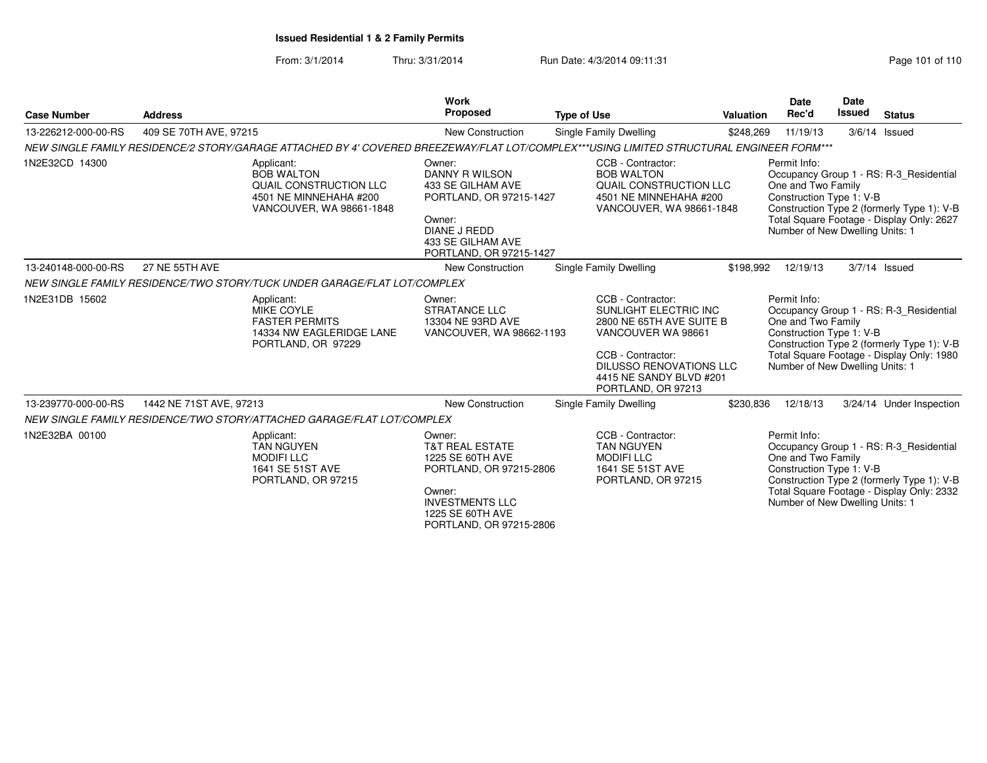From: 3/1/2014Thru: 3/31/2014 Run Date: 4/3/2014 09:11:31 Page 101 of 110

| <b>Case Number</b>  | <b>Address</b>          |                                                                                                                                          | <b>Work</b><br><b>Proposed</b>                                                                                                                                         | <b>Type of Use</b>                                                                                                                                                                                   | Valuation | <b>Date</b><br>Rec'd                                                                              | <b>Date</b><br><b>Issued</b> | <b>Status</b>                                                                                                                      |
|---------------------|-------------------------|------------------------------------------------------------------------------------------------------------------------------------------|------------------------------------------------------------------------------------------------------------------------------------------------------------------------|------------------------------------------------------------------------------------------------------------------------------------------------------------------------------------------------------|-----------|---------------------------------------------------------------------------------------------------|------------------------------|------------------------------------------------------------------------------------------------------------------------------------|
| 13-226212-000-00-RS | 409 SE 70TH AVE, 97215  |                                                                                                                                          | <b>New Construction</b>                                                                                                                                                | Single Family Dwelling                                                                                                                                                                               | \$248,269 | 11/19/13                                                                                          |                              | $3/6/14$ Issued                                                                                                                    |
|                     |                         | NEW SINGLE FAMILY RESIDENCE/2 STORY/GARAGE ATTACHED BY 4' COVERED BREEZEWAY/FLAT LOT/COMPLEX***USING LIMITED STRUCTURAL ENGINEER FORM*** |                                                                                                                                                                        |                                                                                                                                                                                                      |           |                                                                                                   |                              |                                                                                                                                    |
| 1N2E32CD 14300      |                         | Applicant:<br><b>BOB WALTON</b><br>QUAIL CONSTRUCTION LLC<br>4501 NE MINNEHAHA #200<br>VANCOUVER, WA 98661-1848                          | Owner:<br>DANNY R WILSON<br>433 SE GILHAM AVE<br>PORTLAND, OR 97215-1427<br>Owner:<br><b>DIANE J REDD</b><br>433 SE GILHAM AVE<br>PORTLAND, OR 97215-1427              | CCB - Contractor:<br><b>BOB WALTON</b><br>QUAIL CONSTRUCTION LLC<br>4501 NE MINNEHAHA #200<br>VANCOUVER, WA 98661-1848                                                                               |           | Permit Info:<br>One and Two Family<br>Construction Type 1: V-B<br>Number of New Dwelling Units: 1 |                              | Occupancy Group 1 - RS: R-3 Residential<br>Construction Type 2 (formerly Type 1): V-B<br>Total Square Footage - Display Only: 2627 |
| 13-240148-000-00-RS | 27 NE 55TH AVE          |                                                                                                                                          | New Construction                                                                                                                                                       | Single Family Dwelling                                                                                                                                                                               | \$198,992 | 12/19/13                                                                                          |                              | $3/7/14$ Issued                                                                                                                    |
|                     |                         | NEW SINGLE FAMILY RESIDENCE/TWO STORY/TUCK UNDER GARAGE/FLAT LOT/COMPLEX                                                                 |                                                                                                                                                                        |                                                                                                                                                                                                      |           |                                                                                                   |                              |                                                                                                                                    |
| 1N2E31DB 15602      |                         | Applicant:<br>MIKE COYLE<br><b>FASTER PERMITS</b><br>14334 NW EAGLERIDGE LANE<br>PORTLAND, OR 97229                                      | Owner:<br><b>STRATANCE LLC</b><br>13304 NE 93RD AVE<br>VANCOUVER, WA 98662-1193                                                                                        | CCB - Contractor:<br>SUNLIGHT ELECTRIC INC<br>2800 NE 65TH AVE SUITE B<br>VANCOUVER WA 98661<br>CCB - Contractor:<br><b>DILUSSO RENOVATIONS LLC</b><br>4415 NE SANDY BLVD #201<br>PORTLAND, OR 97213 |           | Permit Info:<br>One and Two Family<br>Construction Type 1: V-B<br>Number of New Dwelling Units: 1 |                              | Occupancy Group 1 - RS: R-3 Residential<br>Construction Type 2 (formerly Type 1): V-B<br>Total Square Footage - Display Only: 1980 |
| 13-239770-000-00-RS | 1442 NE 71ST AVE, 97213 |                                                                                                                                          | <b>New Construction</b>                                                                                                                                                | Single Family Dwelling                                                                                                                                                                               | \$230,836 | 12/18/13                                                                                          |                              | 3/24/14 Under Inspection                                                                                                           |
|                     |                         | NEW SINGLE FAMILY RESIDENCE/TWO STORY/ATTACHED GARAGE/FLAT LOT/COMPLEX                                                                   |                                                                                                                                                                        |                                                                                                                                                                                                      |           |                                                                                                   |                              |                                                                                                                                    |
| 1N2E32BA 00100      |                         | Applicant:<br><b>TAN NGUYEN</b><br><b>MODIFILLC</b><br>1641 SE 51ST AVE<br>PORTLAND, OR 97215                                            | Owner:<br><b>T&amp;T REAL ESTATE</b><br>1225 SE 60TH AVE<br>PORTLAND, OR 97215-2806<br>Owner:<br><b>INVESTMENTS LLC</b><br>1225 SE 60TH AVE<br>PORTLAND, OR 97215-2806 | CCB - Contractor:<br><b>TAN NGUYEN</b><br><b>MODIFILLC</b><br>1641 SE 51ST AVE<br>PORTLAND, OR 97215                                                                                                 |           | Permit Info:<br>One and Two Family<br>Construction Type 1: V-B<br>Number of New Dwelling Units: 1 |                              | Occupancy Group 1 - RS: R-3_Residential<br>Construction Type 2 (formerly Type 1): V-B<br>Total Square Footage - Display Only: 2332 |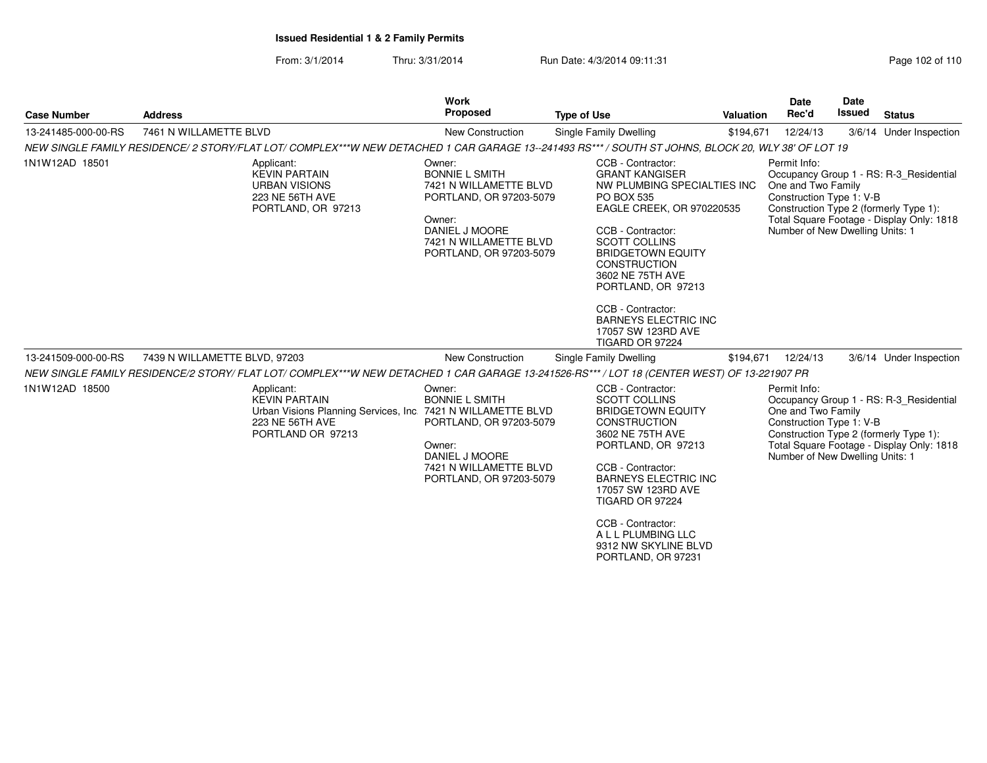From: 3/1/2014Thru: 3/31/2014 Run Date: 4/3/2014 09:11:31

| Page 102 of 110 |  |  |
|-----------------|--|--|
|-----------------|--|--|

| <b>Case Number</b>  | <b>Address</b>                                                                                                                                    | Work<br>Proposed                                                                                                                                                      | <b>Type of Use</b>                                                                                                                                                                                                                                                                                                                                          | <b>Valuation</b> | Date<br>Rec'd                                                                                     | <b>Date</b><br><b>Issued</b> | <b>Status</b>                                                                                                                  |
|---------------------|---------------------------------------------------------------------------------------------------------------------------------------------------|-----------------------------------------------------------------------------------------------------------------------------------------------------------------------|-------------------------------------------------------------------------------------------------------------------------------------------------------------------------------------------------------------------------------------------------------------------------------------------------------------------------------------------------------------|------------------|---------------------------------------------------------------------------------------------------|------------------------------|--------------------------------------------------------------------------------------------------------------------------------|
| 13-241485-000-00-RS | 7461 N WILLAMETTE BLVD                                                                                                                            | New Construction                                                                                                                                                      | Single Family Dwelling                                                                                                                                                                                                                                                                                                                                      | \$194,671        | 12/24/13                                                                                          |                              | 3/6/14 Under Inspection                                                                                                        |
|                     | NEW SINGLE FAMILY RESIDENCE/2 STORY/FLAT LOT/COMPLEX***W NEW DETACHED 1 CAR GARAGE 13--241493 RS*** / SOUTH ST JOHNS, BLOCK 20, WLY 38' OF LOT 19 |                                                                                                                                                                       |                                                                                                                                                                                                                                                                                                                                                             |                  |                                                                                                   |                              |                                                                                                                                |
| 1N1W12AD 18501      | Applicant:<br><b>KEVIN PARTAIN</b><br><b>URBAN VISIONS</b><br>223 NE 56TH AVE<br>PORTLAND, OR 97213                                               | Owner:<br><b>BONNIE L SMITH</b><br>7421 N WILLAMETTE BLVD<br>PORTLAND, OR 97203-5079<br>Owner:<br>DANIEL J MOORE<br>7421 N WILLAMETTE BLVD<br>PORTLAND, OR 97203-5079 | CCB - Contractor:<br><b>GRANT KANGISER</b><br>NW PLUMBING SPECIALTIES INC<br>PO BOX 535<br>EAGLE CREEK, OR 970220535<br>CCB - Contractor:<br><b>SCOTT COLLINS</b><br><b>BRIDGETOWN EQUITY</b><br><b>CONSTRUCTION</b><br>3602 NE 75TH AVE<br>PORTLAND, OR 97213<br>CCB - Contractor:<br><b>BARNEYS ELECTRIC INC</b><br>17057 SW 123RD AVE<br>TIGARD OR 97224 |                  | Permit Info:<br>One and Two Family<br>Construction Type 1: V-B<br>Number of New Dwelling Units: 1 |                              | Occupancy Group 1 - RS: R-3 Residential<br>Construction Type 2 (formerly Type 1):<br>Total Square Footage - Display Only: 1818 |
| 13-241509-000-00-RS | 7439 N WILLAMETTE BLVD, 97203                                                                                                                     | New Construction                                                                                                                                                      | Single Family Dwelling                                                                                                                                                                                                                                                                                                                                      | \$194,671        | 12/24/13                                                                                          |                              | 3/6/14 Under Inspection                                                                                                        |
|                     | NEW SINGLE FAMILY RESIDENCE/2 STORY/ FLAT LOT/ COMPLEX***W NEW DETACHED 1 CAR GARAGE 13-241526-RS*** / LOT 18 (CENTER WEST) OF 13-221907 PR       |                                                                                                                                                                       |                                                                                                                                                                                                                                                                                                                                                             |                  |                                                                                                   |                              |                                                                                                                                |
| 1N1W12AD 18500      | Applicant:<br><b>KEVIN PARTAIN</b><br>Urban Visions Planning Services, Inc. 7421 N WILLAMETTE BLVD<br>223 NE 56TH AVE<br>PORTLAND OR 97213        | Owner:<br><b>BONNIE L SMITH</b><br>PORTLAND, OR 97203-5079<br>Owner:<br>DANIEL J MOORE<br>7421 N WILLAMETTE BLVD<br>PORTLAND, OR 97203-5079                           | CCB - Contractor:<br><b>SCOTT COLLINS</b><br><b>BRIDGETOWN EQUITY</b><br><b>CONSTRUCTION</b><br>3602 NE 75TH AVE<br>PORTLAND, OR 97213<br>CCB - Contractor:<br><b>BARNEYS ELECTRIC INC</b><br>17057 SW 123RD AVE<br>TIGARD OR 97224<br>CCB - Contractor:<br>A L L PLUMBING LLC<br>9312 NW SKYLINE BLVD<br>PORTLAND, OR 97231                                |                  | Permit Info:<br>One and Two Family<br>Construction Type 1: V-B<br>Number of New Dwelling Units: 1 |                              | Occupancy Group 1 - RS: R-3 Residential<br>Construction Type 2 (formerly Type 1):<br>Total Square Footage - Display Only: 1818 |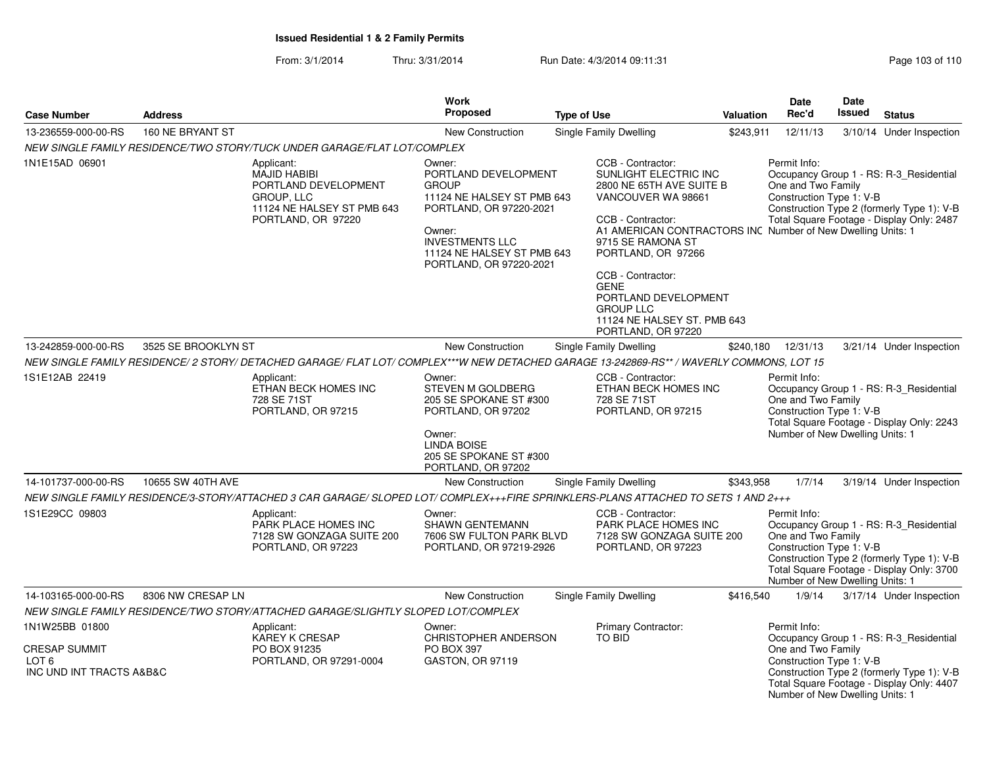From: 3/1/2014Thru: 3/31/2014 Run Date: 4/3/2014 09:11:31 Page 103 of 110

| <b>Case Number</b>                                        | <b>Address</b>      |                                                                                                                                    | <b>Work</b><br><b>Proposed</b>                                                                                                                                                                       | <b>Type of Use</b>                                                                                                                                                                                                                                                                                                                                               | Valuation | Date<br>Rec'd                                                                                     | Date<br><b>Issued</b> | <b>Status</b>                                                                                                                      |
|-----------------------------------------------------------|---------------------|------------------------------------------------------------------------------------------------------------------------------------|------------------------------------------------------------------------------------------------------------------------------------------------------------------------------------------------------|------------------------------------------------------------------------------------------------------------------------------------------------------------------------------------------------------------------------------------------------------------------------------------------------------------------------------------------------------------------|-----------|---------------------------------------------------------------------------------------------------|-----------------------|------------------------------------------------------------------------------------------------------------------------------------|
| 13-236559-000-00-RS                                       | 160 NE BRYANT ST    |                                                                                                                                    | <b>New Construction</b>                                                                                                                                                                              | Single Family Dwelling                                                                                                                                                                                                                                                                                                                                           | \$243,911 | 12/11/13                                                                                          |                       | 3/10/14 Under Inspection                                                                                                           |
|                                                           |                     | NEW SINGLE FAMILY RESIDENCE/TWO STORY/TUCK UNDER GARAGE/FLAT LOT/COMPLEX                                                           |                                                                                                                                                                                                      |                                                                                                                                                                                                                                                                                                                                                                  |           |                                                                                                   |                       |                                                                                                                                    |
| 1N1E15AD 06901                                            |                     | Applicant:<br><b>MAJID HABIBI</b><br>PORTLAND DEVELOPMENT<br><b>GROUP, LLC</b><br>11124 NE HALSEY ST PMB 643<br>PORTLAND, OR 97220 | Owner:<br>PORTLAND DEVELOPMENT<br><b>GROUP</b><br>11124 NE HALSEY ST PMB 643<br>PORTLAND, OR 97220-2021<br>Owner:<br><b>INVESTMENTS LLC</b><br>11124 NE HALSEY ST PMB 643<br>PORTLAND, OR 97220-2021 | CCB - Contractor:<br>SUNLIGHT ELECTRIC INC<br>2800 NE 65TH AVE SUITE B<br>VANCOUVER WA 98661<br>CCB - Contractor:<br>A1 AMERICAN CONTRACTORS INC Number of New Dwelling Units: 1<br>9715 SE RAMONA ST<br>PORTLAND, OR 97266<br>CCB - Contractor:<br><b>GENE</b><br>PORTLAND DEVELOPMENT<br><b>GROUP LLC</b><br>11124 NE HALSEY ST. PMB 643<br>PORTLAND, OR 97220 |           | Permit Info:<br>One and Two Family<br>Construction Type 1: V-B                                    |                       | Occupancy Group 1 - RS: R-3_Residential<br>Construction Type 2 (formerly Type 1): V-B<br>Total Square Footage - Display Only: 2487 |
| 13-242859-000-00-RS                                       | 3525 SE BROOKLYN ST |                                                                                                                                    | <b>New Construction</b>                                                                                                                                                                              | Single Family Dwelling                                                                                                                                                                                                                                                                                                                                           | \$240,180 | 12/31/13                                                                                          |                       | 3/21/14 Under Inspection                                                                                                           |
|                                                           |                     |                                                                                                                                    |                                                                                                                                                                                                      | NEW SINGLE FAMILY RESIDENCE/2 STORY/ DETACHED GARAGE/ FLAT LOT/ COMPLEX***W NEW DETACHED GARAGE 13-242869-RS** / WAVERLY COMMONS, LOT 15                                                                                                                                                                                                                         |           |                                                                                                   |                       |                                                                                                                                    |
| 1S1E12AB 22419                                            |                     | Applicant:<br>ETHAN BECK HOMES INC<br>728 SE 71ST<br>PORTLAND, OR 97215                                                            | Owner:<br>STEVEN M GOLDBERG<br>205 SE SPOKANE ST #300<br>PORTLAND, OR 97202<br>Owner:<br>LINDA BOISE<br>205 SE SPOKANE ST #300<br>PORTLAND, OR 97202                                                 | CCB - Contractor:<br>ETHAN BECK HOMES INC<br>728 SE 71ST<br>PORTLAND, OR 97215                                                                                                                                                                                                                                                                                   |           | Permit Info:<br>One and Two Family<br>Construction Type 1: V-B<br>Number of New Dwelling Units: 1 |                       | Occupancy Group 1 - RS: R-3_Residential<br>Total Square Footage - Display Only: 2243                                               |
| 14-101737-000-00-RS                                       | 10655 SW 40TH AVE   |                                                                                                                                    | New Construction                                                                                                                                                                                     | Single Family Dwelling                                                                                                                                                                                                                                                                                                                                           | \$343,958 | 1/7/14                                                                                            |                       | 3/19/14 Under Inspection                                                                                                           |
|                                                           |                     |                                                                                                                                    |                                                                                                                                                                                                      | NEW SINGLE FAMILY RESIDENCE/3-STORY/ATTACHED 3 CAR GARAGE/ SLOPED LOT/ COMPLEX+++FIRE SPRINKLERS-PLANS ATTACHED TO SETS 1 AND 2+++                                                                                                                                                                                                                               |           |                                                                                                   |                       |                                                                                                                                    |
| 1S1E29CC 09803                                            |                     | Applicant:<br>PARK PLACE HOMES INC<br>7128 SW GONZAGA SUITE 200<br>PORTLAND, OR 97223                                              | Owner:<br><b>SHAWN GENTEMANN</b><br>7606 SW FULTON PARK BLVD<br>PORTLAND, OR 97219-2926                                                                                                              | CCB - Contractor:<br>PARK PLACE HOMES INC<br>7128 SW GONZAGA SUITE 200<br>PORTLAND, OR 97223                                                                                                                                                                                                                                                                     |           | Permit Info:<br>One and Two Family<br>Construction Type 1: V-B<br>Number of New Dwelling Units: 1 |                       | Occupancy Group 1 - RS: R-3_Residential<br>Construction Type 2 (formerly Type 1): V-B<br>Total Square Footage - Display Only: 3700 |
| 14-103165-000-00-RS                                       | 8306 NW CRESAP LN   |                                                                                                                                    | New Construction                                                                                                                                                                                     | Single Family Dwelling                                                                                                                                                                                                                                                                                                                                           | \$416,540 | 1/9/14                                                                                            |                       | 3/17/14 Under Inspection                                                                                                           |
|                                                           |                     | NEW SINGLE FAMILY RESIDENCE/TWO STORY/ATTACHED GARAGE/SLIGHTLY SLOPED LOT/COMPLEX                                                  |                                                                                                                                                                                                      |                                                                                                                                                                                                                                                                                                                                                                  |           |                                                                                                   |                       |                                                                                                                                    |
| 1N1W25BB 01800                                            |                     | Applicant:<br>KAREY K CRESAP                                                                                                       | Owner:<br>CHRISTOPHER ANDERSON                                                                                                                                                                       | <b>Primary Contractor:</b><br>TO BID                                                                                                                                                                                                                                                                                                                             |           | Permit Info:                                                                                      |                       | Occupancy Group 1 - RS: R-3_Residential                                                                                            |
| <b>CRESAP SUMMIT</b><br>LOT 6<br>INC UND INT TRACTS A&B&C |                     | PO BOX 91235<br>PORTLAND, OR 97291-0004                                                                                            | PO BOX 397<br>GASTON, OR 97119                                                                                                                                                                       |                                                                                                                                                                                                                                                                                                                                                                  |           | One and Two Family<br>Construction Type 1: V-B<br>Number of New Dwelling Units: 1                 |                       | Construction Type 2 (formerly Type 1): V-B<br>Total Square Footage - Display Only: 4407                                            |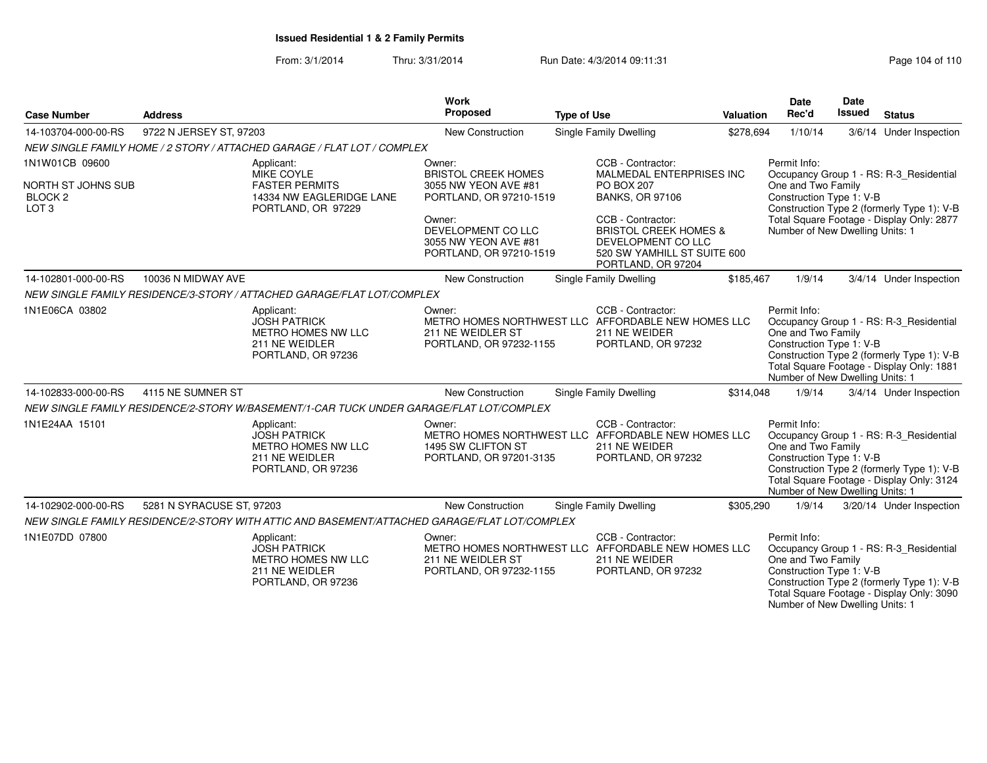From: 3/1/2014Thru: 3/31/2014 Run Date: 4/3/2014 09:11:31 Page 104 of 110

| <b>Case Number</b>                                           | <b>Address</b>            |                                                                                                        | <b>Work</b><br>Proposed                                                         | <b>Type of Use</b> |                                                                                                                                  | Valuation | <b>Date</b><br>Rec'd                                                                              | Date<br>Issued | <b>Status</b>                                                                                                                      |
|--------------------------------------------------------------|---------------------------|--------------------------------------------------------------------------------------------------------|---------------------------------------------------------------------------------|--------------------|----------------------------------------------------------------------------------------------------------------------------------|-----------|---------------------------------------------------------------------------------------------------|----------------|------------------------------------------------------------------------------------------------------------------------------------|
| 14-103704-000-00-RS                                          | 9722 N JERSEY ST, 97203   |                                                                                                        | New Construction                                                                |                    | Single Family Dwelling                                                                                                           | \$278,694 | 1/10/14                                                                                           |                | 3/6/14 Under Inspection                                                                                                            |
|                                                              |                           | NEW SINGLE FAMILY HOME / 2 STORY / ATTACHED GARAGE / FLAT LOT / COMPLEX                                |                                                                                 |                    |                                                                                                                                  |           |                                                                                                   |                |                                                                                                                                    |
| 1N1W01CB 09600                                               |                           | Applicant:<br><b>MIKE COYLE</b>                                                                        | Owner:<br><b>BRISTOL CREEK HOMES</b>                                            |                    | CCB - Contractor:<br>MALMEDAL ENTERPRISES INC                                                                                    |           | Permit Info:                                                                                      |                | Occupancy Group 1 - RS: R-3_Residential                                                                                            |
| NORTH ST JOHNS SUB<br>BLOCK <sub>2</sub><br>LOT <sub>3</sub> |                           | <b>FASTER PERMITS</b><br>14334 NW EAGLERIDGE LANE<br>PORTLAND, OR 97229                                | 3055 NW YEON AVE #81<br>PORTLAND, OR 97210-1519                                 |                    | <b>PO BOX 207</b><br><b>BANKS, OR 97106</b>                                                                                      |           | One and Two Family<br>Construction Type 1: V-B                                                    |                | Construction Type 2 (formerly Type 1): V-B                                                                                         |
|                                                              |                           |                                                                                                        | Owner:<br>DEVELOPMENT CO LLC<br>3055 NW YEON AVE #81<br>PORTLAND, OR 97210-1519 |                    | CCB - Contractor:<br><b>BRISTOL CREEK HOMES &amp;</b><br>DEVELOPMENT CO LLC<br>520 SW YAMHILL ST SUITE 600<br>PORTLAND, OR 97204 |           | Number of New Dwelling Units: 1                                                                   |                | Total Square Footage - Display Only: 2877                                                                                          |
| 14-102801-000-00-RS                                          | 10036 N MIDWAY AVE        |                                                                                                        | <b>New Construction</b>                                                         |                    | Single Family Dwelling                                                                                                           | \$185,467 | 1/9/14                                                                                            |                | 3/4/14 Under Inspection                                                                                                            |
|                                                              |                           | NEW SINGLE FAMILY RESIDENCE/3-STORY / ATTACHED GARAGE/FLAT LOT/COMPLEX                                 |                                                                                 |                    |                                                                                                                                  |           |                                                                                                   |                |                                                                                                                                    |
| 1N1E06CA 03802                                               |                           | Applicant:<br><b>JOSH PATRICK</b><br>METRO HOMES NW LLC<br>211 NE WEIDLER<br>PORTLAND, OR 97236        | Owner:<br>211 NE WEIDLER ST<br>PORTLAND, OR 97232-1155                          |                    | CCB - Contractor:<br>METRO HOMES NORTHWEST LLC AFFORDABLE NEW HOMES LLC<br>211 NE WEIDER<br>PORTLAND, OR 97232                   |           | Permit Info:<br>One and Two Family<br>Construction Type 1: V-B<br>Number of New Dwelling Units: 1 |                | Occupancy Group 1 - RS: R-3 Residential<br>Construction Type 2 (formerly Type 1): V-B<br>Total Square Footage - Display Only: 1881 |
| 14-102833-000-00-RS                                          | 4115 NE SUMNER ST         |                                                                                                        | New Construction                                                                |                    | <b>Single Family Dwelling</b>                                                                                                    | \$314,048 | 1/9/14                                                                                            |                | 3/4/14 Under Inspection                                                                                                            |
|                                                              |                           | NEW SINGLE FAMILY RESIDENCE/2-STORY W/BASEMENT/1-CAR TUCK UNDER GARAGE/FLAT LOT/COMPLEX                |                                                                                 |                    |                                                                                                                                  |           |                                                                                                   |                |                                                                                                                                    |
| 1N1E24AA 15101                                               |                           | Applicant:<br><b>JOSH PATRICK</b><br>METRO HOMES NW LLC<br>211 NE WEIDLER<br>PORTLAND, OR 97236        | Owner:<br>1495 SW CLIFTON ST<br>PORTLAND, OR 97201-3135                         |                    | CCB - Contractor:<br>METRO HOMES NORTHWEST LLC AFFORDABLE NEW HOMES LLC<br>211 NE WEIDER<br>PORTLAND, OR 97232                   |           | Permit Info:<br>One and Two Family<br>Construction Type 1: V-B<br>Number of New Dwelling Units: 1 |                | Occupancy Group 1 - RS: R-3_Residential<br>Construction Type 2 (formerly Type 1): V-B<br>Total Square Footage - Display Only: 3124 |
| 14-102902-000-00-RS                                          | 5281 N SYRACUSE ST, 97203 |                                                                                                        | New Construction                                                                |                    | Single Family Dwelling                                                                                                           | \$305,290 | 1/9/14                                                                                            |                | 3/20/14 Under Inspection                                                                                                           |
|                                                              |                           | NEW SINGLE FAMILY RESIDENCE/2-STORY WITH ATTIC AND BASEMENT/ATTACHED GARAGE/FLAT LOT/COMPLEX           |                                                                                 |                    |                                                                                                                                  |           |                                                                                                   |                |                                                                                                                                    |
| 1N1E07DD 07800                                               |                           | Applicant:<br><b>JOSH PATRICK</b><br><b>METRO HOMES NW LLC</b><br>211 NE WEIDLER<br>PORTLAND, OR 97236 | Owner:<br>211 NE WEIDLER ST<br>PORTLAND, OR 97232-1155                          |                    | CCB - Contractor:<br>METRO HOMES NORTHWEST LLC AFFORDABLE NEW HOMES LLC<br>211 NE WEIDER<br>PORTLAND, OR 97232                   |           | Permit Info:<br>One and Two Family<br>Construction Type 1: V-B<br>Number of New Dwelling Units: 1 |                | Occupancy Group 1 - RS: R-3_Residential<br>Construction Type 2 (formerly Type 1): V-B<br>Total Square Footage - Display Only: 3090 |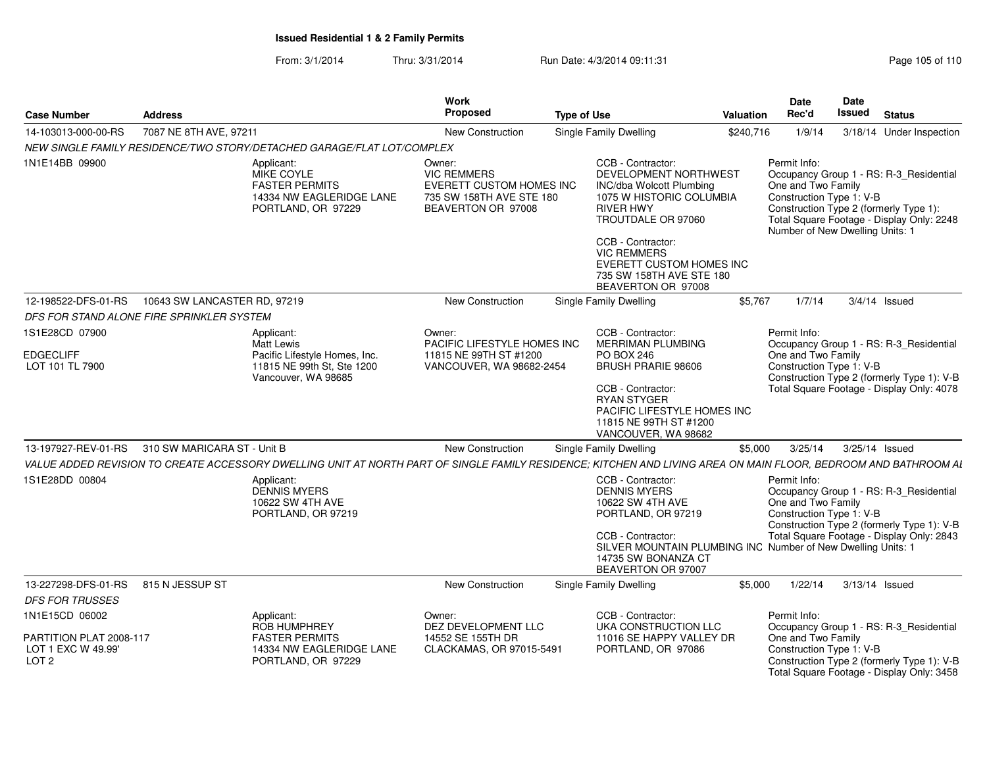From: 3/1/2014Thru: 3/31/2014 Run Date: 4/3/2014 09:11:31 Page 105 of 110

| <b>Case Number</b>                                                                  | <b>Address</b>                                  |                                                                                                                                                                 | Work<br>Proposed                                                                                           | <b>Type of Use</b> |                                                                                                                                                                                                                                                                              | <b>Valuation</b> | <b>Date</b><br>Rec'd               | Date<br>Issued<br><b>Status</b>                                                                                                                                                               |
|-------------------------------------------------------------------------------------|-------------------------------------------------|-----------------------------------------------------------------------------------------------------------------------------------------------------------------|------------------------------------------------------------------------------------------------------------|--------------------|------------------------------------------------------------------------------------------------------------------------------------------------------------------------------------------------------------------------------------------------------------------------------|------------------|------------------------------------|-----------------------------------------------------------------------------------------------------------------------------------------------------------------------------------------------|
| 14-103013-000-00-RS                                                                 | 7087 NE 8TH AVE, 97211                          |                                                                                                                                                                 | <b>New Construction</b>                                                                                    |                    | <b>Single Family Dwelling</b>                                                                                                                                                                                                                                                | \$240,716        | 1/9/14                             | 3/18/14 Under Inspection                                                                                                                                                                      |
|                                                                                     |                                                 | NEW SINGLE FAMILY RESIDENCE/TWO STORY/DETACHED GARAGE/FLAT LOT/COMPLEX                                                                                          |                                                                                                            |                    |                                                                                                                                                                                                                                                                              |                  |                                    |                                                                                                                                                                                               |
| 1N1E14BB 09900                                                                      |                                                 | Applicant:<br>MIKE COYLE<br><b>FASTER PERMITS</b><br>14334 NW EAGLERIDGE LANE<br>PORTLAND, OR 97229                                                             | Owner:<br><b>VIC REMMERS</b><br>EVERETT CUSTOM HOMES INC<br>735 SW 158TH AVE STE 180<br>BEAVERTON OR 97008 |                    | CCB - Contractor:<br>DEVELOPMENT NORTHWEST<br><b>INC/dba Wolcott Plumbing</b><br>1075 W HISTORIC COLUMBIA<br><b>RIVER HWY</b><br>TROUTDALE OR 97060<br>CCB - Contractor:<br><b>VIC REMMERS</b><br>EVERETT CUSTOM HOMES INC<br>735 SW 158TH AVE STE 180<br>BEAVERTON OR 97008 |                  | Permit Info:<br>One and Two Family | Occupancy Group 1 - RS: R-3_Residential<br>Construction Type 1: V-B<br>Construction Type 2 (formerly Type 1):<br>Total Square Footage - Display Only: 2248<br>Number of New Dwelling Units: 1 |
| 12-198522-DFS-01-RS                                                                 | 10643 SW LANCASTER RD, 97219                    |                                                                                                                                                                 | <b>New Construction</b>                                                                                    |                    | Single Family Dwelling                                                                                                                                                                                                                                                       | \$5,767          | 1/7/14                             | $3/4/14$ Issued                                                                                                                                                                               |
| DFS FOR STAND ALONE FIRE SPRINKLER SYSTEM                                           |                                                 |                                                                                                                                                                 |                                                                                                            |                    |                                                                                                                                                                                                                                                                              |                  |                                    |                                                                                                                                                                                               |
| 1S1E28CD 07900<br><b>EDGECLIFF</b><br>LOT 101 TL 7900                               |                                                 | Applicant:<br>Matt Lewis<br>Pacific Lifestyle Homes, Inc.<br>11815 NE 99th St, Ste 1200<br>Vancouver, WA 98685                                                  | Owner:<br>PACIFIC LIFESTYLE HOMES INC<br>11815 NE 99TH ST #1200<br>VANCOUVER, WA 98682-2454                |                    | CCB - Contractor:<br><b>MERRIMAN PLUMBING</b><br><b>PO BOX 246</b><br><b>BRUSH PRARIE 98606</b><br>CCB - Contractor:<br><b>RYAN STYGER</b><br>PACIFIC LIFESTYLE HOMES INC<br>11815 NE 99TH ST #1200<br>VANCOUVER, WA 98682                                                   |                  | Permit Info:<br>One and Two Family | Occupancy Group 1 - RS: R-3 Residential<br>Construction Type 1: V-B<br>Construction Type 2 (formerly Type 1): V-B<br>Total Square Footage - Display Only: 4078                                |
|                                                                                     | 13-197927-REV-01-RS 310 SW MARICARA ST - Unit B |                                                                                                                                                                 | <b>New Construction</b>                                                                                    |                    | Single Family Dwelling                                                                                                                                                                                                                                                       | \$5,000          |                                    | 3/25/14   3/25/14   Issued                                                                                                                                                                    |
|                                                                                     |                                                 | VALUE ADDED REVISION TO CREATE ACCESSORY DWELLING UNIT AT NORTH PART OF SINGLE FAMILY RESIDENCE; KITCHEN AND LIVING AREA ON MAIN FLOOR, BEDROOM AND BATHROOM AL |                                                                                                            |                    |                                                                                                                                                                                                                                                                              |                  |                                    |                                                                                                                                                                                               |
| 1S1E28DD 00804                                                                      |                                                 | Applicant:<br><b>DENNIS MYERS</b><br>10622 SW 4TH AVE<br>PORTLAND, OR 97219                                                                                     |                                                                                                            |                    | CCB - Contractor:<br><b>DENNIS MYERS</b><br>10622 SW 4TH AVE<br>PORTLAND, OR 97219<br>CCB - Contractor:<br>SILVER MOUNTAIN PLUMBING INC Number of New Dwelling Units: 1<br>14735 SW BONANZA CT<br>BEAVERTON OR 97007                                                         |                  | Permit Info:<br>One and Two Family | Occupancy Group 1 - RS: R-3_Residential<br>Construction Type 1: V-B<br>Construction Type 2 (formerly Type 1): V-B<br>Total Square Footage - Display Only: 2843                                |
| 13-227298-DFS-01-RS  815 N JESSUP ST<br><b>DFS FOR TRUSSES</b>                      |                                                 |                                                                                                                                                                 | <b>New Construction</b>                                                                                    |                    | <b>Single Family Dwelling</b>                                                                                                                                                                                                                                                | \$5.000          | 1/22/14                            | 3/13/14 Issued                                                                                                                                                                                |
| 1N1E15CD 06002<br>PARTITION PLAT 2008-117<br>LOT 1 EXC W 49.99'<br>LOT <sub>2</sub> |                                                 | Applicant:<br>ROB HUMPHREY<br><b>FASTER PERMITS</b><br>14334 NW EAGLERIDGE LANE<br>PORTLAND, OR 97229                                                           | Owner:<br>DEZ DEVELOPMENT LLC<br>14552 SE 155TH DR<br>CLACKAMAS, OR 97015-5491                             |                    | CCB - Contractor:<br>UKA CONSTRUCTION LLC<br>11016 SE HAPPY VALLEY DR<br>PORTLAND, OR 97086                                                                                                                                                                                  |                  | Permit Info:<br>One and Two Family | Occupancy Group 1 - RS: R-3 Residential<br>Construction Type 1: V-B<br>Construction Type 2 (formerly Type 1): V-B<br>Total Square Footage - Display Only: 3458                                |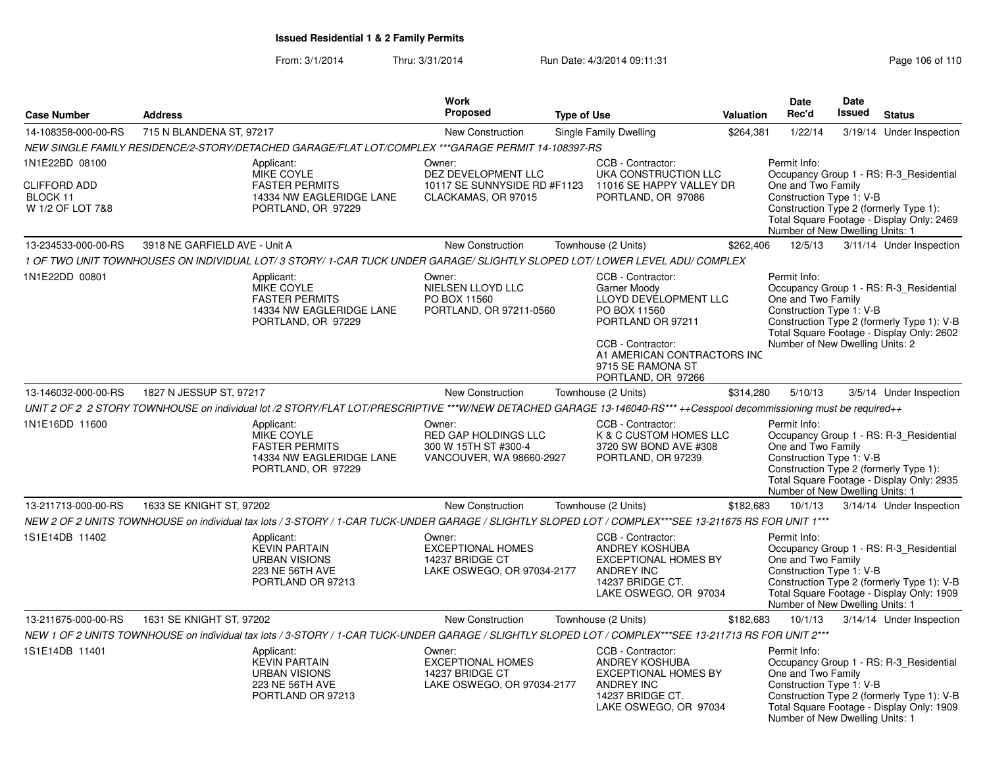From: 3/1/2014Thru: 3/31/2014 Run Date: 4/3/2014 09:11:31 Page 106 of 110

| <b>Case Number</b>                                  | <b>Address</b>                                                                                                                                                        | <b>Work</b><br><b>Proposed</b>                                                      | <b>Type of Use</b> |                                                                                                                                                                                                | <b>Valuation</b> | Date<br>Rec'd                                                                                     | Date<br>Issued | <b>Status</b>                                                                                                                      |
|-----------------------------------------------------|-----------------------------------------------------------------------------------------------------------------------------------------------------------------------|-------------------------------------------------------------------------------------|--------------------|------------------------------------------------------------------------------------------------------------------------------------------------------------------------------------------------|------------------|---------------------------------------------------------------------------------------------------|----------------|------------------------------------------------------------------------------------------------------------------------------------|
| 14-108358-000-00-RS                                 | 715 N BLANDENA ST. 97217                                                                                                                                              | <b>New Construction</b>                                                             |                    |                                                                                                                                                                                                |                  | 1/22/14                                                                                           |                | 3/19/14 Under Inspection                                                                                                           |
|                                                     |                                                                                                                                                                       |                                                                                     |                    | Single Family Dwelling                                                                                                                                                                         | \$264,381        |                                                                                                   |                |                                                                                                                                    |
|                                                     | NEW SINGLE FAMILY RESIDENCE/2-STORY/DETACHED GARAGE/FLAT LOT/COMPLEX ***GARAGE PERMIT 14-108397-RS                                                                    |                                                                                     |                    |                                                                                                                                                                                                |                  |                                                                                                   |                |                                                                                                                                    |
| 1N1E22BD 08100                                      | Applicant:<br>MIKE COYLE                                                                                                                                              | Owner:<br>DEZ DEVELOPMENT LLC                                                       |                    | CCB - Contractor:<br>UKA CONSTRUCTION LLC                                                                                                                                                      |                  | Permit Info:                                                                                      |                | Occupancy Group 1 - RS: R-3 Residential                                                                                            |
| <b>CLIFFORD ADD</b><br>BLOCK 11<br>W 1/2 OF LOT 7&8 | <b>FASTER PERMITS</b><br>14334 NW EAGLERIDGE LANE<br>PORTLAND, OR 97229                                                                                               | 10117 SE SUNNYSIDE RD #F1123<br>CLACKAMAS, OR 97015                                 |                    | 11016 SE HAPPY VALLEY DR<br>PORTLAND, OR 97086                                                                                                                                                 |                  | One and Two Family<br>Construction Type 1: V-B<br>Number of New Dwelling Units: 1                 |                | Construction Type 2 (formerly Type 1):<br>Total Square Footage - Display Only: 2469                                                |
| 13-234533-000-00-RS                                 | 3918 NE GARFIELD AVE - Unit A                                                                                                                                         | New Construction                                                                    |                    | Townhouse (2 Units)                                                                                                                                                                            | \$262,406        | 12/5/13                                                                                           |                | 3/11/14 Under Inspection                                                                                                           |
|                                                     | 1 OF TWO UNIT TOWNHOUSES ON INDIVIDUAL LOT/3 STORY/1-CAR TUCK UNDER GARAGE/SLIGHTLY SLOPED LOT/LOWER LEVEL ADU/COMPLEX                                                |                                                                                     |                    |                                                                                                                                                                                                |                  |                                                                                                   |                |                                                                                                                                    |
| 1N1E22DD 00801                                      | Applicant:<br>MIKE COYLE<br><b>FASTER PERMITS</b><br>14334 NW EAGLERIDGE LANE<br>PORTLAND, OR 97229                                                                   | Owner:<br>NIELSEN LLOYD LLC<br>PO BOX 11560<br>PORTLAND, OR 97211-0560              |                    | CCB - Contractor:<br>Garner Moody<br>LLOYD DEVELOPMENT LLC<br>PO BOX 11560<br>PORTLAND OR 97211<br>CCB - Contractor:<br>A1 AMERICAN CONTRACTORS INC<br>9715 SE RAMONA ST<br>PORTLAND, OR 97266 |                  | Permit Info:<br>One and Two Family<br>Construction Type 1: V-B<br>Number of New Dwelling Units: 2 |                | Occupancy Group 1 - RS: R-3_Residential<br>Construction Type 2 (formerly Type 1): V-B<br>Total Square Footage - Display Only: 2602 |
| 13-146032-000-00-RS                                 | 1827 N JESSUP ST, 97217                                                                                                                                               | New Construction                                                                    |                    | Townhouse (2 Units)                                                                                                                                                                            | \$314,280        | 5/10/13                                                                                           |                | 3/5/14 Under Inspection                                                                                                            |
|                                                     | UNIT 2 OF 2 2 STORY TOWNHOUSE on individual lot /2 STORY/FLAT LOT/PRESCRIPTIVE ***W/NEW DETACHED GARAGE 13-146040-RS*** ++Cesspool decommissioning must be required++ |                                                                                     |                    |                                                                                                                                                                                                |                  |                                                                                                   |                |                                                                                                                                    |
| 1N1E16DD 11600                                      | Applicant:<br>MIKE COYLE<br><b>FASTER PERMITS</b><br>14334 NW EAGLERIDGE LANE<br>PORTLAND, OR 97229                                                                   | Owner:<br>RED GAP HOLDINGS LLC<br>300 W 15TH ST #300-4<br>VANCOUVER, WA 98660-2927  |                    | CCB - Contractor:<br>K & C CUSTOM HOMES LLC<br>3720 SW BOND AVE #308<br>PORTLAND, OR 97239                                                                                                     |                  | Permit Info:<br>One and Two Family<br>Construction Type 1: V-B<br>Number of New Dwelling Units: 1 |                | Occupancy Group 1 - RS: R-3_Residential<br>Construction Type 2 (formerly Type 1):<br>Total Square Footage - Display Only: 2935     |
| 13-211713-000-00-RS                                 | 1633 SE KNIGHT ST, 97202                                                                                                                                              | <b>New Construction</b>                                                             |                    | Townhouse (2 Units)                                                                                                                                                                            | \$182,683        | 10/1/13                                                                                           |                | 3/14/14 Under Inspection                                                                                                           |
|                                                     | NEW 2 OF 2 UNITS TOWNHOUSE on individual tax lots / 3-STORY / 1-CAR TUCK-UNDER GARAGE / SLIGHTLY SLOPED LOT / COMPLEX***SEE 13-211675 RS FOR UNIT 1***                |                                                                                     |                    |                                                                                                                                                                                                |                  |                                                                                                   |                |                                                                                                                                    |
| 1S1E14DB 11402                                      | Applicant:<br><b>KEVIN PARTAIN</b><br><b>URBAN VISIONS</b><br>223 NE 56TH AVE<br>PORTLAND OR 97213                                                                    | Owner:<br><b>EXCEPTIONAL HOMES</b><br>14237 BRIDGE CT<br>LAKE OSWEGO, OR 97034-2177 |                    | CCB - Contractor:<br><b>ANDREY KOSHUBA</b><br><b>EXCEPTIONAL HOMES BY</b><br><b>ANDREY INC</b><br>14237 BRIDGE CT.<br>LAKE OSWEGO, OR 97034                                                    |                  | Permit Info:<br>One and Two Family<br>Construction Type 1: V-B<br>Number of New Dwelling Units: 1 |                | Occupancy Group 1 - RS: R-3_Residential<br>Construction Type 2 (formerly Type 1): V-B<br>Total Square Footage - Display Only: 1909 |
| 13-211675-000-00-RS                                 | 1631 SE KNIGHT ST, 97202                                                                                                                                              | <b>New Construction</b>                                                             |                    | Townhouse (2 Units)                                                                                                                                                                            | \$182,683        | 10/1/13                                                                                           |                | 3/14/14 Under Inspection                                                                                                           |
|                                                     | NEW 1 OF 2 UNITS TOWNHOUSE on individual tax lots / 3-STORY / 1-CAR TUCK-UNDER GARAGE / SLIGHTLY SLOPED LOT / COMPLEX***SEE 13-211713 RS FOR UNIT 2***                |                                                                                     |                    |                                                                                                                                                                                                |                  |                                                                                                   |                |                                                                                                                                    |
| 1S1E14DB 11401                                      | Applicant:<br><b>KEVIN PARTAIN</b><br><b>URBAN VISIONS</b><br>223 NE 56TH AVE<br>PORTLAND OR 97213                                                                    | Owner:<br><b>EXCEPTIONAL HOMES</b><br>14237 BRIDGE CT<br>LAKE OSWEGO, OR 97034-2177 |                    | CCB - Contractor:<br>ANDREY KOSHUBA<br><b>EXCEPTIONAL HOMES BY</b><br>ANDREY INC<br>14237 BRIDGE CT.<br>LAKE OSWEGO, OR 97034                                                                  |                  | Permit Info:<br>One and Two Family<br>Construction Type 1: V-B<br>Number of New Dwelling Units: 1 |                | Occupancy Group 1 - RS: R-3 Residential<br>Construction Type 2 (formerly Type 1): V-B<br>Total Square Footage - Display Only: 1909 |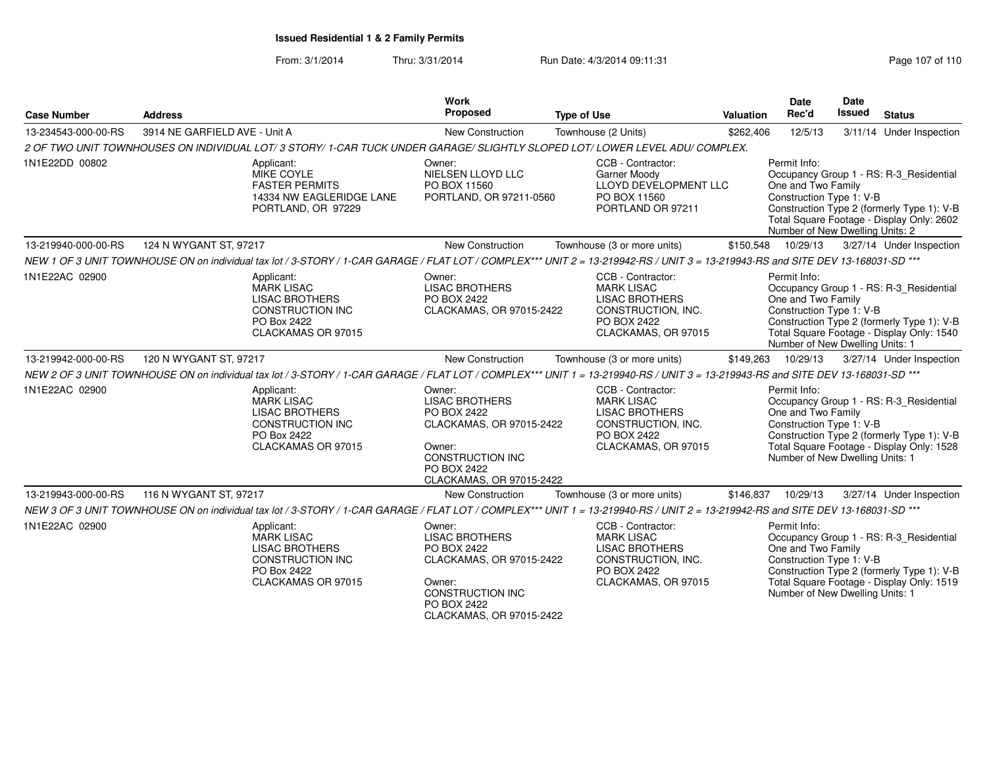From: 3/1/2014Thru: 3/31/2014 Run Date: 4/3/2014 09:11:31 Page 107 of 110

| <b>Case Number</b>  | <b>Address</b>                                                                                                                                                                  | <b>Work</b><br>Proposed                                                                                                                                    | <b>Type of Use</b>                                                                                                          | <b>Valuation</b> | <b>Date</b><br>Rec'd                                                                              | <b>Date</b><br>Issued | <b>Status</b>                                                                                                                      |
|---------------------|---------------------------------------------------------------------------------------------------------------------------------------------------------------------------------|------------------------------------------------------------------------------------------------------------------------------------------------------------|-----------------------------------------------------------------------------------------------------------------------------|------------------|---------------------------------------------------------------------------------------------------|-----------------------|------------------------------------------------------------------------------------------------------------------------------------|
| 13-234543-000-00-RS | 3914 NE GARFIELD AVE - Unit A                                                                                                                                                   | <b>New Construction</b>                                                                                                                                    | Townhouse (2 Units)                                                                                                         | \$262,406        | 12/5/13                                                                                           |                       | 3/11/14 Under Inspection                                                                                                           |
|                     | 2 OF TWO UNIT TOWNHOUSES ON INDIVIDUAL LOT/3 STORY/1-CAR TUCK UNDER GARAGE/SLIGHTLY SLOPED LOT/LOWER LEVEL ADU/COMPLEX.                                                         |                                                                                                                                                            |                                                                                                                             |                  |                                                                                                   |                       |                                                                                                                                    |
| 1N1E22DD 00802      | Applicant:<br>MIKE COYLE<br><b>FASTER PERMITS</b><br>14334 NW EAGLERIDGE LANE<br>PORTLAND, OR 97229                                                                             | Owner:<br>NIELSEN LLOYD LLC<br>PO BOX 11560<br>PORTLAND, OR 97211-0560                                                                                     | CCB - Contractor:<br>Garner Moody<br>LLOYD DEVELOPMENT LLC<br>PO BOX 11560<br>PORTLAND OR 97211                             |                  | Permit Info:<br>One and Two Family<br>Construction Type 1: V-B<br>Number of New Dwelling Units: 2 |                       | Occupancy Group 1 - RS: R-3_Residential<br>Construction Type 2 (formerly Type 1): V-B<br>Total Square Footage - Display Only: 2602 |
| 13-219940-000-00-RS | 124 N WYGANT ST, 97217                                                                                                                                                          | <b>New Construction</b>                                                                                                                                    | Townhouse (3 or more units)                                                                                                 | \$150,548        | 10/29/13                                                                                          |                       | 3/27/14 Under Inspection                                                                                                           |
|                     | NEW 1 OF 3 UNIT TOWNHOUSE ON on individual tax lot / 3-STORY / 1-CAR GARAGE / FLAT LOT / COMPLEX*** UNIT 2 = 13-219942-RS / UNIT 3 = 13-219943-RS and SITE DEV 13-168031-SD *** |                                                                                                                                                            |                                                                                                                             |                  |                                                                                                   |                       |                                                                                                                                    |
| 1N1E22AC 02900      | Applicant:<br><b>MARK LISAC</b><br><b>LISAC BROTHERS</b><br><b>CONSTRUCTION INC</b><br>PO Box 2422<br>CLACKAMAS OR 97015                                                        | Owner:<br><b>LISAC BROTHERS</b><br>PO BOX 2422<br>CLACKAMAS, OR 97015-2422                                                                                 | CCB - Contractor:<br><b>MARK LISAC</b><br><b>LISAC BROTHERS</b><br>CONSTRUCTION, INC.<br>PO BOX 2422<br>CLACKAMAS, OR 97015 |                  | Permit Info:<br>One and Two Family<br>Construction Type 1: V-B<br>Number of New Dwelling Units: 1 |                       | Occupancy Group 1 - RS: R-3_Residential<br>Construction Type 2 (formerly Type 1): V-B<br>Total Square Footage - Display Only: 1540 |
| 13-219942-000-00-RS | 120 N WYGANT ST, 97217                                                                                                                                                          | <b>New Construction</b>                                                                                                                                    | Townhouse (3 or more units)                                                                                                 | \$149,263        | 10/29/13                                                                                          |                       | 3/27/14 Under Inspection                                                                                                           |
|                     | NEW 2 OF 3 UNIT TOWNHOUSE ON on individual tax lot / 3-STORY / 1-CAR GARAGE / FLAT LOT / COMPLEX*** UNIT 1 = 13-219940-RS / UNIT 3 = 13-219943-RS and SITE DEV 13-168031-SD *** |                                                                                                                                                            |                                                                                                                             |                  |                                                                                                   |                       |                                                                                                                                    |
| 1N1E22AC 02900      | Applicant:<br><b>MARK LISAC</b><br><b>LISAC BROTHERS</b><br><b>CONSTRUCTION INC</b><br>PO Box 2422<br>CLACKAMAS OR 97015                                                        | Owner:<br><b>LISAC BROTHERS</b><br>PO BOX 2422<br>CLACKAMAS, OR 97015-2422<br>Owner:<br>CONSTRUCTION INC<br>PO BOX 2422<br>CLACKAMAS, OR 97015-2422        | CCB - Contractor:<br><b>MARK LISAC</b><br><b>LISAC BROTHERS</b><br>CONSTRUCTION, INC.<br>PO BOX 2422<br>CLACKAMAS, OR 97015 |                  | Permit Info:<br>One and Two Family<br>Construction Type 1: V-B<br>Number of New Dwelling Units: 1 |                       | Occupancy Group 1 - RS: R-3_Residential<br>Construction Type 2 (formerly Type 1): V-B<br>Total Square Footage - Display Only: 1528 |
| 13-219943-000-00-RS | 116 N WYGANT ST, 97217                                                                                                                                                          | <b>New Construction</b>                                                                                                                                    | Townhouse (3 or more units)                                                                                                 | \$146,837        | 10/29/13                                                                                          |                       | 3/27/14 Under Inspection                                                                                                           |
|                     | NEW 3 OF 3 UNIT TOWNHOUSE ON on individual tax lot / 3-STORY / 1-CAR GARAGE / FLAT LOT / COMPLEX*** UNIT 1 = 13-219940-RS / UNIT 2 = 13-219942-RS and SITE DEV 13-168031-SD *** |                                                                                                                                                            |                                                                                                                             |                  |                                                                                                   |                       |                                                                                                                                    |
| 1N1E22AC 02900      | Applicant:<br><b>MARK LISAC</b><br><b>LISAC BROTHERS</b><br><b>CONSTRUCTION INC</b><br>PO Box 2422<br>CLACKAMAS OR 97015                                                        | Owner:<br><b>LISAC BROTHERS</b><br>PO BOX 2422<br>CLACKAMAS, OR 97015-2422<br>Owner:<br><b>CONSTRUCTION INC</b><br>PO BOX 2422<br>CLACKAMAS, OR 97015-2422 | CCB - Contractor:<br><b>MARK LISAC</b><br><b>LISAC BROTHERS</b><br>CONSTRUCTION, INC.<br>PO BOX 2422<br>CLACKAMAS, OR 97015 |                  | Permit Info:<br>One and Two Family<br>Construction Type 1: V-B<br>Number of New Dwelling Units: 1 |                       | Occupancy Group 1 - RS: R-3 Residential<br>Construction Type 2 (formerly Type 1): V-B<br>Total Square Footage - Display Only: 1519 |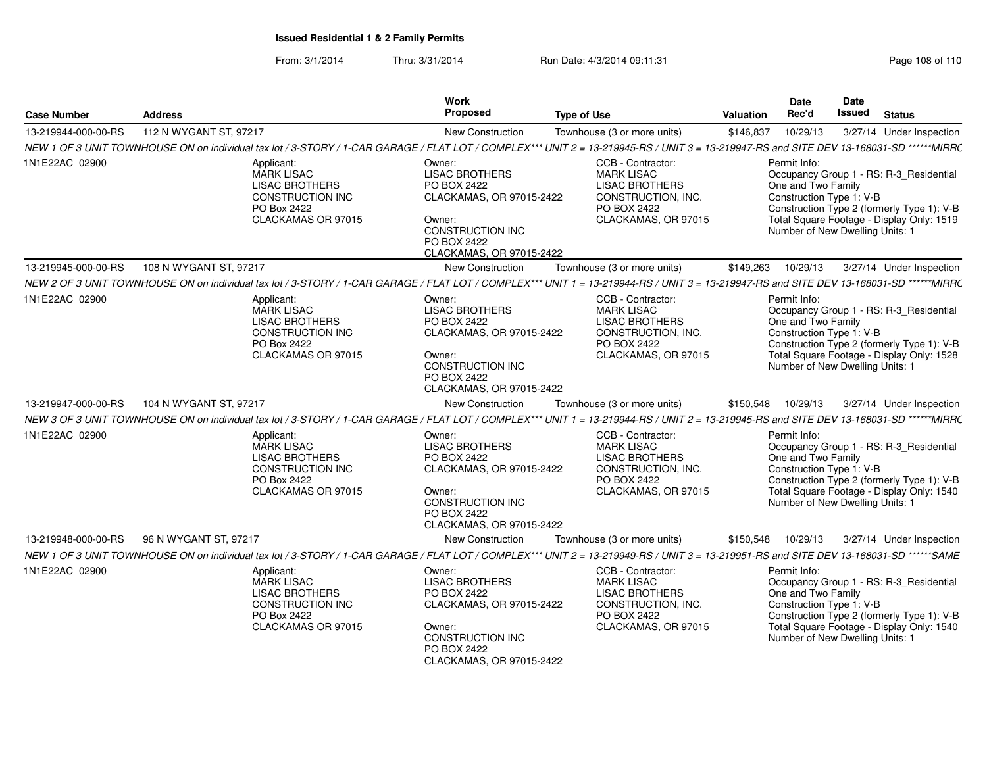From: 3/1/2014Thru: 3/31/2014 Run Date: 4/3/2014 09:11:31 Rege 108 of 110

| <b>Case Number</b>  | <b>Address</b>                                                                                                                                                                          | Work<br>Proposed                                                                                                                                           | <b>Type of Use</b>                                                                                                          | Valuation | Date<br>Rec'd                                                                                     | Date<br>Issued | <b>Status</b>                                                                                                                      |
|---------------------|-----------------------------------------------------------------------------------------------------------------------------------------------------------------------------------------|------------------------------------------------------------------------------------------------------------------------------------------------------------|-----------------------------------------------------------------------------------------------------------------------------|-----------|---------------------------------------------------------------------------------------------------|----------------|------------------------------------------------------------------------------------------------------------------------------------|
| 13-219944-000-00-RS | 112 N WYGANT ST, 97217                                                                                                                                                                  | New Construction                                                                                                                                           | Townhouse (3 or more units)                                                                                                 | \$146,837 | 10/29/13                                                                                          |                | 3/27/14 Under Inspection                                                                                                           |
|                     | NEW 1 OF 3 UNIT TOWNHOUSE ON on individual tax lot / 3-STORY / 1-CAR GARAGE / FLAT LOT / COMPLEX*** UNIT 2 = 13-219945-RS / UNIT 3 = 13-219947-RS and SITE DEV 13-168031-SD ******MIRRC |                                                                                                                                                            |                                                                                                                             |           |                                                                                                   |                |                                                                                                                                    |
| 1N1E22AC 02900      | Applicant:<br><b>MARK LISAC</b><br><b>LISAC BROTHERS</b><br>CONSTRUCTION INC<br>PO Box 2422<br>CLACKAMAS OR 97015                                                                       | Owner:<br><b>LISAC BROTHERS</b><br>PO BOX 2422<br>CLACKAMAS, OR 97015-2422<br>Owner:<br><b>CONSTRUCTION INC</b><br>PO BOX 2422<br>CLACKAMAS, OR 97015-2422 | CCB - Contractor:<br><b>MARK LISAC</b><br><b>LISAC BROTHERS</b><br>CONSTRUCTION, INC.<br>PO BOX 2422<br>CLACKAMAS, OR 97015 |           | Permit Info:<br>One and Two Family<br>Construction Type 1: V-B<br>Number of New Dwelling Units: 1 |                | Occupancy Group 1 - RS: R-3_Residential<br>Construction Type 2 (formerly Type 1): V-B<br>Total Square Footage - Display Only: 1519 |
| 13-219945-000-00-RS | 108 N WYGANT ST, 97217                                                                                                                                                                  | <b>New Construction</b>                                                                                                                                    | Townhouse (3 or more units)                                                                                                 | \$149,263 | 10/29/13                                                                                          |                | 3/27/14 Under Inspection                                                                                                           |
|                     | NEW 2 OF 3 UNIT TOWNHOUSE ON on individual tax lot / 3-STORY / 1-CAR GARAGE / FLAT LOT / COMPLEX*** UNIT 1 = 13-219944-RS / UNIT 3 = 13-219947-RS and SITE DEV 13-168031-SD ******MIRRC |                                                                                                                                                            |                                                                                                                             |           |                                                                                                   |                |                                                                                                                                    |
| 1N1E22AC 02900      | Applicant:<br><b>MARK LISAC</b><br><b>LISAC BROTHERS</b><br>CONSTRUCTION INC<br>PO Box 2422<br>CLACKAMAS OR 97015                                                                       | Owner:<br><b>LISAC BROTHERS</b><br>PO BOX 2422<br>CLACKAMAS, OR 97015-2422<br>Owner:<br>CONSTRUCTION INC<br>PO BOX 2422<br>CLACKAMAS, OR 97015-2422        | CCB - Contractor:<br><b>MARK LISAC</b><br><b>LISAC BROTHERS</b><br>CONSTRUCTION, INC.<br>PO BOX 2422<br>CLACKAMAS, OR 97015 |           | Permit Info:<br>One and Two Family<br>Construction Type 1: V-B<br>Number of New Dwelling Units: 1 |                | Occupancy Group 1 - RS: R-3_Residential<br>Construction Type 2 (formerly Type 1): V-B<br>Total Square Footage - Display Only: 1528 |
| 13-219947-000-00-RS | 104 N WYGANT ST, 97217                                                                                                                                                                  | <b>New Construction</b>                                                                                                                                    | Townhouse (3 or more units)                                                                                                 | \$150,548 | 10/29/13                                                                                          |                | 3/27/14 Under Inspection                                                                                                           |
|                     | NEW 3 OF 3 UNIT TOWNHOUSE ON on individual tax lot / 3-STORY / 1-CAR GARAGE / FLAT LOT / COMPLEX*** UNIT 1 = 13-219944-RS / UNIT 2 = 13-219945-RS and SITE DEV 13-168031-SD ******MIRRC |                                                                                                                                                            |                                                                                                                             |           |                                                                                                   |                |                                                                                                                                    |
| 1N1E22AC 02900      | Applicant:<br><b>MARK LISAC</b><br><b>LISAC BROTHERS</b><br>CONSTRUCTION INC<br>PO Box 2422<br>CLACKAMAS OR 97015                                                                       | Owner:<br><b>LISAC BROTHERS</b><br>PO BOX 2422<br>CLACKAMAS, OR 97015-2422<br>Owner:<br><b>CONSTRUCTION INC</b><br>PO BOX 2422<br>CLACKAMAS, OR 97015-2422 | CCB - Contractor:<br><b>MARK LISAC</b><br><b>LISAC BROTHERS</b><br>CONSTRUCTION, INC.<br>PO BOX 2422<br>CLACKAMAS, OR 97015 |           | Permit Info:<br>One and Two Family<br>Construction Type 1: V-B<br>Number of New Dwelling Units: 1 |                | Occupancy Group 1 - RS: R-3_Residential<br>Construction Type 2 (formerly Type 1): V-B<br>Total Square Footage - Display Only: 1540 |
| 13-219948-000-00-RS | 96 N WYGANT ST, 97217                                                                                                                                                                   | New Construction                                                                                                                                           | Townhouse (3 or more units)                                                                                                 | \$150,548 | 10/29/13                                                                                          |                | 3/27/14 Under Inspection                                                                                                           |
|                     | NEW 1 OF 3 UNIT TOWNHOUSE ON on individual tax lot / 3-STORY / 1-CAR GARAGE / FLAT LOT / COMPLEX*** UNIT 2 = 13-219949-RS / UNIT 3 = 13-219951-RS and SITE DEV 13-168031-SD ******SAME  |                                                                                                                                                            |                                                                                                                             |           |                                                                                                   |                |                                                                                                                                    |
| 1N1E22AC 02900      | Applicant:<br><b>MARK LISAC</b><br><b>LISAC BROTHERS</b><br><b>CONSTRUCTION INC</b><br>PO Box 2422<br>CLACKAMAS OR 97015                                                                | Owner:<br><b>LISAC BROTHERS</b><br>PO BOX 2422<br>CLACKAMAS, OR 97015-2422<br>Owner:<br>CONSTRUCTION INC<br>PO BOX 2422<br>CLACKAMAS, OR 97015-2422        | CCB - Contractor:<br><b>MARK LISAC</b><br><b>LISAC BROTHERS</b><br>CONSTRUCTION, INC.<br>PO BOX 2422<br>CLACKAMAS, OR 97015 |           | Permit Info:<br>One and Two Family<br>Construction Type 1: V-B<br>Number of New Dwelling Units: 1 |                | Occupancy Group 1 - RS: R-3_Residential<br>Construction Type 2 (formerly Type 1): V-B<br>Total Square Footage - Display Only: 1540 |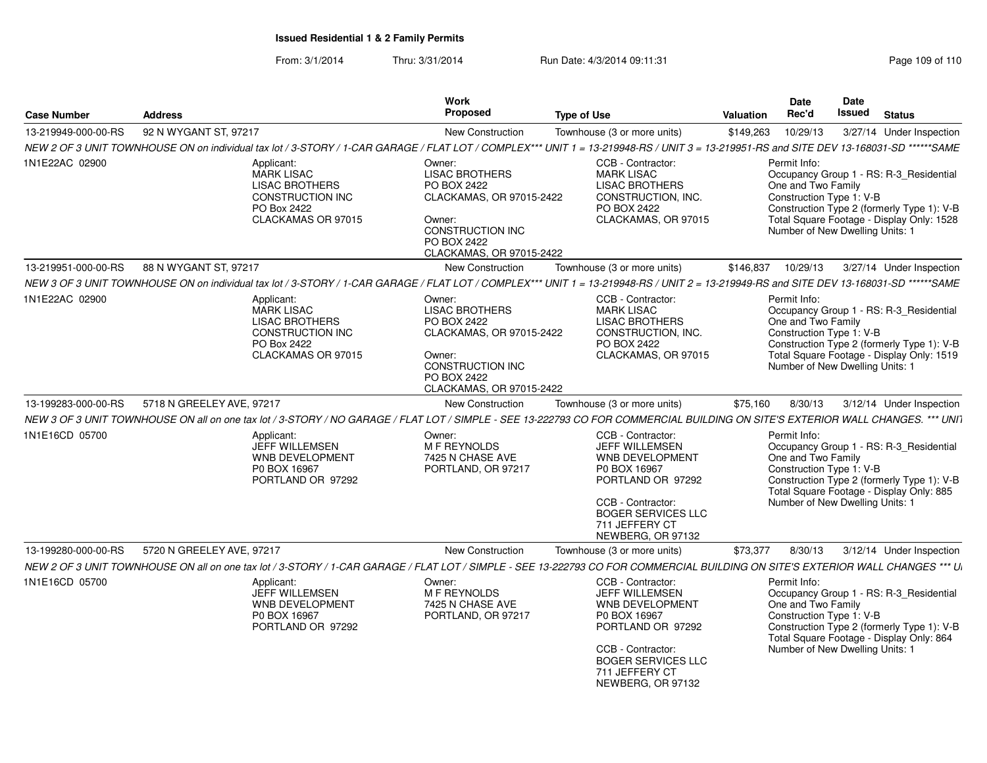## **Issued Residential 1 & 2 Family Permits**

From: 3/1/2014Thru: 3/31/2014 Run Date: 4/3/2014 09:11:31 Page 109 of 110

| <b>Case Number</b>  | <b>Address</b>            |                                                                                                                   | Work<br>Proposed                                                                                                                                    | <b>Type of Use</b>                                                                                                                                                                          | <b>Valuation</b> | <b>Date</b><br>Rec'd                                                                              | Date<br>Issued | <b>Status</b>                                                                                                                      |
|---------------------|---------------------------|-------------------------------------------------------------------------------------------------------------------|-----------------------------------------------------------------------------------------------------------------------------------------------------|---------------------------------------------------------------------------------------------------------------------------------------------------------------------------------------------|------------------|---------------------------------------------------------------------------------------------------|----------------|------------------------------------------------------------------------------------------------------------------------------------|
| 13-219949-000-00-RS | 92 N WYGANT ST, 97217     |                                                                                                                   | <b>New Construction</b>                                                                                                                             | Townhouse (3 or more units)                                                                                                                                                                 | \$149,263        | 10/29/13                                                                                          |                | 3/27/14 Under Inspection                                                                                                           |
|                     |                           |                                                                                                                   |                                                                                                                                                     | NEW 2 OF 3 UNIT TOWNHOUSE ON on individual tax lot / 3-STORY / 1-CAR GARAGE / FLAT LOT / COMPLEX*** UNIT 1 = 13-219948-RS / UNIT 3 = 13-219951-RS and SITE DEV 13-168031-SD ******SAME      |                  |                                                                                                   |                |                                                                                                                                    |
| 1N1E22AC 02900      |                           | Applicant:<br><b>MARK LISAC</b><br><b>LISAC BROTHERS</b><br>CONSTRUCTION INC<br>PO Box 2422<br>CLACKAMAS OR 97015 | Owner:<br><b>LISAC BROTHERS</b><br>PO BOX 2422<br>CLACKAMAS, OR 97015-2422<br>Owner:<br>CONSTRUCTION INC<br>PO BOX 2422<br>CLACKAMAS, OR 97015-2422 | CCB - Contractor:<br><b>MARK LISAC</b><br><b>LISAC BROTHERS</b><br>CONSTRUCTION, INC.<br>PO BOX 2422<br>CLACKAMAS, OR 97015                                                                 |                  | Permit Info:<br>One and Two Family<br>Construction Type 1: V-B<br>Number of New Dwelling Units: 1 |                | Occupancy Group 1 - RS: R-3_Residential<br>Construction Type 2 (formerly Type 1): V-B<br>Total Square Footage - Display Only: 1528 |
| 13-219951-000-00-RS | 88 N WYGANT ST, 97217     |                                                                                                                   | <b>New Construction</b>                                                                                                                             | Townhouse (3 or more units)                                                                                                                                                                 | \$146,837        | 10/29/13                                                                                          |                | 3/27/14 Under Inspection                                                                                                           |
|                     |                           |                                                                                                                   |                                                                                                                                                     | NEW 3 OF 3 UNIT TOWNHOUSE ON on individual tax lot / 3-STORY / 1-CAR GARAGE / FLAT LOT / COMPLEX*** UNIT 1 = 13-219948-RS / UNIT 2 = 13-219949-RS and SITE DEV 13-168031-SD ******SAME      |                  |                                                                                                   |                |                                                                                                                                    |
| 1N1E22AC 02900      |                           | Applicant:<br><b>MARK LISAC</b><br><b>LISAC BROTHERS</b><br>CONSTRUCTION INC<br>PO Box 2422<br>CLACKAMAS OR 97015 | Owner:<br><b>LISAC BROTHERS</b><br>PO BOX 2422<br>CLACKAMAS, OR 97015-2422<br>Owner:<br>CONSTRUCTION INC<br>PO BOX 2422<br>CLACKAMAS, OR 97015-2422 | CCB - Contractor:<br><b>MARK LISAC</b><br><b>LISAC BROTHERS</b><br>CONSTRUCTION, INC.<br>PO BOX 2422<br>CLACKAMAS, OR 97015                                                                 |                  | Permit Info:<br>One and Two Family<br>Construction Type 1: V-B<br>Number of New Dwelling Units: 1 |                | Occupancy Group 1 - RS: R-3 Residential<br>Construction Type 2 (formerly Type 1): V-B<br>Total Square Footage - Display Only: 1519 |
| 13-199283-000-00-RS | 5718 N GREELEY AVE, 97217 |                                                                                                                   | <b>New Construction</b>                                                                                                                             | Townhouse (3 or more units)                                                                                                                                                                 | \$75,160         | 8/30/13                                                                                           |                | 3/12/14 Under Inspection                                                                                                           |
|                     |                           |                                                                                                                   |                                                                                                                                                     | NEW 3 OF 3 UNIT TOWNHOUSE ON all on one tax lot / 3-STORY / NO GARAGE / FLAT LOT / SIMPLE - SEE 13-222793 CO FOR COMMERCIAL BUILDING ON SITE'S EXTERIOR WALL CHANGES. *** UNIT              |                  |                                                                                                   |                |                                                                                                                                    |
| 1N1E16CD 05700      |                           | Applicant:<br>JEFF WILLEMSEN<br>WNB DEVELOPMENT<br>P0 BOX 16967<br>PORTLAND OR 97292                              | Owner:<br>M F REYNOLDS<br>7425 N CHASE AVE<br>PORTLAND, OR 97217                                                                                    | CCB - Contractor:<br>JEFF WILLEMSEN<br>WNB DEVELOPMENT<br>P0 BOX 16967<br>PORTLAND OR 97292<br>CCB - Contractor:<br><b>BOGER SERVICES LLC</b><br>711 JEFFERY CT<br>NEWBERG, OR 97132        |                  | Permit Info:<br>One and Two Family<br>Construction Type 1: V-B<br>Number of New Dwelling Units: 1 |                | Occupancy Group 1 - RS: R-3_Residential<br>Construction Type 2 (formerly Type 1): V-B<br>Total Square Footage - Display Only: 885  |
| 13-199280-000-00-RS | 5720 N GREELEY AVE, 97217 |                                                                                                                   | <b>New Construction</b>                                                                                                                             | Townhouse (3 or more units)                                                                                                                                                                 | \$73,377         | 8/30/13                                                                                           |                | 3/12/14 Under Inspection                                                                                                           |
|                     |                           |                                                                                                                   |                                                                                                                                                     | NEW 2 OF 3 UNIT TOWNHOUSE ON all on one tax lot / 3-STORY / 1-CAR GARAGE / FLAT LOT / SIMPLE - SEE 13-222793 CO FOR COMMERCIAL BUILDING ON SITE'S EXTERIOR WALL CHANGES *** U               |                  |                                                                                                   |                |                                                                                                                                    |
| 1N1E16CD 05700      |                           | Applicant:<br><b>JEFF WILLEMSEN</b><br><b>WNB DEVELOPMENT</b><br>P0 BOX 16967<br>PORTLAND OR 97292                | Owner:<br>M F REYNOLDS<br>7425 N CHASE AVE<br>PORTLAND, OR 97217                                                                                    | CCB - Contractor:<br><b>JEFF WILLEMSEN</b><br>WNB DEVELOPMENT<br>P0 BOX 16967<br>PORTLAND OR 97292<br>CCB - Contractor:<br><b>BOGER SERVICES LLC</b><br>711 JEFFERY CT<br>NEWBERG, OR 97132 |                  | Permit Info:<br>One and Two Family<br>Construction Type 1: V-B<br>Number of New Dwelling Units: 1 |                | Occupancy Group 1 - RS: R-3_Residential<br>Construction Type 2 (formerly Type 1): V-B<br>Total Square Footage - Display Only: 864  |